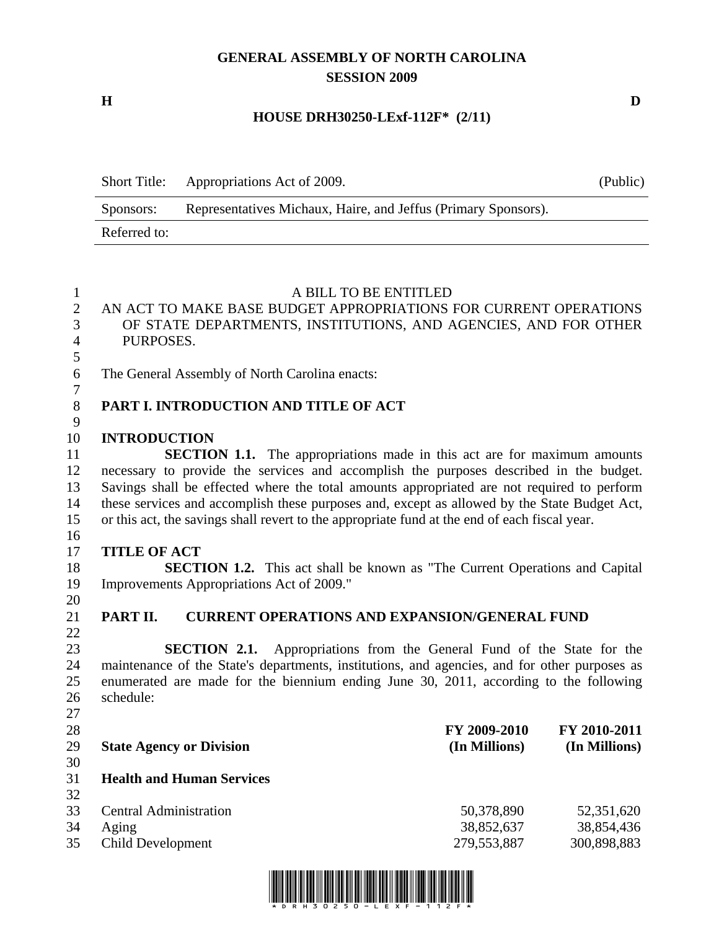# **GENERAL ASSEMBLY OF NORTH CAROLINA SESSION 2009**

**H D** 

#### **HOUSE DRH30250-LExf-112F\* (2/11)**

| <b>Short Title:</b> | Appropriations Act of 2009.                                    | (Public) |
|---------------------|----------------------------------------------------------------|----------|
| Sponsors:           | Representatives Michaux, Haire, and Jeffus (Primary Sponsors). |          |
| Referred to:        |                                                                |          |

| $\mathbf{1}$   |                                                                                               | A BILL TO BE ENTITLED |               |  |  |
|----------------|-----------------------------------------------------------------------------------------------|-----------------------|---------------|--|--|
| $\overline{2}$ | AN ACT TO MAKE BASE BUDGET APPROPRIATIONS FOR CURRENT OPERATIONS                              |                       |               |  |  |
| 3              | OF STATE DEPARTMENTS, INSTITUTIONS, AND AGENCIES, AND FOR OTHER                               |                       |               |  |  |
| $\overline{4}$ | PURPOSES.                                                                                     |                       |               |  |  |
| 5              |                                                                                               |                       |               |  |  |
| 6              | The General Assembly of North Carolina enacts:                                                |                       |               |  |  |
| $\overline{7}$ |                                                                                               |                       |               |  |  |
| $8\,$          | PART I. INTRODUCTION AND TITLE OF ACT                                                         |                       |               |  |  |
| 9              |                                                                                               |                       |               |  |  |
| 10             | <b>INTRODUCTION</b>                                                                           |                       |               |  |  |
| 11             | <b>SECTION 1.1.</b> The appropriations made in this act are for maximum amounts               |                       |               |  |  |
| 12             | necessary to provide the services and accomplish the purposes described in the budget.        |                       |               |  |  |
| 13             | Savings shall be effected where the total amounts appropriated are not required to perform    |                       |               |  |  |
| 14             | these services and accomplish these purposes and, except as allowed by the State Budget Act,  |                       |               |  |  |
| 15             | or this act, the savings shall revert to the appropriate fund at the end of each fiscal year. |                       |               |  |  |
| 16             |                                                                                               |                       |               |  |  |
| 17             | <b>TITLE OF ACT</b>                                                                           |                       |               |  |  |
| 18             | <b>SECTION 1.2.</b> This act shall be known as "The Current Operations and Capital            |                       |               |  |  |
| 19             | Improvements Appropriations Act of 2009."                                                     |                       |               |  |  |
| 20             |                                                                                               |                       |               |  |  |
| 21             | PART II.<br><b>CURRENT OPERATIONS AND EXPANSION/GENERAL FUND</b>                              |                       |               |  |  |
| 22             |                                                                                               |                       |               |  |  |
| 23             | <b>SECTION 2.1.</b><br>Appropriations from the General Fund of the State for the              |                       |               |  |  |
| 24             | maintenance of the State's departments, institutions, and agencies, and for other purposes as |                       |               |  |  |
| 25             | enumerated are made for the biennium ending June 30, 2011, according to the following         |                       |               |  |  |
| 26             | schedule:                                                                                     |                       |               |  |  |
| 27             |                                                                                               |                       |               |  |  |
| 28             |                                                                                               | FY 2009-2010          | FY 2010-2011  |  |  |
| 29             | <b>State Agency or Division</b>                                                               | (In Millions)         | (In Millions) |  |  |
| 30             |                                                                                               |                       |               |  |  |
| 31             | <b>Health and Human Services</b>                                                              |                       |               |  |  |
| 32             |                                                                                               |                       |               |  |  |
| 33             | <b>Central Administration</b>                                                                 | 50,378,890            | 52,351,620    |  |  |
| 34             | Aging                                                                                         | 38,852,637            | 38,854,436    |  |  |
| 35             | <b>Child Development</b>                                                                      | 279,553,887           | 300,898,883   |  |  |
|                |                                                                                               |                       |               |  |  |
|                |                                                                                               |                       |               |  |  |

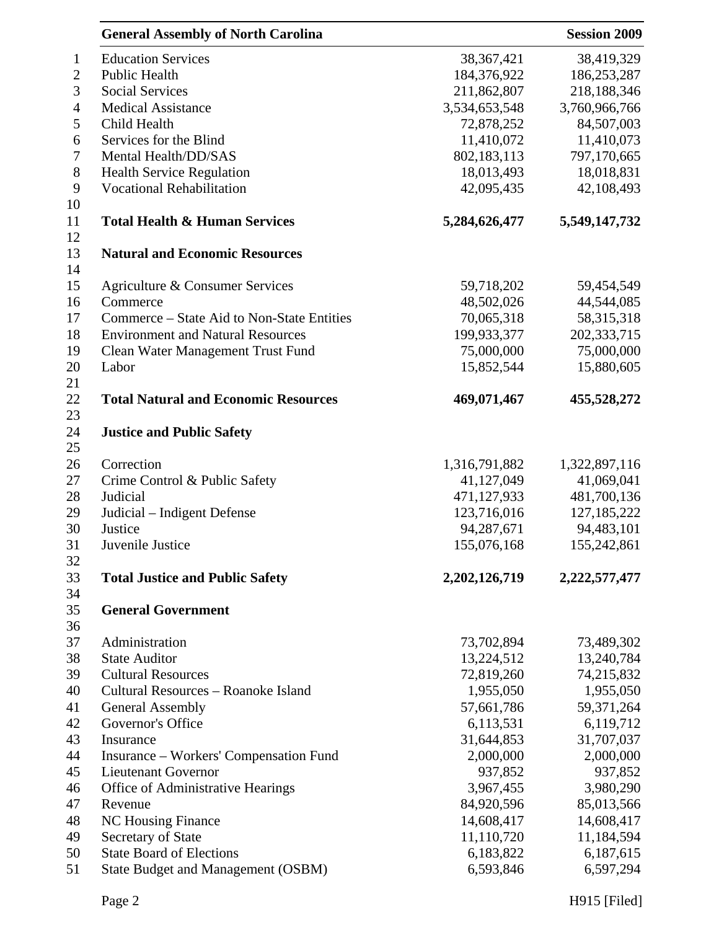|                | <b>General Assembly of North Carolina</b>                            | <b>Session 2009</b>  |               |
|----------------|----------------------------------------------------------------------|----------------------|---------------|
| $\mathbf{1}$   | <b>Education Services</b>                                            | 38, 367, 421         | 38,419,329    |
| $\mathbf{2}$   | Public Health                                                        | 184,376,922          | 186,253,287   |
| 3              | <b>Social Services</b>                                               | 211,862,807          | 218,188,346   |
| $\overline{4}$ | <b>Medical Assistance</b>                                            | 3,534,653,548        | 3,760,966,766 |
| 5              | Child Health                                                         | 72,878,252           | 84,507,003    |
| 6              | Services for the Blind                                               | 11,410,072           | 11,410,073    |
| $\tau$         | Mental Health/DD/SAS                                                 | 802,183,113          | 797,170,665   |
| $8\,$          | <b>Health Service Regulation</b>                                     | 18,013,493           | 18,018,831    |
| 9              | <b>Vocational Rehabilitation</b>                                     | 42,095,435           | 42,108,493    |
| 10<br>11       | <b>Total Health &amp; Human Services</b>                             | 5,284,626,477        | 5,549,147,732 |
| 12<br>13       | <b>Natural and Economic Resources</b>                                |                      |               |
| 14<br>15       | Agriculture & Consumer Services                                      | 59,718,202           | 59,454,549    |
| 16             | Commerce                                                             | 48,502,026           | 44,544,085    |
| 17             | Commerce – State Aid to Non-State Entities                           | 70,065,318           | 58,315,318    |
| 18             | <b>Environment and Natural Resources</b>                             | 199,933,377          | 202,333,715   |
| 19             | Clean Water Management Trust Fund                                    | 75,000,000           | 75,000,000    |
| 20             | Labor                                                                | 15,852,544           | 15,880,605    |
| 21             |                                                                      |                      |               |
| 22<br>23       | <b>Total Natural and Economic Resources</b>                          | 469,071,467          | 455,528,272   |
| 24<br>25       | <b>Justice and Public Safety</b>                                     |                      |               |
| 26             | Correction                                                           | 1,316,791,882        | 1,322,897,116 |
| 27             | Crime Control & Public Safety                                        | 41,127,049           | 41,069,041    |
| 28             | Judicial                                                             | 471,127,933          | 481,700,136   |
| 29             | Judicial – Indigent Defense                                          | 123,716,016          | 127, 185, 222 |
| 30             | Justice                                                              | 94,287,671           | 94,483,101    |
| 31             | Juvenile Justice                                                     | 155,076,168          | 155,242,861   |
| 32             |                                                                      |                      |               |
| 33             | <b>Total Justice and Public Safety</b>                               | 2, 202, 126, 719     | 2,222,577,477 |
| 34             |                                                                      |                      |               |
| 35             | <b>General Government</b>                                            |                      |               |
| 36             |                                                                      |                      |               |
| 37             | Administration                                                       | 73,702,894           | 73,489,302    |
| 38             | <b>State Auditor</b>                                                 | 13,224,512           | 13,240,784    |
| 39             | <b>Cultural Resources</b>                                            | 72,819,260           | 74,215,832    |
| 40             | Cultural Resources - Roanoke Island                                  | 1,955,050            | 1,955,050     |
| 41             | <b>General Assembly</b>                                              | 57,661,786           | 59,371,264    |
| 42             | Governor's Office                                                    | 6,113,531            | 6,119,712     |
| 43             | Insurance                                                            | 31,644,853           | 31,707,037    |
| 44             |                                                                      |                      | 2,000,000     |
|                | Insurance – Workers' Compensation Fund<br><b>Lieutenant Governor</b> | 2,000,000<br>937,852 | 937,852       |
| 45             |                                                                      | 3,967,455            | 3,980,290     |
| 46             | Office of Administrative Hearings                                    |                      |               |
| 47             | Revenue                                                              | 84,920,596           | 85,013,566    |
| 48             | <b>NC Housing Finance</b>                                            | 14,608,417           | 14,608,417    |
| 49             | Secretary of State                                                   | 11,110,720           | 11,184,594    |
| 50             | <b>State Board of Elections</b>                                      | 6,183,822            | 6,187,615     |
| 51             | <b>State Budget and Management (OSBM)</b>                            | 6,593,846            | 6,597,294     |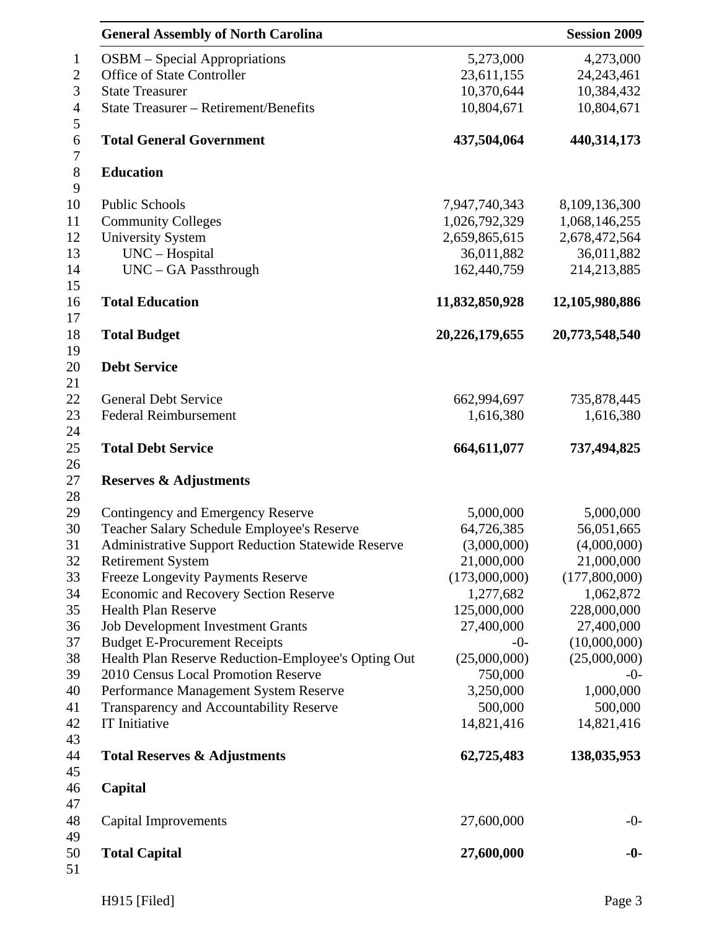|                                    | <b>General Assembly of North Carolina</b>                 | <b>Session 2009</b>  |                |  |
|------------------------------------|-----------------------------------------------------------|----------------------|----------------|--|
| $\mathbf{1}$                       | <b>OSBM</b> – Special Appropriations                      | 5,273,000            | 4,273,000      |  |
| $\sqrt{2}$                         | Office of State Controller                                | 23,611,155           | 24, 243, 461   |  |
| 3                                  | <b>State Treasurer</b>                                    | 10,370,644           | 10,384,432     |  |
| $\overline{4}$                     | State Treasurer - Retirement/Benefits                     | 10,804,671           | 10,804,671     |  |
| $\mathfrak{S}$<br>$\boldsymbol{6}$ | <b>Total General Government</b>                           | 437,504,064          | 440,314,173    |  |
| $\boldsymbol{7}$<br>$8\,$          | <b>Education</b>                                          |                      |                |  |
| 9                                  |                                                           |                      |                |  |
| 10                                 | <b>Public Schools</b>                                     | 7,947,740,343        | 8,109,136,300  |  |
| 11                                 | <b>Community Colleges</b>                                 | 1,026,792,329        | 1,068,146,255  |  |
| 12                                 | <b>University System</b>                                  | 2,659,865,615        | 2,678,472,564  |  |
| 13                                 | UNC - Hospital                                            | 36,011,882           | 36,011,882     |  |
| 14<br>15                           | UNC - GA Passthrough                                      | 162,440,759          | 214,213,885    |  |
| 16                                 | <b>Total Education</b>                                    | 11,832,850,928       | 12,105,980,886 |  |
| 17<br>18                           | <b>Total Budget</b>                                       | 20,226,179,655       | 20,773,548,540 |  |
| 19                                 |                                                           |                      |                |  |
| 20<br>21                           | <b>Debt Service</b>                                       |                      |                |  |
| 22                                 | <b>General Debt Service</b>                               | 662,994,697          | 735,878,445    |  |
| 23                                 | <b>Federal Reimbursement</b>                              | 1,616,380            | 1,616,380      |  |
| 24                                 |                                                           |                      |                |  |
| 25                                 | <b>Total Debt Service</b>                                 | 664,611,077          | 737,494,825    |  |
| 26<br>27                           | <b>Reserves &amp; Adjustments</b>                         |                      |                |  |
| 28                                 |                                                           |                      |                |  |
| 29                                 | Contingency and Emergency Reserve                         | 5,000,000            | 5,000,000      |  |
| 30                                 | Teacher Salary Schedule Employee's Reserve                | 64,726,385           | 56,051,665     |  |
| 31                                 | <b>Administrative Support Reduction Statewide Reserve</b> | (3,000,000)          | (4,000,000)    |  |
| 32                                 | <b>Retirement System</b>                                  | 21,000,000           | 21,000,000     |  |
| 33                                 | <b>Freeze Longevity Payments Reserve</b>                  | (173,000,000)        | (177,800,000)  |  |
| 34                                 | <b>Economic and Recovery Section Reserve</b>              | 1,277,682            | 1,062,872      |  |
| 35                                 | <b>Health Plan Reserve</b>                                | 125,000,000          | 228,000,000    |  |
| 36                                 | <b>Job Development Investment Grants</b>                  | 27,400,000           | 27,400,000     |  |
| 37                                 | <b>Budget E-Procurement Receipts</b>                      | $-0-$                | (10,000,000)   |  |
| 38                                 | Health Plan Reserve Reduction-Employee's Opting Out       | (25,000,000)         | (25,000,000)   |  |
| 39                                 | 2010 Census Local Promotion Reserve                       | 750,000              | $-0-$          |  |
| 40                                 |                                                           |                      | 1,000,000      |  |
| 41                                 | Performance Management System Reserve                     | 3,250,000<br>500,000 | 500,000        |  |
| 42                                 | Transparency and Accountability Reserve<br>IT Initiative  | 14,821,416           |                |  |
| 43                                 |                                                           |                      | 14,821,416     |  |
| 44                                 | <b>Total Reserves &amp; Adjustments</b>                   | 62,725,483           | 138,035,953    |  |
| 45<br>46                           | Capital                                                   |                      |                |  |
| 47                                 |                                                           |                      |                |  |
| 48                                 | Capital Improvements                                      | 27,600,000           | $-0-$          |  |
| 49                                 |                                                           |                      |                |  |
| 50                                 | <b>Total Capital</b>                                      | 27,600,000           | $-0-$          |  |
| 51                                 |                                                           |                      |                |  |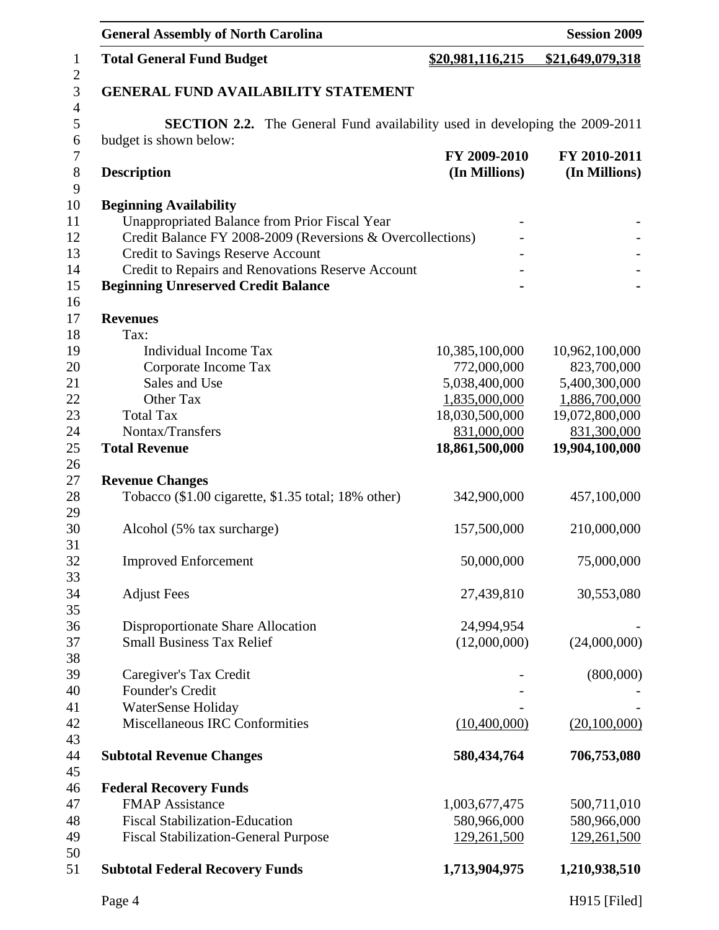|                     | <b>General Assembly of North Carolina</b>                  | <b>Session 2009</b>                                                                |                  |  |  |  |
|---------------------|------------------------------------------------------------|------------------------------------------------------------------------------------|------------------|--|--|--|
| $\mathbf{1}$        | <b>Total General Fund Budget</b>                           | \$20,981,116,215                                                                   | \$21,649,079,318 |  |  |  |
| $\overline{c}$<br>3 | <b>GENERAL FUND AVAILABILITY STATEMENT</b>                 |                                                                                    |                  |  |  |  |
| $\overline{4}$      |                                                            |                                                                                    |                  |  |  |  |
| 5                   |                                                            | <b>SECTION 2.2.</b> The General Fund availability used in developing the 2009-2011 |                  |  |  |  |
| 6                   | budget is shown below:                                     |                                                                                    |                  |  |  |  |
| 7                   |                                                            | FY 2009-2010                                                                       | FY 2010-2011     |  |  |  |
| 8                   | <b>Description</b>                                         | (In Millions)                                                                      | (In Millions)    |  |  |  |
| 9                   |                                                            |                                                                                    |                  |  |  |  |
| 10                  | <b>Beginning Availability</b>                              |                                                                                    |                  |  |  |  |
| 11                  | <b>Unappropriated Balance from Prior Fiscal Year</b>       |                                                                                    |                  |  |  |  |
| 12                  | Credit Balance FY 2008-2009 (Reversions & Overcollections) |                                                                                    |                  |  |  |  |
| 13                  | <b>Credit to Savings Reserve Account</b>                   |                                                                                    |                  |  |  |  |
| 14                  | Credit to Repairs and Renovations Reserve Account          |                                                                                    |                  |  |  |  |
| 15                  | <b>Beginning Unreserved Credit Balance</b>                 |                                                                                    |                  |  |  |  |
| 16                  |                                                            |                                                                                    |                  |  |  |  |
| 17                  | <b>Revenues</b>                                            |                                                                                    |                  |  |  |  |
| 18                  | Tax:                                                       |                                                                                    |                  |  |  |  |
| 19                  | <b>Individual Income Tax</b>                               | 10,385,100,000                                                                     | 10,962,100,000   |  |  |  |
| 20                  | Corporate Income Tax                                       | 772,000,000                                                                        | 823,700,000      |  |  |  |
| 21                  | Sales and Use                                              | 5,038,400,000                                                                      | 5,400,300,000    |  |  |  |
| 22                  | Other Tax                                                  | 1,835,000,000                                                                      | 1,886,700,000    |  |  |  |
| 23                  | <b>Total Tax</b>                                           | 18,030,500,000                                                                     | 19,072,800,000   |  |  |  |
| 24                  | Nontax/Transfers                                           | 831,000,000                                                                        | 831,300,000      |  |  |  |
| 25                  | <b>Total Revenue</b>                                       | 18,861,500,000                                                                     | 19,904,100,000   |  |  |  |
| 26                  |                                                            |                                                                                    |                  |  |  |  |
| 27                  | <b>Revenue Changes</b>                                     |                                                                                    |                  |  |  |  |
| 28                  | Tobacco (\$1.00 cigarette, \$1.35 total; 18% other)        | 342,900,000                                                                        | 457,100,000      |  |  |  |
| 29                  |                                                            |                                                                                    |                  |  |  |  |
| 30                  | Alcohol (5% tax surcharge)                                 | 157,500,000                                                                        | 210,000,000      |  |  |  |
| 31                  |                                                            |                                                                                    |                  |  |  |  |
| 32                  | <b>Improved Enforcement</b>                                | 50,000,000                                                                         | 75,000,000       |  |  |  |
| 33                  |                                                            |                                                                                    |                  |  |  |  |
| 34                  | <b>Adjust Fees</b>                                         | 27,439,810                                                                         | 30,553,080       |  |  |  |
| 35                  |                                                            |                                                                                    |                  |  |  |  |
| 36                  | Disproportionate Share Allocation                          | 24,994,954                                                                         |                  |  |  |  |
| 37                  | <b>Small Business Tax Relief</b>                           | (12,000,000)                                                                       | (24,000,000)     |  |  |  |
| 38                  |                                                            |                                                                                    |                  |  |  |  |
| 39                  | Caregiver's Tax Credit                                     |                                                                                    | (800,000)        |  |  |  |
| 40                  | Founder's Credit                                           |                                                                                    |                  |  |  |  |
| 41                  | WaterSense Holiday                                         |                                                                                    |                  |  |  |  |
| 42                  | <b>Miscellaneous IRC Conformities</b>                      | (10,400,000)                                                                       | (20,100,000)     |  |  |  |
| 43                  |                                                            |                                                                                    |                  |  |  |  |
| 44                  | <b>Subtotal Revenue Changes</b>                            | 580,434,764                                                                        | 706,753,080      |  |  |  |
| 45                  |                                                            |                                                                                    |                  |  |  |  |
| 46                  | <b>Federal Recovery Funds</b>                              |                                                                                    |                  |  |  |  |
| 47                  | <b>FMAP</b> Assistance                                     | 1,003,677,475                                                                      | 500,711,010      |  |  |  |
| 48                  | <b>Fiscal Stabilization-Education</b>                      | 580,966,000                                                                        | 580,966,000      |  |  |  |
| 49                  | <b>Fiscal Stabilization-General Purpose</b>                | 129,261,500                                                                        | 129,261,500      |  |  |  |
| 50                  |                                                            |                                                                                    |                  |  |  |  |
| 51                  | <b>Subtotal Federal Recovery Funds</b>                     | 1,713,904,975                                                                      | 1,210,938,510    |  |  |  |
|                     | Page 4                                                     |                                                                                    | H915 [Filed]     |  |  |  |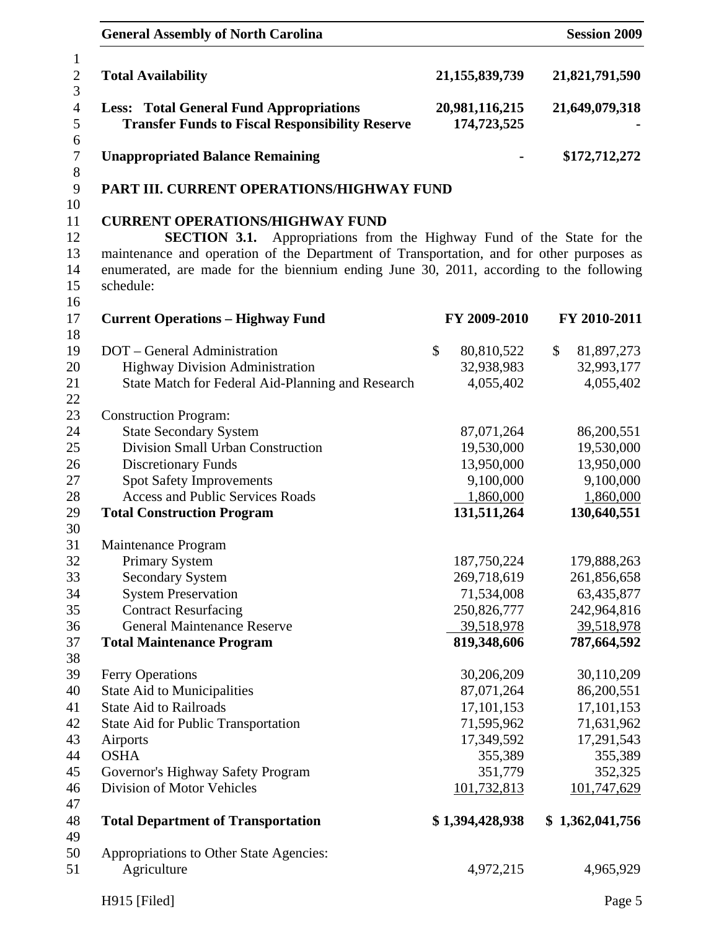| <b>General Assembly of North Carolina</b>                                                                                                                                                                                                                                                                                     |                                                      | <b>Session 2009</b>                                  |
|-------------------------------------------------------------------------------------------------------------------------------------------------------------------------------------------------------------------------------------------------------------------------------------------------------------------------------|------------------------------------------------------|------------------------------------------------------|
| <b>Total Availability</b>                                                                                                                                                                                                                                                                                                     | 21, 155, 839, 739                                    | 21,821,791,590                                       |
| <b>Less: Total General Fund Appropriations</b><br><b>Transfer Funds to Fiscal Responsibility Reserve</b>                                                                                                                                                                                                                      | 20,981,116,215<br>174,723,525                        | 21,649,079,318                                       |
| <b>Unappropriated Balance Remaining</b>                                                                                                                                                                                                                                                                                       |                                                      | \$172,712,272                                        |
| PART III. CURRENT OPERATIONS/HIGHWAY FUND                                                                                                                                                                                                                                                                                     |                                                      |                                                      |
| <b>CURRENT OPERATIONS/HIGHWAY FUND</b><br>Appropriations from the Highway Fund of the State for the<br><b>SECTION 3.1.</b><br>maintenance and operation of the Department of Transportation, and for other purposes as<br>enumerated, are made for the biennium ending June 30, 2011, according to the following<br>schedule: |                                                      |                                                      |
| <b>Current Operations - Highway Fund</b>                                                                                                                                                                                                                                                                                      | FY 2009-2010                                         | FY 2010-2011                                         |
| DOT - General Administration<br><b>Highway Division Administration</b><br>State Match for Federal Aid-Planning and Research                                                                                                                                                                                                   | \$<br>80,810,522<br>32,938,983<br>4,055,402          | \$<br>81,897,273<br>32,993,177<br>4,055,402          |
| <b>Construction Program:</b><br><b>State Secondary System</b><br>Division Small Urban Construction<br><b>Discretionary Funds</b><br><b>Spot Safety Improvements</b>                                                                                                                                                           | 87,071,264<br>19,530,000<br>13,950,000<br>9,100,000  | 86,200,551<br>19,530,000<br>13,950,000<br>9,100,000  |
| <b>Access and Public Services Roads</b><br><b>Total Construction Program</b>                                                                                                                                                                                                                                                  | 1,860,000<br>131,511,264                             | 1,860,000<br>130,640,551                             |
| Maintenance Program<br><b>Primary System</b><br><b>Secondary System</b><br><b>System Preservation</b>                                                                                                                                                                                                                         | 187,750,224<br>269,718,619<br>71,534,008             | 179,888,263<br>261,856,658<br>63,435,877             |
| <b>Contract Resurfacing</b><br><b>General Maintenance Reserve</b><br><b>Total Maintenance Program</b>                                                                                                                                                                                                                         | 250,826,777<br>39,518,978<br>819,348,606             | 242,964,816<br>39,518,978<br>787,664,592             |
| Ferry Operations<br><b>State Aid to Municipalities</b><br><b>State Aid to Railroads</b><br>State Aid for Public Transportation                                                                                                                                                                                                | 30,206,209<br>87,071,264<br>17,101,153<br>71,595,962 | 30,110,209<br>86,200,551<br>17,101,153<br>71,631,962 |
| Airports<br><b>OSHA</b><br>Governor's Highway Safety Program<br>Division of Motor Vehicles                                                                                                                                                                                                                                    | 17,349,592<br>355,389<br>351,779<br>101,732,813      | 17,291,543<br>355,389<br>352,325<br>101,747,629      |
| <b>Total Department of Transportation</b>                                                                                                                                                                                                                                                                                     | \$1,394,428,938                                      | \$1,362,041,756                                      |
| Appropriations to Other State Agencies:<br>Agriculture                                                                                                                                                                                                                                                                        | 4,972,215                                            | 4,965,929                                            |
| H915 [Filed]                                                                                                                                                                                                                                                                                                                  |                                                      | Page 5                                               |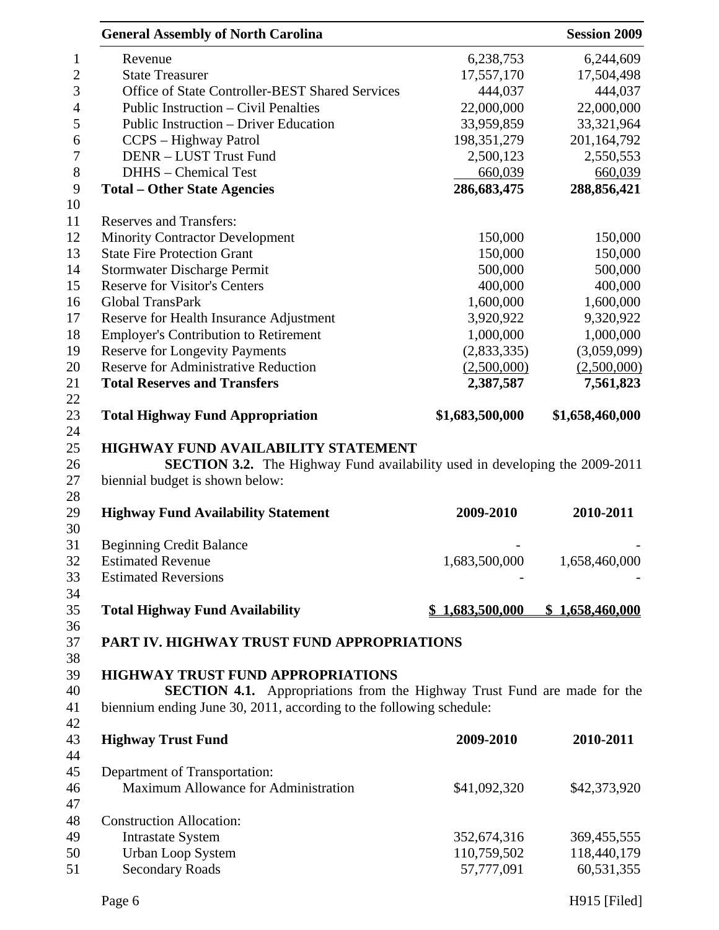|                | <b>General Assembly of North Carolina</b>                                          |                 | <b>Session 2009</b> |
|----------------|------------------------------------------------------------------------------------|-----------------|---------------------|
| 1              | Revenue                                                                            | 6,238,753       | 6,244,609           |
| $\overline{2}$ | <b>State Treasurer</b>                                                             | 17,557,170      | 17,504,498          |
| 3              | Office of State Controller-BEST Shared Services                                    | 444,037         | 444,037             |
| $\overline{4}$ | Public Instruction – Civil Penalties                                               | 22,000,000      | 22,000,000          |
| 5              | Public Instruction – Driver Education                                              | 33,959,859      | 33,321,964          |
| 6              | CCPS – Highway Patrol                                                              | 198, 351, 279   | 201,164,792         |
| 7              | DENR - LUST Trust Fund                                                             | 2,500,123       | 2,550,553           |
| $8\,$          | DHHS - Chemical Test                                                               | 660,039         | 660,039             |
| 9              | <b>Total - Other State Agencies</b>                                                | 286,683,475     | 288,856,421         |
| 10             |                                                                                    |                 |                     |
| 11             | <b>Reserves and Transfers:</b>                                                     |                 |                     |
| 12             | <b>Minority Contractor Development</b>                                             | 150,000         | 150,000             |
| 13             | <b>State Fire Protection Grant</b>                                                 | 150,000         | 150,000             |
| 14             | <b>Stormwater Discharge Permit</b>                                                 | 500,000         | 500,000             |
| 15             | <b>Reserve for Visitor's Centers</b>                                               | 400,000         | 400,000             |
| 16             | Global TransPark                                                                   | 1,600,000       | 1,600,000           |
| 17             | Reserve for Health Insurance Adjustment                                            | 3,920,922       | 9,320,922           |
| 18             | <b>Employer's Contribution to Retirement</b>                                       | 1,000,000       | 1,000,000           |
| 19             | <b>Reserve for Longevity Payments</b>                                              | (2,833,335)     | (3,059,099)         |
| 20             | <b>Reserve for Administrative Reduction</b>                                        | (2,500,000)     | (2,500,000)         |
| 21             | <b>Total Reserves and Transfers</b>                                                | 2,387,587       | 7,561,823           |
| 22             |                                                                                    |                 |                     |
| 23             | <b>Total Highway Fund Appropriation</b>                                            | \$1,683,500,000 | \$1,658,460,000     |
| 24             |                                                                                    |                 |                     |
| 25             | HIGHWAY FUND AVAILABILITY STATEMENT                                                |                 |                     |
| 26             | <b>SECTION 3.2.</b> The Highway Fund availability used in developing the 2009-2011 |                 |                     |
| 27             | biennial budget is shown below:                                                    |                 |                     |
| 28             |                                                                                    |                 |                     |
| 29             | <b>Highway Fund Availability Statement</b>                                         | 2009-2010       | 2010-2011           |
| 30             |                                                                                    |                 |                     |
| 31             | <b>Beginning Credit Balance</b>                                                    |                 |                     |
| 32             | <b>Estimated Revenue</b>                                                           | 1,683,500,000   | 1,658,460,000       |
| 33             | <b>Estimated Reversions</b>                                                        |                 |                     |
| 34             |                                                                                    |                 |                     |
| 35             | <b>Total Highway Fund Availability</b>                                             | 1,683,500,000   | \$1,658,460,000     |
| 36             |                                                                                    |                 |                     |
| 37             | PART IV. HIGHWAY TRUST FUND APPROPRIATIONS                                         |                 |                     |
| 38             |                                                                                    |                 |                     |
| 39             | <b>HIGHWAY TRUST FUND APPROPRIATIONS</b>                                           |                 |                     |
| 40             | SECTION 4.1. Appropriations from the Highway Trust Fund are made for the           |                 |                     |
| 41             | biennium ending June 30, 2011, according to the following schedule:                |                 |                     |
| 42             |                                                                                    |                 |                     |
| 43             | <b>Highway Trust Fund</b>                                                          | 2009-2010       | 2010-2011           |
| 44             |                                                                                    |                 |                     |
| 45             | Department of Transportation:                                                      |                 |                     |
| 46             | Maximum Allowance for Administration                                               | \$41,092,320    | \$42,373,920        |
| 47             |                                                                                    |                 |                     |
| 48             | <b>Construction Allocation:</b>                                                    |                 |                     |
| 49             |                                                                                    | 352,674,316     | 369,455,555         |
|                | <b>Intrastate System</b>                                                           |                 | 118,440,179         |
| 50             | <b>Urban Loop System</b>                                                           | 110,759,502     |                     |
| 51             | <b>Secondary Roads</b>                                                             | 57,777,091      | 60,531,355          |

Page 6 H915 [Filed]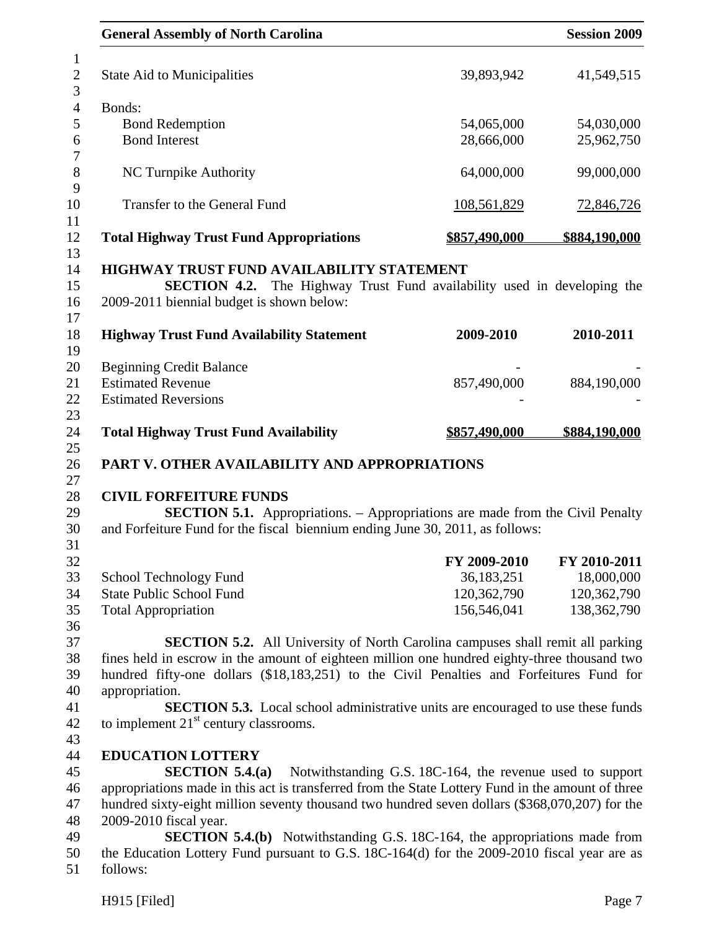| <b>General Assembly of North Carolina</b>                                                                                                                                                                                                                                         |                                                           | <b>Session 2009</b> |
|-----------------------------------------------------------------------------------------------------------------------------------------------------------------------------------------------------------------------------------------------------------------------------------|-----------------------------------------------------------|---------------------|
| <b>State Aid to Municipalities</b>                                                                                                                                                                                                                                                | 39,893,942                                                | 41,549,515          |
| Bonds:                                                                                                                                                                                                                                                                            |                                                           |                     |
| <b>Bond Redemption</b>                                                                                                                                                                                                                                                            | 54,065,000                                                | 54,030,000          |
| <b>Bond Interest</b>                                                                                                                                                                                                                                                              | 28,666,000                                                | 25,962,750          |
| NC Turnpike Authority                                                                                                                                                                                                                                                             | 64,000,000                                                | 99,000,000          |
| Transfer to the General Fund                                                                                                                                                                                                                                                      | <u>108,561,829</u>                                        | <u>72,846,726</u>   |
| <b>Total Highway Trust Fund Appropriations</b>                                                                                                                                                                                                                                    | \$857,490,000                                             | \$884,190,000       |
| HIGHWAY TRUST FUND AVAILABILITY STATEMENT<br><b>SECTION 4.2.</b> The Highway Trust Fund availability used in developing the<br>2009-2011 biennial budget is shown below:                                                                                                          |                                                           |                     |
| <b>Highway Trust Fund Availability Statement</b>                                                                                                                                                                                                                                  | 2009-2010                                                 | 2010-2011           |
| <b>Beginning Credit Balance</b>                                                                                                                                                                                                                                                   |                                                           |                     |
|                                                                                                                                                                                                                                                                                   |                                                           |                     |
| <b>Estimated Revenue</b>                                                                                                                                                                                                                                                          | 857,490,000                                               | 884,190,000         |
| <b>Estimated Reversions</b>                                                                                                                                                                                                                                                       |                                                           |                     |
| <b>Total Highway Trust Fund Availability</b>                                                                                                                                                                                                                                      | <u>\$857,490,000</u>                                      | \$884,190,000       |
| PART V. OTHER AVAILABILITY AND APPROPRIATIONS                                                                                                                                                                                                                                     |                                                           |                     |
| <b>CIVIL FORFEITURE FUNDS</b>                                                                                                                                                                                                                                                     |                                                           |                     |
| <b>SECTION 5.1.</b> Appropriations. – Appropriations are made from the Civil Penalty<br>and Forfeiture Fund for the fiscal biennium ending June 30, 2011, as follows:                                                                                                             |                                                           |                     |
|                                                                                                                                                                                                                                                                                   | FY 2009-2010                                              | FY 2010-2011        |
| School Technology Fund                                                                                                                                                                                                                                                            | 36,183,251                                                | 18,000,000          |
| <b>State Public School Fund</b>                                                                                                                                                                                                                                                   | 120,362,790                                               | 120,362,790         |
|                                                                                                                                                                                                                                                                                   | 156,546,041                                               | 138, 362, 790       |
| <b>Total Appropriation</b>                                                                                                                                                                                                                                                        |                                                           |                     |
| <b>SECTION 5.2.</b> All University of North Carolina campuses shall remit all parking<br>fines held in escrow in the amount of eighteen million one hundred eighty-three thousand two<br>hundred fifty-one dollars (\$18,183,251) to the Civil Penalties and Forfeitures Fund for |                                                           |                     |
| appropriation.                                                                                                                                                                                                                                                                    |                                                           |                     |
| <b>SECTION 5.3.</b> Local school administrative units are encouraged to use these funds                                                                                                                                                                                           |                                                           |                     |
| to implement $21st$ century classrooms.                                                                                                                                                                                                                                           |                                                           |                     |
| <b>EDUCATION LOTTERY</b>                                                                                                                                                                                                                                                          |                                                           |                     |
| SECTION $5.4(a)$                                                                                                                                                                                                                                                                  | Notwithstanding G.S. 18C-164, the revenue used to support |                     |
| appropriations made in this act is transferred from the State Lottery Fund in the amount of three                                                                                                                                                                                 |                                                           |                     |
| hundred sixty-eight million seventy thousand two hundred seven dollars (\$368,070,207) for the                                                                                                                                                                                    |                                                           |                     |
| 2009-2010 fiscal year.                                                                                                                                                                                                                                                            |                                                           |                     |
| <b>SECTION 5.4.(b)</b> Notwithstanding G.S. 18C-164, the appropriations made from                                                                                                                                                                                                 |                                                           |                     |
| the Education Lottery Fund pursuant to G.S. 18C-164(d) for the 2009-2010 fiscal year are as                                                                                                                                                                                       |                                                           |                     |
| follows:                                                                                                                                                                                                                                                                          |                                                           |                     |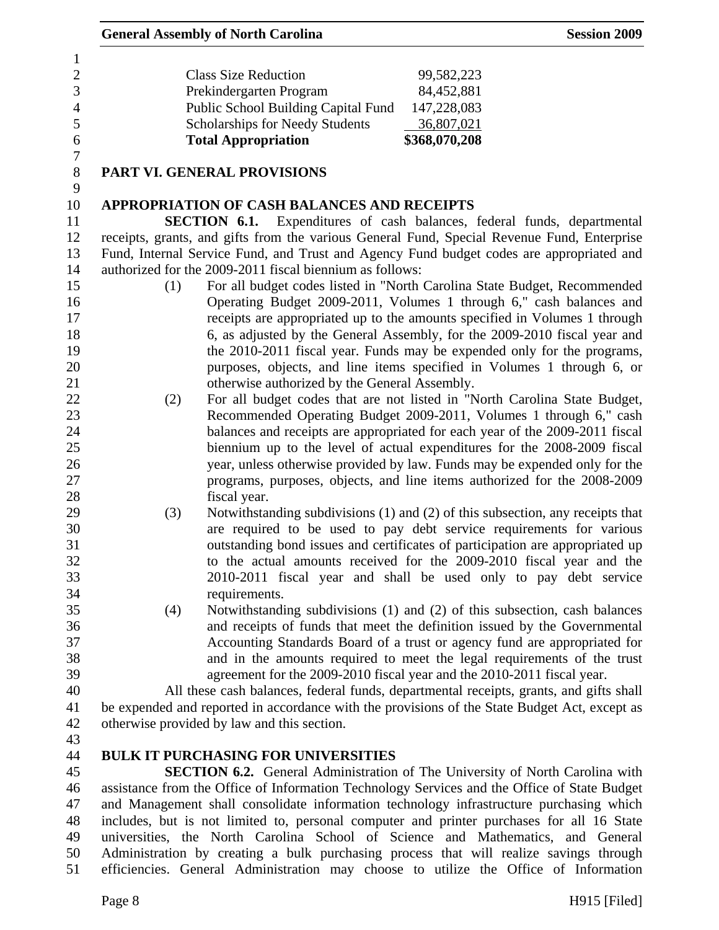| 6 | <b>Total Appropriation</b>                 | \$368,070,208 |
|---|--------------------------------------------|---------------|
| 5 | <b>Scholarships for Needy Students</b>     | 36,807,021    |
| 4 | <b>Public School Building Capital Fund</b> | 147,228,083   |
| 3 | Prekindergarten Program                    | 84,452,881    |
| 2 | <b>Class Size Reduction</b>                | 99,582,223    |
|   |                                            |               |

7

9

## 8 **PART VI. GENERAL PROVISIONS**

### 10 **APPROPRIATION OF CASH BALANCES AND RECEIPTS**

11 **SECTION 6.1.** Expenditures of cash balances, federal funds, departmental 12 receipts, grants, and gifts from the various General Fund, Special Revenue Fund, Enterprise 13 Fund, Internal Service Fund, and Trust and Agency Fund budget codes are appropriated and 14 authorized for the 2009-2011 fiscal biennium as follows:

- 15 (1) For all budget codes listed in "North Carolina State Budget, Recommended 16 Operating Budget 2009-2011, Volumes 1 through 6," cash balances and 17 receipts are appropriated up to the amounts specified in Volumes 1 through 18 6, as adjusted by the General Assembly, for the 2009-2010 fiscal year and 19 the 2010-2011 fiscal year. Funds may be expended only for the programs, 20 purposes, objects, and line items specified in Volumes 1 through 6, or 21 otherwise authorized by the General Assembly.
- 22 (2) For all budget codes that are not listed in "North Carolina State Budget, 23 Recommended Operating Budget 2009-2011, Volumes 1 through 6," cash 24 balances and receipts are appropriated for each year of the 2009-2011 fiscal 25 biennium up to the level of actual expenditures for the 2008-2009 fiscal 26 year, unless otherwise provided by law. Funds may be expended only for the 27 programs, purposes, objects, and line items authorized for the 2008-2009 28 fiscal year.
- 29 (3) Notwithstanding subdivisions (1) and (2) of this subsection, any receipts that 30 are required to be used to pay debt service requirements for various 31 outstanding bond issues and certificates of participation are appropriated up 32 to the actual amounts received for the 2009-2010 fiscal year and the 33 2010-2011 fiscal year and shall be used only to pay debt service 34 requirements.
- 35 (4) Notwithstanding subdivisions (1) and (2) of this subsection, cash balances 36 and receipts of funds that meet the definition issued by the Governmental 37 Accounting Standards Board of a trust or agency fund are appropriated for 38 and in the amounts required to meet the legal requirements of the trust 39 agreement for the 2009-2010 fiscal year and the 2010-2011 fiscal year.

40 All these cash balances, federal funds, departmental receipts, grants, and gifts shall 41 be expended and reported in accordance with the provisions of the State Budget Act, except as 42 otherwise provided by law and this section.

43

# 44 **BULK IT PURCHASING FOR UNIVERSITIES**

45 **SECTION 6.2.** General Administration of The University of North Carolina with 46 assistance from the Office of Information Technology Services and the Office of State Budget 47 and Management shall consolidate information technology infrastructure purchasing which 48 includes, but is not limited to, personal computer and printer purchases for all 16 State 49 universities, the North Carolina School of Science and Mathematics, and General 50 Administration by creating a bulk purchasing process that will realize savings through 51 efficiencies. General Administration may choose to utilize the Office of Information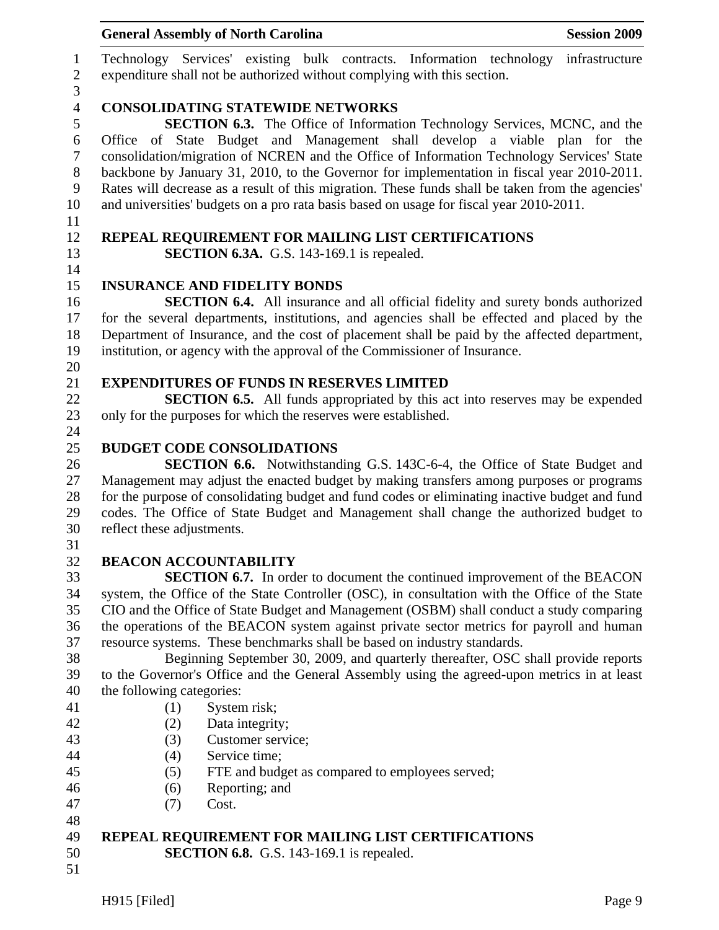|                                       | <b>General Assembly of North Carolina</b><br><b>Session 2009</b>                                                                                                                                                                                                                                                                                                                                                                                                    |
|---------------------------------------|---------------------------------------------------------------------------------------------------------------------------------------------------------------------------------------------------------------------------------------------------------------------------------------------------------------------------------------------------------------------------------------------------------------------------------------------------------------------|
| $\mathbf{1}$<br>$\boldsymbol{2}$<br>3 | Technology Services' existing bulk contracts. Information technology<br>infrastructure<br>expenditure shall not be authorized without complying with this section.                                                                                                                                                                                                                                                                                                  |
| $\overline{4}$<br>5                   | <b>CONSOLIDATING STATEWIDE NETWORKS</b><br><b>SECTION 6.3.</b> The Office of Information Technology Services, MCNC, and the                                                                                                                                                                                                                                                                                                                                         |
| 6<br>$\tau$<br>$8\,$<br>9<br>10       | Office of State Budget and Management shall develop a viable plan for the<br>consolidation/migration of NCREN and the Office of Information Technology Services' State<br>backbone by January 31, 2010, to the Governor for implementation in fiscal year 2010-2011.<br>Rates will decrease as a result of this migration. These funds shall be taken from the agencies'<br>and universities' budgets on a pro rata basis based on usage for fiscal year 2010-2011. |
| 11<br>12<br>13                        | REPEAL REQUIREMENT FOR MAILING LIST CERTIFICATIONS<br><b>SECTION 6.3A.</b> G.S. 143-169.1 is repealed.                                                                                                                                                                                                                                                                                                                                                              |
| 14                                    |                                                                                                                                                                                                                                                                                                                                                                                                                                                                     |
| 15                                    | <b>INSURANCE AND FIDELITY BONDS</b>                                                                                                                                                                                                                                                                                                                                                                                                                                 |
| 16                                    | <b>SECTION 6.4.</b> All insurance and all official fidelity and surety bonds authorized                                                                                                                                                                                                                                                                                                                                                                             |
| 17<br>18                              | for the several departments, institutions, and agencies shall be effected and placed by the                                                                                                                                                                                                                                                                                                                                                                         |
| 19                                    | Department of Insurance, and the cost of placement shall be paid by the affected department,<br>institution, or agency with the approval of the Commissioner of Insurance.                                                                                                                                                                                                                                                                                          |
| 20                                    |                                                                                                                                                                                                                                                                                                                                                                                                                                                                     |
| 21                                    | <b>EXPENDITURES OF FUNDS IN RESERVES LIMITED</b>                                                                                                                                                                                                                                                                                                                                                                                                                    |
| 22                                    | <b>SECTION 6.5.</b> All funds appropriated by this act into reserves may be expended                                                                                                                                                                                                                                                                                                                                                                                |
| 23                                    | only for the purposes for which the reserves were established.                                                                                                                                                                                                                                                                                                                                                                                                      |
| 24                                    |                                                                                                                                                                                                                                                                                                                                                                                                                                                                     |
| 25                                    | <b>BUDGET CODE CONSOLIDATIONS</b>                                                                                                                                                                                                                                                                                                                                                                                                                                   |
| 26                                    | <b>SECTION 6.6.</b> Notwithstanding G.S. 143C-6-4, the Office of State Budget and                                                                                                                                                                                                                                                                                                                                                                                   |
| 27                                    | Management may adjust the enacted budget by making transfers among purposes or programs                                                                                                                                                                                                                                                                                                                                                                             |
| 28                                    | for the purpose of consolidating budget and fund codes or eliminating inactive budget and fund                                                                                                                                                                                                                                                                                                                                                                      |
| 29                                    | codes. The Office of State Budget and Management shall change the authorized budget to                                                                                                                                                                                                                                                                                                                                                                              |
| 30                                    | reflect these adjustments.                                                                                                                                                                                                                                                                                                                                                                                                                                          |
| 31                                    |                                                                                                                                                                                                                                                                                                                                                                                                                                                                     |
| 32                                    | <b>BEACON ACCOUNTABILITY</b>                                                                                                                                                                                                                                                                                                                                                                                                                                        |
| 33                                    | <b>SECTION 6.7.</b> In order to document the continued improvement of the BEACON                                                                                                                                                                                                                                                                                                                                                                                    |
| 34                                    | system, the Office of the State Controller (OSC), in consultation with the Office of the State                                                                                                                                                                                                                                                                                                                                                                      |
| 35                                    | CIO and the Office of State Budget and Management (OSBM) shall conduct a study comparing                                                                                                                                                                                                                                                                                                                                                                            |
| 36                                    | the operations of the BEACON system against private sector metrics for payroll and human                                                                                                                                                                                                                                                                                                                                                                            |
| 37<br>38                              | resource systems. These benchmarks shall be based on industry standards.                                                                                                                                                                                                                                                                                                                                                                                            |
| 39                                    | Beginning September 30, 2009, and quarterly thereafter, OSC shall provide reports<br>to the Governor's Office and the General Assembly using the agreed-upon metrics in at least                                                                                                                                                                                                                                                                                    |
| 40                                    | the following categories:                                                                                                                                                                                                                                                                                                                                                                                                                                           |
| 41                                    | System risk;<br>(1)                                                                                                                                                                                                                                                                                                                                                                                                                                                 |
| 42                                    | (2)<br>Data integrity;                                                                                                                                                                                                                                                                                                                                                                                                                                              |
| 43                                    | Customer service;<br>(3)                                                                                                                                                                                                                                                                                                                                                                                                                                            |
| 44                                    | Service time;<br>(4)                                                                                                                                                                                                                                                                                                                                                                                                                                                |
| 45                                    | FTE and budget as compared to employees served;<br>(5)                                                                                                                                                                                                                                                                                                                                                                                                              |
| 46                                    | Reporting; and<br>(6)                                                                                                                                                                                                                                                                                                                                                                                                                                               |
| 47                                    | Cost.<br>(7)                                                                                                                                                                                                                                                                                                                                                                                                                                                        |
| 48                                    |                                                                                                                                                                                                                                                                                                                                                                                                                                                                     |
| 49                                    | REPEAL REQUIREMENT FOR MAILING LIST CERTIFICATIONS                                                                                                                                                                                                                                                                                                                                                                                                                  |
| 50                                    | <b>SECTION 6.8.</b> G.S. 143-169.1 is repealed.                                                                                                                                                                                                                                                                                                                                                                                                                     |
| 51                                    |                                                                                                                                                                                                                                                                                                                                                                                                                                                                     |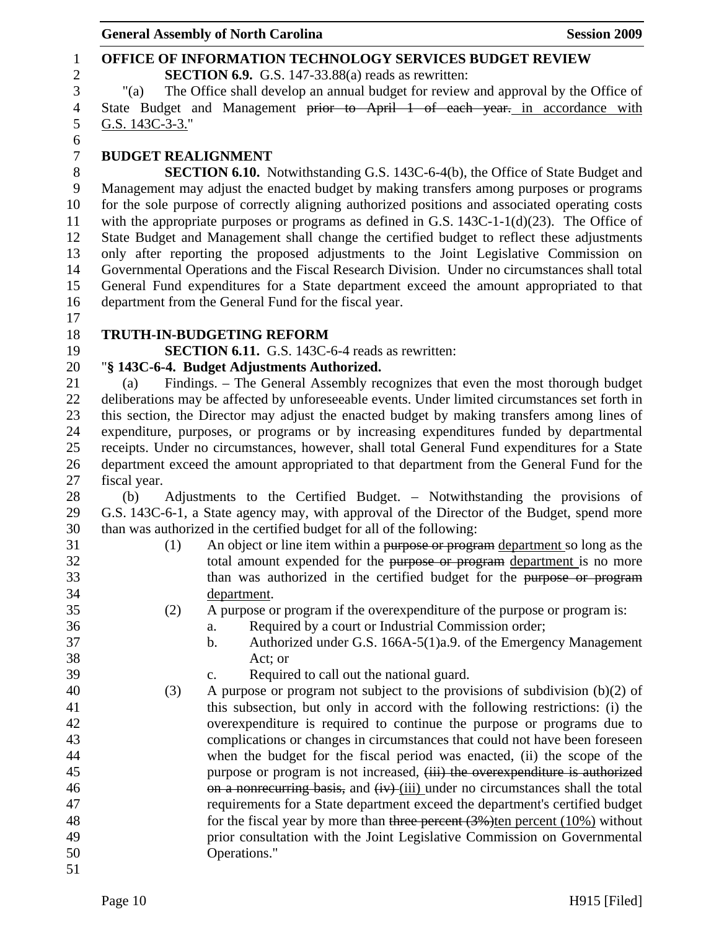### 1 **OFFICE OF INFORMATION TECHNOLOGY SERVICES BUDGET REVIEW**  2 **SECTION 6.9.** G.S. 147-33.88(a) reads as rewritten: 3 "(a) The Office shall develop an annual budget for review and approval by the Office of 4 State Budget and Management prior to April 1 of each year. in accordance with 5 G.S. 143C-3-3." 6 7 **BUDGET REALIGNMENT**  8 **SECTION 6.10.** Notwithstanding G.S. 143C-6-4(b), the Office of State Budget and 9 Management may adjust the enacted budget by making transfers among purposes or programs 10 for the sole purpose of correctly aligning authorized positions and associated operating costs 11 with the appropriate purposes or programs as defined in G.S. 143C-1-1(d)(23). The Office of 12 State Budget and Management shall change the certified budget to reflect these adjustments 13 only after reporting the proposed adjustments to the Joint Legislative Commission on 14 Governmental Operations and the Fiscal Research Division. Under no circumstances shall total 15 General Fund expenditures for a State department exceed the amount appropriated to that 16 department from the General Fund for the fiscal year. 17 18 **TRUTH-IN-BUDGETING REFORM**  19 **SECTION 6.11.** G.S. 143C-6-4 reads as rewritten: 20 "**§ 143C-6-4. Budget Adjustments Authorized.**  21 (a) Findings. – The General Assembly recognizes that even the most thorough budget 22 deliberations may be affected by unforeseeable events. Under limited circumstances set forth in 23 this section, the Director may adjust the enacted budget by making transfers among lines of 24 expenditure, purposes, or programs or by increasing expenditures funded by departmental 25 receipts. Under no circumstances, however, shall total General Fund expenditures for a State 26 department exceed the amount appropriated to that department from the General Fund for the 27 fiscal year. 28 (b) Adjustments to the Certified Budget. – Notwithstanding the provisions of 29 G.S. 143C-6-1, a State agency may, with approval of the Director of the Budget, spend more 30 than was authorized in the certified budget for all of the following: 31 (1) An object or line item within a purpose or program department so long as the 32 total amount expended for the purpose or program department is no more 33 than was authorized in the certified budget for the purpose or program 34 department. 35 (2) A purpose or program if the overexpenditure of the purpose or program is: 36 a. Required by a court or Industrial Commission order; 37 b. Authorized under G.S. 166A-5(1)a.9. of the Emergency Management 38 Act; or 39 c. Required to call out the national guard. 40 (3) A purpose or program not subject to the provisions of subdivision (b)(2) of 41 this subsection, but only in accord with the following restrictions: (i) the 42 overexpenditure is required to continue the purpose or programs due to 43 complications or changes in circumstances that could not have been foreseen 44 when the budget for the fiscal period was enacted, (ii) the scope of the 45 purpose or program is not increased,  $(iii)$  the overexpenditure is authorized 46 on a nonrecurring basis, and (iv) (iii) under no circumstances shall the total 47 requirements for a State department exceed the department's certified budget 48 for the fiscal year by more than three percent (3%)ten percent (10%) without 49 prior consultation with the Joint Legislative Commission on Governmental 50 Operations." 51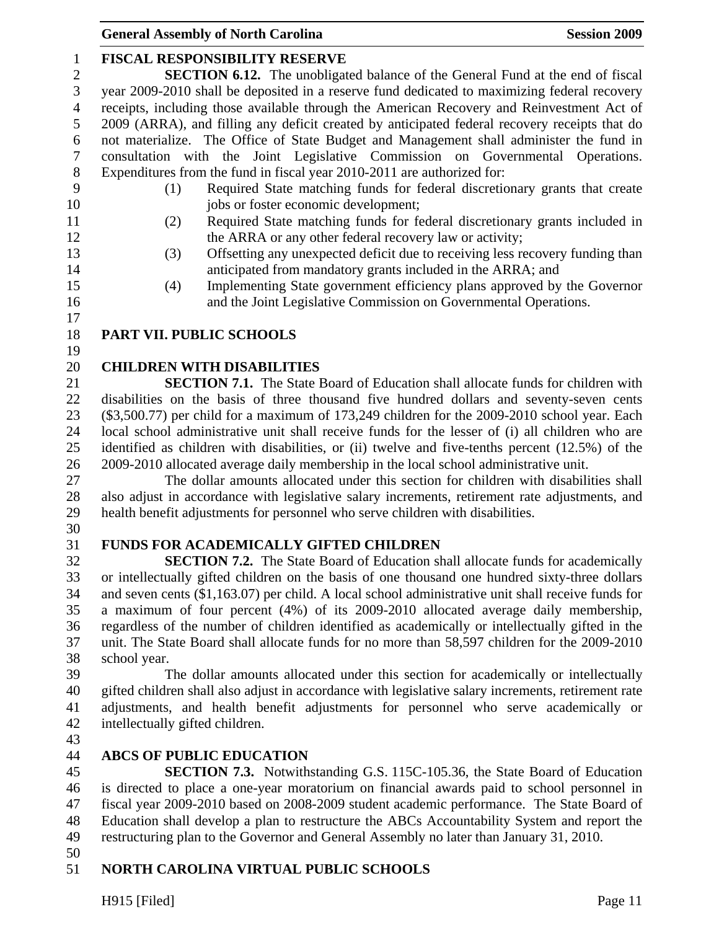# 1 **FISCAL RESPONSIBILITY RESERVE**

2 **SECTION 6.12.** The unobligated balance of the General Fund at the end of fiscal 3 year 2009-2010 shall be deposited in a reserve fund dedicated to maximizing federal recovery 4 receipts, including those available through the American Recovery and Reinvestment Act of 5 2009 (ARRA), and filling any deficit created by anticipated federal recovery receipts that do 6 not materialize. The Office of State Budget and Management shall administer the fund in 7 consultation with the Joint Legislative Commission on Governmental Operations. 8 Expenditures from the fund in fiscal year 2010-2011 are authorized for:

- 
- 9 (1) Required State matching funds for federal discretionary grants that create 10 jobs or foster economic development;
- 11 (2) Required State matching funds for federal discretionary grants included in 12 the ARRA or any other federal recovery law or activity;
- 13 (3) Offsetting any unexpected deficit due to receiving less recovery funding than 14 anticipated from mandatory grants included in the ARRA; and
- 15 (4) Implementing State government efficiency plans approved by the Governor 16 and the Joint Legislative Commission on Governmental Operations.
- 17

# 18 **PART VII. PUBLIC SCHOOLS**

19

# 20 **CHILDREN WITH DISABILITIES**

21 **SECTION 7.1.** The State Board of Education shall allocate funds for children with 22 disabilities on the basis of three thousand five hundred dollars and seventy-seven cents 23 (\$3,500.77) per child for a maximum of 173,249 children for the 2009-2010 school year. Each 24 local school administrative unit shall receive funds for the lesser of (i) all children who are 25 identified as children with disabilities, or (ii) twelve and five-tenths percent (12.5%) of the 26 2009-2010 allocated average daily membership in the local school administrative unit.

27 The dollar amounts allocated under this section for children with disabilities shall 28 also adjust in accordance with legislative salary increments, retirement rate adjustments, and 29 health benefit adjustments for personnel who serve children with disabilities.

30

# 31 **FUNDS FOR ACADEMICALLY GIFTED CHILDREN**

32 **SECTION 7.2.** The State Board of Education shall allocate funds for academically 33 or intellectually gifted children on the basis of one thousand one hundred sixty-three dollars 34 and seven cents (\$1,163.07) per child. A local school administrative unit shall receive funds for 35 a maximum of four percent (4%) of its 2009-2010 allocated average daily membership, 36 regardless of the number of children identified as academically or intellectually gifted in the 37 unit. The State Board shall allocate funds for no more than 58,597 children for the 2009-2010 38 school year.

39 The dollar amounts allocated under this section for academically or intellectually 40 gifted children shall also adjust in accordance with legislative salary increments, retirement rate 41 adjustments, and health benefit adjustments for personnel who serve academically or 42 intellectually gifted children.

43

# 44 **ABCS OF PUBLIC EDUCATION**

45 **SECTION 7.3.** Notwithstanding G.S. 115C-105.36, the State Board of Education 46 is directed to place a one-year moratorium on financial awards paid to school personnel in 47 fiscal year 2009-2010 based on 2008-2009 student academic performance. The State Board of 48 Education shall develop a plan to restructure the ABCs Accountability System and report the 49 restructuring plan to the Governor and General Assembly no later than January 31, 2010.

50

# 51 **NORTH CAROLINA VIRTUAL PUBLIC SCHOOLS**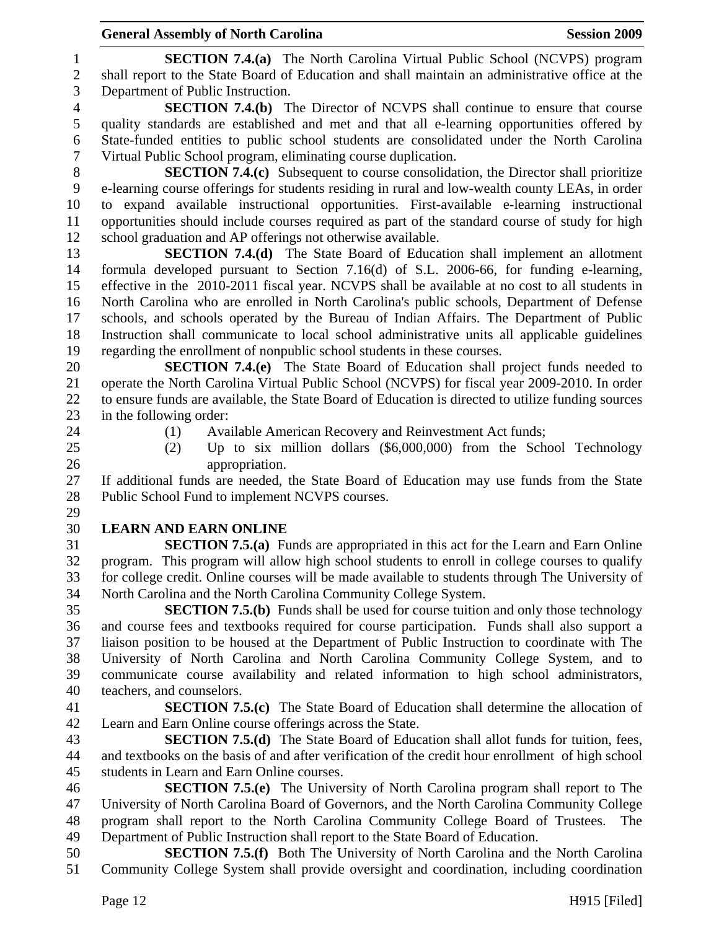1 **SECTION 7.4.(a)** The North Carolina Virtual Public School (NCVPS) program 2 shall report to the State Board of Education and shall maintain an administrative office at the 3 Department of Public Instruction.

4 **SECTION 7.4.(b)** The Director of NCVPS shall continue to ensure that course 5 quality standards are established and met and that all e-learning opportunities offered by 6 State-funded entities to public school students are consolidated under the North Carolina 7 Virtual Public School program, eliminating course duplication.

8 **SECTION 7.4.(c)** Subsequent to course consolidation, the Director shall prioritize 9 e-learning course offerings for students residing in rural and low-wealth county LEAs, in order 10 to expand available instructional opportunities. First-available e-learning instructional 11 opportunities should include courses required as part of the standard course of study for high 12 school graduation and AP offerings not otherwise available.

13 **SECTION 7.4.(d)** The State Board of Education shall implement an allotment 14 formula developed pursuant to Section 7.16(d) of S.L. 2006-66, for funding e-learning, 15 effective in the 2010-2011 fiscal year. NCVPS shall be available at no cost to all students in 16 North Carolina who are enrolled in North Carolina's public schools, Department of Defense 17 schools, and schools operated by the Bureau of Indian Affairs. The Department of Public 18 Instruction shall communicate to local school administrative units all applicable guidelines 19 regarding the enrollment of nonpublic school students in these courses.

20 **SECTION 7.4.(e)** The State Board of Education shall project funds needed to 21 operate the North Carolina Virtual Public School (NCVPS) for fiscal year 2009-2010. In order 22 to ensure funds are available, the State Board of Education is directed to utilize funding sources 23 in the following order:

- 
- 24 (1) Available American Recovery and Reinvestment Act funds;
- 25 (2) Up to six million dollars (\$6,000,000) from the School Technology 26 appropriation.

27 If additional funds are needed, the State Board of Education may use funds from the State 28 Public School Fund to implement NCVPS courses. 29

#### 30 **LEARN AND EARN ONLINE**

31 **SECTION 7.5.(a)** Funds are appropriated in this act for the Learn and Earn Online 32 program. This program will allow high school students to enroll in college courses to qualify 33 for college credit. Online courses will be made available to students through The University of 34 North Carolina and the North Carolina Community College System.

35 **SECTION 7.5.(b)** Funds shall be used for course tuition and only those technology 36 and course fees and textbooks required for course participation. Funds shall also support a 37 liaison position to be housed at the Department of Public Instruction to coordinate with The 38 University of North Carolina and North Carolina Community College System, and to 39 communicate course availability and related information to high school administrators, 40 teachers, and counselors.

41 **SECTION 7.5.(c)** The State Board of Education shall determine the allocation of 42 Learn and Earn Online course offerings across the State.

43 **SECTION 7.5.(d)** The State Board of Education shall allot funds for tuition, fees, 44 and textbooks on the basis of and after verification of the credit hour enrollment of high school 45 students in Learn and Earn Online courses.

46 **SECTION 7.5.(e)** The University of North Carolina program shall report to The 47 University of North Carolina Board of Governors, and the North Carolina Community College 48 program shall report to the North Carolina Community College Board of Trustees. The 49 Department of Public Instruction shall report to the State Board of Education.

50 **SECTION 7.5.(f)** Both The University of North Carolina and the North Carolina 51 Community College System shall provide oversight and coordination, including coordination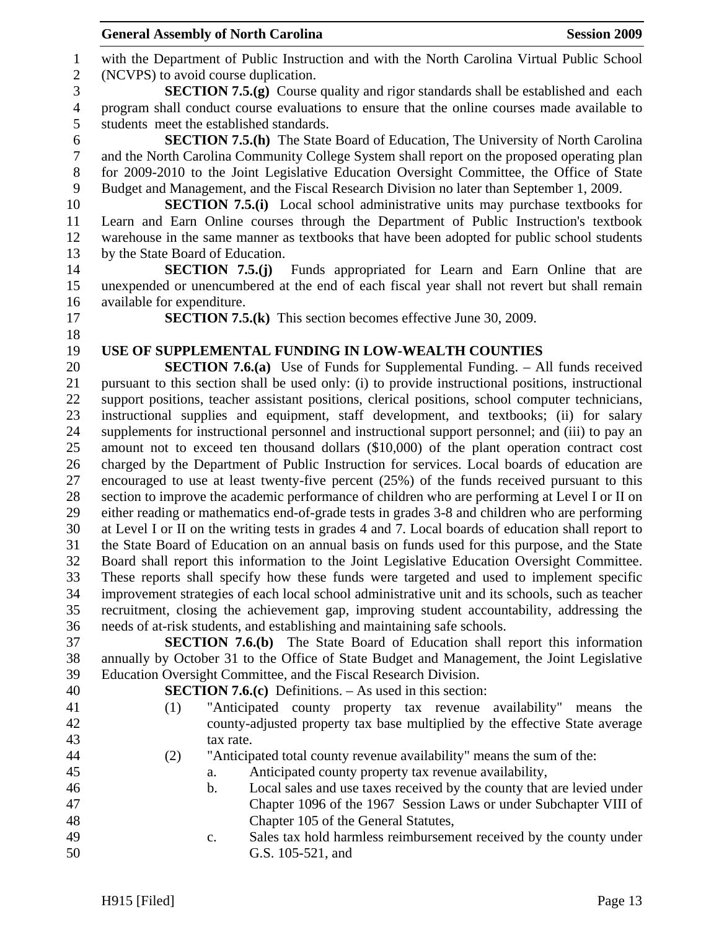|                  | <b>General Assembly of North Carolina</b> |                                                                                                                                                                                              | <b>Session 2009</b> |
|------------------|-------------------------------------------|----------------------------------------------------------------------------------------------------------------------------------------------------------------------------------------------|---------------------|
| $\mathbf{1}$     |                                           | with the Department of Public Instruction and with the North Carolina Virtual Public School                                                                                                  |                     |
| $\mathbf{2}$     | (NCVPS) to avoid course duplication.      |                                                                                                                                                                                              |                     |
| $\mathfrak{Z}$   |                                           | <b>SECTION 7.5.(g)</b> Course quality and rigor standards shall be established and each                                                                                                      |                     |
| $\overline{4}$   |                                           | program shall conduct course evaluations to ensure that the online courses made available to                                                                                                 |                     |
| 5                | students meet the established standards.  |                                                                                                                                                                                              |                     |
| 6                |                                           | <b>SECTION 7.5.(h)</b> The State Board of Education, The University of North Carolina                                                                                                        |                     |
| $\boldsymbol{7}$ |                                           | and the North Carolina Community College System shall report on the proposed operating plan                                                                                                  |                     |
| $8\,$            |                                           | for 2009-2010 to the Joint Legislative Education Oversight Committee, the Office of State                                                                                                    |                     |
| 9                |                                           | Budget and Management, and the Fiscal Research Division no later than September 1, 2009.                                                                                                     |                     |
| 10               |                                           | <b>SECTION 7.5.(i)</b> Local school administrative units may purchase textbooks for                                                                                                          |                     |
| 11               |                                           | Learn and Earn Online courses through the Department of Public Instruction's textbook                                                                                                        |                     |
| 12<br>13         |                                           | warehouse in the same manner as textbooks that have been adopted for public school students                                                                                                  |                     |
| 14               | by the State Board of Education.          | <b>SECTION 7.5.(j)</b> Funds appropriated for Learn and Earn Online that are                                                                                                                 |                     |
| 15               |                                           | unexpended or unencumbered at the end of each fiscal year shall not revert but shall remain                                                                                                  |                     |
| 16               | available for expenditure.                |                                                                                                                                                                                              |                     |
| 17               |                                           | <b>SECTION 7.5.(k)</b> This section becomes effective June 30, 2009.                                                                                                                         |                     |
| 18               |                                           |                                                                                                                                                                                              |                     |
| 19               |                                           | USE OF SUPPLEMENTAL FUNDING IN LOW-WEALTH COUNTIES                                                                                                                                           |                     |
| 20               |                                           | <b>SECTION 7.6.(a)</b> Use of Funds for Supplemental Funding. – All funds received                                                                                                           |                     |
| 21               |                                           | pursuant to this section shall be used only: (i) to provide instructional positions, instructional                                                                                           |                     |
| 22               |                                           | support positions, teacher assistant positions, clerical positions, school computer technicians,                                                                                             |                     |
| 23               |                                           | instructional supplies and equipment, staff development, and textbooks; (ii) for salary                                                                                                      |                     |
| 24               |                                           | supplements for instructional personnel and instructional support personnel; and (iii) to pay an                                                                                             |                     |
| 25               |                                           | amount not to exceed ten thousand dollars (\$10,000) of the plant operation contract cost                                                                                                    |                     |
| 26               |                                           | charged by the Department of Public Instruction for services. Local boards of education are                                                                                                  |                     |
| 27               |                                           | encouraged to use at least twenty-five percent (25%) of the funds received pursuant to this                                                                                                  |                     |
| 28               |                                           | section to improve the academic performance of children who are performing at Level I or II on                                                                                               |                     |
| 29               |                                           | either reading or mathematics end-of-grade tests in grades 3-8 and children who are performing                                                                                               |                     |
| 30<br>31         |                                           | at Level I or II on the writing tests in grades 4 and 7. Local boards of education shall report to                                                                                           |                     |
| 32               |                                           | the State Board of Education on an annual basis on funds used for this purpose, and the State<br>Board shall report this information to the Joint Legislative Education Oversight Committee. |                     |
| 33               |                                           | These reports shall specify how these funds were targeted and used to implement specific                                                                                                     |                     |
| 34               |                                           | improvement strategies of each local school administrative unit and its schools, such as teacher                                                                                             |                     |
| 35               |                                           | recruitment, closing the achievement gap, improving student accountability, addressing the                                                                                                   |                     |
| 36               |                                           | needs of at-risk students, and establishing and maintaining safe schools.                                                                                                                    |                     |
| 37               |                                           | <b>SECTION 7.6.(b)</b> The State Board of Education shall report this information                                                                                                            |                     |
| 38               |                                           | annually by October 31 to the Office of State Budget and Management, the Joint Legislative                                                                                                   |                     |
| 39               |                                           | Education Oversight Committee, and the Fiscal Research Division.                                                                                                                             |                     |
| 40               |                                           | <b>SECTION 7.6.(c)</b> Definitions. $-$ As used in this section:                                                                                                                             |                     |
| 41               | (1)                                       | "Anticipated county property tax revenue availability" means                                                                                                                                 | the                 |
| 42               |                                           | county-adjusted property tax base multiplied by the effective State average                                                                                                                  |                     |
| 43               |                                           | tax rate.                                                                                                                                                                                    |                     |
| 44               | (2)                                       | "Anticipated total county revenue availability" means the sum of the:                                                                                                                        |                     |
| 45               | a.                                        | Anticipated county property tax revenue availability,                                                                                                                                        |                     |
| 46<br>47         | $\mathbf b$ .                             | Local sales and use taxes received by the county that are levied under<br>Chapter 1096 of the 1967 Session Laws or under Subchapter VIII of                                                  |                     |
| 48               |                                           | Chapter 105 of the General Statutes,                                                                                                                                                         |                     |
| 49               | c.                                        | Sales tax hold harmless reimbursement received by the county under                                                                                                                           |                     |
| 50               |                                           | G.S. 105-521, and                                                                                                                                                                            |                     |
|                  |                                           |                                                                                                                                                                                              |                     |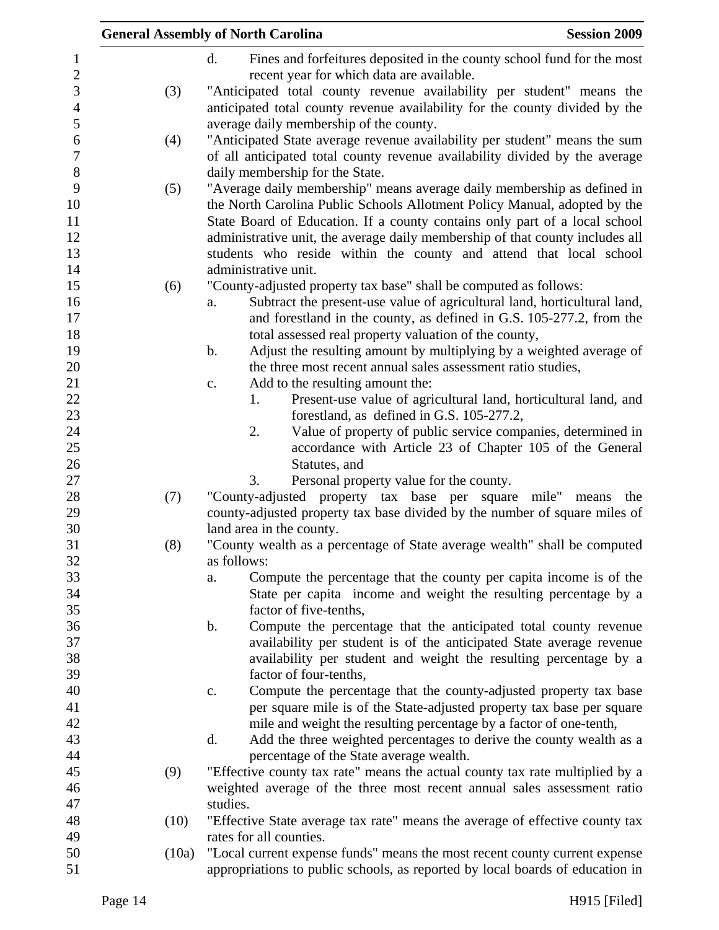|       | <b>General Assembly of North Carolina</b><br><b>Session 2009</b>               |
|-------|--------------------------------------------------------------------------------|
|       | d.<br>Fines and forfeitures deposited in the county school fund for the most   |
|       | recent year for which data are available.                                      |
| (3)   | "Anticipated total county revenue availability per student" means the          |
|       | anticipated total county revenue availability for the county divided by the    |
|       | average daily membership of the county.                                        |
| (4)   | "Anticipated State average revenue availability per student" means the sum     |
|       | of all anticipated total county revenue availability divided by the average    |
|       | daily membership for the State.                                                |
| (5)   | "Average daily membership" means average daily membership as defined in        |
|       | the North Carolina Public Schools Allotment Policy Manual, adopted by the      |
|       | State Board of Education. If a county contains only part of a local school     |
|       | administrative unit, the average daily membership of that county includes all  |
|       | students who reside within the county and attend that local school             |
|       | administrative unit.                                                           |
| (6)   | "County-adjusted property tax base" shall be computed as follows:              |
|       | Subtract the present-use value of agricultural land, horticultural land,<br>a. |
|       | and forestland in the county, as defined in G.S. 105-277.2, from the           |
|       | total assessed real property valuation of the county,                          |
|       | Adjust the resulting amount by multiplying by a weighted average of<br>b.      |
|       | the three most recent annual sales assessment ratio studies,                   |
|       | Add to the resulting amount the:<br>c.                                         |
|       | Present-use value of agricultural land, horticultural land, and<br>1.          |
|       | forestland, as defined in G.S. 105-277.2,                                      |
|       | Value of property of public service companies, determined in<br>2.             |
|       | accordance with Article 23 of Chapter 105 of the General                       |
|       | Statutes, and                                                                  |
|       | 3.<br>Personal property value for the county.                                  |
| (7)   | "County-adjusted property tax base per square<br>mile" means<br>the            |
|       | county-adjusted property tax base divided by the number of square miles of     |
|       | land area in the county.                                                       |
| (8)   | "County wealth as a percentage of State average wealth" shall be computed      |
|       | as follows:                                                                    |
|       | Compute the percentage that the county per capita income is of the<br>a.       |
|       | State per capita income and weight the resulting percentage by a               |
|       | factor of five-tenths,                                                         |
|       | b.<br>Compute the percentage that the anticipated total county revenue         |
|       | availability per student is of the anticipated State average revenue           |
|       | availability per student and weight the resulting percentage by a              |
|       | factor of four-tenths,                                                         |
|       | Compute the percentage that the county-adjusted property tax base<br>c.        |
|       | per square mile is of the State-adjusted property tax base per square          |
|       | mile and weight the resulting percentage by a factor of one-tenth,             |
|       | d.<br>Add the three weighted percentages to derive the county wealth as a      |
|       | percentage of the State average wealth.                                        |
| (9)   | "Effective county tax rate" means the actual county tax rate multiplied by a   |
|       | weighted average of the three most recent annual sales assessment ratio        |
|       | studies.                                                                       |
| (10)  | "Effective State average tax rate" means the average of effective county tax   |
|       | rates for all counties.                                                        |
| (10a) | "Local current expense funds" means the most recent county current expense     |
|       | appropriations to public schools, as reported by local boards of education in  |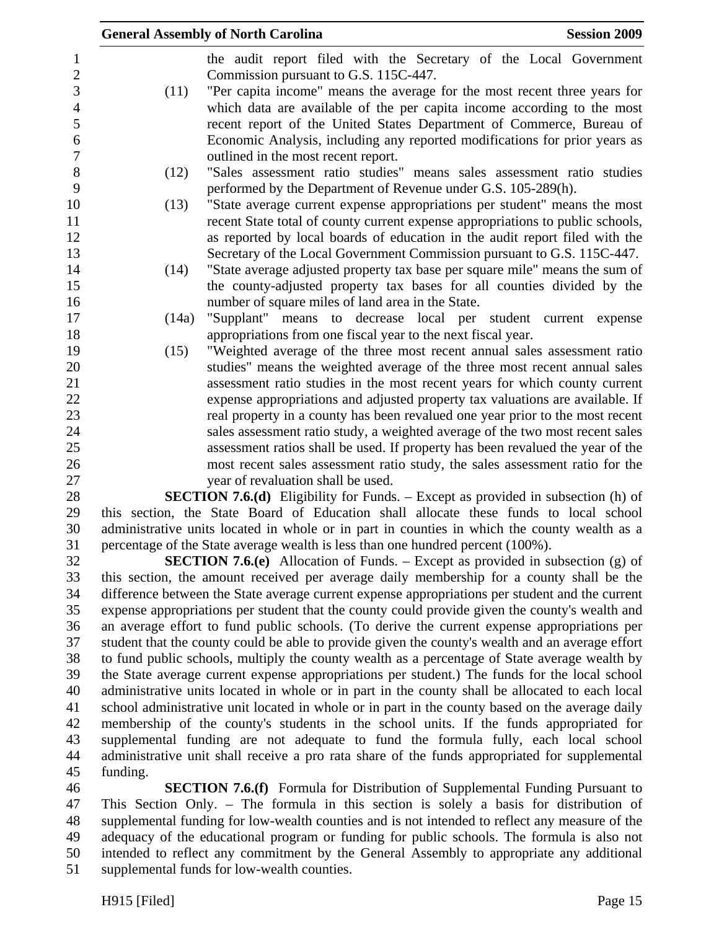|                     |          | <b>General Assembly of North Carolina</b><br><b>Session 2009</b>                                                                                                                            |
|---------------------|----------|---------------------------------------------------------------------------------------------------------------------------------------------------------------------------------------------|
| 1<br>$\overline{2}$ |          | the audit report filed with the Secretary of the Local Government<br>Commission pursuant to G.S. 115C-447.                                                                                  |
| 3                   | (11)     | "Per capita income" means the average for the most recent three years for                                                                                                                   |
| $\overline{4}$      |          | which data are available of the per capita income according to the most                                                                                                                     |
| 5                   |          | recent report of the United States Department of Commerce, Bureau of                                                                                                                        |
| 6                   |          | Economic Analysis, including any reported modifications for prior years as                                                                                                                  |
| $\boldsymbol{7}$    |          | outlined in the most recent report.                                                                                                                                                         |
| $8\,$               | (12)     | "Sales assessment ratio studies" means sales assessment ratio studies                                                                                                                       |
| 9                   |          | performed by the Department of Revenue under G.S. 105-289(h).                                                                                                                               |
| 10                  | (13)     | "State average current expense appropriations per student" means the most                                                                                                                   |
| 11                  |          | recent State total of county current expense appropriations to public schools,                                                                                                              |
| 12                  |          | as reported by local boards of education in the audit report filed with the                                                                                                                 |
| 13                  |          | Secretary of the Local Government Commission pursuant to G.S. 115C-447.                                                                                                                     |
| 14                  | (14)     | "State average adjusted property tax base per square mile" means the sum of                                                                                                                 |
| 15                  |          | the county-adjusted property tax bases for all counties divided by the                                                                                                                      |
| 16<br>17            | (14a)    | number of square miles of land area in the State.<br>"Supplant" means to decrease local per student current expense                                                                         |
| 18                  |          | appropriations from one fiscal year to the next fiscal year.                                                                                                                                |
| 19                  | (15)     | "Weighted average of the three most recent annual sales assessment ratio                                                                                                                    |
| 20                  |          | studies" means the weighted average of the three most recent annual sales                                                                                                                   |
| 21                  |          | assessment ratio studies in the most recent years for which county current                                                                                                                  |
| 22                  |          | expense appropriations and adjusted property tax valuations are available. If                                                                                                               |
| 23                  |          | real property in a county has been revalued one year prior to the most recent                                                                                                               |
| 24                  |          | sales assessment ratio study, a weighted average of the two most recent sales                                                                                                               |
| 25                  |          | assessment ratios shall be used. If property has been revalued the year of the                                                                                                              |
| 26                  |          | most recent sales assessment ratio study, the sales assessment ratio for the                                                                                                                |
| 27                  |          | year of revaluation shall be used.                                                                                                                                                          |
| 28                  |          | <b>SECTION 7.6.(d)</b> Eligibility for Funds. – Except as provided in subsection (h) of                                                                                                     |
| 29                  |          | this section, the State Board of Education shall allocate these funds to local school                                                                                                       |
| 30                  |          | administrative units located in whole or in part in counties in which the county wealth as a                                                                                                |
| 31                  |          | percentage of the State average wealth is less than one hundred percent (100%).                                                                                                             |
| 32<br>33            |          | <b>SECTION 7.6.(e)</b> Allocation of Funds. – Except as provided in subsection (g) of                                                                                                       |
| 34                  |          | this section, the amount received per average daily membership for a county shall be the<br>difference between the State average current expense appropriations per student and the current |
| 35                  |          | expense appropriations per student that the county could provide given the county's wealth and                                                                                              |
| 36                  |          | an average effort to fund public schools. (To derive the current expense appropriations per                                                                                                 |
| 37                  |          | student that the county could be able to provide given the county's wealth and an average effort                                                                                            |
| 38                  |          | to fund public schools, multiply the county wealth as a percentage of State average wealth by                                                                                               |
| 39                  |          | the State average current expense appropriations per student.) The funds for the local school                                                                                               |
| 40                  |          | administrative units located in whole or in part in the county shall be allocated to each local                                                                                             |
| 41                  |          | school administrative unit located in whole or in part in the county based on the average daily                                                                                             |
| 42                  |          | membership of the county's students in the school units. If the funds appropriated for                                                                                                      |
| 43                  |          | supplemental funding are not adequate to fund the formula fully, each local school                                                                                                          |
| 44                  |          | administrative unit shall receive a pro rata share of the funds appropriated for supplemental                                                                                               |
| 45                  | funding. |                                                                                                                                                                                             |
| 46                  |          | <b>SECTION 7.6.(f)</b> Formula for Distribution of Supplemental Funding Pursuant to                                                                                                         |

46 **SECTION 7.6.(f)** Formula for Distribution of Supplemental Funding Pursuant to 47 This Section Only. – The formula in this section is solely a basis for distribution of 48 supplemental funding for low-wealth counties and is not intended to reflect any measure of the 49 adequacy of the educational program or funding for public schools. The formula is also not 50 intended to reflect any commitment by the General Assembly to appropriate any additional 51 supplemental funds for low-wealth counties.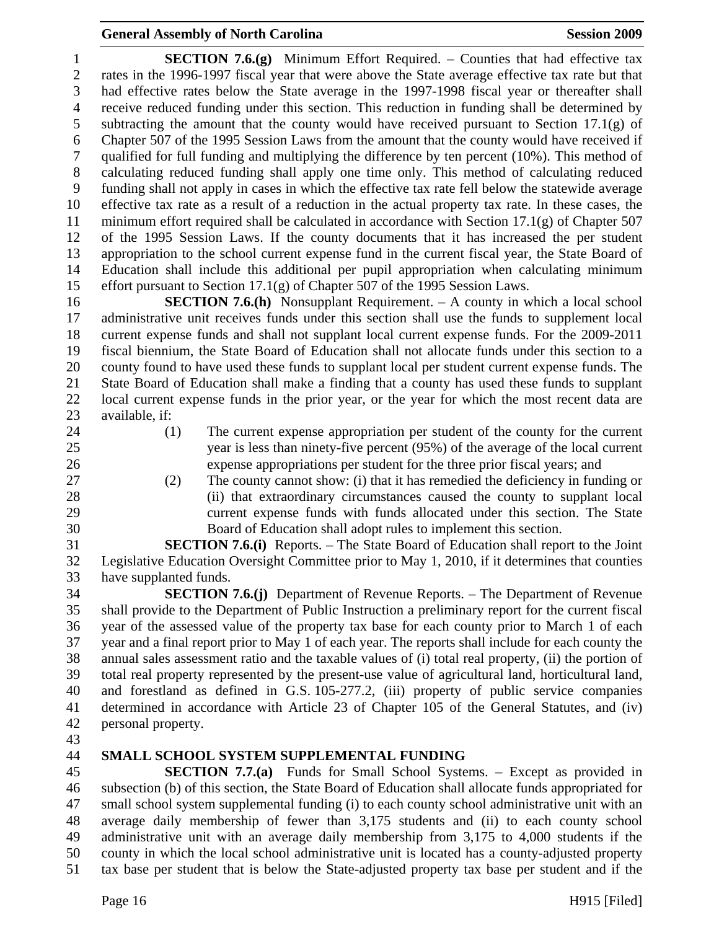1 **SECTION 7.6.(g)** Minimum Effort Required. – Counties that had effective tax 2 rates in the 1996-1997 fiscal year that were above the State average effective tax rate but that 3 had effective rates below the State average in the 1997-1998 fiscal year or thereafter shall 4 receive reduced funding under this section. This reduction in funding shall be determined by 5 subtracting the amount that the county would have received pursuant to Section 17.1(g) of 6 Chapter 507 of the 1995 Session Laws from the amount that the county would have received if 7 qualified for full funding and multiplying the difference by ten percent (10%). This method of 8 calculating reduced funding shall apply one time only. This method of calculating reduced 9 funding shall not apply in cases in which the effective tax rate fell below the statewide average 10 effective tax rate as a result of a reduction in the actual property tax rate. In these cases, the 11 minimum effort required shall be calculated in accordance with Section  $17.1(g)$  of Chapter 507 12 of the 1995 Session Laws. If the county documents that it has increased the per student 13 appropriation to the school current expense fund in the current fiscal year, the State Board of 14 Education shall include this additional per pupil appropriation when calculating minimum 15 effort pursuant to Section 17.1(g) of Chapter 507 of the 1995 Session Laws.

16 **SECTION 7.6.(h)** Nonsupplant Requirement. – A county in which a local school 17 administrative unit receives funds under this section shall use the funds to supplement local 18 current expense funds and shall not supplant local current expense funds. For the 2009-2011 19 fiscal biennium, the State Board of Education shall not allocate funds under this section to a 20 county found to have used these funds to supplant local per student current expense funds. The 21 State Board of Education shall make a finding that a county has used these funds to supplant 22 local current expense funds in the prior year, or the year for which the most recent data are 23 available, if:

- -
- 24 (1) The current expense appropriation per student of the county for the current 25 year is less than ninety-five percent (95%) of the average of the local current 26 expense appropriations per student for the three prior fiscal years; and
- -
- 27 (2) The county cannot show: (i) that it has remedied the deficiency in funding or 28 (ii) that extraordinary circumstances caused the county to supplant local 29 current expense funds with funds allocated under this section. The State 30 Board of Education shall adopt rules to implement this section.

31 **SECTION 7.6.(i)** Reports. – The State Board of Education shall report to the Joint 32 Legislative Education Oversight Committee prior to May 1, 2010, if it determines that counties 33 have supplanted funds.

34 **SECTION 7.6.(j)** Department of Revenue Reports. – The Department of Revenue 35 shall provide to the Department of Public Instruction a preliminary report for the current fiscal 36 year of the assessed value of the property tax base for each county prior to March 1 of each 37 year and a final report prior to May 1 of each year. The reports shall include for each county the 38 annual sales assessment ratio and the taxable values of (i) total real property, (ii) the portion of 39 total real property represented by the present-use value of agricultural land, horticultural land, 40 and forestland as defined in G.S. 105-277.2, (iii) property of public service companies 41 determined in accordance with Article 23 of Chapter 105 of the General Statutes, and (iv) 42 personal property.

43

# 44 **SMALL SCHOOL SYSTEM SUPPLEMENTAL FUNDING**

45 **SECTION 7.7.(a)** Funds for Small School Systems. – Except as provided in 46 subsection (b) of this section, the State Board of Education shall allocate funds appropriated for 47 small school system supplemental funding (i) to each county school administrative unit with an 48 average daily membership of fewer than 3,175 students and (ii) to each county school 49 administrative unit with an average daily membership from 3,175 to 4,000 students if the 50 county in which the local school administrative unit is located has a county-adjusted property 51 tax base per student that is below the State-adjusted property tax base per student and if the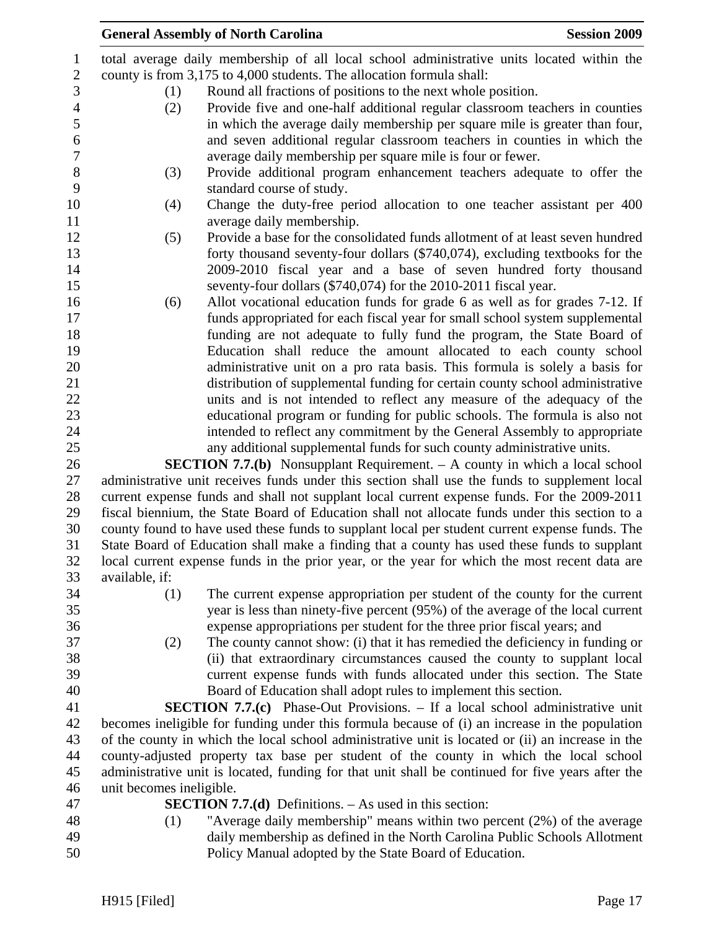|                | <b>General Assembly of North Carolina</b>                                                                                                                                                  | <b>Session 2009</b> |
|----------------|--------------------------------------------------------------------------------------------------------------------------------------------------------------------------------------------|---------------------|
| 1              | total average daily membership of all local school administrative units located within the                                                                                                 |                     |
| $\sqrt{2}$     | county is from 3,175 to 4,000 students. The allocation formula shall:                                                                                                                      |                     |
| 3              | Round all fractions of positions to the next whole position.<br>(1)                                                                                                                        |                     |
| $\overline{4}$ | Provide five and one-half additional regular classroom teachers in counties<br>(2)                                                                                                         |                     |
| 5              | in which the average daily membership per square mile is greater than four,                                                                                                                |                     |
| 6              | and seven additional regular classroom teachers in counties in which the                                                                                                                   |                     |
| $\tau$         | average daily membership per square mile is four or fewer.                                                                                                                                 |                     |
| $8\,$          | Provide additional program enhancement teachers adequate to offer the<br>(3)                                                                                                               |                     |
| 9              | standard course of study.                                                                                                                                                                  |                     |
| 10             | Change the duty-free period allocation to one teacher assistant per 400<br>(4)                                                                                                             |                     |
| 11             | average daily membership.                                                                                                                                                                  |                     |
| 12             | Provide a base for the consolidated funds allotment of at least seven hundred<br>(5)                                                                                                       |                     |
| 13             | forty thousand seventy-four dollars (\$740,074), excluding textbooks for the                                                                                                               |                     |
| 14             | 2009-2010 fiscal year and a base of seven hundred forty thousand                                                                                                                           |                     |
| 15             | seventy-four dollars (\$740,074) for the 2010-2011 fiscal year.                                                                                                                            |                     |
| 16             | Allot vocational education funds for grade 6 as well as for grades 7-12. If<br>(6)                                                                                                         |                     |
| 17             | funds appropriated for each fiscal year for small school system supplemental                                                                                                               |                     |
| 18             | funding are not adequate to fully fund the program, the State Board of                                                                                                                     |                     |
| 19             | Education shall reduce the amount allocated to each county school                                                                                                                          |                     |
| 20             | administrative unit on a pro rata basis. This formula is solely a basis for                                                                                                                |                     |
| 21<br>22       | distribution of supplemental funding for certain county school administrative<br>units and is not intended to reflect any measure of the adequacy of the                                   |                     |
| 23             | educational program or funding for public schools. The formula is also not                                                                                                                 |                     |
| 24             | intended to reflect any commitment by the General Assembly to appropriate                                                                                                                  |                     |
| 25             | any additional supplemental funds for such county administrative units.                                                                                                                    |                     |
| 26             | <b>SECTION 7.7.(b)</b> Nonsupplant Requirement. - A county in which a local school                                                                                                         |                     |
| 27             | administrative unit receives funds under this section shall use the funds to supplement local                                                                                              |                     |
| 28             | current expense funds and shall not supplant local current expense funds. For the 2009-2011                                                                                                |                     |
| 29             | fiscal biennium, the State Board of Education shall not allocate funds under this section to a                                                                                             |                     |
| 30             | county found to have used these funds to supplant local per student current expense funds. The                                                                                             |                     |
| 31             | State Board of Education shall make a finding that a county has used these funds to supplant                                                                                               |                     |
| 32             | local current expense funds in the prior year, or the year for which the most recent data are                                                                                              |                     |
| 33             | available, if:                                                                                                                                                                             |                     |
| 34             | The current expense appropriation per student of the county for the current<br>(1)                                                                                                         |                     |
| 35             | year is less than ninety-five percent (95%) of the average of the local current                                                                                                            |                     |
| 36             | expense appropriations per student for the three prior fiscal years; and                                                                                                                   |                     |
| 37             | The county cannot show: (i) that it has remedied the deficiency in funding or<br>(2)                                                                                                       |                     |
| 38             | (ii) that extraordinary circumstances caused the county to supplant local                                                                                                                  |                     |
| 39             | current expense funds with funds allocated under this section. The State                                                                                                                   |                     |
| 40             | Board of Education shall adopt rules to implement this section.                                                                                                                            |                     |
| 41             | <b>SECTION 7.7.(c)</b> Phase-Out Provisions. – If a local school administrative unit                                                                                                       |                     |
| 42             | becomes ineligible for funding under this formula because of (i) an increase in the population                                                                                             |                     |
| 43             | of the county in which the local school administrative unit is located or (ii) an increase in the                                                                                          |                     |
| 44<br>45       | county-adjusted property tax base per student of the county in which the local school<br>administrative unit is located, funding for that unit shall be continued for five years after the |                     |
| 46             | unit becomes ineligible.                                                                                                                                                                   |                     |
| 47             | <b>SECTION 7.7.(d)</b> Definitions. $-$ As used in this section:                                                                                                                           |                     |
| 48             | "Average daily membership" means within two percent (2%) of the average<br>(1)                                                                                                             |                     |
| 49             | daily membership as defined in the North Carolina Public Schools Allotment                                                                                                                 |                     |
| 50             | Policy Manual adopted by the State Board of Education.                                                                                                                                     |                     |
|                |                                                                                                                                                                                            |                     |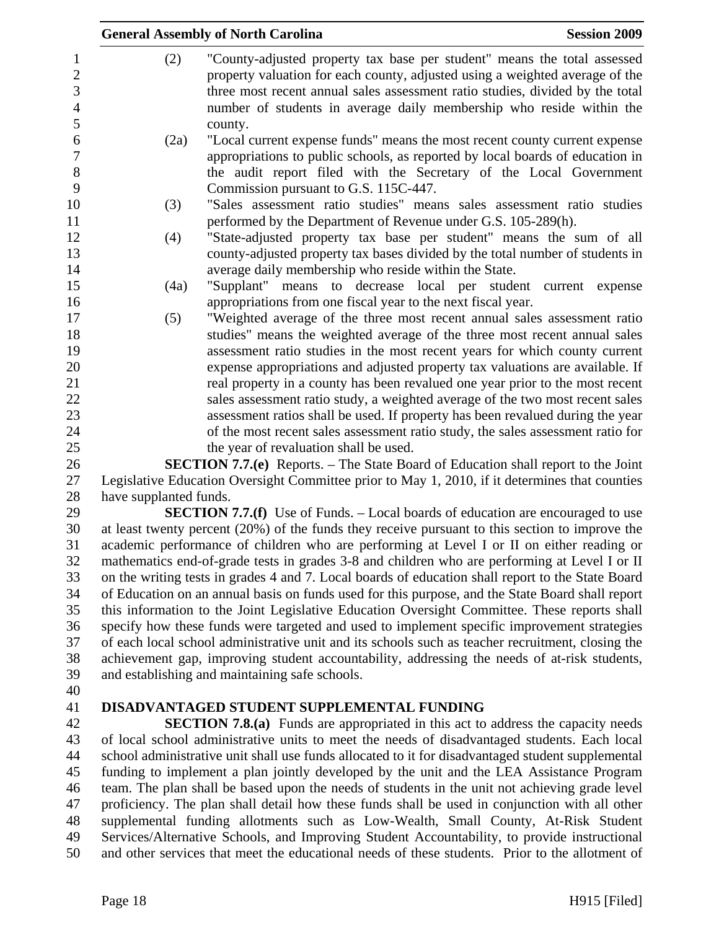|                        | <b>Session 2009</b><br><b>General Assembly of North Carolina</b>                                                                                                                                                                                                                                                             |
|------------------------|------------------------------------------------------------------------------------------------------------------------------------------------------------------------------------------------------------------------------------------------------------------------------------------------------------------------------|
| (2)                    | "County-adjusted property tax base per student" means the total assessed<br>property valuation for each county, adjusted using a weighted average of the<br>three most recent annual sales assessment ratio studies, divided by the total<br>number of students in average daily membership who reside within the<br>county. |
| (2a)                   | "Local current expense funds" means the most recent county current expense<br>appropriations to public schools, as reported by local boards of education in<br>the audit report filed with the Secretary of the Local Government<br>Commission pursuant to G.S. 115C-447.                                                    |
| (3)                    | "Sales assessment ratio studies" means sales assessment ratio studies<br>performed by the Department of Revenue under G.S. 105-289(h).                                                                                                                                                                                       |
| (4)                    | "State-adjusted property tax base per student" means the sum of all<br>county-adjusted property tax bases divided by the total number of students in<br>average daily membership who reside within the State.                                                                                                                |
| (4a)                   | "Supplant" means to decrease local per student current expense<br>appropriations from one fiscal year to the next fiscal year.                                                                                                                                                                                               |
| (5)                    | "Weighted average of the three most recent annual sales assessment ratio<br>studies" means the weighted average of the three most recent annual sales                                                                                                                                                                        |
|                        | assessment ratio studies in the most recent years for which county current<br>expense appropriations and adjusted property tax valuations are available. If<br>real property in a county has been revalued one year prior to the most recent                                                                                 |
|                        | sales assessment ratio study, a weighted average of the two most recent sales<br>assessment ratios shall be used. If property has been revalued during the year                                                                                                                                                              |
|                        | of the most recent sales assessment ratio study, the sales assessment ratio for<br>the year of revaluation shall be used.                                                                                                                                                                                                    |
|                        | <b>SECTION 7.7.(e)</b> Reports. – The State Board of Education shall report to the Joint                                                                                                                                                                                                                                     |
|                        | Legislative Education Oversight Committee prior to May 1, 2010, if it determines that counties                                                                                                                                                                                                                               |
| have supplanted funds. |                                                                                                                                                                                                                                                                                                                              |
|                        | <b>SECTION 7.7.(f)</b> Use of Funds. – Local boards of education are encouraged to use                                                                                                                                                                                                                                       |
|                        | at least twenty percent (20%) of the funds they receive pursuant to this section to improve the                                                                                                                                                                                                                              |
|                        | academic performance of children who are performing at Level I or II on either reading or<br>mathematics end-of-grade tests in grades 3-8 and children who are performing at Level I or II                                                                                                                                   |
|                        | on the writing tests in grades 4 and 7. Local boards of education shall report to the State Board                                                                                                                                                                                                                            |
|                        | of Education on an annual basis on funds used for this purpose, and the State Board shall report                                                                                                                                                                                                                             |
|                        | this information to the Joint Legislative Education Oversight Committee. These reports shall                                                                                                                                                                                                                                 |
|                        | specify how these funds were targeted and used to implement specific improvement strategies                                                                                                                                                                                                                                  |
|                        | of each local school administrative unit and its schools such as teacher recruitment, closing the                                                                                                                                                                                                                            |

39 and establishing and maintaining safe schools. 40

### 41 **DISADVANTAGED STUDENT SUPPLEMENTAL FUNDING**

42 **SECTION 7.8.(a)** Funds are appropriated in this act to address the capacity needs 43 of local school administrative units to meet the needs of disadvantaged students. Each local 44 school administrative unit shall use funds allocated to it for disadvantaged student supplemental 45 funding to implement a plan jointly developed by the unit and the LEA Assistance Program 46 team. The plan shall be based upon the needs of students in the unit not achieving grade level 47 proficiency. The plan shall detail how these funds shall be used in conjunction with all other 48 supplemental funding allotments such as Low-Wealth, Small County, At-Risk Student 49 Services/Alternative Schools, and Improving Student Accountability, to provide instructional 50 and other services that meet the educational needs of these students. Prior to the allotment of

38 achievement gap, improving student accountability, addressing the needs of at-risk students,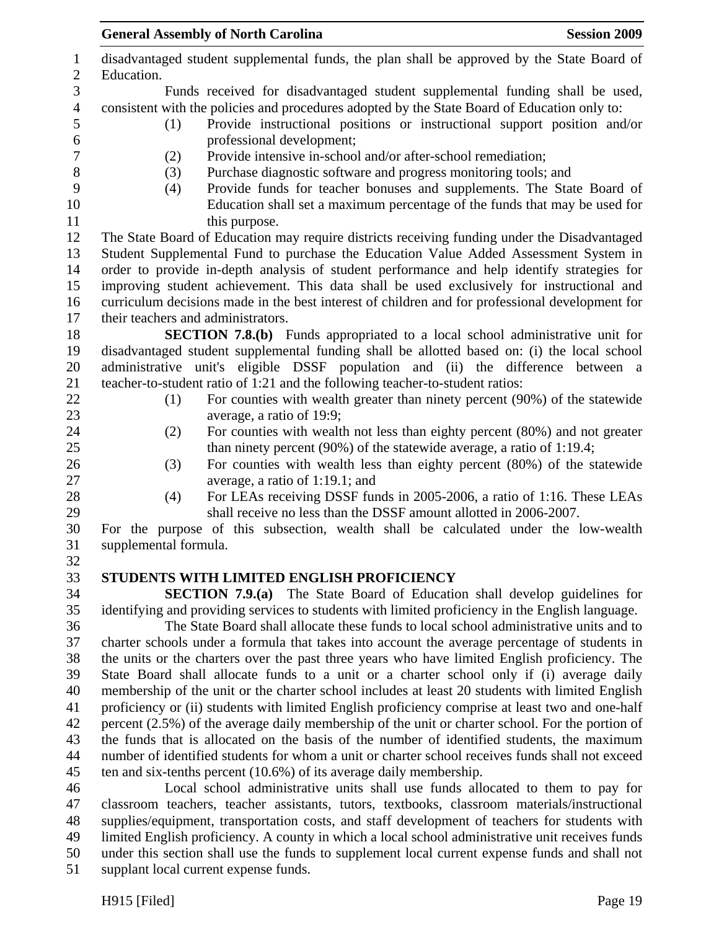| $\mathbf{1}$<br>$\mathbf{2}$ | disadvantaged student supplemental funds, the plan shall be approved by the State Board of<br>Education.                                                                           |
|------------------------------|------------------------------------------------------------------------------------------------------------------------------------------------------------------------------------|
| 3                            | Funds received for disadvantaged student supplemental funding shall be used,                                                                                                       |
| $\overline{4}$               | consistent with the policies and procedures adopted by the State Board of Education only to:                                                                                       |
| 5                            | Provide instructional positions or instructional support position and/or<br>(1)                                                                                                    |
| 6                            | professional development;                                                                                                                                                          |
| $\boldsymbol{7}$             | Provide intensive in-school and/or after-school remediation;<br>(2)                                                                                                                |
| 8                            | Purchase diagnostic software and progress monitoring tools; and<br>(3)                                                                                                             |
| 9                            | Provide funds for teacher bonuses and supplements. The State Board of<br>(4)                                                                                                       |
| 10                           | Education shall set a maximum percentage of the funds that may be used for                                                                                                         |
| 11                           | this purpose.                                                                                                                                                                      |
| 12                           | The State Board of Education may require districts receiving funding under the Disadvantaged                                                                                       |
| 13                           | Student Supplemental Fund to purchase the Education Value Added Assessment System in                                                                                               |
| 14                           | order to provide in-depth analysis of student performance and help identify strategies for                                                                                         |
| 15                           | improving student achievement. This data shall be used exclusively for instructional and                                                                                           |
| 16                           | curriculum decisions made in the best interest of children and for professional development for                                                                                    |
| 17                           | their teachers and administrators.                                                                                                                                                 |
| 18<br>19                     | <b>SECTION 7.8.(b)</b> Funds appropriated to a local school administrative unit for<br>disadvantaged student supplemental funding shall be allotted based on: (i) the local school |
| 20                           | administrative unit's eligible DSSF population and (ii) the difference between a                                                                                                   |
| 21                           | teacher-to-student ratio of 1:21 and the following teacher-to-student ratios:                                                                                                      |
| 22                           | For counties with wealth greater than ninety percent (90%) of the statewide<br>(1)                                                                                                 |
| 23                           | average, a ratio of 19:9;                                                                                                                                                          |
| 24                           | For counties with wealth not less than eighty percent (80%) and not greater<br>(2)                                                                                                 |
| 25                           | than ninety percent $(90\%)$ of the statewide average, a ratio of 1:19.4;                                                                                                          |
| 26                           | For counties with wealth less than eighty percent (80%) of the statewide<br>(3)                                                                                                    |
| 27                           | average, a ratio of 1:19.1; and                                                                                                                                                    |
| 28                           | For LEAs receiving DSSF funds in 2005-2006, a ratio of 1:16. These LEAs<br>(4)                                                                                                     |
| 29                           | shall receive no less than the DSSF amount allotted in 2006-2007.                                                                                                                  |
| 30                           | For the purpose of this subsection, wealth shall be calculated under the low-wealth                                                                                                |
| 31                           | supplemental formula.                                                                                                                                                              |
| 32                           |                                                                                                                                                                                    |
| 33                           | STUDENTS WITH LIMITED ENGLISH PROFICIENCY                                                                                                                                          |
| 34                           | <b>SECTION 7.9.(a)</b> The State Board of Education shall develop guidelines for                                                                                                   |
| 35                           | identifying and providing services to students with limited proficiency in the English language.                                                                                   |
| 36                           | The State Board shall allocate these funds to local school administrative units and to                                                                                             |
| 37                           | charter schools under a formula that takes into account the average percentage of students in                                                                                      |
| 38                           | the units or the charters over the past three years who have limited English proficiency. The                                                                                      |
| 39                           | State Board shall allocate funds to a unit or a charter school only if (i) average daily                                                                                           |
| 40                           | membership of the unit or the charter school includes at least 20 students with limited English                                                                                    |
| 41                           | proficiency or (ii) students with limited English proficiency comprise at least two and one-half                                                                                   |
| 42                           | percent (2.5%) of the average daily membership of the unit or charter school. For the portion of                                                                                   |
| 43                           | the funds that is allocated on the basis of the number of identified students, the maximum                                                                                         |
| 44                           | number of identified students for whom a unit or charter school receives funds shall not exceed                                                                                    |
| 45                           | ten and six-tenths percent $(10.6%)$ of its average daily membership.                                                                                                              |
| 46<br>47                     | Local school administrative units shall use funds allocated to them to pay for<br>classroom teachers, teacher assistants, tutors, textbooks, classroom materials/instructional     |
| 48                           | supplies/equipment, transportation costs, and staff development of teachers for students with                                                                                      |
| 49                           | limited English proficiency. A county in which a local school administrative unit receives funds                                                                                   |
|                              |                                                                                                                                                                                    |

50 under this section shall use the funds to supplement local current expense funds and shall not

51 supplant local current expense funds.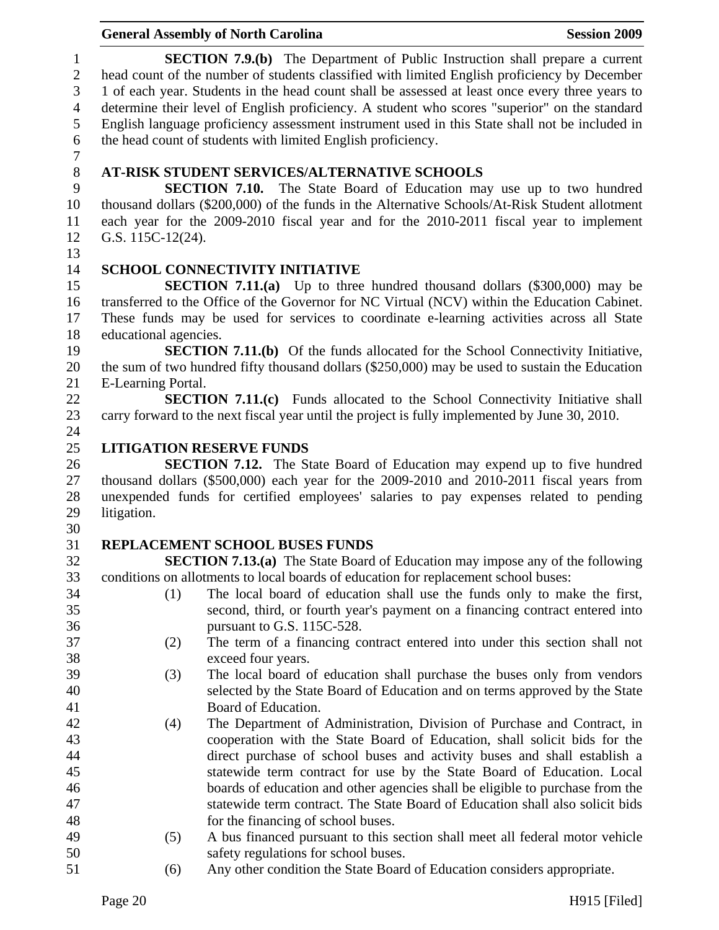|                |                       | <b>General Assembly of North Carolina</b>                                                                                                                      | <b>Session 2009</b> |
|----------------|-----------------------|----------------------------------------------------------------------------------------------------------------------------------------------------------------|---------------------|
| $\mathbf{1}$   |                       | <b>SECTION 7.9.(b)</b> The Department of Public Instruction shall prepare a current                                                                            |                     |
| $\mathbf{2}$   |                       | head count of the number of students classified with limited English proficiency by December                                                                   |                     |
| 3              |                       | 1 of each year. Students in the head count shall be assessed at least once every three years to                                                                |                     |
| $\overline{4}$ |                       | determine their level of English proficiency. A student who scores "superior" on the standard                                                                  |                     |
| 5              |                       | English language proficiency assessment instrument used in this State shall not be included in                                                                 |                     |
| 6              |                       | the head count of students with limited English proficiency.                                                                                                   |                     |
| $\tau$         |                       |                                                                                                                                                                |                     |
| $8\,$          |                       | AT-RISK STUDENT SERVICES/ALTERNATIVE SCHOOLS                                                                                                                   |                     |
| 9              |                       | <b>SECTION 7.10.</b> The State Board of Education may use up to two hundred                                                                                    |                     |
| 10             |                       | thousand dollars (\$200,000) of the funds in the Alternative Schools/At-Risk Student allotment                                                                 |                     |
| 11             |                       | each year for the 2009-2010 fiscal year and for the 2010-2011 fiscal year to implement                                                                         |                     |
| 12             | G.S. 115C-12(24).     |                                                                                                                                                                |                     |
| 13             |                       |                                                                                                                                                                |                     |
| 14             |                       | <b>SCHOOL CONNECTIVITY INITIATIVE</b>                                                                                                                          |                     |
| 15             |                       | <b>SECTION 7.11.(a)</b> Up to three hundred thousand dollars (\$300,000) may be                                                                                |                     |
| 16             |                       | transferred to the Office of the Governor for NC Virtual (NCV) within the Education Cabinet.                                                                   |                     |
| 17             |                       | These funds may be used for services to coordinate e-learning activities across all State                                                                      |                     |
| 18             | educational agencies. |                                                                                                                                                                |                     |
| 19             |                       | <b>SECTION 7.11.(b)</b> Of the funds allocated for the School Connectivity Initiative,                                                                         |                     |
| 20             |                       | the sum of two hundred fifty thousand dollars (\$250,000) may be used to sustain the Education                                                                 |                     |
| 21             | E-Learning Portal.    |                                                                                                                                                                |                     |
| 22             |                       | <b>SECTION 7.11.(c)</b> Funds allocated to the School Connectivity Initiative shall                                                                            |                     |
| 23             |                       | carry forward to the next fiscal year until the project is fully implemented by June 30, 2010.                                                                 |                     |
| 24<br>25       |                       | <b>LITIGATION RESERVE FUNDS</b>                                                                                                                                |                     |
| 26             |                       | <b>SECTION 7.12.</b> The State Board of Education may expend up to five hundred                                                                                |                     |
| 27             |                       | thousand dollars $(\$500,000)$ each year for the 2009-2010 and 2010-2011 fiscal years from                                                                     |                     |
| 28             |                       | unexpended funds for certified employees' salaries to pay expenses related to pending                                                                          |                     |
| 29             | litigation.           |                                                                                                                                                                |                     |
| 30             |                       |                                                                                                                                                                |                     |
| 31             |                       | REPLACEMENT SCHOOL BUSES FUNDS                                                                                                                                 |                     |
| 32             |                       | <b>SECTION 7.13.(a)</b> The State Board of Education may impose any of the following                                                                           |                     |
| 33             |                       | conditions on allotments to local boards of education for replacement school buses:                                                                            |                     |
| 34             | (1)                   | The local board of education shall use the funds only to make the first,                                                                                       |                     |
| 35             |                       | second, third, or fourth year's payment on a financing contract entered into                                                                                   |                     |
| 36             |                       | pursuant to G.S. 115C-528.                                                                                                                                     |                     |
| 37             | (2)                   | The term of a financing contract entered into under this section shall not                                                                                     |                     |
| 38             |                       | exceed four years.                                                                                                                                             |                     |
| 39             | (3)                   | The local board of education shall purchase the buses only from vendors                                                                                        |                     |
| 40             |                       | selected by the State Board of Education and on terms approved by the State                                                                                    |                     |
| 41             |                       | Board of Education.                                                                                                                                            |                     |
| 42             | (4)                   | The Department of Administration, Division of Purchase and Contract, in                                                                                        |                     |
| 43             |                       | cooperation with the State Board of Education, shall solicit bids for the                                                                                      |                     |
| 44             |                       | direct purchase of school buses and activity buses and shall establish a                                                                                       |                     |
| 45             |                       | statewide term contract for use by the State Board of Education. Local                                                                                         |                     |
| 46<br>47       |                       | boards of education and other agencies shall be eligible to purchase from the<br>statewide term contract. The State Board of Education shall also solicit bids |                     |
| 48             |                       | for the financing of school buses.                                                                                                                             |                     |
| 49             | (5)                   | A bus financed pursuant to this section shall meet all federal motor vehicle                                                                                   |                     |
| 50             |                       | safety regulations for school buses.                                                                                                                           |                     |
| $\sim$ 1       |                       |                                                                                                                                                                |                     |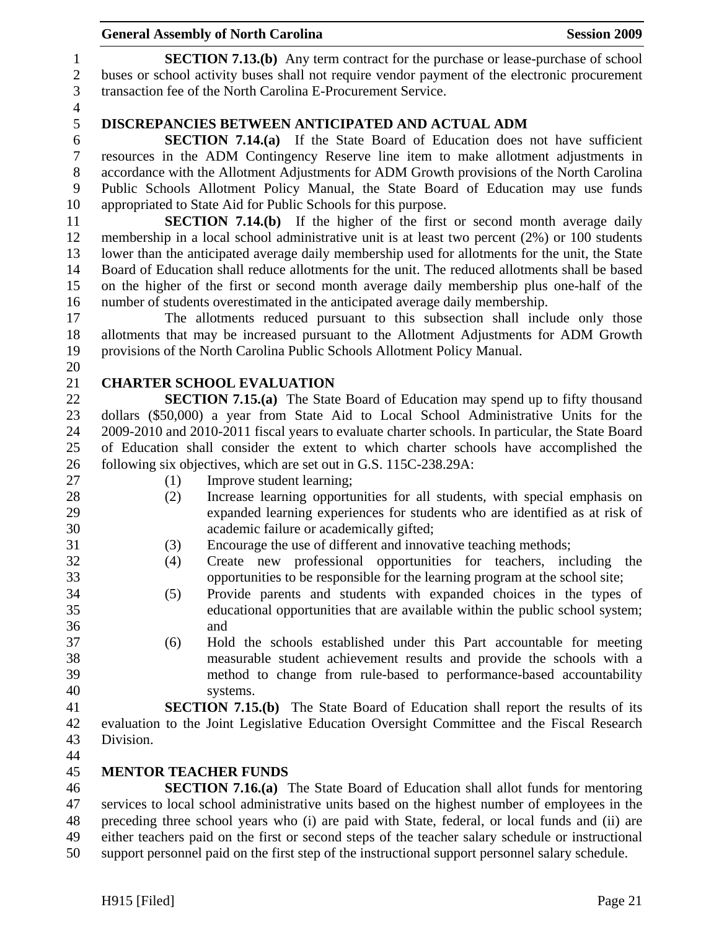1 **SECTION 7.13.(b)** Any term contract for the purchase or lease-purchase of school 2 buses or school activity buses shall not require vendor payment of the electronic procurement 3 transaction fee of the North Carolina E-Procurement Service.

4

## 5 **DISCREPANCIES BETWEEN ANTICIPATED AND ACTUAL ADM**

6 **SECTION 7.14.(a)** If the State Board of Education does not have sufficient 7 resources in the ADM Contingency Reserve line item to make allotment adjustments in 8 accordance with the Allotment Adjustments for ADM Growth provisions of the North Carolina 9 Public Schools Allotment Policy Manual, the State Board of Education may use funds 10 appropriated to State Aid for Public Schools for this purpose.

11 **SECTION 7.14.(b)** If the higher of the first or second month average daily 12 membership in a local school administrative unit is at least two percent (2%) or 100 students 13 lower than the anticipated average daily membership used for allotments for the unit, the State 14 Board of Education shall reduce allotments for the unit. The reduced allotments shall be based 15 on the higher of the first or second month average daily membership plus one-half of the 16 number of students overestimated in the anticipated average daily membership.

17 The allotments reduced pursuant to this subsection shall include only those 18 allotments that may be increased pursuant to the Allotment Adjustments for ADM Growth 19 provisions of the North Carolina Public Schools Allotment Policy Manual.

## 21 **CHARTER SCHOOL EVALUATION**

22 **SECTION 7.15.(a)** The State Board of Education may spend up to fifty thousand 23 dollars (\$50,000) a year from State Aid to Local School Administrative Units for the 24 2009-2010 and 2010-2011 fiscal years to evaluate charter schools. In particular, the State Board 25 of Education shall consider the extent to which charter schools have accomplished the 26 following six objectives, which are set out in G.S. 115C-238.29A:

20

- 27 (1) Improve student learning;
- 28 (2) Increase learning opportunities for all students, with special emphasis on 29 expanded learning experiences for students who are identified as at risk of 30 academic failure or academically gifted;
- 31 (3) Encourage the use of different and innovative teaching methods;
- 32 (4) Create new professional opportunities for teachers, including the 33 opportunities to be responsible for the learning program at the school site;
- 34 (5) Provide parents and students with expanded choices in the types of 35 educational opportunities that are available within the public school system; 36 and
- 37 (6) Hold the schools established under this Part accountable for meeting 38 measurable student achievement results and provide the schools with a 39 method to change from rule-based to performance-based accountability 40 systems.

41 **SECTION 7.15.(b)** The State Board of Education shall report the results of its 42 evaluation to the Joint Legislative Education Oversight Committee and the Fiscal Research 43 Division.

44

### 45 **MENTOR TEACHER FUNDS**

46 **SECTION 7.16.(a)** The State Board of Education shall allot funds for mentoring 47 services to local school administrative units based on the highest number of employees in the 48 preceding three school years who (i) are paid with State, federal, or local funds and (ii) are 49 either teachers paid on the first or second steps of the teacher salary schedule or instructional 50 support personnel paid on the first step of the instructional support personnel salary schedule.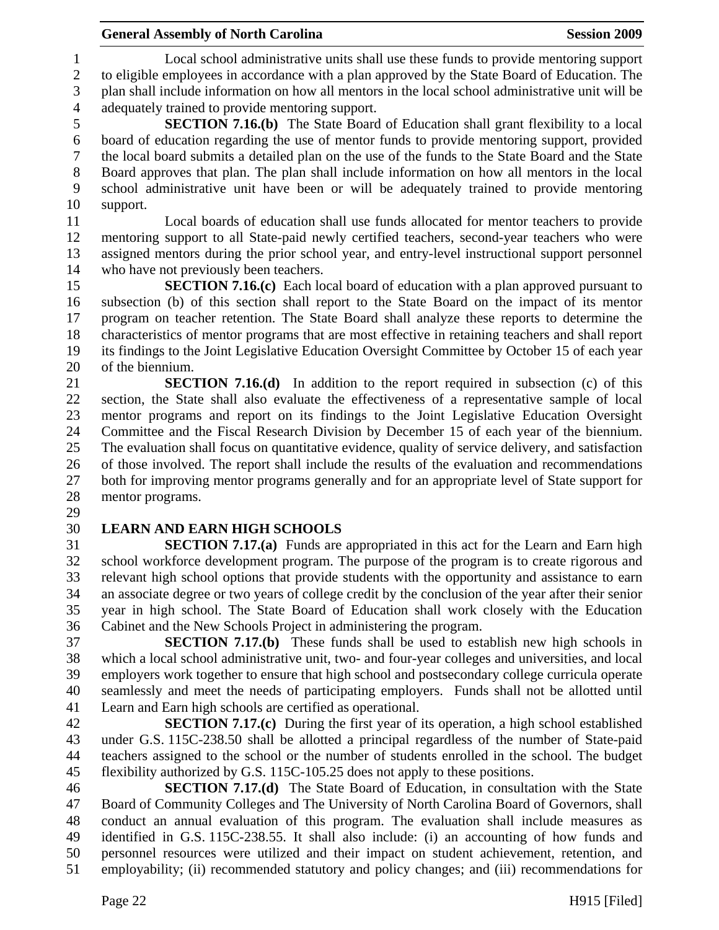1 Local school administrative units shall use these funds to provide mentoring support 2 to eligible employees in accordance with a plan approved by the State Board of Education. The 3 plan shall include information on how all mentors in the local school administrative unit will be 4 adequately trained to provide mentoring support.

5 **SECTION 7.16.(b)** The State Board of Education shall grant flexibility to a local 6 board of education regarding the use of mentor funds to provide mentoring support, provided 7 the local board submits a detailed plan on the use of the funds to the State Board and the State 8 Board approves that plan. The plan shall include information on how all mentors in the local 9 school administrative unit have been or will be adequately trained to provide mentoring 10 support.

11 Local boards of education shall use funds allocated for mentor teachers to provide 12 mentoring support to all State-paid newly certified teachers, second-year teachers who were 13 assigned mentors during the prior school year, and entry-level instructional support personnel 14 who have not previously been teachers.

15 **SECTION 7.16.(c)** Each local board of education with a plan approved pursuant to 16 subsection (b) of this section shall report to the State Board on the impact of its mentor 17 program on teacher retention. The State Board shall analyze these reports to determine the 18 characteristics of mentor programs that are most effective in retaining teachers and shall report 19 its findings to the Joint Legislative Education Oversight Committee by October 15 of each year 20 of the biennium.

21 **SECTION 7.16.(d)** In addition to the report required in subsection (c) of this 22 section, the State shall also evaluate the effectiveness of a representative sample of local 23 mentor programs and report on its findings to the Joint Legislative Education Oversight 24 Committee and the Fiscal Research Division by December 15 of each year of the biennium. 25 The evaluation shall focus on quantitative evidence, quality of service delivery, and satisfaction 26 of those involved. The report shall include the results of the evaluation and recommendations 27 both for improving mentor programs generally and for an appropriate level of State support for 28 mentor programs.

29

# 30 **LEARN AND EARN HIGH SCHOOLS**

31 **SECTION 7.17.(a)** Funds are appropriated in this act for the Learn and Earn high 32 school workforce development program. The purpose of the program is to create rigorous and 33 relevant high school options that provide students with the opportunity and assistance to earn 34 an associate degree or two years of college credit by the conclusion of the year after their senior 35 year in high school. The State Board of Education shall work closely with the Education 36 Cabinet and the New Schools Project in administering the program.

37 **SECTION 7.17.(b)** These funds shall be used to establish new high schools in 38 which a local school administrative unit, two- and four-year colleges and universities, and local 39 employers work together to ensure that high school and postsecondary college curricula operate 40 seamlessly and meet the needs of participating employers. Funds shall not be allotted until 41 Learn and Earn high schools are certified as operational.

42 **SECTION 7.17.(c)** During the first year of its operation, a high school established 43 under G.S. 115C-238.50 shall be allotted a principal regardless of the number of State-paid 44 teachers assigned to the school or the number of students enrolled in the school. The budget 45 flexibility authorized by G.S. 115C-105.25 does not apply to these positions.

46 **SECTION 7.17.(d)** The State Board of Education, in consultation with the State 47 Board of Community Colleges and The University of North Carolina Board of Governors, shall 48 conduct an annual evaluation of this program. The evaluation shall include measures as 49 identified in G.S. 115C-238.55. It shall also include: (i) an accounting of how funds and 50 personnel resources were utilized and their impact on student achievement, retention, and 51 employability; (ii) recommended statutory and policy changes; and (iii) recommendations for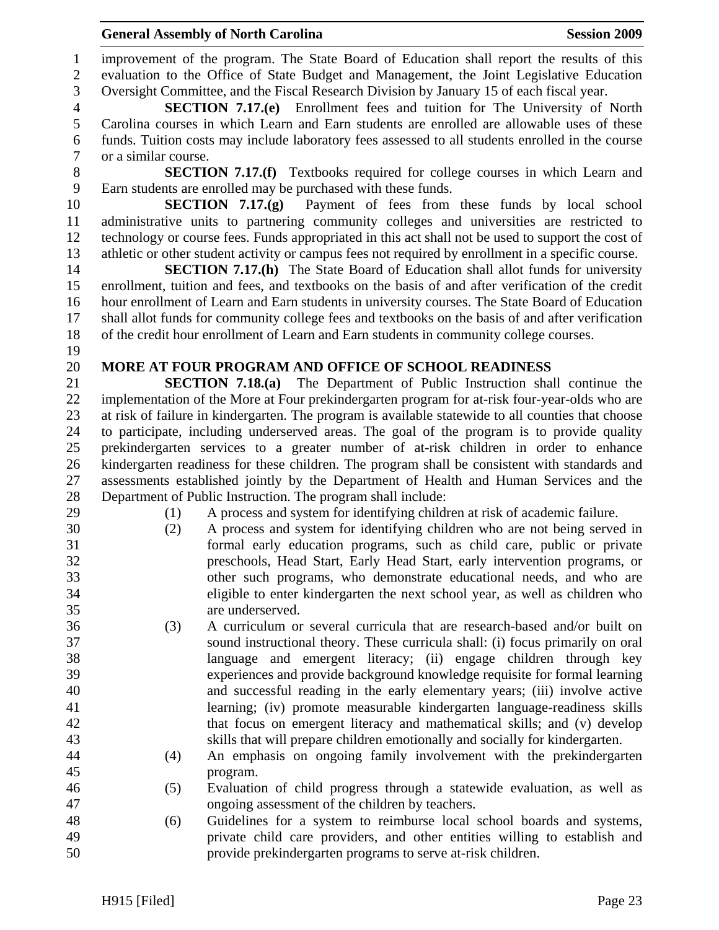1 improvement of the program. The State Board of Education shall report the results of this 2 evaluation to the Office of State Budget and Management, the Joint Legislative Education 3 Oversight Committee, and the Fiscal Research Division by January 15 of each fiscal year. 4 **SECTION 7.17.(e)** Enrollment fees and tuition for The University of North 5 Carolina courses in which Learn and Earn students are enrolled are allowable uses of these 6 funds. Tuition costs may include laboratory fees assessed to all students enrolled in the course 7 or a similar course. 8 **SECTION 7.17.(f)** Textbooks required for college courses in which Learn and 9 Earn students are enrolled may be purchased with these funds. 10 **SECTION 7.17.(g)** Payment of fees from these funds by local school 11 administrative units to partnering community colleges and universities are restricted to 12 technology or course fees. Funds appropriated in this act shall not be used to support the cost of 13 athletic or other student activity or campus fees not required by enrollment in a specific course. 14 **SECTION 7.17.(h)** The State Board of Education shall allot funds for university 15 enrollment, tuition and fees, and textbooks on the basis of and after verification of the credit 16 hour enrollment of Learn and Earn students in university courses. The State Board of Education 17 shall allot funds for community college fees and textbooks on the basis of and after verification 18 of the credit hour enrollment of Learn and Earn students in community college courses. 19 20 **MORE AT FOUR PROGRAM AND OFFICE OF SCHOOL READINESS**  21 **SECTION 7.18.(a)** The Department of Public Instruction shall continue the 22 implementation of the More at Four prekindergarten program for at-risk four-year-olds who are 23 at risk of failure in kindergarten. The program is available statewide to all counties that choose 24 to participate, including underserved areas. The goal of the program is to provide quality 25 prekindergarten services to a greater number of at-risk children in order to enhance 26 kindergarten readiness for these children. The program shall be consistent with standards and 27 assessments established jointly by the Department of Health and Human Services and the 28 Department of Public Instruction. The program shall include: 29 (1) A process and system for identifying children at risk of academic failure. 30 (2) A process and system for identifying children who are not being served in 31 formal early education programs, such as child care, public or private 32 preschools, Head Start, Early Head Start, early intervention programs, or 33 other such programs, who demonstrate educational needs, and who are 34 eligible to enter kindergarten the next school year, as well as children who 35 are underserved. 36 (3) A curriculum or several curricula that are research-based and/or built on 37 sound instructional theory. These curricula shall: (i) focus primarily on oral 38 language and emergent literacy; (ii) engage children through key 39 experiences and provide background knowledge requisite for formal learning 40 and successful reading in the early elementary years; (iii) involve active 41 learning; (iv) promote measurable kindergarten language-readiness skills 42 that focus on emergent literacy and mathematical skills; and (v) develop 43 skills that will prepare children emotionally and socially for kindergarten. 44 (4) An emphasis on ongoing family involvement with the prekindergarten 45 program. 46 (5) Evaluation of child progress through a statewide evaluation, as well as 47 ongoing assessment of the children by teachers. 48 (6) Guidelines for a system to reimburse local school boards and systems, 49 private child care providers, and other entities willing to establish and 50 provide prekindergarten programs to serve at-risk children.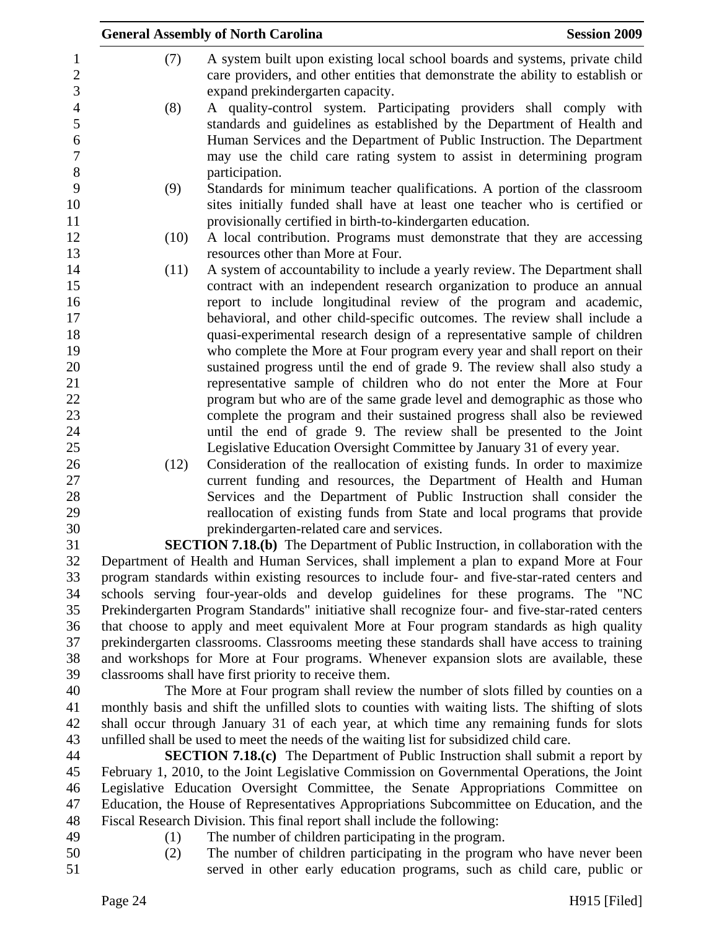|      | <b>General Assembly of North Carolina</b>                                                                                                                                                                                                                                                                            | <b>Session 2009</b> |
|------|----------------------------------------------------------------------------------------------------------------------------------------------------------------------------------------------------------------------------------------------------------------------------------------------------------------------|---------------------|
| (7)  | A system built upon existing local school boards and systems, private child<br>care providers, and other entities that demonstrate the ability to establish or<br>expand prekindergarten capacity.                                                                                                                   |                     |
| (8)  | A quality-control system. Participating providers shall comply with<br>standards and guidelines as established by the Department of Health and<br>Human Services and the Department of Public Instruction. The Department<br>may use the child care rating system to assist in determining program<br>participation. |                     |
| (9)  | Standards for minimum teacher qualifications. A portion of the classroom                                                                                                                                                                                                                                             |                     |
|      | sites initially funded shall have at least one teacher who is certified or<br>provisionally certified in birth-to-kindergarten education.                                                                                                                                                                            |                     |
| (10) | A local contribution. Programs must demonstrate that they are accessing                                                                                                                                                                                                                                              |                     |
|      | resources other than More at Four.                                                                                                                                                                                                                                                                                   |                     |
| (11) | A system of accountability to include a yearly review. The Department shall                                                                                                                                                                                                                                          |                     |
|      | contract with an independent research organization to produce an annual                                                                                                                                                                                                                                              |                     |
|      | report to include longitudinal review of the program and academic,                                                                                                                                                                                                                                                   |                     |
|      | behavioral, and other child-specific outcomes. The review shall include a                                                                                                                                                                                                                                            |                     |
|      | quasi-experimental research design of a representative sample of children                                                                                                                                                                                                                                            |                     |
|      | who complete the More at Four program every year and shall report on their                                                                                                                                                                                                                                           |                     |
|      | sustained progress until the end of grade 9. The review shall also study a                                                                                                                                                                                                                                           |                     |
|      | representative sample of children who do not enter the More at Four                                                                                                                                                                                                                                                  |                     |
|      | program but who are of the same grade level and demographic as those who                                                                                                                                                                                                                                             |                     |
|      | complete the program and their sustained progress shall also be reviewed                                                                                                                                                                                                                                             |                     |
|      | until the end of grade 9. The review shall be presented to the Joint                                                                                                                                                                                                                                                 |                     |
|      | Legislative Education Oversight Committee by January 31 of every year.                                                                                                                                                                                                                                               |                     |
| (12) | Consideration of the reallocation of existing funds. In order to maximize<br>current funding and resources, the Department of Health and Human                                                                                                                                                                       |                     |
|      | Services and the Department of Public Instruction shall consider the                                                                                                                                                                                                                                                 |                     |
|      | reallocation of existing funds from State and local programs that provide                                                                                                                                                                                                                                            |                     |
|      | prekindergarten-related care and services.                                                                                                                                                                                                                                                                           |                     |
|      | <b>SECTION 7.18.(b)</b> The Department of Public Instruction, in collaboration with the                                                                                                                                                                                                                              |                     |
|      | Department of Health and Human Services, shall implement a plan to expand More at Four                                                                                                                                                                                                                               |                     |
|      | program standards within existing resources to include four- and five-star-rated centers and                                                                                                                                                                                                                         |                     |
|      | schools serving four-year-olds and develop guidelines for these programs. The "NC                                                                                                                                                                                                                                    |                     |
|      | Prekindergarten Program Standards" initiative shall recognize four- and five-star-rated centers                                                                                                                                                                                                                      |                     |
|      | that choose to apply and meet equivalent More at Four program standards as high quality                                                                                                                                                                                                                              |                     |
|      | prekindergarten classrooms. Classrooms meeting these standards shall have access to training                                                                                                                                                                                                                         |                     |
|      | and workshops for More at Four programs. Whenever expansion slots are available, these                                                                                                                                                                                                                               |                     |
|      | classrooms shall have first priority to receive them.                                                                                                                                                                                                                                                                |                     |
|      | The More at Four program shall review the number of slots filled by counties on a<br>monthly basis and shift the unfilled slots to counties with waiting lists. The shifting of slots                                                                                                                                |                     |

41 monthly basis and shift the unfilled slots to counties with waiting lists. The shifting of slots 42 shall occur through January 31 of each year, at which time any remaining funds for slots 43 unfilled shall be used to meet the needs of the waiting list for subsidized child care.

44 **SECTION 7.18.(c)** The Department of Public Instruction shall submit a report by 45 February 1, 2010, to the Joint Legislative Commission on Governmental Operations, the Joint 46 Legislative Education Oversight Committee, the Senate Appropriations Committee on 47 Education, the House of Representatives Appropriations Subcommittee on Education, and the 48 Fiscal Research Division. This final report shall include the following:

- 
- 49 (1) The number of children participating in the program.
- 50 (2) The number of children participating in the program who have never been 51 served in other early education programs, such as child care, public or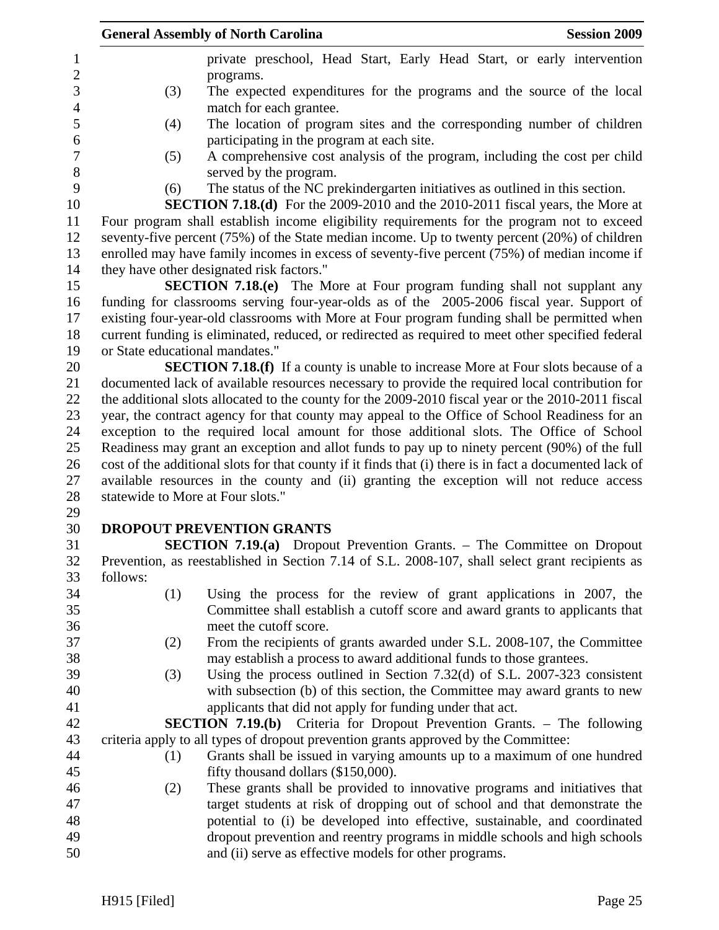|          | <b>General Assembly of North Carolina</b>                                                               | <b>Session 2009</b> |
|----------|---------------------------------------------------------------------------------------------------------|---------------------|
|          | private preschool, Head Start, Early Head Start, or early intervention                                  |                     |
|          | programs.                                                                                               |                     |
| (3)      | The expected expenditures for the programs and the source of the local                                  |                     |
|          | match for each grantee.                                                                                 |                     |
| (4)      | The location of program sites and the corresponding number of children                                  |                     |
|          | participating in the program at each site.                                                              |                     |
| (5)      | A comprehensive cost analysis of the program, including the cost per child                              |                     |
|          | served by the program.                                                                                  |                     |
| (6)      | The status of the NC prekindergarten initiatives as outlined in this section.                           |                     |
|          | <b>SECTION 7.18.(d)</b> For the 2009-2010 and the 2010-2011 fiscal years, the More at                   |                     |
|          | Four program shall establish income eligibility requirements for the program not to exceed              |                     |
|          | seventy-five percent (75%) of the State median income. Up to twenty percent (20%) of children           |                     |
|          | enrolled may have family incomes in excess of seventy-five percent (75%) of median income if            |                     |
|          | they have other designated risk factors."                                                               |                     |
|          | SECTION 7.18.(e) The More at Four program funding shall not supplant any                                |                     |
|          | funding for classrooms serving four-year-olds as of the 2005-2006 fiscal year. Support of               |                     |
|          | existing four-year-old classrooms with More at Four program funding shall be permitted when             |                     |
|          | current funding is eliminated, reduced, or redirected as required to meet other specified federal       |                     |
|          | or State educational mandates."                                                                         |                     |
|          | <b>SECTION 7.18.(f)</b> If a county is unable to increase More at Four slots because of a               |                     |
|          | documented lack of available resources necessary to provide the required local contribution for         |                     |
|          | the additional slots allocated to the county for the 2009-2010 fiscal year or the 2010-2011 fiscal      |                     |
|          | year, the contract agency for that county may appeal to the Office of School Readiness for an           |                     |
|          | exception to the required local amount for those additional slots. The Office of School                 |                     |
|          | Readiness may grant an exception and allot funds to pay up to ninety percent (90%) of the full          |                     |
|          | cost of the additional slots for that county if it finds that (i) there is in fact a documented lack of |                     |
|          | available resources in the county and (ii) granting the exception will not reduce access                |                     |
|          | statewide to More at Four slots."                                                                       |                     |
|          |                                                                                                         |                     |
|          | <b>DROPOUT PREVENTION GRANTS</b>                                                                        |                     |
|          | <b>SECTION 7.19.(a)</b> Dropout Prevention Grants. – The Committee on Dropout                           |                     |
|          | Prevention, as reestablished in Section 7.14 of S.L. 2008-107, shall select grant recipients as         |                     |
| follows: |                                                                                                         |                     |
| (1)      | Using the process for the review of grant applications in 2007, the                                     |                     |
|          | Committee shall establish a cutoff score and award grants to applicants that                            |                     |
|          | meet the cutoff score.                                                                                  |                     |
| (2)      | From the recipients of grants awarded under S.L. 2008-107, the Committee                                |                     |
|          | may establish a process to award additional funds to those grantees.                                    |                     |
| (3)      | Using the process outlined in Section $7.32(d)$ of S.L. 2007-323 consistent                             |                     |
|          | with subsection (b) of this section, the Committee may award grants to new                              |                     |
|          | applicants that did not apply for funding under that act.                                               |                     |
|          | <b>SECTION 7.19.(b)</b> Criteria for Dropout Prevention Grants. – The following                         |                     |
|          | criteria apply to all types of dropout prevention grants approved by the Committee:                     |                     |
| (1)      | Grants shall be issued in varying amounts up to a maximum of one hundred                                |                     |
|          | fifty thousand dollars (\$150,000).                                                                     |                     |
| (2)      | These grants shall be provided to innovative programs and initiatives that                              |                     |
|          | target students at risk of dropping out of school and that demonstrate the                              |                     |
|          | potential to (i) be developed into effective, sustainable, and coordinated                              |                     |
|          | dropout prevention and reentry programs in middle schools and high schools                              |                     |
|          | and (ii) serve as effective models for other programs.                                                  |                     |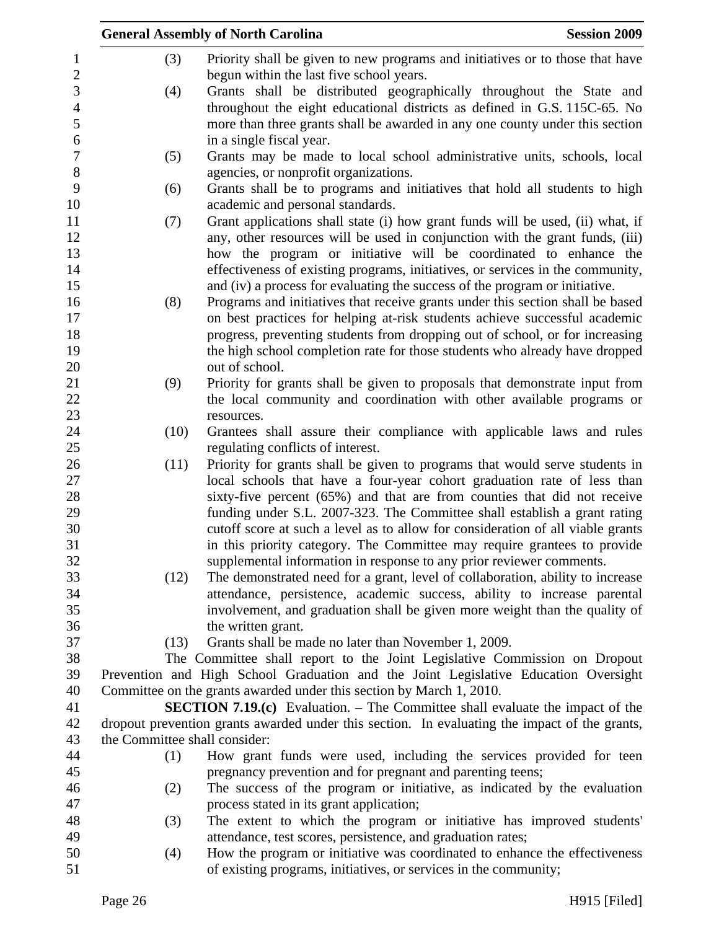|                  |                               | <b>General Assembly of North Carolina</b><br><b>Session 2009</b>                                                                                       |
|------------------|-------------------------------|--------------------------------------------------------------------------------------------------------------------------------------------------------|
| 1                | (3)                           | Priority shall be given to new programs and initiatives or to those that have                                                                          |
| $\sqrt{2}$       |                               | begun within the last five school years.                                                                                                               |
| 3                | (4)                           | Grants shall be distributed geographically throughout the State and                                                                                    |
| $\overline{4}$   |                               | throughout the eight educational districts as defined in G.S. 115C-65. No                                                                              |
| 5                |                               | more than three grants shall be awarded in any one county under this section                                                                           |
| 6                |                               | in a single fiscal year.                                                                                                                               |
| $\boldsymbol{7}$ | (5)                           | Grants may be made to local school administrative units, schools, local                                                                                |
| $8\phantom{1}$   |                               | agencies, or nonprofit organizations.                                                                                                                  |
| 9                | (6)                           | Grants shall be to programs and initiatives that hold all students to high                                                                             |
| 10               |                               | academic and personal standards.                                                                                                                       |
| 11               | (7)                           | Grant applications shall state (i) how grant funds will be used, (ii) what, if                                                                         |
| 12               |                               | any, other resources will be used in conjunction with the grant funds, (iii)                                                                           |
| 13               |                               | how the program or initiative will be coordinated to enhance the                                                                                       |
| 14               |                               | effectiveness of existing programs, initiatives, or services in the community,                                                                         |
| 15               |                               | and (iv) a process for evaluating the success of the program or initiative.                                                                            |
| 16               | (8)                           | Programs and initiatives that receive grants under this section shall be based                                                                         |
| 17               |                               | on best practices for helping at-risk students achieve successful academic                                                                             |
| 18               |                               | progress, preventing students from dropping out of school, or for increasing                                                                           |
| 19               |                               | the high school completion rate for those students who already have dropped                                                                            |
| 20               |                               | out of school.                                                                                                                                         |
| 21               | (9)                           | Priority for grants shall be given to proposals that demonstrate input from                                                                            |
| 22               |                               | the local community and coordination with other available programs or                                                                                  |
| 23               |                               | resources.                                                                                                                                             |
| 24               | (10)                          | Grantees shall assure their compliance with applicable laws and rules                                                                                  |
| 25               |                               | regulating conflicts of interest.                                                                                                                      |
| 26               | (11)                          | Priority for grants shall be given to programs that would serve students in                                                                            |
| 27               |                               | local schools that have a four-year cohort graduation rate of less than                                                                                |
| 28               |                               | sixty-five percent (65%) and that are from counties that did not receive                                                                               |
| 29               |                               | funding under S.L. 2007-323. The Committee shall establish a grant rating                                                                              |
| 30<br>31         |                               | cutoff score at such a level as to allow for consideration of all viable grants                                                                        |
| 32               |                               | in this priority category. The Committee may require grantees to provide                                                                               |
| 33               | (12)                          | supplemental information in response to any prior reviewer comments.<br>The demonstrated need for a grant, level of collaboration, ability to increase |
| 34               |                               | attendance, persistence, academic success, ability to increase parental                                                                                |
| 35               |                               | involvement, and graduation shall be given more weight than the quality of                                                                             |
| 36               |                               | the written grant.                                                                                                                                     |
| 37               | (13)                          | Grants shall be made no later than November 1, 2009.                                                                                                   |
| 38               |                               | The Committee shall report to the Joint Legislative Commission on Dropout                                                                              |
| 39               |                               | Prevention and High School Graduation and the Joint Legislative Education Oversight                                                                    |
| 40               |                               | Committee on the grants awarded under this section by March 1, 2010.                                                                                   |
| 41               |                               | <b>SECTION 7.19.(c)</b> Evaluation. – The Committee shall evaluate the impact of the                                                                   |
| 42               |                               | dropout prevention grants awarded under this section. In evaluating the impact of the grants,                                                          |
| 43               | the Committee shall consider: |                                                                                                                                                        |
| 44               | (1)                           | How grant funds were used, including the services provided for teen                                                                                    |
| 45               |                               | pregnancy prevention and for pregnant and parenting teens;                                                                                             |
| 46               | (2)                           | The success of the program or initiative, as indicated by the evaluation                                                                               |
| 47               |                               | process stated in its grant application;                                                                                                               |
| 48               | (3)                           | The extent to which the program or initiative has improved students'                                                                                   |
| 49               |                               | attendance, test scores, persistence, and graduation rates;                                                                                            |
| 50               | (4)                           | How the program or initiative was coordinated to enhance the effectiveness                                                                             |
| 51               |                               | of existing programs, initiatives, or services in the community;                                                                                       |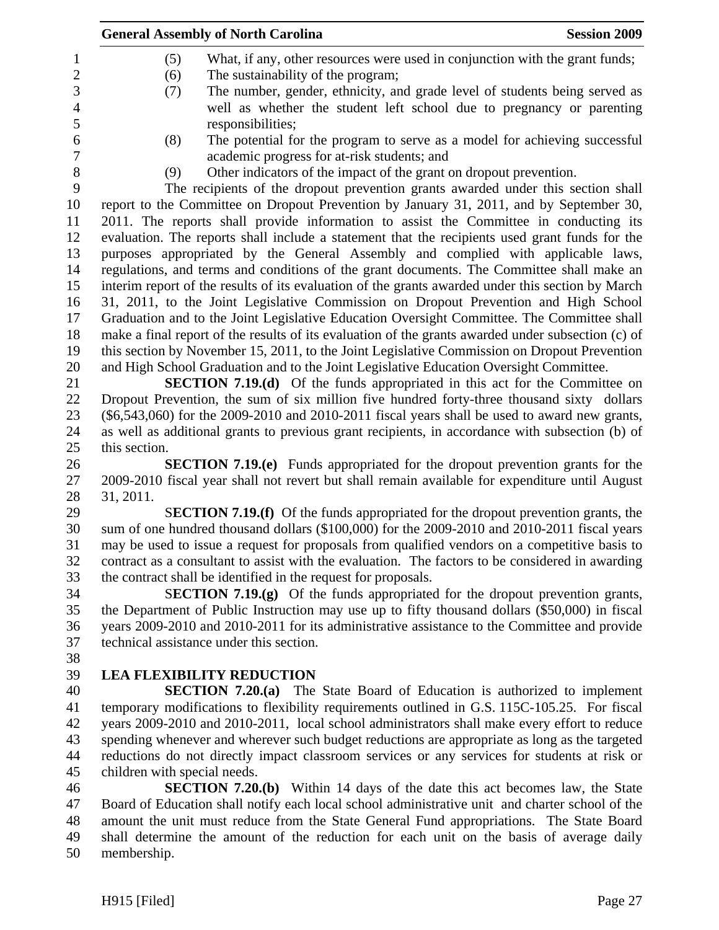| <b>General Assembly of North Carolina</b><br><b>Session 2009</b>                                   |
|----------------------------------------------------------------------------------------------------|
| What, if any, other resources were used in conjunction with the grant funds;<br>(5)                |
| The sustainability of the program;<br>(6)                                                          |
| The number, gender, ethnicity, and grade level of students being served as<br>(7)                  |
| well as whether the student left school due to pregnancy or parenting                              |
| responsibilities;                                                                                  |
| The potential for the program to serve as a model for achieving successful<br>(8)                  |
| academic progress for at-risk students; and                                                        |
| Other indicators of the impact of the grant on dropout prevention.<br>(9)                          |
| The recipients of the dropout prevention grants awarded under this section shall                   |
| report to the Committee on Dropout Prevention by January 31, 2011, and by September 30,            |
| 2011. The reports shall provide information to assist the Committee in conducting its              |
| evaluation. The reports shall include a statement that the recipients used grant funds for the     |
| purposes appropriated by the General Assembly and complied with applicable laws,                   |
| regulations, and terms and conditions of the grant documents. The Committee shall make an          |
| interim report of the results of its evaluation of the grants awarded under this section by March  |
| 31, 2011, to the Joint Legislative Commission on Dropout Prevention and High School                |
| Graduation and to the Joint Legislative Education Oversight Committee. The Committee shall         |
| make a final report of the results of its evaluation of the grants awarded under subsection (c) of |
| this section by November 15, 2011, to the Joint Legislative Commission on Dropout Prevention       |
| and High School Graduation and to the Joint Legislative Education Oversight Committee.             |
| <b>SECTION 7.19.(d)</b> Of the funds appropriated in this act for the Committee on                 |
| Dropout Prevention, the sum of six million five hundred forty-three thousand sixty dollars         |
| $(\$6,543,060)$ for the 2009-2010 and 2010-2011 fiscal years shall be used to award new grants,    |
| as well as additional grants to previous grant recipients, in accordance with subsection (b) of    |
| this section.                                                                                      |
| <b>SECTION 7.19.(e)</b> Funds appropriated for the dropout prevention grants for the               |
| 2009-2010 fiscal year shall not revert but shall remain available for expenditure until August     |
| 31, 2011.                                                                                          |
| <b>SECTION 7.19.(f)</b> Of the funds appropriated for the dropout prevention grants, the           |
| sum of one hundred thousand dollars (\$100,000) for the 2009-2010 and 2010-2011 fiscal years       |
| may be used to issue a request for proposals from qualified vendors on a competitive basis to      |
| contract as a consultant to assist with the evaluation. The factors to be considered in awarding   |
| the contract shall be identified in the request for proposals.                                     |
| <b>SECTION 7.19.(g)</b> Of the funds appropriated for the dropout prevention grants,               |
| the Department of Public Instruction may use up to fifty thousand dollars (\$50,000) in fiscal     |
| years 2009-2010 and 2010-2011 for its administrative assistance to the Committee and provide       |
| technical assistance under this section.                                                           |
|                                                                                                    |
| <b>LEA FLEXIBILITY REDUCTION</b>                                                                   |
| <b>SECTION 7.20.(a)</b> The State Board of Education is authorized to implement                    |
| temporary modifications to flexibility requirements outlined in G.S. 115C-105.25. For fiscal       |
| years 2009-2010 and 2010-2011, local school administrators shall make every effort to reduce       |
| spending whenever and wherever such budget reductions are appropriate as long as the targeted      |
| reductions do not directly impact classroom services or any services for students at risk or       |
| children with special needs.                                                                       |
| <b>SECTION 7.20.(b)</b> Within 14 days of the date this act becomes law, the State                 |
| Board of Education shall notify each local school administrative unit and charter school of the    |
| amount the unit must reduce from the State General Fund appropriations. The State Board            |
| shall determine the amount of the reduction for each unit on the basis of average daily            |

50 membership.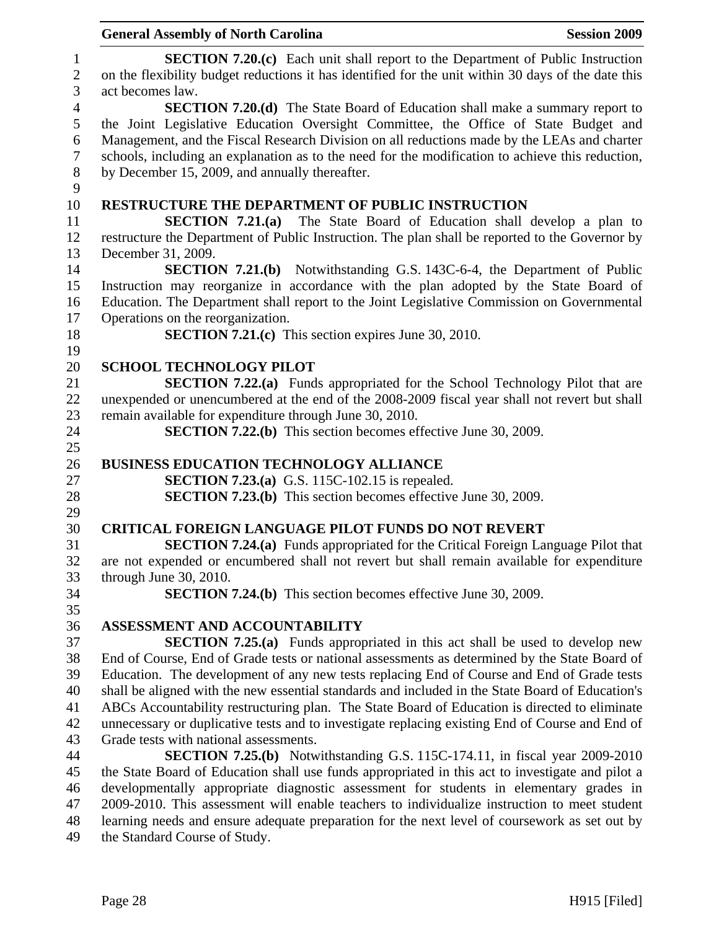|                                     | <b>Session 2009</b><br><b>General Assembly of North Carolina</b>                                                                                                                                                  |
|-------------------------------------|-------------------------------------------------------------------------------------------------------------------------------------------------------------------------------------------------------------------|
| $\mathbf{1}$<br>$\overline{2}$<br>3 | <b>SECTION 7.20.(c)</b> Each unit shall report to the Department of Public Instruction<br>on the flexibility budget reductions it has identified for the unit within 30 days of the date this<br>act becomes law. |
| $\overline{4}$<br>5                 | <b>SECTION 7.20.(d)</b> The State Board of Education shall make a summary report to<br>the Joint Legislative Education Oversight Committee, the Office of State Budget and                                        |
| $\boldsymbol{6}$<br>$\tau$          | Management, and the Fiscal Research Division on all reductions made by the LEAs and charter<br>schools, including an explanation as to the need for the modification to achieve this reduction,                   |
| $8\,$<br>9                          | by December 15, 2009, and annually thereafter.                                                                                                                                                                    |
| 10                                  | RESTRUCTURE THE DEPARTMENT OF PUBLIC INSTRUCTION                                                                                                                                                                  |
| 11                                  | SECTION $7.21(a)$<br>The State Board of Education shall develop a plan to                                                                                                                                         |
| 12                                  | restructure the Department of Public Instruction. The plan shall be reported to the Governor by                                                                                                                   |
| 13                                  | December 31, 2009.                                                                                                                                                                                                |
| 14                                  | <b>SECTION 7.21.(b)</b> Notwithstanding G.S. 143C-6-4, the Department of Public                                                                                                                                   |
| 15                                  | Instruction may reorganize in accordance with the plan adopted by the State Board of                                                                                                                              |
| 16                                  | Education. The Department shall report to the Joint Legislative Commission on Governmental                                                                                                                        |
| 17                                  | Operations on the reorganization.                                                                                                                                                                                 |
| 18                                  | <b>SECTION 7.21.(c)</b> This section expires June 30, 2010.                                                                                                                                                       |
| 19                                  |                                                                                                                                                                                                                   |
| 20                                  | <b>SCHOOL TECHNOLOGY PILOT</b>                                                                                                                                                                                    |
| 21                                  | <b>SECTION 7.22.(a)</b> Funds appropriated for the School Technology Pilot that are                                                                                                                               |
| 22                                  | unexpended or unencumbered at the end of the 2008-2009 fiscal year shall not revert but shall                                                                                                                     |
| 23                                  | remain available for expenditure through June 30, 2010.                                                                                                                                                           |
| 24                                  | <b>SECTION 7.22.(b)</b> This section becomes effective June 30, 2009.                                                                                                                                             |
| 25                                  |                                                                                                                                                                                                                   |
| 26                                  | <b>BUSINESS EDUCATION TECHNOLOGY ALLIANCE</b>                                                                                                                                                                     |
| 27                                  | <b>SECTION 7.23.(a)</b> G.S. 115C-102.15 is repealed.                                                                                                                                                             |
| 28                                  | <b>SECTION 7.23.(b)</b> This section becomes effective June 30, 2009.                                                                                                                                             |
| 29                                  |                                                                                                                                                                                                                   |
| 30                                  | <b>CRITICAL FOREIGN LANGUAGE PILOT FUNDS DO NOT REVERT</b>                                                                                                                                                        |
| 31                                  | <b>SECTION 7.24.(a)</b> Funds appropriated for the Critical Foreign Language Pilot that                                                                                                                           |
| 32                                  | are not expended or encumbered shall not revert but shall remain available for expenditure                                                                                                                        |
| 33                                  | through June 30, 2010.                                                                                                                                                                                            |
| 34                                  | <b>SECTION 7.24.(b)</b> This section becomes effective June 30, 2009.                                                                                                                                             |
| 35                                  |                                                                                                                                                                                                                   |
| 36                                  | ASSESSMENT AND ACCOUNTABILITY                                                                                                                                                                                     |
| 37                                  | <b>SECTION 7.25.(a)</b> Funds appropriated in this act shall be used to develop new                                                                                                                               |
| 38                                  | End of Course, End of Grade tests or national assessments as determined by the State Board of                                                                                                                     |
| 39                                  | Education. The development of any new tests replacing End of Course and End of Grade tests                                                                                                                        |
| 40                                  | shall be aligned with the new essential standards and included in the State Board of Education's                                                                                                                  |
| 41                                  | ABCs Accountability restructuring plan. The State Board of Education is directed to eliminate                                                                                                                     |
| 42                                  | unnecessary or duplicative tests and to investigate replacing existing End of Course and End of                                                                                                                   |
| 43                                  | Grade tests with national assessments.                                                                                                                                                                            |
| 44                                  | <b>SECTION 7.25.(b)</b> Notwithstanding G.S. 115C-174.11, in fiscal year 2009-2010                                                                                                                                |
| 45                                  | the State Board of Education shall use funds appropriated in this act to investigate and pilot a                                                                                                                  |
| 46<br>47                            | developmentally appropriate diagnostic assessment for students in elementary grades in<br>2009-2010. This assessment will enable teachers to individualize instruction to meet student                            |
| 48                                  | learning needs and ensure adequate preparation for the next level of coursework as set out by                                                                                                                     |
| 49                                  | the Standard Course of Study.                                                                                                                                                                                     |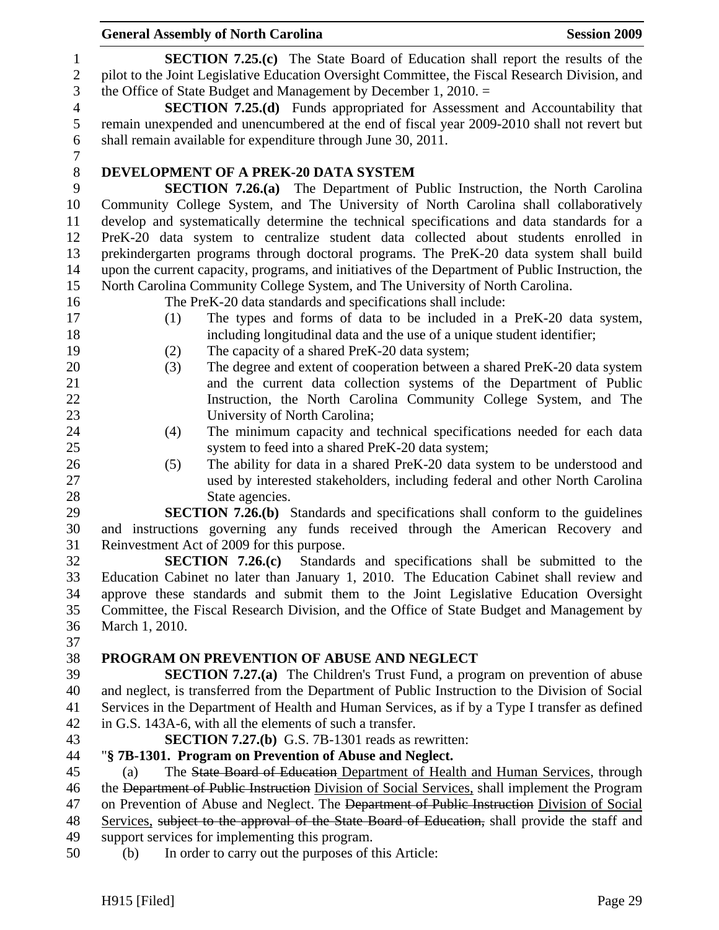1 **SECTION 7.25.(c)** The State Board of Education shall report the results of the 2 pilot to the Joint Legislative Education Oversight Committee, the Fiscal Research Division, and 3 the Office of State Budget and Management by December 1, 2010. = 4 **SECTION 7.25.(d)** Funds appropriated for Assessment and Accountability that 5 remain unexpended and unencumbered at the end of fiscal year 2009-2010 shall not revert but 6 shall remain available for expenditure through June 30, 2011. 7 8 **DEVELOPMENT OF A PREK-20 DATA SYSTEM**  9 **SECTION 7.26.(a)** The Department of Public Instruction, the North Carolina 10 Community College System, and The University of North Carolina shall collaboratively 11 develop and systematically determine the technical specifications and data standards for a 12 PreK-20 data system to centralize student data collected about students enrolled in 13 prekindergarten programs through doctoral programs. The PreK-20 data system shall build 14 upon the current capacity, programs, and initiatives of the Department of Public Instruction, the 15 North Carolina Community College System, and The University of North Carolina. 16 The PreK-20 data standards and specifications shall include: 17 (1) The types and forms of data to be included in a PreK-20 data system, 18 including longitudinal data and the use of a unique student identifier; 19 (2) The capacity of a shared PreK-20 data system; 20 (3) The degree and extent of cooperation between a shared PreK-20 data system 21 and the current data collection systems of the Department of Public 22 Instruction, the North Carolina Community College System, and The 23 University of North Carolina; 24 (4) The minimum capacity and technical specifications needed for each data 25 system to feed into a shared PreK-20 data system; 26 (5) The ability for data in a shared PreK-20 data system to be understood and 27 used by interested stakeholders, including federal and other North Carolina 28 State agencies. 29 **SECTION 7.26.(b)** Standards and specifications shall conform to the guidelines 30 and instructions governing any funds received through the American Recovery and 31 Reinvestment Act of 2009 for this purpose. 32 **SECTION 7.26.(c)** Standards and specifications shall be submitted to the 33 Education Cabinet no later than January 1, 2010. The Education Cabinet shall review and 34 approve these standards and submit them to the Joint Legislative Education Oversight 35 Committee, the Fiscal Research Division, and the Office of State Budget and Management by 36 March 1, 2010. 37 38 **PROGRAM ON PREVENTION OF ABUSE AND NEGLECT**  39 **SECTION 7.27.(a)** The Children's Trust Fund, a program on prevention of abuse 40 and neglect, is transferred from the Department of Public Instruction to the Division of Social 41 Services in the Department of Health and Human Services, as if by a Type I transfer as defined 42 in G.S. 143A-6, with all the elements of such a transfer. 43 **SECTION 7.27.(b)** G.S. 7B-1301 reads as rewritten: 44 "**§ 7B-1301. Program on Prevention of Abuse and Neglect.**  45 (a) The State Board of Education Department of Health and Human Services, through 46 the Department of Public Instruction Division of Social Services, shall implement the Program 47 on Prevention of Abuse and Neglect. The <del>Department of Public Instruction</del> Division of Social 48 Services, subject to the approval of the State Board of Education, shall provide the staff and 49 support services for implementing this program. 50 (b) In order to carry out the purposes of this Article: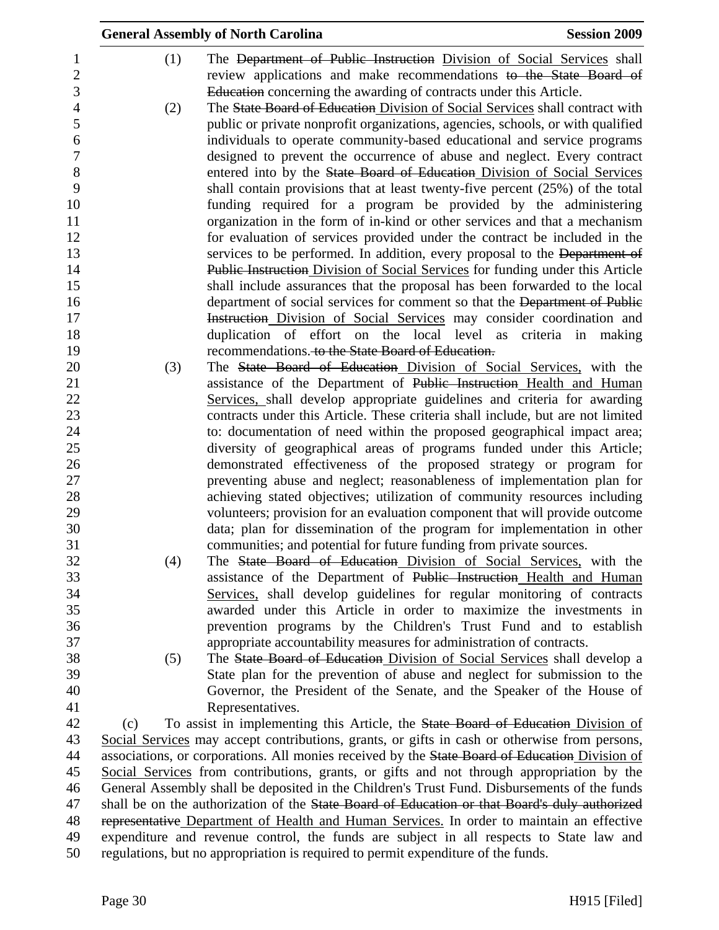|     |     | <b>General Assembly of North Carolina</b>                                                                                               | <b>Session 2009</b> |
|-----|-----|-----------------------------------------------------------------------------------------------------------------------------------------|---------------------|
|     | (1) | The Department of Public Instruction Division of Social Services shall                                                                  |                     |
|     |     | review applications and make recommendations to the State Board of                                                                      |                     |
|     |     | Education concerning the awarding of contracts under this Article.                                                                      |                     |
|     | (2) | The State Board of Education Division of Social Services shall contract with                                                            |                     |
|     |     | public or private nonprofit organizations, agencies, schools, or with qualified                                                         |                     |
|     |     | individuals to operate community-based educational and service programs                                                                 |                     |
|     |     | designed to prevent the occurrence of abuse and neglect. Every contract                                                                 |                     |
|     |     | entered into by the State Board of Education Division of Social Services                                                                |                     |
|     |     | shall contain provisions that at least twenty-five percent (25%) of the total                                                           |                     |
|     |     | funding required for a program be provided by the administering                                                                         |                     |
|     |     | organization in the form of in-kind or other services and that a mechanism                                                              |                     |
|     |     | for evaluation of services provided under the contract be included in the                                                               |                     |
|     |     | services to be performed. In addition, every proposal to the Department of                                                              |                     |
|     |     | <b>Public Instruction Division of Social Services for funding under this Article</b>                                                    |                     |
|     |     | shall include assurances that the proposal has been forwarded to the local                                                              |                     |
|     |     | department of social services for comment so that the Department of Public                                                              |                     |
|     |     | Instruction Division of Social Services may consider coordination and                                                                   |                     |
|     |     | duplication of effort on the local level as criteria in making<br>recommendations. to the State Board of Education.                     |                     |
|     | (3) | The State Board of Education Division of Social Services, with the                                                                      |                     |
|     |     | assistance of the Department of Public Instruction Health and Human                                                                     |                     |
|     |     | Services, shall develop appropriate guidelines and criteria for awarding                                                                |                     |
|     |     | contracts under this Article. These criteria shall include, but are not limited                                                         |                     |
|     |     | to: documentation of need within the proposed geographical impact area;                                                                 |                     |
|     |     | diversity of geographical areas of programs funded under this Article;                                                                  |                     |
|     |     | demonstrated effectiveness of the proposed strategy or program for                                                                      |                     |
|     |     | preventing abuse and neglect; reasonableness of implementation plan for                                                                 |                     |
|     |     | achieving stated objectives; utilization of community resources including                                                               |                     |
|     |     | volunteers; provision for an evaluation component that will provide outcome                                                             |                     |
|     |     | data; plan for dissemination of the program for implementation in other                                                                 |                     |
|     |     | communities; and potential for future funding from private sources.                                                                     |                     |
|     | (4) | The State Board of Education Division of Social Services, with the                                                                      |                     |
|     |     | assistance of the Department of Public Instruction Health and Human                                                                     |                     |
|     |     | Services, shall develop guidelines for regular monitoring of contracts                                                                  |                     |
|     |     | awarded under this Article in order to maximize the investments in<br>prevention programs by the Children's Trust Fund and to establish |                     |
|     |     | appropriate accountability measures for administration of contracts.                                                                    |                     |
|     | (5) | The State Board of Education Division of Social Services shall develop a                                                                |                     |
|     |     | State plan for the prevention of abuse and neglect for submission to the                                                                |                     |
|     |     | Governor, the President of the Senate, and the Speaker of the House of                                                                  |                     |
|     |     | Representatives.                                                                                                                        |                     |
| (c) |     | To assist in implementing this Article, the State Board of Education Division of                                                        |                     |
|     |     | Social Services may accept contributions, grants, or gifts in cash or otherwise from persons,                                           |                     |
|     |     | associations, or corporations. All monies received by the State Board of Education Division of                                          |                     |
|     |     | Social Services from contributions, grants, or gifts and not through appropriation by the                                               |                     |
|     |     | General Assembly shall be deposited in the Children's Trust Fund. Disbursements of the funds                                            |                     |
|     |     | shall be on the authorization of the State Board of Education or that Board's duly authorized                                           |                     |
|     |     | representative Department of Health and Human Services. In order to maintain an effective                                               |                     |
|     |     | expenditure and revenue control, the funds are subject in all respects to State law and                                                 |                     |
|     |     | regulations, but no appropriation is required to permit expenditure of the funds.                                                       |                     |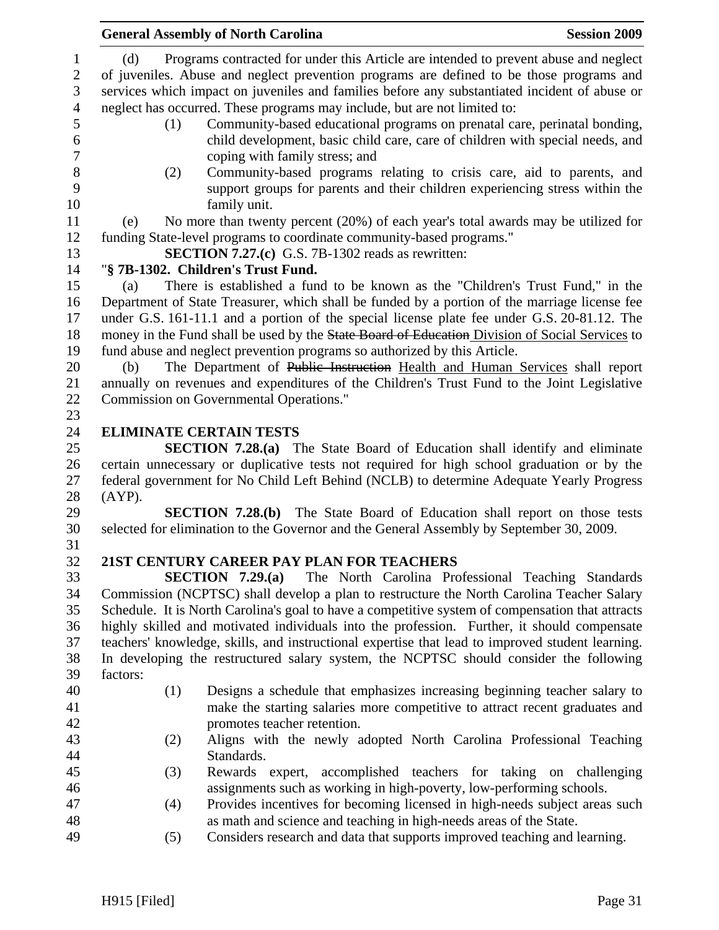|                                                     |                                                                                                  | <b>General Assembly of North Carolina</b>                                                                                                                                                                                                                                                                                                                      | <b>Session 2009</b> |
|-----------------------------------------------------|--------------------------------------------------------------------------------------------------|----------------------------------------------------------------------------------------------------------------------------------------------------------------------------------------------------------------------------------------------------------------------------------------------------------------------------------------------------------------|---------------------|
| $\mathbf{1}$<br>$\mathbf{2}$<br>3<br>$\overline{4}$ | (d)                                                                                              | Programs contracted for under this Article are intended to prevent abuse and neglect<br>of juveniles. Abuse and neglect prevention programs are defined to be those programs and<br>services which impact on juveniles and families before any substantiated incident of abuse or<br>neglect has occurred. These programs may include, but are not limited to: |                     |
| 5<br>6<br>$\boldsymbol{7}$                          | (1)                                                                                              | Community-based educational programs on prenatal care, perinatal bonding,<br>child development, basic child care, care of children with special needs, and<br>coping with family stress; and                                                                                                                                                                   |                     |
| 8<br>9<br>10                                        | (2)                                                                                              | Community-based programs relating to crisis care, aid to parents, and<br>support groups for parents and their children experiencing stress within the<br>family unit.                                                                                                                                                                                          |                     |
| 11                                                  | (e)                                                                                              | No more than twenty percent (20%) of each year's total awards may be utilized for                                                                                                                                                                                                                                                                              |                     |
| 12<br>13                                            |                                                                                                  | funding State-level programs to coordinate community-based programs."<br>SECTION 7.27.(c) G.S. 7B-1302 reads as rewritten:                                                                                                                                                                                                                                     |                     |
| 14                                                  |                                                                                                  | "§ 7B-1302. Children's Trust Fund.                                                                                                                                                                                                                                                                                                                             |                     |
| 15                                                  | (a)                                                                                              | There is established a fund to be known as the "Children's Trust Fund," in the                                                                                                                                                                                                                                                                                 |                     |
| 16<br>17                                            |                                                                                                  | Department of State Treasurer, which shall be funded by a portion of the marriage license fee<br>under G.S. 161-11.1 and a portion of the special license plate fee under G.S. 20-81.12. The                                                                                                                                                                   |                     |
| 18                                                  |                                                                                                  | money in the Fund shall be used by the State Board of Education Division of Social Services to                                                                                                                                                                                                                                                                 |                     |
| 19                                                  |                                                                                                  | fund abuse and neglect prevention programs so authorized by this Article.                                                                                                                                                                                                                                                                                      |                     |
| 20                                                  | (b)                                                                                              | The Department of Public Instruction Health and Human Services shall report                                                                                                                                                                                                                                                                                    |                     |
| 21                                                  |                                                                                                  | annually on revenues and expenditures of the Children's Trust Fund to the Joint Legislative                                                                                                                                                                                                                                                                    |                     |
| 22                                                  |                                                                                                  | Commission on Governmental Operations."                                                                                                                                                                                                                                                                                                                        |                     |
| 23                                                  |                                                                                                  |                                                                                                                                                                                                                                                                                                                                                                |                     |
| 24                                                  |                                                                                                  | <b>ELIMINATE CERTAIN TESTS</b>                                                                                                                                                                                                                                                                                                                                 |                     |
| 25                                                  |                                                                                                  | <b>SECTION 7.28.(a)</b> The State Board of Education shall identify and eliminate                                                                                                                                                                                                                                                                              |                     |
| 26                                                  |                                                                                                  | certain unnecessary or duplicative tests not required for high school graduation or by the                                                                                                                                                                                                                                                                     |                     |
| 27<br>28                                            | $(AYP)$ .                                                                                        | federal government for No Child Left Behind (NCLB) to determine Adequate Yearly Progress                                                                                                                                                                                                                                                                       |                     |
| 29                                                  |                                                                                                  | <b>SECTION 7.28.(b)</b> The State Board of Education shall report on those tests                                                                                                                                                                                                                                                                               |                     |
| 30<br>31                                            |                                                                                                  | selected for elimination to the Governor and the General Assembly by September 30, 2009.                                                                                                                                                                                                                                                                       |                     |
| 32                                                  |                                                                                                  | 21ST CENTURY CAREER PAY PLAN FOR TEACHERS                                                                                                                                                                                                                                                                                                                      |                     |
| 33                                                  |                                                                                                  | SECTION $7.29(a)$<br>The North Carolina Professional Teaching Standards                                                                                                                                                                                                                                                                                        |                     |
| 34                                                  |                                                                                                  | Commission (NCPTSC) shall develop a plan to restructure the North Carolina Teacher Salary                                                                                                                                                                                                                                                                      |                     |
| 35                                                  |                                                                                                  | Schedule. It is North Carolina's goal to have a competitive system of compensation that attracts                                                                                                                                                                                                                                                               |                     |
| 36                                                  |                                                                                                  | highly skilled and motivated individuals into the profession. Further, it should compensate                                                                                                                                                                                                                                                                    |                     |
| 37                                                  | teachers' knowledge, skills, and instructional expertise that lead to improved student learning. |                                                                                                                                                                                                                                                                                                                                                                |                     |
| 38                                                  |                                                                                                  | In developing the restructured salary system, the NCPTSC should consider the following                                                                                                                                                                                                                                                                         |                     |
| 39                                                  | factors:                                                                                         |                                                                                                                                                                                                                                                                                                                                                                |                     |
| 40                                                  | (1)                                                                                              | Designs a schedule that emphasizes increasing beginning teacher salary to                                                                                                                                                                                                                                                                                      |                     |
| 41                                                  |                                                                                                  | make the starting salaries more competitive to attract recent graduates and                                                                                                                                                                                                                                                                                    |                     |
| 42                                                  |                                                                                                  | promotes teacher retention.                                                                                                                                                                                                                                                                                                                                    |                     |
| 43                                                  | (2)                                                                                              | Aligns with the newly adopted North Carolina Professional Teaching                                                                                                                                                                                                                                                                                             |                     |
| 44                                                  |                                                                                                  | Standards.                                                                                                                                                                                                                                                                                                                                                     |                     |
| 45                                                  | (3)                                                                                              | Rewards expert, accomplished teachers for taking on challenging                                                                                                                                                                                                                                                                                                |                     |
| 46                                                  |                                                                                                  | assignments such as working in high-poverty, low-performing schools.                                                                                                                                                                                                                                                                                           |                     |
| 47                                                  | (4)                                                                                              | Provides incentives for becoming licensed in high-needs subject areas such                                                                                                                                                                                                                                                                                     |                     |
| 48                                                  |                                                                                                  | as math and science and teaching in high-needs areas of the State.                                                                                                                                                                                                                                                                                             |                     |
| $\overline{A}$                                      | (5)                                                                                              | Considers research and data that supports improved teaching and learning                                                                                                                                                                                                                                                                                       |                     |

49 (5) Considers research and data that supports improved teaching and learning.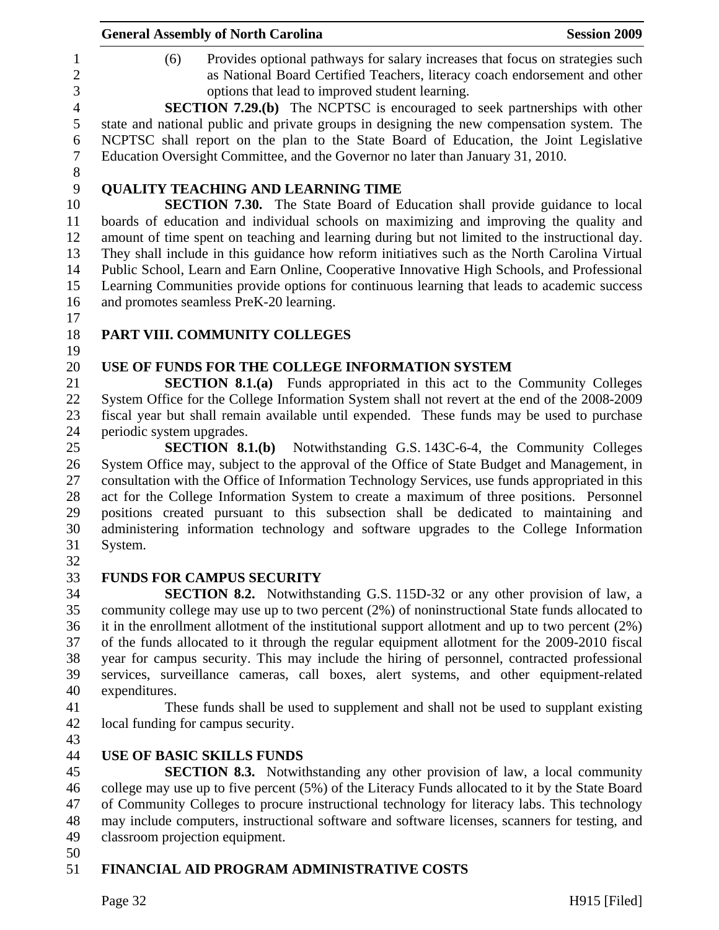|                                            | <b>General Assembly of North Carolina</b><br><b>Session 2009</b>                                                                                                                                                                                                                                                                                            |  |
|--------------------------------------------|-------------------------------------------------------------------------------------------------------------------------------------------------------------------------------------------------------------------------------------------------------------------------------------------------------------------------------------------------------------|--|
| 1<br>$\overline{2}$<br>3<br>$\overline{4}$ | Provides optional pathways for salary increases that focus on strategies such<br>(6)<br>as National Board Certified Teachers, literacy coach endorsement and other<br>options that lead to improved student learning.                                                                                                                                       |  |
| 5<br>6<br>$\boldsymbol{7}$                 | <b>SECTION 7.29.(b)</b> The NCPTSC is encouraged to seek partnerships with other<br>state and national public and private groups in designing the new compensation system. The<br>NCPTSC shall report on the plan to the State Board of Education, the Joint Legislative<br>Education Oversight Committee, and the Governor no later than January 31, 2010. |  |
| $8\,$                                      |                                                                                                                                                                                                                                                                                                                                                             |  |
| 9<br>10                                    | <b>QUALITY TEACHING AND LEARNING TIME</b>                                                                                                                                                                                                                                                                                                                   |  |
| 11                                         | <b>SECTION 7.30.</b> The State Board of Education shall provide guidance to local<br>boards of education and individual schools on maximizing and improving the quality and                                                                                                                                                                                 |  |
| 12                                         | amount of time spent on teaching and learning during but not limited to the instructional day.                                                                                                                                                                                                                                                              |  |
| 13                                         | They shall include in this guidance how reform initiatives such as the North Carolina Virtual                                                                                                                                                                                                                                                               |  |
| 14                                         | Public School, Learn and Earn Online, Cooperative Innovative High Schools, and Professional                                                                                                                                                                                                                                                                 |  |
| 15                                         | Learning Communities provide options for continuous learning that leads to academic success                                                                                                                                                                                                                                                                 |  |
| 16<br>17                                   | and promotes seamless PreK-20 learning.                                                                                                                                                                                                                                                                                                                     |  |
| 18<br>19                                   | PART VIII. COMMUNITY COLLEGES                                                                                                                                                                                                                                                                                                                               |  |
| 20                                         | USE OF FUNDS FOR THE COLLEGE INFORMATION SYSTEM                                                                                                                                                                                                                                                                                                             |  |
| 21                                         | <b>SECTION 8.1.(a)</b> Funds appropriated in this act to the Community Colleges                                                                                                                                                                                                                                                                             |  |
| 22                                         | System Office for the College Information System shall not revert at the end of the 2008-2009                                                                                                                                                                                                                                                               |  |
| 23                                         | fiscal year but shall remain available until expended. These funds may be used to purchase                                                                                                                                                                                                                                                                  |  |
| 24                                         | periodic system upgrades.                                                                                                                                                                                                                                                                                                                                   |  |
| 25                                         | <b>SECTION 8.1.(b)</b> Notwithstanding G.S. 143C-6-4, the Community Colleges                                                                                                                                                                                                                                                                                |  |
| 26<br>27                                   | System Office may, subject to the approval of the Office of State Budget and Management, in<br>consultation with the Office of Information Technology Services, use funds appropriated in this                                                                                                                                                              |  |
| 28                                         | act for the College Information System to create a maximum of three positions. Personnel                                                                                                                                                                                                                                                                    |  |
| 29                                         | positions created pursuant to this subsection shall be dedicated to maintaining and                                                                                                                                                                                                                                                                         |  |
| 30                                         | administering information technology and software upgrades to the College Information                                                                                                                                                                                                                                                                       |  |
| 31                                         | System.                                                                                                                                                                                                                                                                                                                                                     |  |
| 32                                         |                                                                                                                                                                                                                                                                                                                                                             |  |
| 33                                         | <b>FUNDS FOR CAMPUS SECURITY</b>                                                                                                                                                                                                                                                                                                                            |  |
| 34                                         | <b>SECTION 8.2.</b> Notwithstanding G.S. 115D-32 or any other provision of law, a                                                                                                                                                                                                                                                                           |  |
| 35                                         | community college may use up to two percent (2%) of noninstructional State funds allocated to                                                                                                                                                                                                                                                               |  |
| 36                                         | it in the enrollment allotment of the institutional support allotment and up to two percent (2%)                                                                                                                                                                                                                                                            |  |
| 37                                         | of the funds allocated to it through the regular equipment allotment for the 2009-2010 fiscal                                                                                                                                                                                                                                                               |  |
| 38                                         | year for campus security. This may include the hiring of personnel, contracted professional                                                                                                                                                                                                                                                                 |  |
| 39<br>40                                   | services, surveillance cameras, call boxes, alert systems, and other equipment-related<br>expenditures.                                                                                                                                                                                                                                                     |  |
| 41                                         | These funds shall be used to supplement and shall not be used to supplant existing                                                                                                                                                                                                                                                                          |  |
| 42                                         | local funding for campus security.                                                                                                                                                                                                                                                                                                                          |  |
| 43                                         |                                                                                                                                                                                                                                                                                                                                                             |  |
| 44                                         | <b>USE OF BASIC SKILLS FUNDS</b>                                                                                                                                                                                                                                                                                                                            |  |
| 45                                         | <b>SECTION 8.3.</b> Notwithstanding any other provision of law, a local community                                                                                                                                                                                                                                                                           |  |
| 46                                         | college may use up to five percent (5%) of the Literacy Funds allocated to it by the State Board                                                                                                                                                                                                                                                            |  |
| 47                                         | of Community Colleges to procure instructional technology for literacy labs. This technology                                                                                                                                                                                                                                                                |  |
| 48                                         | may include computers, instructional software and software licenses, scanners for testing, and                                                                                                                                                                                                                                                              |  |
| 49                                         | classroom projection equipment.                                                                                                                                                                                                                                                                                                                             |  |
| 50                                         |                                                                                                                                                                                                                                                                                                                                                             |  |
| 51                                         | FINANCIAL AID PROGRAM ADMINISTRATIVE COSTS                                                                                                                                                                                                                                                                                                                  |  |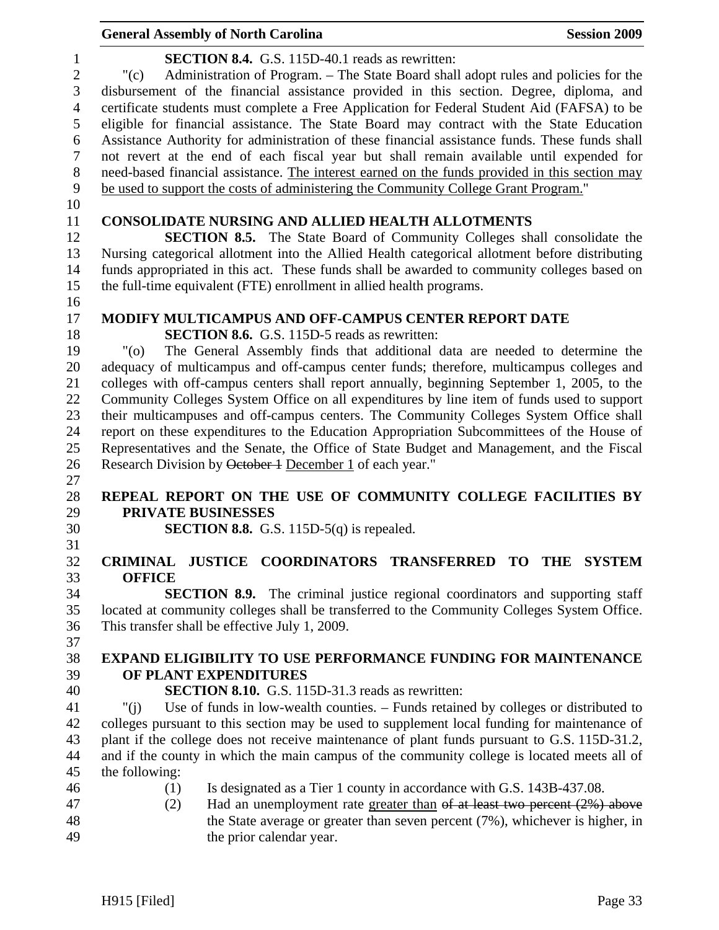|                                | <b>General Assembly of North Carolina</b>                                                                                                                                               | <b>Session 2009</b> |
|--------------------------------|-----------------------------------------------------------------------------------------------------------------------------------------------------------------------------------------|---------------------|
| $\mathbf{1}$<br>$\overline{2}$ | <b>SECTION 8.4.</b> G.S. 115D-40.1 reads as rewritten:<br>Administration of Program. – The State Board shall adopt rules and policies for the<br>"(c)                                   |                     |
| 3                              | disbursement of the financial assistance provided in this section. Degree, diploma, and                                                                                                 |                     |
| $\overline{4}$<br>5            | certificate students must complete a Free Application for Federal Student Aid (FAFSA) to be<br>eligible for financial assistance. The State Board may contract with the State Education |                     |
| 6                              | Assistance Authority for administration of these financial assistance funds. These funds shall                                                                                          |                     |
| $\overline{7}$                 | not revert at the end of each fiscal year but shall remain available until expended for                                                                                                 |                     |
| $8\,$                          | need-based financial assistance. The interest earned on the funds provided in this section may                                                                                          |                     |
| 9                              | be used to support the costs of administering the Community College Grant Program."                                                                                                     |                     |
| 10<br>11                       | <b>CONSOLIDATE NURSING AND ALLIED HEALTH ALLOTMENTS</b>                                                                                                                                 |                     |
| 12                             | <b>SECTION 8.5.</b> The State Board of Community Colleges shall consolidate the                                                                                                         |                     |
| 13                             | Nursing categorical allotment into the Allied Health categorical allotment before distributing                                                                                          |                     |
| 14                             | funds appropriated in this act. These funds shall be awarded to community colleges based on                                                                                             |                     |
| 15                             | the full-time equivalent (FTE) enrollment in allied health programs.                                                                                                                    |                     |
| 16                             |                                                                                                                                                                                         |                     |
| 17<br>18                       | <b>MODIFY MULTICAMPUS AND OFF-CAMPUS CENTER REPORT DATE</b><br><b>SECTION 8.6.</b> G.S. 115D-5 reads as rewritten:                                                                      |                     |
| 19                             | The General Assembly finds that additional data are needed to determine the<br>"(0)                                                                                                     |                     |
| 20                             | adequacy of multicampus and off-campus center funds; therefore, multicampus colleges and                                                                                                |                     |
| 21                             | colleges with off-campus centers shall report annually, beginning September 1, 2005, to the                                                                                             |                     |
| 22                             | Community Colleges System Office on all expenditures by line item of funds used to support                                                                                              |                     |
| 23                             | their multicampuses and off-campus centers. The Community Colleges System Office shall                                                                                                  |                     |
| 24                             | report on these expenditures to the Education Appropriation Subcommittees of the House of                                                                                               |                     |
| 25                             | Representatives and the Senate, the Office of State Budget and Management, and the Fiscal                                                                                               |                     |
| 26                             | Research Division by October 1 December 1 of each year."                                                                                                                                |                     |
| 27                             |                                                                                                                                                                                         |                     |
| 28                             | REPEAL REPORT ON THE USE OF COMMUNITY COLLEGE FACILITIES BY                                                                                                                             |                     |
| 29                             | PRIVATE BUSINESSES                                                                                                                                                                      |                     |
| 30<br>31                       | <b>SECTION 8.8.</b> G.S. 115D-5 $(q)$ is repealed.                                                                                                                                      |                     |
| 32                             | JUSTICE COORDINATORS TRANSFERRED TO THE SYSTEM<br><b>CRIMINAL</b>                                                                                                                       |                     |
| 33                             | <b>OFFICE</b>                                                                                                                                                                           |                     |
| 34                             | <b>SECTION 8.9.</b> The criminal justice regional coordinators and supporting staff                                                                                                     |                     |
| 35                             | located at community colleges shall be transferred to the Community Colleges System Office.                                                                                             |                     |
| 36                             | This transfer shall be effective July 1, 2009.                                                                                                                                          |                     |
| 37                             |                                                                                                                                                                                         |                     |
| 38                             | <b>EXPAND ELIGIBILITY TO USE PERFORMANCE FUNDING FOR MAINTENANCE</b>                                                                                                                    |                     |
| 39                             | OF PLANT EXPENDITURES                                                                                                                                                                   |                     |
| 40                             | <b>SECTION 8.10.</b> G.S. 115D-31.3 reads as rewritten:                                                                                                                                 |                     |
| 41                             | Use of funds in low-wealth counties. - Funds retained by colleges or distributed to<br>" $(i)$                                                                                          |                     |
| 42                             | colleges pursuant to this section may be used to supplement local funding for maintenance of                                                                                            |                     |
| 43                             | plant if the college does not receive maintenance of plant funds pursuant to G.S. 115D-31.2,                                                                                            |                     |
| 44<br>45                       | and if the county in which the main campus of the community college is located meets all of<br>the following:                                                                           |                     |
| 46                             | Is designated as a Tier 1 county in accordance with G.S. 143B-437.08.<br>(1)                                                                                                            |                     |
| 47                             | Had an unemployment rate greater than $\theta$ at least two percent (2%) above<br>(2)                                                                                                   |                     |
| 48                             | the State average or greater than seven percent (7%), whichever is higher, in                                                                                                           |                     |
| 49                             | the prior calendar year.                                                                                                                                                                |                     |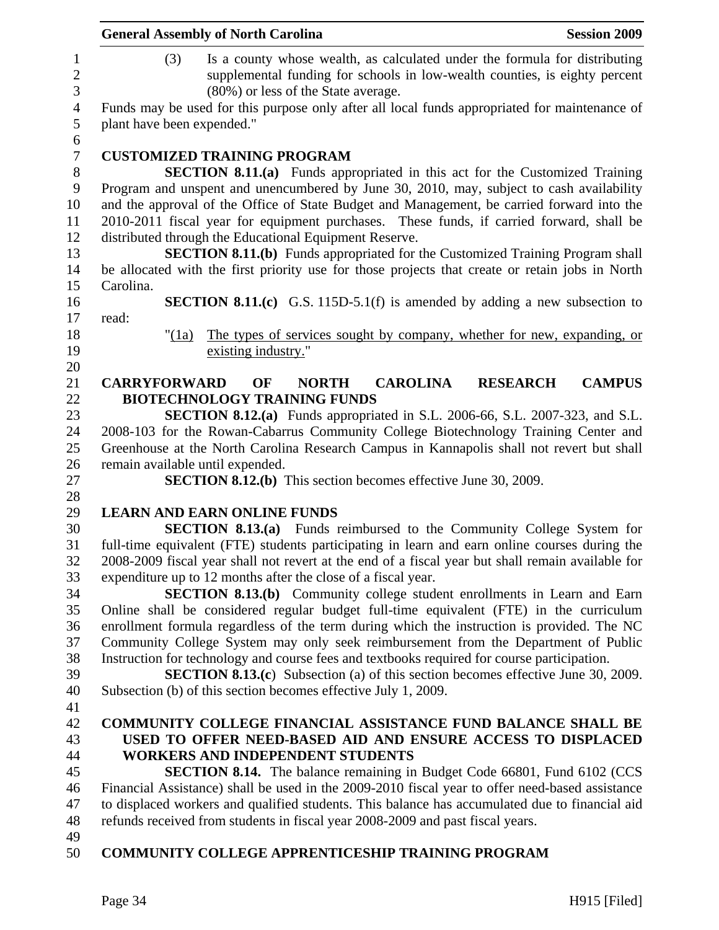|                                     | <b>General Assembly of North Carolina</b><br><b>Session 2009</b>                                                                                                                                       |
|-------------------------------------|--------------------------------------------------------------------------------------------------------------------------------------------------------------------------------------------------------|
| $\mathbf{1}$<br>$\overline{c}$<br>3 | Is a county whose wealth, as calculated under the formula for distributing<br>(3)<br>supplemental funding for schools in low-wealth counties, is eighty percent<br>(80%) or less of the State average. |
| $\overline{4}$<br>5                 | Funds may be used for this purpose only after all local funds appropriated for maintenance of<br>plant have been expended."                                                                            |
| 6                                   |                                                                                                                                                                                                        |
| $\boldsymbol{7}$                    | <b>CUSTOMIZED TRAINING PROGRAM</b>                                                                                                                                                                     |
| $8\,$                               | <b>SECTION 8.11.(a)</b> Funds appropriated in this act for the Customized Training                                                                                                                     |
| 9                                   | Program and unspent and unencumbered by June 30, 2010, may, subject to cash availability                                                                                                               |
| 10                                  | and the approval of the Office of State Budget and Management, be carried forward into the                                                                                                             |
| 11                                  | 2010-2011 fiscal year for equipment purchases. These funds, if carried forward, shall be                                                                                                               |
| 12                                  | distributed through the Educational Equipment Reserve.                                                                                                                                                 |
| 13                                  | <b>SECTION 8.11.(b)</b> Funds appropriated for the Customized Training Program shall                                                                                                                   |
| 14                                  | be allocated with the first priority use for those projects that create or retain jobs in North                                                                                                        |
| 15                                  | Carolina.                                                                                                                                                                                              |
| 16                                  | <b>SECTION 8.11.(c)</b> G.S. 115D-5.1(f) is amended by adding a new subsection to                                                                                                                      |
| 17                                  | read:                                                                                                                                                                                                  |
| 18                                  | The types of services sought by company, whether for new, expanding, or<br>" $(1a)$                                                                                                                    |
| 19                                  | existing industry."                                                                                                                                                                                    |
| 20                                  |                                                                                                                                                                                                        |
| 21                                  | <b>CAROLINA</b><br><b>CAMPUS</b><br><b>CARRYFORWARD</b><br>OF<br><b>NORTH</b><br><b>RESEARCH</b>                                                                                                       |
| 22                                  | <b>BIOTECHNOLOGY TRAINING FUNDS</b>                                                                                                                                                                    |
| 23                                  | <b>SECTION 8.12.(a)</b> Funds appropriated in S.L. 2006-66, S.L. 2007-323, and S.L.                                                                                                                    |
| 24                                  | 2008-103 for the Rowan-Cabarrus Community College Biotechnology Training Center and                                                                                                                    |
| 25                                  | Greenhouse at the North Carolina Research Campus in Kannapolis shall not revert but shall                                                                                                              |
| 26                                  | remain available until expended.                                                                                                                                                                       |
| 27                                  | <b>SECTION 8.12.(b)</b> This section becomes effective June 30, 2009.                                                                                                                                  |
| 28                                  |                                                                                                                                                                                                        |
| 29                                  | <b>LEARN AND EARN ONLINE FUNDS</b>                                                                                                                                                                     |
| 30                                  | <b>SECTION 8.13.(a)</b> Funds reimbursed to the Community College System for                                                                                                                           |
| 31                                  | full-time equivalent (FTE) students participating in learn and earn online courses during the                                                                                                          |
| 32                                  | 2008-2009 fiscal year shall not revert at the end of a fiscal year but shall remain available for                                                                                                      |
| 33                                  | expenditure up to 12 months after the close of a fiscal year.                                                                                                                                          |
| 34                                  | <b>SECTION 8.13.(b)</b> Community college student enrollments in Learn and Earn                                                                                                                        |
| 35                                  | Online shall be considered regular budget full-time equivalent (FTE) in the curriculum                                                                                                                 |
| 36                                  | enrollment formula regardless of the term during which the instruction is provided. The NC                                                                                                             |
| 37                                  | Community College System may only seek reimbursement from the Department of Public                                                                                                                     |
| 38                                  | Instruction for technology and course fees and textbooks required for course participation.                                                                                                            |
| 39                                  | <b>SECTION 8.13.(c)</b> Subsection (a) of this section becomes effective June 30, 2009.                                                                                                                |
| 40                                  | Subsection (b) of this section becomes effective July 1, 2009.                                                                                                                                         |
| 41                                  |                                                                                                                                                                                                        |
| 42                                  | <b>COMMUNITY COLLEGE FINANCIAL ASSISTANCE FUND BALANCE SHALL BE</b>                                                                                                                                    |
| 43                                  | USED TO OFFER NEED-BASED AID AND ENSURE ACCESS TO DISPLACED                                                                                                                                            |
| 44                                  | <b>WORKERS AND INDEPENDENT STUDENTS</b>                                                                                                                                                                |
| 45                                  | <b>SECTION 8.14.</b> The balance remaining in Budget Code 66801, Fund 6102 (CCS                                                                                                                        |
| 46                                  | Financial Assistance) shall be used in the 2009-2010 fiscal year to offer need-based assistance                                                                                                        |
| 47                                  | to displaced workers and qualified students. This balance has accumulated due to financial aid                                                                                                         |
| 48                                  | refunds received from students in fiscal year 2008-2009 and past fiscal years.                                                                                                                         |
| 49                                  |                                                                                                                                                                                                        |
| 50                                  | <b>COMMUNITY COLLEGE APPRENTICESHIP TRAINING PROGRAM</b>                                                                                                                                               |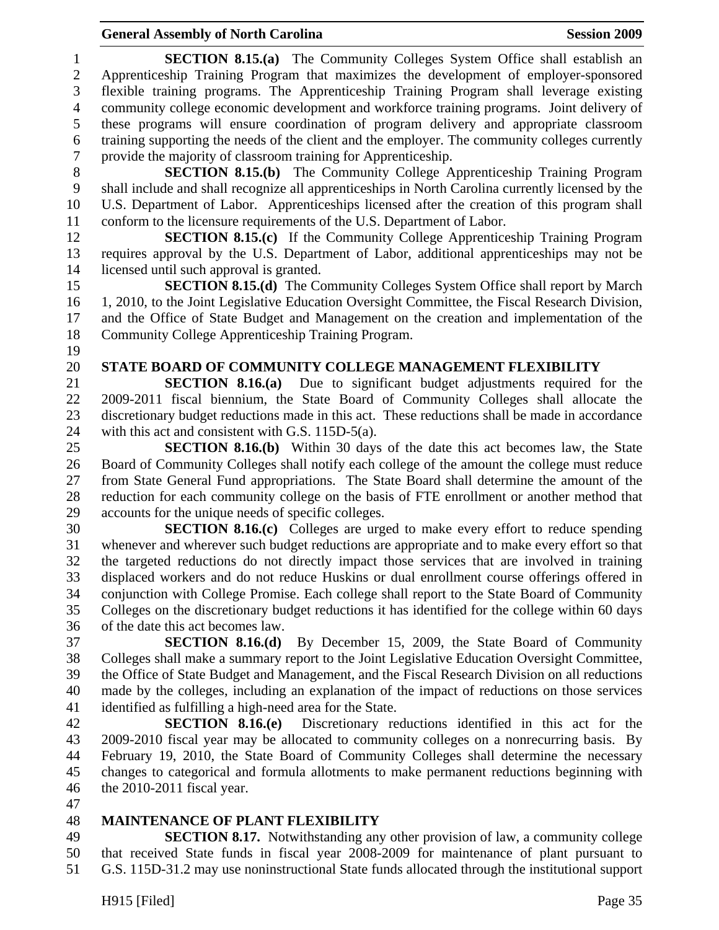1 **SECTION 8.15.(a)** The Community Colleges System Office shall establish an 2 Apprenticeship Training Program that maximizes the development of employer-sponsored 3 flexible training programs. The Apprenticeship Training Program shall leverage existing 4 community college economic development and workforce training programs. Joint delivery of 5 these programs will ensure coordination of program delivery and appropriate classroom 6 training supporting the needs of the client and the employer. The community colleges currently 7 provide the majority of classroom training for Apprenticeship. 8 **SECTION 8.15.(b)** The Community College Apprenticeship Training Program 9 shall include and shall recognize all apprenticeships in North Carolina currently licensed by the 10 U.S. Department of Labor. Apprenticeships licensed after the creation of this program shall 11 conform to the licensure requirements of the U.S. Department of Labor. 12 **SECTION 8.15.(c)** If the Community College Apprenticeship Training Program 13 requires approval by the U.S. Department of Labor, additional apprenticeships may not be 14 licensed until such approval is granted. 15 **SECTION 8.15.(d)** The Community Colleges System Office shall report by March 16 1, 2010, to the Joint Legislative Education Oversight Committee, the Fiscal Research Division, 17 and the Office of State Budget and Management on the creation and implementation of the 18 Community College Apprenticeship Training Program. 19 20 **STATE BOARD OF COMMUNITY COLLEGE MANAGEMENT FLEXIBILITY**  21 **SECTION 8.16.(a)** Due to significant budget adjustments required for the 22 2009-2011 fiscal biennium, the State Board of Community Colleges shall allocate the 23 discretionary budget reductions made in this act. These reductions shall be made in accordance 24 with this act and consistent with G.S. 115D-5(a). 25 **SECTION 8.16.(b)** Within 30 days of the date this act becomes law, the State 26 Board of Community Colleges shall notify each college of the amount the college must reduce 27 from State General Fund appropriations. The State Board shall determine the amount of the 28 reduction for each community college on the basis of FTE enrollment or another method that 29 accounts for the unique needs of specific colleges. 30 **SECTION 8.16.(c)** Colleges are urged to make every effort to reduce spending 31 whenever and wherever such budget reductions are appropriate and to make every effort so that 32 the targeted reductions do not directly impact those services that are involved in training 33 displaced workers and do not reduce Huskins or dual enrollment course offerings offered in 34 conjunction with College Promise. Each college shall report to the State Board of Community 35 Colleges on the discretionary budget reductions it has identified for the college within 60 days 36 of the date this act becomes law. 37 **SECTION 8.16.(d)** By December 15, 2009, the State Board of Community 38 Colleges shall make a summary report to the Joint Legislative Education Oversight Committee, 39 the Office of State Budget and Management, and the Fiscal Research Division on all reductions 40 made by the colleges, including an explanation of the impact of reductions on those services 41 identified as fulfilling a high-need area for the State. 42 **SECTION 8.16.(e)** Discretionary reductions identified in this act for the 43 2009-2010 fiscal year may be allocated to community colleges on a nonrecurring basis. By 44 February 19, 2010, the State Board of Community Colleges shall determine the necessary 45 changes to categorical and formula allotments to make permanent reductions beginning with

- 46 the 2010-2011 fiscal year.
- 47

#### 48 **MAINTENANCE OF PLANT FLEXIBILITY**

49 **SECTION 8.17.** Notwithstanding any other provision of law, a community college 50 that received State funds in fiscal year 2008-2009 for maintenance of plant pursuant to 51 G.S. 115D-31.2 may use noninstructional State funds allocated through the institutional support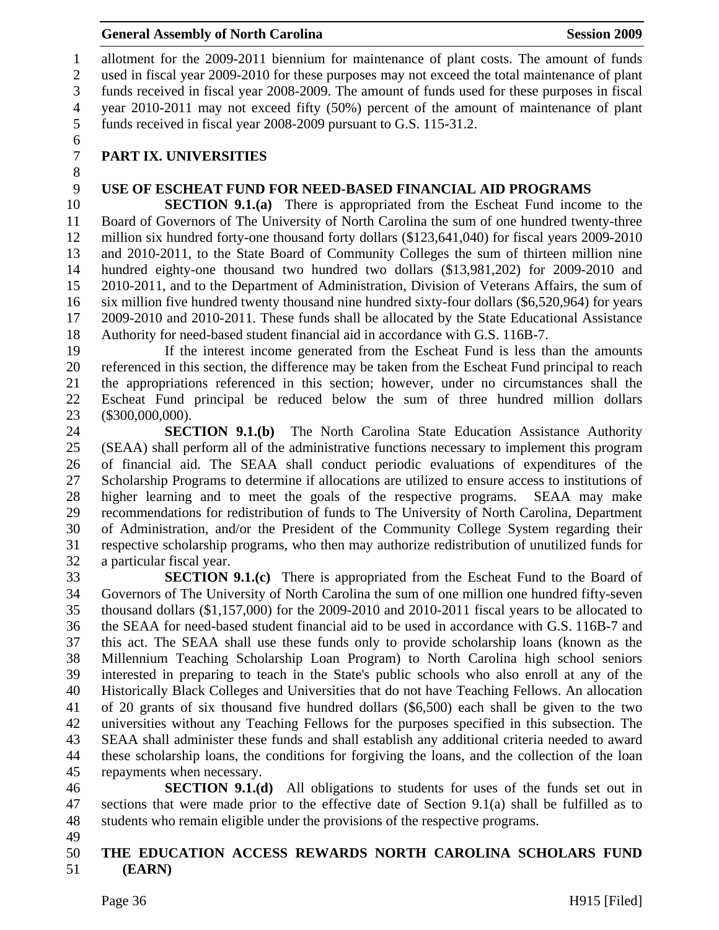1 allotment for the 2009-2011 biennium for maintenance of plant costs. The amount of funds 2 used in fiscal year 2009-2010 for these purposes may not exceed the total maintenance of plant 3 funds received in fiscal year 2008-2009. The amount of funds used for these purposes in fiscal 4 year 2010-2011 may not exceed fifty (50%) percent of the amount of maintenance of plant 5 funds received in fiscal year 2008-2009 pursuant to G.S. 115-31.2.

6

8

# 7 **PART IX. UNIVERSITIES**

## 9 **USE OF ESCHEAT FUND FOR NEED-BASED FINANCIAL AID PROGRAMS**

10 **SECTION 9.1.(a)** There is appropriated from the Escheat Fund income to the 11 Board of Governors of The University of North Carolina the sum of one hundred twenty-three 12 million six hundred forty-one thousand forty dollars (\$123,641,040) for fiscal years 2009-2010 13 and 2010-2011, to the State Board of Community Colleges the sum of thirteen million nine 14 hundred eighty-one thousand two hundred two dollars (\$13,981,202) for 2009-2010 and 15 2010-2011, and to the Department of Administration, Division of Veterans Affairs, the sum of 16 six million five hundred twenty thousand nine hundred sixty-four dollars (\$6,520,964) for years 17 2009-2010 and 2010-2011. These funds shall be allocated by the State Educational Assistance 18 Authority for need-based student financial aid in accordance with G.S. 116B-7.

19 If the interest income generated from the Escheat Fund is less than the amounts 20 referenced in this section, the difference may be taken from the Escheat Fund principal to reach 21 the appropriations referenced in this section; however, under no circumstances shall the 22 Escheat Fund principal be reduced below the sum of three hundred million dollars 23 (\$300,000,000).

24 **SECTION 9.1.(b)** The North Carolina State Education Assistance Authority 25 (SEAA) shall perform all of the administrative functions necessary to implement this program 26 of financial aid. The SEAA shall conduct periodic evaluations of expenditures of the 27 Scholarship Programs to determine if allocations are utilized to ensure access to institutions of 28 higher learning and to meet the goals of the respective programs. SEAA may make 29 recommendations for redistribution of funds to The University of North Carolina, Department 30 of Administration, and/or the President of the Community College System regarding their 31 respective scholarship programs, who then may authorize redistribution of unutilized funds for 32 a particular fiscal year.

**SECTION 9.1.(c)** There is appropriated from the Escheat Fund to the Board of 34 Governors of The University of North Carolina the sum of one million one hundred fifty-seven 35 thousand dollars (\$1,157,000) for the 2009-2010 and 2010-2011 fiscal years to be allocated to 36 the SEAA for need-based student financial aid to be used in accordance with G.S. 116B-7 and 37 this act. The SEAA shall use these funds only to provide scholarship loans (known as the 38 Millennium Teaching Scholarship Loan Program) to North Carolina high school seniors 39 interested in preparing to teach in the State's public schools who also enroll at any of the 40 Historically Black Colleges and Universities that do not have Teaching Fellows. An allocation 41 of 20 grants of six thousand five hundred dollars (\$6,500) each shall be given to the two 42 universities without any Teaching Fellows for the purposes specified in this subsection. The 43 SEAA shall administer these funds and shall establish any additional criteria needed to award 44 these scholarship loans, the conditions for forgiving the loans, and the collection of the loan 45 repayments when necessary.

46 **SECTION 9.1.(d)** All obligations to students for uses of the funds set out in 47 sections that were made prior to the effective date of Section 9.1(a) shall be fulfilled as to 48 students who remain eligible under the provisions of the respective programs.

49

#### 50 **THE EDUCATION ACCESS REWARDS NORTH CAROLINA SCHOLARS FUND**  51 **(EARN)**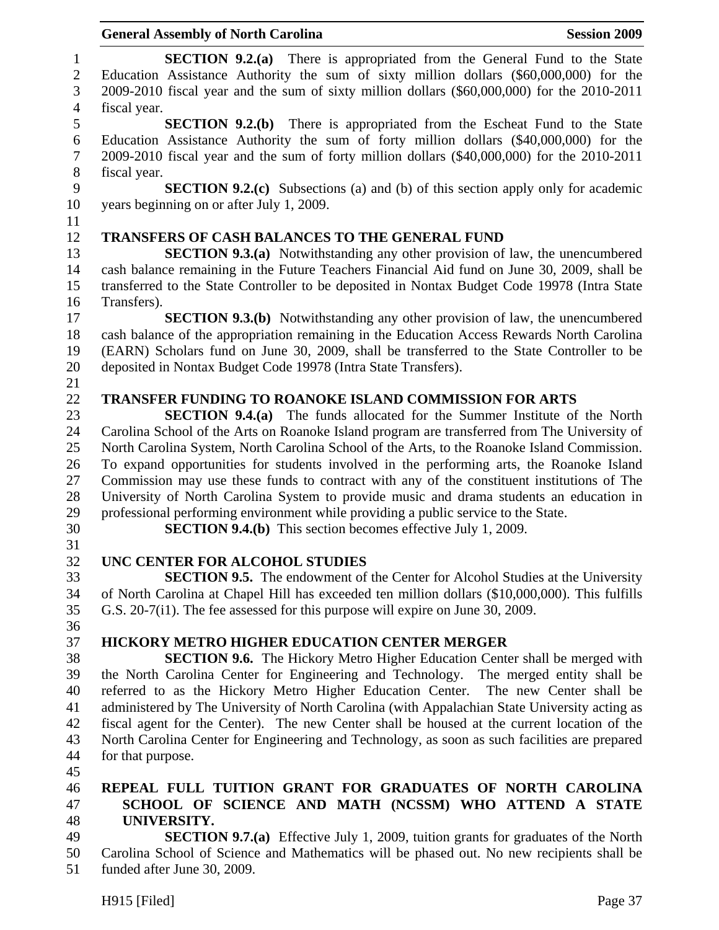|                              | <b>General Assembly of North Carolina</b><br><b>Session 2009</b>                                                                                                                                                                                                         |
|------------------------------|--------------------------------------------------------------------------------------------------------------------------------------------------------------------------------------------------------------------------------------------------------------------------|
| $\mathbf{1}$<br>$\mathbf{2}$ | <b>SECTION 9.2.(a)</b> There is appropriated from the General Fund to the State<br>Education Assistance Authority the sum of sixty million dollars (\$60,000,000) for the                                                                                                |
| 3                            | 2009-2010 fiscal year and the sum of sixty million dollars (\$60,000,000) for the 2010-2011                                                                                                                                                                              |
| $\overline{4}$               | fiscal year.                                                                                                                                                                                                                                                             |
| 5<br>6<br>$\tau$             | <b>SECTION 9.2.(b)</b> There is appropriated from the Escheat Fund to the State<br>Education Assistance Authority the sum of forty million dollars (\$40,000,000) for the<br>2009-2010 fiscal year and the sum of forty million dollars (\$40,000,000) for the 2010-2011 |
| 8                            | fiscal year.                                                                                                                                                                                                                                                             |
| 9                            | <b>SECTION 9.2.(c)</b> Subsections (a) and (b) of this section apply only for academic                                                                                                                                                                                   |
| 10                           | years beginning on or after July 1, 2009.                                                                                                                                                                                                                                |
| 11                           |                                                                                                                                                                                                                                                                          |
| 12                           | <b>TRANSFERS OF CASH BALANCES TO THE GENERAL FUND</b>                                                                                                                                                                                                                    |
| 13<br>14                     | <b>SECTION 9.3.(a)</b> Notwithstanding any other provision of law, the unencumbered<br>cash balance remaining in the Future Teachers Financial Aid fund on June 30, 2009, shall be                                                                                       |
| 15                           | transferred to the State Controller to be deposited in Nontax Budget Code 19978 (Intra State                                                                                                                                                                             |
| 16                           | Transfers).                                                                                                                                                                                                                                                              |
| 17                           | <b>SECTION 9.3.(b)</b> Notwithstanding any other provision of law, the unencumbered                                                                                                                                                                                      |
| 18<br>19                     | cash balance of the appropriation remaining in the Education Access Rewards North Carolina<br>(EARN) Scholars fund on June 30, 2009, shall be transferred to the State Controller to be                                                                                  |
| 20                           | deposited in Nontax Budget Code 19978 (Intra State Transfers).                                                                                                                                                                                                           |
| 21                           |                                                                                                                                                                                                                                                                          |
| 22                           | <b>TRANSFER FUNDING TO ROANOKE ISLAND COMMISSION FOR ARTS</b>                                                                                                                                                                                                            |
| 23                           | <b>SECTION 9.4.(a)</b> The funds allocated for the Summer Institute of the North                                                                                                                                                                                         |
| 24                           | Carolina School of the Arts on Roanoke Island program are transferred from The University of                                                                                                                                                                             |
| 25                           | North Carolina System, North Carolina School of the Arts, to the Roanoke Island Commission.                                                                                                                                                                              |
| 26                           | To expand opportunities for students involved in the performing arts, the Roanoke Island                                                                                                                                                                                 |
| 27                           | Commission may use these funds to contract with any of the constituent institutions of The                                                                                                                                                                               |
| 28                           | University of North Carolina System to provide music and drama students an education in                                                                                                                                                                                  |
| 29                           | professional performing environment while providing a public service to the State.                                                                                                                                                                                       |
| 30                           | <b>SECTION 9.4.(b)</b> This section becomes effective July 1, 2009.                                                                                                                                                                                                      |
| 31                           |                                                                                                                                                                                                                                                                          |
| 32                           | UNC CENTER FOR ALCOHOL STUDIES                                                                                                                                                                                                                                           |
| 33                           | <b>SECTION 9.5.</b> The endowment of the Center for Alcohol Studies at the University                                                                                                                                                                                    |
| 34                           | of North Carolina at Chapel Hill has exceeded ten million dollars (\$10,000,000). This fulfills                                                                                                                                                                          |
| 35                           | G.S. 20-7(i1). The fee assessed for this purpose will expire on June 30, 2009.                                                                                                                                                                                           |
| 36                           |                                                                                                                                                                                                                                                                          |
| 37                           | <b>HICKORY METRO HIGHER EDUCATION CENTER MERGER</b>                                                                                                                                                                                                                      |
| 38                           | <b>SECTION 9.6.</b> The Hickory Metro Higher Education Center shall be merged with                                                                                                                                                                                       |
| 39                           | the North Carolina Center for Engineering and Technology. The merged entity shall be                                                                                                                                                                                     |
| 40                           | referred to as the Hickory Metro Higher Education Center. The new Center shall be                                                                                                                                                                                        |
| 41                           | administered by The University of North Carolina (with Appalachian State University acting as                                                                                                                                                                            |
| 42                           | fiscal agent for the Center). The new Center shall be housed at the current location of the                                                                                                                                                                              |
| 43                           | North Carolina Center for Engineering and Technology, as soon as such facilities are prepared                                                                                                                                                                            |
| 44                           | for that purpose.                                                                                                                                                                                                                                                        |
| 45                           |                                                                                                                                                                                                                                                                          |
| 46                           | REPEAL FULL TUITION GRANT FOR GRADUATES OF NORTH CAROLINA                                                                                                                                                                                                                |
| 47                           | SCHOOL OF SCIENCE AND MATH (NCSSM) WHO ATTEND A STATE                                                                                                                                                                                                                    |
| 48                           | UNIVERSITY.                                                                                                                                                                                                                                                              |
| 49                           | <b>SECTION 9.7.(a)</b> Effective July 1, 2009, tuition grants for graduates of the North                                                                                                                                                                                 |
| 50<br>51                     | Carolina School of Science and Mathematics will be phased out. No new recipients shall be<br>funded after June 30, 2009.                                                                                                                                                 |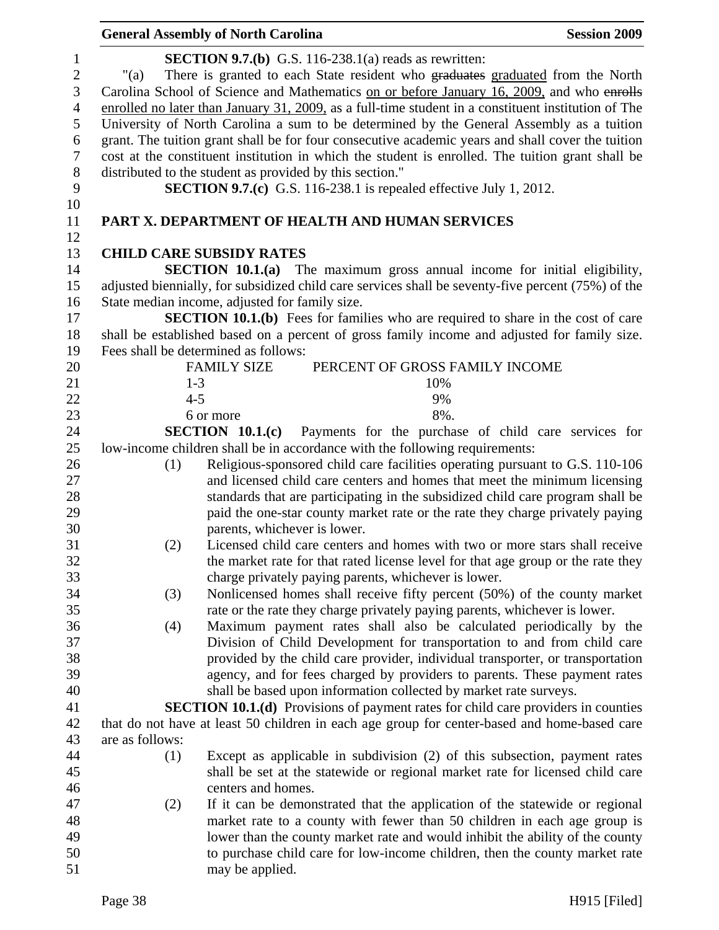|                                                                                    | <b>General Assembly of North Carolina</b>                |                                                                                                                                                                                                                                                                                                                                                                                                                                                                                                                                                                                                                                                         | <b>Session 2009</b> |
|------------------------------------------------------------------------------------|----------------------------------------------------------|---------------------------------------------------------------------------------------------------------------------------------------------------------------------------------------------------------------------------------------------------------------------------------------------------------------------------------------------------------------------------------------------------------------------------------------------------------------------------------------------------------------------------------------------------------------------------------------------------------------------------------------------------------|---------------------|
| $\mathbf{1}$<br>$\sqrt{2}$<br>$\mathfrak{Z}$<br>$\overline{4}$<br>5<br>6<br>$\tau$ | "(a)                                                     | <b>SECTION 9.7.(b)</b> G.S. 116-238.1(a) reads as rewritten:<br>There is granted to each State resident who graduates graduated from the North<br>Carolina School of Science and Mathematics on or before January 16, 2009, and who enrolls<br>enrolled no later than January 31, 2009, as a full-time student in a constituent institution of The<br>University of North Carolina a sum to be determined by the General Assembly as a tuition<br>grant. The tuition grant shall be for four consecutive academic years and shall cover the tuition<br>cost at the constituent institution in which the student is enrolled. The tuition grant shall be |                     |
| $8\,$                                                                              | distributed to the student as provided by this section." |                                                                                                                                                                                                                                                                                                                                                                                                                                                                                                                                                                                                                                                         |                     |
| 9                                                                                  |                                                          | <b>SECTION 9.7.(c)</b> G.S. 116-238.1 is repealed effective July 1, 2012.                                                                                                                                                                                                                                                                                                                                                                                                                                                                                                                                                                               |                     |
| 10                                                                                 |                                                          |                                                                                                                                                                                                                                                                                                                                                                                                                                                                                                                                                                                                                                                         |                     |
| 11<br>12                                                                           |                                                          | PART X. DEPARTMENT OF HEALTH AND HUMAN SERVICES                                                                                                                                                                                                                                                                                                                                                                                                                                                                                                                                                                                                         |                     |
| 13                                                                                 | <b>CHILD CARE SUBSIDY RATES</b>                          |                                                                                                                                                                                                                                                                                                                                                                                                                                                                                                                                                                                                                                                         |                     |
| 14                                                                                 |                                                          | <b>SECTION 10.1.(a)</b> The maximum gross annual income for initial eligibility,                                                                                                                                                                                                                                                                                                                                                                                                                                                                                                                                                                        |                     |
| 15                                                                                 |                                                          | adjusted biennially, for subsidized child care services shall be seventy-five percent (75%) of the                                                                                                                                                                                                                                                                                                                                                                                                                                                                                                                                                      |                     |
| 16                                                                                 | State median income, adjusted for family size.           |                                                                                                                                                                                                                                                                                                                                                                                                                                                                                                                                                                                                                                                         |                     |
| 17                                                                                 |                                                          | <b>SECTION 10.1.(b)</b> Fees for families who are required to share in the cost of care                                                                                                                                                                                                                                                                                                                                                                                                                                                                                                                                                                 |                     |
| 18                                                                                 |                                                          | shall be established based on a percent of gross family income and adjusted for family size.                                                                                                                                                                                                                                                                                                                                                                                                                                                                                                                                                            |                     |
| 19                                                                                 | Fees shall be determined as follows:                     |                                                                                                                                                                                                                                                                                                                                                                                                                                                                                                                                                                                                                                                         |                     |
| 20                                                                                 | <b>FAMILY SIZE</b>                                       | PERCENT OF GROSS FAMILY INCOME                                                                                                                                                                                                                                                                                                                                                                                                                                                                                                                                                                                                                          |                     |
| 21                                                                                 | $1 - 3$                                                  | 10%                                                                                                                                                                                                                                                                                                                                                                                                                                                                                                                                                                                                                                                     |                     |
| 22                                                                                 | $4 - 5$                                                  | 9%                                                                                                                                                                                                                                                                                                                                                                                                                                                                                                                                                                                                                                                      |                     |
| 23                                                                                 | 6 or more                                                | 8%.                                                                                                                                                                                                                                                                                                                                                                                                                                                                                                                                                                                                                                                     |                     |
| 24                                                                                 | SECTION 10.1(c)                                          | Payments for the purchase of child care services for                                                                                                                                                                                                                                                                                                                                                                                                                                                                                                                                                                                                    |                     |
| 25                                                                                 |                                                          | low-income children shall be in accordance with the following requirements:                                                                                                                                                                                                                                                                                                                                                                                                                                                                                                                                                                             |                     |
| 26                                                                                 | (1)                                                      | Religious-sponsored child care facilities operating pursuant to G.S. 110-106                                                                                                                                                                                                                                                                                                                                                                                                                                                                                                                                                                            |                     |
| 27                                                                                 |                                                          | and licensed child care centers and homes that meet the minimum licensing                                                                                                                                                                                                                                                                                                                                                                                                                                                                                                                                                                               |                     |
| 28                                                                                 |                                                          | standards that are participating in the subsidized child care program shall be                                                                                                                                                                                                                                                                                                                                                                                                                                                                                                                                                                          |                     |
| 29                                                                                 |                                                          | paid the one-star county market rate or the rate they charge privately paying                                                                                                                                                                                                                                                                                                                                                                                                                                                                                                                                                                           |                     |
| 30                                                                                 |                                                          | parents, whichever is lower.                                                                                                                                                                                                                                                                                                                                                                                                                                                                                                                                                                                                                            |                     |
| 31                                                                                 | (2)                                                      | Licensed child care centers and homes with two or more stars shall receive                                                                                                                                                                                                                                                                                                                                                                                                                                                                                                                                                                              |                     |
| 32                                                                                 |                                                          | the market rate for that rated license level for that age group or the rate they                                                                                                                                                                                                                                                                                                                                                                                                                                                                                                                                                                        |                     |
| 33                                                                                 |                                                          | charge privately paying parents, whichever is lower.                                                                                                                                                                                                                                                                                                                                                                                                                                                                                                                                                                                                    |                     |
| 34                                                                                 | (3)                                                      | Nonlicensed homes shall receive fifty percent (50%) of the county market                                                                                                                                                                                                                                                                                                                                                                                                                                                                                                                                                                                |                     |
| 35                                                                                 |                                                          | rate or the rate they charge privately paying parents, whichever is lower.                                                                                                                                                                                                                                                                                                                                                                                                                                                                                                                                                                              |                     |
| 36                                                                                 | (4)                                                      | Maximum payment rates shall also be calculated periodically by the                                                                                                                                                                                                                                                                                                                                                                                                                                                                                                                                                                                      |                     |
| 37                                                                                 |                                                          | Division of Child Development for transportation to and from child care                                                                                                                                                                                                                                                                                                                                                                                                                                                                                                                                                                                 |                     |
| 38                                                                                 |                                                          | provided by the child care provider, individual transporter, or transportation                                                                                                                                                                                                                                                                                                                                                                                                                                                                                                                                                                          |                     |
| 39                                                                                 |                                                          | agency, and for fees charged by providers to parents. These payment rates                                                                                                                                                                                                                                                                                                                                                                                                                                                                                                                                                                               |                     |
| 40                                                                                 |                                                          | shall be based upon information collected by market rate surveys.                                                                                                                                                                                                                                                                                                                                                                                                                                                                                                                                                                                       |                     |
| 41                                                                                 |                                                          | <b>SECTION 10.1.(d)</b> Provisions of payment rates for child care providers in counties                                                                                                                                                                                                                                                                                                                                                                                                                                                                                                                                                                |                     |
| 42                                                                                 |                                                          | that do not have at least 50 children in each age group for center-based and home-based care                                                                                                                                                                                                                                                                                                                                                                                                                                                                                                                                                            |                     |
| 43                                                                                 | are as follows:                                          |                                                                                                                                                                                                                                                                                                                                                                                                                                                                                                                                                                                                                                                         |                     |
| 44                                                                                 | (1)                                                      | Except as applicable in subdivision (2) of this subsection, payment rates                                                                                                                                                                                                                                                                                                                                                                                                                                                                                                                                                                               |                     |
| 45                                                                                 |                                                          | shall be set at the statewide or regional market rate for licensed child care                                                                                                                                                                                                                                                                                                                                                                                                                                                                                                                                                                           |                     |
| 46                                                                                 | centers and homes.                                       |                                                                                                                                                                                                                                                                                                                                                                                                                                                                                                                                                                                                                                                         |                     |
| 47                                                                                 | (2)                                                      | If it can be demonstrated that the application of the statewide or regional                                                                                                                                                                                                                                                                                                                                                                                                                                                                                                                                                                             |                     |
| 48                                                                                 |                                                          | market rate to a county with fewer than 50 children in each age group is                                                                                                                                                                                                                                                                                                                                                                                                                                                                                                                                                                                |                     |
| 49                                                                                 |                                                          | lower than the county market rate and would inhibit the ability of the county                                                                                                                                                                                                                                                                                                                                                                                                                                                                                                                                                                           |                     |
| 50                                                                                 |                                                          | to purchase child care for low-income children, then the county market rate                                                                                                                                                                                                                                                                                                                                                                                                                                                                                                                                                                             |                     |
| 51                                                                                 | may be applied.                                          |                                                                                                                                                                                                                                                                                                                                                                                                                                                                                                                                                                                                                                                         |                     |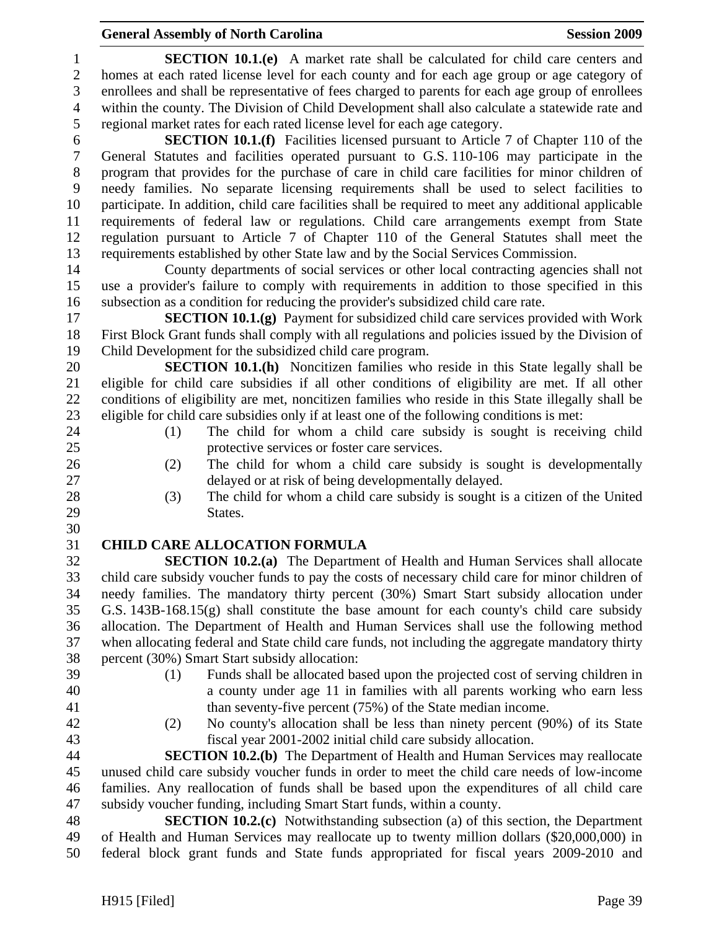# **General Assembly of North Carolina Session 2009 Session 2009**

| $\mathbf{1}$             | <b>SECTION 10.1.(e)</b> A market rate shall be calculated for child care centers and                                                                                                  |
|--------------------------|---------------------------------------------------------------------------------------------------------------------------------------------------------------------------------------|
| $\mathbf{2}$             | homes at each rated license level for each county and for each age group or age category of                                                                                           |
| 3                        | enrollees and shall be representative of fees charged to parents for each age group of enrollees                                                                                      |
| $\overline{\mathcal{A}}$ | within the county. The Division of Child Development shall also calculate a statewide rate and                                                                                        |
| 5                        | regional market rates for each rated license level for each age category.                                                                                                             |
| 6                        | <b>SECTION 10.1.(f)</b> Facilities licensed pursuant to Article 7 of Chapter 110 of the                                                                                               |
| $\boldsymbol{7}$         | General Statutes and facilities operated pursuant to G.S. 110-106 may participate in the                                                                                              |
| $8\,$                    | program that provides for the purchase of care in child care facilities for minor children of                                                                                         |
| 9                        | needy families. No separate licensing requirements shall be used to select facilities to                                                                                              |
| 10                       | participate. In addition, child care facilities shall be required to meet any additional applicable                                                                                   |
| 11                       | requirements of federal law or regulations. Child care arrangements exempt from State                                                                                                 |
| 12                       | regulation pursuant to Article 7 of Chapter 110 of the General Statutes shall meet the                                                                                                |
| 13                       | requirements established by other State law and by the Social Services Commission.                                                                                                    |
| 14                       | County departments of social services or other local contracting agencies shall not                                                                                                   |
| 15                       | use a provider's failure to comply with requirements in addition to those specified in this                                                                                           |
| 16                       | subsection as a condition for reducing the provider's subsidized child care rate.                                                                                                     |
| 17                       | <b>SECTION 10.1.(g)</b> Payment for subsidized child care services provided with Work                                                                                                 |
| 18                       | First Block Grant funds shall comply with all regulations and policies issued by the Division of                                                                                      |
| 19                       | Child Development for the subsidized child care program.                                                                                                                              |
| 20                       | SECTION 10.1.(h) Noncitizen families who reside in this State legally shall be                                                                                                        |
| 21                       | eligible for child care subsidies if all other conditions of eligibility are met. If all other                                                                                        |
| 22                       | conditions of eligibility are met, noncitizen families who reside in this State illegally shall be                                                                                    |
| 23                       | eligible for child care subsidies only if at least one of the following conditions is met:                                                                                            |
| 24                       | The child for whom a child care subsidy is sought is receiving child<br>(1)                                                                                                           |
| 25                       | protective services or foster care services.                                                                                                                                          |
| 26                       | The child for whom a child care subsidy is sought is developmentally<br>(2)                                                                                                           |
| 27                       | delayed or at risk of being developmentally delayed.                                                                                                                                  |
| 28                       | The child for whom a child care subsidy is sought is a citizen of the United<br>(3)                                                                                                   |
| 29                       | States.                                                                                                                                                                               |
| 30                       |                                                                                                                                                                                       |
| 31<br>32                 | <b>CHILD CARE ALLOCATION FORMULA</b>                                                                                                                                                  |
| 33                       | <b>SECTION 10.2.(a)</b> The Department of Health and Human Services shall allocate<br>child care subsidy voucher funds to pay the costs of necessary child care for minor children of |
| 34                       | needy families. The mandatory thirty percent (30%) Smart Start subsidy allocation under                                                                                               |
| 35                       | G.S. $143B-168.15(g)$ shall constitute the base amount for each county's child care subsidy                                                                                           |
| 36                       | allocation. The Department of Health and Human Services shall use the following method                                                                                                |
| 37                       | when allocating federal and State child care funds, not including the aggregate mandatory thirty                                                                                      |
| 38                       | percent (30%) Smart Start subsidy allocation:                                                                                                                                         |
| 39                       | Funds shall be allocated based upon the projected cost of serving children in<br>(1)                                                                                                  |
| 40                       | a county under age 11 in families with all parents working who earn less                                                                                                              |
| 41                       | than seventy-five percent (75%) of the State median income.                                                                                                                           |
| 42                       | No county's allocation shall be less than ninety percent (90%) of its State<br>(2)                                                                                                    |
| 43                       | fiscal year 2001-2002 initial child care subsidy allocation.                                                                                                                          |
| 44                       | <b>SECTION 10.2.(b)</b> The Department of Health and Human Services may reallocate                                                                                                    |
| 45                       | unused child care subsidy voucher funds in order to meet the child care needs of low-income                                                                                           |
| 46                       | families. Any reallocation of funds shall be based upon the expenditures of all child care                                                                                            |
| 47                       | subsidy voucher funding, including Smart Start funds, within a county.                                                                                                                |
| 48                       | <b>SECTION 10.2.(c)</b> Notwithstanding subsection (a) of this section, the Department                                                                                                |
| 49                       | of Health and Human Services may reallocate up to twenty million dollars (\$20,000,000) in                                                                                            |
| 50                       | federal block grant funds and State funds appropriated for fiscal years 2009-2010 and                                                                                                 |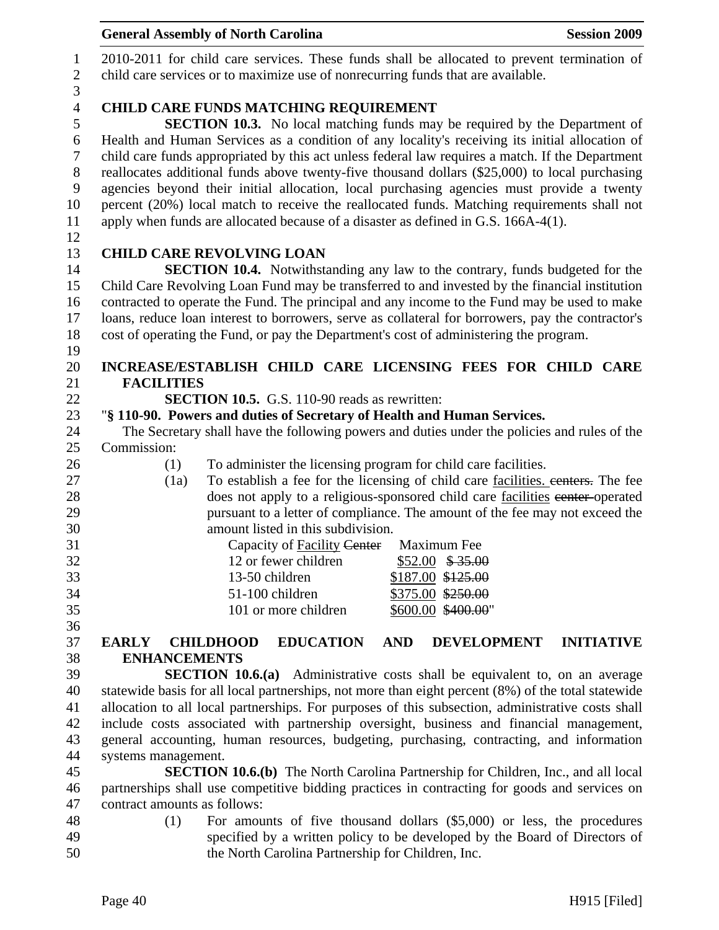|                  | <b>General Assembly of North Carolina</b><br><b>Session 2009</b>                                              |
|------------------|---------------------------------------------------------------------------------------------------------------|
| $\mathbf{1}$     | 2010-2011 for child care services. These funds shall be allocated to prevent termination of                   |
| $\sqrt{2}$       | child care services or to maximize use of nonrecurring funds that are available.                              |
| 3                |                                                                                                               |
| $\overline{4}$   | <b>CHILD CARE FUNDS MATCHING REQUIREMENT</b>                                                                  |
| 5                | <b>SECTION 10.3.</b> No local matching funds may be required by the Department of                             |
| $\sqrt{6}$       | Health and Human Services as a condition of any locality's receiving its initial allocation of                |
| $\overline{7}$   | child care funds appropriated by this act unless federal law requires a match. If the Department              |
| $8\,$            | reallocates additional funds above twenty-five thousand dollars (\$25,000) to local purchasing                |
| $\boldsymbol{9}$ | agencies beyond their initial allocation, local purchasing agencies must provide a twenty                     |
| 10               | percent (20%) local match to receive the reallocated funds. Matching requirements shall not                   |
| 11               | apply when funds are allocated because of a disaster as defined in G.S. 166A-4(1).                            |
| 12               |                                                                                                               |
| 13               | <b>CHILD CARE REVOLVING LOAN</b>                                                                              |
| 14               | <b>SECTION 10.4.</b> Notwithstanding any law to the contrary, funds budgeted for the                          |
| 15               | Child Care Revolving Loan Fund may be transferred to and invested by the financial institution                |
| 16               | contracted to operate the Fund. The principal and any income to the Fund may be used to make                  |
| 17<br>18         | loans, reduce loan interest to borrowers, serve as collateral for borrowers, pay the contractor's             |
| 19               | cost of operating the Fund, or pay the Department's cost of administering the program.                        |
| 20               | INCREASE/ESTABLISH CHILD CARE LICENSING FEES FOR CHILD CARE                                                   |
| 21               | <b>FACILITIES</b>                                                                                             |
| 22               | <b>SECTION 10.5.</b> G.S. 110-90 reads as rewritten:                                                          |
| 23               | "§ 110-90. Powers and duties of Secretary of Health and Human Services.                                       |
| 24               | The Secretary shall have the following powers and duties under the policies and rules of the                  |
| 25               | Commission:                                                                                                   |
| 26               | To administer the licensing program for child care facilities.<br>(1)                                         |
| 27               | To establish a fee for the licensing of child care facilities, centers. The fee<br>(1a)                       |
| 28               | does not apply to a religious-sponsored child care facilities eenter-operated                                 |
| 29               | pursuant to a letter of compliance. The amount of the fee may not exceed the                                  |
| 30               | amount listed in this subdivision.                                                                            |
| 31               | Capacity of Facility Center Maximum Fee                                                                       |
| 32               | 12 or fewer children<br>$$52.00$ \$35.00                                                                      |
| 33               | \$187.00 \$125.00<br>13-50 children                                                                           |
| 34               | 51-100 children<br>\$375.00 \$250.00                                                                          |
| 35               | 101 or more children<br>\$600.00 \$400.00"                                                                    |
| 36<br>37         | <b>EDUCATION</b><br><b>AND</b><br><b>DEVELOPMENT</b><br><b>INITIATIVE</b><br><b>EARLY</b><br><b>CHILDHOOD</b> |
| 38               | <b>ENHANCEMENTS</b>                                                                                           |
| 39               | <b>SECTION 10.6.(a)</b> Administrative costs shall be equivalent to, on an average                            |
| 40               | statewide basis for all local partnerships, not more than eight percent (8%) of the total statewide           |
| 41               | allocation to all local partnerships. For purposes of this subsection, administrative costs shall             |
| 42               | include costs associated with partnership oversight, business and financial management,                       |
| 43               | general accounting, human resources, budgeting, purchasing, contracting, and information                      |
| 44               | systems management.                                                                                           |
| 45               | <b>SECTION 10.6.(b)</b> The North Carolina Partnership for Children, Inc., and all local                      |
| 46               | partnerships shall use competitive bidding practices in contracting for goods and services on                 |
| 47               | contract amounts as follows:                                                                                  |
| 48               | For amounts of five thousand dollars $(\$5,000)$ or less, the procedures<br>(1)                               |
| 49               | specified by a written policy to be developed by the Board of Directors of                                    |
| 50               | the North Carolina Partnership for Children, Inc.                                                             |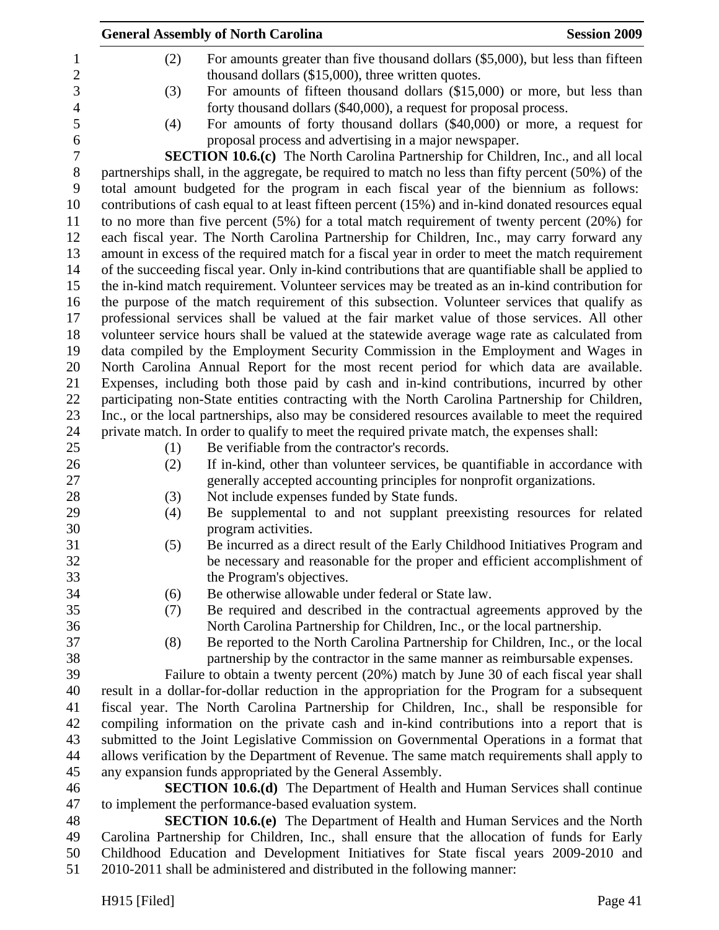|                | <b>Session 2009</b><br><b>General Assembly of North Carolina</b>                                                                                                                           |
|----------------|--------------------------------------------------------------------------------------------------------------------------------------------------------------------------------------------|
| $\mathbf{1}$   | For amounts greater than five thousand dollars (\$5,000), but less than fifteen<br>(2)                                                                                                     |
| $\overline{2}$ | thousand dollars (\$15,000), three written quotes.                                                                                                                                         |
| 3              | For amounts of fifteen thousand dollars (\$15,000) or more, but less than<br>(3)                                                                                                           |
| $\overline{4}$ | forty thousand dollars (\$40,000), a request for proposal process.                                                                                                                         |
|                | For amounts of forty thousand dollars (\$40,000) or more, a request for<br>(4)                                                                                                             |
|                | proposal process and advertising in a major newspaper.                                                                                                                                     |
|                | <b>SECTION 10.6.(c)</b> The North Carolina Partnership for Children, Inc., and all local                                                                                                   |
|                | partnerships shall, in the aggregate, be required to match no less than fifty percent (50%) of the                                                                                         |
|                | total amount budgeted for the program in each fiscal year of the biennium as follows:                                                                                                      |
|                | contributions of cash equal to at least fifteen percent (15%) and in-kind donated resources equal                                                                                          |
|                | to no more than five percent $(5%)$ for a total match requirement of twenty percent $(20%)$ for                                                                                            |
|                | each fiscal year. The North Carolina Partnership for Children, Inc., may carry forward any                                                                                                 |
|                | amount in excess of the required match for a fiscal year in order to meet the match requirement                                                                                            |
|                | of the succeeding fiscal year. Only in-kind contributions that are quantifiable shall be applied to                                                                                        |
|                | the in-kind match requirement. Volunteer services may be treated as an in-kind contribution for                                                                                            |
|                | the purpose of the match requirement of this subsection. Volunteer services that qualify as                                                                                                |
|                | professional services shall be valued at the fair market value of those services. All other                                                                                                |
|                | volunteer service hours shall be valued at the statewide average wage rate as calculated from                                                                                              |
|                | data compiled by the Employment Security Commission in the Employment and Wages in                                                                                                         |
|                | North Carolina Annual Report for the most recent period for which data are available.                                                                                                      |
|                | Expenses, including both those paid by cash and in-kind contributions, incurred by other<br>participating non-State entities contracting with the North Carolina Partnership for Children, |
|                | Inc., or the local partnerships, also may be considered resources available to meet the required                                                                                           |
|                | private match. In order to qualify to meet the required private match, the expenses shall:                                                                                                 |
|                | Be verifiable from the contractor's records.<br>(1)                                                                                                                                        |
|                | If in-kind, other than volunteer services, be quantifiable in accordance with<br>(2)                                                                                                       |
|                | generally accepted accounting principles for nonprofit organizations.                                                                                                                      |
|                | Not include expenses funded by State funds.<br>(3)                                                                                                                                         |
|                | Be supplemental to and not supplant preexisting resources for related<br>(4)                                                                                                               |
|                | program activities.                                                                                                                                                                        |
|                | Be incurred as a direct result of the Early Childhood Initiatives Program and<br>(5)                                                                                                       |
|                | be necessary and reasonable for the proper and efficient accomplishment of                                                                                                                 |
|                | the Program's objectives.                                                                                                                                                                  |
|                | Be otherwise allowable under federal or State law.<br>(6)                                                                                                                                  |
|                | Be required and described in the contractual agreements approved by the<br>(7)                                                                                                             |
|                | North Carolina Partnership for Children, Inc., or the local partnership.                                                                                                                   |
|                | (8)<br>Be reported to the North Carolina Partnership for Children, Inc., or the local                                                                                                      |
|                | partnership by the contractor in the same manner as reimbursable expenses.                                                                                                                 |
|                | Failure to obtain a twenty percent (20%) match by June 30 of each fiscal year shall                                                                                                        |
|                | result in a dollar-for-dollar reduction in the appropriation for the Program for a subsequent                                                                                              |
|                | fiscal year. The North Carolina Partnership for Children, Inc., shall be responsible for<br>compiling information on the private cash and in-kind contributions into a report that is      |
|                | submitted to the Joint Legislative Commission on Governmental Operations in a format that                                                                                                  |
|                | allows verification by the Department of Revenue. The same match requirements shall apply to                                                                                               |
|                | any expansion funds appropriated by the General Assembly.                                                                                                                                  |
|                | <b>SECTION 10.6.(d)</b> The Department of Health and Human Services shall continue                                                                                                         |
|                | to implement the performance-based evaluation system.                                                                                                                                      |
|                | <b>SECTION 10.6.(e)</b> The Department of Health and Human Services and the North                                                                                                          |
|                | Carolina Partnership for Children, Inc., shall ensure that the allocation of funds for Early                                                                                               |
|                | Childhood Education and Development Initiatives for State fiscal years 2009-2010 and                                                                                                       |

51 2010-2011 shall be administered and distributed in the following manner: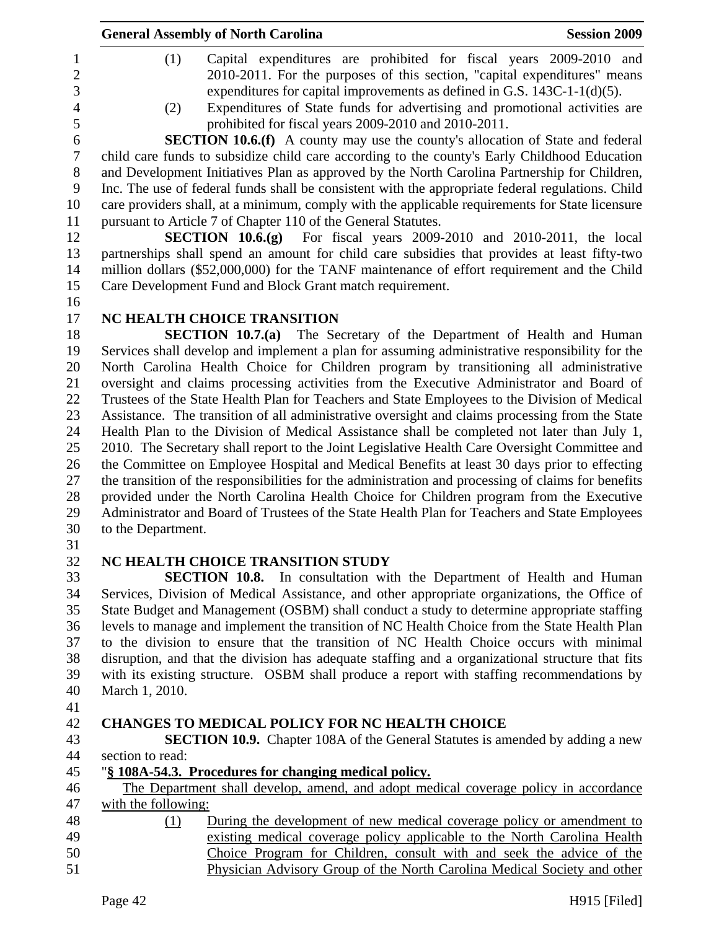| <b>General Assembly of North Carolina</b>                                                                                                                                                                                                                                                                                                                                                                                                        | <b>Session 2009</b> |
|--------------------------------------------------------------------------------------------------------------------------------------------------------------------------------------------------------------------------------------------------------------------------------------------------------------------------------------------------------------------------------------------------------------------------------------------------|---------------------|
| (1)<br>Capital expenditures are prohibited for fiscal years 2009-2010 and<br>$\mathbf{1}$<br>$\overline{2}$<br>2010-2011. For the purposes of this section, "capital expenditures" means<br>3<br>expenditures for capital improvements as defined in G.S. $143C-1-1(d)(5)$ .<br>Expenditures of State funds for advertising and promotional activities are<br>$\overline{4}$<br>(2)<br>5<br>prohibited for fiscal years 2009-2010 and 2010-2011. |                     |
| <b>SECTION 10.6.(f)</b> A county may use the county's allocation of State and federal<br>6<br>$\boldsymbol{7}$                                                                                                                                                                                                                                                                                                                                   |                     |
| child care funds to subsidize child care according to the county's Early Childhood Education<br>8<br>and Development Initiatives Plan as approved by the North Carolina Partnership for Children,                                                                                                                                                                                                                                                |                     |
| 9<br>Inc. The use of federal funds shall be consistent with the appropriate federal regulations. Child                                                                                                                                                                                                                                                                                                                                           |                     |
| care providers shall, at a minimum, comply with the applicable requirements for State licensure<br>10                                                                                                                                                                                                                                                                                                                                            |                     |
| pursuant to Article 7 of Chapter 110 of the General Statutes.<br>11                                                                                                                                                                                                                                                                                                                                                                              |                     |
| <b>SECTION 10.6.(g)</b> For fiscal years $2009-2010$ and $2010-2011$ , the local<br>12                                                                                                                                                                                                                                                                                                                                                           |                     |
| 13<br>partnerships shall spend an amount for child care subsidies that provides at least fifty-two                                                                                                                                                                                                                                                                                                                                               |                     |
| million dollars (\$52,000,000) for the TANF maintenance of effort requirement and the Child<br>14                                                                                                                                                                                                                                                                                                                                                |                     |
| 15<br>Care Development Fund and Block Grant match requirement.<br>16                                                                                                                                                                                                                                                                                                                                                                             |                     |
| NC HEALTH CHOICE TRANSITION<br>17                                                                                                                                                                                                                                                                                                                                                                                                                |                     |
| 18<br>SECTION 10.7.(a) The Secretary of the Department of Health and Human                                                                                                                                                                                                                                                                                                                                                                       |                     |
| Services shall develop and implement a plan for assuming administrative responsibility for the<br>19                                                                                                                                                                                                                                                                                                                                             |                     |
| North Carolina Health Choice for Children program by transitioning all administrative<br>20                                                                                                                                                                                                                                                                                                                                                      |                     |
| 21<br>oversight and claims processing activities from the Executive Administrator and Board of                                                                                                                                                                                                                                                                                                                                                   |                     |
| 22<br>Trustees of the State Health Plan for Teachers and State Employees to the Division of Medical                                                                                                                                                                                                                                                                                                                                              |                     |
| 23<br>Assistance. The transition of all administrative oversight and claims processing from the State                                                                                                                                                                                                                                                                                                                                            |                     |
| 24<br>Health Plan to the Division of Medical Assistance shall be completed not later than July 1,<br>2010. The Secretary shall report to the Joint Legislative Health Care Oversight Committee and                                                                                                                                                                                                                                               |                     |
| 25<br>the Committee on Employee Hospital and Medical Benefits at least 30 days prior to effecting<br>26                                                                                                                                                                                                                                                                                                                                          |                     |
| 27<br>the transition of the responsibilities for the administration and processing of claims for benefits                                                                                                                                                                                                                                                                                                                                        |                     |
| 28<br>provided under the North Carolina Health Choice for Children program from the Executive                                                                                                                                                                                                                                                                                                                                                    |                     |
| 29<br>Administrator and Board of Trustees of the State Health Plan for Teachers and State Employees                                                                                                                                                                                                                                                                                                                                              |                     |
| 30<br>to the Department.                                                                                                                                                                                                                                                                                                                                                                                                                         |                     |
| 31<br>32<br>NC HEALTH CHOICE TRANSITION STUDY                                                                                                                                                                                                                                                                                                                                                                                                    |                     |
| 33<br><b>SECTION 10.8.</b> In consultation with the Department of Health and Human                                                                                                                                                                                                                                                                                                                                                               |                     |
| Services, Division of Medical Assistance, and other appropriate organizations, the Office of<br>34                                                                                                                                                                                                                                                                                                                                               |                     |
| State Budget and Management (OSBM) shall conduct a study to determine appropriate staffing<br>35                                                                                                                                                                                                                                                                                                                                                 |                     |
| levels to manage and implement the transition of NC Health Choice from the State Health Plan<br>36                                                                                                                                                                                                                                                                                                                                               |                     |
| 37<br>to the division to ensure that the transition of NC Health Choice occurs with minimal                                                                                                                                                                                                                                                                                                                                                      |                     |
| 38<br>disruption, and that the division has adequate staffing and a organizational structure that fits                                                                                                                                                                                                                                                                                                                                           |                     |
| 39<br>with its existing structure. OSBM shall produce a report with staffing recommendations by                                                                                                                                                                                                                                                                                                                                                  |                     |
| 40<br>March 1, 2010.<br>41                                                                                                                                                                                                                                                                                                                                                                                                                       |                     |
| 42<br><b>CHANGES TO MEDICAL POLICY FOR NC HEALTH CHOICE</b>                                                                                                                                                                                                                                                                                                                                                                                      |                     |
| 43<br><b>SECTION 10.9.</b> Chapter 108A of the General Statutes is amended by adding a new                                                                                                                                                                                                                                                                                                                                                       |                     |
| 44<br>section to read:                                                                                                                                                                                                                                                                                                                                                                                                                           |                     |
| 45<br>"§ 108A-54.3. Procedures for changing medical policy.                                                                                                                                                                                                                                                                                                                                                                                      |                     |
| The Department shall develop, amend, and adopt medical coverage policy in accordance<br>46                                                                                                                                                                                                                                                                                                                                                       |                     |
| 47<br>with the following:<br>48                                                                                                                                                                                                                                                                                                                                                                                                                  |                     |
| During the development of new medical coverage policy or amendment to<br>(1)                                                                                                                                                                                                                                                                                                                                                                     |                     |
| existing medical coverage policy applicable to the North Carolina Health<br>Choice Program for Children, consult with and seek the advice of the                                                                                                                                                                                                                                                                                                 |                     |
| Physician Advisory Group of the North Carolina Medical Society and other                                                                                                                                                                                                                                                                                                                                                                         |                     |
| Page 42                                                                                                                                                                                                                                                                                                                                                                                                                                          | H915 [Filed]        |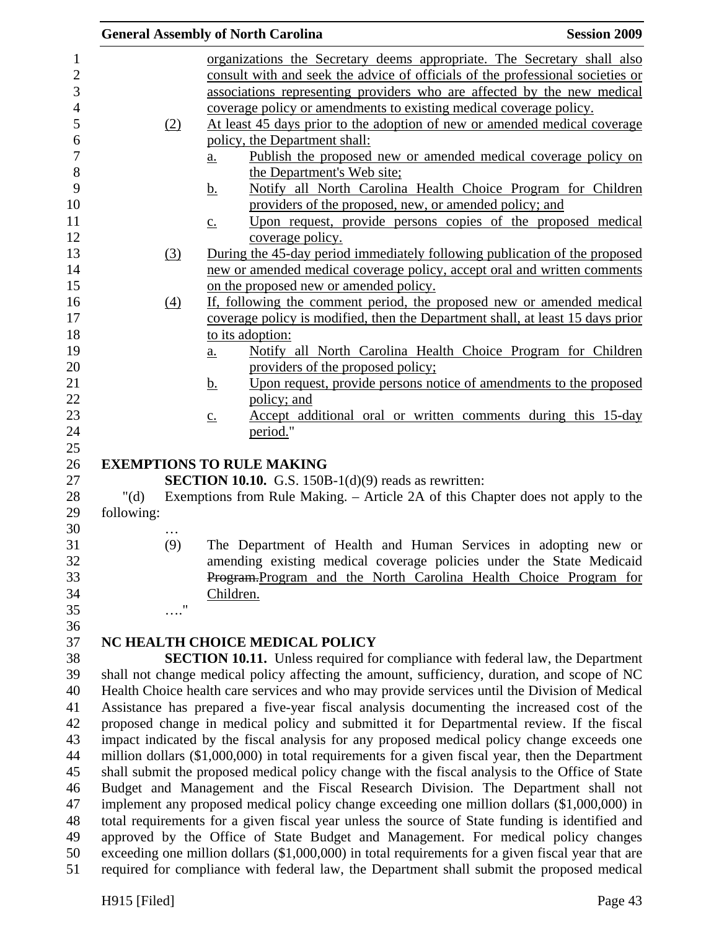|                                                                                                 |                   | <b>General Assembly of North Carolina</b>                                                                            | <b>Session 2009</b> |
|-------------------------------------------------------------------------------------------------|-------------------|----------------------------------------------------------------------------------------------------------------------|---------------------|
|                                                                                                 |                   | organizations the Secretary deems appropriate. The Secretary shall also                                              |                     |
|                                                                                                 |                   | consult with and seek the advice of officials of the professional societies or                                       |                     |
|                                                                                                 |                   | associations representing providers who are affected by the new medical                                              |                     |
|                                                                                                 |                   | coverage policy or amendments to existing medical coverage policy.                                                   |                     |
|                                                                                                 | (2)               | At least 45 days prior to the adoption of new or amended medical coverage                                            |                     |
|                                                                                                 |                   | policy, the Department shall:                                                                                        |                     |
|                                                                                                 |                   | Publish the proposed new or amended medical coverage policy on<br>a.                                                 |                     |
|                                                                                                 |                   | the Department's Web site;                                                                                           |                     |
|                                                                                                 |                   | Notify all North Carolina Health Choice Program for Children<br><u>b.</u>                                            |                     |
|                                                                                                 |                   | providers of the proposed, new, or amended policy; and                                                               |                     |
|                                                                                                 |                   | Upon request, provide persons copies of the proposed medical<br>$\underline{c}$ .                                    |                     |
|                                                                                                 |                   | coverage policy.                                                                                                     |                     |
|                                                                                                 | (3)               | During the 45-day period immediately following publication of the proposed                                           |                     |
|                                                                                                 |                   | new or amended medical coverage policy, accept oral and written comments                                             |                     |
|                                                                                                 |                   | on the proposed new or amended policy.                                                                               |                     |
|                                                                                                 | $\underline{(4)}$ | If, following the comment period, the proposed new or amended medical                                                |                     |
|                                                                                                 |                   | coverage policy is modified, then the Department shall, at least 15 days prior                                       |                     |
|                                                                                                 |                   | to its adoption:                                                                                                     |                     |
|                                                                                                 |                   | Notify all North Carolina Health Choice Program for Children<br>$\underline{a}$ .                                    |                     |
|                                                                                                 |                   | providers of the proposed policy;<br>Upon request, provide persons notice of amendments to the proposed<br><u>b.</u> |                     |
|                                                                                                 |                   | policy; and                                                                                                          |                     |
|                                                                                                 |                   | Accept additional oral or written comments during this 15-day<br>$\underline{c}$ .                                   |                     |
|                                                                                                 |                   | period."                                                                                                             |                     |
|                                                                                                 |                   |                                                                                                                      |                     |
|                                                                                                 |                   | <b>EXEMPTIONS TO RULE MAKING</b>                                                                                     |                     |
|                                                                                                 |                   | <b>SECTION 10.10.</b> G.S. 150B-1 $(d)(9)$ reads as rewritten:                                                       |                     |
| " $(d)$                                                                                         |                   | Exemptions from Rule Making. – Article 2A of this Chapter does not apply to the                                      |                     |
| following:                                                                                      |                   |                                                                                                                      |                     |
|                                                                                                 | $\cdots$          |                                                                                                                      |                     |
|                                                                                                 | (9)               | The Department of Health and Human Services in adopting new or                                                       |                     |
|                                                                                                 |                   | amending existing medical coverage policies under the State Medicaid                                                 |                     |
|                                                                                                 |                   | Program-Program and the North Carolina Health Choice Program for                                                     |                     |
|                                                                                                 | 11                | Children.                                                                                                            |                     |
|                                                                                                 |                   |                                                                                                                      |                     |
|                                                                                                 |                   | NC HEALTH CHOICE MEDICAL POLICY                                                                                      |                     |
|                                                                                                 |                   | <b>SECTION 10.11.</b> Unless required for compliance with federal law, the Department                                |                     |
|                                                                                                 |                   | shall not change medical policy affecting the amount, sufficiency, duration, and scope of NC                         |                     |
|                                                                                                 |                   | Health Choice health care services and who may provide services until the Division of Medical                        |                     |
|                                                                                                 |                   | Assistance has prepared a five-year fiscal analysis documenting the increased cost of the                            |                     |
|                                                                                                 |                   | proposed change in medical policy and submitted it for Departmental review. If the fiscal                            |                     |
|                                                                                                 |                   | impact indicated by the fiscal analysis for any proposed medical policy change exceeds one                           |                     |
|                                                                                                 |                   | million dollars (\$1,000,000) in total requirements for a given fiscal year, then the Department                     |                     |
| shall submit the proposed medical policy change with the fiscal analysis to the Office of State |                   |                                                                                                                      |                     |
|                                                                                                 |                   | Budget and Management and the Fiscal Research Division. The Department shall not                                     |                     |
|                                                                                                 |                   | implement any proposed medical policy change exceeding one million dollars (\$1,000,000) in                          |                     |
| total requirements for a given fiscal year unless the source of State funding is identified and |                   |                                                                                                                      |                     |
|                                                                                                 |                   | approved by the Office of State Budget and Management. For medical policy changes                                    |                     |
|                                                                                                 |                   | exceeding one million dollars (\$1,000,000) in total requirements for a given fiscal year that are                   |                     |
|                                                                                                 |                   | required for compliance with federal law, the Department shall submit the proposed medical                           |                     |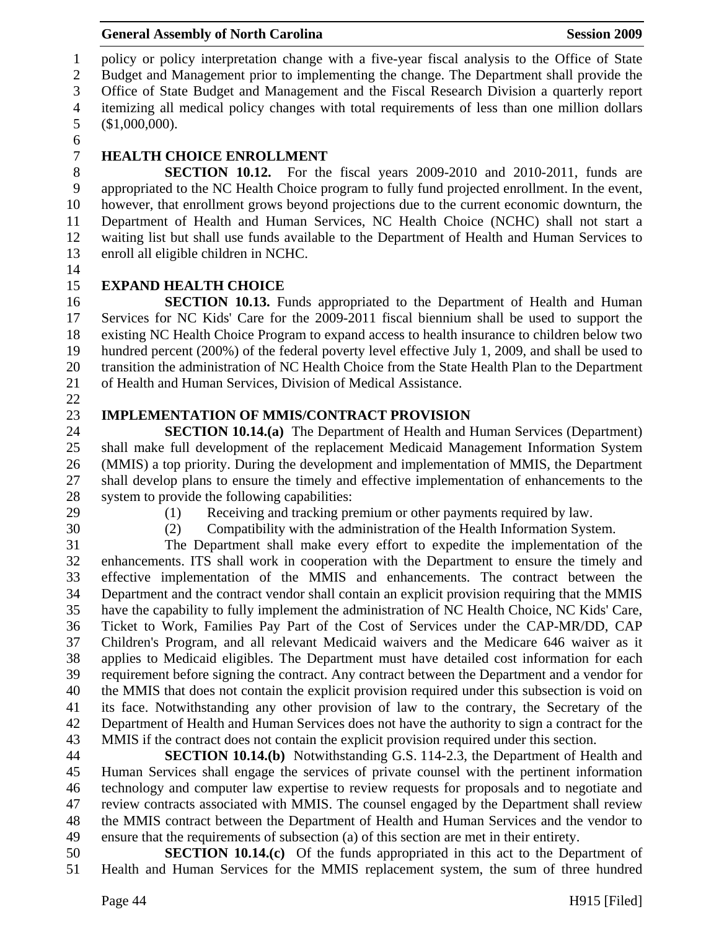1 policy or policy interpretation change with a five-year fiscal analysis to the Office of State 2 Budget and Management prior to implementing the change. The Department shall provide the 3 Office of State Budget and Management and the Fiscal Research Division a quarterly report 4 itemizing all medical policy changes with total requirements of less than one million dollars 5 (\$1,000,000).

6

## 7 **HEALTH CHOICE ENROLLMENT**

8 **SECTION 10.12.** For the fiscal years 2009-2010 and 2010-2011, funds are 9 appropriated to the NC Health Choice program to fully fund projected enrollment. In the event, 10 however, that enrollment grows beyond projections due to the current economic downturn, the 11 Department of Health and Human Services, NC Health Choice (NCHC) shall not start a 12 waiting list but shall use funds available to the Department of Health and Human Services to 13 enroll all eligible children in NCHC.

14

## 15 **EXPAND HEALTH CHOICE**

16 **SECTION 10.13.** Funds appropriated to the Department of Health and Human 17 Services for NC Kids' Care for the 2009-2011 fiscal biennium shall be used to support the 18 existing NC Health Choice Program to expand access to health insurance to children below two 19 hundred percent (200%) of the federal poverty level effective July 1, 2009, and shall be used to 20 transition the administration of NC Health Choice from the State Health Plan to the Department 21 of Health and Human Services, Division of Medical Assistance.

22

## 23 **IMPLEMENTATION OF MMIS/CONTRACT PROVISION**

24 **SECTION 10.14.(a)** The Department of Health and Human Services (Department) 25 shall make full development of the replacement Medicaid Management Information System 26 (MMIS) a top priority. During the development and implementation of MMIS, the Department 27 shall develop plans to ensure the timely and effective implementation of enhancements to the 28 system to provide the following capabilities:

- 
- 
- 29 (1) Receiving and tracking premium or other payments required by law.
- 30 (2) Compatibility with the administration of the Health Information System.

31 The Department shall make every effort to expedite the implementation of the 32 enhancements. ITS shall work in cooperation with the Department to ensure the timely and 33 effective implementation of the MMIS and enhancements. The contract between the 34 Department and the contract vendor shall contain an explicit provision requiring that the MMIS 35 have the capability to fully implement the administration of NC Health Choice, NC Kids' Care, 36 Ticket to Work, Families Pay Part of the Cost of Services under the CAP-MR/DD, CAP 37 Children's Program, and all relevant Medicaid waivers and the Medicare 646 waiver as it 38 applies to Medicaid eligibles. The Department must have detailed cost information for each 39 requirement before signing the contract. Any contract between the Department and a vendor for 40 the MMIS that does not contain the explicit provision required under this subsection is void on 41 its face. Notwithstanding any other provision of law to the contrary, the Secretary of the 42 Department of Health and Human Services does not have the authority to sign a contract for the 43 MMIS if the contract does not contain the explicit provision required under this section.

44 **SECTION 10.14.(b)** Notwithstanding G.S. 114-2.3, the Department of Health and 45 Human Services shall engage the services of private counsel with the pertinent information 46 technology and computer law expertise to review requests for proposals and to negotiate and 47 review contracts associated with MMIS. The counsel engaged by the Department shall review 48 the MMIS contract between the Department of Health and Human Services and the vendor to 49 ensure that the requirements of subsection (a) of this section are met in their entirety.

50 **SECTION 10.14.(c)** Of the funds appropriated in this act to the Department of 51 Health and Human Services for the MMIS replacement system, the sum of three hundred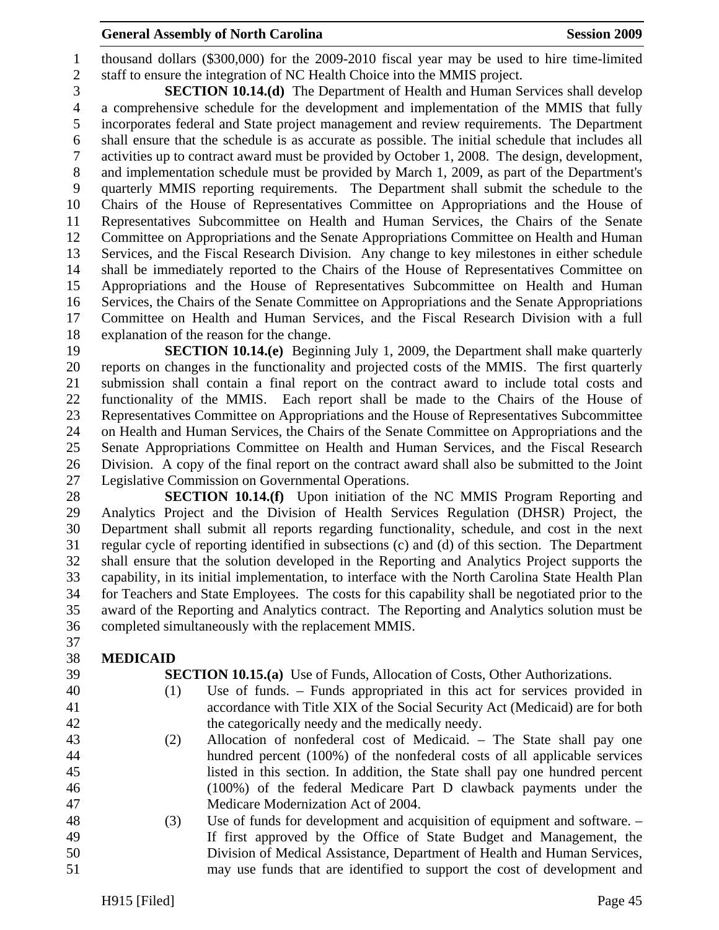#### **General Assembly of North Carolina**  Session 2009 **Session 2009**

1 thousand dollars (\$300,000) for the 2009-2010 fiscal year may be used to hire time-limited 2 staff to ensure the integration of NC Health Choice into the MMIS project.

3 **SECTION 10.14.(d)** The Department of Health and Human Services shall develop 4 a comprehensive schedule for the development and implementation of the MMIS that fully 5 incorporates federal and State project management and review requirements. The Department 6 shall ensure that the schedule is as accurate as possible. The initial schedule that includes all 7 activities up to contract award must be provided by October 1, 2008. The design, development, 8 and implementation schedule must be provided by March 1, 2009, as part of the Department's 9 quarterly MMIS reporting requirements. The Department shall submit the schedule to the 10 Chairs of the House of Representatives Committee on Appropriations and the House of 11 Representatives Subcommittee on Health and Human Services, the Chairs of the Senate 12 Committee on Appropriations and the Senate Appropriations Committee on Health and Human 13 Services, and the Fiscal Research Division. Any change to key milestones in either schedule 14 shall be immediately reported to the Chairs of the House of Representatives Committee on 15 Appropriations and the House of Representatives Subcommittee on Health and Human 16 Services, the Chairs of the Senate Committee on Appropriations and the Senate Appropriations 17 Committee on Health and Human Services, and the Fiscal Research Division with a full 18 explanation of the reason for the change.

19 **SECTION 10.14.(e)** Beginning July 1, 2009, the Department shall make quarterly 20 reports on changes in the functionality and projected costs of the MMIS. The first quarterly 21 submission shall contain a final report on the contract award to include total costs and 22 functionality of the MMIS. Each report shall be made to the Chairs of the House of 23 Representatives Committee on Appropriations and the House of Representatives Subcommittee 24 on Health and Human Services, the Chairs of the Senate Committee on Appropriations and the 25 Senate Appropriations Committee on Health and Human Services, and the Fiscal Research 26 Division. A copy of the final report on the contract award shall also be submitted to the Joint 27 Legislative Commission on Governmental Operations.

28 **SECTION 10.14.(f)** Upon initiation of the NC MMIS Program Reporting and 29 Analytics Project and the Division of Health Services Regulation (DHSR) Project, the 30 Department shall submit all reports regarding functionality, schedule, and cost in the next 31 regular cycle of reporting identified in subsections (c) and (d) of this section. The Department 32 shall ensure that the solution developed in the Reporting and Analytics Project supports the 33 capability, in its initial implementation, to interface with the North Carolina State Health Plan 34 for Teachers and State Employees. The costs for this capability shall be negotiated prior to the 35 award of the Reporting and Analytics contract. The Reporting and Analytics solution must be 36 completed simultaneously with the replacement MMIS.

- 37
- 38 **MEDICAID**
- 
- 

39 **SECTION 10.15.(a)** Use of Funds, Allocation of Costs, Other Authorizations.

- 40 (1) Use of funds. Funds appropriated in this act for services provided in 41 accordance with Title XIX of the Social Security Act (Medicaid) are for both 42 the categorically needy and the medically needy.
- 43 (2) Allocation of nonfederal cost of Medicaid. The State shall pay one 44 hundred percent (100%) of the nonfederal costs of all applicable services 45 listed in this section. In addition, the State shall pay one hundred percent 46 (100%) of the federal Medicare Part D clawback payments under the 47 Medicare Modernization Act of 2004.
- 48 (3) Use of funds for development and acquisition of equipment and software. 49 If first approved by the Office of State Budget and Management, the 50 Division of Medical Assistance, Department of Health and Human Services, 51 may use funds that are identified to support the cost of development and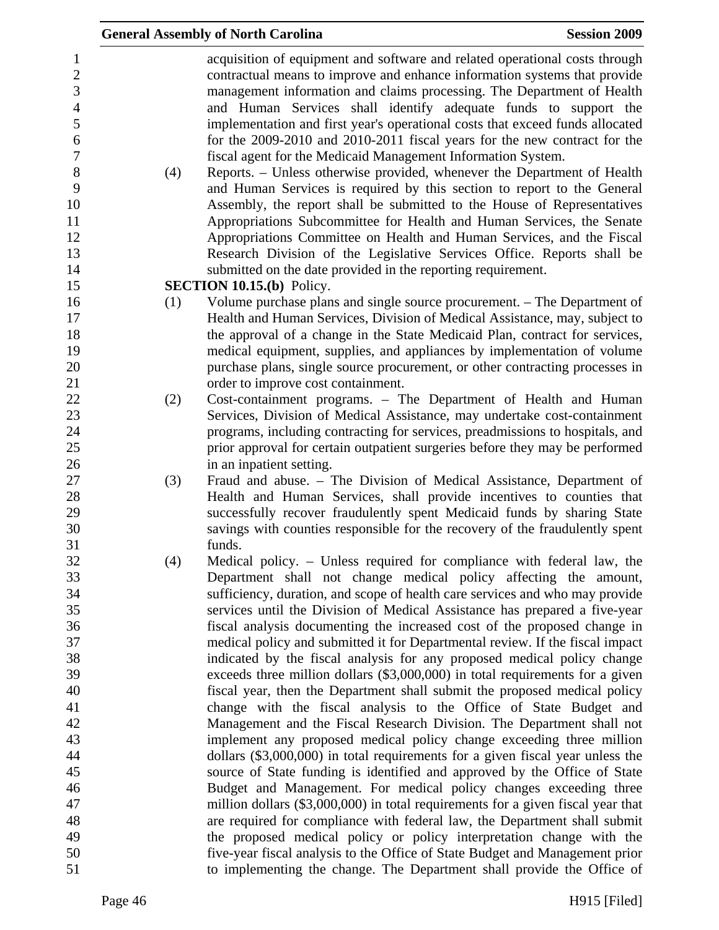|                                                                                                                                   |     | <b>General Assembly of North Carolina</b>                                                                                                                                                                                                                                                                                                                                                                                                                                                                                                                                                                                                                                                                                                                                                                                                                                                                                                                                                                                                                        | <b>Session 2009</b> |
|-----------------------------------------------------------------------------------------------------------------------------------|-----|------------------------------------------------------------------------------------------------------------------------------------------------------------------------------------------------------------------------------------------------------------------------------------------------------------------------------------------------------------------------------------------------------------------------------------------------------------------------------------------------------------------------------------------------------------------------------------------------------------------------------------------------------------------------------------------------------------------------------------------------------------------------------------------------------------------------------------------------------------------------------------------------------------------------------------------------------------------------------------------------------------------------------------------------------------------|---------------------|
| $\mathbf{1}$<br>$\boldsymbol{2}$<br>3<br>$\overline{4}$<br>5<br>6<br>$\boldsymbol{7}$<br>$8\,$<br>9<br>10<br>11<br>12<br>13<br>14 | (4) | acquisition of equipment and software and related operational costs through<br>contractual means to improve and enhance information systems that provide<br>management information and claims processing. The Department of Health<br>and Human Services shall identify adequate funds to support the<br>implementation and first year's operational costs that exceed funds allocated<br>for the 2009-2010 and 2010-2011 fiscal years for the new contract for the<br>fiscal agent for the Medicaid Management Information System.<br>Reports. – Unless otherwise provided, whenever the Department of Health<br>and Human Services is required by this section to report to the General<br>Assembly, the report shall be submitted to the House of Representatives<br>Appropriations Subcommittee for Health and Human Services, the Senate<br>Appropriations Committee on Health and Human Services, and the Fiscal<br>Research Division of the Legislative Services Office. Reports shall be<br>submitted on the date provided in the reporting requirement. |                     |
| 15                                                                                                                                |     | <b>SECTION 10.15.(b)</b> Policy.                                                                                                                                                                                                                                                                                                                                                                                                                                                                                                                                                                                                                                                                                                                                                                                                                                                                                                                                                                                                                                 |                     |
| 16<br>17<br>18<br>19<br>20<br>21                                                                                                  | (1) | Volume purchase plans and single source procurement. – The Department of<br>Health and Human Services, Division of Medical Assistance, may, subject to<br>the approval of a change in the State Medicaid Plan, contract for services,<br>medical equipment, supplies, and appliances by implementation of volume<br>purchase plans, single source procurement, or other contracting processes in<br>order to improve cost containment.                                                                                                                                                                                                                                                                                                                                                                                                                                                                                                                                                                                                                           |                     |
| 22                                                                                                                                | (2) | Cost-containment programs. - The Department of Health and Human                                                                                                                                                                                                                                                                                                                                                                                                                                                                                                                                                                                                                                                                                                                                                                                                                                                                                                                                                                                                  |                     |
| 23                                                                                                                                |     | Services, Division of Medical Assistance, may undertake cost-containment                                                                                                                                                                                                                                                                                                                                                                                                                                                                                                                                                                                                                                                                                                                                                                                                                                                                                                                                                                                         |                     |
| 24                                                                                                                                |     | programs, including contracting for services, preadmissions to hospitals, and                                                                                                                                                                                                                                                                                                                                                                                                                                                                                                                                                                                                                                                                                                                                                                                                                                                                                                                                                                                    |                     |
| 25                                                                                                                                |     | prior approval for certain outpatient surgeries before they may be performed                                                                                                                                                                                                                                                                                                                                                                                                                                                                                                                                                                                                                                                                                                                                                                                                                                                                                                                                                                                     |                     |
| 26                                                                                                                                |     | in an inpatient setting.                                                                                                                                                                                                                                                                                                                                                                                                                                                                                                                                                                                                                                                                                                                                                                                                                                                                                                                                                                                                                                         |                     |
| 27                                                                                                                                | (3) | Fraud and abuse. - The Division of Medical Assistance, Department of                                                                                                                                                                                                                                                                                                                                                                                                                                                                                                                                                                                                                                                                                                                                                                                                                                                                                                                                                                                             |                     |
| 28                                                                                                                                |     | Health and Human Services, shall provide incentives to counties that                                                                                                                                                                                                                                                                                                                                                                                                                                                                                                                                                                                                                                                                                                                                                                                                                                                                                                                                                                                             |                     |
| 29                                                                                                                                |     | successfully recover fraudulently spent Medicaid funds by sharing State                                                                                                                                                                                                                                                                                                                                                                                                                                                                                                                                                                                                                                                                                                                                                                                                                                                                                                                                                                                          |                     |
| 30                                                                                                                                |     | savings with counties responsible for the recovery of the fraudulently spent                                                                                                                                                                                                                                                                                                                                                                                                                                                                                                                                                                                                                                                                                                                                                                                                                                                                                                                                                                                     |                     |
| 31                                                                                                                                |     | funds.                                                                                                                                                                                                                                                                                                                                                                                                                                                                                                                                                                                                                                                                                                                                                                                                                                                                                                                                                                                                                                                           |                     |
| 32                                                                                                                                | (4) | Medical policy. – Unless required for compliance with federal law, the                                                                                                                                                                                                                                                                                                                                                                                                                                                                                                                                                                                                                                                                                                                                                                                                                                                                                                                                                                                           |                     |
| 33                                                                                                                                |     | Department shall not change medical policy affecting the amount,                                                                                                                                                                                                                                                                                                                                                                                                                                                                                                                                                                                                                                                                                                                                                                                                                                                                                                                                                                                                 |                     |
| 34                                                                                                                                |     | sufficiency, duration, and scope of health care services and who may provide                                                                                                                                                                                                                                                                                                                                                                                                                                                                                                                                                                                                                                                                                                                                                                                                                                                                                                                                                                                     |                     |
| 35                                                                                                                                |     | services until the Division of Medical Assistance has prepared a five-year                                                                                                                                                                                                                                                                                                                                                                                                                                                                                                                                                                                                                                                                                                                                                                                                                                                                                                                                                                                       |                     |
| 36<br>37                                                                                                                          |     | fiscal analysis documenting the increased cost of the proposed change in                                                                                                                                                                                                                                                                                                                                                                                                                                                                                                                                                                                                                                                                                                                                                                                                                                                                                                                                                                                         |                     |
| 38                                                                                                                                |     | medical policy and submitted it for Departmental review. If the fiscal impact<br>indicated by the fiscal analysis for any proposed medical policy change                                                                                                                                                                                                                                                                                                                                                                                                                                                                                                                                                                                                                                                                                                                                                                                                                                                                                                         |                     |
| 39                                                                                                                                |     | exceeds three million dollars (\$3,000,000) in total requirements for a given                                                                                                                                                                                                                                                                                                                                                                                                                                                                                                                                                                                                                                                                                                                                                                                                                                                                                                                                                                                    |                     |
| 40                                                                                                                                |     | fiscal year, then the Department shall submit the proposed medical policy                                                                                                                                                                                                                                                                                                                                                                                                                                                                                                                                                                                                                                                                                                                                                                                                                                                                                                                                                                                        |                     |
| 41                                                                                                                                |     | change with the fiscal analysis to the Office of State Budget and                                                                                                                                                                                                                                                                                                                                                                                                                                                                                                                                                                                                                                                                                                                                                                                                                                                                                                                                                                                                |                     |
| 42                                                                                                                                |     | Management and the Fiscal Research Division. The Department shall not                                                                                                                                                                                                                                                                                                                                                                                                                                                                                                                                                                                                                                                                                                                                                                                                                                                                                                                                                                                            |                     |
| 43                                                                                                                                |     | implement any proposed medical policy change exceeding three million                                                                                                                                                                                                                                                                                                                                                                                                                                                                                                                                                                                                                                                                                                                                                                                                                                                                                                                                                                                             |                     |
| 44                                                                                                                                |     | dollars (\$3,000,000) in total requirements for a given fiscal year unless the                                                                                                                                                                                                                                                                                                                                                                                                                                                                                                                                                                                                                                                                                                                                                                                                                                                                                                                                                                                   |                     |
| 45                                                                                                                                |     | source of State funding is identified and approved by the Office of State                                                                                                                                                                                                                                                                                                                                                                                                                                                                                                                                                                                                                                                                                                                                                                                                                                                                                                                                                                                        |                     |
| 46                                                                                                                                |     | Budget and Management. For medical policy changes exceeding three                                                                                                                                                                                                                                                                                                                                                                                                                                                                                                                                                                                                                                                                                                                                                                                                                                                                                                                                                                                                |                     |
| 47                                                                                                                                |     | million dollars (\$3,000,000) in total requirements for a given fiscal year that                                                                                                                                                                                                                                                                                                                                                                                                                                                                                                                                                                                                                                                                                                                                                                                                                                                                                                                                                                                 |                     |
| 48                                                                                                                                |     | are required for compliance with federal law, the Department shall submit                                                                                                                                                                                                                                                                                                                                                                                                                                                                                                                                                                                                                                                                                                                                                                                                                                                                                                                                                                                        |                     |
| 49                                                                                                                                |     | the proposed medical policy or policy interpretation change with the                                                                                                                                                                                                                                                                                                                                                                                                                                                                                                                                                                                                                                                                                                                                                                                                                                                                                                                                                                                             |                     |
| 50                                                                                                                                |     | five-year fiscal analysis to the Office of State Budget and Management prior                                                                                                                                                                                                                                                                                                                                                                                                                                                                                                                                                                                                                                                                                                                                                                                                                                                                                                                                                                                     |                     |
| 51                                                                                                                                |     | to implementing the change. The Department shall provide the Office of                                                                                                                                                                                                                                                                                                                                                                                                                                                                                                                                                                                                                                                                                                                                                                                                                                                                                                                                                                                           |                     |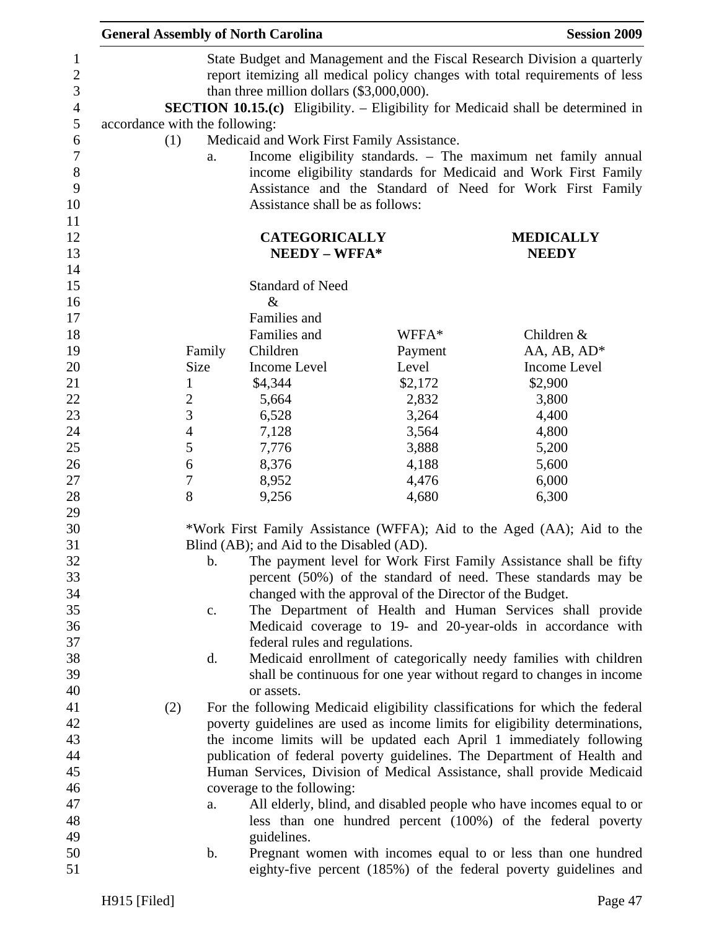|                                | <b>General Assembly of North Carolina</b>  |                                                          | <b>Session 2009</b>                                                                     |
|--------------------------------|--------------------------------------------|----------------------------------------------------------|-----------------------------------------------------------------------------------------|
|                                |                                            |                                                          | State Budget and Management and the Fiscal Research Division a quarterly                |
|                                |                                            |                                                          | report itemizing all medical policy changes with total requirements of less             |
|                                | than three million dollars (\$3,000,000).  |                                                          |                                                                                         |
|                                |                                            |                                                          | <b>SECTION 10.15.(c)</b> Eligibility. - Eligibility for Medicaid shall be determined in |
| accordance with the following: |                                            |                                                          |                                                                                         |
| (1)                            | Medicaid and Work First Family Assistance. |                                                          |                                                                                         |
| a.                             |                                            |                                                          | Income eligibility standards. - The maximum net family annual                           |
|                                |                                            |                                                          | income eligibility standards for Medicaid and Work First Family                         |
|                                |                                            |                                                          | Assistance and the Standard of Need for Work First Family                               |
|                                | Assistance shall be as follows:            |                                                          |                                                                                         |
|                                |                                            |                                                          |                                                                                         |
|                                | <b>CATEGORICALLY</b>                       |                                                          | <b>MEDICALLY</b>                                                                        |
|                                | NEEDY - WFFA*                              |                                                          | <b>NEEDY</b>                                                                            |
|                                |                                            |                                                          |                                                                                         |
|                                | <b>Standard of Need</b>                    |                                                          |                                                                                         |
|                                | $\&$                                       |                                                          |                                                                                         |
|                                | Families and                               |                                                          |                                                                                         |
|                                | Families and                               | WFFA*                                                    | Children &                                                                              |
| Family                         | Children                                   | Payment                                                  | AA, AB, AD*                                                                             |
| Size                           | Income Level                               | Level                                                    | <b>Income Level</b>                                                                     |
| $\mathbf{1}$                   | \$4,344                                    | \$2,172                                                  | \$2,900                                                                                 |
| $\overline{2}$                 | 5,664                                      | 2,832                                                    | 3,800                                                                                   |
| 3                              | 6,528                                      | 3,264                                                    | 4,400                                                                                   |
| $\overline{4}$                 | 7,128                                      | 3,564                                                    | 4,800                                                                                   |
| 5                              | 7,776                                      | 3,888                                                    | 5,200                                                                                   |
| 6                              | 8,376                                      | 4,188                                                    | 5,600                                                                                   |
| $\boldsymbol{7}$               | 8,952                                      | 4,476                                                    | 6,000                                                                                   |
| 8                              | 9,256                                      | 4,680                                                    | 6,300                                                                                   |
|                                |                                            |                                                          |                                                                                         |
|                                |                                            |                                                          | *Work First Family Assistance (WFFA); Aid to the Aged (AA); Aid to the                  |
|                                | Blind (AB); and Aid to the Disabled (AD).  |                                                          |                                                                                         |
| b.                             |                                            |                                                          | The payment level for Work First Family Assistance shall be fifty                       |
|                                |                                            |                                                          | percent (50%) of the standard of need. These standards may be                           |
|                                |                                            | changed with the approval of the Director of the Budget. |                                                                                         |
| c.                             |                                            |                                                          | The Department of Health and Human Services shall provide                               |
|                                |                                            |                                                          | Medicaid coverage to 19- and 20-year-olds in accordance with                            |
|                                | federal rules and regulations.             |                                                          |                                                                                         |
| d.                             |                                            |                                                          | Medicaid enrollment of categorically needy families with children                       |
|                                |                                            |                                                          | shall be continuous for one year without regard to changes in income                    |
|                                | or assets.                                 |                                                          |                                                                                         |
| (2)                            |                                            |                                                          | For the following Medicaid eligibility classifications for which the federal            |
|                                |                                            |                                                          | poverty guidelines are used as income limits for eligibility determinations,            |
|                                |                                            |                                                          | the income limits will be updated each April 1 immediately following                    |
|                                |                                            |                                                          | publication of federal poverty guidelines. The Department of Health and                 |
|                                |                                            |                                                          | Human Services, Division of Medical Assistance, shall provide Medicaid                  |
|                                | coverage to the following:                 |                                                          |                                                                                         |
| a.                             |                                            |                                                          | All elderly, blind, and disabled people who have incomes equal to or                    |
|                                |                                            |                                                          | less than one hundred percent (100%) of the federal poverty                             |
|                                | guidelines.                                |                                                          |                                                                                         |
| b.                             |                                            |                                                          | Pregnant women with incomes equal to or less than one hundred                           |
|                                |                                            |                                                          | eighty-five percent (185%) of the federal poverty guidelines and                        |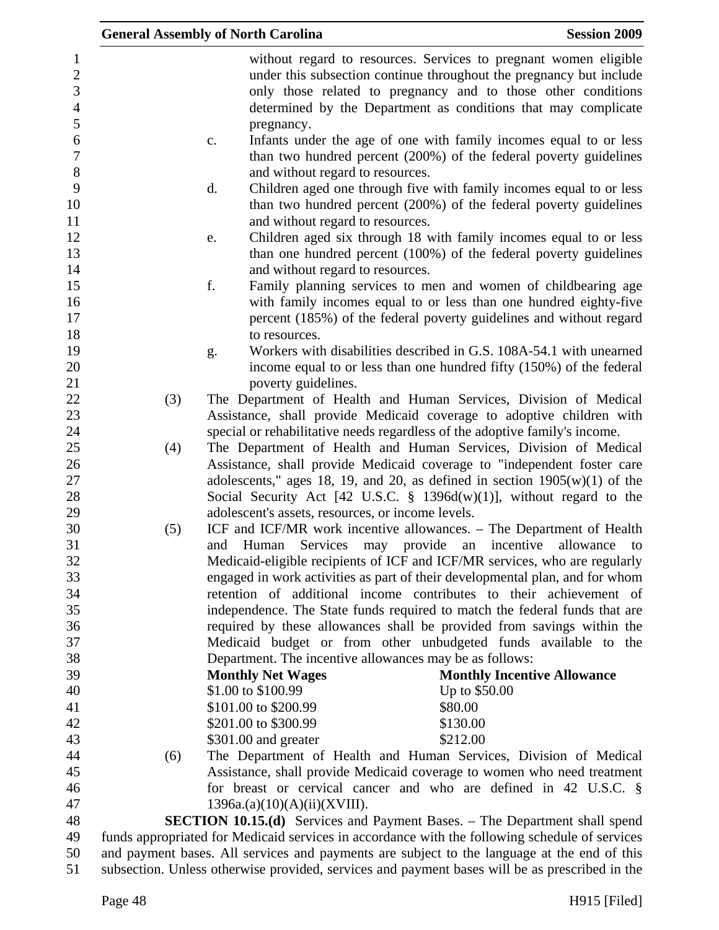|                                                                           |     | <b>General Assembly of North Carolina</b>                          | <b>Session 2009</b>                                                                                                                                                                                                                                                                                                                                                                   |
|---------------------------------------------------------------------------|-----|--------------------------------------------------------------------|---------------------------------------------------------------------------------------------------------------------------------------------------------------------------------------------------------------------------------------------------------------------------------------------------------------------------------------------------------------------------------------|
| $\mathbf{1}$<br>$\boldsymbol{2}$<br>3<br>$\overline{4}$<br>$\mathfrak{S}$ |     | pregnancy.                                                         | without regard to resources. Services to pregnant women eligible<br>under this subsection continue throughout the pregnancy but include<br>only those related to pregnancy and to those other conditions<br>determined by the Department as conditions that may complicate                                                                                                            |
| 6<br>$\boldsymbol{7}$<br>$8\,$                                            |     | $\mathbf{c}$ .<br>and without regard to resources.                 | Infants under the age of one with family incomes equal to or less<br>than two hundred percent (200%) of the federal poverty guidelines                                                                                                                                                                                                                                                |
| 9<br>10<br>11                                                             |     | d.<br>and without regard to resources.                             | Children aged one through five with family incomes equal to or less<br>than two hundred percent (200%) of the federal poverty guidelines                                                                                                                                                                                                                                              |
| 12<br>13<br>14                                                            |     | e.<br>and without regard to resources.                             | Children aged six through 18 with family incomes equal to or less<br>than one hundred percent (100%) of the federal poverty guidelines                                                                                                                                                                                                                                                |
| 15<br>16<br>17<br>18                                                      |     | f.<br>to resources.                                                | Family planning services to men and women of childbearing age<br>with family incomes equal to or less than one hundred eighty-five<br>percent (185%) of the federal poverty guidelines and without regard                                                                                                                                                                             |
| 19<br>20<br>21                                                            |     | g.<br>poverty guidelines.                                          | Workers with disabilities described in G.S. 108A-54.1 with unearned<br>income equal to or less than one hundred fifty (150%) of the federal                                                                                                                                                                                                                                           |
| 22<br>23                                                                  | (3) |                                                                    | The Department of Health and Human Services, Division of Medical<br>Assistance, shall provide Medicaid coverage to adoptive children with                                                                                                                                                                                                                                             |
| 24<br>25<br>26<br>27<br>28<br>29                                          | (4) | adolescent's assets, resources, or income levels.                  | special or rehabilitative needs regardless of the adoptive family's income.<br>The Department of Health and Human Services, Division of Medical<br>Assistance, shall provide Medicaid coverage to "independent foster care<br>adolescents," ages 18, 19, and 20, as defined in section $1905(w)(1)$ of the<br>Social Security Act [42 U.S.C. $\S$ 1396d(w)(1)], without regard to the |
| 30<br>31<br>32<br>33                                                      | (5) | Services may<br>and Human                                          | ICF and ICF/MR work incentive allowances. - The Department of Health<br>provide an incentive<br>allowance<br>to<br>Medicaid-eligible recipients of ICF and ICF/MR services, who are regularly<br>engaged in work activities as part of their developmental plan, and for whom                                                                                                         |
| 34<br>35<br>36                                                            |     |                                                                    | retention of additional income contributes to their achievement of<br>independence. The State funds required to match the federal funds that are<br>required by these allowances shall be provided from savings within the                                                                                                                                                            |
| 37<br>38<br>39                                                            |     | <b>Monthly Net Wages</b>                                           | Medicaid budget or from other unbudgeted funds available to the<br>Department. The incentive allowances may be as follows:<br><b>Monthly Incentive Allowance</b>                                                                                                                                                                                                                      |
| 40<br>41<br>42                                                            |     | \$1.00 to \$100.99<br>\$101.00 to \$200.99<br>\$201.00 to \$300.99 | Up to \$50.00<br>\$80.00<br>\$130.00                                                                                                                                                                                                                                                                                                                                                  |
| 43<br>44                                                                  | (6) | \$301.00 and greater                                               | \$212.00<br>The Department of Health and Human Services, Division of Medical                                                                                                                                                                                                                                                                                                          |
| 45<br>46<br>47                                                            |     | 1396a.(a)(10)(A)(ii)(XVIII).                                       | Assistance, shall provide Medicaid coverage to women who need treatment<br>for breast or cervical cancer and who are defined in 42 U.S.C. $\S$                                                                                                                                                                                                                                        |
| 48<br>49                                                                  |     |                                                                    | <b>SECTION 10.15.(d)</b> Services and Payment Bases. – The Department shall spend<br>funds appropriated for Medicaid services in accordance with the following schedule of services                                                                                                                                                                                                   |
| 50                                                                        |     |                                                                    | and payment bases. All services and payments are subject to the language at the end of this                                                                                                                                                                                                                                                                                           |

51 subsection. Unless otherwise provided, services and payment bases will be as prescribed in the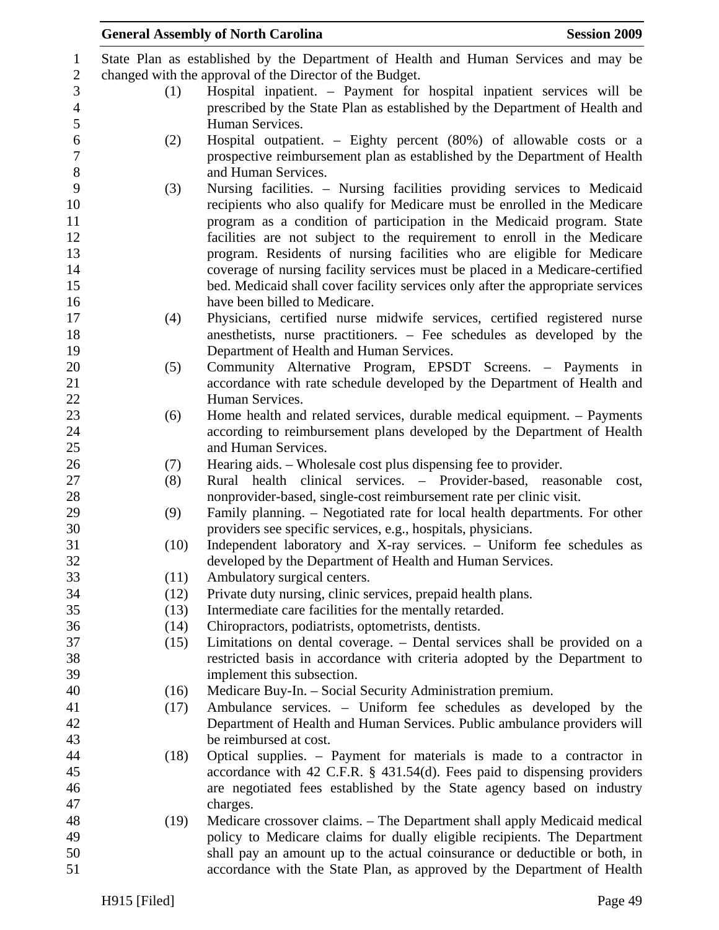|      | <b>General Assembly of North Carolina</b>                                                               | <b>Session 2009</b> |
|------|---------------------------------------------------------------------------------------------------------|---------------------|
|      | State Plan as established by the Department of Health and Human Services and may be                     |                     |
|      | changed with the approval of the Director of the Budget.                                                |                     |
| (1)  | Hospital inpatient. – Payment for hospital inpatient services will be                                   |                     |
|      | prescribed by the State Plan as established by the Department of Health and                             |                     |
|      | Human Services.                                                                                         |                     |
| (2)  | Hospital outpatient. – Eighty percent (80%) of allowable costs or a                                     |                     |
|      | prospective reimbursement plan as established by the Department of Health                               |                     |
|      | and Human Services.                                                                                     |                     |
| (3)  | Nursing facilities. – Nursing facilities providing services to Medicaid                                 |                     |
|      | recipients who also qualify for Medicare must be enrolled in the Medicare                               |                     |
|      | program as a condition of participation in the Medicaid program. State                                  |                     |
|      | facilities are not subject to the requirement to enroll in the Medicare                                 |                     |
|      | program. Residents of nursing facilities who are eligible for Medicare                                  |                     |
|      | coverage of nursing facility services must be placed in a Medicare-certified                            |                     |
|      | bed. Medicaid shall cover facility services only after the appropriate services                         |                     |
|      | have been billed to Medicare.                                                                           |                     |
| (4)  | Physicians, certified nurse midwife services, certified registered nurse                                |                     |
|      | anesthetists, nurse practitioners. – Fee schedules as developed by the                                  |                     |
|      | Department of Health and Human Services.                                                                |                     |
| (5)  | Community Alternative Program, EPSDT Screens. - Payments in                                             |                     |
|      | accordance with rate schedule developed by the Department of Health and                                 |                     |
|      | Human Services.                                                                                         |                     |
| (6)  | Home health and related services, durable medical equipment. – Payments                                 |                     |
|      | according to reimbursement plans developed by the Department of Health                                  |                     |
|      | and Human Services.                                                                                     |                     |
| (7)  | Hearing aids. – Wholesale cost plus dispensing fee to provider.                                         |                     |
| (8)  | Rural health clinical services. – Provider-based, reasonable                                            | cost,               |
|      | nonprovider-based, single-cost reimbursement rate per clinic visit.                                     |                     |
| (9)  | Family planning. – Negotiated rate for local health departments. For other                              |                     |
|      | providers see specific services, e.g., hospitals, physicians.                                           |                     |
| (10) | Independent laboratory and X-ray services. - Uniform fee schedules as                                   |                     |
|      | developed by the Department of Health and Human Services.                                               |                     |
| (11) | Ambulatory surgical centers.                                                                            |                     |
|      | Private duty nursing, clinic services, prepaid health plans.<br>(12)                                    |                     |
|      | Intermediate care facilities for the mentally retarded.<br>(13)                                         |                     |
|      | Chiropractors, podiatrists, optometrists, dentists.<br>(14)                                             |                     |
|      | Limitations on dental coverage. – Dental services shall be provided on a<br>(15)                        |                     |
|      | restricted basis in accordance with criteria adopted by the Department to<br>implement this subsection. |                     |
|      | Medicare Buy-In. - Social Security Administration premium.<br>(16)                                      |                     |
|      | Ambulance services. - Uniform fee schedules as developed by the<br>(17)                                 |                     |
|      | Department of Health and Human Services. Public ambulance providers will                                |                     |
|      | be reimbursed at cost.                                                                                  |                     |
|      | Optical supplies. – Payment for materials is made to a contractor in<br>(18)                            |                     |
|      | accordance with 42 C.F.R. $\S$ 431.54(d). Fees paid to dispensing providers                             |                     |
|      | are negotiated fees established by the State agency based on industry                                   |                     |
|      | charges.                                                                                                |                     |
|      | Medicare crossover claims. – The Department shall apply Medicaid medical<br>(19)                        |                     |
|      | policy to Medicare claims for dually eligible recipients. The Department                                |                     |
|      | shall pay an amount up to the actual coinsurance or deductible or both, in                              |                     |
|      | accordance with the State Plan, as approved by the Department of Health                                 |                     |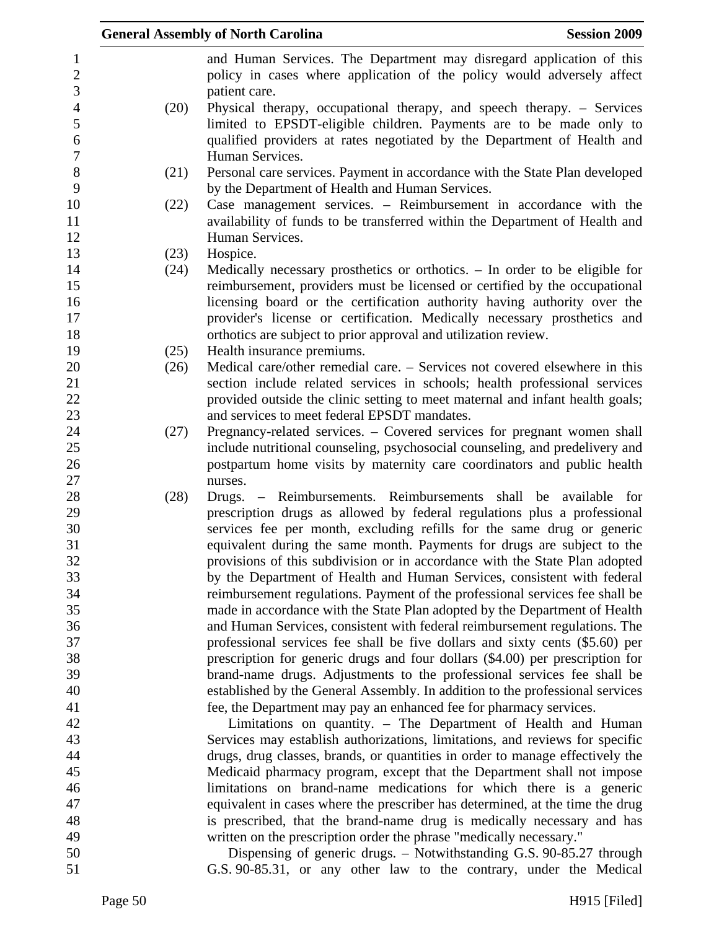|      | <b>General Assembly of North Carolina</b><br><b>Session 2009</b>                                                                               |
|------|------------------------------------------------------------------------------------------------------------------------------------------------|
|      | and Human Services. The Department may disregard application of this<br>policy in cases where application of the policy would adversely affect |
| (20) | patient care.<br>Physical therapy, occupational therapy, and speech therapy. – Services                                                        |
|      | limited to EPSDT-eligible children. Payments are to be made only to<br>qualified providers at rates negotiated by the Department of Health and |
|      | Human Services.                                                                                                                                |
| (21) | Personal care services. Payment in accordance with the State Plan developed<br>by the Department of Health and Human Services.                 |
| (22) | Case management services. – Reimbursement in accordance with the                                                                               |
|      | availability of funds to be transferred within the Department of Health and                                                                    |
|      | Human Services.                                                                                                                                |
| (23) | Hospice.                                                                                                                                       |
| (24) | Medically necessary prosthetics or orthotics. $-$ In order to be eligible for                                                                  |
|      | reimbursement, providers must be licensed or certified by the occupational                                                                     |
|      | licensing board or the certification authority having authority over the                                                                       |
|      | provider's license or certification. Medically necessary prosthetics and                                                                       |
|      | orthotics are subject to prior approval and utilization review.                                                                                |
| (25) | Health insurance premiums.                                                                                                                     |
| (26) | Medical care/other remedial care. – Services not covered elsewhere in this                                                                     |
|      | section include related services in schools; health professional services                                                                      |
|      | provided outside the clinic setting to meet maternal and infant health goals;                                                                  |
|      | and services to meet federal EPSDT mandates.                                                                                                   |
| (27) | Pregnancy-related services. – Covered services for pregnant women shall                                                                        |
|      | include nutritional counseling, psychosocial counseling, and predelivery and                                                                   |
|      | postpartum home visits by maternity care coordinators and public health                                                                        |
|      | nurses.                                                                                                                                        |
| (28) | Drugs. – Reimbursements. Reimbursements shall be available for<br>prescription drugs as allowed by federal regulations plus a professional     |
|      | services fee per month, excluding refills for the same drug or generic                                                                         |
|      | equivalent during the same month. Payments for drugs are subject to the                                                                        |
|      | provisions of this subdivision or in accordance with the State Plan adopted                                                                    |
|      | by the Department of Health and Human Services, consistent with federal                                                                        |
|      | reimbursement regulations. Payment of the professional services fee shall be                                                                   |
|      | made in accordance with the State Plan adopted by the Department of Health                                                                     |
|      | and Human Services, consistent with federal reimbursement regulations. The                                                                     |
|      | professional services fee shall be five dollars and sixty cents (\$5.60) per                                                                   |
|      | prescription for generic drugs and four dollars (\$4.00) per prescription for                                                                  |
|      | brand-name drugs. Adjustments to the professional services fee shall be                                                                        |
|      | established by the General Assembly. In addition to the professional services                                                                  |
|      | fee, the Department may pay an enhanced fee for pharmacy services.                                                                             |
|      | Limitations on quantity. - The Department of Health and Human                                                                                  |
|      | Services may establish authorizations, limitations, and reviews for specific                                                                   |
|      | drugs, drug classes, brands, or quantities in order to manage effectively the                                                                  |
|      | Medicaid pharmacy program, except that the Department shall not impose                                                                         |
|      | limitations on brand-name medications for which there is a generic                                                                             |
|      | equivalent in cases where the prescriber has determined, at the time the drug                                                                  |
|      | is prescribed, that the brand-name drug is medically necessary and has                                                                         |
|      | written on the prescription order the phrase "medically necessary."                                                                            |
|      | Dispensing of generic drugs. – Notwithstanding G.S. 90-85.27 through                                                                           |
|      | G.S. 90-85.31, or any other law to the contrary, under the Medical                                                                             |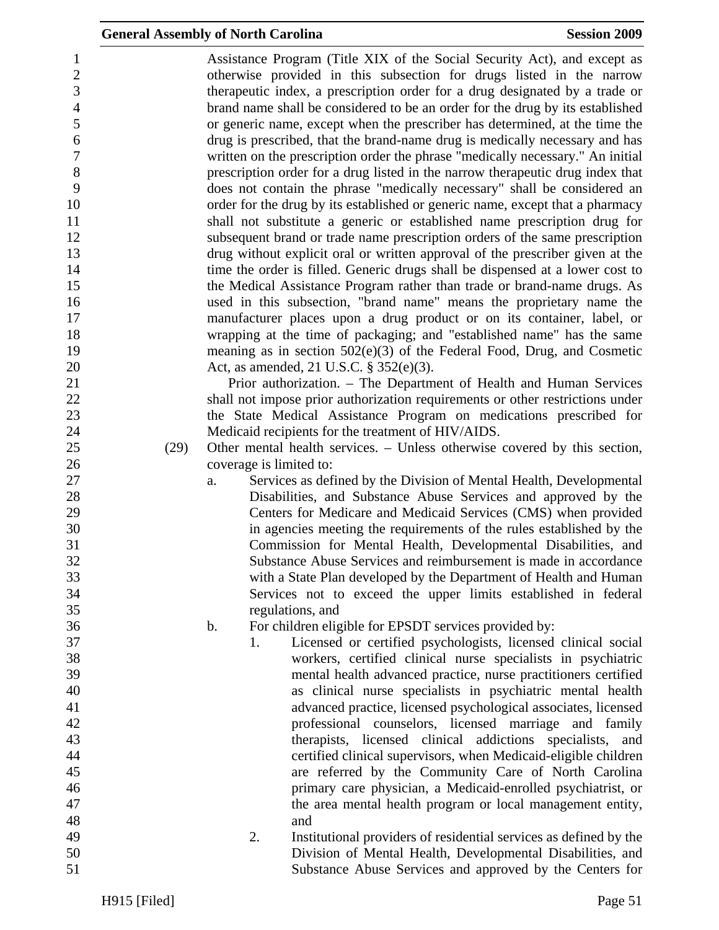| $\mathbf{1}$     |      |    |    | Assistance Program (Title XIX of the Social Security Act), and except as       |
|------------------|------|----|----|--------------------------------------------------------------------------------|
| $\sqrt{2}$       |      |    |    | otherwise provided in this subsection for drugs listed in the narrow           |
| 3                |      |    |    | therapeutic index, a prescription order for a drug designated by a trade or    |
| $\overline{4}$   |      |    |    | brand name shall be considered to be an order for the drug by its established  |
| 5                |      |    |    | or generic name, except when the prescriber has determined, at the time the    |
| $\boldsymbol{6}$ |      |    |    | drug is prescribed, that the brand-name drug is medically necessary and has    |
| $\boldsymbol{7}$ |      |    |    | written on the prescription order the phrase "medically necessary." An initial |
| 8                |      |    |    |                                                                                |
|                  |      |    |    | prescription order for a drug listed in the narrow therapeutic drug index that |
| 9                |      |    |    | does not contain the phrase "medically necessary" shall be considered an       |
| 10               |      |    |    | order for the drug by its established or generic name, except that a pharmacy  |
| 11               |      |    |    | shall not substitute a generic or established name prescription drug for       |
| 12               |      |    |    | subsequent brand or trade name prescription orders of the same prescription    |
| 13               |      |    |    | drug without explicit oral or written approval of the prescriber given at the  |
| 14               |      |    |    | time the order is filled. Generic drugs shall be dispensed at a lower cost to  |
| 15               |      |    |    | the Medical Assistance Program rather than trade or brand-name drugs. As       |
| 16               |      |    |    | used in this subsection, "brand name" means the proprietary name the           |
| 17               |      |    |    | manufacturer places upon a drug product or on its container, label, or         |
| 18               |      |    |    | wrapping at the time of packaging; and "established name" has the same         |
| 19               |      |    |    | meaning as in section $502(e)(3)$ of the Federal Food, Drug, and Cosmetic      |
| 20               |      |    |    | Act, as amended, 21 U.S.C. § 352(e)(3).                                        |
| 21               |      |    |    | Prior authorization. – The Department of Health and Human Services             |
| 22               |      |    |    | shall not impose prior authorization requirements or other restrictions under  |
|                  |      |    |    |                                                                                |
| 23               |      |    |    | the State Medical Assistance Program on medications prescribed for             |
| 24               |      |    |    | Medicaid recipients for the treatment of HIV/AIDS.                             |
| 25               | (29) |    |    | Other mental health services. – Unless otherwise covered by this section,      |
| 26               |      |    |    | coverage is limited to:                                                        |
| 27               |      | a. |    | Services as defined by the Division of Mental Health, Developmental            |
| 28               |      |    |    | Disabilities, and Substance Abuse Services and approved by the                 |
| 29               |      |    |    | Centers for Medicare and Medicaid Services (CMS) when provided                 |
| 30               |      |    |    | in agencies meeting the requirements of the rules established by the           |
| 31               |      |    |    | Commission for Mental Health, Developmental Disabilities, and                  |
| 32               |      |    |    | Substance Abuse Services and reimbursement is made in accordance               |
| 33               |      |    |    | with a State Plan developed by the Department of Health and Human              |
| 34               |      |    |    | Services not to exceed the upper limits established in federal                 |
| 35               |      |    |    | regulations, and                                                               |
| 36               |      | b. |    | For children eligible for EPSDT services provided by:                          |
| 37               |      |    | 1. | Licensed or certified psychologists, licensed clinical social                  |
| 38               |      |    |    | workers, certified clinical nurse specialists in psychiatric                   |
| 39               |      |    |    |                                                                                |
|                  |      |    |    | mental health advanced practice, nurse practitioners certified                 |
| 40               |      |    |    | as clinical nurse specialists in psychiatric mental health                     |
| 41               |      |    |    | advanced practice, licensed psychological associates, licensed                 |
| 42               |      |    |    | professional counselors, licensed marriage and family                          |
| 43               |      |    |    | therapists, licensed clinical addictions specialists, and                      |
| 44               |      |    |    | certified clinical supervisors, when Medicaid-eligible children                |
| 45               |      |    |    | are referred by the Community Care of North Carolina                           |
| 46               |      |    |    | primary care physician, a Medicaid-enrolled psychiatrist, or                   |
| 47               |      |    |    | the area mental health program or local management entity,                     |
| 48               |      |    |    | and                                                                            |
| 49               |      |    | 2. | Institutional providers of residential services as defined by the              |
| 50               |      |    |    | Division of Mental Health, Developmental Disabilities, and                     |
| 51               |      |    |    | Substance Abuse Services and approved by the Centers for                       |
|                  |      |    |    |                                                                                |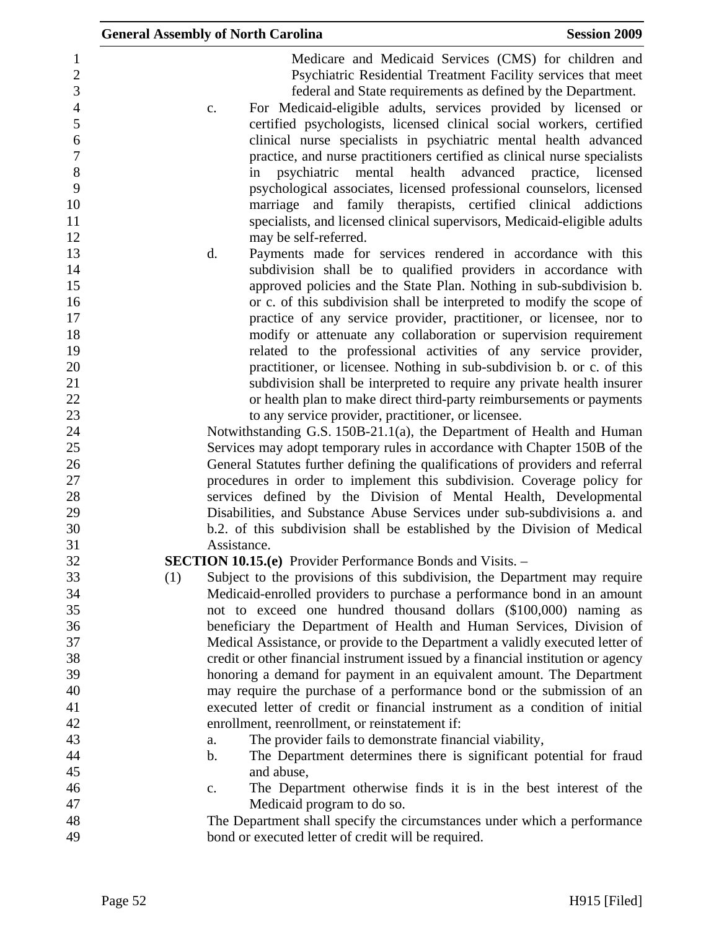| <b>General Assembly of North Carolina</b><br><b>Session 2009</b>                                                                                                                                                                                                                                                                                                                                                                                                                                                                                                                                                                                                                                   |  |
|----------------------------------------------------------------------------------------------------------------------------------------------------------------------------------------------------------------------------------------------------------------------------------------------------------------------------------------------------------------------------------------------------------------------------------------------------------------------------------------------------------------------------------------------------------------------------------------------------------------------------------------------------------------------------------------------------|--|
| Medicare and Medicaid Services (CMS) for children and<br>Psychiatric Residential Treatment Facility services that meet<br>federal and State requirements as defined by the Department.<br>For Medicaid-eligible adults, services provided by licensed or<br>c.<br>certified psychologists, licensed clinical social workers, certified<br>clinical nurse specialists in psychiatric mental health advanced<br>practice, and nurse practitioners certified as clinical nurse specialists<br>psychiatric mental health<br>advanced practice, licensed<br>in<br>psychological associates, licensed professional counselors, licensed<br>marriage and family therapists, certified clinical addictions |  |
| specialists, and licensed clinical supervisors, Medicaid-eligible adults                                                                                                                                                                                                                                                                                                                                                                                                                                                                                                                                                                                                                           |  |
| may be self-referred.                                                                                                                                                                                                                                                                                                                                                                                                                                                                                                                                                                                                                                                                              |  |
| d.<br>Payments made for services rendered in accordance with this<br>subdivision shall be to qualified providers in accordance with<br>approved policies and the State Plan. Nothing in sub-subdivision b.                                                                                                                                                                                                                                                                                                                                                                                                                                                                                         |  |
| or c. of this subdivision shall be interpreted to modify the scope of                                                                                                                                                                                                                                                                                                                                                                                                                                                                                                                                                                                                                              |  |
| practice of any service provider, practitioner, or licensee, nor to<br>modify or attenuate any collaboration or supervision requirement                                                                                                                                                                                                                                                                                                                                                                                                                                                                                                                                                            |  |
| related to the professional activities of any service provider,                                                                                                                                                                                                                                                                                                                                                                                                                                                                                                                                                                                                                                    |  |
| practitioner, or licensee. Nothing in sub-subdivision b. or c. of this                                                                                                                                                                                                                                                                                                                                                                                                                                                                                                                                                                                                                             |  |
| subdivision shall be interpreted to require any private health insurer                                                                                                                                                                                                                                                                                                                                                                                                                                                                                                                                                                                                                             |  |
| or health plan to make direct third-party reimbursements or payments                                                                                                                                                                                                                                                                                                                                                                                                                                                                                                                                                                                                                               |  |
| to any service provider, practitioner, or licensee.                                                                                                                                                                                                                                                                                                                                                                                                                                                                                                                                                                                                                                                |  |
| Notwithstanding G.S. 150B-21.1(a), the Department of Health and Human                                                                                                                                                                                                                                                                                                                                                                                                                                                                                                                                                                                                                              |  |
| Services may adopt temporary rules in accordance with Chapter 150B of the                                                                                                                                                                                                                                                                                                                                                                                                                                                                                                                                                                                                                          |  |
| General Statutes further defining the qualifications of providers and referral                                                                                                                                                                                                                                                                                                                                                                                                                                                                                                                                                                                                                     |  |
| procedures in order to implement this subdivision. Coverage policy for                                                                                                                                                                                                                                                                                                                                                                                                                                                                                                                                                                                                                             |  |
| services defined by the Division of Mental Health, Developmental                                                                                                                                                                                                                                                                                                                                                                                                                                                                                                                                                                                                                                   |  |
| Disabilities, and Substance Abuse Services under sub-subdivisions a. and<br>b.2. of this subdivision shall be established by the Division of Medical                                                                                                                                                                                                                                                                                                                                                                                                                                                                                                                                               |  |
| Assistance.                                                                                                                                                                                                                                                                                                                                                                                                                                                                                                                                                                                                                                                                                        |  |
| <b>SECTION 10.15.(e)</b> Provider Performance Bonds and Visits. –                                                                                                                                                                                                                                                                                                                                                                                                                                                                                                                                                                                                                                  |  |
| Subject to the provisions of this subdivision, the Department may require<br>(1)                                                                                                                                                                                                                                                                                                                                                                                                                                                                                                                                                                                                                   |  |
| Medicaid-enrolled providers to purchase a performance bond in an amount                                                                                                                                                                                                                                                                                                                                                                                                                                                                                                                                                                                                                            |  |
| not to exceed one hundred thousand dollars (\$100,000) naming as                                                                                                                                                                                                                                                                                                                                                                                                                                                                                                                                                                                                                                   |  |
| beneficiary the Department of Health and Human Services, Division of                                                                                                                                                                                                                                                                                                                                                                                                                                                                                                                                                                                                                               |  |
| Medical Assistance, or provide to the Department a validly executed letter of                                                                                                                                                                                                                                                                                                                                                                                                                                                                                                                                                                                                                      |  |
| credit or other financial instrument issued by a financial institution or agency                                                                                                                                                                                                                                                                                                                                                                                                                                                                                                                                                                                                                   |  |
| honoring a demand for payment in an equivalent amount. The Department                                                                                                                                                                                                                                                                                                                                                                                                                                                                                                                                                                                                                              |  |
| may require the purchase of a performance bond or the submission of an<br>executed letter of credit or financial instrument as a condition of initial                                                                                                                                                                                                                                                                                                                                                                                                                                                                                                                                              |  |
| enrollment, reenrollment, or reinstatement if:                                                                                                                                                                                                                                                                                                                                                                                                                                                                                                                                                                                                                                                     |  |
| The provider fails to demonstrate financial viability,<br>a.                                                                                                                                                                                                                                                                                                                                                                                                                                                                                                                                                                                                                                       |  |
| The Department determines there is significant potential for fraud<br>$\mathbf b$ .                                                                                                                                                                                                                                                                                                                                                                                                                                                                                                                                                                                                                |  |
| and abuse,                                                                                                                                                                                                                                                                                                                                                                                                                                                                                                                                                                                                                                                                                         |  |
| The Department otherwise finds it is in the best interest of the<br>c.                                                                                                                                                                                                                                                                                                                                                                                                                                                                                                                                                                                                                             |  |
| Medicaid program to do so.                                                                                                                                                                                                                                                                                                                                                                                                                                                                                                                                                                                                                                                                         |  |
| The Department shall specify the circumstances under which a performance                                                                                                                                                                                                                                                                                                                                                                                                                                                                                                                                                                                                                           |  |
| bond or executed letter of credit will be required.                                                                                                                                                                                                                                                                                                                                                                                                                                                                                                                                                                                                                                                |  |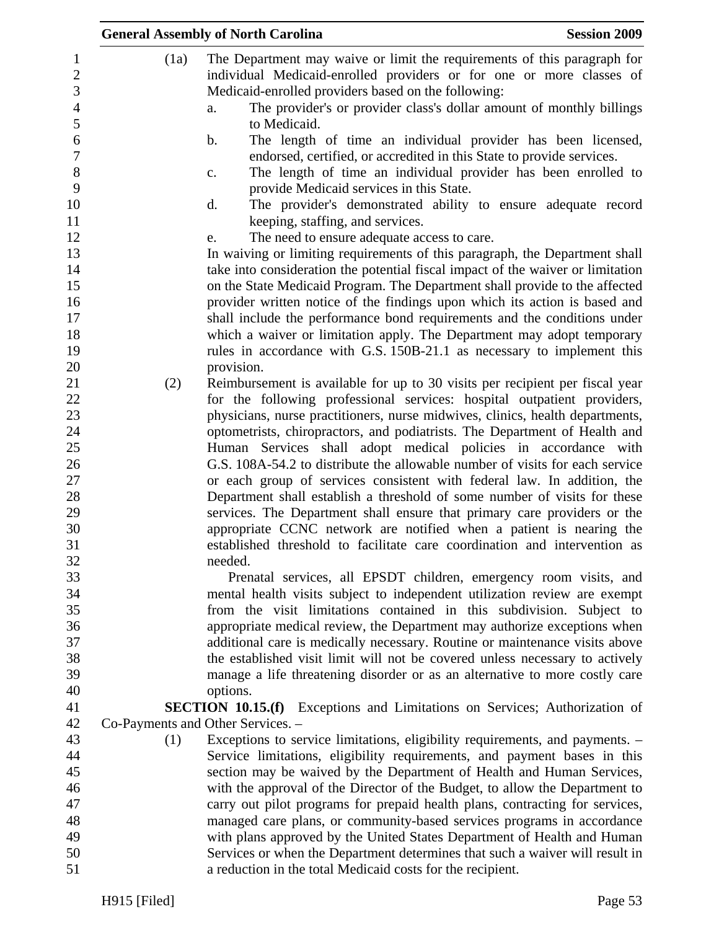|                                   | <b>General Assembly of North Carolina</b>                                                                                                                 | <b>Session 2009</b> |
|-----------------------------------|-----------------------------------------------------------------------------------------------------------------------------------------------------------|---------------------|
| (1a)                              | The Department may waive or limit the requirements of this paragraph for<br>individual Medicaid-enrolled providers or for one or more classes of          |                     |
|                                   | Medicaid-enrolled providers based on the following:                                                                                                       |                     |
|                                   | The provider's or provider class's dollar amount of monthly billings<br>a.<br>to Medicaid.                                                                |                     |
|                                   | The length of time an individual provider has been licensed,<br>b.                                                                                        |                     |
|                                   | endorsed, certified, or accredited in this State to provide services.<br>The length of time an individual provider has been enrolled to<br>$\mathbf{C}$ . |                     |
|                                   | provide Medicaid services in this State.                                                                                                                  |                     |
|                                   | d.<br>The provider's demonstrated ability to ensure adequate record<br>keeping, staffing, and services.                                                   |                     |
|                                   | The need to ensure adequate access to care.<br>e.                                                                                                         |                     |
|                                   | In waiving or limiting requirements of this paragraph, the Department shall                                                                               |                     |
|                                   | take into consideration the potential fiscal impact of the waiver or limitation                                                                           |                     |
|                                   | on the State Medicaid Program. The Department shall provide to the affected                                                                               |                     |
|                                   | provider written notice of the findings upon which its action is based and                                                                                |                     |
|                                   | shall include the performance bond requirements and the conditions under                                                                                  |                     |
|                                   | which a waiver or limitation apply. The Department may adopt temporary                                                                                    |                     |
|                                   | rules in accordance with G.S. 150B-21.1 as necessary to implement this                                                                                    |                     |
| (2)                               | provision.<br>Reimbursement is available for up to 30 visits per recipient per fiscal year                                                                |                     |
|                                   | for the following professional services: hospital outpatient providers,                                                                                   |                     |
|                                   | physicians, nurse practitioners, nurse midwives, clinics, health departments,                                                                             |                     |
|                                   | optometrists, chiropractors, and podiatrists. The Department of Health and                                                                                |                     |
|                                   | Human Services shall adopt medical policies in accordance with                                                                                            |                     |
|                                   | G.S. 108A-54.2 to distribute the allowable number of visits for each service                                                                              |                     |
|                                   | or each group of services consistent with federal law. In addition, the                                                                                   |                     |
|                                   | Department shall establish a threshold of some number of visits for these                                                                                 |                     |
|                                   | services. The Department shall ensure that primary care providers or the                                                                                  |                     |
|                                   | appropriate CCNC network are notified when a patient is nearing the                                                                                       |                     |
|                                   | established threshold to facilitate care coordination and intervention as<br>needed.                                                                      |                     |
|                                   | Prenatal services, all EPSDT children, emergency room visits, and                                                                                         |                     |
|                                   | mental health visits subject to independent utilization review are exempt                                                                                 |                     |
|                                   | from the visit limitations contained in this subdivision. Subject to                                                                                      |                     |
|                                   | appropriate medical review, the Department may authorize exceptions when                                                                                  |                     |
|                                   | additional care is medically necessary. Routine or maintenance visits above                                                                               |                     |
|                                   | the established visit limit will not be covered unless necessary to actively                                                                              |                     |
|                                   | manage a life threatening disorder or as an alternative to more costly care                                                                               |                     |
|                                   | options.                                                                                                                                                  |                     |
| Co-Payments and Other Services. - | <b>SECTION 10.15.(f)</b> Exceptions and Limitations on Services; Authorization of                                                                         |                     |
| (1)                               | Exceptions to service limitations, eligibility requirements, and payments. -                                                                              |                     |
|                                   | Service limitations, eligibility requirements, and payment bases in this                                                                                  |                     |
|                                   | section may be waived by the Department of Health and Human Services,                                                                                     |                     |
|                                   | with the approval of the Director of the Budget, to allow the Department to                                                                               |                     |
|                                   | carry out pilot programs for prepaid health plans, contracting for services,                                                                              |                     |
|                                   | managed care plans, or community-based services programs in accordance                                                                                    |                     |
|                                   | with plans approved by the United States Department of Health and Human                                                                                   |                     |
|                                   | Services or when the Department determines that such a waiver will result in                                                                              |                     |
|                                   | a reduction in the total Medicaid costs for the recipient.                                                                                                |                     |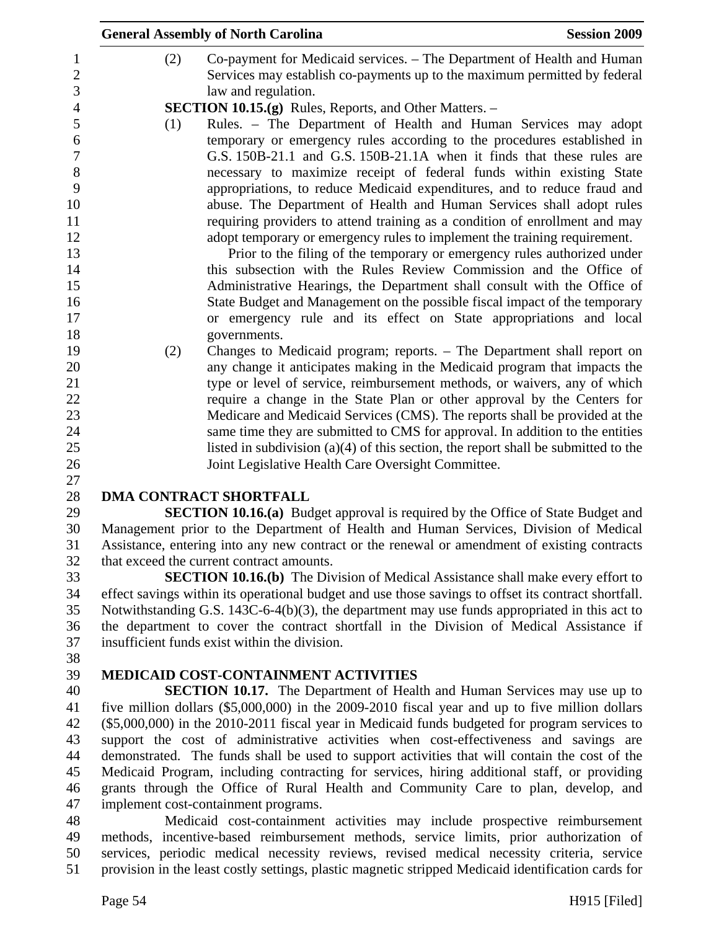|     | <b>General Assembly of North Carolina</b>                                                                                                                                                                                                                                                                                                                                                                                                                                                                                                                                                                                                                                                                                                                                                                                                                                                                              | <b>Session 2009</b> |
|-----|------------------------------------------------------------------------------------------------------------------------------------------------------------------------------------------------------------------------------------------------------------------------------------------------------------------------------------------------------------------------------------------------------------------------------------------------------------------------------------------------------------------------------------------------------------------------------------------------------------------------------------------------------------------------------------------------------------------------------------------------------------------------------------------------------------------------------------------------------------------------------------------------------------------------|---------------------|
| (2) | Co-payment for Medicaid services. – The Department of Health and Human<br>Services may establish co-payments up to the maximum permitted by federal<br>law and regulation.                                                                                                                                                                                                                                                                                                                                                                                                                                                                                                                                                                                                                                                                                                                                             |                     |
|     | <b>SECTION 10.15.(g)</b> Rules, Reports, and Other Matters. –                                                                                                                                                                                                                                                                                                                                                                                                                                                                                                                                                                                                                                                                                                                                                                                                                                                          |                     |
| (1) | Rules. - The Department of Health and Human Services may adopt<br>temporary or emergency rules according to the procedures established in<br>G.S. 150B-21.1 and G.S. 150B-21.1A when it finds that these rules are<br>necessary to maximize receipt of federal funds within existing State<br>appropriations, to reduce Medicaid expenditures, and to reduce fraud and<br>abuse. The Department of Health and Human Services shall adopt rules<br>requiring providers to attend training as a condition of enrollment and may<br>adopt temporary or emergency rules to implement the training requirement.<br>Prior to the filing of the temporary or emergency rules authorized under<br>this subsection with the Rules Review Commission and the Office of<br>Administrative Hearings, the Department shall consult with the Office of<br>State Budget and Management on the possible fiscal impact of the temporary |                     |
|     | or emergency rule and its effect on State appropriations and local                                                                                                                                                                                                                                                                                                                                                                                                                                                                                                                                                                                                                                                                                                                                                                                                                                                     |                     |
|     | governments.                                                                                                                                                                                                                                                                                                                                                                                                                                                                                                                                                                                                                                                                                                                                                                                                                                                                                                           |                     |
|     | Changes to Medicaid program; reports. - The Department shall report on                                                                                                                                                                                                                                                                                                                                                                                                                                                                                                                                                                                                                                                                                                                                                                                                                                                 |                     |
| (2) | any change it anticipates making in the Medicaid program that impacts the                                                                                                                                                                                                                                                                                                                                                                                                                                                                                                                                                                                                                                                                                                                                                                                                                                              |                     |
|     | type or level of service, reimbursement methods, or waivers, any of which                                                                                                                                                                                                                                                                                                                                                                                                                                                                                                                                                                                                                                                                                                                                                                                                                                              |                     |
|     | require a change in the State Plan or other approval by the Centers for                                                                                                                                                                                                                                                                                                                                                                                                                                                                                                                                                                                                                                                                                                                                                                                                                                                |                     |
|     | Medicare and Medicaid Services (CMS). The reports shall be provided at the                                                                                                                                                                                                                                                                                                                                                                                                                                                                                                                                                                                                                                                                                                                                                                                                                                             |                     |
|     | same time they are submitted to CMS for approval. In addition to the entities                                                                                                                                                                                                                                                                                                                                                                                                                                                                                                                                                                                                                                                                                                                                                                                                                                          |                     |
|     | listed in subdivision $(a)(4)$ of this section, the report shall be submitted to the                                                                                                                                                                                                                                                                                                                                                                                                                                                                                                                                                                                                                                                                                                                                                                                                                                   |                     |
|     | Joint Legislative Health Care Oversight Committee.                                                                                                                                                                                                                                                                                                                                                                                                                                                                                                                                                                                                                                                                                                                                                                                                                                                                     |                     |
|     |                                                                                                                                                                                                                                                                                                                                                                                                                                                                                                                                                                                                                                                                                                                                                                                                                                                                                                                        |                     |
|     | <b>DMA CONTRACT SHORTFALL</b>                                                                                                                                                                                                                                                                                                                                                                                                                                                                                                                                                                                                                                                                                                                                                                                                                                                                                          |                     |
|     | <b>SECTION 10.16.(a)</b> Budget approval is required by the Office of State Budget and                                                                                                                                                                                                                                                                                                                                                                                                                                                                                                                                                                                                                                                                                                                                                                                                                                 |                     |
|     | Management prior to the Department of Health and Human Services, Division of Medical                                                                                                                                                                                                                                                                                                                                                                                                                                                                                                                                                                                                                                                                                                                                                                                                                                   |                     |
|     | Assistance, entering into any new contract or the renewal or amendment of existing contracts                                                                                                                                                                                                                                                                                                                                                                                                                                                                                                                                                                                                                                                                                                                                                                                                                           |                     |
|     | that exceed the current contract amounts.                                                                                                                                                                                                                                                                                                                                                                                                                                                                                                                                                                                                                                                                                                                                                                                                                                                                              |                     |
|     | <b>SECTION 10.16.(b)</b> The Division of Medical Assistance shall make every effort to                                                                                                                                                                                                                                                                                                                                                                                                                                                                                                                                                                                                                                                                                                                                                                                                                                 |                     |
|     | effect savings within its operational budget and use those savings to offset its contract shortfall.                                                                                                                                                                                                                                                                                                                                                                                                                                                                                                                                                                                                                                                                                                                                                                                                                   |                     |
|     | Notwithstanding G.S. 143C-6-4(b)(3), the department may use funds appropriated in this act to                                                                                                                                                                                                                                                                                                                                                                                                                                                                                                                                                                                                                                                                                                                                                                                                                          |                     |
|     | the department to cover the contract shortfall in the Division of Medical Assistance if                                                                                                                                                                                                                                                                                                                                                                                                                                                                                                                                                                                                                                                                                                                                                                                                                                |                     |
|     | insufficient funds exist within the division.                                                                                                                                                                                                                                                                                                                                                                                                                                                                                                                                                                                                                                                                                                                                                                                                                                                                          |                     |
|     |                                                                                                                                                                                                                                                                                                                                                                                                                                                                                                                                                                                                                                                                                                                                                                                                                                                                                                                        |                     |
|     | <b>MEDICAID COST-CONTAINMENT ACTIVITIES</b>                                                                                                                                                                                                                                                                                                                                                                                                                                                                                                                                                                                                                                                                                                                                                                                                                                                                            |                     |
|     | <b>SECTION 10.17.</b> The Department of Health and Human Services may use up to                                                                                                                                                                                                                                                                                                                                                                                                                                                                                                                                                                                                                                                                                                                                                                                                                                        |                     |
|     | five million dollars (\$5,000,000) in the 2009-2010 fiscal year and up to five million dollars                                                                                                                                                                                                                                                                                                                                                                                                                                                                                                                                                                                                                                                                                                                                                                                                                         |                     |
|     | (\$5,000,000) in the 2010-2011 fiscal year in Medicaid funds budgeted for program services to                                                                                                                                                                                                                                                                                                                                                                                                                                                                                                                                                                                                                                                                                                                                                                                                                          |                     |
|     | support the cost of administrative activities when cost-effectiveness and savings are<br>demonstrated. The funds shall be used to support activities that will contain the cost of the                                                                                                                                                                                                                                                                                                                                                                                                                                                                                                                                                                                                                                                                                                                                 |                     |

45 Medicaid Program, including contracting for services, hiring additional staff, or providing 46 grants through the Office of Rural Health and Community Care to plan, develop, and 47 implement cost-containment programs.

48 Medicaid cost-containment activities may include prospective reimbursement 49 methods, incentive-based reimbursement methods, service limits, prior authorization of 50 services, periodic medical necessity reviews, revised medical necessity criteria, service 51 provision in the least costly settings, plastic magnetic stripped Medicaid identification cards for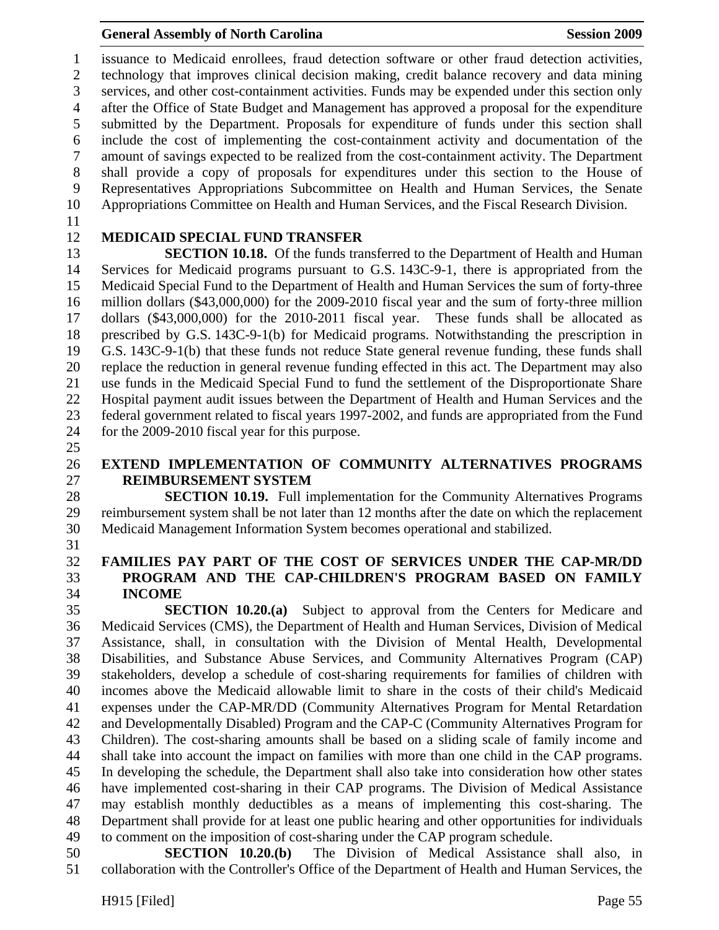1 issuance to Medicaid enrollees, fraud detection software or other fraud detection activities, 2 technology that improves clinical decision making, credit balance recovery and data mining 3 services, and other cost-containment activities. Funds may be expended under this section only 4 after the Office of State Budget and Management has approved a proposal for the expenditure 5 submitted by the Department. Proposals for expenditure of funds under this section shall 6 include the cost of implementing the cost-containment activity and documentation of the 7 amount of savings expected to be realized from the cost-containment activity. The Department 8 shall provide a copy of proposals for expenditures under this section to the House of 9 Representatives Appropriations Subcommittee on Health and Human Services, the Senate 10 Appropriations Committee on Health and Human Services, and the Fiscal Research Division.

11

## 12 **MEDICAID SPECIAL FUND TRANSFER**

13 **SECTION 10.18.** Of the funds transferred to the Department of Health and Human 14 Services for Medicaid programs pursuant to G.S. 143C-9-1, there is appropriated from the 15 Medicaid Special Fund to the Department of Health and Human Services the sum of forty-three 16 million dollars (\$43,000,000) for the 2009-2010 fiscal year and the sum of forty-three million 17 dollars (\$43,000,000) for the 2010-2011 fiscal year. These funds shall be allocated as 18 prescribed by G.S. 143C-9-1(b) for Medicaid programs. Notwithstanding the prescription in 19 G.S. 143C-9-1(b) that these funds not reduce State general revenue funding, these funds shall 20 replace the reduction in general revenue funding effected in this act. The Department may also 21 use funds in the Medicaid Special Fund to fund the settlement of the Disproportionate Share 22 Hospital payment audit issues between the Department of Health and Human Services and the 23 federal government related to fiscal years 1997-2002, and funds are appropriated from the Fund 24 for the 2009-2010 fiscal year for this purpose.

25

## 26 **EXTEND IMPLEMENTATION OF COMMUNITY ALTERNATIVES PROGRAMS**  27 **REIMBURSEMENT SYSTEM**

28 **SECTION 10.19.** Full implementation for the Community Alternatives Programs 29 reimbursement system shall be not later than 12 months after the date on which the replacement 30 Medicaid Management Information System becomes operational and stabilized.

31

## 32 **FAMILIES PAY PART OF THE COST OF SERVICES UNDER THE CAP-MR/DD**  33 **PROGRAM AND THE CAP-CHILDREN'S PROGRAM BASED ON FAMILY**  34 **INCOME**

35 **SECTION 10.20.(a)** Subject to approval from the Centers for Medicare and 36 Medicaid Services (CMS), the Department of Health and Human Services, Division of Medical 37 Assistance, shall, in consultation with the Division of Mental Health, Developmental 38 Disabilities, and Substance Abuse Services, and Community Alternatives Program (CAP) 39 stakeholders, develop a schedule of cost-sharing requirements for families of children with 40 incomes above the Medicaid allowable limit to share in the costs of their child's Medicaid 41 expenses under the CAP-MR/DD (Community Alternatives Program for Mental Retardation 42 and Developmentally Disabled) Program and the CAP-C (Community Alternatives Program for 43 Children). The cost-sharing amounts shall be based on a sliding scale of family income and 44 shall take into account the impact on families with more than one child in the CAP programs. 45 In developing the schedule, the Department shall also take into consideration how other states 46 have implemented cost-sharing in their CAP programs. The Division of Medical Assistance 47 may establish monthly deductibles as a means of implementing this cost-sharing. The 48 Department shall provide for at least one public hearing and other opportunities for individuals 49 to comment on the imposition of cost-sharing under the CAP program schedule.

50 **SECTION 10.20.(b)** The Division of Medical Assistance shall also, in 51 collaboration with the Controller's Office of the Department of Health and Human Services, the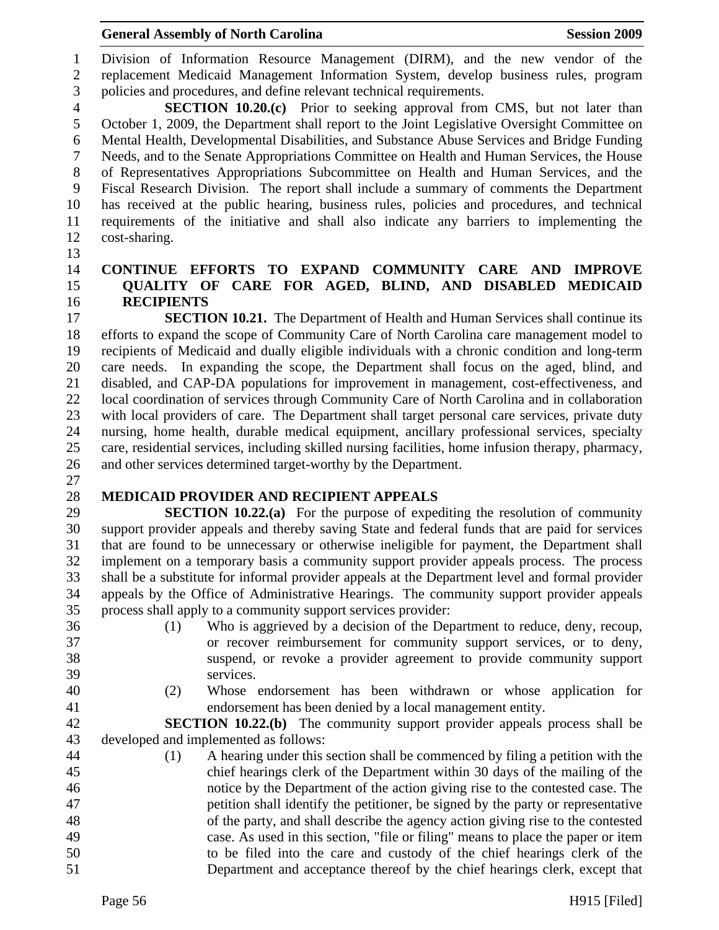#### General Assembly of North Carolina **Session 2009**

1 Division of Information Resource Management (DIRM), and the new vendor of the 2 replacement Medicaid Management Information System, develop business rules, program 3 policies and procedures, and define relevant technical requirements.

4 **SECTION 10.20.(c)** Prior to seeking approval from CMS, but not later than 5 October 1, 2009, the Department shall report to the Joint Legislative Oversight Committee on 6 Mental Health, Developmental Disabilities, and Substance Abuse Services and Bridge Funding 7 Needs, and to the Senate Appropriations Committee on Health and Human Services, the House 8 of Representatives Appropriations Subcommittee on Health and Human Services, and the 9 Fiscal Research Division. The report shall include a summary of comments the Department 10 has received at the public hearing, business rules, policies and procedures, and technical 11 requirements of the initiative and shall also indicate any barriers to implementing the 12 cost-sharing.

13

#### 14 **CONTINUE EFFORTS TO EXPAND COMMUNITY CARE AND IMPROVE**  15 **QUALITY OF CARE FOR AGED, BLIND, AND DISABLED MEDICAID**  16 **RECIPIENTS**

17 **SECTION 10.21.** The Department of Health and Human Services shall continue its 18 efforts to expand the scope of Community Care of North Carolina care management model to 19 recipients of Medicaid and dually eligible individuals with a chronic condition and long-term 20 care needs. In expanding the scope, the Department shall focus on the aged, blind, and 21 disabled, and CAP-DA populations for improvement in management, cost-effectiveness, and 22 local coordination of services through Community Care of North Carolina and in collaboration 23 with local providers of care. The Department shall target personal care services, private duty 24 nursing, home health, durable medical equipment, ancillary professional services, specialty 25 care, residential services, including skilled nursing facilities, home infusion therapy, pharmacy, 26 and other services determined target-worthy by the Department.

27

## 28 **MEDICAID PROVIDER AND RECIPIENT APPEALS**

29 **SECTION 10.22.(a)** For the purpose of expediting the resolution of community 30 support provider appeals and thereby saving State and federal funds that are paid for services 31 that are found to be unnecessary or otherwise ineligible for payment, the Department shall 32 implement on a temporary basis a community support provider appeals process. The process 33 shall be a substitute for informal provider appeals at the Department level and formal provider 34 appeals by the Office of Administrative Hearings. The community support provider appeals 35 process shall apply to a community support services provider:

- 
- 
- 36 (1) Who is aggrieved by a decision of the Department to reduce, deny, recoup, 37 or recover reimbursement for community support services, or to deny, 38 suspend, or revoke a provider agreement to provide community support 39 services.
- 
- 40 (2) Whose endorsement has been withdrawn or whose application for 41 endorsement has been denied by a local management entity.

42 **SECTION 10.22.(b)** The community support provider appeals process shall be 43 developed and implemented as follows:

44 (1) A hearing under this section shall be commenced by filing a petition with the 45 chief hearings clerk of the Department within 30 days of the mailing of the 46 notice by the Department of the action giving rise to the contested case. The 47 petition shall identify the petitioner, be signed by the party or representative 48 of the party, and shall describe the agency action giving rise to the contested 49 case. As used in this section, "file or filing" means to place the paper or item 50 to be filed into the care and custody of the chief hearings clerk of the 51 Department and acceptance thereof by the chief hearings clerk, except that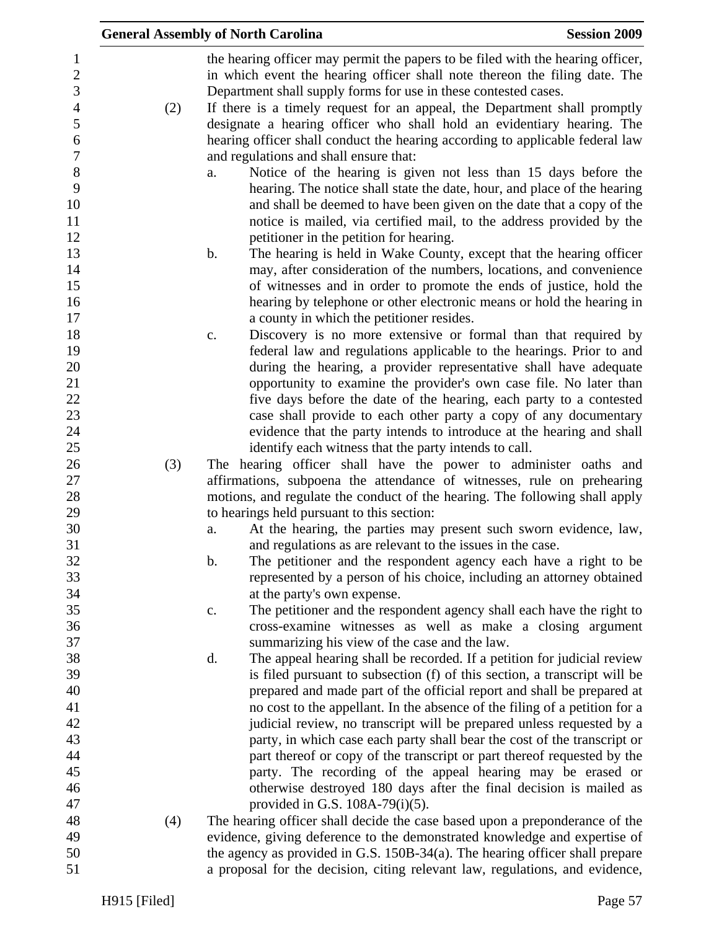|     | <b>General Assembly of North Carolina</b>                                                                                                                                                                                                                                                                                                     | <b>Session 2009</b> |
|-----|-----------------------------------------------------------------------------------------------------------------------------------------------------------------------------------------------------------------------------------------------------------------------------------------------------------------------------------------------|---------------------|
|     | the hearing officer may permit the papers to be filed with the hearing officer,<br>in which event the hearing officer shall note thereon the filing date. The<br>Department shall supply forms for use in these contested cases.                                                                                                              |                     |
| (2) | If there is a timely request for an appeal, the Department shall promptly<br>designate a hearing officer who shall hold an evidentiary hearing. The                                                                                                                                                                                           |                     |
|     | hearing officer shall conduct the hearing according to applicable federal law<br>and regulations and shall ensure that:                                                                                                                                                                                                                       |                     |
|     | Notice of the hearing is given not less than 15 days before the<br>a.<br>hearing. The notice shall state the date, hour, and place of the hearing<br>and shall be deemed to have been given on the date that a copy of the<br>notice is mailed, via certified mail, to the address provided by the<br>petitioner in the petition for hearing. |                     |
|     | b.<br>The hearing is held in Wake County, except that the hearing officer                                                                                                                                                                                                                                                                     |                     |
|     | may, after consideration of the numbers, locations, and convenience<br>of witnesses and in order to promote the ends of justice, hold the                                                                                                                                                                                                     |                     |
|     | hearing by telephone or other electronic means or hold the hearing in                                                                                                                                                                                                                                                                         |                     |
|     | a county in which the petitioner resides.<br>Discovery is no more extensive or formal than that required by<br>$\mathbf{C}$ .                                                                                                                                                                                                                 |                     |
|     | federal law and regulations applicable to the hearings. Prior to and                                                                                                                                                                                                                                                                          |                     |
|     | during the hearing, a provider representative shall have adequate                                                                                                                                                                                                                                                                             |                     |
|     | opportunity to examine the provider's own case file. No later than                                                                                                                                                                                                                                                                            |                     |
|     | five days before the date of the hearing, each party to a contested                                                                                                                                                                                                                                                                           |                     |
|     | case shall provide to each other party a copy of any documentary                                                                                                                                                                                                                                                                              |                     |
|     | evidence that the party intends to introduce at the hearing and shall                                                                                                                                                                                                                                                                         |                     |
| (3) | identify each witness that the party intends to call.<br>The hearing officer shall have the power to administer oaths and                                                                                                                                                                                                                     |                     |
|     | affirmations, subpoena the attendance of witnesses, rule on prehearing                                                                                                                                                                                                                                                                        |                     |
|     | motions, and regulate the conduct of the hearing. The following shall apply                                                                                                                                                                                                                                                                   |                     |
|     | to hearings held pursuant to this section:                                                                                                                                                                                                                                                                                                    |                     |
|     | At the hearing, the parties may present such sworn evidence, law,<br>a.                                                                                                                                                                                                                                                                       |                     |
|     | and regulations as are relevant to the issues in the case.                                                                                                                                                                                                                                                                                    |                     |
|     | The petitioner and the respondent agency each have a right to be<br>b.                                                                                                                                                                                                                                                                        |                     |
|     | represented by a person of his choice, including an attorney obtained                                                                                                                                                                                                                                                                         |                     |
|     | at the party's own expense.                                                                                                                                                                                                                                                                                                                   |                     |
|     | The petitioner and the respondent agency shall each have the right to<br>$\mathbf{c}$ .<br>cross-examine witnesses as well as make a closing argument                                                                                                                                                                                         |                     |
|     | summarizing his view of the case and the law.                                                                                                                                                                                                                                                                                                 |                     |
|     | The appeal hearing shall be recorded. If a petition for judicial review<br>d.                                                                                                                                                                                                                                                                 |                     |
|     | is filed pursuant to subsection (f) of this section, a transcript will be                                                                                                                                                                                                                                                                     |                     |
|     | prepared and made part of the official report and shall be prepared at                                                                                                                                                                                                                                                                        |                     |
|     | no cost to the appellant. In the absence of the filing of a petition for a                                                                                                                                                                                                                                                                    |                     |
|     | judicial review, no transcript will be prepared unless requested by a                                                                                                                                                                                                                                                                         |                     |
|     | party, in which case each party shall bear the cost of the transcript or                                                                                                                                                                                                                                                                      |                     |
|     | part thereof or copy of the transcript or part thereof requested by the                                                                                                                                                                                                                                                                       |                     |
|     | party. The recording of the appeal hearing may be erased or                                                                                                                                                                                                                                                                                   |                     |
|     | otherwise destroyed 180 days after the final decision is mailed as                                                                                                                                                                                                                                                                            |                     |
|     | provided in G.S. $108A-79(i)(5)$ .                                                                                                                                                                                                                                                                                                            |                     |
| (4) | The hearing officer shall decide the case based upon a preponderance of the<br>evidence, giving deference to the demonstrated knowledge and expertise of                                                                                                                                                                                      |                     |
|     | the agency as provided in G.S. $150B-34(a)$ . The hearing officer shall prepare                                                                                                                                                                                                                                                               |                     |
|     | a proposal for the decision, citing relevant law, regulations, and evidence,                                                                                                                                                                                                                                                                  |                     |
|     |                                                                                                                                                                                                                                                                                                                                               |                     |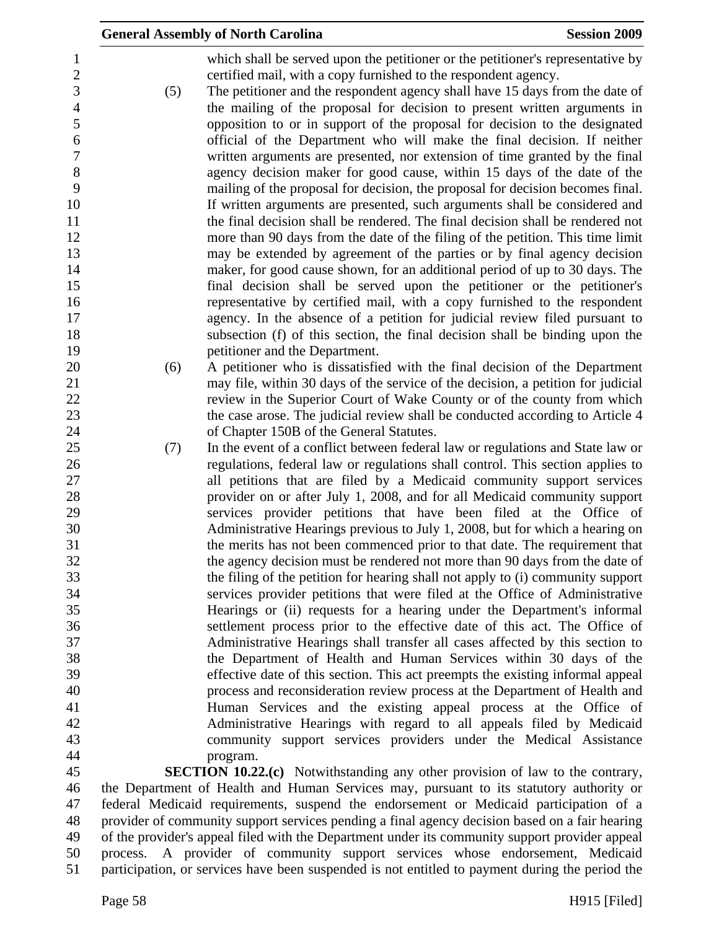|                       |     | <b>General Assembly of North Carolina</b>                                                                                                                    | <b>Session 2009</b> |
|-----------------------|-----|--------------------------------------------------------------------------------------------------------------------------------------------------------------|---------------------|
| 1<br>$\boldsymbol{2}$ |     | which shall be served upon the petitioner or the petitioner's representative by<br>certified mail, with a copy furnished to the respondent agency.           |                     |
| 3<br>$\overline{4}$   | (5) | The petitioner and the respondent agency shall have 15 days from the date of<br>the mailing of the proposal for decision to present written arguments in     |                     |
| $\mathfrak s$         |     | opposition to or in support of the proposal for decision to the designated                                                                                   |                     |
| 6<br>$\tau$           |     | official of the Department who will make the final decision. If neither<br>written arguments are presented, nor extension of time granted by the final       |                     |
| 8                     |     | agency decision maker for good cause, within 15 days of the date of the                                                                                      |                     |
| 9                     |     | mailing of the proposal for decision, the proposal for decision becomes final.                                                                               |                     |
| 10<br>11              |     | If written arguments are presented, such arguments shall be considered and<br>the final decision shall be rendered. The final decision shall be rendered not |                     |
| 12                    |     | more than 90 days from the date of the filing of the petition. This time limit                                                                               |                     |
| 13                    |     | may be extended by agreement of the parties or by final agency decision                                                                                      |                     |
| 14<br>15              |     | maker, for good cause shown, for an additional period of up to 30 days. The<br>final decision shall be served upon the petitioner or the petitioner's        |                     |
| 16                    |     | representative by certified mail, with a copy furnished to the respondent                                                                                    |                     |
| 17                    |     | agency. In the absence of a petition for judicial review filed pursuant to                                                                                   |                     |
| 18<br>19              |     | subsection (f) of this section, the final decision shall be binding upon the<br>petitioner and the Department.                                               |                     |
| 20                    | (6) | A petitioner who is dissatisfied with the final decision of the Department                                                                                   |                     |
| 21                    |     | may file, within 30 days of the service of the decision, a petition for judicial                                                                             |                     |
| 22<br>23              |     | review in the Superior Court of Wake County or of the county from which<br>the case arose. The judicial review shall be conducted according to Article 4     |                     |
| 24                    |     | of Chapter 150B of the General Statutes.                                                                                                                     |                     |
| 25                    | (7) | In the event of a conflict between federal law or regulations and State law or                                                                               |                     |
| 26<br>27              |     | regulations, federal law or regulations shall control. This section applies to<br>all petitions that are filed by a Medicaid community support services      |                     |
| 28                    |     | provider on or after July 1, 2008, and for all Medicaid community support                                                                                    |                     |
| 29                    |     | services provider petitions that have been filed at the Office of                                                                                            |                     |
| 30<br>31              |     | Administrative Hearings previous to July 1, 2008, but for which a hearing on<br>the merits has not been commenced prior to that date. The requirement that   |                     |
| 32                    |     | the agency decision must be rendered not more than 90 days from the date of                                                                                  |                     |
| 33                    |     | the filing of the petition for hearing shall not apply to (i) community support                                                                              |                     |
| 34<br>35              |     | services provider petitions that were filed at the Office of Administrative<br>Hearings or (ii) requests for a hearing under the Department's informal       |                     |
| 36                    |     | settlement process prior to the effective date of this act. The Office of                                                                                    |                     |
| 37                    |     | Administrative Hearings shall transfer all cases affected by this section to                                                                                 |                     |
| 38<br>39              |     | the Department of Health and Human Services within 30 days of the                                                                                            |                     |
| 40                    |     | effective date of this section. This act preempts the existing informal appeal<br>process and reconsideration review process at the Department of Health and |                     |
| 41                    |     | Human Services and the existing appeal process at the Office of                                                                                              |                     |
| 42                    |     | Administrative Hearings with regard to all appeals filed by Medicaid                                                                                         |                     |
| 43<br>44              |     | community support services providers under the Medical Assistance<br>program.                                                                                |                     |
| 45                    |     | <b>SECTION 10.22.(c)</b> Notwithstanding any other provision of law to the contrary,                                                                         |                     |
| 46                    |     | the Department of Health and Human Services may, pursuant to its statutory authority or                                                                      |                     |
| 47                    |     | federal Medicaid requirements, suspend the endorsement or Medicaid participation of a                                                                        |                     |

48 provider of community support services pending a final agency decision based on a fair hearing<br>49 of the provider's appeal filed with the Department under its community support provider appeal of the provider's appeal filed with the Department under its community support provider appeal 50 process. A provider of community support services whose endorsement, Medicaid 51 participation, or services have been suspended is not entitled to payment during the period the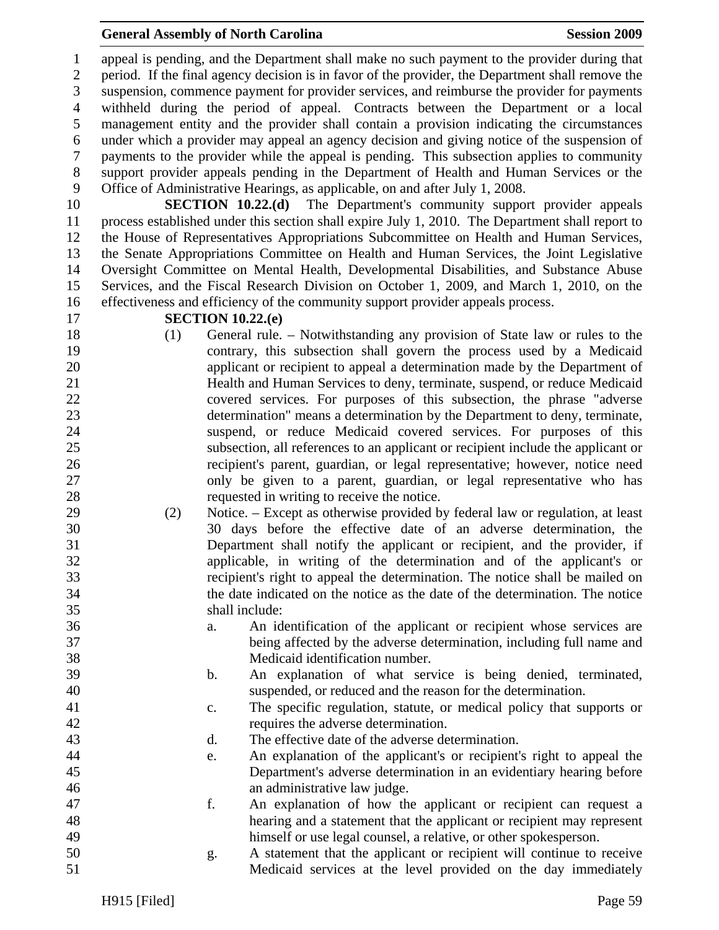#### **General Assembly of North Carolina**  Session 2009 **Session 2009**

1 appeal is pending, and the Department shall make no such payment to the provider during that 2 period. If the final agency decision is in favor of the provider, the Department shall remove the 3 suspension, commence payment for provider services, and reimburse the provider for payments 4 withheld during the period of appeal. Contracts between the Department or a local 5 management entity and the provider shall contain a provision indicating the circumstances 6 under which a provider may appeal an agency decision and giving notice of the suspension of 7 payments to the provider while the appeal is pending. This subsection applies to community 8 support provider appeals pending in the Department of Health and Human Services or the 9 Office of Administrative Hearings, as applicable, on and after July 1, 2008.

10 **SECTION 10.22.(d)** The Department's community support provider appeals 11 process established under this section shall expire July 1, 2010. The Department shall report to 12 the House of Representatives Appropriations Subcommittee on Health and Human Services, 13 the Senate Appropriations Committee on Health and Human Services, the Joint Legislative 14 Oversight Committee on Mental Health, Developmental Disabilities, and Substance Abuse 15 Services, and the Fiscal Research Division on October 1, 2009, and March 1, 2010, on the 16 effectiveness and efficiency of the community support provider appeals process.

#### 17 **SECTION 10.22.(e)**

- 18 (1) General rule. Notwithstanding any provision of State law or rules to the 19 contrary, this subsection shall govern the process used by a Medicaid 20 applicant or recipient to appeal a determination made by the Department of 21 Health and Human Services to deny, terminate, suspend, or reduce Medicaid 22 covered services. For purposes of this subsection, the phrase "adverse 23 determination" means a determination by the Department to deny, terminate, 24 suspend, or reduce Medicaid covered services. For purposes of this 25 subsection, all references to an applicant or recipient include the applicant or 26 recipient's parent, guardian, or legal representative; however, notice need 27 only be given to a parent, guardian, or legal representative who has 28 requested in writing to receive the notice.
- 29 (2) Notice. Except as otherwise provided by federal law or regulation, at least 30 30 days before the effective date of an adverse determination, the 31 Department shall notify the applicant or recipient, and the provider, if 32 applicable, in writing of the determination and of the applicant's or 33 recipient's right to appeal the determination. The notice shall be mailed on 34 the date indicated on the notice as the date of the determination. The notice 35 shall include:
- 36 a. An identification of the applicant or recipient whose services are 37 being affected by the adverse determination, including full name and 38 Medicaid identification number.
- 39 b. An explanation of what service is being denied, terminated, 40 suspended, or reduced and the reason for the determination.
- 41 c. The specific regulation, statute, or medical policy that supports or 42 requires the adverse determination.
- 43 d. The effective date of the adverse determination.
- 44 e. An explanation of the applicant's or recipient's right to appeal the 45 Department's adverse determination in an evidentiary hearing before 46 an administrative law judge.
- 47 f. An explanation of how the applicant or recipient can request a 48 hearing and a statement that the applicant or recipient may represent 49 himself or use legal counsel, a relative, or other spokesperson.
- 50 g. A statement that the applicant or recipient will continue to receive 51 Medicaid services at the level provided on the day immediately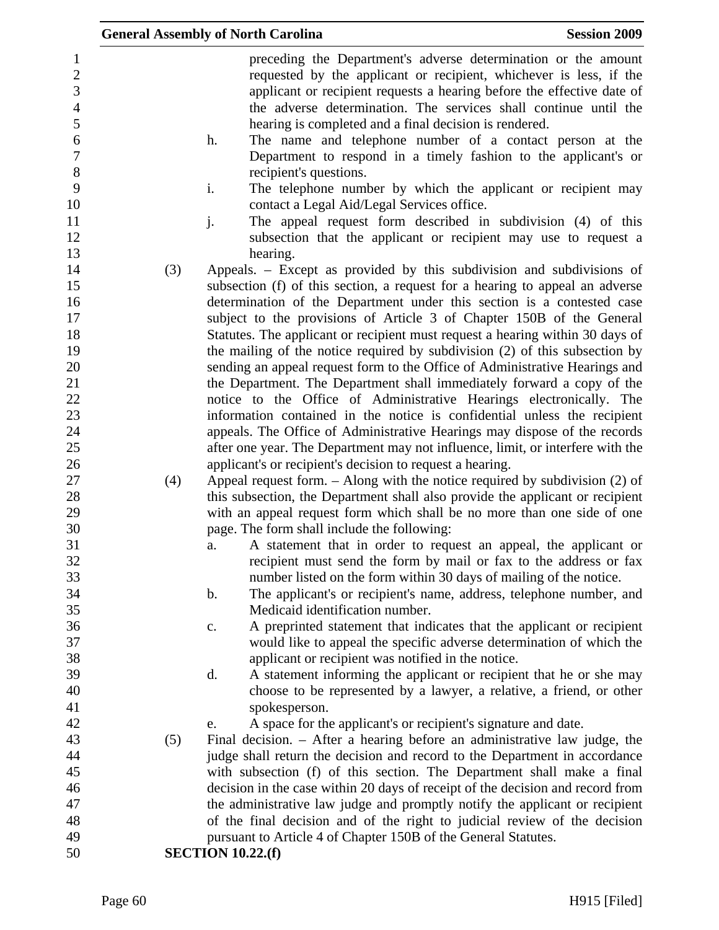|                                                     |     | <b>General Assembly of North Carolina</b><br><b>Session 2009</b>                                                                                                                                                                                                                   |
|-----------------------------------------------------|-----|------------------------------------------------------------------------------------------------------------------------------------------------------------------------------------------------------------------------------------------------------------------------------------|
| $\mathbf{1}$<br>$\mathbf{2}$<br>3<br>$\overline{4}$ |     | preceding the Department's adverse determination or the amount<br>requested by the applicant or recipient, whichever is less, if the<br>applicant or recipient requests a hearing before the effective date of<br>the adverse determination. The services shall continue until the |
| 5<br>6<br>$\overline{7}$                            |     | hearing is completed and a final decision is rendered.<br>The name and telephone number of a contact person at the<br>h.<br>Department to respond in a timely fashion to the applicant's or                                                                                        |
| $8\,$<br>9                                          |     | recipient's questions.<br>i.<br>The telephone number by which the applicant or recipient may                                                                                                                                                                                       |
| 10<br>11                                            |     | contact a Legal Aid/Legal Services office.<br>j.<br>The appeal request form described in subdivision (4) of this                                                                                                                                                                   |
| 12<br>13                                            |     | subsection that the applicant or recipient may use to request a<br>hearing.                                                                                                                                                                                                        |
| 14<br>15<br>16                                      | (3) | Appeals. – Except as provided by this subdivision and subdivisions of<br>subsection (f) of this section, a request for a hearing to appeal an adverse<br>determination of the Department under this section is a contested case                                                    |
| 17<br>18                                            |     | subject to the provisions of Article 3 of Chapter 150B of the General<br>Statutes. The applicant or recipient must request a hearing within 30 days of                                                                                                                             |
| 19<br>20                                            |     | the mailing of the notice required by subdivision (2) of this subsection by<br>sending an appeal request form to the Office of Administrative Hearings and                                                                                                                         |
| 21                                                  |     | the Department. The Department shall immediately forward a copy of the                                                                                                                                                                                                             |
| 22                                                  |     | notice to the Office of Administrative Hearings electronically. The                                                                                                                                                                                                                |
| 23<br>24                                            |     | information contained in the notice is confidential unless the recipient<br>appeals. The Office of Administrative Hearings may dispose of the records                                                                                                                              |
| 25                                                  |     | after one year. The Department may not influence, limit, or interfere with the                                                                                                                                                                                                     |
| 26                                                  |     | applicant's or recipient's decision to request a hearing.                                                                                                                                                                                                                          |
| 27                                                  | (4) | Appeal request form. $-$ Along with the notice required by subdivision (2) of                                                                                                                                                                                                      |
| 28<br>29                                            |     | this subsection, the Department shall also provide the applicant or recipient<br>with an appeal request form which shall be no more than one side of one                                                                                                                           |
| 30                                                  |     | page. The form shall include the following:                                                                                                                                                                                                                                        |
| 31                                                  |     | A statement that in order to request an appeal, the applicant or<br>a.                                                                                                                                                                                                             |
| 32<br>33                                            |     | recipient must send the form by mail or fax to the address or fax<br>number listed on the form within 30 days of mailing of the notice.                                                                                                                                            |
| 34                                                  |     | The applicant's or recipient's name, address, telephone number, and<br>$\mathbf b$ .                                                                                                                                                                                               |
| 35                                                  |     | Medicaid identification number.                                                                                                                                                                                                                                                    |
| 36<br>37                                            |     | A preprinted statement that indicates that the applicant or recipient<br>c.<br>would like to appeal the specific adverse determination of which the                                                                                                                                |
| 38                                                  |     | applicant or recipient was notified in the notice.                                                                                                                                                                                                                                 |
| 39                                                  |     | A statement informing the applicant or recipient that he or she may<br>d.                                                                                                                                                                                                          |
| 40                                                  |     | choose to be represented by a lawyer, a relative, a friend, or other                                                                                                                                                                                                               |
| 41                                                  |     | spokesperson.                                                                                                                                                                                                                                                                      |
| 42                                                  |     | A space for the applicant's or recipient's signature and date.<br>e.                                                                                                                                                                                                               |
| 43                                                  | (5) | Final decision. - After a hearing before an administrative law judge, the                                                                                                                                                                                                          |
| 44                                                  |     | judge shall return the decision and record to the Department in accordance                                                                                                                                                                                                         |
| 45                                                  |     | with subsection (f) of this section. The Department shall make a final                                                                                                                                                                                                             |
| 46                                                  |     | decision in the case within 20 days of receipt of the decision and record from                                                                                                                                                                                                     |
| 47<br>48                                            |     | the administrative law judge and promptly notify the applicant or recipient<br>of the final decision and of the right to judicial review of the decision                                                                                                                           |
| 49                                                  |     | pursuant to Article 4 of Chapter 150B of the General Statutes.                                                                                                                                                                                                                     |
| 50                                                  |     | <b>SECTION 10.22.(f)</b>                                                                                                                                                                                                                                                           |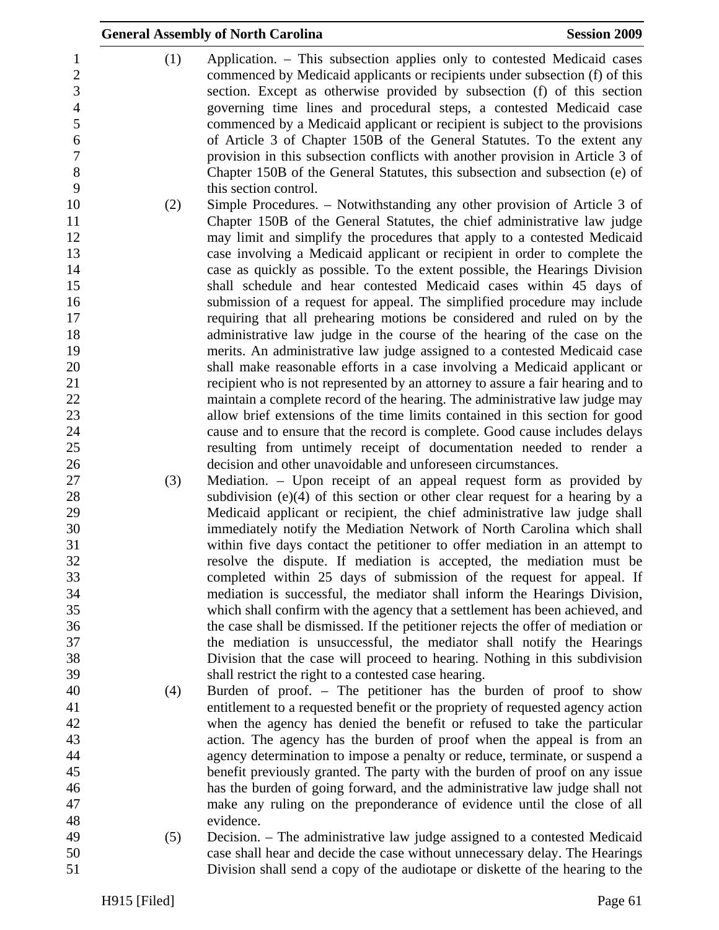|                                                   | <b>General Assembly of North Carolina</b>                                                                                                                                                                                                                                                                              | <b>Session 2009</b> |
|---------------------------------------------------|------------------------------------------------------------------------------------------------------------------------------------------------------------------------------------------------------------------------------------------------------------------------------------------------------------------------|---------------------|
| (1)<br>1<br>$\overline{2}$<br>3<br>$\overline{4}$ | Application. – This subsection applies only to contested Medicaid cases<br>commenced by Medicaid applicants or recipients under subsection (f) of this<br>section. Except as otherwise provided by subsection (f) of this section<br>governing time lines and procedural steps, a contested Medicaid case              |                     |
| 5<br>6<br>$\boldsymbol{7}$<br>$8\,$               | commenced by a Medicaid applicant or recipient is subject to the provisions<br>of Article 3 of Chapter 150B of the General Statutes. To the extent any<br>provision in this subsection conflicts with another provision in Article 3 of<br>Chapter 150B of the General Statutes, this subsection and subsection (e) of |                     |
| 9                                                 | this section control.                                                                                                                                                                                                                                                                                                  |                     |
| 10<br>(2)                                         | Simple Procedures. - Notwithstanding any other provision of Article 3 of                                                                                                                                                                                                                                               |                     |
| 11                                                | Chapter 150B of the General Statutes, the chief administrative law judge                                                                                                                                                                                                                                               |                     |
| 12                                                | may limit and simplify the procedures that apply to a contested Medicaid                                                                                                                                                                                                                                               |                     |
| 13                                                | case involving a Medicaid applicant or recipient in order to complete the                                                                                                                                                                                                                                              |                     |
| 14                                                | case as quickly as possible. To the extent possible, the Hearings Division                                                                                                                                                                                                                                             |                     |
| 15<br>16                                          | shall schedule and hear contested Medicaid cases within 45 days of<br>submission of a request for appeal. The simplified procedure may include                                                                                                                                                                         |                     |
| 17                                                | requiring that all prehearing motions be considered and ruled on by the                                                                                                                                                                                                                                                |                     |
| 18                                                | administrative law judge in the course of the hearing of the case on the                                                                                                                                                                                                                                               |                     |
| 19                                                | merits. An administrative law judge assigned to a contested Medicaid case                                                                                                                                                                                                                                              |                     |
| 20                                                | shall make reasonable efforts in a case involving a Medicaid applicant or                                                                                                                                                                                                                                              |                     |
| 21                                                | recipient who is not represented by an attorney to assure a fair hearing and to                                                                                                                                                                                                                                        |                     |
| 22                                                | maintain a complete record of the hearing. The administrative law judge may                                                                                                                                                                                                                                            |                     |
| 23                                                | allow brief extensions of the time limits contained in this section for good                                                                                                                                                                                                                                           |                     |
| 24                                                | cause and to ensure that the record is complete. Good cause includes delays                                                                                                                                                                                                                                            |                     |
| 25                                                | resulting from untimely receipt of documentation needed to render a                                                                                                                                                                                                                                                    |                     |
| 26                                                | decision and other unavoidable and unforeseen circumstances.                                                                                                                                                                                                                                                           |                     |
| 27<br>(3)                                         | Mediation. – Upon receipt of an appeal request form as provided by<br>subdivision $(e)(4)$ of this section or other clear request for a hearing by a                                                                                                                                                                   |                     |
| 28<br>29                                          | Medicaid applicant or recipient, the chief administrative law judge shall                                                                                                                                                                                                                                              |                     |
| 30                                                | immediately notify the Mediation Network of North Carolina which shall                                                                                                                                                                                                                                                 |                     |
| 31                                                | within five days contact the petitioner to offer mediation in an attempt to                                                                                                                                                                                                                                            |                     |
| 32                                                | resolve the dispute. If mediation is accepted, the mediation must be                                                                                                                                                                                                                                                   |                     |
| 33                                                | completed within 25 days of submission of the request for appeal. If                                                                                                                                                                                                                                                   |                     |
| 34                                                | mediation is successful, the mediator shall inform the Hearings Division,                                                                                                                                                                                                                                              |                     |
| 35                                                | which shall confirm with the agency that a settlement has been achieved, and                                                                                                                                                                                                                                           |                     |
| 36                                                | the case shall be dismissed. If the petitioner rejects the offer of mediation or                                                                                                                                                                                                                                       |                     |
| 37                                                | the mediation is unsuccessful, the mediator shall notify the Hearings                                                                                                                                                                                                                                                  |                     |
| 38<br>39                                          | Division that the case will proceed to hearing. Nothing in this subdivision                                                                                                                                                                                                                                            |                     |
| 40<br>(4)                                         | shall restrict the right to a contested case hearing.<br>Burden of proof. - The petitioner has the burden of proof to show                                                                                                                                                                                             |                     |
|                                                   | entitlement to a requested benefit or the propriety of requested agency action                                                                                                                                                                                                                                         |                     |
| 42                                                | when the agency has denied the benefit or refused to take the particular                                                                                                                                                                                                                                               |                     |
| 43                                                | action. The agency has the burden of proof when the appeal is from an                                                                                                                                                                                                                                                  |                     |
| 44                                                | agency determination to impose a penalty or reduce, terminate, or suspend a                                                                                                                                                                                                                                            |                     |
| 45                                                | benefit previously granted. The party with the burden of proof on any issue                                                                                                                                                                                                                                            |                     |
|                                                   | has the burden of going forward, and the administrative law judge shall not                                                                                                                                                                                                                                            |                     |
|                                                   | make any ruling on the preponderance of evidence until the close of all                                                                                                                                                                                                                                                |                     |
| 48<br>49                                          | evidence.                                                                                                                                                                                                                                                                                                              |                     |
| (5)<br>50                                         | Decision. – The administrative law judge assigned to a contested Medicaid                                                                                                                                                                                                                                              |                     |
|                                                   | case shall hear and decide the case without unnecessary delay. The Hearings<br>Division shall send a copy of the audiotape or diskette of the hearing to the                                                                                                                                                           |                     |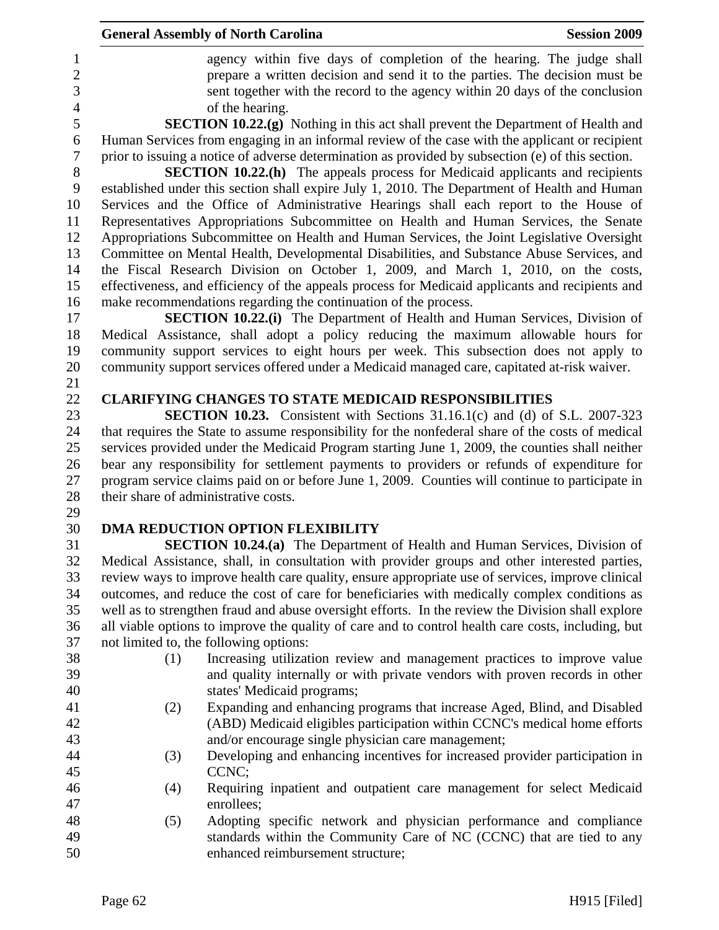| agency within five days of completion of the hearing. The judge shall<br>$\mathbf{1}$<br>$\overline{c}$<br>prepare a written decision and send it to the parties. The decision must be<br>$\overline{3}$<br>sent together with the record to the agency within 20 days of the conclusion<br>$\overline{4}$<br>of the hearing.<br>5<br><b>SECTION 10.22.(g)</b> Nothing in this act shall prevent the Department of Health and<br>Human Services from engaging in an informal review of the case with the applicant or recipient<br>6<br>$\boldsymbol{7}$<br>prior to issuing a notice of adverse determination as provided by subsection (e) of this section.<br>8<br><b>SECTION 10.22.(h)</b> The appeals process for Medicaid applicants and recipients<br>9<br>established under this section shall expire July 1, 2010. The Department of Health and Human<br>Services and the Office of Administrative Hearings shall each report to the House of<br>10<br>Representatives Appropriations Subcommittee on Health and Human Services, the Senate<br>11<br>12<br>Appropriations Subcommittee on Health and Human Services, the Joint Legislative Oversight<br>13<br>Committee on Mental Health, Developmental Disabilities, and Substance Abuse Services, and<br>the Fiscal Research Division on October 1, 2009, and March 1, 2010, on the costs,<br>14<br>15<br>effectiveness, and efficiency of the appeals process for Medicaid applicants and recipients and<br>make recommendations regarding the continuation of the process.<br>16<br>17<br><b>SECTION 10.22.(i)</b> The Department of Health and Human Services, Division of<br>18<br>Medical Assistance, shall adopt a policy reducing the maximum allowable hours for<br>19<br>community support services to eight hours per week. This subsection does not apply to<br>community support services offered under a Medicaid managed care, capitated at-risk waiver.<br>20<br>21<br>22<br><b>CLARIFYING CHANGES TO STATE MEDICAID RESPONSIBILITIES</b><br>23<br><b>SECTION 10.23.</b> Consistent with Sections 31.16.1(c) and (d) of S.L. 2007-323<br>24<br>that requires the State to assume responsibility for the nonfederal share of the costs of medical<br>services provided under the Medicaid Program starting June 1, 2009, the counties shall neither<br>25<br>26<br>bear any responsibility for settlement payments to providers or refunds of expenditure for<br>27<br>program service claims paid on or before June 1, 2009. Counties will continue to participate in<br>28<br>their share of administrative costs.<br>29<br>30<br>DMA REDUCTION OPTION FLEXIBILITY<br>31<br><b>SECTION 10.24.(a)</b> The Department of Health and Human Services, Division of<br>32<br>Medical Assistance, shall, in consultation with provider groups and other interested parties,<br>33<br>review ways to improve health care quality, ensure appropriate use of services, improve clinical<br>34<br>outcomes, and reduce the cost of care for beneficiaries with medically complex conditions as<br>35<br>well as to strengthen fraud and abuse oversight efforts. In the review the Division shall explore<br>36<br>all viable options to improve the quality of care and to control health care costs, including, but<br>37<br>not limited to, the following options:<br>38<br>(1)<br>Increasing utilization review and management practices to improve value<br>39<br>and quality internally or with private vendors with proven records in other<br>40<br>states' Medicaid programs;<br>41<br>Expanding and enhancing programs that increase Aged, Blind, and Disabled<br>(2)<br>42<br>(ABD) Medicaid eligibles participation within CCNC's medical home efforts<br>43<br>and/or encourage single physician care management;<br>44<br>Developing and enhancing incentives for increased provider participation in<br>(3)<br>45<br>CCNC;<br>46<br>Requiring inpatient and outpatient care management for select Medicaid<br>(4)<br>47<br>enrollees;<br>48<br>Adopting specific network and physician performance and compliance<br>(5) |    | <b>General Assembly of North Carolina</b> | <b>Session 2009</b> |
|----------------------------------------------------------------------------------------------------------------------------------------------------------------------------------------------------------------------------------------------------------------------------------------------------------------------------------------------------------------------------------------------------------------------------------------------------------------------------------------------------------------------------------------------------------------------------------------------------------------------------------------------------------------------------------------------------------------------------------------------------------------------------------------------------------------------------------------------------------------------------------------------------------------------------------------------------------------------------------------------------------------------------------------------------------------------------------------------------------------------------------------------------------------------------------------------------------------------------------------------------------------------------------------------------------------------------------------------------------------------------------------------------------------------------------------------------------------------------------------------------------------------------------------------------------------------------------------------------------------------------------------------------------------------------------------------------------------------------------------------------------------------------------------------------------------------------------------------------------------------------------------------------------------------------------------------------------------------------------------------------------------------------------------------------------------------------------------------------------------------------------------------------------------------------------------------------------------------------------------------------------------------------------------------------------------------------------------------------------------------------------------------------------------------------------------------------------------------------------------------------------------------------------------------------------------------------------------------------------------------------------------------------------------------------------------------------------------------------------------------------------------------------------------------------------------------------------------------------------------------------------------------------------------------------------------------------------------------------------------------------------------------------------------------------------------------------------------------------------------------------------------------------------------------------------------------------------------------------------------------------------------------------------------------------------------------------------------------------------------------------------------------------------------------------------------------------------------------------------------------------------------------------------------------------------------------------------------------------------------------------------------------------------------------------------------------------------------------------------------------------------------------------------------------------------------------------------------------------------------------------------------------------------------------------------------------------------------------------------------------------------------------------------------------------------------------------------------------------------|----|-------------------------------------------|---------------------|
|                                                                                                                                                                                                                                                                                                                                                                                                                                                                                                                                                                                                                                                                                                                                                                                                                                                                                                                                                                                                                                                                                                                                                                                                                                                                                                                                                                                                                                                                                                                                                                                                                                                                                                                                                                                                                                                                                                                                                                                                                                                                                                                                                                                                                                                                                                                                                                                                                                                                                                                                                                                                                                                                                                                                                                                                                                                                                                                                                                                                                                                                                                                                                                                                                                                                                                                                                                                                                                                                                                                                                                                                                                                                                                                                                                                                                                                                                                                                                                                                                                                                                                          |    |                                           |                     |
|                                                                                                                                                                                                                                                                                                                                                                                                                                                                                                                                                                                                                                                                                                                                                                                                                                                                                                                                                                                                                                                                                                                                                                                                                                                                                                                                                                                                                                                                                                                                                                                                                                                                                                                                                                                                                                                                                                                                                                                                                                                                                                                                                                                                                                                                                                                                                                                                                                                                                                                                                                                                                                                                                                                                                                                                                                                                                                                                                                                                                                                                                                                                                                                                                                                                                                                                                                                                                                                                                                                                                                                                                                                                                                                                                                                                                                                                                                                                                                                                                                                                                                          |    |                                           |                     |
|                                                                                                                                                                                                                                                                                                                                                                                                                                                                                                                                                                                                                                                                                                                                                                                                                                                                                                                                                                                                                                                                                                                                                                                                                                                                                                                                                                                                                                                                                                                                                                                                                                                                                                                                                                                                                                                                                                                                                                                                                                                                                                                                                                                                                                                                                                                                                                                                                                                                                                                                                                                                                                                                                                                                                                                                                                                                                                                                                                                                                                                                                                                                                                                                                                                                                                                                                                                                                                                                                                                                                                                                                                                                                                                                                                                                                                                                                                                                                                                                                                                                                                          |    |                                           |                     |
|                                                                                                                                                                                                                                                                                                                                                                                                                                                                                                                                                                                                                                                                                                                                                                                                                                                                                                                                                                                                                                                                                                                                                                                                                                                                                                                                                                                                                                                                                                                                                                                                                                                                                                                                                                                                                                                                                                                                                                                                                                                                                                                                                                                                                                                                                                                                                                                                                                                                                                                                                                                                                                                                                                                                                                                                                                                                                                                                                                                                                                                                                                                                                                                                                                                                                                                                                                                                                                                                                                                                                                                                                                                                                                                                                                                                                                                                                                                                                                                                                                                                                                          |    |                                           |                     |
|                                                                                                                                                                                                                                                                                                                                                                                                                                                                                                                                                                                                                                                                                                                                                                                                                                                                                                                                                                                                                                                                                                                                                                                                                                                                                                                                                                                                                                                                                                                                                                                                                                                                                                                                                                                                                                                                                                                                                                                                                                                                                                                                                                                                                                                                                                                                                                                                                                                                                                                                                                                                                                                                                                                                                                                                                                                                                                                                                                                                                                                                                                                                                                                                                                                                                                                                                                                                                                                                                                                                                                                                                                                                                                                                                                                                                                                                                                                                                                                                                                                                                                          |    |                                           |                     |
|                                                                                                                                                                                                                                                                                                                                                                                                                                                                                                                                                                                                                                                                                                                                                                                                                                                                                                                                                                                                                                                                                                                                                                                                                                                                                                                                                                                                                                                                                                                                                                                                                                                                                                                                                                                                                                                                                                                                                                                                                                                                                                                                                                                                                                                                                                                                                                                                                                                                                                                                                                                                                                                                                                                                                                                                                                                                                                                                                                                                                                                                                                                                                                                                                                                                                                                                                                                                                                                                                                                                                                                                                                                                                                                                                                                                                                                                                                                                                                                                                                                                                                          |    |                                           |                     |
|                                                                                                                                                                                                                                                                                                                                                                                                                                                                                                                                                                                                                                                                                                                                                                                                                                                                                                                                                                                                                                                                                                                                                                                                                                                                                                                                                                                                                                                                                                                                                                                                                                                                                                                                                                                                                                                                                                                                                                                                                                                                                                                                                                                                                                                                                                                                                                                                                                                                                                                                                                                                                                                                                                                                                                                                                                                                                                                                                                                                                                                                                                                                                                                                                                                                                                                                                                                                                                                                                                                                                                                                                                                                                                                                                                                                                                                                                                                                                                                                                                                                                                          |    |                                           |                     |
|                                                                                                                                                                                                                                                                                                                                                                                                                                                                                                                                                                                                                                                                                                                                                                                                                                                                                                                                                                                                                                                                                                                                                                                                                                                                                                                                                                                                                                                                                                                                                                                                                                                                                                                                                                                                                                                                                                                                                                                                                                                                                                                                                                                                                                                                                                                                                                                                                                                                                                                                                                                                                                                                                                                                                                                                                                                                                                                                                                                                                                                                                                                                                                                                                                                                                                                                                                                                                                                                                                                                                                                                                                                                                                                                                                                                                                                                                                                                                                                                                                                                                                          |    |                                           |                     |
|                                                                                                                                                                                                                                                                                                                                                                                                                                                                                                                                                                                                                                                                                                                                                                                                                                                                                                                                                                                                                                                                                                                                                                                                                                                                                                                                                                                                                                                                                                                                                                                                                                                                                                                                                                                                                                                                                                                                                                                                                                                                                                                                                                                                                                                                                                                                                                                                                                                                                                                                                                                                                                                                                                                                                                                                                                                                                                                                                                                                                                                                                                                                                                                                                                                                                                                                                                                                                                                                                                                                                                                                                                                                                                                                                                                                                                                                                                                                                                                                                                                                                                          |    |                                           |                     |
|                                                                                                                                                                                                                                                                                                                                                                                                                                                                                                                                                                                                                                                                                                                                                                                                                                                                                                                                                                                                                                                                                                                                                                                                                                                                                                                                                                                                                                                                                                                                                                                                                                                                                                                                                                                                                                                                                                                                                                                                                                                                                                                                                                                                                                                                                                                                                                                                                                                                                                                                                                                                                                                                                                                                                                                                                                                                                                                                                                                                                                                                                                                                                                                                                                                                                                                                                                                                                                                                                                                                                                                                                                                                                                                                                                                                                                                                                                                                                                                                                                                                                                          |    |                                           |                     |
|                                                                                                                                                                                                                                                                                                                                                                                                                                                                                                                                                                                                                                                                                                                                                                                                                                                                                                                                                                                                                                                                                                                                                                                                                                                                                                                                                                                                                                                                                                                                                                                                                                                                                                                                                                                                                                                                                                                                                                                                                                                                                                                                                                                                                                                                                                                                                                                                                                                                                                                                                                                                                                                                                                                                                                                                                                                                                                                                                                                                                                                                                                                                                                                                                                                                                                                                                                                                                                                                                                                                                                                                                                                                                                                                                                                                                                                                                                                                                                                                                                                                                                          |    |                                           |                     |
|                                                                                                                                                                                                                                                                                                                                                                                                                                                                                                                                                                                                                                                                                                                                                                                                                                                                                                                                                                                                                                                                                                                                                                                                                                                                                                                                                                                                                                                                                                                                                                                                                                                                                                                                                                                                                                                                                                                                                                                                                                                                                                                                                                                                                                                                                                                                                                                                                                                                                                                                                                                                                                                                                                                                                                                                                                                                                                                                                                                                                                                                                                                                                                                                                                                                                                                                                                                                                                                                                                                                                                                                                                                                                                                                                                                                                                                                                                                                                                                                                                                                                                          |    |                                           |                     |
|                                                                                                                                                                                                                                                                                                                                                                                                                                                                                                                                                                                                                                                                                                                                                                                                                                                                                                                                                                                                                                                                                                                                                                                                                                                                                                                                                                                                                                                                                                                                                                                                                                                                                                                                                                                                                                                                                                                                                                                                                                                                                                                                                                                                                                                                                                                                                                                                                                                                                                                                                                                                                                                                                                                                                                                                                                                                                                                                                                                                                                                                                                                                                                                                                                                                                                                                                                                                                                                                                                                                                                                                                                                                                                                                                                                                                                                                                                                                                                                                                                                                                                          |    |                                           |                     |
|                                                                                                                                                                                                                                                                                                                                                                                                                                                                                                                                                                                                                                                                                                                                                                                                                                                                                                                                                                                                                                                                                                                                                                                                                                                                                                                                                                                                                                                                                                                                                                                                                                                                                                                                                                                                                                                                                                                                                                                                                                                                                                                                                                                                                                                                                                                                                                                                                                                                                                                                                                                                                                                                                                                                                                                                                                                                                                                                                                                                                                                                                                                                                                                                                                                                                                                                                                                                                                                                                                                                                                                                                                                                                                                                                                                                                                                                                                                                                                                                                                                                                                          |    |                                           |                     |
|                                                                                                                                                                                                                                                                                                                                                                                                                                                                                                                                                                                                                                                                                                                                                                                                                                                                                                                                                                                                                                                                                                                                                                                                                                                                                                                                                                                                                                                                                                                                                                                                                                                                                                                                                                                                                                                                                                                                                                                                                                                                                                                                                                                                                                                                                                                                                                                                                                                                                                                                                                                                                                                                                                                                                                                                                                                                                                                                                                                                                                                                                                                                                                                                                                                                                                                                                                                                                                                                                                                                                                                                                                                                                                                                                                                                                                                                                                                                                                                                                                                                                                          |    |                                           |                     |
|                                                                                                                                                                                                                                                                                                                                                                                                                                                                                                                                                                                                                                                                                                                                                                                                                                                                                                                                                                                                                                                                                                                                                                                                                                                                                                                                                                                                                                                                                                                                                                                                                                                                                                                                                                                                                                                                                                                                                                                                                                                                                                                                                                                                                                                                                                                                                                                                                                                                                                                                                                                                                                                                                                                                                                                                                                                                                                                                                                                                                                                                                                                                                                                                                                                                                                                                                                                                                                                                                                                                                                                                                                                                                                                                                                                                                                                                                                                                                                                                                                                                                                          |    |                                           |                     |
|                                                                                                                                                                                                                                                                                                                                                                                                                                                                                                                                                                                                                                                                                                                                                                                                                                                                                                                                                                                                                                                                                                                                                                                                                                                                                                                                                                                                                                                                                                                                                                                                                                                                                                                                                                                                                                                                                                                                                                                                                                                                                                                                                                                                                                                                                                                                                                                                                                                                                                                                                                                                                                                                                                                                                                                                                                                                                                                                                                                                                                                                                                                                                                                                                                                                                                                                                                                                                                                                                                                                                                                                                                                                                                                                                                                                                                                                                                                                                                                                                                                                                                          |    |                                           |                     |
|                                                                                                                                                                                                                                                                                                                                                                                                                                                                                                                                                                                                                                                                                                                                                                                                                                                                                                                                                                                                                                                                                                                                                                                                                                                                                                                                                                                                                                                                                                                                                                                                                                                                                                                                                                                                                                                                                                                                                                                                                                                                                                                                                                                                                                                                                                                                                                                                                                                                                                                                                                                                                                                                                                                                                                                                                                                                                                                                                                                                                                                                                                                                                                                                                                                                                                                                                                                                                                                                                                                                                                                                                                                                                                                                                                                                                                                                                                                                                                                                                                                                                                          |    |                                           |                     |
|                                                                                                                                                                                                                                                                                                                                                                                                                                                                                                                                                                                                                                                                                                                                                                                                                                                                                                                                                                                                                                                                                                                                                                                                                                                                                                                                                                                                                                                                                                                                                                                                                                                                                                                                                                                                                                                                                                                                                                                                                                                                                                                                                                                                                                                                                                                                                                                                                                                                                                                                                                                                                                                                                                                                                                                                                                                                                                                                                                                                                                                                                                                                                                                                                                                                                                                                                                                                                                                                                                                                                                                                                                                                                                                                                                                                                                                                                                                                                                                                                                                                                                          |    |                                           |                     |
|                                                                                                                                                                                                                                                                                                                                                                                                                                                                                                                                                                                                                                                                                                                                                                                                                                                                                                                                                                                                                                                                                                                                                                                                                                                                                                                                                                                                                                                                                                                                                                                                                                                                                                                                                                                                                                                                                                                                                                                                                                                                                                                                                                                                                                                                                                                                                                                                                                                                                                                                                                                                                                                                                                                                                                                                                                                                                                                                                                                                                                                                                                                                                                                                                                                                                                                                                                                                                                                                                                                                                                                                                                                                                                                                                                                                                                                                                                                                                                                                                                                                                                          |    |                                           |                     |
|                                                                                                                                                                                                                                                                                                                                                                                                                                                                                                                                                                                                                                                                                                                                                                                                                                                                                                                                                                                                                                                                                                                                                                                                                                                                                                                                                                                                                                                                                                                                                                                                                                                                                                                                                                                                                                                                                                                                                                                                                                                                                                                                                                                                                                                                                                                                                                                                                                                                                                                                                                                                                                                                                                                                                                                                                                                                                                                                                                                                                                                                                                                                                                                                                                                                                                                                                                                                                                                                                                                                                                                                                                                                                                                                                                                                                                                                                                                                                                                                                                                                                                          |    |                                           |                     |
|                                                                                                                                                                                                                                                                                                                                                                                                                                                                                                                                                                                                                                                                                                                                                                                                                                                                                                                                                                                                                                                                                                                                                                                                                                                                                                                                                                                                                                                                                                                                                                                                                                                                                                                                                                                                                                                                                                                                                                                                                                                                                                                                                                                                                                                                                                                                                                                                                                                                                                                                                                                                                                                                                                                                                                                                                                                                                                                                                                                                                                                                                                                                                                                                                                                                                                                                                                                                                                                                                                                                                                                                                                                                                                                                                                                                                                                                                                                                                                                                                                                                                                          |    |                                           |                     |
|                                                                                                                                                                                                                                                                                                                                                                                                                                                                                                                                                                                                                                                                                                                                                                                                                                                                                                                                                                                                                                                                                                                                                                                                                                                                                                                                                                                                                                                                                                                                                                                                                                                                                                                                                                                                                                                                                                                                                                                                                                                                                                                                                                                                                                                                                                                                                                                                                                                                                                                                                                                                                                                                                                                                                                                                                                                                                                                                                                                                                                                                                                                                                                                                                                                                                                                                                                                                                                                                                                                                                                                                                                                                                                                                                                                                                                                                                                                                                                                                                                                                                                          |    |                                           |                     |
|                                                                                                                                                                                                                                                                                                                                                                                                                                                                                                                                                                                                                                                                                                                                                                                                                                                                                                                                                                                                                                                                                                                                                                                                                                                                                                                                                                                                                                                                                                                                                                                                                                                                                                                                                                                                                                                                                                                                                                                                                                                                                                                                                                                                                                                                                                                                                                                                                                                                                                                                                                                                                                                                                                                                                                                                                                                                                                                                                                                                                                                                                                                                                                                                                                                                                                                                                                                                                                                                                                                                                                                                                                                                                                                                                                                                                                                                                                                                                                                                                                                                                                          |    |                                           |                     |
|                                                                                                                                                                                                                                                                                                                                                                                                                                                                                                                                                                                                                                                                                                                                                                                                                                                                                                                                                                                                                                                                                                                                                                                                                                                                                                                                                                                                                                                                                                                                                                                                                                                                                                                                                                                                                                                                                                                                                                                                                                                                                                                                                                                                                                                                                                                                                                                                                                                                                                                                                                                                                                                                                                                                                                                                                                                                                                                                                                                                                                                                                                                                                                                                                                                                                                                                                                                                                                                                                                                                                                                                                                                                                                                                                                                                                                                                                                                                                                                                                                                                                                          |    |                                           |                     |
|                                                                                                                                                                                                                                                                                                                                                                                                                                                                                                                                                                                                                                                                                                                                                                                                                                                                                                                                                                                                                                                                                                                                                                                                                                                                                                                                                                                                                                                                                                                                                                                                                                                                                                                                                                                                                                                                                                                                                                                                                                                                                                                                                                                                                                                                                                                                                                                                                                                                                                                                                                                                                                                                                                                                                                                                                                                                                                                                                                                                                                                                                                                                                                                                                                                                                                                                                                                                                                                                                                                                                                                                                                                                                                                                                                                                                                                                                                                                                                                                                                                                                                          |    |                                           |                     |
|                                                                                                                                                                                                                                                                                                                                                                                                                                                                                                                                                                                                                                                                                                                                                                                                                                                                                                                                                                                                                                                                                                                                                                                                                                                                                                                                                                                                                                                                                                                                                                                                                                                                                                                                                                                                                                                                                                                                                                                                                                                                                                                                                                                                                                                                                                                                                                                                                                                                                                                                                                                                                                                                                                                                                                                                                                                                                                                                                                                                                                                                                                                                                                                                                                                                                                                                                                                                                                                                                                                                                                                                                                                                                                                                                                                                                                                                                                                                                                                                                                                                                                          |    |                                           |                     |
|                                                                                                                                                                                                                                                                                                                                                                                                                                                                                                                                                                                                                                                                                                                                                                                                                                                                                                                                                                                                                                                                                                                                                                                                                                                                                                                                                                                                                                                                                                                                                                                                                                                                                                                                                                                                                                                                                                                                                                                                                                                                                                                                                                                                                                                                                                                                                                                                                                                                                                                                                                                                                                                                                                                                                                                                                                                                                                                                                                                                                                                                                                                                                                                                                                                                                                                                                                                                                                                                                                                                                                                                                                                                                                                                                                                                                                                                                                                                                                                                                                                                                                          |    |                                           |                     |
|                                                                                                                                                                                                                                                                                                                                                                                                                                                                                                                                                                                                                                                                                                                                                                                                                                                                                                                                                                                                                                                                                                                                                                                                                                                                                                                                                                                                                                                                                                                                                                                                                                                                                                                                                                                                                                                                                                                                                                                                                                                                                                                                                                                                                                                                                                                                                                                                                                                                                                                                                                                                                                                                                                                                                                                                                                                                                                                                                                                                                                                                                                                                                                                                                                                                                                                                                                                                                                                                                                                                                                                                                                                                                                                                                                                                                                                                                                                                                                                                                                                                                                          |    |                                           |                     |
|                                                                                                                                                                                                                                                                                                                                                                                                                                                                                                                                                                                                                                                                                                                                                                                                                                                                                                                                                                                                                                                                                                                                                                                                                                                                                                                                                                                                                                                                                                                                                                                                                                                                                                                                                                                                                                                                                                                                                                                                                                                                                                                                                                                                                                                                                                                                                                                                                                                                                                                                                                                                                                                                                                                                                                                                                                                                                                                                                                                                                                                                                                                                                                                                                                                                                                                                                                                                                                                                                                                                                                                                                                                                                                                                                                                                                                                                                                                                                                                                                                                                                                          |    |                                           |                     |
|                                                                                                                                                                                                                                                                                                                                                                                                                                                                                                                                                                                                                                                                                                                                                                                                                                                                                                                                                                                                                                                                                                                                                                                                                                                                                                                                                                                                                                                                                                                                                                                                                                                                                                                                                                                                                                                                                                                                                                                                                                                                                                                                                                                                                                                                                                                                                                                                                                                                                                                                                                                                                                                                                                                                                                                                                                                                                                                                                                                                                                                                                                                                                                                                                                                                                                                                                                                                                                                                                                                                                                                                                                                                                                                                                                                                                                                                                                                                                                                                                                                                                                          |    |                                           |                     |
|                                                                                                                                                                                                                                                                                                                                                                                                                                                                                                                                                                                                                                                                                                                                                                                                                                                                                                                                                                                                                                                                                                                                                                                                                                                                                                                                                                                                                                                                                                                                                                                                                                                                                                                                                                                                                                                                                                                                                                                                                                                                                                                                                                                                                                                                                                                                                                                                                                                                                                                                                                                                                                                                                                                                                                                                                                                                                                                                                                                                                                                                                                                                                                                                                                                                                                                                                                                                                                                                                                                                                                                                                                                                                                                                                                                                                                                                                                                                                                                                                                                                                                          |    |                                           |                     |
|                                                                                                                                                                                                                                                                                                                                                                                                                                                                                                                                                                                                                                                                                                                                                                                                                                                                                                                                                                                                                                                                                                                                                                                                                                                                                                                                                                                                                                                                                                                                                                                                                                                                                                                                                                                                                                                                                                                                                                                                                                                                                                                                                                                                                                                                                                                                                                                                                                                                                                                                                                                                                                                                                                                                                                                                                                                                                                                                                                                                                                                                                                                                                                                                                                                                                                                                                                                                                                                                                                                                                                                                                                                                                                                                                                                                                                                                                                                                                                                                                                                                                                          |    |                                           |                     |
|                                                                                                                                                                                                                                                                                                                                                                                                                                                                                                                                                                                                                                                                                                                                                                                                                                                                                                                                                                                                                                                                                                                                                                                                                                                                                                                                                                                                                                                                                                                                                                                                                                                                                                                                                                                                                                                                                                                                                                                                                                                                                                                                                                                                                                                                                                                                                                                                                                                                                                                                                                                                                                                                                                                                                                                                                                                                                                                                                                                                                                                                                                                                                                                                                                                                                                                                                                                                                                                                                                                                                                                                                                                                                                                                                                                                                                                                                                                                                                                                                                                                                                          |    |                                           |                     |
|                                                                                                                                                                                                                                                                                                                                                                                                                                                                                                                                                                                                                                                                                                                                                                                                                                                                                                                                                                                                                                                                                                                                                                                                                                                                                                                                                                                                                                                                                                                                                                                                                                                                                                                                                                                                                                                                                                                                                                                                                                                                                                                                                                                                                                                                                                                                                                                                                                                                                                                                                                                                                                                                                                                                                                                                                                                                                                                                                                                                                                                                                                                                                                                                                                                                                                                                                                                                                                                                                                                                                                                                                                                                                                                                                                                                                                                                                                                                                                                                                                                                                                          |    |                                           |                     |
|                                                                                                                                                                                                                                                                                                                                                                                                                                                                                                                                                                                                                                                                                                                                                                                                                                                                                                                                                                                                                                                                                                                                                                                                                                                                                                                                                                                                                                                                                                                                                                                                                                                                                                                                                                                                                                                                                                                                                                                                                                                                                                                                                                                                                                                                                                                                                                                                                                                                                                                                                                                                                                                                                                                                                                                                                                                                                                                                                                                                                                                                                                                                                                                                                                                                                                                                                                                                                                                                                                                                                                                                                                                                                                                                                                                                                                                                                                                                                                                                                                                                                                          |    |                                           |                     |
|                                                                                                                                                                                                                                                                                                                                                                                                                                                                                                                                                                                                                                                                                                                                                                                                                                                                                                                                                                                                                                                                                                                                                                                                                                                                                                                                                                                                                                                                                                                                                                                                                                                                                                                                                                                                                                                                                                                                                                                                                                                                                                                                                                                                                                                                                                                                                                                                                                                                                                                                                                                                                                                                                                                                                                                                                                                                                                                                                                                                                                                                                                                                                                                                                                                                                                                                                                                                                                                                                                                                                                                                                                                                                                                                                                                                                                                                                                                                                                                                                                                                                                          |    |                                           |                     |
|                                                                                                                                                                                                                                                                                                                                                                                                                                                                                                                                                                                                                                                                                                                                                                                                                                                                                                                                                                                                                                                                                                                                                                                                                                                                                                                                                                                                                                                                                                                                                                                                                                                                                                                                                                                                                                                                                                                                                                                                                                                                                                                                                                                                                                                                                                                                                                                                                                                                                                                                                                                                                                                                                                                                                                                                                                                                                                                                                                                                                                                                                                                                                                                                                                                                                                                                                                                                                                                                                                                                                                                                                                                                                                                                                                                                                                                                                                                                                                                                                                                                                                          |    |                                           |                     |
|                                                                                                                                                                                                                                                                                                                                                                                                                                                                                                                                                                                                                                                                                                                                                                                                                                                                                                                                                                                                                                                                                                                                                                                                                                                                                                                                                                                                                                                                                                                                                                                                                                                                                                                                                                                                                                                                                                                                                                                                                                                                                                                                                                                                                                                                                                                                                                                                                                                                                                                                                                                                                                                                                                                                                                                                                                                                                                                                                                                                                                                                                                                                                                                                                                                                                                                                                                                                                                                                                                                                                                                                                                                                                                                                                                                                                                                                                                                                                                                                                                                                                                          |    |                                           |                     |
|                                                                                                                                                                                                                                                                                                                                                                                                                                                                                                                                                                                                                                                                                                                                                                                                                                                                                                                                                                                                                                                                                                                                                                                                                                                                                                                                                                                                                                                                                                                                                                                                                                                                                                                                                                                                                                                                                                                                                                                                                                                                                                                                                                                                                                                                                                                                                                                                                                                                                                                                                                                                                                                                                                                                                                                                                                                                                                                                                                                                                                                                                                                                                                                                                                                                                                                                                                                                                                                                                                                                                                                                                                                                                                                                                                                                                                                                                                                                                                                                                                                                                                          |    |                                           |                     |
|                                                                                                                                                                                                                                                                                                                                                                                                                                                                                                                                                                                                                                                                                                                                                                                                                                                                                                                                                                                                                                                                                                                                                                                                                                                                                                                                                                                                                                                                                                                                                                                                                                                                                                                                                                                                                                                                                                                                                                                                                                                                                                                                                                                                                                                                                                                                                                                                                                                                                                                                                                                                                                                                                                                                                                                                                                                                                                                                                                                                                                                                                                                                                                                                                                                                                                                                                                                                                                                                                                                                                                                                                                                                                                                                                                                                                                                                                                                                                                                                                                                                                                          |    |                                           |                     |
|                                                                                                                                                                                                                                                                                                                                                                                                                                                                                                                                                                                                                                                                                                                                                                                                                                                                                                                                                                                                                                                                                                                                                                                                                                                                                                                                                                                                                                                                                                                                                                                                                                                                                                                                                                                                                                                                                                                                                                                                                                                                                                                                                                                                                                                                                                                                                                                                                                                                                                                                                                                                                                                                                                                                                                                                                                                                                                                                                                                                                                                                                                                                                                                                                                                                                                                                                                                                                                                                                                                                                                                                                                                                                                                                                                                                                                                                                                                                                                                                                                                                                                          |    |                                           |                     |
|                                                                                                                                                                                                                                                                                                                                                                                                                                                                                                                                                                                                                                                                                                                                                                                                                                                                                                                                                                                                                                                                                                                                                                                                                                                                                                                                                                                                                                                                                                                                                                                                                                                                                                                                                                                                                                                                                                                                                                                                                                                                                                                                                                                                                                                                                                                                                                                                                                                                                                                                                                                                                                                                                                                                                                                                                                                                                                                                                                                                                                                                                                                                                                                                                                                                                                                                                                                                                                                                                                                                                                                                                                                                                                                                                                                                                                                                                                                                                                                                                                                                                                          |    |                                           |                     |
|                                                                                                                                                                                                                                                                                                                                                                                                                                                                                                                                                                                                                                                                                                                                                                                                                                                                                                                                                                                                                                                                                                                                                                                                                                                                                                                                                                                                                                                                                                                                                                                                                                                                                                                                                                                                                                                                                                                                                                                                                                                                                                                                                                                                                                                                                                                                                                                                                                                                                                                                                                                                                                                                                                                                                                                                                                                                                                                                                                                                                                                                                                                                                                                                                                                                                                                                                                                                                                                                                                                                                                                                                                                                                                                                                                                                                                                                                                                                                                                                                                                                                                          |    |                                           |                     |
| standards within the Community Care of NC (CCNC) that are tied to any                                                                                                                                                                                                                                                                                                                                                                                                                                                                                                                                                                                                                                                                                                                                                                                                                                                                                                                                                                                                                                                                                                                                                                                                                                                                                                                                                                                                                                                                                                                                                                                                                                                                                                                                                                                                                                                                                                                                                                                                                                                                                                                                                                                                                                                                                                                                                                                                                                                                                                                                                                                                                                                                                                                                                                                                                                                                                                                                                                                                                                                                                                                                                                                                                                                                                                                                                                                                                                                                                                                                                                                                                                                                                                                                                                                                                                                                                                                                                                                                                                    | 49 |                                           |                     |
| 50<br>enhanced reimbursement structure;                                                                                                                                                                                                                                                                                                                                                                                                                                                                                                                                                                                                                                                                                                                                                                                                                                                                                                                                                                                                                                                                                                                                                                                                                                                                                                                                                                                                                                                                                                                                                                                                                                                                                                                                                                                                                                                                                                                                                                                                                                                                                                                                                                                                                                                                                                                                                                                                                                                                                                                                                                                                                                                                                                                                                                                                                                                                                                                                                                                                                                                                                                                                                                                                                                                                                                                                                                                                                                                                                                                                                                                                                                                                                                                                                                                                                                                                                                                                                                                                                                                                  |    |                                           |                     |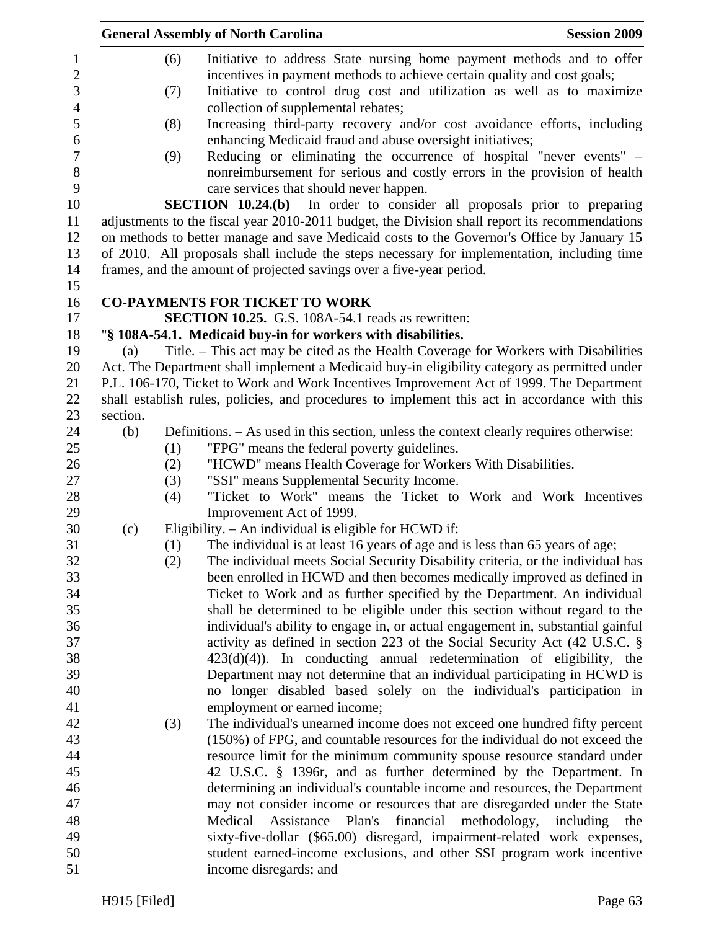|                                                |          |            | <b>General Assembly of North Carolina</b>                                                                                                                                                                                   | <b>Session 2009</b> |
|------------------------------------------------|----------|------------|-----------------------------------------------------------------------------------------------------------------------------------------------------------------------------------------------------------------------------|---------------------|
| $\mathbf{1}$<br>$\mathbf{2}$<br>$\mathfrak{Z}$ |          | (6)<br>(7) | Initiative to address State nursing home payment methods and to offer<br>incentives in payment methods to achieve certain quality and cost goals;<br>Initiative to control drug cost and utilization as well as to maximize |                     |
| $\overline{4}$<br>5                            |          | (8)        | collection of supplemental rebates;<br>Increasing third-party recovery and/or cost avoidance efforts, including                                                                                                             |                     |
| $\sqrt{6}$                                     |          |            | enhancing Medicaid fraud and abuse oversight initiatives;                                                                                                                                                                   |                     |
| $\tau$<br>$8\,$                                |          | (9)        | Reducing or eliminating the occurrence of hospital "never events" –<br>nonreimbursement for serious and costly errors in the provision of health                                                                            |                     |
| 9                                              |          |            | care services that should never happen.                                                                                                                                                                                     |                     |
| 10                                             |          |            | <b>SECTION 10.24.(b)</b> In order to consider all proposals prior to preparing                                                                                                                                              |                     |
| 11<br>12                                       |          |            | adjustments to the fiscal year 2010-2011 budget, the Division shall report its recommendations<br>on methods to better manage and save Medicaid costs to the Governor's Office by January 15                                |                     |
| 13                                             |          |            | of 2010. All proposals shall include the steps necessary for implementation, including time                                                                                                                                 |                     |
| 14                                             |          |            | frames, and the amount of projected savings over a five-year period.                                                                                                                                                        |                     |
| 15                                             |          |            |                                                                                                                                                                                                                             |                     |
| 16                                             |          |            | <b>CO-PAYMENTS FOR TICKET TO WORK</b>                                                                                                                                                                                       |                     |
| 17                                             |          |            | SECTION 10.25. G.S. 108A-54.1 reads as rewritten:                                                                                                                                                                           |                     |
| 18                                             |          |            | "§ 108A-54.1. Medicaid buy-in for workers with disabilities.                                                                                                                                                                |                     |
| 19                                             | (a)      |            | Title. – This act may be cited as the Health Coverage for Workers with Disabilities                                                                                                                                         |                     |
| 20                                             |          |            | Act. The Department shall implement a Medicaid buy-in eligibility category as permitted under                                                                                                                               |                     |
| 21                                             |          |            | P.L. 106-170, Ticket to Work and Work Incentives Improvement Act of 1999. The Department                                                                                                                                    |                     |
| 22                                             |          |            | shall establish rules, policies, and procedures to implement this act in accordance with this                                                                                                                               |                     |
| 23                                             | section. |            |                                                                                                                                                                                                                             |                     |
| 24                                             | (b)      |            | Definitions. – As used in this section, unless the context clearly requires otherwise:                                                                                                                                      |                     |
| 25                                             |          | (1)        | "FPG" means the federal poverty guidelines.                                                                                                                                                                                 |                     |
| 26                                             |          | (2)        | "HCWD" means Health Coverage for Workers With Disabilities.                                                                                                                                                                 |                     |
| 27                                             |          | (3)        | "SSI" means Supplemental Security Income.                                                                                                                                                                                   |                     |
| 28                                             |          | (4)        | "Ticket to Work" means the Ticket to Work and Work Incentives                                                                                                                                                               |                     |
| 29                                             |          |            | Improvement Act of 1999.                                                                                                                                                                                                    |                     |
| 30                                             | (c)      |            | Eligibility. - An individual is eligible for HCWD if:                                                                                                                                                                       |                     |
| 31                                             |          | (1)        | The individual is at least 16 years of age and is less than 65 years of age;                                                                                                                                                |                     |
| 32                                             |          | (2)        | The individual meets Social Security Disability criteria, or the individual has                                                                                                                                             |                     |
| 33                                             |          |            | been enrolled in HCWD and then becomes medically improved as defined in                                                                                                                                                     |                     |
| 34                                             |          |            | Ticket to Work and as further specified by the Department. An individual                                                                                                                                                    |                     |
| 35                                             |          |            | shall be determined to be eligible under this section without regard to the                                                                                                                                                 |                     |
| 36<br>37                                       |          |            | individual's ability to engage in, or actual engagement in, substantial gainful                                                                                                                                             |                     |
| 38                                             |          |            | activity as defined in section 223 of the Social Security Act (42 U.S.C. §<br>$423(d)(4)$ ). In conducting annual redetermination of eligibility, the                                                                       |                     |
| 39                                             |          |            | Department may not determine that an individual participating in HCWD is                                                                                                                                                    |                     |
| 40                                             |          |            | no longer disabled based solely on the individual's participation in                                                                                                                                                        |                     |
| 41                                             |          |            | employment or earned income;                                                                                                                                                                                                |                     |
| 42                                             |          | (3)        | The individual's unearned income does not exceed one hundred fifty percent                                                                                                                                                  |                     |
| 43                                             |          |            | (150%) of FPG, and countable resources for the individual do not exceed the                                                                                                                                                 |                     |
| 44                                             |          |            | resource limit for the minimum community spouse resource standard under                                                                                                                                                     |                     |
| 45                                             |          |            | 42 U.S.C. § 1396r, and as further determined by the Department. In                                                                                                                                                          |                     |
| 46                                             |          |            | determining an individual's countable income and resources, the Department                                                                                                                                                  |                     |
| 47                                             |          |            | may not consider income or resources that are disregarded under the State                                                                                                                                                   |                     |
| 48                                             |          |            | Plan's<br>financial<br>Medical<br>Assistance<br>methodology,                                                                                                                                                                | including<br>the    |
| 49                                             |          |            | sixty-five-dollar (\$65.00) disregard, impairment-related work expenses,                                                                                                                                                    |                     |
| 50                                             |          |            | student earned-income exclusions, and other SSI program work incentive                                                                                                                                                      |                     |
| 51                                             |          |            | income disregards; and                                                                                                                                                                                                      |                     |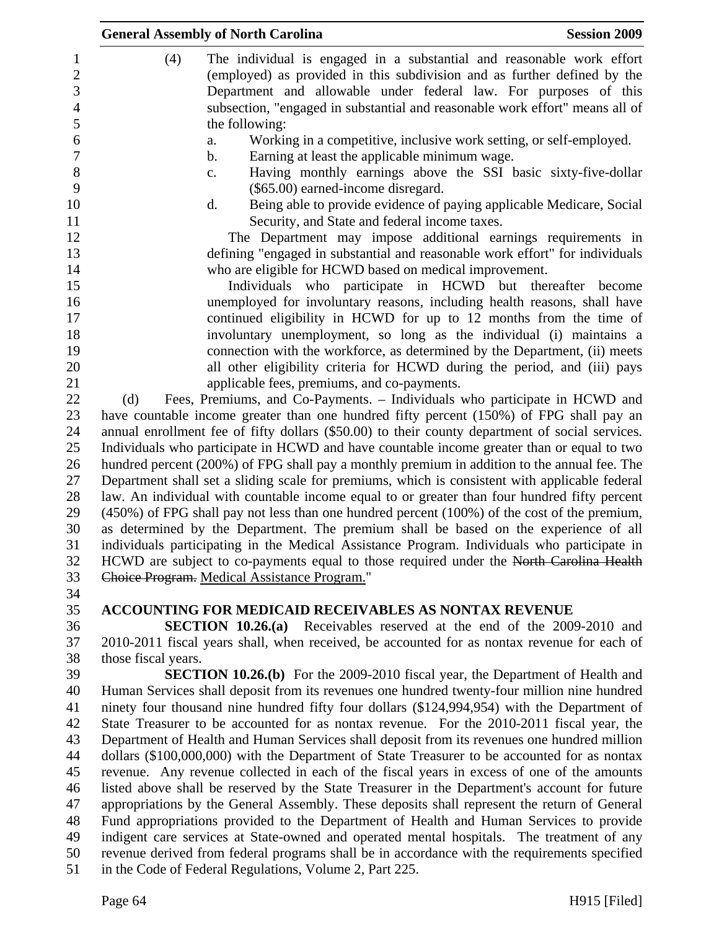|                                      | <b>General Assembly of North Carolina</b><br><b>Session 2009</b>                                                                                                                                                             |
|--------------------------------------|------------------------------------------------------------------------------------------------------------------------------------------------------------------------------------------------------------------------------|
| $\mathbf{1}$<br>$\overline{c}$<br>3  | (4)<br>The individual is engaged in a substantial and reasonable work effort<br>(employed) as provided in this subdivision and as further defined by the<br>Department and allowable under federal law. For purposes of this |
| $\overline{4}$<br>5                  | subsection, "engaged in substantial and reasonable work effort" means all of<br>the following:                                                                                                                               |
| $\boldsymbol{6}$<br>$\boldsymbol{7}$ | Working in a competitive, inclusive work setting, or self-employed.<br>a.                                                                                                                                                    |
| 8                                    | Earning at least the applicable minimum wage.<br>$\mathbf b$ .<br>Having monthly earnings above the SSI basic sixty-five-dollar<br>c.                                                                                        |
| 9<br>10                              | (\$65.00) earned-income disregard.<br>Being able to provide evidence of paying applicable Medicare, Social<br>d.                                                                                                             |
| 11<br>12                             | Security, and State and federal income taxes.<br>The Department may impose additional earnings requirements in                                                                                                               |
| 13<br>14                             | defining "engaged in substantial and reasonable work effort" for individuals<br>who are eligible for HCWD based on medical improvement.                                                                                      |
| 15                                   | Individuals who participate in HCWD but thereafter become                                                                                                                                                                    |
| 16<br>17                             | unemployed for involuntary reasons, including health reasons, shall have<br>continued eligibility in HCWD for up to 12 months from the time of                                                                               |
| 18<br>19                             | involuntary unemployment, so long as the individual (i) maintains a<br>connection with the workforce, as determined by the Department, (ii) meets                                                                            |
| 20<br>21                             | all other eligibility criteria for HCWD during the period, and (iii) pays<br>applicable fees, premiums, and co-payments.                                                                                                     |
| 22                                   | Fees, Premiums, and Co-Payments. – Individuals who participate in HCWD and<br>(d)                                                                                                                                            |
| 23<br>24                             | have countable income greater than one hundred fifty percent (150%) of FPG shall pay an<br>annual enrollment fee of fifty dollars (\$50.00) to their county department of social services.                                   |
| 25                                   | Individuals who participate in HCWD and have countable income greater than or equal to two                                                                                                                                   |
| 26                                   | hundred percent (200%) of FPG shall pay a monthly premium in addition to the annual fee. The                                                                                                                                 |
| 27<br>28                             | Department shall set a sliding scale for premiums, which is consistent with applicable federal                                                                                                                               |
| 29                                   | law. An individual with countable income equal to or greater than four hundred fifty percent<br>$(450%)$ of FPG shall pay not less than one hundred percent $(100%)$ of the cost of the premium,                             |
| 30                                   | as determined by the Department. The premium shall be based on the experience of all                                                                                                                                         |
| 31                                   | individuals participating in the Medical Assistance Program. Individuals who participate in                                                                                                                                  |
| 32                                   | HCWD are subject to co-payments equal to those required under the North Carolina Health                                                                                                                                      |
| 33<br>34                             | Choice Program. Medical Assistance Program."                                                                                                                                                                                 |
| 35                                   | <b>ACCOUNTING FOR MEDICAID RECEIVABLES AS NONTAX REVENUE</b>                                                                                                                                                                 |
| 36                                   | <b>SECTION 10.26.(a)</b> Receivables reserved at the end of the 2009-2010 and                                                                                                                                                |
| 37<br>38                             | 2010-2011 fiscal years shall, when received, be accounted for as nontax revenue for each of                                                                                                                                  |
| 39                                   | those fiscal years.<br><b>SECTION 10.26.(b)</b> For the 2009-2010 fiscal year, the Department of Health and                                                                                                                  |
| 40                                   | Human Services shall deposit from its revenues one hundred twenty-four million nine hundred                                                                                                                                  |
| 41                                   | ninety four thousand nine hundred fifty four dollars (\$124,994,954) with the Department of                                                                                                                                  |
| 42                                   | State Treasurer to be accounted for as nontax revenue. For the 2010-2011 fiscal year, the                                                                                                                                    |
| 43                                   | Department of Health and Human Services shall deposit from its revenues one hundred million                                                                                                                                  |
| 44                                   | dollars (\$100,000,000) with the Department of State Treasurer to be accounted for as nontax                                                                                                                                 |
| 45                                   | revenue. Any revenue collected in each of the fiscal years in excess of one of the amounts                                                                                                                                   |
| 46                                   | listed above shall be reserved by the State Treasurer in the Department's account for future                                                                                                                                 |
| 47                                   | appropriations by the General Assembly. These deposits shall represent the return of General                                                                                                                                 |
| 48<br>49                             | Fund appropriations provided to the Department of Health and Human Services to provide<br>indigent care services at State-owned and operated mental hospitals. The treatment of any                                          |
| 50                                   | revenue derived from federal programs shall be in accordance with the requirements specified                                                                                                                                 |
| 51                                   | in the Code of Federal Regulations, Volume 2, Part 225.                                                                                                                                                                      |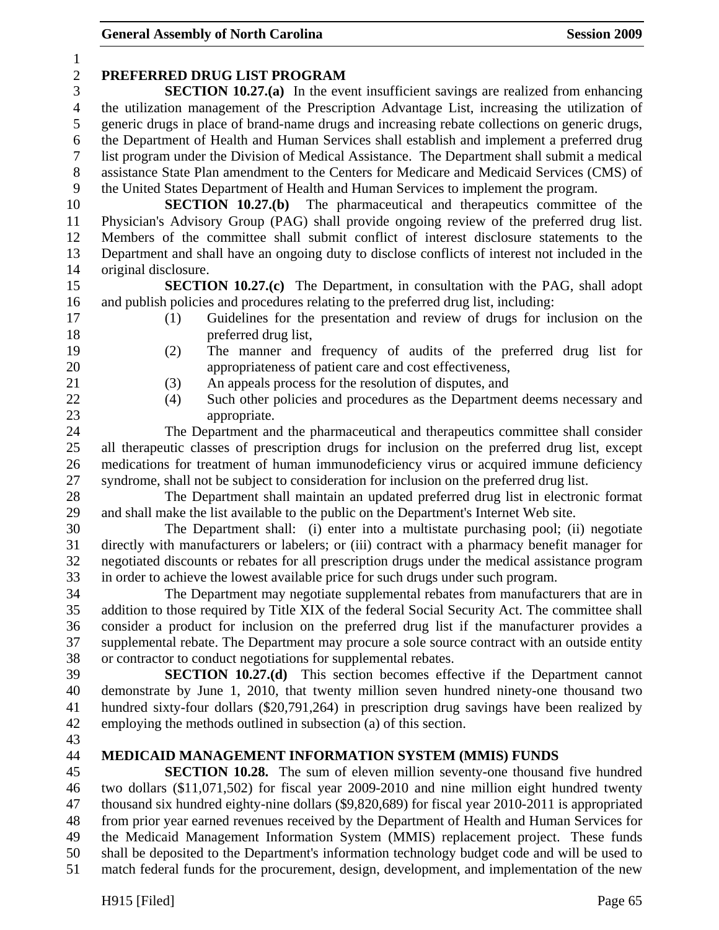| $\mathbf{1}$   |                                                                                                                                                                                      |
|----------------|--------------------------------------------------------------------------------------------------------------------------------------------------------------------------------------|
| $\overline{c}$ | PREFERRED DRUG LIST PROGRAM                                                                                                                                                          |
| 3              | <b>SECTION 10.27.(a)</b> In the event insufficient savings are realized from enhancing                                                                                               |
| $\overline{4}$ | the utilization management of the Prescription Advantage List, increasing the utilization of                                                                                         |
| 5              | generic drugs in place of brand-name drugs and increasing rebate collections on generic drugs,                                                                                       |
| 6              | the Department of Health and Human Services shall establish and implement a preferred drug                                                                                           |
| 7              | list program under the Division of Medical Assistance. The Department shall submit a medical                                                                                         |
| $8\,$          | assistance State Plan amendment to the Centers for Medicare and Medicaid Services (CMS) of                                                                                           |
| 9              | the United States Department of Health and Human Services to implement the program.                                                                                                  |
| 10             | <b>SECTION 10.27.(b)</b> The pharmaceutical and therapeutics committee of the                                                                                                        |
| 11<br>12       | Physician's Advisory Group (PAG) shall provide ongoing review of the preferred drug list.<br>Members of the committee shall submit conflict of interest disclosure statements to the |
| 13             | Department and shall have an ongoing duty to disclose conflicts of interest not included in the                                                                                      |
| 14             | original disclosure.                                                                                                                                                                 |
| 15             | <b>SECTION 10.27.(c)</b> The Department, in consultation with the PAG, shall adopt                                                                                                   |
| 16             | and publish policies and procedures relating to the preferred drug list, including:                                                                                                  |
| 17             | Guidelines for the presentation and review of drugs for inclusion on the<br>(1)                                                                                                      |
| 18             | preferred drug list,                                                                                                                                                                 |
| 19             | (2)<br>The manner and frequency of audits of the preferred drug list for                                                                                                             |
| 20             | appropriateness of patient care and cost effectiveness,                                                                                                                              |
| 21             | An appeals process for the resolution of disputes, and<br>(3)                                                                                                                        |
| 22             | Such other policies and procedures as the Department deems necessary and<br>(4)                                                                                                      |
| 23             | appropriate.                                                                                                                                                                         |
| 24             | The Department and the pharmaceutical and therapeutics committee shall consider                                                                                                      |
| 25             | all therapeutic classes of prescription drugs for inclusion on the preferred drug list, except                                                                                       |
| 26             | medications for treatment of human immunodeficiency virus or acquired immune deficiency                                                                                              |
| 27             | syndrome, shall not be subject to consideration for inclusion on the preferred drug list.                                                                                            |
| 28             | The Department shall maintain an updated preferred drug list in electronic format                                                                                                    |
| 29             | and shall make the list available to the public on the Department's Internet Web site.                                                                                               |
| 30             | The Department shall: (i) enter into a multistate purchasing pool; (ii) negotiate                                                                                                    |
| 31             | directly with manufacturers or labelers; or (iii) contract with a pharmacy benefit manager for                                                                                       |
| 32             | negotiated discounts or rebates for all prescription drugs under the medical assistance program                                                                                      |
| 33             | in order to achieve the lowest available price for such drugs under such program.                                                                                                    |
| 34             | The Department may negotiate supplemental rebates from manufacturers that are in                                                                                                     |
| 35             | addition to those required by Title XIX of the federal Social Security Act. The committee shall                                                                                      |
| 36             | consider a product for inclusion on the preferred drug list if the manufacturer provides a                                                                                           |
| 37             | supplemental rebate. The Department may procure a sole source contract with an outside entity                                                                                        |
| 38             | or contractor to conduct negotiations for supplemental rebates.                                                                                                                      |
| 39             | SECTION 10.27.(d) This section becomes effective if the Department cannot                                                                                                            |
| 40             | demonstrate by June 1, 2010, that twenty million seven hundred ninety-one thousand two                                                                                               |
| 41<br>42       | hundred sixty-four dollars (\$20,791,264) in prescription drug savings have been realized by<br>employing the methods outlined in subsection (a) of this section.                    |
| 43             |                                                                                                                                                                                      |
| 44             | MEDICAID MANAGEMENT INFORMATION SYSTEM (MMIS) FUNDS                                                                                                                                  |
| 45             | <b>SECTION 10.28.</b> The sum of eleven million seventy-one thousand five hundred                                                                                                    |
| 46             | two dollars (\$11,071,502) for fiscal year 2009-2010 and nine million eight hundred twenty                                                                                           |
| 47             | thousand six hundred eighty-nine dollars (\$9,820,689) for fiscal year 2010-2011 is appropriated                                                                                     |
| 48             | from prior year earned revenues received by the Department of Health and Human Services for                                                                                          |
| 49             | the Medicaid Management Information System (MMIS) replacement project. These funds                                                                                                   |
| 50             | shall be deposited to the Department's information technology budget code and will be used to                                                                                        |
| 51             | match federal funds for the procurement, design, development, and implementation of the new                                                                                          |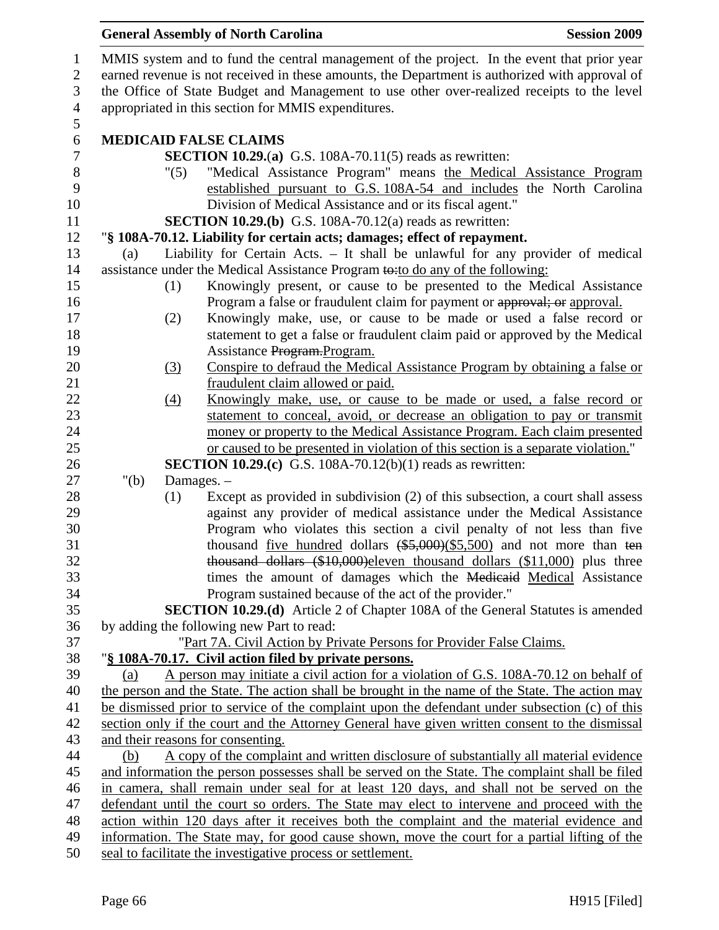|         |                  | <b>General Assembly of North Carolina</b>                                                                                                                                                    | <b>Session 2009</b> |
|---------|------------------|----------------------------------------------------------------------------------------------------------------------------------------------------------------------------------------------|---------------------|
|         |                  | MMIS system and to fund the central management of the project. In the event that prior year                                                                                                  |                     |
|         |                  | earned revenue is not received in these amounts, the Department is authorized with approval of<br>the Office of State Budget and Management to use other over-realized receipts to the level |                     |
|         |                  | appropriated in this section for MMIS expenditures.                                                                                                                                          |                     |
|         |                  | <b>MEDICAID FALSE CLAIMS</b>                                                                                                                                                                 |                     |
|         |                  | <b>SECTION 10.29.(a)</b> G.S. 108A-70.11(5) reads as rewritten:                                                                                                                              |                     |
|         | "(5)             | "Medical Assistance Program" means the Medical Assistance Program<br>established pursuant to G.S. 108A-54 and includes the North Carolina                                                    |                     |
|         |                  | Division of Medical Assistance and or its fiscal agent."                                                                                                                                     |                     |
|         |                  | <b>SECTION 10.29.(b)</b> G.S. 108A-70.12(a) reads as rewritten:                                                                                                                              |                     |
|         |                  | "§ 108A-70.12. Liability for certain acts; damages; effect of repayment.                                                                                                                     |                     |
| (a)     |                  | Liability for Certain Acts. - It shall be unlawful for any provider of medical                                                                                                               |                     |
|         |                  | assistance under the Medical Assistance Program to: to do any of the following:                                                                                                              |                     |
|         | (1)              | Knowingly present, or cause to be presented to the Medical Assistance                                                                                                                        |                     |
|         |                  | Program a false or fraudulent claim for payment or approval; or approval.                                                                                                                    |                     |
|         | (2)              | Knowingly make, use, or cause to be made or used a false record or                                                                                                                           |                     |
|         |                  | statement to get a false or fraudulent claim paid or approved by the Medical                                                                                                                 |                     |
|         |                  | Assistance Program. Program.                                                                                                                                                                 |                     |
|         | (3)              | Conspire to defraud the Medical Assistance Program by obtaining a false or                                                                                                                   |                     |
|         |                  | fraudulent claim allowed or paid.                                                                                                                                                            |                     |
|         | $\left(4\right)$ | Knowingly make, use, or cause to be made or used, a false record or                                                                                                                          |                     |
|         |                  | statement to conceal, avoid, or decrease an obligation to pay or transmit                                                                                                                    |                     |
|         |                  | money or property to the Medical Assistance Program. Each claim presented                                                                                                                    |                     |
|         |                  | or caused to be presented in violation of this section is a separate violation."                                                                                                             |                     |
|         |                  | <b>SECTION 10.29.(c)</b> G.S. 108A-70.12(b)(1) reads as rewritten:                                                                                                                           |                     |
| " $(b)$ |                  | Damages. -                                                                                                                                                                                   |                     |
|         | (1)              | Except as provided in subdivision (2) of this subsection, a court shall assess                                                                                                               |                     |
|         |                  | against any provider of medical assistance under the Medical Assistance                                                                                                                      |                     |
|         |                  | Program who violates this section a civil penalty of not less than five                                                                                                                      |                     |
|         |                  | thousand five hundred dollars $(*5,000)(\$5,500)$ and not more than ten                                                                                                                      |                     |
|         |                  | thousand dollars $(\$10,000)$ eleven thousand dollars $(\$11,000)$ plus three                                                                                                                |                     |
|         |                  | times the amount of damages which the Medicaid Medical Assistance                                                                                                                            |                     |
|         |                  | Program sustained because of the act of the provider."                                                                                                                                       |                     |
|         |                  | <b>SECTION 10.29.(d)</b> Article 2 of Chapter 108A of the General Statutes is amended                                                                                                        |                     |
|         |                  | by adding the following new Part to read:                                                                                                                                                    |                     |
|         |                  | "Part 7A. Civil Action by Private Persons for Provider False Claims.                                                                                                                         |                     |
|         |                  | "§ 108A-70.17. Civil action filed by private persons.                                                                                                                                        |                     |
| (a)     |                  | A person may initiate a civil action for a violation of G.S. 108A-70.12 on behalf of                                                                                                         |                     |
|         |                  | the person and the State. The action shall be brought in the name of the State. The action may                                                                                               |                     |
|         |                  | be dismissed prior to service of the complaint upon the defendant under subsection (c) of this                                                                                               |                     |
|         |                  | section only if the court and the Attorney General have given written consent to the dismissal                                                                                               |                     |
|         |                  | and their reasons for consenting.                                                                                                                                                            |                     |
| (b)     |                  | A copy of the complaint and written disclosure of substantially all material evidence                                                                                                        |                     |
|         |                  | and information the person possesses shall be served on the State. The complaint shall be filed                                                                                              |                     |
|         |                  | in camera, shall remain under seal for at least 120 days, and shall not be served on the                                                                                                     |                     |
|         |                  | defendant until the court so orders. The State may elect to intervene and proceed with the                                                                                                   |                     |
|         |                  | action within 120 days after it receives both the complaint and the material evidence and                                                                                                    |                     |
|         |                  | information. The State may, for good cause shown, move the court for a partial lifting of the                                                                                                |                     |
|         |                  | seal to facilitate the investigative process or settlement.                                                                                                                                  |                     |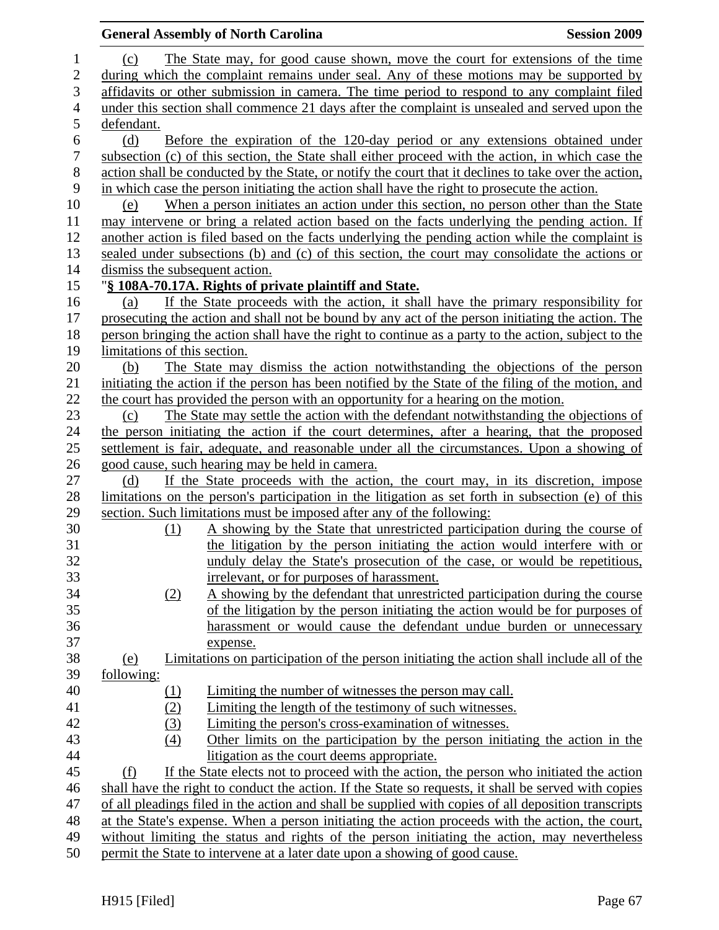|                  |                                | <b>General Assembly of North Carolina</b>                                                             | <b>Session 2009</b> |
|------------------|--------------------------------|-------------------------------------------------------------------------------------------------------|---------------------|
| $\mathbf{1}$     | (c)                            | The State may, for good cause shown, move the court for extensions of the time                        |                     |
| $\overline{2}$   |                                | during which the complaint remains under seal. Any of these motions may be supported by               |                     |
| 3                |                                | affidavits or other submission in camera. The time period to respond to any complaint filed           |                     |
| $\overline{4}$   |                                | under this section shall commence 21 days after the complaint is unsealed and served upon the         |                     |
| 5                | defendant.                     |                                                                                                       |                     |
| $\boldsymbol{6}$ | (d)                            | Before the expiration of the 120-day period or any extensions obtained under                          |                     |
| $\boldsymbol{7}$ |                                | subsection (c) of this section, the State shall either proceed with the action, in which case the     |                     |
| $8\,$            |                                | action shall be conducted by the State, or notify the court that it declines to take over the action, |                     |
| 9                |                                | in which case the person initiating the action shall have the right to prosecute the action.          |                     |
| 10               | (e)                            | When a person initiates an action under this section, no person other than the State                  |                     |
| 11               |                                | may intervene or bring a related action based on the facts underlying the pending action. If          |                     |
| 12               |                                | another action is filed based on the facts underlying the pending action while the complaint is       |                     |
| 13               |                                | sealed under subsections (b) and (c) of this section, the court may consolidate the actions or        |                     |
| 14               | dismiss the subsequent action. |                                                                                                       |                     |
| 15               |                                | "§ 108A-70.17A. Rights of private plaintiff and State.                                                |                     |
| 16               | (a)                            | If the State proceeds with the action, it shall have the primary responsibility for                   |                     |
| 17               |                                | prosecuting the action and shall not be bound by any act of the person initiating the action. The     |                     |
| 18               |                                | person bringing the action shall have the right to continue as a party to the action, subject to the  |                     |
| 19               | limitations of this section.   |                                                                                                       |                     |
| 20               | (b)                            | The State may dismiss the action notwithstanding the objections of the person                         |                     |
| 21               |                                | initiating the action if the person has been notified by the State of the filing of the motion, and   |                     |
| 22               |                                | the court has provided the person with an opportunity for a hearing on the motion.                    |                     |
| 23               | (c)                            | The State may settle the action with the defendant notwithstanding the objections of                  |                     |
| 24               |                                | the person initiating the action if the court determines, after a hearing, that the proposed          |                     |
| 25               |                                | settlement is fair, adequate, and reasonable under all the circumstances. Upon a showing of           |                     |
| 26               |                                | good cause, such hearing may be held in camera.                                                       |                     |
| 27               | (d)                            | If the State proceeds with the action, the court may, in its discretion, impose                       |                     |
| 28               |                                | limitations on the person's participation in the litigation as set forth in subsection (e) of this    |                     |
| 29               |                                | section. Such limitations must be imposed after any of the following:                                 |                     |
| 30               | (1)                            | A showing by the State that unrestricted participation during the course of                           |                     |
| 31               |                                | the litigation by the person initiating the action would interfere with or                            |                     |
| 32               |                                | unduly delay the State's prosecution of the case, or would be repetitious,                            |                     |
| 33               |                                | irrelevant, or for purposes of harassment.                                                            |                     |
| 34               | (2)                            | A showing by the defendant that unrestricted participation during the course                          |                     |
| 35               |                                | of the litigation by the person initiating the action would be for purposes of                        |                     |
| 36               |                                | harassment or would cause the defendant undue burden or unnecessary                                   |                     |
| 37               |                                | expense.                                                                                              |                     |
| 38               | <u>(e)</u>                     | Limitations on participation of the person initiating the action shall include all of the             |                     |
| 39               | <u>following:</u>              |                                                                                                       |                     |
| 40               | <u>(1)</u>                     | Limiting the number of witnesses the person may call.                                                 |                     |
| 41               | (2)                            | Limiting the length of the testimony of such witnesses.                                               |                     |
| 42               | (3)                            | Limiting the person's cross-examination of witnesses.                                                 |                     |
| 43               | (4)                            | Other limits on the participation by the person initiating the action in the                          |                     |
| 44               |                                | litigation as the court deems appropriate.                                                            |                     |
| 45               | (f)                            | If the State elects not to proceed with the action, the person who initiated the action               |                     |
| 46               |                                | shall have the right to conduct the action. If the State so requests, it shall be served with copies  |                     |
| 47               |                                | of all pleadings filed in the action and shall be supplied with copies of all deposition transcripts  |                     |
| 48               |                                | at the State's expense. When a person initiating the action proceeds with the action, the court,      |                     |
| 49               |                                | without limiting the status and rights of the person initiating the action, may nevertheless          |                     |
| 50               |                                | permit the State to intervene at a later date upon a showing of good cause.                           |                     |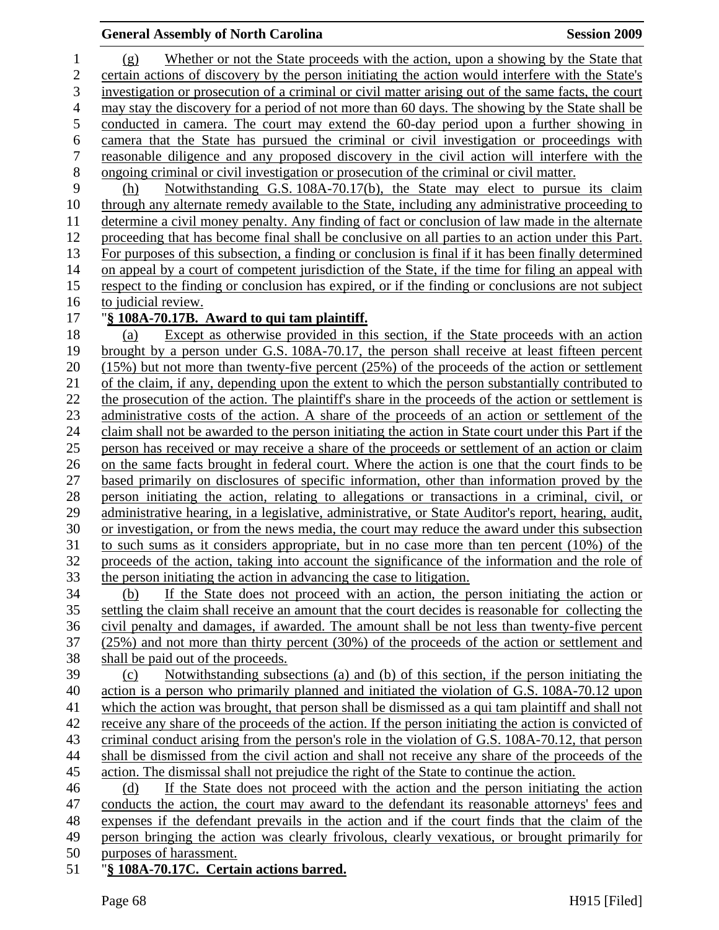#### **General Assembly of North Carolina Session 2009 Session 2009**

1 (g) Whether or not the State proceeds with the action, upon a showing by the State that 2 certain actions of discovery by the person initiating the action would interfere with the State's 3 investigation or prosecution of a criminal or civil matter arising out of the same facts, the court 4 may stay the discovery for a period of not more than 60 days. The showing by the State shall be 5 conducted in camera. The court may extend the 60-day period upon a further showing in 6 camera that the State has pursued the criminal or civil investigation or proceedings with 7 reasonable diligence and any proposed discovery in the civil action will interfere with the 8 ongoing criminal or civil investigation or prosecution of the criminal or civil matter. 9 (h) Notwithstanding G.S. 108A-70.17(b), the State may elect to pursue its claim 10 through any alternate remedy available to the State, including any administrative proceeding to 11 determine a civil money penalty. Any finding of fact or conclusion of law made in the alternate 12 proceeding that has become final shall be conclusive on all parties to an action under this Part. 13 For purposes of this subsection, a finding or conclusion is final if it has been finally determined 14 on appeal by a court of competent jurisdiction of the State, if the time for filing an appeal with 15 respect to the finding or conclusion has expired, or if the finding or conclusions are not subject 16 to judicial review. 17 "**§ 108A-70.17B. Award to qui tam plaintiff.** 18 (a) Except as otherwise provided in this section, if the State proceeds with an action 19 brought by a person under G.S. 108A-70.17, the person shall receive at least fifteen percent 20 (15%) but not more than twenty-five percent (25%) of the proceeds of the action or settlement 21 of the claim, if any, depending upon the extent to which the person substantially contributed to 22 the prosecution of the action. The plaintiff's share in the proceeds of the action or settlement is 23 administrative costs of the action. A share of the proceeds of an action or settlement of the 24 claim shall not be awarded to the person initiating the action in State court under this Part if the 25 person has received or may receive a share of the proceeds or settlement of an action or claim 26 on the same facts brought in federal court. Where the action is one that the court finds to be 27 based primarily on disclosures of specific information, other than information proved by the 28 person initiating the action, relating to allegations or transactions in a criminal, civil, or 29 administrative hearing, in a legislative, administrative, or State Auditor's report, hearing, audit, 30 or investigation, or from the news media, the court may reduce the award under this subsection 31 to such sums as it considers appropriate, but in no case more than ten percent (10%) of the 32 proceeds of the action, taking into account the significance of the information and the role of 33 the person initiating the action in advancing the case to litigation. 34 (b) If the State does not proceed with an action, the person initiating the action or 35 settling the claim shall receive an amount that the court decides is reasonable for collecting the 36 civil penalty and damages, if awarded. The amount shall be not less than twenty-five percent 37 (25%) and not more than thirty percent (30%) of the proceeds of the action or settlement and 38 shall be paid out of the proceeds. 39 (c) Notwithstanding subsections (a) and (b) of this section, if the person initiating the 40 action is a person who primarily planned and initiated the violation of G.S. 108A-70.12 upon 41 which the action was brought, that person shall be dismissed as a qui tam plaintiff and shall not 42 receive any share of the proceeds of the action. If the person initiating the action is convicted of 43 criminal conduct arising from the person's role in the violation of G.S. 108A-70.12, that person 44 shall be dismissed from the civil action and shall not receive any share of the proceeds of the 45 action. The dismissal shall not prejudice the right of the State to continue the action. 46 (d) If the State does not proceed with the action and the person initiating the action 47 conducts the action, the court may award to the defendant its reasonable attorneys' fees and 48 expenses if the defendant prevails in the action and if the court finds that the claim of the 49 person bringing the action was clearly frivolous, clearly vexatious, or brought primarily for 50 purposes of harassment. 51 "**§ 108A-70.17C. Certain actions barred.**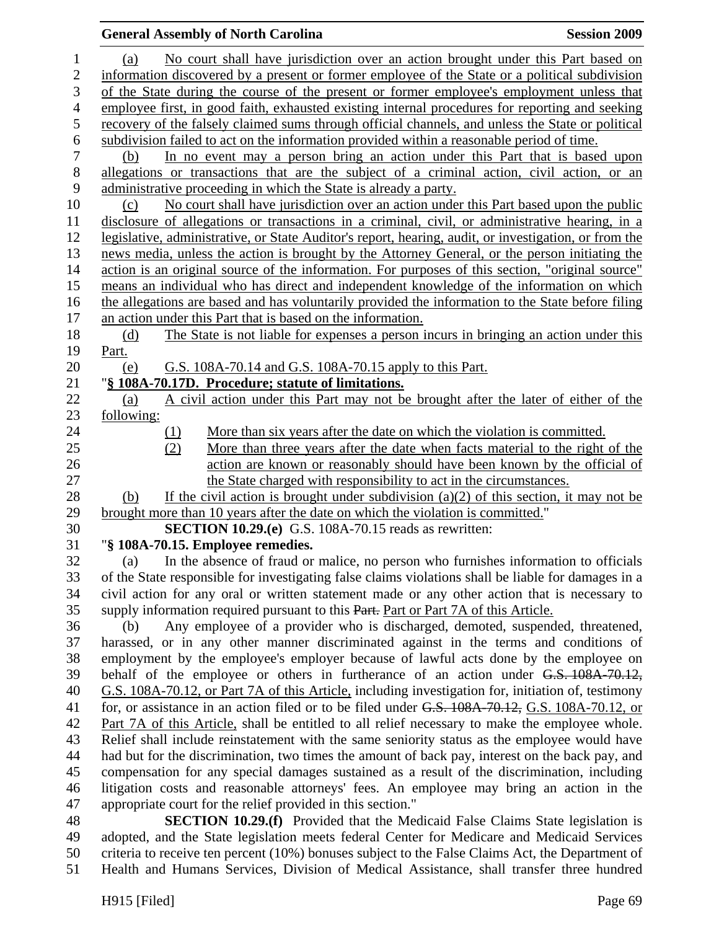## **General Assembly of North Carolina**  Session 2009 **Session 2009** 1 (a) No court shall have jurisdiction over an action brought under this Part based on 2 information discovered by a present or former employee of the State or a political subdivision 3 of the State during the course of the present or former employee's employment unless that 4 employee first, in good faith, exhausted existing internal procedures for reporting and seeking 5 recovery of the falsely claimed sums through official channels, and unless the State or political 6 subdivision failed to act on the information provided within a reasonable period of time. 7 (b) In no event may a person bring an action under this Part that is based upon 8 allegations or transactions that are the subject of a criminal action, civil action, or an 9 administrative proceeding in which the State is already a party. 10 (c) No court shall have jurisdiction over an action under this Part based upon the public 11 disclosure of allegations or transactions in a criminal, civil, or administrative hearing, in a 12 legislative, administrative, or State Auditor's report, hearing, audit, or investigation, or from the 13 news media, unless the action is brought by the Attorney General, or the person initiating the 14 action is an original source of the information. For purposes of this section, "original source" 15 means an individual who has direct and independent knowledge of the information on which 16 the allegations are based and has voluntarily provided the information to the State before filing 17 an action under this Part that is based on the information. 18 (d) The State is not liable for expenses a person incurs in bringing an action under this 19 Part. 20 (e) G.S. 108A-70.14 and G.S. 108A-70.15 apply to this Part. 21 "**§ 108A-70.17D. Procedure; statute of limitations.** 22 (a) A civil action under this Part may not be brought after the later of either of the 23 following: 24 (1) More than six years after the date on which the violation is committed. 25 (2) More than three years after the date when facts material to the right of the 26 action are known or reasonably should have been known by the official of 27 the State charged with responsibility to act in the circumstances. 28 (b) If the civil action is brought under subdivision (a)(2) of this section, it may not be 29 brought more than 10 years after the date on which the violation is committed." 30 **SECTION 10.29.(e)** G.S. 108A-70.15 reads as rewritten: 31 "**§ 108A-70.15. Employee remedies.**  32 (a) In the absence of fraud or malice, no person who furnishes information to officials 33 of the State responsible for investigating false claims violations shall be liable for damages in a 34 civil action for any oral or written statement made or any other action that is necessary to 35 supply information required pursuant to this Part. Part or Part 7A of this Article. 36 (b) Any employee of a provider who is discharged, demoted, suspended, threatened, 37 harassed, or in any other manner discriminated against in the terms and conditions of 38 employment by the employee's employer because of lawful acts done by the employee on 39 behalf of the employee or others in furtherance of an action under G.S. 108A-70.12, 40 G.S. 108A-70.12, or Part 7A of this Article, including investigation for, initiation of, testimony 41 for, or assistance in an action filed or to be filed under G.S. 108A-70.12, G.S. 108A-70.12, or 42 Part 7A of this Article, shall be entitled to all relief necessary to make the employee whole. 43 Relief shall include reinstatement with the same seniority status as the employee would have 44 had but for the discrimination, two times the amount of back pay, interest on the back pay, and 45 compensation for any special damages sustained as a result of the discrimination, including 46 litigation costs and reasonable attorneys' fees. An employee may bring an action in the 47 appropriate court for the relief provided in this section."

48 **SECTION 10.29.(f)** Provided that the Medicaid False Claims State legislation is 49 adopted, and the State legislation meets federal Center for Medicare and Medicaid Services 50 criteria to receive ten percent (10%) bonuses subject to the False Claims Act, the Department of 51 Health and Humans Services, Division of Medical Assistance, shall transfer three hundred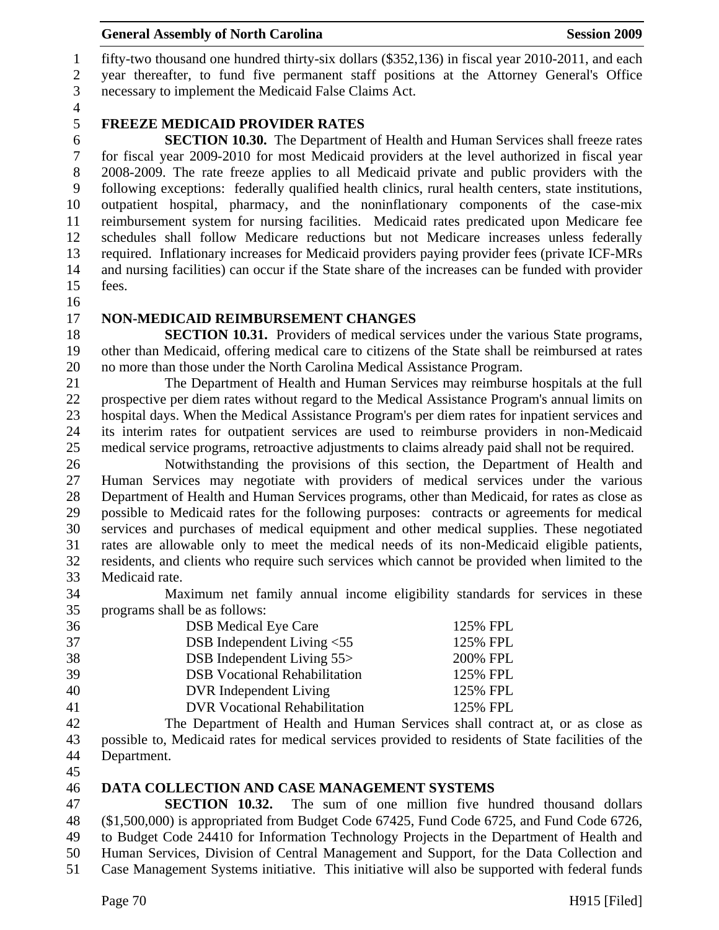## General Assembly of North Carolina **Session 2009**

1 fifty-two thousand one hundred thirty-six dollars (\$352,136) in fiscal year 2010-2011, and each 2 year thereafter, to fund five permanent staff positions at the Attorney General's Office 3 necessary to implement the Medicaid False Claims Act.

4

# 5 **FREEZE MEDICAID PROVIDER RATES**

6 **SECTION 10.30.** The Department of Health and Human Services shall freeze rates 7 for fiscal year 2009-2010 for most Medicaid providers at the level authorized in fiscal year 8 2008-2009. The rate freeze applies to all Medicaid private and public providers with the 9 following exceptions: federally qualified health clinics, rural health centers, state institutions, 10 outpatient hospital, pharmacy, and the noninflationary components of the case-mix 11 reimbursement system for nursing facilities. Medicaid rates predicated upon Medicare fee 12 schedules shall follow Medicare reductions but not Medicare increases unless federally 13 required. Inflationary increases for Medicaid providers paying provider fees (private ICF-MRs 14 and nursing facilities) can occur if the State share of the increases can be funded with provider 15 fees.

16

#### 17 **NON-MEDICAID REIMBURSEMENT CHANGES**

18 **SECTION 10.31.** Providers of medical services under the various State programs, 19 other than Medicaid, offering medical care to citizens of the State shall be reimbursed at rates 20 no more than those under the North Carolina Medical Assistance Program.

21 The Department of Health and Human Services may reimburse hospitals at the full 22 prospective per diem rates without regard to the Medical Assistance Program's annual limits on 23 hospital days. When the Medical Assistance Program's per diem rates for inpatient services and 24 its interim rates for outpatient services are used to reimburse providers in non-Medicaid 25 medical service programs, retroactive adjustments to claims already paid shall not be required.

26 Notwithstanding the provisions of this section, the Department of Health and 27 Human Services may negotiate with providers of medical services under the various 28 Department of Health and Human Services programs, other than Medicaid, for rates as close as 29 possible to Medicaid rates for the following purposes: contracts or agreements for medical 30 services and purchases of medical equipment and other medical supplies. These negotiated 31 rates are allowable only to meet the medical needs of its non-Medicaid eligible patients, 32 residents, and clients who require such services which cannot be provided when limited to the 33 Medicaid rate.

34 Maximum net family annual income eligibility standards for services in these 35 programs shall be as follows:

| 36 | <b>DSB</b> Medical Eye Care          | 125% FPL |
|----|--------------------------------------|----------|
| 37 | DSB Independent Living $< 55$        | 125% FPL |
| 38 | DSB Independent Living 55>           | 200% FPL |
| 39 | <b>DSB</b> Vocational Rehabilitation | 125% FPL |
| 40 | DVR Independent Living               | 125% FPL |
| 41 | <b>DVR Vocational Rehabilitation</b> | 125% FPL |

42 The Department of Health and Human Services shall contract at, or as close as 43 possible to, Medicaid rates for medical services provided to residents of State facilities of the 44 Department.

45

#### 46 **DATA COLLECTION AND CASE MANAGEMENT SYSTEMS**

47 **SECTION 10.32.** The sum of one million five hundred thousand dollars 48 (\$1,500,000) is appropriated from Budget Code 67425, Fund Code 6725, and Fund Code 6726, 49 to Budget Code 24410 for Information Technology Projects in the Department of Health and 50 Human Services, Division of Central Management and Support, for the Data Collection and 51 Case Management Systems initiative. This initiative will also be supported with federal funds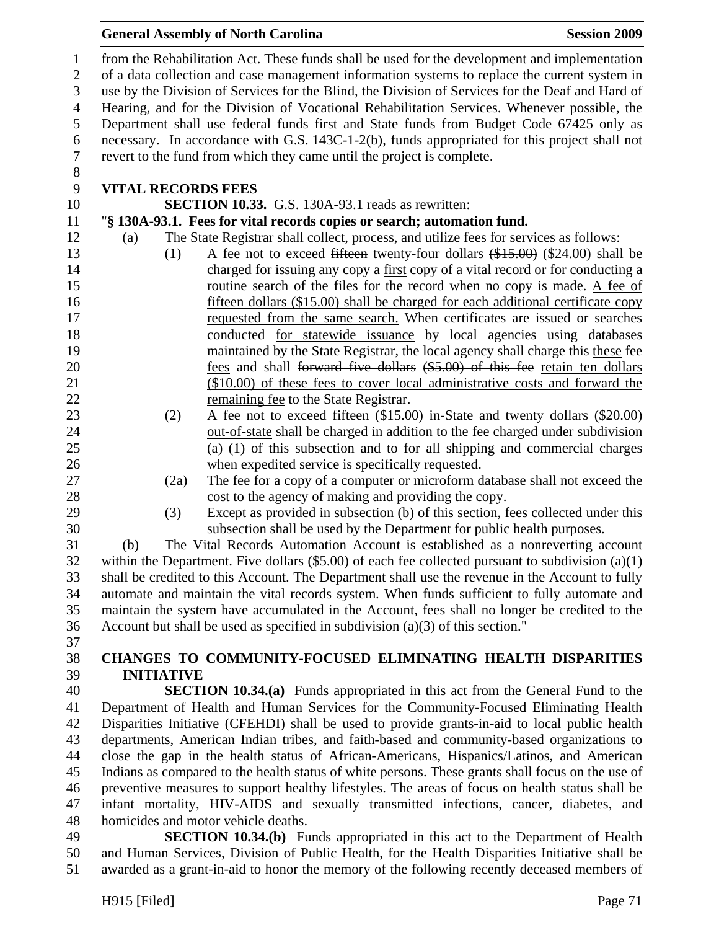#### **General Assembly of North Carolina**  Session 2009 **Session 2009**

1 from the Rehabilitation Act. These funds shall be used for the development and implementation 2 of a data collection and case management information systems to replace the current system in 3 use by the Division of Services for the Blind, the Division of Services for the Deaf and Hard of 4 Hearing, and for the Division of Vocational Rehabilitation Services. Whenever possible, the 5 Department shall use federal funds first and State funds from Budget Code 67425 only as 6 necessary. In accordance with G.S. 143C-1-2(b), funds appropriated for this project shall not 7 revert to the fund from which they came until the project is complete. 8

## 9 **VITAL RECORDS FEES**

10 **SECTION 10.33.** G.S. 130A-93.1 reads as rewritten:

### 11 "**§ 130A-93.1. Fees for vital records copies or search; automation fund.**

- 12 (a) The State Registrar shall collect, process, and utilize fees for services as follows:
- 13 (1) A fee not to exceed fifteen twenty-four dollars (\$15.00) (\$24.00) shall be 14 charged for issuing any copy a first copy of a vital record or for conducting a 15 routine search of the files for the record when no copy is made. A fee of 16 fifteen dollars (\$15.00) shall be charged for each additional certificate copy 17 requested from the same search. When certificates are issued or searches 18 conducted for statewide issuance by local agencies using databases 19 maintained by the State Registrar, the local agency shall charge this these fee 20 **fees and shall <del>forward five dollars</del>** (\$5.00) of this fee retain ten dollars 21 (\$10.00) of these fees to cover local administrative costs and forward the 22 remaining fee to the State Registrar.
- 23 (2) A fee not to exceed fifteen (\$15.00) in-State and twenty dollars (\$20.00) 24 out-of-state shall be charged in addition to the fee charged under subdivision 25 (a) (1) of this subsection and to for all shipping and commercial charges 26 when expedited service is specifically requested.
- 
- 
- 27 (2a) The fee for a copy of a computer or microform database shall not exceed the 28 cost to the agency of making and providing the copy. 29 (3) Except as provided in subsection (b) of this section, fees collected under this

30 subsection shall be used by the Department for public health purposes.

31 (b) The Vital Records Automation Account is established as a nonreverting account 32 within the Department. Five dollars (\$5.00) of each fee collected pursuant to subdivision (a)(1) 33 shall be credited to this Account. The Department shall use the revenue in the Account to fully 34 automate and maintain the vital records system. When funds sufficient to fully automate and 35 maintain the system have accumulated in the Account, fees shall no longer be credited to the 36 Account but shall be used as specified in subdivision (a)(3) of this section."

37

# 38 **CHANGES TO COMMUNITY-FOCUSED ELIMINATING HEALTH DISPARITIES**  39 **INITIATIVE**

40 **SECTION 10.34.(a)** Funds appropriated in this act from the General Fund to the 41 Department of Health and Human Services for the Community-Focused Eliminating Health 42 Disparities Initiative (CFEHDI) shall be used to provide grants-in-aid to local public health 43 departments, American Indian tribes, and faith-based and community-based organizations to 44 close the gap in the health status of African-Americans, Hispanics/Latinos, and American 45 Indians as compared to the health status of white persons. These grants shall focus on the use of 46 preventive measures to support healthy lifestyles. The areas of focus on health status shall be 47 infant mortality, HIV-AIDS and sexually transmitted infections, cancer, diabetes, and 48 homicides and motor vehicle deaths.

49 **SECTION 10.34.(b)** Funds appropriated in this act to the Department of Health 50 and Human Services, Division of Public Health, for the Health Disparities Initiative shall be 51 awarded as a grant-in-aid to honor the memory of the following recently deceased members of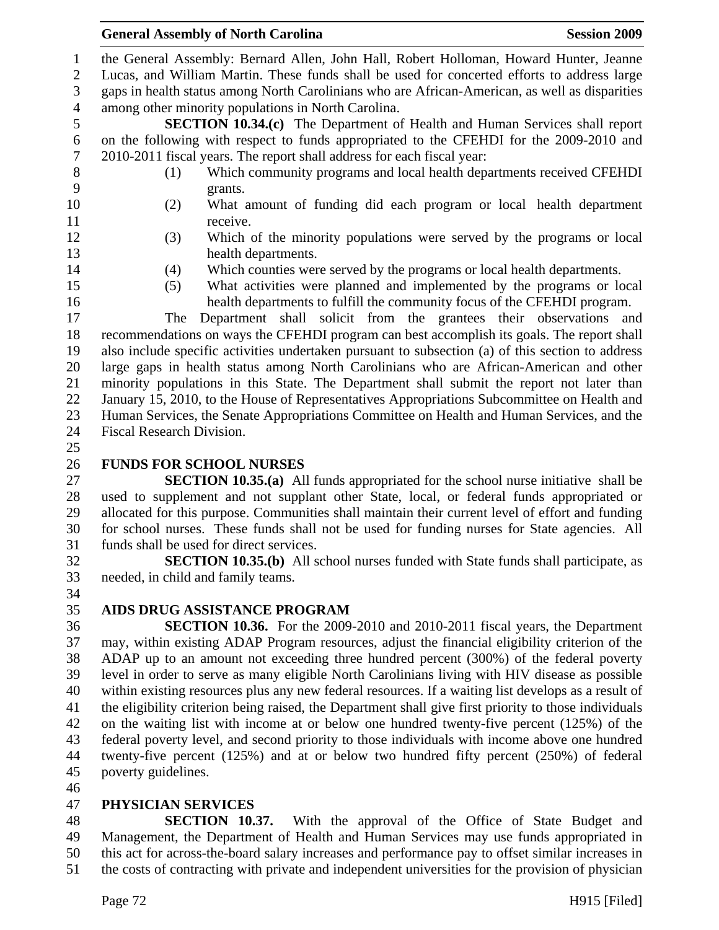1 the General Assembly: Bernard Allen, John Hall, Robert Holloman, Howard Hunter, Jeanne

2 Lucas, and William Martin. These funds shall be used for concerted efforts to address large 3 gaps in health status among North Carolinians who are African-American, as well as disparities

4 among other minority populations in North Carolina.

5 **SECTION 10.34.(c)** The Department of Health and Human Services shall report 6 on the following with respect to funds appropriated to the CFEHDI for the 2009-2010 and 7 2010-2011 fiscal years. The report shall address for each fiscal year:

- 8 (1) Which community programs and local health departments received CFEHDI 9 grants.
- 10 (2) What amount of funding did each program or local health department 11 receive.
- 
- 12 (3) Which of the minority populations were served by the programs or local 13 health departments.
- -
- 14 (4) Which counties were served by the programs or local health departments.
- 15 (5) What activities were planned and implemented by the programs or local 16 health departments to fulfill the community focus of the CFEHDI program.

17 The Department shall solicit from the grantees their observations and 18 recommendations on ways the CFEHDI program can best accomplish its goals. The report shall 19 also include specific activities undertaken pursuant to subsection (a) of this section to address 20 large gaps in health status among North Carolinians who are African-American and other 21 minority populations in this State. The Department shall submit the report not later than 22 January 15, 2010, to the House of Representatives Appropriations Subcommittee on Health and 23 Human Services, the Senate Appropriations Committee on Health and Human Services, and the 24 Fiscal Research Division.

25

# 26 **FUNDS FOR SCHOOL NURSES**

27 **SECTION 10.35.(a)** All funds appropriated for the school nurse initiative shall be 28 used to supplement and not supplant other State, local, or federal funds appropriated or 29 allocated for this purpose. Communities shall maintain their current level of effort and funding 30 for school nurses. These funds shall not be used for funding nurses for State agencies. All 31 funds shall be used for direct services.

32 **SECTION 10.35.(b)** All school nurses funded with State funds shall participate, as 33 needed, in child and family teams. 34

# 35 **AIDS DRUG ASSISTANCE PROGRAM**

36 **SECTION 10.36.** For the 2009-2010 and 2010-2011 fiscal years, the Department 37 may, within existing ADAP Program resources, adjust the financial eligibility criterion of the 38 ADAP up to an amount not exceeding three hundred percent (300%) of the federal poverty 39 level in order to serve as many eligible North Carolinians living with HIV disease as possible 40 within existing resources plus any new federal resources. If a waiting list develops as a result of 41 the eligibility criterion being raised, the Department shall give first priority to those individuals 42 on the waiting list with income at or below one hundred twenty-five percent (125%) of the 43 federal poverty level, and second priority to those individuals with income above one hundred 44 twenty-five percent (125%) and at or below two hundred fifty percent (250%) of federal 45 poverty guidelines.

46

# 47 **PHYSICIAN SERVICES**

48 **SECTION 10.37.** With the approval of the Office of State Budget and 49 Management, the Department of Health and Human Services may use funds appropriated in 50 this act for across-the-board salary increases and performance pay to offset similar increases in 51 the costs of contracting with private and independent universities for the provision of physician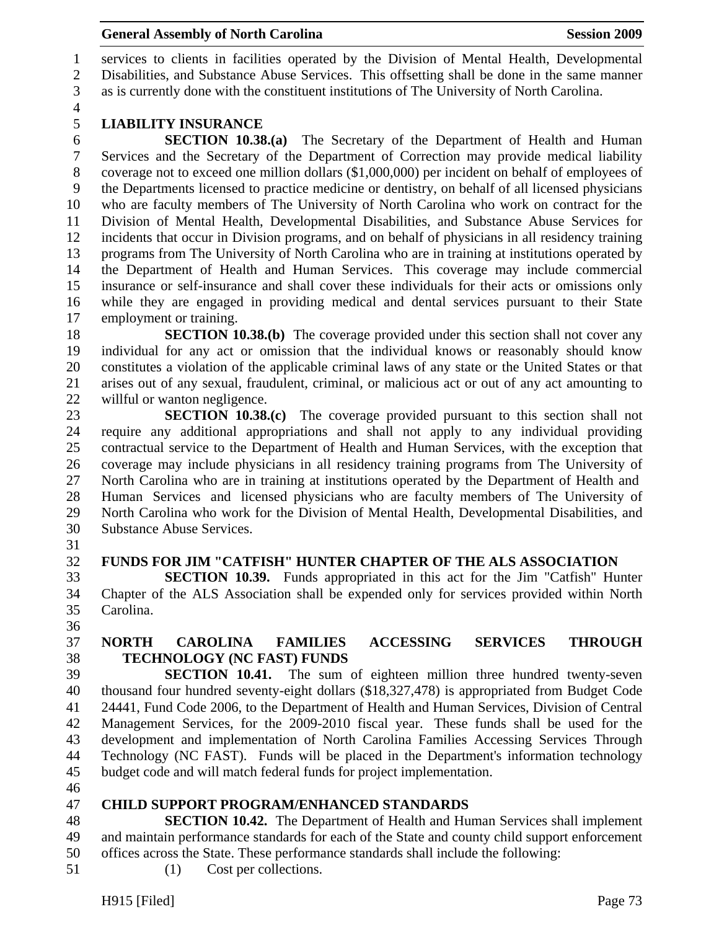1 services to clients in facilities operated by the Division of Mental Health, Developmental 2 Disabilities, and Substance Abuse Services. This offsetting shall be done in the same manner 3 as is currently done with the constituent institutions of The University of North Carolina.

4

# 5 **LIABILITY INSURANCE**

6 **SECTION 10.38.(a)** The Secretary of the Department of Health and Human 7 Services and the Secretary of the Department of Correction may provide medical liability 8 coverage not to exceed one million dollars (\$1,000,000) per incident on behalf of employees of 9 the Departments licensed to practice medicine or dentistry, on behalf of all licensed physicians 10 who are faculty members of The University of North Carolina who work on contract for the 11 Division of Mental Health, Developmental Disabilities, and Substance Abuse Services for 12 incidents that occur in Division programs, and on behalf of physicians in all residency training 13 programs from The University of North Carolina who are in training at institutions operated by 14 the Department of Health and Human Services. This coverage may include commercial 15 insurance or self-insurance and shall cover these individuals for their acts or omissions only 16 while they are engaged in providing medical and dental services pursuant to their State 17 employment or training.

18 **SECTION 10.38.(b)** The coverage provided under this section shall not cover any 19 individual for any act or omission that the individual knows or reasonably should know 20 constitutes a violation of the applicable criminal laws of any state or the United States or that 21 arises out of any sexual, fraudulent, criminal, or malicious act or out of any act amounting to 22 willful or wanton negligence.

23 **SECTION 10.38.(c)** The coverage provided pursuant to this section shall not 24 require any additional appropriations and shall not apply to any individual providing 25 contractual service to the Department of Health and Human Services, with the exception that 26 coverage may include physicians in all residency training programs from The University of 27 North Carolina who are in training at institutions operated by the Department of Health and 28 Human Services and licensed physicians who are faculty members of The University of 29 North Carolina who work for the Division of Mental Health, Developmental Disabilities, and 30 Substance Abuse Services.

31

#### 32 **FUNDS FOR JIM "CATFISH" HUNTER CHAPTER OF THE ALS ASSOCIATION**

33 **SECTION 10.39.** Funds appropriated in this act for the Jim "Catfish" Hunter 34 Chapter of the ALS Association shall be expended only for services provided within North 35 Carolina.

36

# 37 **NORTH CAROLINA FAMILIES ACCESSING SERVICES THROUGH**  38 **TECHNOLOGY (NC FAST) FUNDS**

39 **SECTION 10.41.** The sum of eighteen million three hundred twenty-seven 40 thousand four hundred seventy-eight dollars (\$18,327,478) is appropriated from Budget Code 41 24441, Fund Code 2006, to the Department of Health and Human Services, Division of Central 42 Management Services, for the 2009-2010 fiscal year. These funds shall be used for the 43 development and implementation of North Carolina Families Accessing Services Through 44 Technology (NC FAST). Funds will be placed in the Department's information technology 45 budget code and will match federal funds for project implementation.

46

#### 47 **CHILD SUPPORT PROGRAM/ENHANCED STANDARDS**

48 **SECTION 10.42.** The Department of Health and Human Services shall implement 49 and maintain performance standards for each of the State and county child support enforcement 50 offices across the State. These performance standards shall include the following:

51 (1) Cost per collections.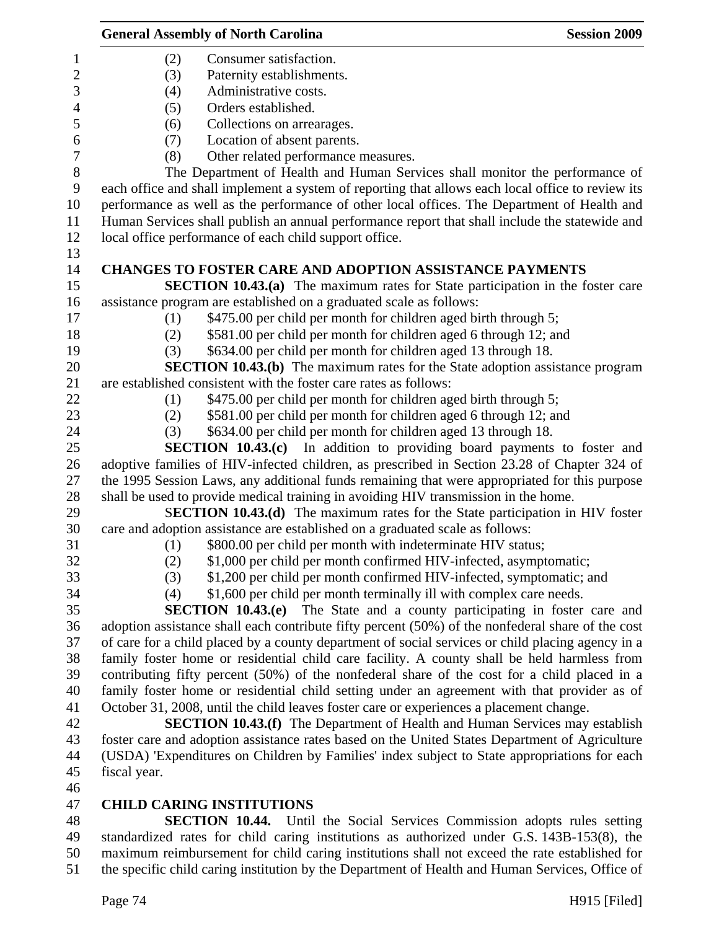|                  | <b>General Assembly of North Carolina</b>                                                         | <b>Session 2009</b> |
|------------------|---------------------------------------------------------------------------------------------------|---------------------|
| $\mathbf{1}$     | (2)<br>Consumer satisfaction.                                                                     |                     |
| $\overline{2}$   | (3)<br>Paternity establishments.                                                                  |                     |
| 3                | Administrative costs.<br>(4)                                                                      |                     |
| $\overline{4}$   | (5)<br>Orders established.                                                                        |                     |
| 5                | Collections on arrearages.<br>(6)                                                                 |                     |
| 6                | Location of absent parents.<br>(7)                                                                |                     |
| $\boldsymbol{7}$ | Other related performance measures.<br>(8)                                                        |                     |
| $\,8\,$          | The Department of Health and Human Services shall monitor the performance of                      |                     |
| $\boldsymbol{9}$ | each office and shall implement a system of reporting that allows each local office to review its |                     |
| 10               | performance as well as the performance of other local offices. The Department of Health and       |                     |
| 11               | Human Services shall publish an annual performance report that shall include the statewide and    |                     |
| 12               | local office performance of each child support office.                                            |                     |
| 13               |                                                                                                   |                     |
| 14               | <b>CHANGES TO FOSTER CARE AND ADOPTION ASSISTANCE PAYMENTS</b>                                    |                     |
| 15               | <b>SECTION 10.43.(a)</b> The maximum rates for State participation in the foster care             |                     |
| 16               | assistance program are established on a graduated scale as follows:                               |                     |
| 17               | \$475.00 per child per month for children aged birth through 5;<br>(1)                            |                     |
| 18               | \$581.00 per child per month for children aged 6 through 12; and<br>(2)                           |                     |
| 19               | \$634.00 per child per month for children aged 13 through 18.<br>(3)                              |                     |
| 20               | <b>SECTION 10.43.(b)</b> The maximum rates for the State adoption assistance program              |                     |
| 21               | are established consistent with the foster care rates as follows:                                 |                     |
| 22               | \$475.00 per child per month for children aged birth through 5;<br>(1)                            |                     |
| 23               | \$581.00 per child per month for children aged 6 through 12; and<br>(2)                           |                     |
| 24               | \$634.00 per child per month for children aged 13 through 18.<br>(3)                              |                     |
| 25               | SECTION 10.43.(c) In addition to providing board payments to foster and                           |                     |
| 26               | adoptive families of HIV-infected children, as prescribed in Section 23.28 of Chapter 324 of      |                     |
| 27               | the 1995 Session Laws, any additional funds remaining that were appropriated for this purpose     |                     |
| 28               | shall be used to provide medical training in avoiding HIV transmission in the home.               |                     |
| 29               | SECTION 10.43.(d) The maximum rates for the State participation in HIV foster                     |                     |
| 30               | care and adoption assistance are established on a graduated scale as follows:                     |                     |
| 31               | \$800.00 per child per month with indeterminate HIV status;<br>(1)                                |                     |
| 32               | \$1,000 per child per month confirmed HIV-infected, asymptomatic;<br>(2)                          |                     |
| 33               | (3)<br>\$1,200 per child per month confirmed HIV-infected, symptomatic; and                       |                     |
| 34               | \$1,600 per child per month terminally ill with complex care needs.<br>(4)                        |                     |
| 35               | SECTION $10.43(e)$<br>The State and a county participating in foster care and                     |                     |
| 36               | adoption assistance shall each contribute fifty percent (50%) of the nonfederal share of the cost |                     |
| 37               | of care for a child placed by a county department of social services or child placing agency in a |                     |
| 38               | family foster home or residential child care facility. A county shall be held harmless from       |                     |
| 39               | contributing fifty percent (50%) of the nonfederal share of the cost for a child placed in a      |                     |
| 40               | family foster home or residential child setting under an agreement with that provider as of       |                     |
| 41               | October 31, 2008, until the child leaves foster care or experiences a placement change.           |                     |
| 42               | <b>SECTION 10.43.(f)</b> The Department of Health and Human Services may establish                |                     |
| 43               | foster care and adoption assistance rates based on the United States Department of Agriculture    |                     |
| 44               | (USDA) 'Expenditures on Children by Families' index subject to State appropriations for each      |                     |
| 45               | fiscal year.                                                                                      |                     |
| 46               |                                                                                                   |                     |
| 47               | <b>CHILD CARING INSTITUTIONS</b>                                                                  |                     |
| 48               | <b>SECTION 10.44.</b> Until the Social Services Commission adopts rules setting                   |                     |
| 49               | standardized rates for child caring institutions as authorized under G.S. 143B-153(8), the        |                     |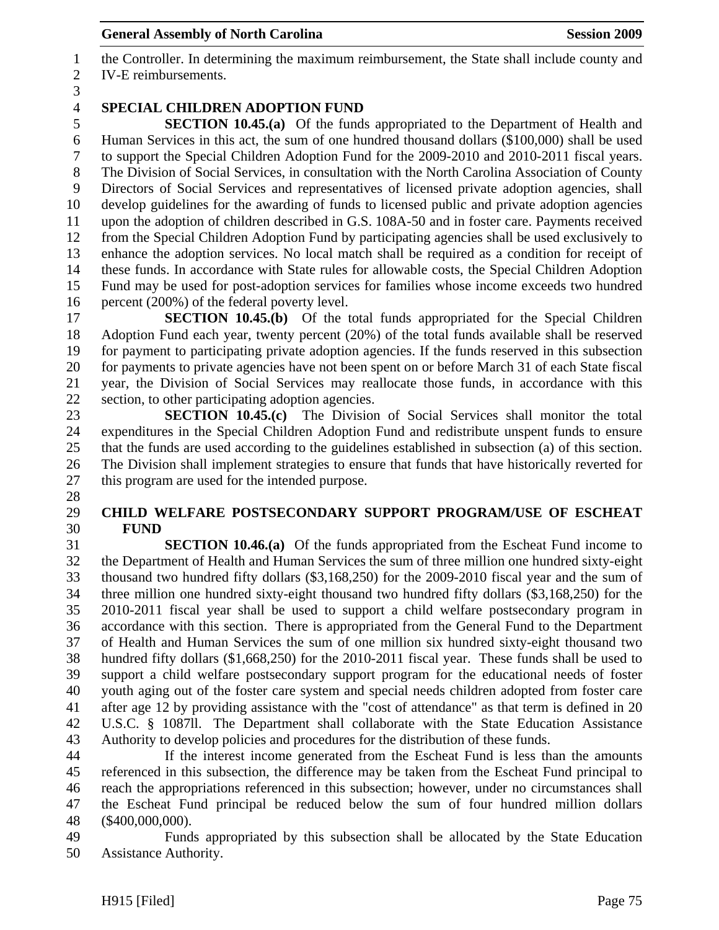1 the Controller. In determining the maximum reimbursement, the State shall include county and 2 IV-E reimbursements.

3

28

# 4 **SPECIAL CHILDREN ADOPTION FUND**

5 **SECTION 10.45.(a)** Of the funds appropriated to the Department of Health and 6 Human Services in this act, the sum of one hundred thousand dollars (\$100,000) shall be used 7 to support the Special Children Adoption Fund for the 2009-2010 and 2010-2011 fiscal years. 8 The Division of Social Services, in consultation with the North Carolina Association of County 9 Directors of Social Services and representatives of licensed private adoption agencies, shall 10 develop guidelines for the awarding of funds to licensed public and private adoption agencies 11 upon the adoption of children described in G.S. 108A-50 and in foster care. Payments received 12 from the Special Children Adoption Fund by participating agencies shall be used exclusively to 13 enhance the adoption services. No local match shall be required as a condition for receipt of 14 these funds. In accordance with State rules for allowable costs, the Special Children Adoption 15 Fund may be used for post-adoption services for families whose income exceeds two hundred 16 percent (200%) of the federal poverty level.

17 **SECTION 10.45.(b)** Of the total funds appropriated for the Special Children 18 Adoption Fund each year, twenty percent (20%) of the total funds available shall be reserved 19 for payment to participating private adoption agencies. If the funds reserved in this subsection 20 for payments to private agencies have not been spent on or before March 31 of each State fiscal 21 year, the Division of Social Services may reallocate those funds, in accordance with this 22 section, to other participating adoption agencies.

23 **SECTION 10.45.(c)** The Division of Social Services shall monitor the total 24 expenditures in the Special Children Adoption Fund and redistribute unspent funds to ensure 25 that the funds are used according to the guidelines established in subsection (a) of this section. 26 The Division shall implement strategies to ensure that funds that have historically reverted for 27 this program are used for the intended purpose.

#### 29 **CHILD WELFARE POSTSECONDARY SUPPORT PROGRAM/USE OF ESCHEAT**  30 **FUND**

31 **SECTION 10.46.(a)** Of the funds appropriated from the Escheat Fund income to 32 the Department of Health and Human Services the sum of three million one hundred sixty-eight 33 thousand two hundred fifty dollars (\$3,168,250) for the 2009-2010 fiscal year and the sum of 34 three million one hundred sixty-eight thousand two hundred fifty dollars (\$3,168,250) for the 35 2010-2011 fiscal year shall be used to support a child welfare postsecondary program in 36 accordance with this section. There is appropriated from the General Fund to the Department 37 of Health and Human Services the sum of one million six hundred sixty-eight thousand two 38 hundred fifty dollars (\$1,668,250) for the 2010-2011 fiscal year. These funds shall be used to 39 support a child welfare postsecondary support program for the educational needs of foster 40 youth aging out of the foster care system and special needs children adopted from foster care 41 after age 12 by providing assistance with the "cost of attendance" as that term is defined in 20 42 U.S.C. § 1087ll. The Department shall collaborate with the State Education Assistance 43 Authority to develop policies and procedures for the distribution of these funds.

44 If the interest income generated from the Escheat Fund is less than the amounts 45 referenced in this subsection, the difference may be taken from the Escheat Fund principal to 46 reach the appropriations referenced in this subsection; however, under no circumstances shall 47 the Escheat Fund principal be reduced below the sum of four hundred million dollars 48 (\$400,000,000).

49 Funds appropriated by this subsection shall be allocated by the State Education 50 Assistance Authority.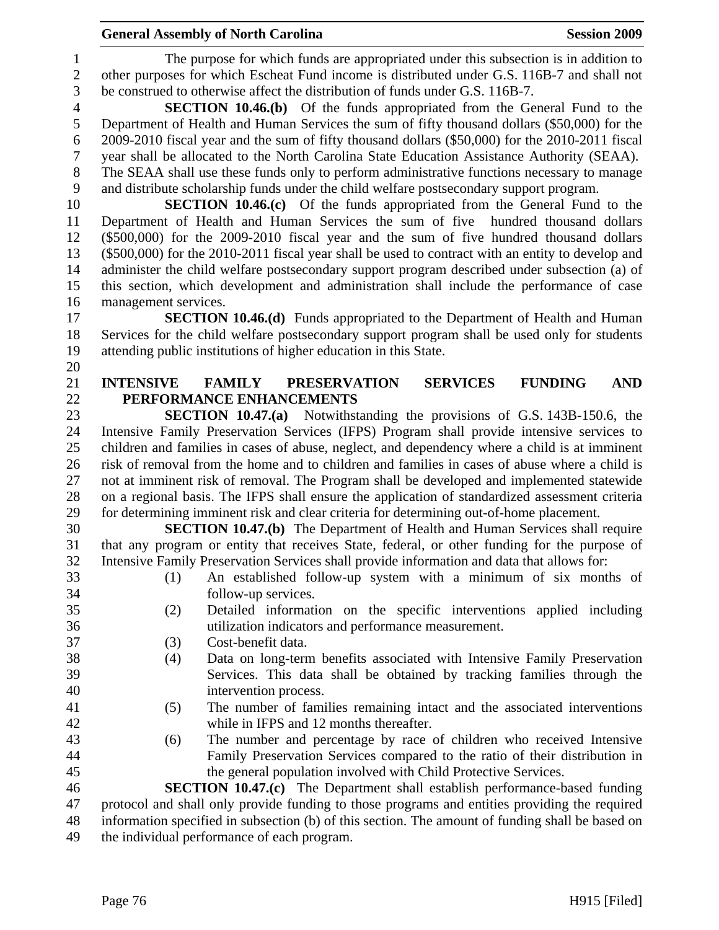1 The purpose for which funds are appropriated under this subsection is in addition to 2 other purposes for which Escheat Fund income is distributed under G.S. 116B-7 and shall not 3 be construed to otherwise affect the distribution of funds under G.S. 116B-7.

4 **SECTION 10.46.(b)** Of the funds appropriated from the General Fund to the 5 Department of Health and Human Services the sum of fifty thousand dollars (\$50,000) for the 6 2009-2010 fiscal year and the sum of fifty thousand dollars (\$50,000) for the 2010-2011 fiscal 7 year shall be allocated to the North Carolina State Education Assistance Authority (SEAA). 8 The SEAA shall use these funds only to perform administrative functions necessary to manage

9 and distribute scholarship funds under the child welfare postsecondary support program.

10 **SECTION 10.46.(c)** Of the funds appropriated from the General Fund to the 11 Department of Health and Human Services the sum of five hundred thousand dollars 12 (\$500,000) for the 2009-2010 fiscal year and the sum of five hundred thousand dollars 13 (\$500,000) for the 2010-2011 fiscal year shall be used to contract with an entity to develop and 14 administer the child welfare postsecondary support program described under subsection (a) of 15 this section, which development and administration shall include the performance of case 16 management services.

17 **SECTION 10.46.(d)** Funds appropriated to the Department of Health and Human 18 Services for the child welfare postsecondary support program shall be used only for students 19 attending public institutions of higher education in this State.

21 **INTENSIVE FAMILY PRESERVATION SERVICES FUNDING AND**  22 **PERFORMANCE ENHANCEMENTS** 

23 **SECTION 10.47.(a)** Notwithstanding the provisions of G.S. 143B-150.6, the 24 Intensive Family Preservation Services (IFPS) Program shall provide intensive services to 25 children and families in cases of abuse, neglect, and dependency where a child is at imminent 26 risk of removal from the home and to children and families in cases of abuse where a child is 27 not at imminent risk of removal. The Program shall be developed and implemented statewide 28 on a regional basis. The IFPS shall ensure the application of standardized assessment criteria 29 for determining imminent risk and clear criteria for determining out-of-home placement.

30 **SECTION 10.47.(b)** The Department of Health and Human Services shall require 31 that any program or entity that receives State, federal, or other funding for the purpose of 32 Intensive Family Preservation Services shall provide information and data that allows for:

- 33 (1) An established follow-up system with a minimum of six months of 34 follow-up services.
- 35 (2) Detailed information on the specific interventions applied including 36 utilization indicators and performance measurement.
- 37 (3) Cost-benefit data.
- 38 (4) Data on long-term benefits associated with Intensive Family Preservation 39 Services. This data shall be obtained by tracking families through the 40 intervention process.
- 41 (5) The number of families remaining intact and the associated interventions 42 while in IFPS and 12 months thereafter.
- 43 (6) The number and percentage by race of children who received Intensive 44 Family Preservation Services compared to the ratio of their distribution in 45 the general population involved with Child Protective Services.

46 **SECTION 10.47.(c)** The Department shall establish performance-based funding 47 protocol and shall only provide funding to those programs and entities providing the required 48 information specified in subsection (b) of this section. The amount of funding shall be based on 49 the individual performance of each program.

20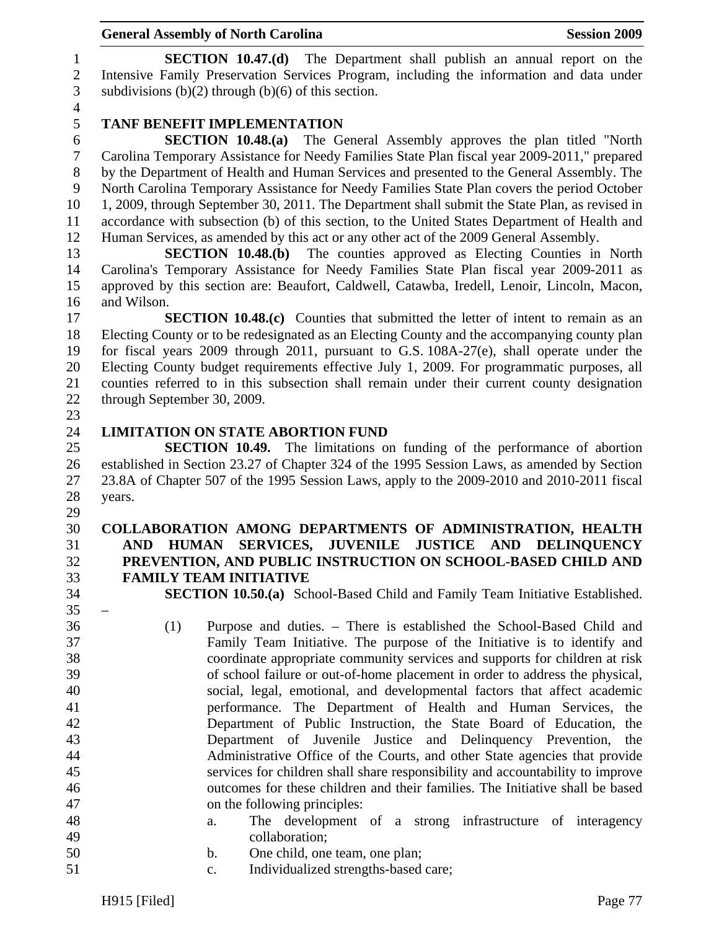1 **SECTION 10.47.(d)** The Department shall publish an annual report on the 2 Intensive Family Preservation Services Program, including the information and data under 3 subdivisions  $(b)(2)$  through  $(b)(6)$  of this section.

4

# 5 **TANF BENEFIT IMPLEMENTATION**

6 **SECTION 10.48.(a)** The General Assembly approves the plan titled "North 7 Carolina Temporary Assistance for Needy Families State Plan fiscal year 2009-2011," prepared 8 by the Department of Health and Human Services and presented to the General Assembly. The 9 North Carolina Temporary Assistance for Needy Families State Plan covers the period October 10 1, 2009, through September 30, 2011. The Department shall submit the State Plan, as revised in 11 accordance with subsection (b) of this section, to the United States Department of Health and 12 Human Services, as amended by this act or any other act of the 2009 General Assembly.

13 **SECTION 10.48.(b)** The counties approved as Electing Counties in North 14 Carolina's Temporary Assistance for Needy Families State Plan fiscal year 2009-2011 as 15 approved by this section are: Beaufort, Caldwell, Catawba, Iredell, Lenoir, Lincoln, Macon, 16 and Wilson.

17 **SECTION 10.48.(c)** Counties that submitted the letter of intent to remain as an 18 Electing County or to be redesignated as an Electing County and the accompanying county plan 19 for fiscal years 2009 through 2011, pursuant to G.S. 108A-27(e), shall operate under the 20 Electing County budget requirements effective July 1, 2009. For programmatic purposes, all 21 counties referred to in this subsection shall remain under their current county designation 22 through September 30, 2009.

23

 $35 -$ 

#### 24 **LIMITATION ON STATE ABORTION FUND**

25 **SECTION 10.49.** The limitations on funding of the performance of abortion 26 established in Section 23.27 of Chapter 324 of the 1995 Session Laws, as amended by Section 27 23.8A of Chapter 507 of the 1995 Session Laws, apply to the 2009-2010 and 2010-2011 fiscal 28 years.

- 29 30 **COLLABORATION AMONG DEPARTMENTS OF ADMINISTRATION, HEALTH**  31 **AND HUMAN SERVICES, JUVENILE JUSTICE AND DELINQUENCY**  32 **PREVENTION, AND PUBLIC INSTRUCTION ON SCHOOL-BASED CHILD AND**  33 **FAMILY TEAM INITIATIVE**
- 34 **SECTION 10.50.(a)** School-Based Child and Family Team Initiative Established.
- 36 (1) Purpose and duties. There is established the School-Based Child and 37 Family Team Initiative. The purpose of the Initiative is to identify and 38 coordinate appropriate community services and supports for children at risk 39 of school failure or out-of-home placement in order to address the physical, 40 social, legal, emotional, and developmental factors that affect academic 41 performance. The Department of Health and Human Services, the 42 Department of Public Instruction, the State Board of Education, the 43 Department of Juvenile Justice and Delinquency Prevention, the 44 Administrative Office of the Courts, and other State agencies that provide 45 services for children shall share responsibility and accountability to improve 46 outcomes for these children and their families. The Initiative shall be based 47 on the following principles:
- 48 a. The development of a strong infrastructure of interagency 49 collaboration;
- 50 b. One child, one team, one plan;
- 51 c. Individualized strengths-based care;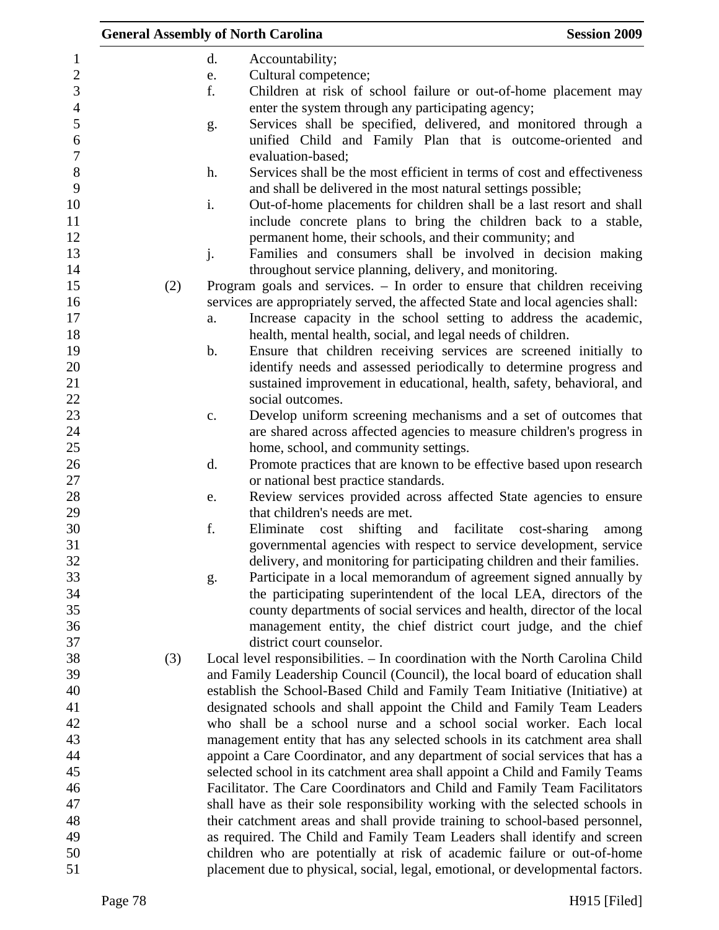|     |               | <b>General Assembly of North Carolina</b>                                       | <b>Session 2009</b>   |
|-----|---------------|---------------------------------------------------------------------------------|-----------------------|
|     | d.            | Accountability;                                                                 |                       |
|     | e.            | Cultural competence;                                                            |                       |
|     | f.            | Children at risk of school failure or out-of-home placement may                 |                       |
|     |               | enter the system through any participating agency;                              |                       |
|     | g.            | Services shall be specified, delivered, and monitored through a                 |                       |
|     |               | unified Child and Family Plan that is outcome-oriented and                      |                       |
|     |               | evaluation-based;                                                               |                       |
|     | h.            | Services shall be the most efficient in terms of cost and effectiveness         |                       |
|     |               | and shall be delivered in the most natural settings possible;                   |                       |
|     | i.            | Out-of-home placements for children shall be a last resort and shall            |                       |
|     |               | include concrete plans to bring the children back to a stable,                  |                       |
|     |               | permanent home, their schools, and their community; and                         |                       |
|     | j.            | Families and consumers shall be involved in decision making                     |                       |
|     |               | throughout service planning, delivery, and monitoring.                          |                       |
| (2) |               | Program goals and services. - In order to ensure that children receiving        |                       |
|     |               | services are appropriately served, the affected State and local agencies shall: |                       |
|     | a.            | Increase capacity in the school setting to address the academic,                |                       |
|     |               | health, mental health, social, and legal needs of children.                     |                       |
|     | $\mathbf b$ . | Ensure that children receiving services are screened initially to               |                       |
|     |               | identify needs and assessed periodically to determine progress and              |                       |
|     |               | sustained improvement in educational, health, safety, behavioral, and           |                       |
|     |               | social outcomes.                                                                |                       |
|     | c.            | Develop uniform screening mechanisms and a set of outcomes that                 |                       |
|     |               | are shared across affected agencies to measure children's progress in           |                       |
|     |               | home, school, and community settings.                                           |                       |
|     | d.            | Promote practices that are known to be effective based upon research            |                       |
|     |               | or national best practice standards.                                            |                       |
|     | e.            | Review services provided across affected State agencies to ensure               |                       |
|     |               | that children's needs are met.                                                  |                       |
|     | f.            | Eliminate<br>shifting and<br>facilitate<br>cost                                 | cost-sharing<br>among |
|     |               | governmental agencies with respect to service development, service              |                       |
|     |               | delivery, and monitoring for participating children and their families.         |                       |
|     | g.            | Participate in a local memorandum of agreement signed annually by               |                       |
|     |               | the participating superintendent of the local LEA, directors of the             |                       |
|     |               | county departments of social services and health, director of the local         |                       |
|     |               | management entity, the chief district court judge, and the chief                |                       |
|     |               | district court counselor.                                                       |                       |
| (3) |               | Local level responsibilities. - In coordination with the North Carolina Child   |                       |
|     |               | and Family Leadership Council (Council), the local board of education shall     |                       |
|     |               | establish the School-Based Child and Family Team Initiative (Initiative) at     |                       |
|     |               | designated schools and shall appoint the Child and Family Team Leaders          |                       |
|     |               | who shall be a school nurse and a school social worker. Each local              |                       |
|     |               | management entity that has any selected schools in its catchment area shall     |                       |
|     |               | appoint a Care Coordinator, and any department of social services that has a    |                       |
|     |               | selected school in its catchment area shall appoint a Child and Family Teams    |                       |
|     |               | Facilitator. The Care Coordinators and Child and Family Team Facilitators       |                       |
|     |               | shall have as their sole responsibility working with the selected schools in    |                       |
|     |               | their catchment areas and shall provide training to school-based personnel,     |                       |
|     |               | as required. The Child and Family Team Leaders shall identify and screen        |                       |
|     |               | children who are potentially at risk of academic failure or out-of-home         |                       |
|     |               | placement due to physical, social, legal, emotional, or developmental factors.  |                       |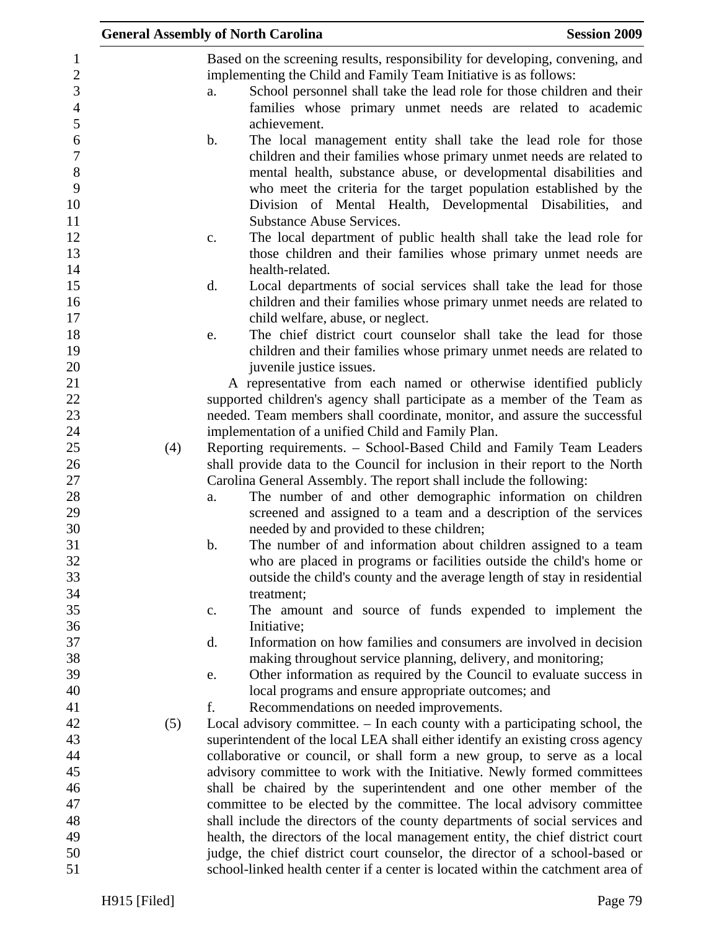|     | <b>General Assembly of North Carolina</b>                                                                                                                                                                                                                                                                                                             | <b>Session 2009</b> |
|-----|-------------------------------------------------------------------------------------------------------------------------------------------------------------------------------------------------------------------------------------------------------------------------------------------------------------------------------------------------------|---------------------|
|     | Based on the screening results, responsibility for developing, convening, and<br>implementing the Child and Family Team Initiative is as follows:<br>School personnel shall take the lead role for those children and their<br>a.                                                                                                                     |                     |
|     | families whose primary unmet needs are related to academic<br>achievement.                                                                                                                                                                                                                                                                            |                     |
|     | The local management entity shall take the lead role for those<br>b.<br>children and their families whose primary unmet needs are related to<br>mental health, substance abuse, or developmental disabilities and<br>who meet the criteria for the target population established by the<br>Division of Mental Health, Developmental Disabilities, and |                     |
|     | <b>Substance Abuse Services.</b><br>The local department of public health shall take the lead role for<br>c.<br>those children and their families whose primary unmet needs are<br>health-related.                                                                                                                                                    |                     |
|     | d.<br>Local departments of social services shall take the lead for those<br>children and their families whose primary unmet needs are related to<br>child welfare, abuse, or neglect.                                                                                                                                                                 |                     |
|     | The chief district court counselor shall take the lead for those<br>e.<br>children and their families whose primary unmet needs are related to<br>juvenile justice issues.                                                                                                                                                                            |                     |
|     | A representative from each named or otherwise identified publicly<br>supported children's agency shall participate as a member of the Team as                                                                                                                                                                                                         |                     |
|     | needed. Team members shall coordinate, monitor, and assure the successful<br>implementation of a unified Child and Family Plan.                                                                                                                                                                                                                       |                     |
| (4) | Reporting requirements. - School-Based Child and Family Team Leaders<br>shall provide data to the Council for inclusion in their report to the North                                                                                                                                                                                                  |                     |
|     | Carolina General Assembly. The report shall include the following:<br>The number of and other demographic information on children<br>a.<br>screened and assigned to a team and a description of the services<br>needed by and provided to these children;                                                                                             |                     |
|     | The number of and information about children assigned to a team<br>b.<br>who are placed in programs or facilities outside the child's home or<br>outside the child's county and the average length of stay in residential                                                                                                                             |                     |
|     | treatment;<br>The amount and source of funds expended to implement the<br>c.                                                                                                                                                                                                                                                                          |                     |
|     | Initiative;<br>Information on how families and consumers are involved in decision<br>d.                                                                                                                                                                                                                                                               |                     |
|     | making throughout service planning, delivery, and monitoring;<br>Other information as required by the Council to evaluate success in<br>e.<br>local programs and ensure appropriate outcomes; and                                                                                                                                                     |                     |
| (5) | f.<br>Recommendations on needed improvements.<br>Local advisory committee. – In each county with a participating school, the                                                                                                                                                                                                                          |                     |
|     | superintendent of the local LEA shall either identify an existing cross agency<br>collaborative or council, or shall form a new group, to serve as a local<br>advisory committee to work with the Initiative. Newly formed committees                                                                                                                 |                     |
|     | shall be chaired by the superintendent and one other member of the<br>committee to be elected by the committee. The local advisory committee                                                                                                                                                                                                          |                     |
|     | shall include the directors of the county departments of social services and<br>health, the directors of the local management entity, the chief district court                                                                                                                                                                                        |                     |
|     | judge, the chief district court counselor, the director of a school-based or<br>school-linked health center if a center is located within the catchment area of                                                                                                                                                                                       |                     |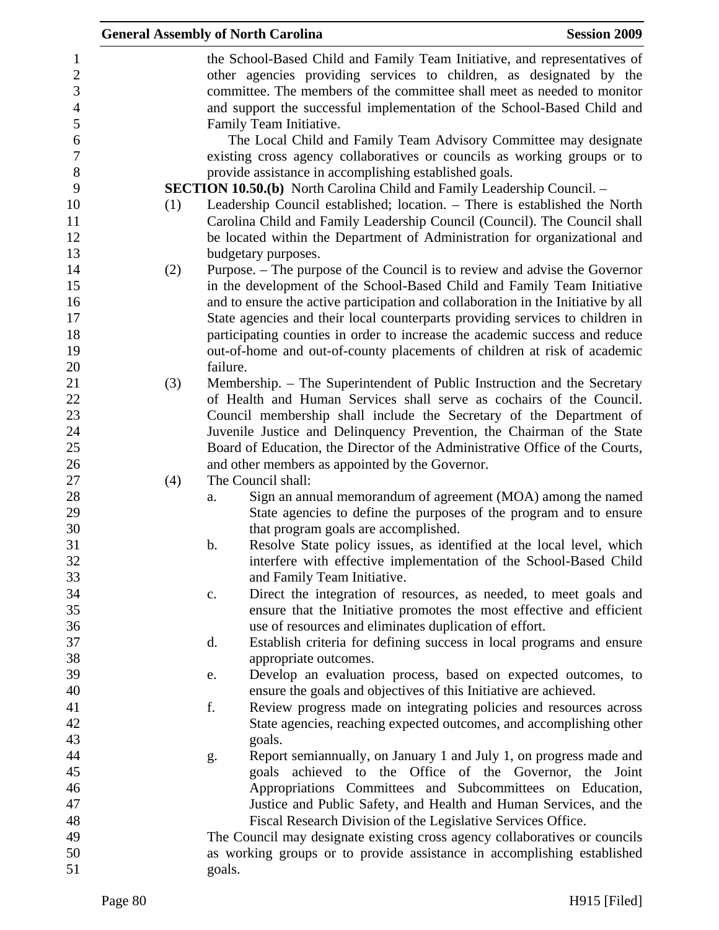|     |          | <b>General Assembly of North Carolina</b>                                                                                                                                                                                                                                                              | <b>Session 2009</b> |
|-----|----------|--------------------------------------------------------------------------------------------------------------------------------------------------------------------------------------------------------------------------------------------------------------------------------------------------------|---------------------|
|     |          | the School-Based Child and Family Team Initiative, and representatives of<br>other agencies providing services to children, as designated by the<br>committee. The members of the committee shall meet as needed to monitor<br>and support the successful implementation of the School-Based Child and |                     |
|     |          | Family Team Initiative.<br>The Local Child and Family Team Advisory Committee may designate                                                                                                                                                                                                            |                     |
|     |          | existing cross agency collaboratives or councils as working groups or to                                                                                                                                                                                                                               |                     |
|     |          | provide assistance in accomplishing established goals.<br><b>SECTION 10.50.(b)</b> North Carolina Child and Family Leadership Council. -                                                                                                                                                               |                     |
| (1) |          | Leadership Council established; location. - There is established the North<br>Carolina Child and Family Leadership Council (Council). The Council shall<br>be located within the Department of Administration for organizational and                                                                   |                     |
|     |          | budgetary purposes.                                                                                                                                                                                                                                                                                    |                     |
| (2) |          | Purpose. – The purpose of the Council is to review and advise the Governor<br>in the development of the School-Based Child and Family Team Initiative                                                                                                                                                  |                     |
|     |          | and to ensure the active participation and collaboration in the Initiative by all                                                                                                                                                                                                                      |                     |
|     |          | State agencies and their local counterparts providing services to children in                                                                                                                                                                                                                          |                     |
|     |          | participating counties in order to increase the academic success and reduce                                                                                                                                                                                                                            |                     |
|     | failure. | out-of-home and out-of-county placements of children at risk of academic                                                                                                                                                                                                                               |                     |
|     |          |                                                                                                                                                                                                                                                                                                        |                     |
| (3) |          | Membership. – The Superintendent of Public Instruction and the Secretary<br>of Health and Human Services shall serve as cochairs of the Council.                                                                                                                                                       |                     |
|     |          | Council membership shall include the Secretary of the Department of                                                                                                                                                                                                                                    |                     |
|     |          | Juvenile Justice and Delinquency Prevention, the Chairman of the State                                                                                                                                                                                                                                 |                     |
|     |          | Board of Education, the Director of the Administrative Office of the Courts,                                                                                                                                                                                                                           |                     |
|     |          | and other members as appointed by the Governor.                                                                                                                                                                                                                                                        |                     |
| (4) |          | The Council shall:                                                                                                                                                                                                                                                                                     |                     |
|     | a.       | Sign an annual memorandum of agreement (MOA) among the named                                                                                                                                                                                                                                           |                     |
|     |          | State agencies to define the purposes of the program and to ensure                                                                                                                                                                                                                                     |                     |
|     |          | that program goals are accomplished.                                                                                                                                                                                                                                                                   |                     |
|     | b.       | Resolve State policy issues, as identified at the local level, which                                                                                                                                                                                                                                   |                     |
|     |          | interfere with effective implementation of the School-Based Child                                                                                                                                                                                                                                      |                     |
|     |          | and Family Team Initiative.                                                                                                                                                                                                                                                                            |                     |
|     | c.       | Direct the integration of resources, as needed, to meet goals and                                                                                                                                                                                                                                      |                     |
|     |          | ensure that the Initiative promotes the most effective and efficient                                                                                                                                                                                                                                   |                     |
|     |          | use of resources and eliminates duplication of effort.                                                                                                                                                                                                                                                 |                     |
|     | d.       | Establish criteria for defining success in local programs and ensure                                                                                                                                                                                                                                   |                     |
|     |          | appropriate outcomes.                                                                                                                                                                                                                                                                                  |                     |
|     | e.       | Develop an evaluation process, based on expected outcomes, to                                                                                                                                                                                                                                          |                     |
|     |          | ensure the goals and objectives of this Initiative are achieved.                                                                                                                                                                                                                                       |                     |
|     | f.       | Review progress made on integrating policies and resources across                                                                                                                                                                                                                                      |                     |
|     |          | State agencies, reaching expected outcomes, and accomplishing other                                                                                                                                                                                                                                    |                     |
|     |          | goals.                                                                                                                                                                                                                                                                                                 |                     |
|     | g.       | Report semiannually, on January 1 and July 1, on progress made and<br>goals achieved to the Office of the Governor, the Joint                                                                                                                                                                          |                     |
|     |          | Appropriations Committees and Subcommittees on Education,                                                                                                                                                                                                                                              |                     |
|     |          | Justice and Public Safety, and Health and Human Services, and the                                                                                                                                                                                                                                      |                     |
|     |          | Fiscal Research Division of the Legislative Services Office.                                                                                                                                                                                                                                           |                     |
|     |          | The Council may designate existing cross agency collaboratives or councils                                                                                                                                                                                                                             |                     |
|     |          | as working groups or to provide assistance in accomplishing established                                                                                                                                                                                                                                |                     |
|     | goals.   |                                                                                                                                                                                                                                                                                                        |                     |
|     |          |                                                                                                                                                                                                                                                                                                        |                     |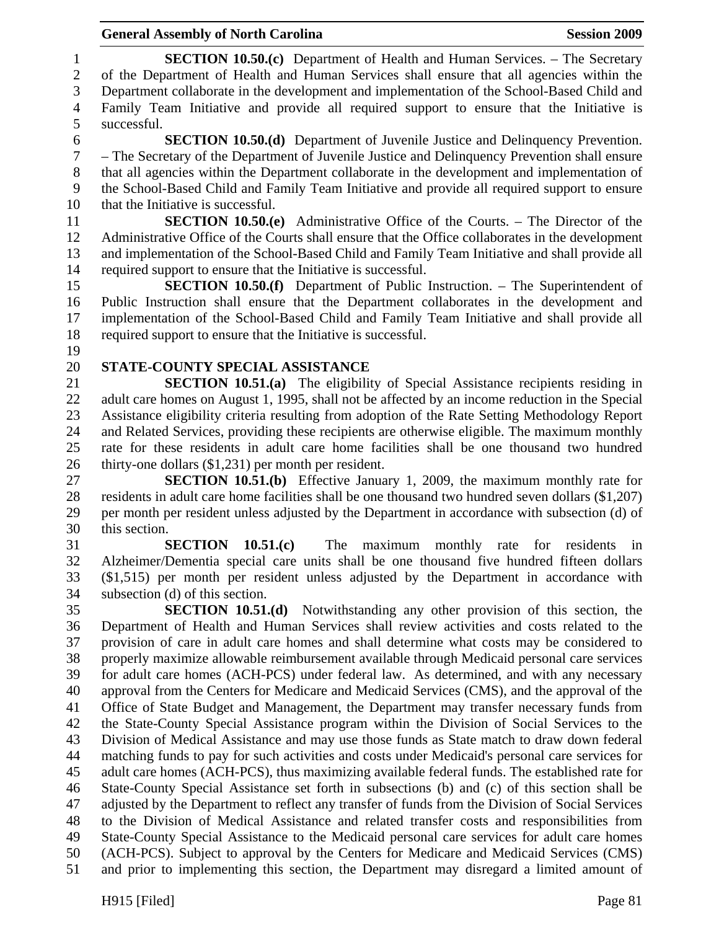#### General Assembly of North Carolina **Session 2009**

1 **SECTION 10.50.(c)** Department of Health and Human Services. – The Secretary 2 of the Department of Health and Human Services shall ensure that all agencies within the 3 Department collaborate in the development and implementation of the School-Based Child and 4 Family Team Initiative and provide all required support to ensure that the Initiative is 5 successful. 6 **SECTION 10.50.(d)** Department of Juvenile Justice and Delinquency Prevention. 7 – The Secretary of the Department of Juvenile Justice and Delinquency Prevention shall ensure 8 that all agencies within the Department collaborate in the development and implementation of 9 the School-Based Child and Family Team Initiative and provide all required support to ensure 10 that the Initiative is successful. 11 **SECTION 10.50.(e)** Administrative Office of the Courts. – The Director of the 12 Administrative Office of the Courts shall ensure that the Office collaborates in the development 13 and implementation of the School-Based Child and Family Team Initiative and shall provide all 14 required support to ensure that the Initiative is successful. 15 **SECTION 10.50.(f)** Department of Public Instruction. – The Superintendent of 16 Public Instruction shall ensure that the Department collaborates in the development and 17 implementation of the School-Based Child and Family Team Initiative and shall provide all 18 required support to ensure that the Initiative is successful. 19 20 **STATE-COUNTY SPECIAL ASSISTANCE**  21 **SECTION 10.51.(a)** The eligibility of Special Assistance recipients residing in 22 adult care homes on August 1, 1995, shall not be affected by an income reduction in the Special 23 Assistance eligibility criteria resulting from adoption of the Rate Setting Methodology Report 24 and Related Services, providing these recipients are otherwise eligible. The maximum monthly 25 rate for these residents in adult care home facilities shall be one thousand two hundred 26 thirty-one dollars (\$1,231) per month per resident. 27 **SECTION 10.51.(b)** Effective January 1, 2009, the maximum monthly rate for 28 residents in adult care home facilities shall be one thousand two hundred seven dollars (\$1,207) 29 per month per resident unless adjusted by the Department in accordance with subsection (d) of 30 this section. 31 **SECTION 10.51.(c)** The maximum monthly rate for residents in 32 Alzheimer/Dementia special care units shall be one thousand five hundred fifteen dollars 33 (\$1,515) per month per resident unless adjusted by the Department in accordance with 34 subsection (d) of this section. 35 **SECTION 10.51.(d)** Notwithstanding any other provision of this section, the 36 Department of Health and Human Services shall review activities and costs related to the 37 provision of care in adult care homes and shall determine what costs may be considered to 38 properly maximize allowable reimbursement available through Medicaid personal care services 39 for adult care homes (ACH-PCS) under federal law. As determined, and with any necessary 40 approval from the Centers for Medicare and Medicaid Services (CMS), and the approval of the 41 Office of State Budget and Management, the Department may transfer necessary funds from 42 the State-County Special Assistance program within the Division of Social Services to the 43 Division of Medical Assistance and may use those funds as State match to draw down federal 44 matching funds to pay for such activities and costs under Medicaid's personal care services for 45 adult care homes (ACH-PCS), thus maximizing available federal funds. The established rate for 46 State-County Special Assistance set forth in subsections (b) and (c) of this section shall be 47 adjusted by the Department to reflect any transfer of funds from the Division of Social Services 48 to the Division of Medical Assistance and related transfer costs and responsibilities from 49 State-County Special Assistance to the Medicaid personal care services for adult care homes 50 (ACH-PCS). Subject to approval by the Centers for Medicare and Medicaid Services (CMS) 51 and prior to implementing this section, the Department may disregard a limited amount of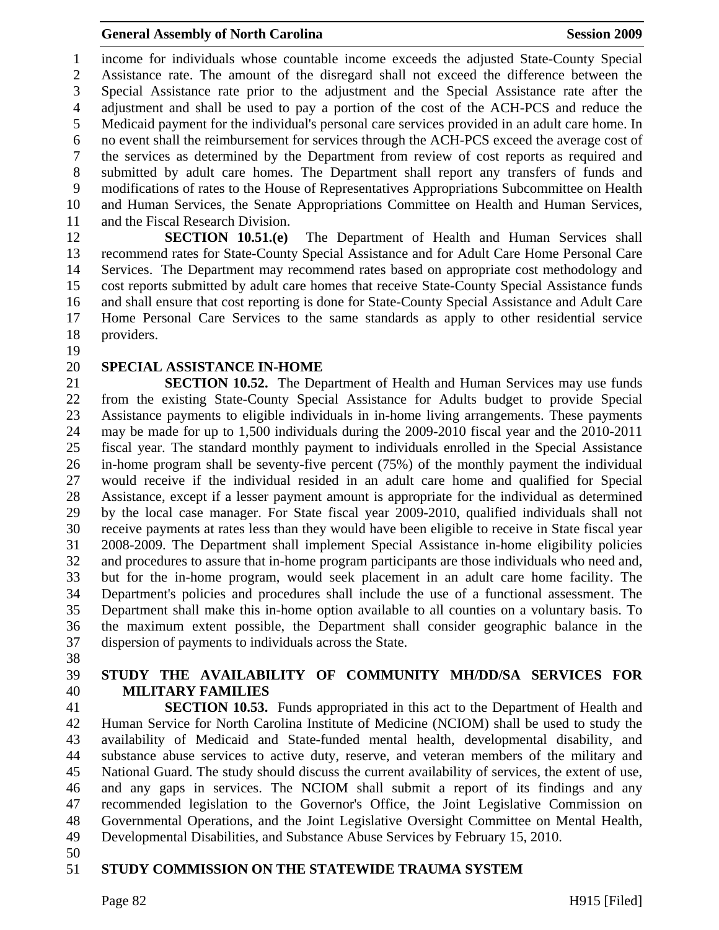1 income for individuals whose countable income exceeds the adjusted State-County Special 2 Assistance rate. The amount of the disregard shall not exceed the difference between the 3 Special Assistance rate prior to the adjustment and the Special Assistance rate after the 4 adjustment and shall be used to pay a portion of the cost of the ACH-PCS and reduce the 5 Medicaid payment for the individual's personal care services provided in an adult care home. In 6 no event shall the reimbursement for services through the ACH-PCS exceed the average cost of 7 the services as determined by the Department from review of cost reports as required and 8 submitted by adult care homes. The Department shall report any transfers of funds and 9 modifications of rates to the House of Representatives Appropriations Subcommittee on Health 10 and Human Services, the Senate Appropriations Committee on Health and Human Services, 11 and the Fiscal Research Division.

12 **SECTION 10.51.(e)** The Department of Health and Human Services shall 13 recommend rates for State-County Special Assistance and for Adult Care Home Personal Care 14 Services. The Department may recommend rates based on appropriate cost methodology and 15 cost reports submitted by adult care homes that receive State-County Special Assistance funds 16 and shall ensure that cost reporting is done for State-County Special Assistance and Adult Care 17 Home Personal Care Services to the same standards as apply to other residential service 18 providers.

19

#### 20 **SPECIAL ASSISTANCE IN-HOME**

21 **SECTION 10.52.** The Department of Health and Human Services may use funds 22 from the existing State-County Special Assistance for Adults budget to provide Special 23 Assistance payments to eligible individuals in in-home living arrangements. These payments 24 may be made for up to 1,500 individuals during the 2009-2010 fiscal year and the 2010-2011 25 fiscal year. The standard monthly payment to individuals enrolled in the Special Assistance 26 in-home program shall be seventy-five percent (75%) of the monthly payment the individual 27 would receive if the individual resided in an adult care home and qualified for Special 28 Assistance, except if a lesser payment amount is appropriate for the individual as determined 29 by the local case manager. For State fiscal year 2009-2010, qualified individuals shall not 30 receive payments at rates less than they would have been eligible to receive in State fiscal year 31 2008-2009. The Department shall implement Special Assistance in-home eligibility policies 32 and procedures to assure that in-home program participants are those individuals who need and, 33 but for the in-home program, would seek placement in an adult care home facility. The 34 Department's policies and procedures shall include the use of a functional assessment. The 35 Department shall make this in-home option available to all counties on a voluntary basis. To 36 the maximum extent possible, the Department shall consider geographic balance in the 37 dispersion of payments to individuals across the State.

38

## 39 **STUDY THE AVAILABILITY OF COMMUNITY MH/DD/SA SERVICES FOR**  40 **MILITARY FAMILIES**

41 **SECTION 10.53.** Funds appropriated in this act to the Department of Health and 42 Human Service for North Carolina Institute of Medicine (NCIOM) shall be used to study the 43 availability of Medicaid and State-funded mental health, developmental disability, and 44 substance abuse services to active duty, reserve, and veteran members of the military and 45 National Guard. The study should discuss the current availability of services, the extent of use, 46 and any gaps in services. The NCIOM shall submit a report of its findings and any 47 recommended legislation to the Governor's Office, the Joint Legislative Commission on 48 Governmental Operations, and the Joint Legislative Oversight Committee on Mental Health, 49 Developmental Disabilities, and Substance Abuse Services by February 15, 2010.

50

#### 51 **STUDY COMMISSION ON THE STATEWIDE TRAUMA SYSTEM**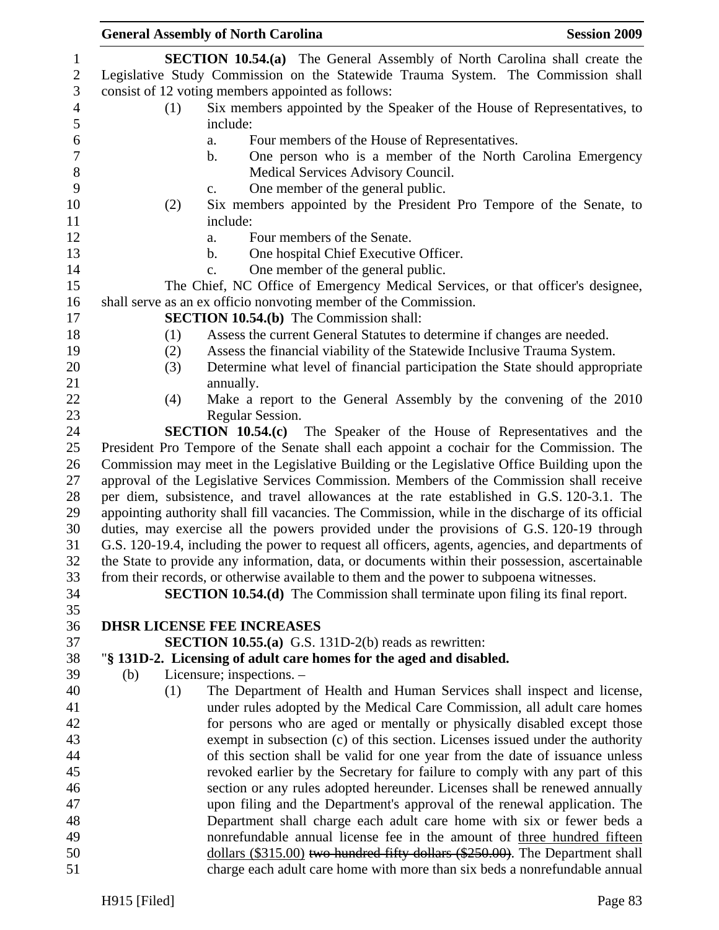|     |     | <b>General Assembly of North Carolina</b>                                                         | <b>Session 2009</b> |
|-----|-----|---------------------------------------------------------------------------------------------------|---------------------|
|     |     | <b>SECTION 10.54.(a)</b> The General Assembly of North Carolina shall create the                  |                     |
|     |     | Legislative Study Commission on the Statewide Trauma System. The Commission shall                 |                     |
|     |     | consist of 12 voting members appointed as follows:                                                |                     |
|     | (1) | Six members appointed by the Speaker of the House of Representatives, to                          |                     |
|     |     | include:                                                                                          |                     |
|     |     | Four members of the House of Representatives.<br>a.                                               |                     |
|     |     | One person who is a member of the North Carolina Emergency<br>$\mathbf b$ .                       |                     |
|     |     | Medical Services Advisory Council.                                                                |                     |
|     |     | One member of the general public.<br>$C_{\bullet}$                                                |                     |
|     | (2) | Six members appointed by the President Pro Tempore of the Senate, to                              |                     |
|     |     | include:                                                                                          |                     |
|     |     | Four members of the Senate.<br>a.                                                                 |                     |
|     |     | One hospital Chief Executive Officer.<br>$\mathbf{b}$ .                                           |                     |
|     |     | One member of the general public.<br>c.                                                           |                     |
|     |     | The Chief, NC Office of Emergency Medical Services, or that officer's designee,                   |                     |
|     |     | shall serve as an ex officio nonvoting member of the Commission.                                  |                     |
|     |     | <b>SECTION 10.54.(b)</b> The Commission shall:                                                    |                     |
|     | (1) | Assess the current General Statutes to determine if changes are needed.                           |                     |
|     | (2) | Assess the financial viability of the Statewide Inclusive Trauma System.                          |                     |
|     | (3) | Determine what level of financial participation the State should appropriate                      |                     |
|     |     | annually.                                                                                         |                     |
|     | (4) | Make a report to the General Assembly by the convening of the 2010                                |                     |
|     |     | Regular Session.                                                                                  |                     |
|     |     | <b>SECTION 10.54.(c)</b> The Speaker of the House of Representatives and the                      |                     |
|     |     | President Pro Tempore of the Senate shall each appoint a cochair for the Commission. The          |                     |
|     |     | Commission may meet in the Legislative Building or the Legislative Office Building upon the       |                     |
|     |     | approval of the Legislative Services Commission. Members of the Commission shall receive          |                     |
|     |     | per diem, subsistence, and travel allowances at the rate established in G.S. 120-3.1. The         |                     |
|     |     | appointing authority shall fill vacancies. The Commission, while in the discharge of its official |                     |
|     |     | duties, may exercise all the powers provided under the provisions of G.S. 120-19 through          |                     |
|     |     | G.S. 120-19.4, including the power to request all officers, agents, agencies, and departments of  |                     |
|     |     | the State to provide any information, data, or documents within their possession, ascertainable   |                     |
|     |     | from their records, or otherwise available to them and the power to subpoena witnesses.           |                     |
|     |     | SECTION 10.54.(d) The Commission shall terminate upon filing its final report.                    |                     |
|     |     | <b>DHSR LICENSE FEE INCREASES</b>                                                                 |                     |
|     |     | <b>SECTION 10.55.(a)</b> G.S. 131D-2(b) reads as rewritten:                                       |                     |
|     |     | "§ 131D-2. Licensing of adult care homes for the aged and disabled.                               |                     |
| (b) |     | Licensure; inspections. -                                                                         |                     |
|     | (1) | The Department of Health and Human Services shall inspect and license,                            |                     |
|     |     | under rules adopted by the Medical Care Commission, all adult care homes                          |                     |
|     |     | for persons who are aged or mentally or physically disabled except those                          |                     |
|     |     | exempt in subsection (c) of this section. Licenses issued under the authority                     |                     |
|     |     | of this section shall be valid for one year from the date of issuance unless                      |                     |
|     |     | revoked earlier by the Secretary for failure to comply with any part of this                      |                     |
|     |     | section or any rules adopted hereunder. Licenses shall be renewed annually                        |                     |
|     |     | upon filing and the Department's approval of the renewal application. The                         |                     |
|     |     | Department shall charge each adult care home with six or fewer beds a                             |                     |
|     |     | nonrefundable annual license fee in the amount of three hundred fifteen                           |                     |
|     |     | dollars (\$315.00) two hundred fifty dollars (\$250.00). The Department shall                     |                     |
|     |     | charge each adult care home with more than six beds a nonrefundable annual                        |                     |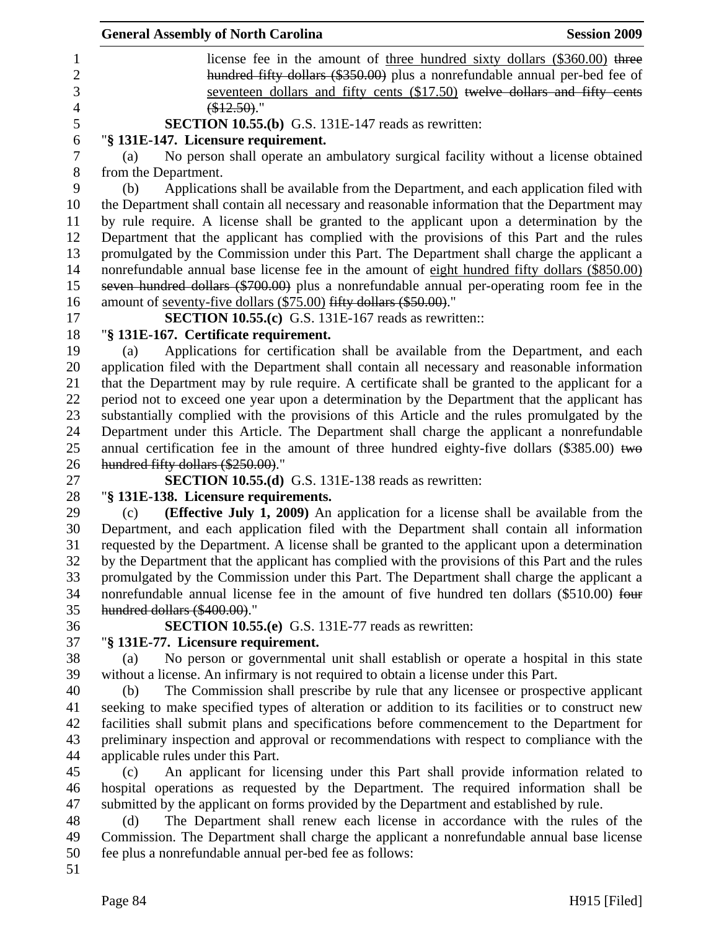|                | <b>General Assembly of North Carolina</b><br><b>Session 2009</b>                                 |
|----------------|--------------------------------------------------------------------------------------------------|
| 1              | license fee in the amount of <u>three hundred sixty dollars (\$360.00</u> ) three                |
| $\overline{2}$ | hundred fifty dollars (\$350.00) plus a nonrefundable annual per-bed fee of                      |
| 3              | seventeen dollars and fifty cents (\$17.50) twelve dollars and fifty cents                       |
| $\overline{4}$ | $$12.50$ ).                                                                                      |
| 5              | <b>SECTION 10.55.(b)</b> G.S. 131E-147 reads as rewritten:                                       |
| 6              | "§ 131E-147. Licensure requirement.                                                              |
| $\tau$         | No person shall operate an ambulatory surgical facility without a license obtained<br>(a)        |
| $8\,$          | from the Department.                                                                             |
| 9              | Applications shall be available from the Department, and each application filed with<br>(b)      |
| 10             | the Department shall contain all necessary and reasonable information that the Department may    |
| 11             | by rule require. A license shall be granted to the applicant upon a determination by the         |
| 12             | Department that the applicant has complied with the provisions of this Part and the rules        |
| 13             | promulgated by the Commission under this Part. The Department shall charge the applicant a       |
| 14             | nonrefundable annual base license fee in the amount of eight hundred fifty dollars (\$850.00)    |
| 15             | seven hundred dollars (\$700.00) plus a nonrefundable annual per-operating room fee in the       |
| 16             | amount of <u>seventy-five dollars</u> (\$75.00) fifty dollars (\$50.00)."                        |
| 17             | <b>SECTION 10.55.(c)</b> G.S. 131E-167 reads as rewritten::                                      |
| 18             | "§ 131E-167. Certificate requirement.                                                            |
| 19             | Applications for certification shall be available from the Department, and each<br>(a)           |
| 20             | application filed with the Department shall contain all necessary and reasonable information     |
| 21             | that the Department may by rule require. A certificate shall be granted to the applicant for a   |
| 22             | period not to exceed one year upon a determination by the Department that the applicant has      |
| 23             | substantially complied with the provisions of this Article and the rules promulgated by the      |
| 24             | Department under this Article. The Department shall charge the applicant a nonrefundable         |
| 25             | annual certification fee in the amount of three hundred eighty-five dollars $(\$385.00)$ two     |
| 26             | hundred fifty dollars (\$250.00)."                                                               |
| 27             | <b>SECTION 10.55.(d)</b> G.S. 131E-138 reads as rewritten:                                       |
| 28             | "§ 131E-138. Licensure requirements.                                                             |
| 29             | (Effective July 1, 2009) An application for a license shall be available from the<br>(c)         |
| 30             | Department, and each application filed with the Department shall contain all information         |
| 31             | requested by the Department. A license shall be granted to the applicant upon a determination    |
| 32             | by the Department that the applicant has complied with the provisions of this Part and the rules |
| 33             | promulgated by the Commission under this Part. The Department shall charge the applicant a       |
| 34             | nonrefundable annual license fee in the amount of five hundred ten dollars (\$510.00) four       |
| 35             | hundred dollars (\$400.00)."                                                                     |
| 36             | <b>SECTION 10.55.(e)</b> G.S. 131E-77 reads as rewritten:                                        |
| 37             | "§ 131E-77. Licensure requirement.                                                               |
| 38             | No person or governmental unit shall establish or operate a hospital in this state<br>(a)        |
| 39             | without a license. An infirmary is not required to obtain a license under this Part.             |
| 40             | The Commission shall prescribe by rule that any licensee or prospective applicant<br>(b)         |
| 41             | seeking to make specified types of alteration or addition to its facilities or to construct new  |
| 42             | facilities shall submit plans and specifications before commencement to the Department for       |
| 43             | preliminary inspection and approval or recommendations with respect to compliance with the       |
| 44             | applicable rules under this Part.                                                                |
| 45             | An applicant for licensing under this Part shall provide information related to<br>(c)           |
| 46             | hospital operations as requested by the Department. The required information shall be            |
| 47             | submitted by the applicant on forms provided by the Department and established by rule.          |
| 48             | The Department shall renew each license in accordance with the rules of the<br>(d)               |
| 49             | Commission. The Department shall charge the applicant a nonrefundable annual base license        |
| 50             | fee plus a nonrefundable annual per-bed fee as follows:                                          |
| 51             |                                                                                                  |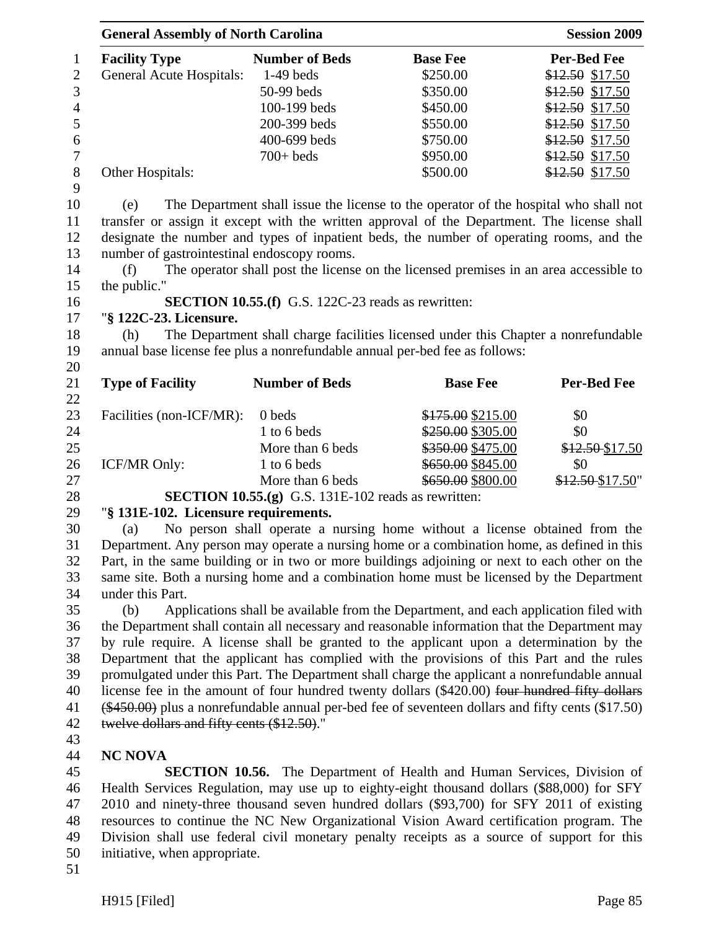|                | <b>General Assembly of North Carolina</b> |                       |                 | <b>Session 2009</b> |  |
|----------------|-------------------------------------------|-----------------------|-----------------|---------------------|--|
| $\mathbf{1}$   | <b>Facility Type</b>                      | <b>Number of Beds</b> | <b>Base Fee</b> | <b>Per-Bed Fee</b>  |  |
| 2              | <b>General Acute Hospitals:</b>           | $1-49$ beds           | \$250.00        | $$12.50$ \$17.50    |  |
| 3              |                                           | $50-99$ beds          | \$350.00        | $$12.50$ \$17.50    |  |
| $\overline{4}$ |                                           | $100-199$ beds        | \$450.00        | $$12.50$ \$17.50    |  |
| 5              |                                           | 200-399 beds          | \$550.00        | $$12.50$ \$17.50    |  |
| 6              |                                           | 400-699 beds          | \$750.00        | \$12.50 \$17.50     |  |
| 7              |                                           | $700+$ beds           | \$950.00        | $$12.50$ \$17.50    |  |
| 8              | Other Hospitals:                          |                       | \$500.00        | \$12.50 \$17.50     |  |
| 9              |                                           |                       |                 |                     |  |

10 (e) The Department shall issue the license to the operator of the hospital who shall not 11 transfer or assign it except with the written approval of the Department. The license shall 12 designate the number and types of inpatient beds, the number of operating rooms, and the 13 number of gastrointestinal endoscopy rooms.

14 (f) The operator shall post the license on the licensed premises in an area accessible to 15 the public."

### 16 **SECTION 10.55.(f)** G.S. 122C-23 reads as rewritten:

#### 17 "**§ 122C-23. Licensure.**

18 (h) The Department shall charge facilities licensed under this Chapter a nonrefundable 19 annual base license fee plus a nonrefundable annual per-bed fee as follows:

21 **Type of Facility Number of Beds Base Fee Per-Bed Fee** 22 23 Facilities (non-ICF/MR): 0 beds \$175.00 \$215.00 \$0 24 1 to 6 beds \$250.00 \$0 25 More than 6 beds \$350.00 \$475.00 \$12.50 \$17.50 26 ICF/MR Only: 1 to 6 beds \$650.00 \$845.00 \$0 27 More than 6 beds \$650.00 \$800.00 \$12.50 \$17.50"

28 **SECTION 10.55.(g)** G.S. 131E-102 reads as rewritten:

# 29 "**§ 131E-102. Licensure requirements.**

30 (a) No person shall operate a nursing home without a license obtained from the 31 Department. Any person may operate a nursing home or a combination home, as defined in this 32 Part, in the same building or in two or more buildings adjoining or next to each other on the 33 same site. Both a nursing home and a combination home must be licensed by the Department 34 under this Part.

35 (b) Applications shall be available from the Department, and each application filed with 36 the Department shall contain all necessary and reasonable information that the Department may 37 by rule require. A license shall be granted to the applicant upon a determination by the 38 Department that the applicant has complied with the provisions of this Part and the rules 39 promulgated under this Part. The Department shall charge the applicant a nonrefundable annual 40 license fee in the amount of four hundred twenty dollars (\$420.00) four hundred fifty dollars 41 (\$450.00) plus a nonrefundable annual per-bed fee of seventeen dollars and fifty cents (\$17.50) 42 twelve dollars and fifty cents (\$12.50)."

43

20

# 44 **NC NOVA**

45 **SECTION 10.56.** The Department of Health and Human Services, Division of 46 Health Services Regulation, may use up to eighty-eight thousand dollars (\$88,000) for SFY 47 2010 and ninety-three thousand seven hundred dollars (\$93,700) for SFY 2011 of existing 48 resources to continue the NC New Organizational Vision Award certification program. The 49 Division shall use federal civil monetary penalty receipts as a source of support for this 50 initiative, when appropriate.

51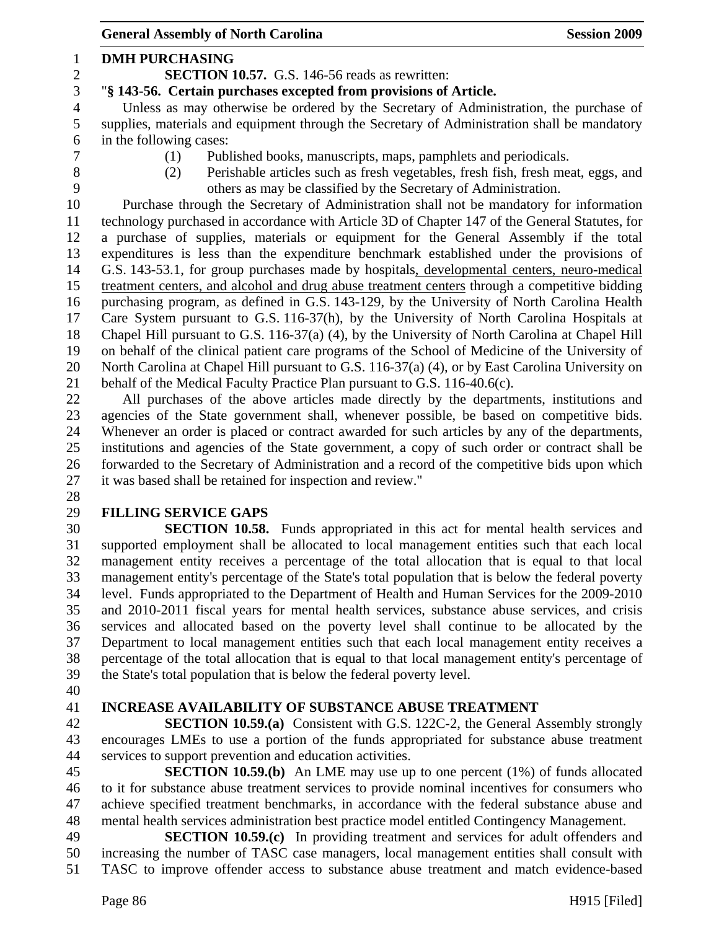General Assembly of North Carolina **Session 2009** 1 **DMH PURCHASING**  2 **SECTION 10.57.** G.S. 146-56 reads as rewritten: 3 "**§ 143-56. Certain purchases excepted from provisions of Article.**  4 Unless as may otherwise be ordered by the Secretary of Administration, the purchase of 5 supplies, materials and equipment through the Secretary of Administration shall be mandatory 6 in the following cases: 7 (1) Published books, manuscripts, maps, pamphlets and periodicals. 8 (2) Perishable articles such as fresh vegetables, fresh fish, fresh meat, eggs, and 9 others as may be classified by the Secretary of Administration. 10 Purchase through the Secretary of Administration shall not be mandatory for information 11 technology purchased in accordance with Article 3D of Chapter 147 of the General Statutes, for 12 a purchase of supplies, materials or equipment for the General Assembly if the total 13 expenditures is less than the expenditure benchmark established under the provisions of 14 G.S. 143-53.1, for group purchases made by hospitals, developmental centers, neuro-medical 15 treatment centers, and alcohol and drug abuse treatment centers through a competitive bidding 16 purchasing program, as defined in G.S. 143-129, by the University of North Carolina Health 17 Care System pursuant to G.S. 116-37(h), by the University of North Carolina Hospitals at 18 Chapel Hill pursuant to G.S. 116-37(a) (4), by the University of North Carolina at Chapel Hill 19 on behalf of the clinical patient care programs of the School of Medicine of the University of 20 North Carolina at Chapel Hill pursuant to G.S. 116-37(a) (4), or by East Carolina University on 21 behalf of the Medical Faculty Practice Plan pursuant to G.S. 116-40.6(c). 22 All purchases of the above articles made directly by the departments, institutions and 23 agencies of the State government shall, whenever possible, be based on competitive bids. 24 Whenever an order is placed or contract awarded for such articles by any of the departments, 25 institutions and agencies of the State government, a copy of such order or contract shall be 26 forwarded to the Secretary of Administration and a record of the competitive bids upon which 27 it was based shall be retained for inspection and review." 28 29 **FILLING SERVICE GAPS**  30 **SECTION 10.58.** Funds appropriated in this act for mental health services and 31 supported employment shall be allocated to local management entities such that each local 32 management entity receives a percentage of the total allocation that is equal to that local 33 management entity's percentage of the State's total population that is below the federal poverty 34 level. Funds appropriated to the Department of Health and Human Services for the 2009-2010

35 and 2010-2011 fiscal years for mental health services, substance abuse services, and crisis 36 services and allocated based on the poverty level shall continue to be allocated by the 37 Department to local management entities such that each local management entity receives a 38 percentage of the total allocation that is equal to that local management entity's percentage of 39 the State's total population that is below the federal poverty level.

40

#### 41 **INCREASE AVAILABILITY OF SUBSTANCE ABUSE TREATMENT**

42 **SECTION 10.59.(a)** Consistent with G.S. 122C-2, the General Assembly strongly 43 encourages LMEs to use a portion of the funds appropriated for substance abuse treatment 44 services to support prevention and education activities.

45 **SECTION 10.59.(b)** An LME may use up to one percent (1%) of funds allocated 46 to it for substance abuse treatment services to provide nominal incentives for consumers who 47 achieve specified treatment benchmarks, in accordance with the federal substance abuse and 48 mental health services administration best practice model entitled Contingency Management.

49 **SECTION 10.59.(c)** In providing treatment and services for adult offenders and 50 increasing the number of TASC case managers, local management entities shall consult with 51 TASC to improve offender access to substance abuse treatment and match evidence-based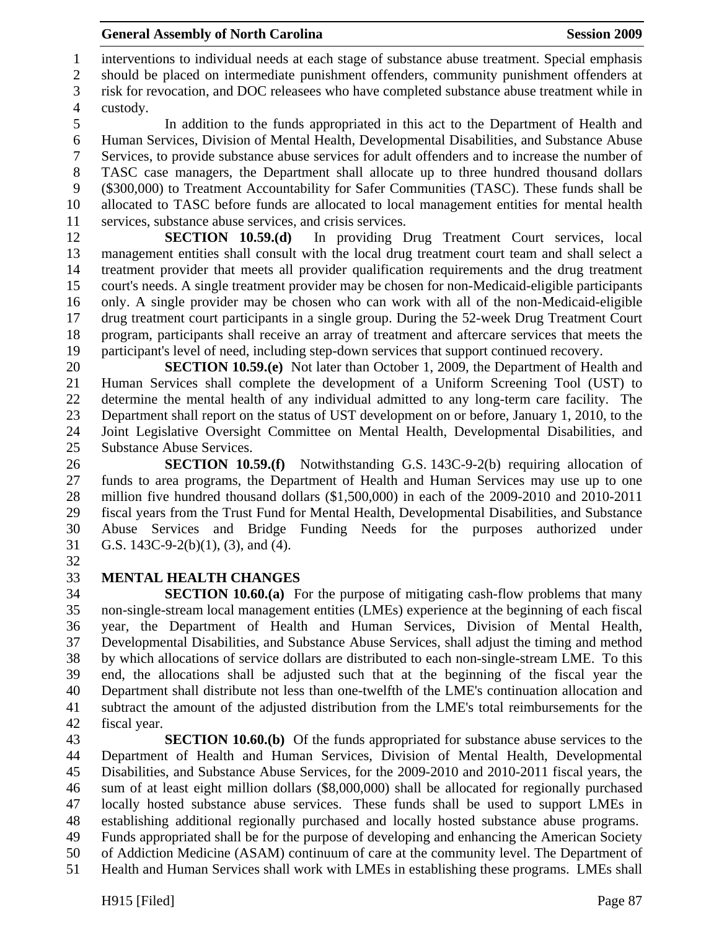1 interventions to individual needs at each stage of substance abuse treatment. Special emphasis 2 should be placed on intermediate punishment offenders, community punishment offenders at

3 risk for revocation, and DOC releasees who have completed substance abuse treatment while in 4 custody.

5 In addition to the funds appropriated in this act to the Department of Health and 6 Human Services, Division of Mental Health, Developmental Disabilities, and Substance Abuse 7 Services, to provide substance abuse services for adult offenders and to increase the number of 8 TASC case managers, the Department shall allocate up to three hundred thousand dollars 9 (\$300,000) to Treatment Accountability for Safer Communities (TASC). These funds shall be 10 allocated to TASC before funds are allocated to local management entities for mental health 11 services, substance abuse services, and crisis services.

12 **SECTION 10.59.(d)** In providing Drug Treatment Court services, local 13 management entities shall consult with the local drug treatment court team and shall select a 14 treatment provider that meets all provider qualification requirements and the drug treatment 15 court's needs. A single treatment provider may be chosen for non-Medicaid-eligible participants 16 only. A single provider may be chosen who can work with all of the non-Medicaid-eligible 17 drug treatment court participants in a single group. During the 52-week Drug Treatment Court 18 program, participants shall receive an array of treatment and aftercare services that meets the 19 participant's level of need, including step-down services that support continued recovery.

20 **SECTION 10.59.(e)** Not later than October 1, 2009, the Department of Health and 21 Human Services shall complete the development of a Uniform Screening Tool (UST) to 22 determine the mental health of any individual admitted to any long-term care facility. The 23 Department shall report on the status of UST development on or before, January 1, 2010, to the 24 Joint Legislative Oversight Committee on Mental Health, Developmental Disabilities, and 25 Substance Abuse Services.

26 **SECTION 10.59.(f)** Notwithstanding G.S. 143C-9-2(b) requiring allocation of 27 funds to area programs, the Department of Health and Human Services may use up to one 28 million five hundred thousand dollars (\$1,500,000) in each of the 2009-2010 and 2010-2011 29 fiscal years from the Trust Fund for Mental Health, Developmental Disabilities, and Substance 30 Abuse Services and Bridge Funding Needs for the purposes authorized under 31 G.S. 143C-9-2(b)(1), (3), and (4).

32

# 33 **MENTAL HEALTH CHANGES**

34 **SECTION 10.60.(a)** For the purpose of mitigating cash-flow problems that many 35 non-single-stream local management entities (LMEs) experience at the beginning of each fiscal 36 year, the Department of Health and Human Services, Division of Mental Health, 37 Developmental Disabilities, and Substance Abuse Services, shall adjust the timing and method 38 by which allocations of service dollars are distributed to each non-single-stream LME. To this 39 end, the allocations shall be adjusted such that at the beginning of the fiscal year the 40 Department shall distribute not less than one-twelfth of the LME's continuation allocation and 41 subtract the amount of the adjusted distribution from the LME's total reimbursements for the 42 fiscal year.

43 **SECTION 10.60.(b)** Of the funds appropriated for substance abuse services to the 44 Department of Health and Human Services, Division of Mental Health, Developmental 45 Disabilities, and Substance Abuse Services, for the 2009-2010 and 2010-2011 fiscal years, the 46 sum of at least eight million dollars (\$8,000,000) shall be allocated for regionally purchased 47 locally hosted substance abuse services. These funds shall be used to support LMEs in 48 establishing additional regionally purchased and locally hosted substance abuse programs. 49 Funds appropriated shall be for the purpose of developing and enhancing the American Society

50 of Addiction Medicine (ASAM) continuum of care at the community level. The Department of

51 Health and Human Services shall work with LMEs in establishing these programs. LMEs shall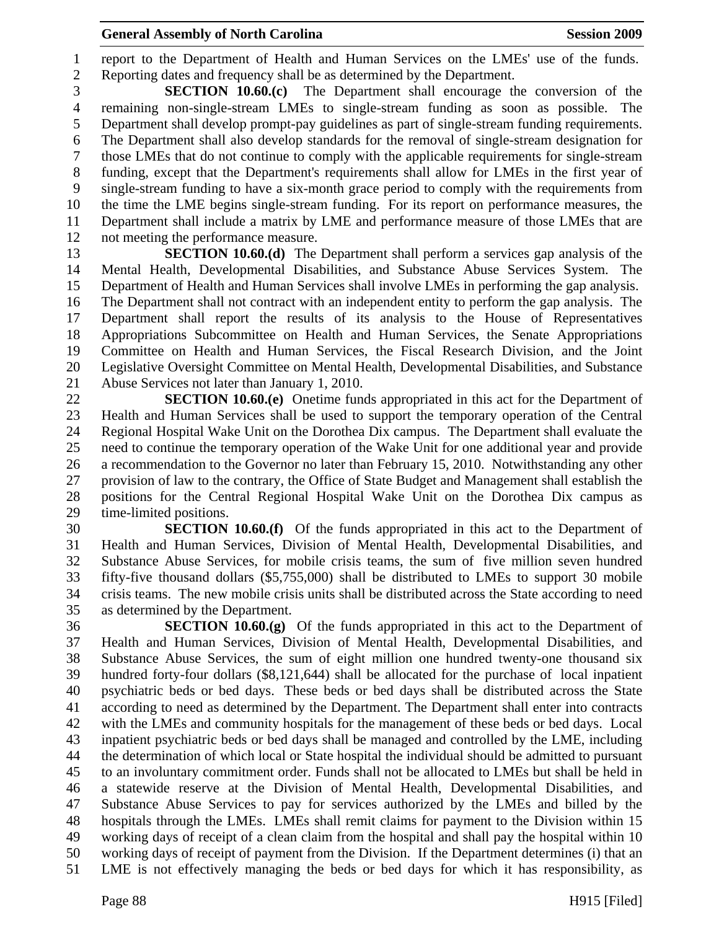1 report to the Department of Health and Human Services on the LMEs' use of the funds. 2 Reporting dates and frequency shall be as determined by the Department.

3 **SECTION 10.60.(c)** The Department shall encourage the conversion of the 4 remaining non-single-stream LMEs to single-stream funding as soon as possible. The 5 Department shall develop prompt-pay guidelines as part of single-stream funding requirements. 6 The Department shall also develop standards for the removal of single-stream designation for 7 those LMEs that do not continue to comply with the applicable requirements for single-stream 8 funding, except that the Department's requirements shall allow for LMEs in the first year of 9 single-stream funding to have a six-month grace period to comply with the requirements from 10 the time the LME begins single-stream funding. For its report on performance measures, the 11 Department shall include a matrix by LME and performance measure of those LMEs that are 12 not meeting the performance measure.

13 **SECTION 10.60.(d)** The Department shall perform a services gap analysis of the 14 Mental Health, Developmental Disabilities, and Substance Abuse Services System. The 15 Department of Health and Human Services shall involve LMEs in performing the gap analysis. 16 The Department shall not contract with an independent entity to perform the gap analysis. The 17 Department shall report the results of its analysis to the House of Representatives 18 Appropriations Subcommittee on Health and Human Services, the Senate Appropriations 19 Committee on Health and Human Services, the Fiscal Research Division, and the Joint 20 Legislative Oversight Committee on Mental Health, Developmental Disabilities, and Substance 21 Abuse Services not later than January 1, 2010.

22 **SECTION 10.60.(e)** Onetime funds appropriated in this act for the Department of 23 Health and Human Services shall be used to support the temporary operation of the Central 24 Regional Hospital Wake Unit on the Dorothea Dix campus. The Department shall evaluate the 25 need to continue the temporary operation of the Wake Unit for one additional year and provide 26 a recommendation to the Governor no later than February 15, 2010. Notwithstanding any other 27 provision of law to the contrary, the Office of State Budget and Management shall establish the 28 positions for the Central Regional Hospital Wake Unit on the Dorothea Dix campus as 29 time-limited positions.

30 **SECTION 10.60.(f)** Of the funds appropriated in this act to the Department of 31 Health and Human Services, Division of Mental Health, Developmental Disabilities, and 32 Substance Abuse Services, for mobile crisis teams, the sum of five million seven hundred 33 fifty-five thousand dollars (\$5,755,000) shall be distributed to LMEs to support 30 mobile 34 crisis teams. The new mobile crisis units shall be distributed across the State according to need 35 as determined by the Department.

36 **SECTION 10.60.(g)** Of the funds appropriated in this act to the Department of 37 Health and Human Services, Division of Mental Health, Developmental Disabilities, and 38 Substance Abuse Services, the sum of eight million one hundred twenty-one thousand six 39 hundred forty-four dollars (\$8,121,644) shall be allocated for the purchase of local inpatient 40 psychiatric beds or bed days. These beds or bed days shall be distributed across the State 41 according to need as determined by the Department. The Department shall enter into contracts 42 with the LMEs and community hospitals for the management of these beds or bed days. Local 43 inpatient psychiatric beds or bed days shall be managed and controlled by the LME, including 44 the determination of which local or State hospital the individual should be admitted to pursuant 45 to an involuntary commitment order. Funds shall not be allocated to LMEs but shall be held in 46 a statewide reserve at the Division of Mental Health, Developmental Disabilities, and 47 Substance Abuse Services to pay for services authorized by the LMEs and billed by the 48 hospitals through the LMEs. LMEs shall remit claims for payment to the Division within 15 49 working days of receipt of a clean claim from the hospital and shall pay the hospital within 10 50 working days of receipt of payment from the Division. If the Department determines (i) that an 51 LME is not effectively managing the beds or bed days for which it has responsibility, as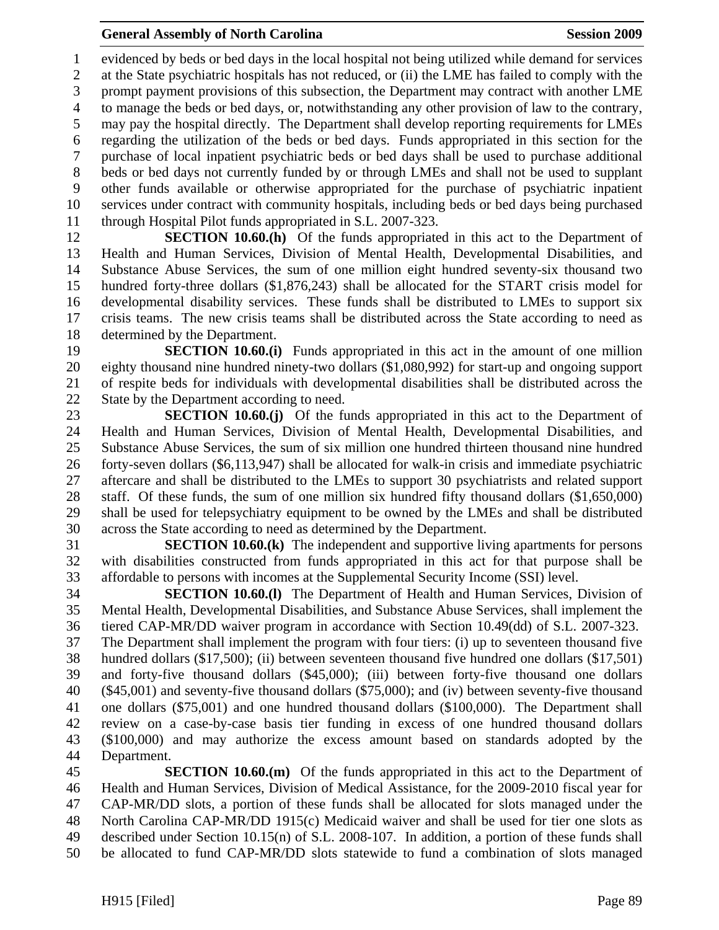1 evidenced by beds or bed days in the local hospital not being utilized while demand for services 2 at the State psychiatric hospitals has not reduced, or (ii) the LME has failed to comply with the 3 prompt payment provisions of this subsection, the Department may contract with another LME 4 to manage the beds or bed days, or, notwithstanding any other provision of law to the contrary, 5 may pay the hospital directly. The Department shall develop reporting requirements for LMEs 6 regarding the utilization of the beds or bed days. Funds appropriated in this section for the 7 purchase of local inpatient psychiatric beds or bed days shall be used to purchase additional 8 beds or bed days not currently funded by or through LMEs and shall not be used to supplant 9 other funds available or otherwise appropriated for the purchase of psychiatric inpatient 10 services under contract with community hospitals, including beds or bed days being purchased 11 through Hospital Pilot funds appropriated in S.L. 2007-323.

12 **SECTION 10.60.(h)** Of the funds appropriated in this act to the Department of 13 Health and Human Services, Division of Mental Health, Developmental Disabilities, and 14 Substance Abuse Services, the sum of one million eight hundred seventy-six thousand two 15 hundred forty-three dollars (\$1,876,243) shall be allocated for the START crisis model for 16 developmental disability services. These funds shall be distributed to LMEs to support six 17 crisis teams. The new crisis teams shall be distributed across the State according to need as 18 determined by the Department.

19 **SECTION 10.60.(i)** Funds appropriated in this act in the amount of one million 20 eighty thousand nine hundred ninety-two dollars (\$1,080,992) for start-up and ongoing support 21 of respite beds for individuals with developmental disabilities shall be distributed across the 22 State by the Department according to need.

23 **SECTION 10.60.(j)** Of the funds appropriated in this act to the Department of 24 Health and Human Services, Division of Mental Health, Developmental Disabilities, and 25 Substance Abuse Services, the sum of six million one hundred thirteen thousand nine hundred 26 forty-seven dollars (\$6,113,947) shall be allocated for walk-in crisis and immediate psychiatric 27 aftercare and shall be distributed to the LMEs to support 30 psychiatrists and related support 28 staff. Of these funds, the sum of one million six hundred fifty thousand dollars (\$1,650,000) 29 shall be used for telepsychiatry equipment to be owned by the LMEs and shall be distributed 30 across the State according to need as determined by the Department.

31 **SECTION 10.60.(k)** The independent and supportive living apartments for persons 32 with disabilities constructed from funds appropriated in this act for that purpose shall be 33 affordable to persons with incomes at the Supplemental Security Income (SSI) level.

34 **SECTION 10.60.(l)** The Department of Health and Human Services, Division of 35 Mental Health, Developmental Disabilities, and Substance Abuse Services, shall implement the 36 tiered CAP-MR/DD waiver program in accordance with Section 10.49(dd) of S.L. 2007-323. 37 The Department shall implement the program with four tiers: (i) up to seventeen thousand five 38 hundred dollars (\$17,500); (ii) between seventeen thousand five hundred one dollars (\$17,501) 39 and forty-five thousand dollars (\$45,000); (iii) between forty-five thousand one dollars 40 (\$45,001) and seventy-five thousand dollars (\$75,000); and (iv) between seventy-five thousand 41 one dollars (\$75,001) and one hundred thousand dollars (\$100,000). The Department shall 42 review on a case-by-case basis tier funding in excess of one hundred thousand dollars 43 (\$100,000) and may authorize the excess amount based on standards adopted by the 44 Department.

45 **SECTION 10.60.(m)** Of the funds appropriated in this act to the Department of 46 Health and Human Services, Division of Medical Assistance, for the 2009-2010 fiscal year for 47 CAP-MR/DD slots, a portion of these funds shall be allocated for slots managed under the 48 North Carolina CAP-MR/DD 1915(c) Medicaid waiver and shall be used for tier one slots as 49 described under Section 10.15(n) of S.L. 2008-107. In addition, a portion of these funds shall 50 be allocated to fund CAP-MR/DD slots statewide to fund a combination of slots managed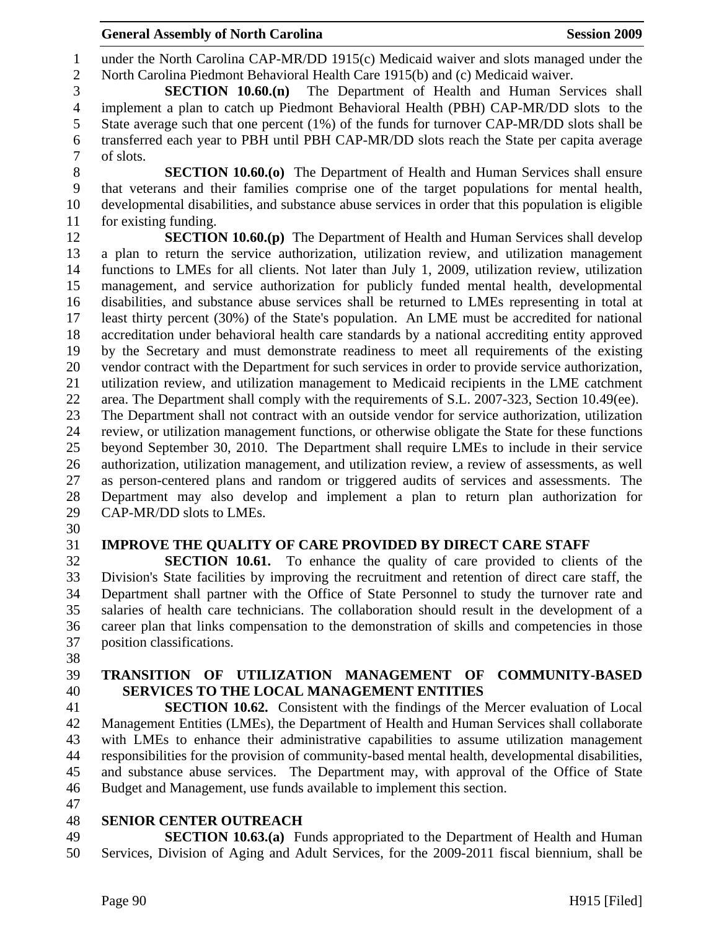1 under the North Carolina CAP-MR/DD 1915(c) Medicaid waiver and slots managed under the 2 North Carolina Piedmont Behavioral Health Care 1915(b) and (c) Medicaid waiver.

3 **SECTION 10.60.(n)** The Department of Health and Human Services shall 4 implement a plan to catch up Piedmont Behavioral Health (PBH) CAP-MR/DD slots to the 5 State average such that one percent (1%) of the funds for turnover CAP-MR/DD slots shall be 6 transferred each year to PBH until PBH CAP-MR/DD slots reach the State per capita average 7 of slots.

8 **SECTION 10.60.(o)** The Department of Health and Human Services shall ensure 9 that veterans and their families comprise one of the target populations for mental health, 10 developmental disabilities, and substance abuse services in order that this population is eligible 11 for existing funding.

12 **SECTION 10.60.(p)** The Department of Health and Human Services shall develop 13 a plan to return the service authorization, utilization review, and utilization management 14 functions to LMEs for all clients. Not later than July 1, 2009, utilization review, utilization 15 management, and service authorization for publicly funded mental health, developmental 16 disabilities, and substance abuse services shall be returned to LMEs representing in total at 17 least thirty percent (30%) of the State's population. An LME must be accredited for national 18 accreditation under behavioral health care standards by a national accrediting entity approved 19 by the Secretary and must demonstrate readiness to meet all requirements of the existing 20 vendor contract with the Department for such services in order to provide service authorization, 21 utilization review, and utilization management to Medicaid recipients in the LME catchment 22 area. The Department shall comply with the requirements of S.L. 2007-323, Section 10.49(ee). 23 The Department shall not contract with an outside vendor for service authorization, utilization 24 review, or utilization management functions, or otherwise obligate the State for these functions 25 beyond September 30, 2010. The Department shall require LMEs to include in their service 26 authorization, utilization management, and utilization review, a review of assessments, as well 27 as person-centered plans and random or triggered audits of services and assessments. The 28 Department may also develop and implement a plan to return plan authorization for 29 CAP-MR/DD slots to LMEs.

30

# 31 **IMPROVE THE QUALITY OF CARE PROVIDED BY DIRECT CARE STAFF**

32 **SECTION 10.61.** To enhance the quality of care provided to clients of the 33 Division's State facilities by improving the recruitment and retention of direct care staff, the 34 Department shall partner with the Office of State Personnel to study the turnover rate and 35 salaries of health care technicians. The collaboration should result in the development of a 36 career plan that links compensation to the demonstration of skills and competencies in those 37 position classifications.

38

# 39 **TRANSITION OF UTILIZATION MANAGEMENT OF COMMUNITY-BASED**  40 **SERVICES TO THE LOCAL MANAGEMENT ENTITIES**

41 **SECTION 10.62.** Consistent with the findings of the Mercer evaluation of Local 42 Management Entities (LMEs), the Department of Health and Human Services shall collaborate 43 with LMEs to enhance their administrative capabilities to assume utilization management 44 responsibilities for the provision of community-based mental health, developmental disabilities, 45 and substance abuse services. The Department may, with approval of the Office of State 46 Budget and Management, use funds available to implement this section.

47

#### 48 **SENIOR CENTER OUTREACH**

49 **SECTION 10.63.(a)** Funds appropriated to the Department of Health and Human 50 Services, Division of Aging and Adult Services, for the 2009-2011 fiscal biennium, shall be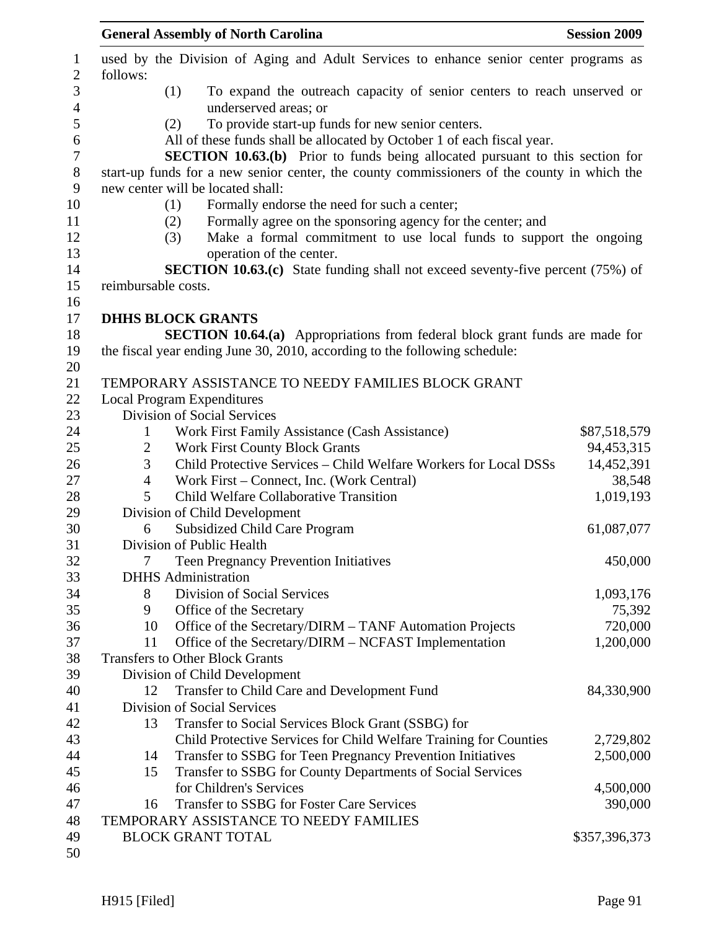|                | <b>General Assembly of North Carolina</b>                                                   | <b>Session 2009</b> |
|----------------|---------------------------------------------------------------------------------------------|---------------------|
| follows:       | used by the Division of Aging and Adult Services to enhance senior center programs as       |                     |
|                | To expand the outreach capacity of senior centers to reach unserved or<br>(1)               |                     |
|                | underserved areas; or                                                                       |                     |
|                | To provide start-up funds for new senior centers.<br>(2)                                    |                     |
|                | All of these funds shall be allocated by October 1 of each fiscal year.                     |                     |
|                | <b>SECTION 10.63.(b)</b> Prior to funds being allocated pursuant to this section for        |                     |
|                | start-up funds for a new senior center, the county commissioners of the county in which the |                     |
|                | new center will be located shall:                                                           |                     |
|                | Formally endorse the need for such a center;<br>(1)                                         |                     |
|                | Formally agree on the sponsoring agency for the center; and<br>(2)                          |                     |
|                | Make a formal commitment to use local funds to support the ongoing<br>(3)                   |                     |
|                | operation of the center.                                                                    |                     |
|                | <b>SECTION 10.63.(c)</b> State funding shall not exceed seventy-five percent (75%) of       |                     |
|                | reimbursable costs.                                                                         |                     |
|                |                                                                                             |                     |
|                | <b>DHHS BLOCK GRANTS</b>                                                                    |                     |
|                | <b>SECTION 10.64.(a)</b> Appropriations from federal block grant funds are made for         |                     |
|                | the fiscal year ending June 30, 2010, according to the following schedule:                  |                     |
|                |                                                                                             |                     |
|                | TEMPORARY ASSISTANCE TO NEEDY FAMILIES BLOCK GRANT                                          |                     |
|                | <b>Local Program Expenditures</b>                                                           |                     |
|                | Division of Social Services                                                                 |                     |
| $\mathbf{1}$   | Work First Family Assistance (Cash Assistance)                                              | \$87,518,579        |
| $\overline{2}$ | <b>Work First County Block Grants</b>                                                       | 94,453,315          |
| 3              | Child Protective Services - Child Welfare Workers for Local DSSs                            | 14,452,391          |
| 4              | Work First – Connect, Inc. (Work Central)                                                   | 38,548              |
| 5              | Child Welfare Collaborative Transition                                                      | 1,019,193           |
|                | Division of Child Development                                                               |                     |
| 6              | <b>Subsidized Child Care Program</b>                                                        | 61,087,077          |
|                | Division of Public Health                                                                   |                     |
| 7              | <b>Teen Pregnancy Prevention Initiatives</b>                                                | 450,000             |
|                | <b>DHHS</b> Administration                                                                  |                     |
| 8              | Division of Social Services                                                                 | 1,093,176           |
| 9              | Office of the Secretary<br>Office of the Secretary/DIRM - TANF Automation Projects<br>10    | 75,392<br>720,000   |
| 11             | Office of the Secretary/DIRM – NCFAST Implementation                                        | 1,200,000           |
|                | <b>Transfers to Other Block Grants</b>                                                      |                     |
|                | Division of Child Development                                                               |                     |
| 12             | Transfer to Child Care and Development Fund                                                 | 84,330,900          |
|                | <b>Division of Social Services</b>                                                          |                     |
|                | Transfer to Social Services Block Grant (SSBG) for<br>13                                    |                     |
|                | Child Protective Services for Child Welfare Training for Counties                           | 2,729,802           |
|                | Transfer to SSBG for Teen Pregnancy Prevention Initiatives<br>14                            | 2,500,000           |
|                | Transfer to SSBG for County Departments of Social Services<br>15                            |                     |
|                | for Children's Services                                                                     | 4,500,000           |
|                | Transfer to SSBG for Foster Care Services<br>16                                             | 390,000             |
|                | TEMPORARY ASSISTANCE TO NEEDY FAMILIES                                                      |                     |
|                | <b>BLOCK GRANT TOTAL</b>                                                                    | \$357,396,373       |
|                |                                                                                             |                     |
|                |                                                                                             |                     |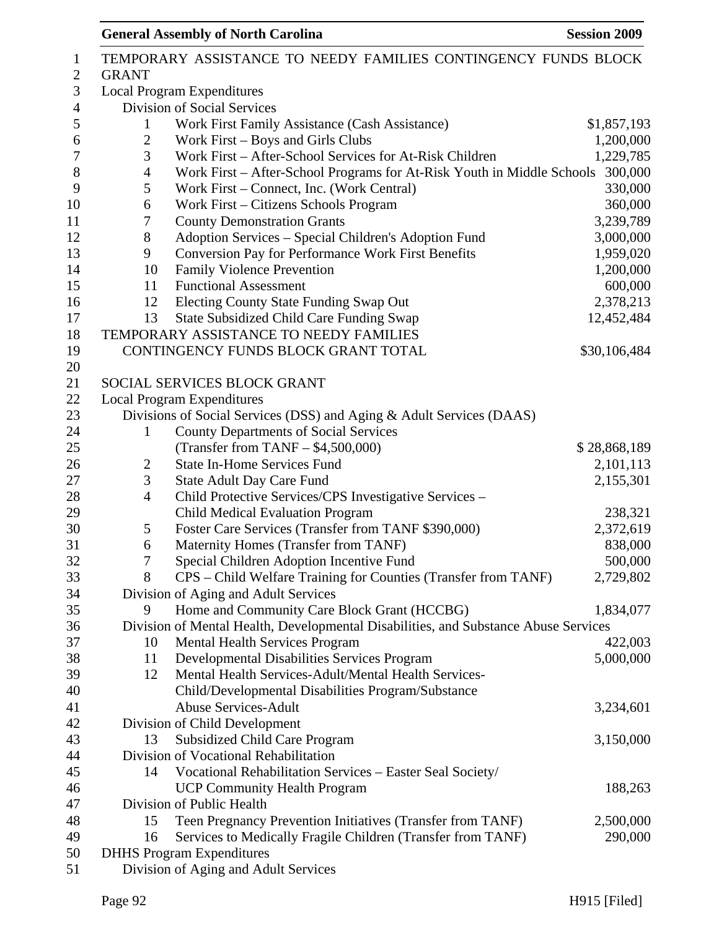| $\mathbf{1}$<br>$\overline{2}$ | <b>GRANT</b>   | TEMPORARY ASSISTANCE TO NEEDY FAMILIES CONTINGENCY FUNDS BLOCK                      |              |
|--------------------------------|----------------|-------------------------------------------------------------------------------------|--------------|
| $\mathfrak{Z}$                 |                | <b>Local Program Expenditures</b>                                                   |              |
| $\overline{4}$                 |                | Division of Social Services                                                         |              |
| $\mathfrak s$                  | 1              | Work First Family Assistance (Cash Assistance)                                      | \$1,857,193  |
| 6                              | $\overline{c}$ | Work First – Boys and Girls Clubs                                                   | 1,200,000    |
| 7                              | 3              | Work First - After-School Services for At-Risk Children                             | 1,229,785    |
| 8                              | 4              | Work First – After-School Programs for At-Risk Youth in Middle Schools              | 300,000      |
| 9                              | 5              | Work First – Connect, Inc. (Work Central)                                           | 330,000      |
| 10                             | 6              |                                                                                     | 360,000      |
| 11                             | 7              | Work First – Citizens Schools Program                                               | 3,239,789    |
| 12                             | 8              | <b>County Demonstration Grants</b>                                                  | 3,000,000    |
| 13                             |                | Adoption Services - Special Children's Adoption Fund                                |              |
|                                | 9              | <b>Conversion Pay for Performance Work First Benefits</b>                           | 1,959,020    |
| 14                             | 10             | <b>Family Violence Prevention</b>                                                   | 1,200,000    |
| 15                             | 11             | <b>Functional Assessment</b>                                                        | 600,000      |
| 16                             | 12             | Electing County State Funding Swap Out                                              | 2,378,213    |
| 17                             | 13             | <b>State Subsidized Child Care Funding Swap</b>                                     | 12,452,484   |
| 18                             |                | TEMPORARY ASSISTANCE TO NEEDY FAMILIES                                              |              |
| 19                             |                | CONTINGENCY FUNDS BLOCK GRANT TOTAL                                                 | \$30,106,484 |
| 20                             |                |                                                                                     |              |
| 21                             |                | SOCIAL SERVICES BLOCK GRANT                                                         |              |
| 22                             |                | <b>Local Program Expenditures</b>                                                   |              |
| 23                             |                | Divisions of Social Services (DSS) and Aging & Adult Services (DAAS)                |              |
| 24                             | 1              | <b>County Departments of Social Services</b>                                        |              |
| 25                             |                | (Transfer from TANF $-$ \$4,500,000)                                                | \$28,868,189 |
| 26                             | $\overline{c}$ | <b>State In-Home Services Fund</b>                                                  | 2,101,113    |
| 27                             | 3              | <b>State Adult Day Care Fund</b>                                                    | 2,155,301    |
| 28                             | $\overline{4}$ | Child Protective Services/CPS Investigative Services -                              |              |
| 29                             |                | Child Medical Evaluation Program                                                    | 238,321      |
| 30                             | 5              | Foster Care Services (Transfer from TANF \$390,000)                                 | 2,372,619    |
| 31                             | 6              | Maternity Homes (Transfer from TANF)                                                | 838,000      |
| 32                             | 7              | Special Children Adoption Incentive Fund                                            | 500,000      |
| 33                             | 8              | CPS - Child Welfare Training for Counties (Transfer from TANF)                      | 2,729,802    |
| 34                             |                | Division of Aging and Adult Services                                                |              |
| 35                             | 9              | Home and Community Care Block Grant (HCCBG)                                         | 1,834,077    |
| 36                             |                | Division of Mental Health, Developmental Disabilities, and Substance Abuse Services |              |
| 37                             | 10             | <b>Mental Health Services Program</b>                                               | 422,003      |
| 38                             | 11             | Developmental Disabilities Services Program                                         | 5,000,000    |
| 39                             | 12             | Mental Health Services-Adult/Mental Health Services-                                |              |
| 40                             |                | Child/Developmental Disabilities Program/Substance                                  |              |
| 41                             |                | <b>Abuse Services-Adult</b>                                                         | 3,234,601    |
| 42                             |                | Division of Child Development                                                       |              |
| 43                             | 13             | <b>Subsidized Child Care Program</b>                                                | 3,150,000    |
| 44                             |                | Division of Vocational Rehabilitation                                               |              |
| 45                             | 14             | Vocational Rehabilitation Services - Easter Seal Society/                           |              |
| 46                             |                | <b>UCP Community Health Program</b>                                                 | 188,263      |
| 47                             |                | Division of Public Health                                                           |              |
| 48                             | 15             | Teen Pregnancy Prevention Initiatives (Transfer from TANF)                          | 2,500,000    |
| 49                             | 16             | Services to Medically Fragile Children (Transfer from TANF)                         | 290,000      |
| 50                             |                | <b>DHHS Program Expenditures</b>                                                    |              |
| 51                             |                | Division of Aging and Adult Services                                                |              |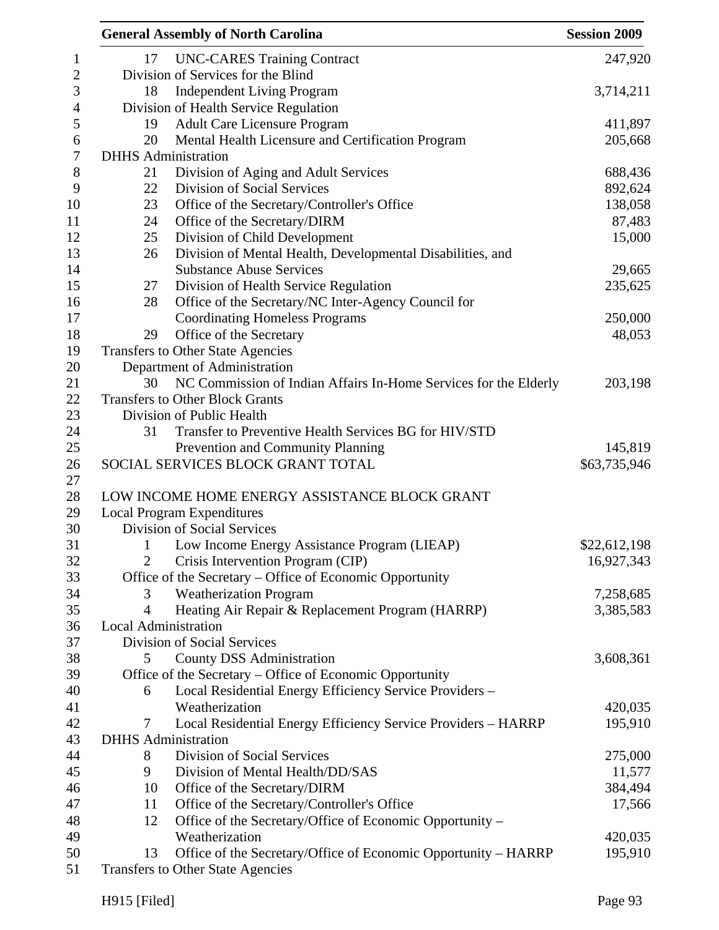|    | <b>General Assembly of North Carolina</b>                        | <b>Session 2009</b> |
|----|------------------------------------------------------------------|---------------------|
| 17 | <b>UNC-CARES Training Contract</b>                               | 247,920             |
|    | Division of Services for the Blind                               |                     |
| 18 | <b>Independent Living Program</b>                                | 3,714,211           |
|    | Division of Health Service Regulation                            |                     |
| 19 | <b>Adult Care Licensure Program</b>                              | 411,897             |
| 20 | Mental Health Licensure and Certification Program                | 205,668             |
|    | <b>DHHS</b> Administration                                       |                     |
| 21 | Division of Aging and Adult Services                             | 688,436             |
| 22 | <b>Division of Social Services</b>                               | 892,624             |
| 23 | Office of the Secretary/Controller's Office                      | 138,058             |
| 24 | Office of the Secretary/DIRM                                     | 87,483              |
| 25 | Division of Child Development                                    | 15,000              |
| 26 | Division of Mental Health, Developmental Disabilities, and       |                     |
|    | <b>Substance Abuse Services</b>                                  | 29,665              |
| 27 | Division of Health Service Regulation                            | 235,625             |
| 28 | Office of the Secretary/NC Inter-Agency Council for              |                     |
|    | <b>Coordinating Homeless Programs</b>                            | 250,000             |
| 29 | Office of the Secretary                                          | 48,053              |
|    | Transfers to Other State Agencies                                |                     |
|    | Department of Administration                                     |                     |
| 30 | NC Commission of Indian Affairs In-Home Services for the Elderly | 203,198             |
|    | <b>Transfers to Other Block Grants</b>                           |                     |
|    | Division of Public Health                                        |                     |
| 31 | Transfer to Preventive Health Services BG for HIV/STD            |                     |
|    | Prevention and Community Planning                                | 145,819             |
|    | SOCIAL SERVICES BLOCK GRANT TOTAL                                | \$63,735,946        |
|    |                                                                  |                     |
|    | LOW INCOME HOME ENERGY ASSISTANCE BLOCK GRANT                    |                     |
|    | <b>Local Program Expenditures</b>                                |                     |
|    | Division of Social Services                                      |                     |
| 1  | Low Income Energy Assistance Program (LIEAP)                     | \$22,612,198        |
| 2  | Crisis Intervention Program (CIP)                                | 16,927,343          |
|    | Office of the Secretary - Office of Economic Opportunity         |                     |
| 3  | <b>Weatherization Program</b>                                    | 7,258,685           |
| 4  | Heating Air Repair & Replacement Program (HARRP)                 | 3,385,583           |
|    | Local Administration                                             |                     |
|    | <b>Division of Social Services</b>                               |                     |
| 5  | <b>County DSS Administration</b>                                 | 3,608,361           |
|    | Office of the Secretary – Office of Economic Opportunity         |                     |
| 6  | Local Residential Energy Efficiency Service Providers -          |                     |
|    | Weatherization                                                   | 420,035             |
| 7  | Local Residential Energy Efficiency Service Providers - HARRP    | 195,910             |
|    | <b>DHHS</b> Administration                                       |                     |
| 8  | Division of Social Services                                      | 275,000             |
| 9  | Division of Mental Health/DD/SAS                                 | 11,577              |
| 10 | Office of the Secretary/DIRM                                     | 384,494             |
| 11 | Office of the Secretary/Controller's Office                      | 17,566              |
| 12 | Office of the Secretary/Office of Economic Opportunity –         |                     |
|    | Weatherization                                                   | 420,035             |
| 13 | Office of the Secretary/Office of Economic Opportunity – HARRP   | 195,910             |
|    | Transfers to Other State Agencies                                |                     |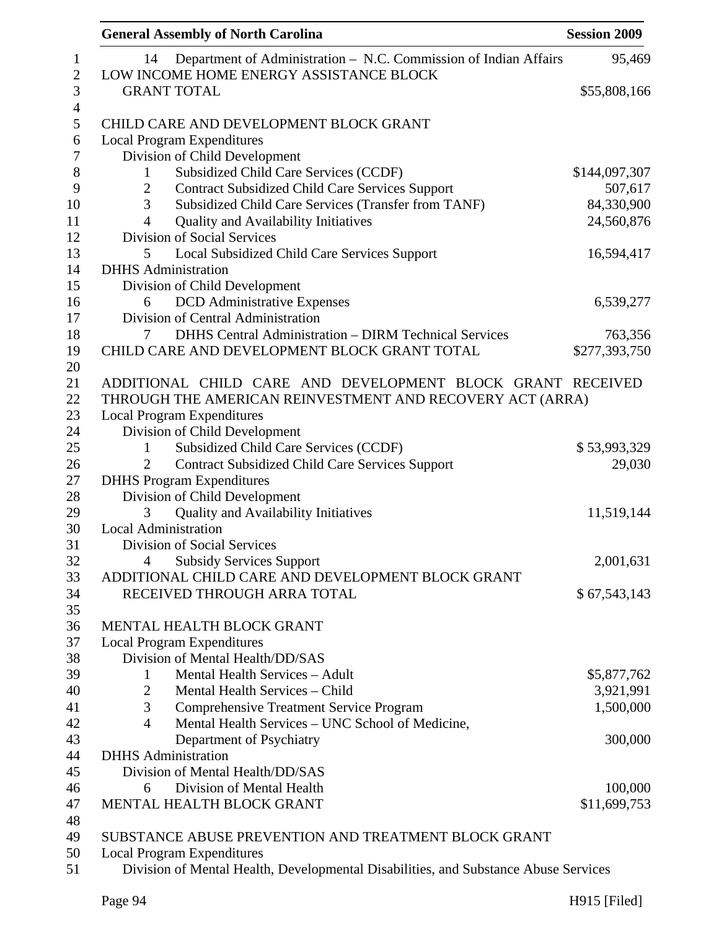| <b>General Assembly of North Carolina</b>                                                                         | <b>Session 2009</b> |
|-------------------------------------------------------------------------------------------------------------------|---------------------|
| Department of Administration - N.C. Commission of Indian Affairs<br>14<br>LOW INCOME HOME ENERGY ASSISTANCE BLOCK | 95,469              |
| <b>GRANT TOTAL</b>                                                                                                | \$55,808,166        |
| CHILD CARE AND DEVELOPMENT BLOCK GRANT                                                                            |                     |
|                                                                                                                   |                     |
| <b>Local Program Expenditures</b>                                                                                 |                     |
| Division of Child Development                                                                                     |                     |
| Subsidized Child Care Services (CCDF)<br>$\mathbf{1}$                                                             | \$144,097,307       |
| <b>Contract Subsidized Child Care Services Support</b><br>$\overline{2}$                                          | 507,617             |
| 3<br>Subsidized Child Care Services (Transfer from TANF)                                                          | 84,330,900          |
| <b>Quality and Availability Initiatives</b><br>4                                                                  | 24,560,876          |
| Division of Social Services                                                                                       |                     |
| 5<br>Local Subsidized Child Care Services Support                                                                 | 16,594,417          |
| <b>DHHS</b> Administration                                                                                        |                     |
| Division of Child Development                                                                                     |                     |
| <b>DCD</b> Administrative Expenses<br>6                                                                           | 6,539,277           |
| Division of Central Administration                                                                                |                     |
| <b>DHHS Central Administration - DIRM Technical Services</b><br>7                                                 | 763,356             |
| CHILD CARE AND DEVELOPMENT BLOCK GRANT TOTAL                                                                      | \$277,393,750       |
|                                                                                                                   |                     |
| ADDITIONAL CHILD CARE AND DEVELOPMENT BLOCK GRANT RECEIVED                                                        |                     |
| THROUGH THE AMERICAN REINVESTMENT AND RECOVERY ACT (ARRA)                                                         |                     |
| <b>Local Program Expenditures</b>                                                                                 |                     |
| Division of Child Development                                                                                     |                     |
| Subsidized Child Care Services (CCDF)<br>1                                                                        | \$53,993,329        |
| <b>Contract Subsidized Child Care Services Support</b>                                                            | 29,030              |
| <b>DHHS</b> Program Expenditures                                                                                  |                     |
| Division of Child Development                                                                                     |                     |
| Quality and Availability Initiatives<br>3                                                                         | 11,519,144          |
| <b>Local Administration</b>                                                                                       |                     |
| Division of Social Services                                                                                       |                     |
| <b>Subsidy Services Support</b><br>4                                                                              | 2,001,631           |
| ADDITIONAL CHILD CARE AND DEVELOPMENT BLOCK GRANT                                                                 |                     |
| RECEIVED THROUGH ARRA TOTAL                                                                                       | \$67,543,143        |
|                                                                                                                   |                     |
| MENTAL HEALTH BLOCK GRANT                                                                                         |                     |
| <b>Local Program Expenditures</b>                                                                                 |                     |
| Division of Mental Health/DD/SAS                                                                                  |                     |
| Mental Health Services - Adult<br>$\mathbf{1}$                                                                    | \$5,877,762         |
| Mental Health Services - Child<br>$\overline{2}$                                                                  | 3,921,991           |
| 3<br><b>Comprehensive Treatment Service Program</b>                                                               | 1,500,000           |
| Mental Health Services - UNC School of Medicine,<br>$\overline{4}$                                                |                     |
| Department of Psychiatry                                                                                          | 300,000             |
| <b>DHHS</b> Administration                                                                                        |                     |
| Division of Mental Health/DD/SAS                                                                                  |                     |
| Division of Mental Health<br>6                                                                                    | 100,000             |
| MENTAL HEALTH BLOCK GRANT                                                                                         | \$11,699,753        |
|                                                                                                                   |                     |
| SUBSTANCE ABUSE PREVENTION AND TREATMENT BLOCK GRANT                                                              |                     |
| <b>Local Program Expenditures</b>                                                                                 |                     |
| Division of Mental Health, Developmental Disabilities, and Substance Abuse Services                               |                     |
|                                                                                                                   |                     |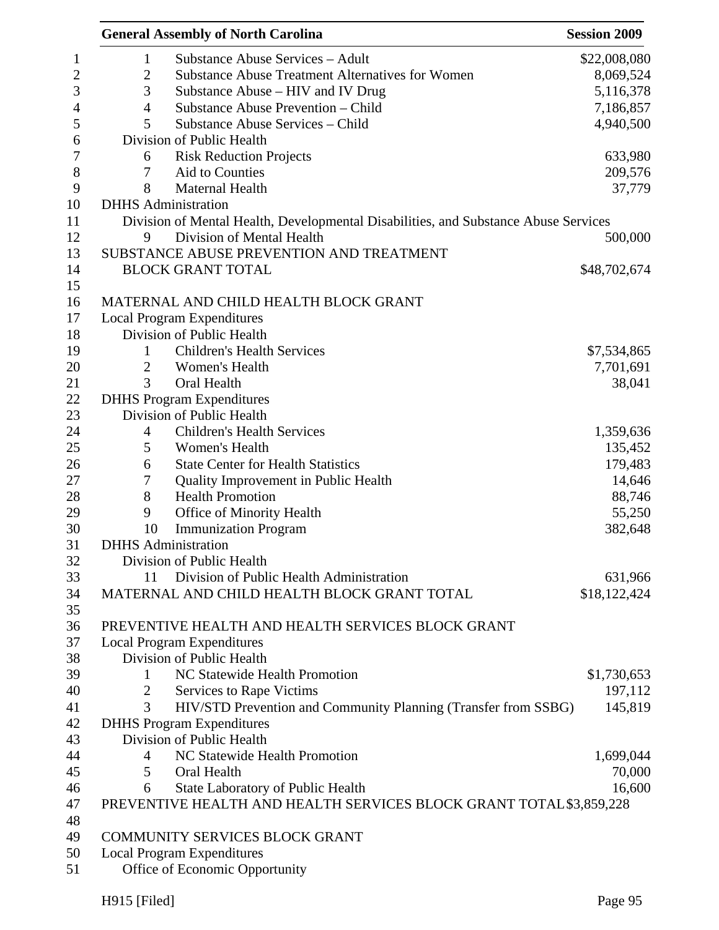|                | <b>General Assembly of North Carolina</b>                                           | <b>Session 2009</b> |
|----------------|-------------------------------------------------------------------------------------|---------------------|
| $\mathbf{1}$   | <b>Substance Abuse Services - Adult</b>                                             | \$22,008,080        |
| $\mathbf{2}$   | <b>Substance Abuse Treatment Alternatives for Women</b>                             | 8,069,524           |
| 3              | Substance Abuse – HIV and IV Drug                                                   | 5,116,378           |
| $\overline{4}$ | Substance Abuse Prevention - Child                                                  | 7,186,857           |
| 5              | Substance Abuse Services - Child                                                    | 4,940,500           |
|                | Division of Public Health                                                           |                     |
| 6              | <b>Risk Reduction Projects</b>                                                      | 633,980             |
| 7              | Aid to Counties                                                                     | 209,576             |
| 8              | Maternal Health                                                                     | 37,779              |
|                | <b>DHHS</b> Administration                                                          |                     |
|                | Division of Mental Health, Developmental Disabilities, and Substance Abuse Services |                     |
| 9              | Division of Mental Health                                                           | 500,000             |
|                | SUBSTANCE ABUSE PREVENTION AND TREATMENT                                            |                     |
|                | <b>BLOCK GRANT TOTAL</b>                                                            | \$48,702,674        |
|                |                                                                                     |                     |
|                | MATERNAL AND CHILD HEALTH BLOCK GRANT                                               |                     |
|                | <b>Local Program Expenditures</b>                                                   |                     |
|                | Division of Public Health                                                           |                     |
|                | <b>Children's Health Services</b>                                                   |                     |
| 1              |                                                                                     | \$7,534,865         |
| $\overline{2}$ | Women's Health                                                                      | 7,701,691           |
| 3              | Oral Health                                                                         | 38,041              |
|                | <b>DHHS Program Expenditures</b>                                                    |                     |
|                | Division of Public Health                                                           |                     |
| $\overline{4}$ | <b>Children's Health Services</b>                                                   | 1,359,636           |
| 5              | Women's Health                                                                      | 135,452             |
| 6              | <b>State Center for Health Statistics</b>                                           | 179,483             |
| 7              | Quality Improvement in Public Health                                                | 14,646              |
| 8              | <b>Health Promotion</b>                                                             | 88,746              |
| 9              | Office of Minority Health                                                           | 55,250              |
| 10             | <b>Immunization Program</b>                                                         | 382,648             |
|                | <b>DHHS</b> Administration                                                          |                     |
|                | Division of Public Health                                                           |                     |
| 11             | Division of Public Health Administration                                            | 631,966             |
|                | MATERNAL AND CHILD HEALTH BLOCK GRANT TOTAL                                         | \$18,122,424        |
|                |                                                                                     |                     |
|                | PREVENTIVE HEALTH AND HEALTH SERVICES BLOCK GRANT                                   |                     |
|                | <b>Local Program Expenditures</b>                                                   |                     |
|                | Division of Public Health                                                           |                     |
| 1              | NC Statewide Health Promotion                                                       | \$1,730,653         |
| 2              | Services to Rape Victims                                                            | 197,112             |
| 3              | HIV/STD Prevention and Community Planning (Transfer from SSBG)                      | 145,819             |
|                | <b>DHHS Program Expenditures</b>                                                    |                     |
|                | Division of Public Health                                                           |                     |
| 4              | NC Statewide Health Promotion                                                       | 1,699,044           |
| 5              | Oral Health                                                                         | 70,000              |
| 6              | <b>State Laboratory of Public Health</b>                                            | 16,600              |
|                | PREVENTIVE HEALTH AND HEALTH SERVICES BLOCK GRANT TOTAL \$3,859,228                 |                     |
|                |                                                                                     |                     |
|                | COMMUNITY SERVICES BLOCK GRANT                                                      |                     |
|                | <b>Local Program Expenditures</b>                                                   |                     |
|                | Office of Economic Opportunity                                                      |                     |
|                |                                                                                     |                     |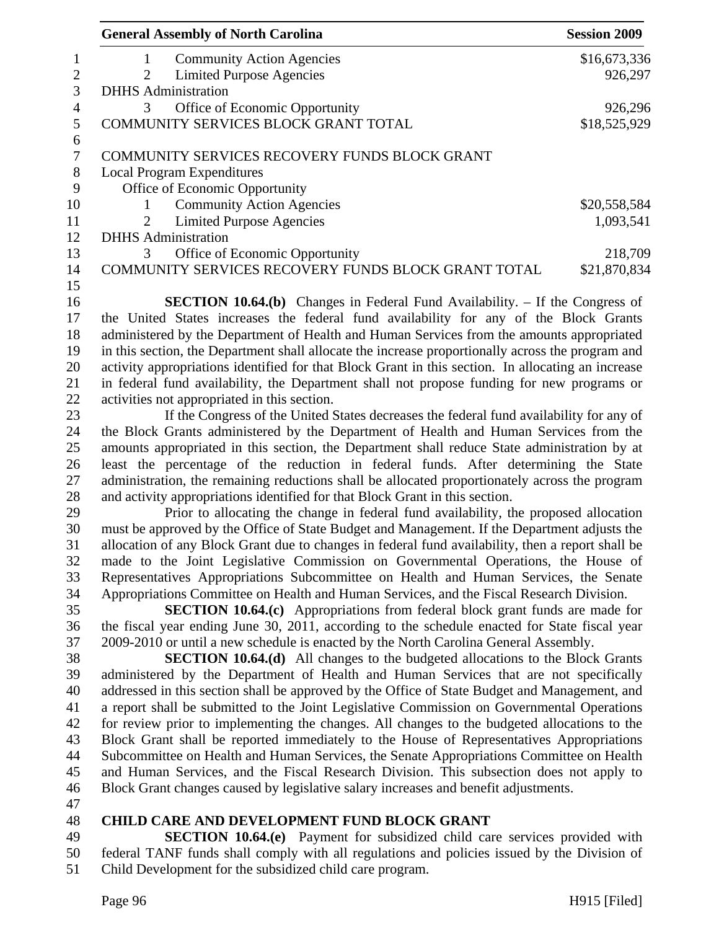| <b>General Assembly of North Carolina</b>                                                                                                                                              | <b>Session 2009</b> |
|----------------------------------------------------------------------------------------------------------------------------------------------------------------------------------------|---------------------|
| <b>Community Action Agencies</b><br>1                                                                                                                                                  | \$16,673,336        |
| <b>Limited Purpose Agencies</b><br>2                                                                                                                                                   | 926,297             |
| <b>DHHS</b> Administration                                                                                                                                                             |                     |
| Office of Economic Opportunity<br>3                                                                                                                                                    | 926,296             |
| COMMUNITY SERVICES BLOCK GRANT TOTAL                                                                                                                                                   | \$18,525,929        |
| COMMUNITY SERVICES RECOVERY FUNDS BLOCK GRANT                                                                                                                                          |                     |
| <b>Local Program Expenditures</b>                                                                                                                                                      |                     |
| Office of Economic Opportunity                                                                                                                                                         |                     |
| <b>Community Action Agencies</b><br>1                                                                                                                                                  | \$20,558,584        |
| <b>Limited Purpose Agencies</b><br>2                                                                                                                                                   | 1,093,541           |
| <b>DHHS</b> Administration                                                                                                                                                             |                     |
| Office of Economic Opportunity<br>3                                                                                                                                                    | 218,709             |
| COMMUNITY SERVICES RECOVERY FUNDS BLOCK GRANT TOTAL                                                                                                                                    | \$21,870,834        |
|                                                                                                                                                                                        |                     |
| <b>SECTION 10.64.(b)</b> Changes in Federal Fund Availability. – If the Congress of                                                                                                    |                     |
| the United States increases the federal fund availability for any of the Block Grants                                                                                                  |                     |
| administered by the Department of Health and Human Services from the amounts appropriated                                                                                              |                     |
| in this section, the Department shall allocate the increase proportionally across the program and                                                                                      |                     |
| activity appropriations identified for that Block Grant in this section. In allocating an increase                                                                                     |                     |
| in federal fund availability, the Department shall not propose funding for new programs or                                                                                             |                     |
| activities not appropriated in this section.                                                                                                                                           |                     |
| If the Congress of the United States decreases the federal fund availability for any of                                                                                                |                     |
| the Block Grants administered by the Department of Health and Human Services from the                                                                                                  |                     |
| amounts appropriated in this section, the Department shall reduce State administration by at                                                                                           |                     |
| least the percentage of the reduction in federal funds. After determining the State                                                                                                    |                     |
| administration, the remaining reductions shall be allocated proportionately across the program                                                                                         |                     |
| and activity appropriations identified for that Block Grant in this section.                                                                                                           |                     |
| Prior to allocating the change in federal fund availability, the proposed allocation                                                                                                   |                     |
| must be approved by the Office of State Budget and Management. If the Department adjusts the                                                                                           |                     |
| allocation of any Block Grant due to changes in federal fund availability, then a report shall be<br>made to the Joint Legislative Commission on Governmental Operations, the House of |                     |
| Representatives Appropriations Subcommittee on Health and Human Services, the Senate                                                                                                   |                     |
| Appropriations Committee on Health and Human Services, and the Fiscal Research Division.                                                                                               |                     |
| <b>SECTION 10.64.(c)</b> Appropriations from federal block grant funds are made for                                                                                                    |                     |
| the fiscal year ending June 30, 2011, according to the schedule enacted for State fiscal year                                                                                          |                     |
| 2009-2010 or until a new schedule is enacted by the North Carolina General Assembly.                                                                                                   |                     |
| <b>SECTION 10.64.(d)</b> All changes to the budgeted allocations to the Block Grants                                                                                                   |                     |
| administered by the Department of Health and Human Services that are not specifically                                                                                                  |                     |
| addressed in this section shall be approved by the Office of State Budget and Management, and                                                                                          |                     |
| a report shall be submitted to the Joint Legislative Commission on Governmental Operations                                                                                             |                     |
| for review prior to implementing the changes. All changes to the budgeted allocations to the                                                                                           |                     |
| Block Grant shall be reported immediately to the House of Representatives Appropriations                                                                                               |                     |
| Subcommittee on Health and Human Services, the Senate Appropriations Committee on Health                                                                                               |                     |
| and Human Services, and the Fiscal Research Division. This subsection does not apply to                                                                                                |                     |
| Block Grant changes caused by legislative salary increases and benefit adjustments.                                                                                                    |                     |
|                                                                                                                                                                                        |                     |
| <b>CHILD CARE AND DEVELOPMENT FUND BLOCK GRANT</b>                                                                                                                                     |                     |
| <b>SECTION 10.64.(e)</b> Payment for subsidized child care services provided with                                                                                                      |                     |
| federal TANF funds shall comply with all regulations and policies issued by the Division of                                                                                            |                     |
| Child Development for the subsidized child care program.                                                                                                                               |                     |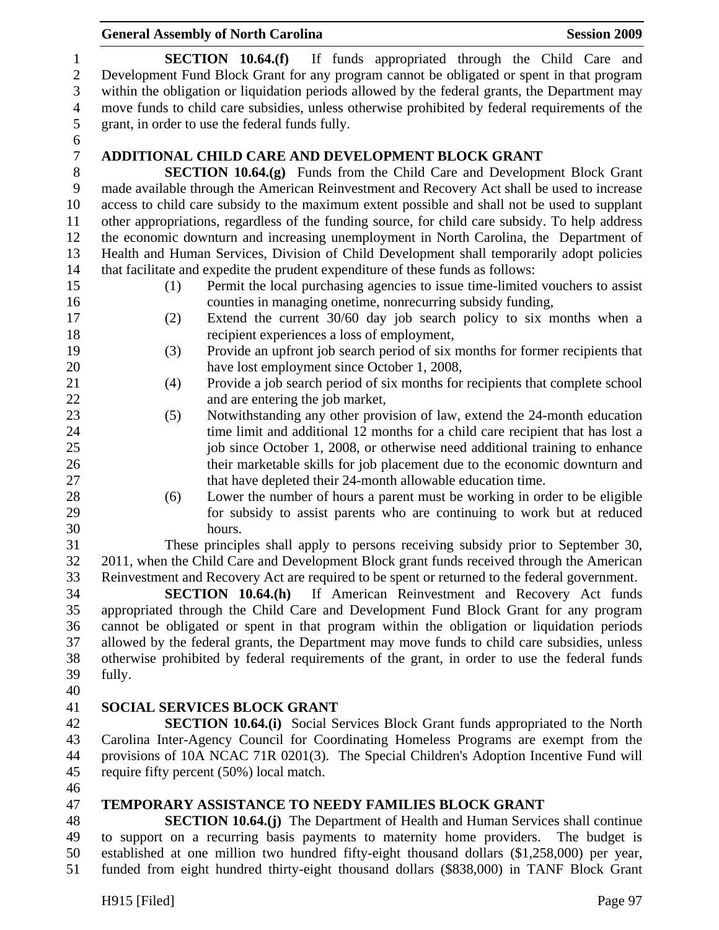|                                                   | <b>General Assembly of North Carolina</b><br><b>Session 2009</b>                                                                                                                                                                                                    |
|---------------------------------------------------|---------------------------------------------------------------------------------------------------------------------------------------------------------------------------------------------------------------------------------------------------------------------|
| $\mathbf{1}$<br>$\sqrt{2}$<br>3<br>$\overline{4}$ | SECTION 10.64(f)<br>If funds appropriated through the Child Care and<br>Development Fund Block Grant for any program cannot be obligated or spent in that program<br>within the obligation or liquidation periods allowed by the federal grants, the Department may |
| 5<br>6                                            | move funds to child care subsidies, unless otherwise prohibited by federal requirements of the<br>grant, in order to use the federal funds fully.                                                                                                                   |
| $\boldsymbol{7}$                                  | <b>ADDITIONAL CHILD CARE AND DEVELOPMENT BLOCK GRANT</b>                                                                                                                                                                                                            |
| $8\,$                                             | <b>SECTION 10.64.(g)</b> Funds from the Child Care and Development Block Grant                                                                                                                                                                                      |
| 9                                                 | made available through the American Reinvestment and Recovery Act shall be used to increase                                                                                                                                                                         |
| 10                                                | access to child care subsidy to the maximum extent possible and shall not be used to supplant                                                                                                                                                                       |
| 11                                                | other appropriations, regardless of the funding source, for child care subsidy. To help address                                                                                                                                                                     |
| 12                                                | the economic downturn and increasing unemployment in North Carolina, the Department of                                                                                                                                                                              |
| 13                                                | Health and Human Services, Division of Child Development shall temporarily adopt policies                                                                                                                                                                           |
| 14                                                | that facilitate and expedite the prudent expenditure of these funds as follows:                                                                                                                                                                                     |
| 15                                                | Permit the local purchasing agencies to issue time-limited vouchers to assist<br>(1)                                                                                                                                                                                |
| 16                                                | counties in managing onetime, nonrecurring subsidy funding,                                                                                                                                                                                                         |
| 17                                                | Extend the current 30/60 day job search policy to six months when a<br>(2)                                                                                                                                                                                          |
| 18                                                | recipient experiences a loss of employment,                                                                                                                                                                                                                         |
| 19                                                | (3)<br>Provide an upfront job search period of six months for former recipients that                                                                                                                                                                                |
| 20                                                | have lost employment since October 1, 2008,                                                                                                                                                                                                                         |
| 21                                                | Provide a job search period of six months for recipients that complete school<br>(4)                                                                                                                                                                                |
| 22                                                | and are entering the job market,                                                                                                                                                                                                                                    |
| 23                                                | Notwithstanding any other provision of law, extend the 24-month education<br>(5)                                                                                                                                                                                    |
| 24                                                | time limit and additional 12 months for a child care recipient that has lost a                                                                                                                                                                                      |
| 25                                                | job since October 1, 2008, or otherwise need additional training to enhance                                                                                                                                                                                         |
| 26                                                | their marketable skills for job placement due to the economic downturn and                                                                                                                                                                                          |
| 27                                                | that have depleted their 24-month allowable education time.                                                                                                                                                                                                         |
| 28                                                | Lower the number of hours a parent must be working in order to be eligible<br>(6)                                                                                                                                                                                   |
| 29                                                | for subsidy to assist parents who are continuing to work but at reduced                                                                                                                                                                                             |
| 30<br>31                                          | hours.                                                                                                                                                                                                                                                              |
| 32                                                | These principles shall apply to persons receiving subsidy prior to September 30,<br>2011, when the Child Care and Development Block grant funds received through the American                                                                                       |
| 33                                                | Reinvestment and Recovery Act are required to be spent or returned to the federal government.                                                                                                                                                                       |
| 34                                                | <b>SECTION 10.64.(h)</b> If American Reinvestment and Recovery Act funds                                                                                                                                                                                            |
| 35                                                | appropriated through the Child Care and Development Fund Block Grant for any program                                                                                                                                                                                |
| 36                                                | cannot be obligated or spent in that program within the obligation or liquidation periods                                                                                                                                                                           |
| 37                                                | allowed by the federal grants, the Department may move funds to child care subsidies, unless                                                                                                                                                                        |
| 38                                                | otherwise prohibited by federal requirements of the grant, in order to use the federal funds                                                                                                                                                                        |
| 39                                                | fully.                                                                                                                                                                                                                                                              |
| 40                                                |                                                                                                                                                                                                                                                                     |
| 41                                                | <b>SOCIAL SERVICES BLOCK GRANT</b>                                                                                                                                                                                                                                  |
| 42                                                | <b>SECTION 10.64.(i)</b> Social Services Block Grant funds appropriated to the North                                                                                                                                                                                |
| 43                                                | Carolina Inter-Agency Council for Coordinating Homeless Programs are exempt from the                                                                                                                                                                                |
| 44                                                | provisions of 10A NCAC 71R 0201(3). The Special Children's Adoption Incentive Fund will                                                                                                                                                                             |
| 45                                                | require fifty percent (50%) local match.                                                                                                                                                                                                                            |
| 46                                                |                                                                                                                                                                                                                                                                     |
| 47                                                | <b>TEMPORARY ASSISTANCE TO NEEDY FAMILIES BLOCK GRANT</b>                                                                                                                                                                                                           |
| $\Delta$ <sup><math>\alpha</math></sup>           | <b>SECTION 10.64 (i)</b> The Department of Health and Human Services shall continue                                                                                                                                                                                 |

48 **SECTION 10.64.(j)** The Department of Health and Human Services shall continue<br>49 to support on a recurring basis payments to maternity home providers. The budget is to support on a recurring basis payments to maternity home providers. The budget is 50 established at one million two hundred fifty-eight thousand dollars (\$1,258,000) per year, 51 funded from eight hundred thirty-eight thousand dollars (\$838,000) in TANF Block Grant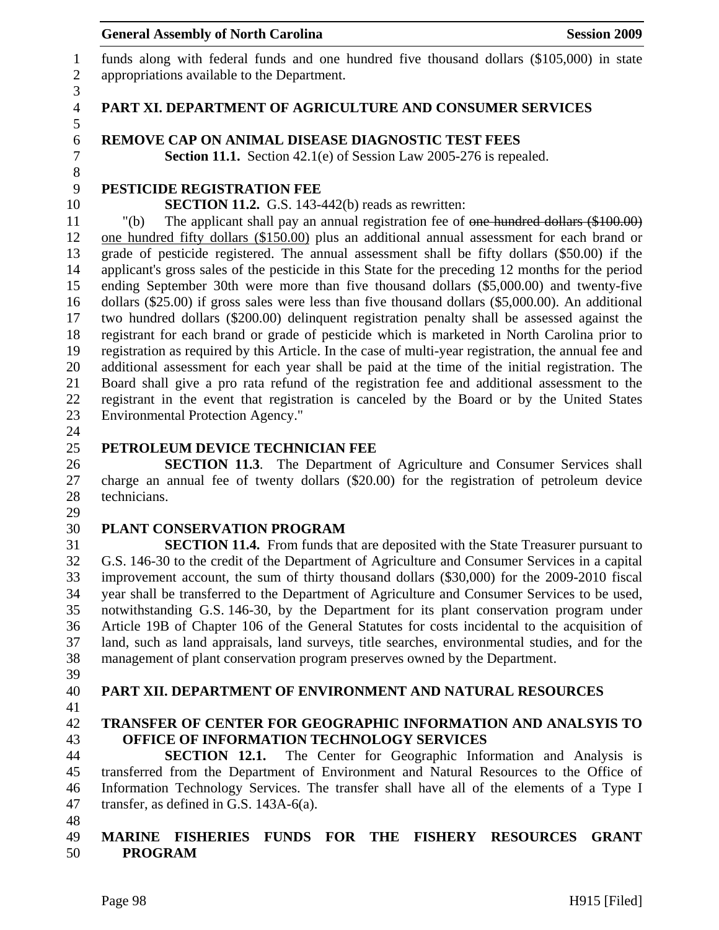1 funds along with federal funds and one hundred five thousand dollars (\$105,000) in state 2 appropriations available to the Department.

#### 4 **PART XI. DEPARTMENT OF AGRICULTURE AND CONSUMER SERVICES**

#### 6 **REMOVE CAP ON ANIMAL DISEASE DIAGNOSTIC TEST FEES**

7 **Section 11.1.** Section 42.1(e) of Session Law 2005-276 is repealed.

# 9 **PESTICIDE REGISTRATION FEE**

10 **SECTION 11.2.** G.S. 143-442(b) reads as rewritten:

11 "(b) The applicant shall pay an annual registration fee of one hundred dollars (\$100.00) 12 one hundred fifty dollars (\$150.00) plus an additional annual assessment for each brand or 13 grade of pesticide registered. The annual assessment shall be fifty dollars (\$50.00) if the 14 applicant's gross sales of the pesticide in this State for the preceding 12 months for the period 15 ending September 30th were more than five thousand dollars (\$5,000.00) and twenty-five 16 dollars (\$25.00) if gross sales were less than five thousand dollars (\$5,000.00). An additional 17 two hundred dollars (\$200.00) delinquent registration penalty shall be assessed against the 18 registrant for each brand or grade of pesticide which is marketed in North Carolina prior to 19 registration as required by this Article. In the case of multi-year registration, the annual fee and 20 additional assessment for each year shall be paid at the time of the initial registration. The 21 Board shall give a pro rata refund of the registration fee and additional assessment to the 22 registrant in the event that registration is canceled by the Board or by the United States 23 Environmental Protection Agency."

24

3

5

8

#### 25 **PETROLEUM DEVICE TECHNICIAN FEE**

26 **SECTION 11.3**. The Department of Agriculture and Consumer Services shall 27 charge an annual fee of twenty dollars (\$20.00) for the registration of petroleum device 28 technicians.

29

#### 30 **PLANT CONSERVATION PROGRAM**

31 **SECTION 11.4.** From funds that are deposited with the State Treasurer pursuant to 32 G.S. 146-30 to the credit of the Department of Agriculture and Consumer Services in a capital 33 improvement account, the sum of thirty thousand dollars (\$30,000) for the 2009-2010 fiscal 34 year shall be transferred to the Department of Agriculture and Consumer Services to be used, 35 notwithstanding G.S. 146-30, by the Department for its plant conservation program under 36 Article 19B of Chapter 106 of the General Statutes for costs incidental to the acquisition of 37 land, such as land appraisals, land surveys, title searches, environmental studies, and for the 38 management of plant conservation program preserves owned by the Department.

- 39
- 

#### 40 **PART XII. DEPARTMENT OF ENVIRONMENT AND NATURAL RESOURCES**

41

#### 42 **TRANSFER OF CENTER FOR GEOGRAPHIC INFORMATION AND ANALSYIS TO**  43 **OFFICE OF INFORMATION TECHNOLOGY SERVICES**

44 **SECTION 12.1.** The Center for Geographic Information and Analysis is 45 transferred from the Department of Environment and Natural Resources to the Office of 46 Information Technology Services. The transfer shall have all of the elements of a Type I 47 transfer, as defined in G.S. 143A-6(a).

48

#### 49 **MARINE FISHERIES FUNDS FOR THE FISHERY RESOURCES GRANT**  50 **PROGRAM**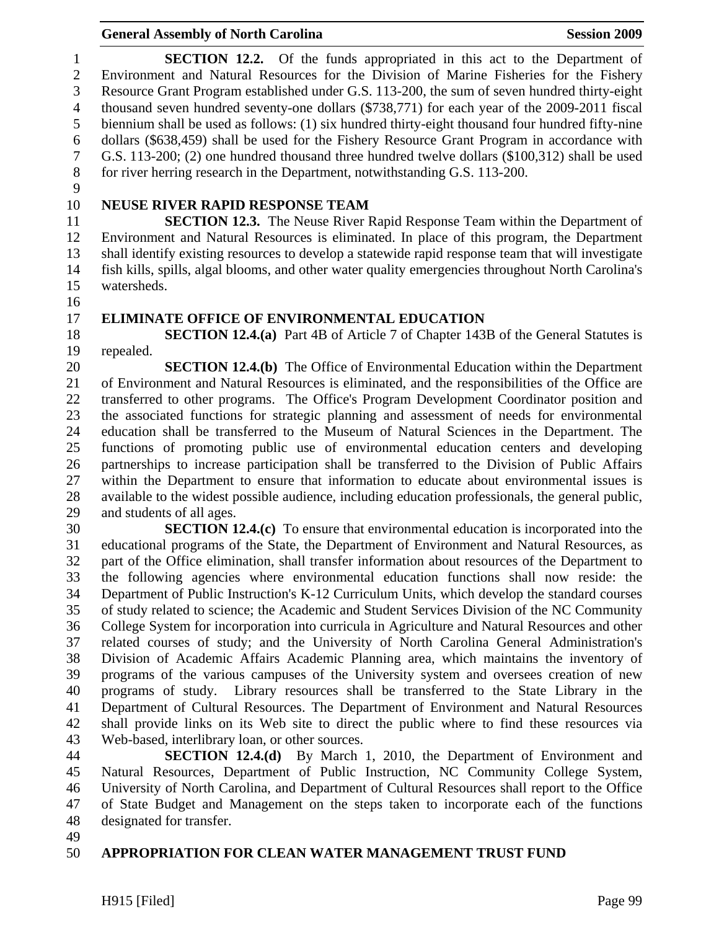1 **SECTION 12.2.** Of the funds appropriated in this act to the Department of 2 Environment and Natural Resources for the Division of Marine Fisheries for the Fishery 3 Resource Grant Program established under G.S. 113-200, the sum of seven hundred thirty-eight 4 thousand seven hundred seventy-one dollars (\$738,771) for each year of the 2009-2011 fiscal 5 biennium shall be used as follows: (1) six hundred thirty-eight thousand four hundred fifty-nine 6 dollars (\$638,459) shall be used for the Fishery Resource Grant Program in accordance with 7 G.S. 113-200; (2) one hundred thousand three hundred twelve dollars (\$100,312) shall be used 8 for river herring research in the Department, notwithstanding G.S. 113-200.

9

# 10 **NEUSE RIVER RAPID RESPONSE TEAM**

11 **SECTION 12.3.** The Neuse River Rapid Response Team within the Department of 12 Environment and Natural Resources is eliminated. In place of this program, the Department 13 shall identify existing resources to develop a statewide rapid response team that will investigate 14 fish kills, spills, algal blooms, and other water quality emergencies throughout North Carolina's 15 watersheds.

16

#### 17 **ELIMINATE OFFICE OF ENVIRONMENTAL EDUCATION**

18 **SECTION 12.4.(a)** Part 4B of Article 7 of Chapter 143B of the General Statutes is 19 repealed.

20 **SECTION 12.4.(b)** The Office of Environmental Education within the Department 21 of Environment and Natural Resources is eliminated, and the responsibilities of the Office are 22 transferred to other programs. The Office's Program Development Coordinator position and 23 the associated functions for strategic planning and assessment of needs for environmental 24 education shall be transferred to the Museum of Natural Sciences in the Department. The 25 functions of promoting public use of environmental education centers and developing 26 partnerships to increase participation shall be transferred to the Division of Public Affairs 27 within the Department to ensure that information to educate about environmental issues is 28 available to the widest possible audience, including education professionals, the general public, 29 and students of all ages.

30 **SECTION 12.4.(c)** To ensure that environmental education is incorporated into the 31 educational programs of the State, the Department of Environment and Natural Resources, as 32 part of the Office elimination, shall transfer information about resources of the Department to 33 the following agencies where environmental education functions shall now reside: the 34 Department of Public Instruction's K-12 Curriculum Units, which develop the standard courses 35 of study related to science; the Academic and Student Services Division of the NC Community 36 College System for incorporation into curricula in Agriculture and Natural Resources and other 37 related courses of study; and the University of North Carolina General Administration's 38 Division of Academic Affairs Academic Planning area, which maintains the inventory of 39 programs of the various campuses of the University system and oversees creation of new 40 programs of study. Library resources shall be transferred to the State Library in the 41 Department of Cultural Resources. The Department of Environment and Natural Resources 42 shall provide links on its Web site to direct the public where to find these resources via 43 Web-based, interlibrary loan, or other sources.

44 **SECTION 12.4.(d)** By March 1, 2010, the Department of Environment and 45 Natural Resources, Department of Public Instruction, NC Community College System, 46 University of North Carolina, and Department of Cultural Resources shall report to the Office 47 of State Budget and Management on the steps taken to incorporate each of the functions 48 designated for transfer.

49

#### 50 **APPROPRIATION FOR CLEAN WATER MANAGEMENT TRUST FUND**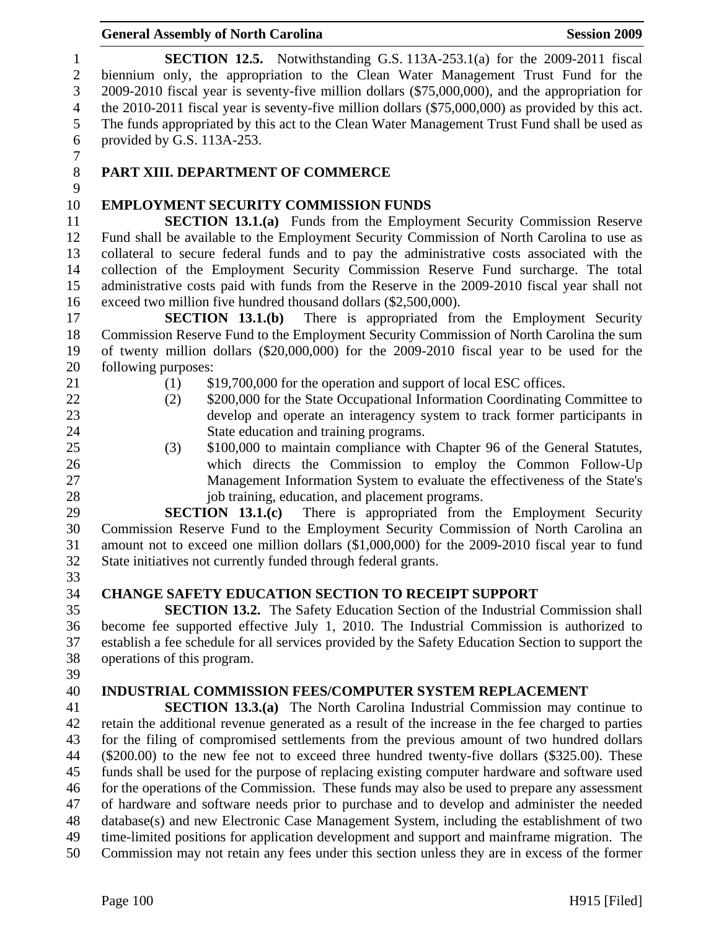| 10 | <b>EMPLOYMENT SECURITY COMMISSION FUNDS</b>                                                       |
|----|---------------------------------------------------------------------------------------------------|
| 11 | <b>SECTION 13.1.(a)</b> Funds from the Employment Security Commission Reserve                     |
| 12 | Fund shall be available to the Employment Security Commission of North Carolina to use as         |
| 13 | collateral to secure federal funds and to pay the administrative costs associated with the        |
| 14 | collection of the Employment Security Commission Reserve Fund surcharge. The total                |
| 15 | administrative costs paid with funds from the Reserve in the 2009-2010 fiscal year shall not      |
| 16 | exceed two million five hundred thousand dollars (\$2,500,000).                                   |
| 17 | There is appropriated from the Employment Security<br>SECTION 13.1(b)                             |
| 18 | Commission Reserve Fund to the Employment Security Commission of North Carolina the sum           |
| 19 | of twenty million dollars (\$20,000,000) for the 2009-2010 fiscal year to be used for the         |
| 20 | following purposes:                                                                               |
| 21 | (1)<br>\$19,700,000 for the operation and support of local ESC offices.                           |
| 22 | \$200,000 for the State Occupational Information Coordinating Committee to<br>(2)                 |
| 23 | develop and operate an interagency system to track former participants in                         |
| 24 | State education and training programs.                                                            |
| 25 | \$100,000 to maintain compliance with Chapter 96 of the General Statutes,<br>(3)                  |
| 26 | which directs the Commission to employ the Common Follow-Up                                       |
| 27 | Management Information System to evaluate the effectiveness of the State's                        |
| 28 | job training, education, and placement programs.                                                  |
| 29 | SECTION $13.1(c)$<br>There is appropriated from the Employment Security                           |
| 30 | Commission Reserve Fund to the Employment Security Commission of North Carolina an                |
| 31 | amount not to exceed one million dollars (\$1,000,000) for the 2009-2010 fiscal year to fund      |
| 32 | State initiatives not currently funded through federal grants.                                    |
| 33 |                                                                                                   |
| 34 | <b>CHANGE SAFETY EDUCATION SECTION TO RECEIPT SUPPORT</b>                                         |
| 35 | <b>SECTION 13.2.</b> The Safety Education Section of the Industrial Commission shall              |
| 36 | become fee supported effective July 1, 2010. The Industrial Commission is authorized to           |
| 37 | establish a fee schedule for all services provided by the Safety Education Section to support the |
| 38 | operations of this program.                                                                       |
| 39 |                                                                                                   |
| 40 | <b>INDUSTRIAL COMMISSION FEES/COMPUTER SYSTEM REPLACEMENT</b>                                     |
| 41 | <b>SECTION 13.3.(a)</b> The North Carolina Industrial Commission may continue to                  |
| 42 | retain the additional revenue generated as a result of the increase in the fee charged to parties |
| 43 | for the filing of compromised settlements from the previous amount of two hundred dollars         |
| 44 | $(\$200.00)$ to the new fee not to exceed three hundred twenty-five dollars $(\$325.00)$ . These  |
| 45 | funds shall be used for the purpose of replacing existing computer hardware and software used     |
| 46 | for the operations of the Commission. These funds may also be used to prepare any assessment      |
| 47 | of hardware and software needs prior to purchase and to develop and administer the needed         |
| 48 | database(s) and new Electronic Case Management System, including the establishment of two         |
| 49 | time-limited positions for application development and support and mainframe migration. The       |
| 50 | Commission may not retain any fees under this section unless they are in excess of the former     |
|    |                                                                                                   |
|    | Page 100<br>$H915$ [Filed]                                                                        |
|    |                                                                                                   |

#### General Assembly of North Carolina **Session 2009**

1 **SECTION 12.5.** Notwithstanding G.S. 113A-253.1(a) for the 2009-2011 fiscal<br>2 biennium only, the appropriation to the Clean Water Management Trust Fund for the biennium only, the appropriation to the Clean Water Management Trust Fund for the 3 2009-2010 fiscal year is seventy-five million dollars (\$75,000,000), and the appropriation for the 2010-2011 fiscal year is seventy-five million dollars (\$75,000,000) as provided by this act. the 2010-2011 fiscal year is seventy-five million dollars (\$75,000,000) as provided by this act. 5 The funds appropriated by this act to the Clean Water Management Trust Fund shall be used as 6 provided by G.S. 113A-253.

 $\begin{array}{c} 7 \\ 8 \end{array}$ 

# 8 **PART XIII. DEPARTMENT OF COMMERCE**

# $\frac{9}{10}$ 10 **EMPLOYMENT SECURITY COMMISSION FUNDS**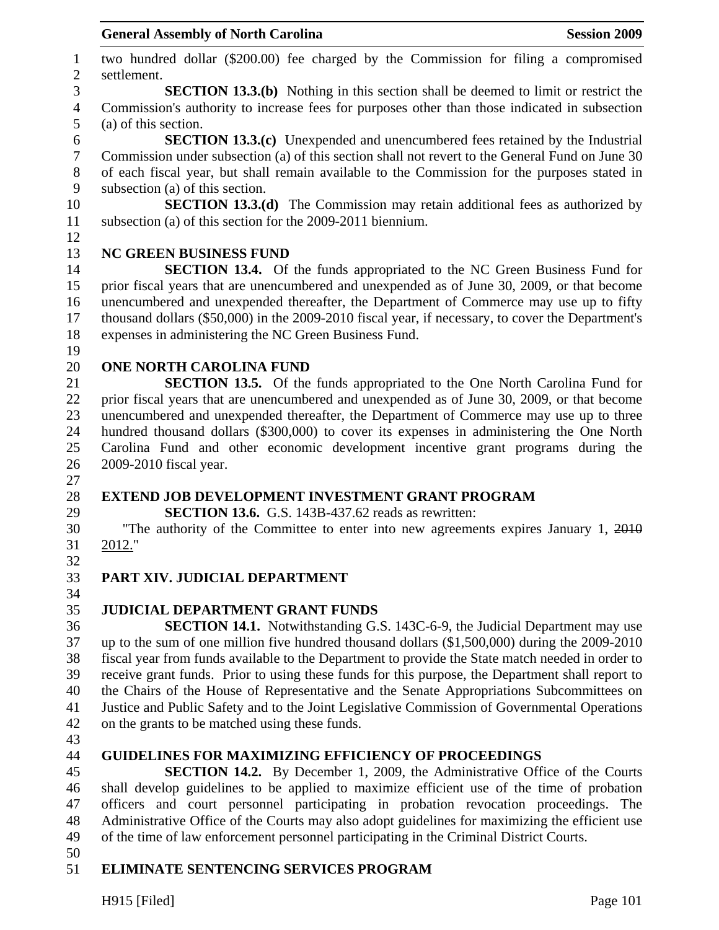1 two hundred dollar (\$200.00) fee charged by the Commission for filing a compromised 2 settlement. 3 **SECTION 13.3.(b)** Nothing in this section shall be deemed to limit or restrict the 4 Commission's authority to increase fees for purposes other than those indicated in subsection 5 (a) of this section. 6 **SECTION 13.3.(c)** Unexpended and unencumbered fees retained by the Industrial 7 Commission under subsection (a) of this section shall not revert to the General Fund on June 30 8 of each fiscal year, but shall remain available to the Commission for the purposes stated in 9 subsection (a) of this section. 10 **SECTION 13.3.(d)** The Commission may retain additional fees as authorized by 11 subsection (a) of this section for the 2009-2011 biennium. 12 13 **NC GREEN BUSINESS FUND**  14 **SECTION 13.4.** Of the funds appropriated to the NC Green Business Fund for 15 prior fiscal years that are unencumbered and unexpended as of June 30, 2009, or that become 16 unencumbered and unexpended thereafter, the Department of Commerce may use up to fifty 17 thousand dollars (\$50,000) in the 2009-2010 fiscal year, if necessary, to cover the Department's 18 expenses in administering the NC Green Business Fund. 19 20 **ONE NORTH CAROLINA FUND**  21 **SECTION 13.5.** Of the funds appropriated to the One North Carolina Fund for 22 prior fiscal years that are unencumbered and unexpended as of June 30, 2009, or that become 23 unencumbered and unexpended thereafter, the Department of Commerce may use up to three 24 hundred thousand dollars (\$300,000) to cover its expenses in administering the One North 25 Carolina Fund and other economic development incentive grant programs during the 26 2009-2010 fiscal year. 27 28 **EXTEND JOB DEVELOPMENT INVESTMENT GRANT PROGRAM**  29 **SECTION 13.6.** G.S. 143B-437.62 reads as rewritten: 30 "The authority of the Committee to enter into new agreements expires January 1, 2010 31 2012." 32 33 **PART XIV. JUDICIAL DEPARTMENT**  34 35 **JUDICIAL DEPARTMENT GRANT FUNDS**  36 **SECTION 14.1.** Notwithstanding G.S. 143C-6-9, the Judicial Department may use 37 up to the sum of one million five hundred thousand dollars (\$1,500,000) during the 2009-2010 38 fiscal year from funds available to the Department to provide the State match needed in order to 39 receive grant funds. Prior to using these funds for this purpose, the Department shall report to 40 the Chairs of the House of Representative and the Senate Appropriations Subcommittees on 41 Justice and Public Safety and to the Joint Legislative Commission of Governmental Operations 42 on the grants to be matched using these funds. 43 44 **GUIDELINES FOR MAXIMIZING EFFICIENCY OF PROCEEDINGS**  45 **SECTION 14.2.** By December 1, 2009, the Administrative Office of the Courts 46 shall develop guidelines to be applied to maximize efficient use of the time of probation 47 officers and court personnel participating in probation revocation proceedings. The 48 Administrative Office of the Courts may also adopt guidelines for maximizing the efficient use 49 of the time of law enforcement personnel participating in the Criminal District Courts. 50

#### 51 **ELIMINATE SENTENCING SERVICES PROGRAM**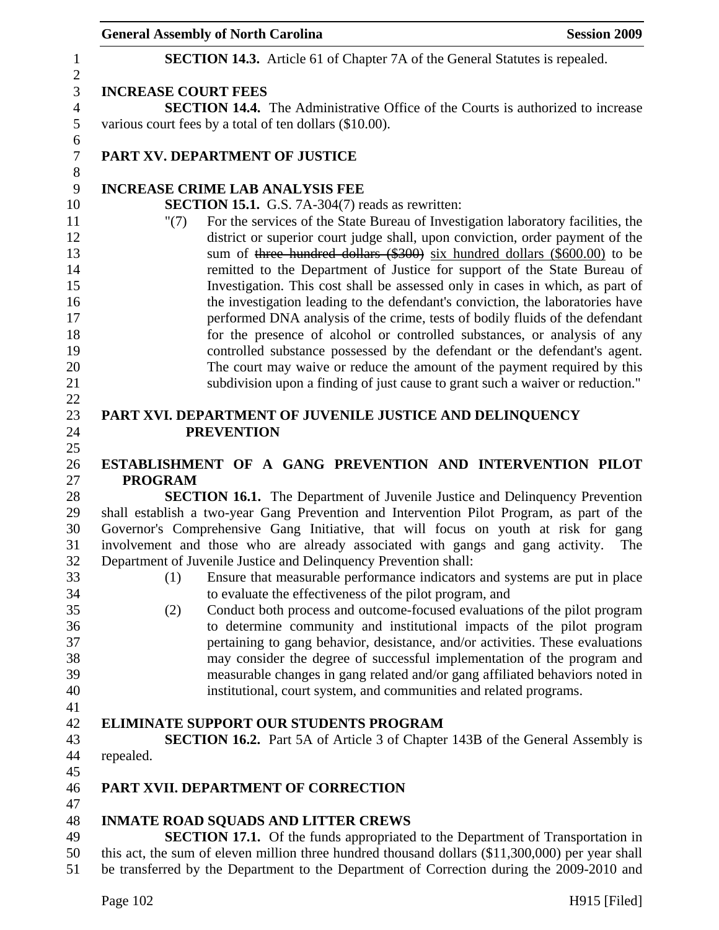|                            | <b>General Assembly of North Carolina</b>                                                                                                                                                                                                                                                                                                                                                                                                                                                                                                                                                                                                                                                                                                                                                                          | <b>Session 2009</b> |
|----------------------------|--------------------------------------------------------------------------------------------------------------------------------------------------------------------------------------------------------------------------------------------------------------------------------------------------------------------------------------------------------------------------------------------------------------------------------------------------------------------------------------------------------------------------------------------------------------------------------------------------------------------------------------------------------------------------------------------------------------------------------------------------------------------------------------------------------------------|---------------------|
|                            | <b>SECTION 14.3.</b> Article 61 of Chapter 7A of the General Statutes is repealed.                                                                                                                                                                                                                                                                                                                                                                                                                                                                                                                                                                                                                                                                                                                                 |                     |
| <b>INCREASE COURT FEES</b> |                                                                                                                                                                                                                                                                                                                                                                                                                                                                                                                                                                                                                                                                                                                                                                                                                    |                     |
|                            | <b>SECTION 14.4.</b> The Administrative Office of the Courts is authorized to increase                                                                                                                                                                                                                                                                                                                                                                                                                                                                                                                                                                                                                                                                                                                             |                     |
|                            | various court fees by a total of ten dollars (\$10.00).                                                                                                                                                                                                                                                                                                                                                                                                                                                                                                                                                                                                                                                                                                                                                            |                     |
|                            | PART XV. DEPARTMENT OF JUSTICE                                                                                                                                                                                                                                                                                                                                                                                                                                                                                                                                                                                                                                                                                                                                                                                     |                     |
|                            | <b>INCREASE CRIME LAB ANALYSIS FEE</b>                                                                                                                                                                                                                                                                                                                                                                                                                                                                                                                                                                                                                                                                                                                                                                             |                     |
|                            | SECTION 15.1. G.S. 7A-304(7) reads as rewritten:                                                                                                                                                                                                                                                                                                                                                                                                                                                                                                                                                                                                                                                                                                                                                                   |                     |
| " $(7)$                    | For the services of the State Bureau of Investigation laboratory facilities, the<br>district or superior court judge shall, upon conviction, order payment of the<br>sum of three hundred dollars (\$300) six hundred dollars (\$600.00) to be<br>remitted to the Department of Justice for support of the State Bureau of<br>Investigation. This cost shall be assessed only in cases in which, as part of<br>the investigation leading to the defendant's conviction, the laboratories have<br>performed DNA analysis of the crime, tests of bodily fluids of the defendant<br>for the presence of alcohol or controlled substances, or analysis of any<br>controlled substance possessed by the defendant or the defendant's agent.<br>The court may waive or reduce the amount of the payment required by this |                     |
|                            | subdivision upon a finding of just cause to grant such a waiver or reduction."                                                                                                                                                                                                                                                                                                                                                                                                                                                                                                                                                                                                                                                                                                                                     |                     |
|                            |                                                                                                                                                                                                                                                                                                                                                                                                                                                                                                                                                                                                                                                                                                                                                                                                                    |                     |
|                            | PART XVI. DEPARTMENT OF JUVENILE JUSTICE AND DELINQUENCY                                                                                                                                                                                                                                                                                                                                                                                                                                                                                                                                                                                                                                                                                                                                                           |                     |
|                            | <b>PREVENTION</b>                                                                                                                                                                                                                                                                                                                                                                                                                                                                                                                                                                                                                                                                                                                                                                                                  |                     |
|                            | ESTABLISHMENT OF A GANG PREVENTION AND INTERVENTION PILOT                                                                                                                                                                                                                                                                                                                                                                                                                                                                                                                                                                                                                                                                                                                                                          |                     |
| <b>PROGRAM</b>             |                                                                                                                                                                                                                                                                                                                                                                                                                                                                                                                                                                                                                                                                                                                                                                                                                    |                     |
|                            | <b>SECTION 16.1.</b> The Department of Juvenile Justice and Delinquency Prevention                                                                                                                                                                                                                                                                                                                                                                                                                                                                                                                                                                                                                                                                                                                                 |                     |
|                            | shall establish a two-year Gang Prevention and Intervention Pilot Program, as part of the                                                                                                                                                                                                                                                                                                                                                                                                                                                                                                                                                                                                                                                                                                                          |                     |
|                            | Governor's Comprehensive Gang Initiative, that will focus on youth at risk for gang                                                                                                                                                                                                                                                                                                                                                                                                                                                                                                                                                                                                                                                                                                                                |                     |
|                            | involvement and those who are already associated with gangs and gang activity.                                                                                                                                                                                                                                                                                                                                                                                                                                                                                                                                                                                                                                                                                                                                     | The                 |
|                            | Department of Juvenile Justice and Delinquency Prevention shall:                                                                                                                                                                                                                                                                                                                                                                                                                                                                                                                                                                                                                                                                                                                                                   |                     |
| (1)                        | Ensure that measurable performance indicators and systems are put in place                                                                                                                                                                                                                                                                                                                                                                                                                                                                                                                                                                                                                                                                                                                                         |                     |
|                            | to evaluate the effectiveness of the pilot program, and                                                                                                                                                                                                                                                                                                                                                                                                                                                                                                                                                                                                                                                                                                                                                            |                     |
| (2)                        | Conduct both process and outcome-focused evaluations of the pilot program                                                                                                                                                                                                                                                                                                                                                                                                                                                                                                                                                                                                                                                                                                                                          |                     |
|                            | to determine community and institutional impacts of the pilot program                                                                                                                                                                                                                                                                                                                                                                                                                                                                                                                                                                                                                                                                                                                                              |                     |
|                            | pertaining to gang behavior, desistance, and/or activities. These evaluations                                                                                                                                                                                                                                                                                                                                                                                                                                                                                                                                                                                                                                                                                                                                      |                     |
|                            | may consider the degree of successful implementation of the program and                                                                                                                                                                                                                                                                                                                                                                                                                                                                                                                                                                                                                                                                                                                                            |                     |
|                            | measurable changes in gang related and/or gang affiliated behaviors noted in                                                                                                                                                                                                                                                                                                                                                                                                                                                                                                                                                                                                                                                                                                                                       |                     |
|                            | institutional, court system, and communities and related programs.                                                                                                                                                                                                                                                                                                                                                                                                                                                                                                                                                                                                                                                                                                                                                 |                     |
|                            |                                                                                                                                                                                                                                                                                                                                                                                                                                                                                                                                                                                                                                                                                                                                                                                                                    |                     |
|                            | <b>ELIMINATE SUPPORT OUR STUDENTS PROGRAM</b>                                                                                                                                                                                                                                                                                                                                                                                                                                                                                                                                                                                                                                                                                                                                                                      |                     |
|                            | <b>SECTION 16.2.</b> Part 5A of Article 3 of Chapter 143B of the General Assembly is                                                                                                                                                                                                                                                                                                                                                                                                                                                                                                                                                                                                                                                                                                                               |                     |
| repealed.                  |                                                                                                                                                                                                                                                                                                                                                                                                                                                                                                                                                                                                                                                                                                                                                                                                                    |                     |
|                            |                                                                                                                                                                                                                                                                                                                                                                                                                                                                                                                                                                                                                                                                                                                                                                                                                    |                     |
|                            | PART XVII. DEPARTMENT OF CORRECTION                                                                                                                                                                                                                                                                                                                                                                                                                                                                                                                                                                                                                                                                                                                                                                                |                     |
|                            |                                                                                                                                                                                                                                                                                                                                                                                                                                                                                                                                                                                                                                                                                                                                                                                                                    |                     |
|                            | <b>INMATE ROAD SQUADS AND LITTER CREWS</b>                                                                                                                                                                                                                                                                                                                                                                                                                                                                                                                                                                                                                                                                                                                                                                         |                     |
|                            | SECTION 17.1. Of the funds appropriated to the Department of Transportation in                                                                                                                                                                                                                                                                                                                                                                                                                                                                                                                                                                                                                                                                                                                                     |                     |
|                            | this act, the sum of eleven million three hundred thousand dollars (\$11,300,000) per year shall<br>be transferred by the Department to the Department of Correction during the 2009-2010 and                                                                                                                                                                                                                                                                                                                                                                                                                                                                                                                                                                                                                      |                     |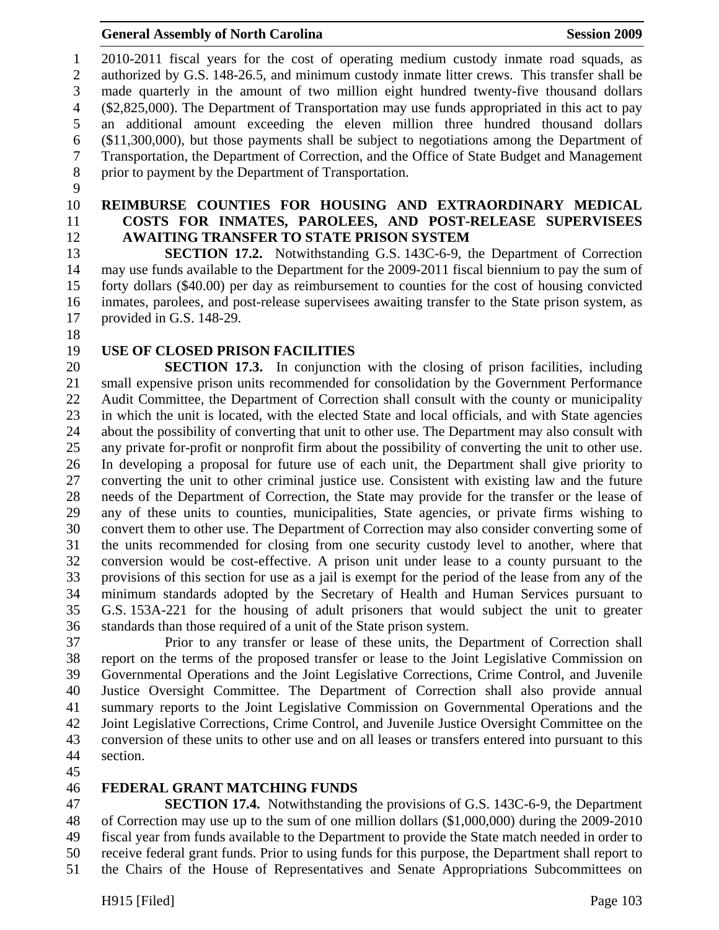1 2010-2011 fiscal years for the cost of operating medium custody inmate road squads, as 2 authorized by G.S. 148-26.5, and minimum custody inmate litter crews. This transfer shall be 3 made quarterly in the amount of two million eight hundred twenty-five thousand dollars 4 (\$2,825,000). The Department of Transportation may use funds appropriated in this act to pay 5 an additional amount exceeding the eleven million three hundred thousand dollars 6 (\$11,300,000), but those payments shall be subject to negotiations among the Department of 7 Transportation, the Department of Correction, and the Office of State Budget and Management 8 prior to payment by the Department of Transportation.

- 9
- 
- 

#### 10 **REIMBURSE COUNTIES FOR HOUSING AND EXTRAORDINARY MEDICAL**  11 **COSTS FOR INMATES, PAROLEES, AND POST-RELEASE SUPERVISEES**  12 **AWAITING TRANSFER TO STATE PRISON SYSTEM**

13 **SECTION 17.2.** Notwithstanding G.S. 143C-6-9, the Department of Correction 14 may use funds available to the Department for the 2009-2011 fiscal biennium to pay the sum of 15 forty dollars (\$40.00) per day as reimbursement to counties for the cost of housing convicted 16 inmates, parolees, and post-release supervisees awaiting transfer to the State prison system, as 17 provided in G.S. 148-29.

- 18
- 

# 19 **USE OF CLOSED PRISON FACILITIES**

20 **SECTION 17.3.** In conjunction with the closing of prison facilities, including 21 small expensive prison units recommended for consolidation by the Government Performance 22 Audit Committee, the Department of Correction shall consult with the county or municipality 23 in which the unit is located, with the elected State and local officials, and with State agencies 24 about the possibility of converting that unit to other use. The Department may also consult with 25 any private for-profit or nonprofit firm about the possibility of converting the unit to other use. 26 In developing a proposal for future use of each unit, the Department shall give priority to 27 converting the unit to other criminal justice use. Consistent with existing law and the future 28 needs of the Department of Correction, the State may provide for the transfer or the lease of 29 any of these units to counties, municipalities, State agencies, or private firms wishing to 30 convert them to other use. The Department of Correction may also consider converting some of 31 the units recommended for closing from one security custody level to another, where that 32 conversion would be cost-effective. A prison unit under lease to a county pursuant to the 33 provisions of this section for use as a jail is exempt for the period of the lease from any of the 34 minimum standards adopted by the Secretary of Health and Human Services pursuant to 35 G.S. 153A-221 for the housing of adult prisoners that would subject the unit to greater 36 standards than those required of a unit of the State prison system.

37 Prior to any transfer or lease of these units, the Department of Correction shall 38 report on the terms of the proposed transfer or lease to the Joint Legislative Commission on 39 Governmental Operations and the Joint Legislative Corrections, Crime Control, and Juvenile 40 Justice Oversight Committee. The Department of Correction shall also provide annual 41 summary reports to the Joint Legislative Commission on Governmental Operations and the 42 Joint Legislative Corrections, Crime Control, and Juvenile Justice Oversight Committee on the 43 conversion of these units to other use and on all leases or transfers entered into pursuant to this 44 section.

45

#### 46 **FEDERAL GRANT MATCHING FUNDS**

47 **SECTION 17.4.** Notwithstanding the provisions of G.S. 143C-6-9, the Department 48 of Correction may use up to the sum of one million dollars (\$1,000,000) during the 2009-2010 49 fiscal year from funds available to the Department to provide the State match needed in order to 50 receive federal grant funds. Prior to using funds for this purpose, the Department shall report to 51 the Chairs of the House of Representatives and Senate Appropriations Subcommittees on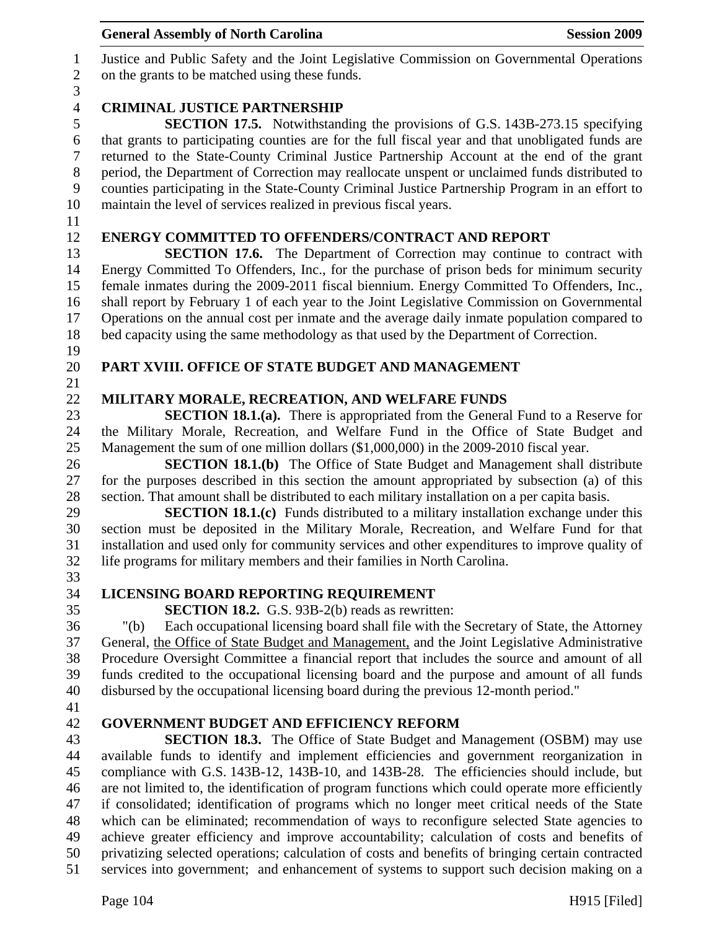| $\tau$ | returned to the State-County Criminal Justice Partnership Account at the end of the grant         |
|--------|---------------------------------------------------------------------------------------------------|
| $8\,$  | period, the Department of Correction may reallocate unspent or unclaimed funds distributed to     |
| 9      | counties participating in the State-County Criminal Justice Partnership Program in an effort to   |
| 10     | maintain the level of services realized in previous fiscal years.                                 |
| 11     |                                                                                                   |
| 12     | <b>ENERGY COMMITTED TO OFFENDERS/CONTRACT AND REPORT</b>                                          |
| 13     | <b>SECTION 17.6.</b> The Department of Correction may continue to contract with                   |
| 14     | Energy Committed To Offenders, Inc., for the purchase of prison beds for minimum security         |
| 15     | female inmates during the 2009-2011 fiscal biennium. Energy Committed To Offenders, Inc.,         |
| 16     | shall report by February 1 of each year to the Joint Legislative Commission on Governmental       |
| 17     | Operations on the annual cost per inmate and the average daily inmate population compared to      |
| 18     | bed capacity using the same methodology as that used by the Department of Correction.             |
| 19     |                                                                                                   |
| 20     | PART XVIII. OFFICE OF STATE BUDGET AND MANAGEMENT                                                 |
| 21     |                                                                                                   |
| 22     | MILITARY MORALE, RECREATION, AND WELFARE FUNDS                                                    |
| 23     | <b>SECTION 18.1.(a).</b> There is appropriated from the General Fund to a Reserve for             |
| 24     | the Military Morale, Recreation, and Welfare Fund in the Office of State Budget and               |
| 25     | Management the sum of one million dollars (\$1,000,000) in the 2009-2010 fiscal year.             |
| 26     | <b>SECTION 18.1.(b)</b> The Office of State Budget and Management shall distribute                |
| 27     | for the purposes described in this section the amount appropriated by subsection (a) of this      |
| 28     | section. That amount shall be distributed to each military installation on a per capita basis.    |
| 29     | <b>SECTION 18.1.(c)</b> Funds distributed to a military installation exchange under this          |
| 30     | section must be deposited in the Military Morale, Recreation, and Welfare Fund for that           |
| 31     | installation and used only for community services and other expenditures to improve quality of    |
| 32     | life programs for military members and their families in North Carolina.                          |
| 33     |                                                                                                   |
| 34     | LICENSING BOARD REPORTING REQUIREMENT                                                             |
| 35     | <b>SECTION 18.2.</b> G.S. 93B-2(b) reads as rewritten:                                            |
| 36     | Each occupational licensing board shall file with the Secretary of State, the Attorney<br>" $(b)$ |
| 37     | General, the Office of State Budget and Management, and the Joint Legislative Administrative      |
| 38     | Procedure Oversight Committee a financial report that includes the source and amount of all       |
| 39     | funds credited to the occupational licensing board and the purpose and amount of all funds        |
| 40     | disbursed by the occupational licensing board during the previous 12-month period."               |
| 41     |                                                                                                   |
| 42     | <b>GOVERNMENT BUDGET AND EFFICIENCY REFORM</b>                                                    |
| 43     | <b>SECTION 18.3.</b> The Office of State Budget and Management (OSBM) may use                     |
| 44     | available funds to identify and implement efficiencies and government reorganization in           |
| 45     | compliance with G.S. 143B-12, 143B-10, and 143B-28. The efficiencies should include, but          |
| 46     | are not limited to, the identification of program functions which could operate more efficiently  |
| 47     | if consolidated; identification of programs which no longer meet critical needs of the State      |
| 48     | which can be eliminated; recommendation of ways to reconfigure selected State agencies to         |
| 49     | achieve greater efficiency and improve accountability; calculation of costs and benefits of       |
| 50     | privatizing selected operations; calculation of costs and benefits of bringing certain contracted |
| 51     | services into government; and enhancement of systems to support such decision making on a         |
|        |                                                                                                   |
|        | Page 104<br>$H915$ [Filed]                                                                        |
|        |                                                                                                   |
|        |                                                                                                   |

# General Assembly of North Carolina **Session 2009**

1 Justice and Public Safety and the Joint Legislative Commission on Governmental Operations on the grants to be matched using these funds.

# $\frac{3}{4}$

# 4 **CRIMINAL JUSTICE PARTNERSHIP**<br>5 **SECTION 17.5.** Notwithstand

5 **SECTION 17.5.** Notwithstanding the provisions of G.S. 143B-273.15 specifying that grants to participating counties are for the full fiscal year and that unobligated funds are that grants to participating counties are for the full fiscal year and that unobligated funds are 7 returned to the State-County Criminal Justice Partnership Account at the end of the grant 8 period, the Department of Correction may reallocate unspent or unclaimed funds distributed to 9 counties participating in the State-County Criminal Justice Partnership Program in an effort to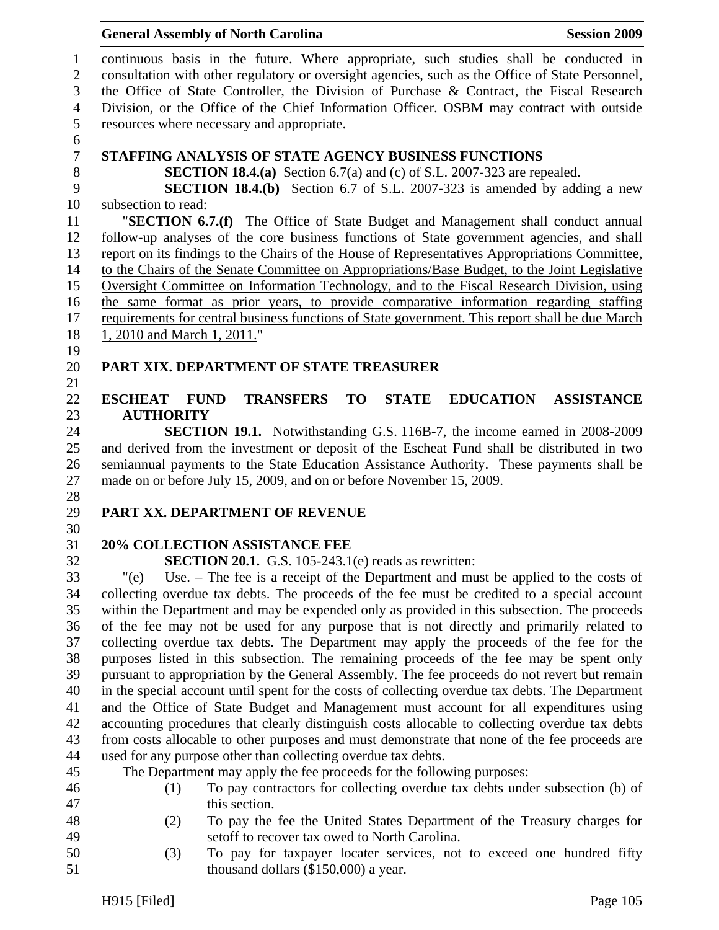#### General Assembly of North Carolina **Session 2009**

1 continuous basis in the future. Where appropriate, such studies shall be conducted in 2 consultation with other regulatory or oversight agencies, such as the Office of State Personnel, 3 the Office of State Controller, the Division of Purchase & Contract, the Fiscal Research 4 Division, or the Office of the Chief Information Officer. OSBM may contract with outside 5 resources where necessary and appropriate. 6 7 **STAFFING ANALYSIS OF STATE AGENCY BUSINESS FUNCTIONS**  8 **SECTION 18.4.(a)** Section 6.7(a) and (c) of S.L. 2007-323 are repealed. 9 **SECTION 18.4.(b)** Section 6.7 of S.L. 2007-323 is amended by adding a new 10 subsection to read: 11 "**SECTION 6.7.(f)** The Office of State Budget and Management shall conduct annual 12 follow-up analyses of the core business functions of State government agencies, and shall 13 report on its findings to the Chairs of the House of Representatives Appropriations Committee, 14 to the Chairs of the Senate Committee on Appropriations/Base Budget, to the Joint Legislative 15 Oversight Committee on Information Technology, and to the Fiscal Research Division, using 16 the same format as prior years, to provide comparative information regarding staffing 17 requirements for central business functions of State government. This report shall be due March 18 1, 2010 and March 1, 2011." 19 20 **PART XIX. DEPARTMENT OF STATE TREASURER**  21 22 **ESCHEAT FUND TRANSFERS TO STATE EDUCATION ASSISTANCE**  23 **AUTHORITY**  24 **SECTION 19.1.** Notwithstanding G.S. 116B-7, the income earned in 2008-2009 25 and derived from the investment or deposit of the Escheat Fund shall be distributed in two 26 semiannual payments to the State Education Assistance Authority. These payments shall be 27 made on or before July 15, 2009, and on or before November 15, 2009. 28 29 **PART XX. DEPARTMENT OF REVENUE**  30 31 **20% COLLECTION ASSISTANCE FEE**  32 **SECTION 20.1.** G.S. 105-243.1(e) reads as rewritten: 33 "(e) Use. – The fee is a receipt of the Department and must be applied to the costs of 34 collecting overdue tax debts. The proceeds of the fee must be credited to a special account 35 within the Department and may be expended only as provided in this subsection. The proceeds 36 of the fee may not be used for any purpose that is not directly and primarily related to 37 collecting overdue tax debts. The Department may apply the proceeds of the fee for the 38 purposes listed in this subsection. The remaining proceeds of the fee may be spent only 39 pursuant to appropriation by the General Assembly. The fee proceeds do not revert but remain 40 in the special account until spent for the costs of collecting overdue tax debts. The Department 41 and the Office of State Budget and Management must account for all expenditures using 42 accounting procedures that clearly distinguish costs allocable to collecting overdue tax debts 43 from costs allocable to other purposes and must demonstrate that none of the fee proceeds are 44 used for any purpose other than collecting overdue tax debts. 45 The Department may apply the fee proceeds for the following purposes: 46 (1) To pay contractors for collecting overdue tax debts under subsection (b) of 47 this section. 48 (2) To pay the fee the United States Department of the Treasury charges for 49 setoff to recover tax owed to North Carolina.

50 (3) To pay for taxpayer locater services, not to exceed one hundred fifty 51 thousand dollars (\$150,000) a year.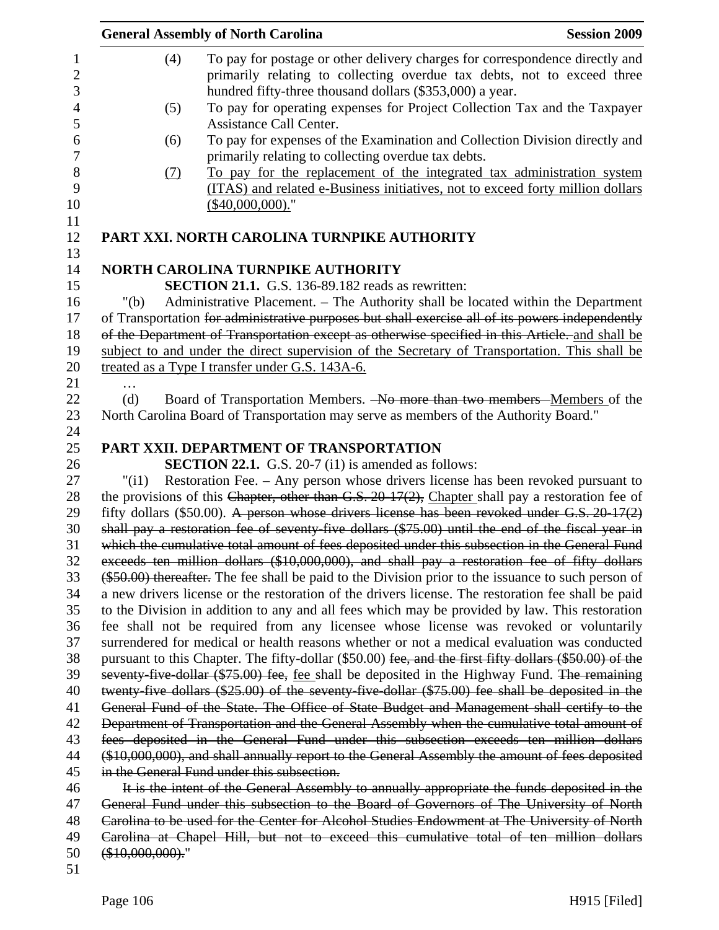|          |                  | <b>General Assembly of North Carolina</b>                                                                                                                                      | <b>Session 2009</b> |
|----------|------------------|--------------------------------------------------------------------------------------------------------------------------------------------------------------------------------|---------------------|
|          | (4)              | To pay for postage or other delivery charges for correspondence directly and<br>primarily relating to collecting overdue tax debts, not to exceed three                        |                     |
|          |                  | hundred fifty-three thousand dollars (\$353,000) a year.                                                                                                                       |                     |
|          | (5)              | To pay for operating expenses for Project Collection Tax and the Taxpayer<br>Assistance Call Center.                                                                           |                     |
|          | (6)              | To pay for expenses of the Examination and Collection Division directly and<br>primarily relating to collecting overdue tax debts.                                             |                     |
|          | (7)              | To pay for the replacement of the integrated tax administration system<br>(ITAS) and related e-Business initiatives, not to exceed forty million dollars<br>$($40,000,000).$ " |                     |
|          |                  | PART XXI. NORTH CAROLINA TURNPIKE AUTHORITY                                                                                                                                    |                     |
|          |                  | <b>NORTH CAROLINA TURNPIKE AUTHORITY</b>                                                                                                                                       |                     |
|          |                  | <b>SECTION 21.1.</b> G.S. 136-89.182 reads as rewritten:                                                                                                                       |                     |
| 16       | " $(b)$          | Administrative Placement. - The Authority shall be located within the Department                                                                                               |                     |
|          |                  | of Transportation for administrative purposes but shall exercise all of its powers independently                                                                               |                     |
|          |                  | of the Department of Transportation except as otherwise specified in this Article. and shall be                                                                                |                     |
|          |                  | subject to and under the direct supervision of the Secretary of Transportation. This shall be                                                                                  |                     |
|          |                  | treated as a Type I transfer under G.S. 143A-6.                                                                                                                                |                     |
|          |                  |                                                                                                                                                                                |                     |
|          | (d)              | Board of Transportation Members. -No more than two members -Members of the                                                                                                     |                     |
|          |                  | North Carolina Board of Transportation may serve as members of the Authority Board."                                                                                           |                     |
|          |                  |                                                                                                                                                                                |                     |
|          |                  | PART XXII. DEPARTMENT OF TRANSPORTATION                                                                                                                                        |                     |
| 25<br>26 |                  | <b>SECTION 22.1.</b> G.S. 20-7 (i1) is amended as follows:                                                                                                                     |                     |
|          | "(i1)            | Restoration Fee. – Any person whose drivers license has been revoked pursuant to                                                                                               |                     |
|          |                  | the provisions of this Chapter, other than G.S. 20-17(2), Chapter shall pay a restoration fee of                                                                               |                     |
|          |                  | fifty dollars (\$50.00). A person whose drivers license has been revoked under G.S. 20-17(2)                                                                                   |                     |
|          |                  | shall pay a restoration fee of seventy-five dollars (\$75.00) until the end of the fiscal year in                                                                              |                     |
|          |                  | which the cumulative total amount of fees deposited under this subsection in the General Fund                                                                                  |                     |
|          |                  | exceeds ten million dollars (\$10,000,000), and shall pay a restoration fee of fifty dollars                                                                                   |                     |
|          |                  | (\$50.00) thereafter. The fee shall be paid to the Division prior to the issuance to such person of                                                                            |                     |
|          |                  | a new drivers license or the restoration of the drivers license. The restoration fee shall be paid                                                                             |                     |
|          |                  | to the Division in addition to any and all fees which may be provided by law. This restoration                                                                                 |                     |
|          |                  | fee shall not be required from any licensee whose license was revoked or voluntarily                                                                                           |                     |
|          |                  | surrendered for medical or health reasons whether or not a medical evaluation was conducted                                                                                    |                     |
|          |                  | pursuant to this Chapter. The fifty-dollar (\$50.00) fee, and the first fifty dollars (\$50.00) of the                                                                         |                     |
|          |                  | seventy-five-dollar (\$75.00) fee, fee shall be deposited in the Highway Fund. The remaining                                                                                   |                     |
|          |                  | twenty-five dollars (\$25.00) of the seventy-five-dollar (\$75.00) fee shall be deposited in the                                                                               |                     |
|          |                  | General Fund of the State. The Office of State Budget and Management shall certify to the                                                                                      |                     |
|          |                  | Department of Transportation and the General Assembly when the cumulative total amount of                                                                                      |                     |
|          |                  | fees deposited in the General Fund under this subsection exceeds ten million dollars                                                                                           |                     |
|          |                  | (\$10,000,000), and shall annually report to the General Assembly the amount of fees deposited                                                                                 |                     |
|          |                  | in the General Fund under this subsection.                                                                                                                                     |                     |
|          |                  | It is the intent of the General Assembly to annually appropriate the funds deposited in the                                                                                    |                     |
|          |                  | General Fund under this subsection to the Board of Governors of The University of North                                                                                        |                     |
|          |                  | Carolina to be used for the Center for Alcohol Studies Endowment at The University of North                                                                                    |                     |
|          |                  | Carolina at Chapel Hill, but not to exceed this cumulative total of ten million dollars                                                                                        |                     |
|          | $(*10,000,000).$ |                                                                                                                                                                                |                     |
|          |                  |                                                                                                                                                                                |                     |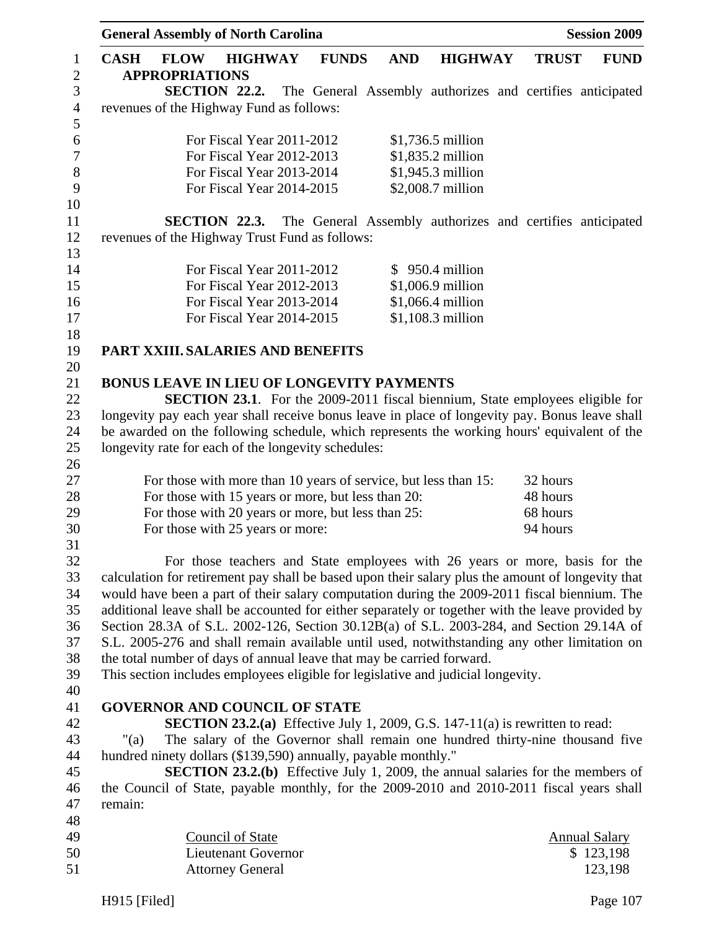|                                |             | <b>General Assembly of North Carolina</b>                      |                            |                |              |            |                                                                                                   |              | <b>Session 2009</b>  |
|--------------------------------|-------------|----------------------------------------------------------------|----------------------------|----------------|--------------|------------|---------------------------------------------------------------------------------------------------|--------------|----------------------|
| $\mathbf{1}$<br>$\overline{2}$ | <b>CASH</b> | <b>FLOW</b><br><b>APPROPRIATIONS</b>                           |                            | <b>HIGHWAY</b> | <b>FUNDS</b> | <b>AND</b> | <b>HIGHWAY</b>                                                                                    | <b>TRUST</b> | <b>FUND</b>          |
| $\mathfrak{Z}$                 |             | SECTION 22.2.                                                  |                            |                |              |            | The General Assembly authorizes and certifies anticipated                                         |              |                      |
| $\overline{4}$                 |             | revenues of the Highway Fund as follows:                       |                            |                |              |            |                                                                                                   |              |                      |
| 5                              |             |                                                                |                            |                |              |            |                                                                                                   |              |                      |
| 6                              |             |                                                                | For Fiscal Year 2011-2012  |                |              |            | \$1,736.5 million                                                                                 |              |                      |
| $\boldsymbol{7}$               |             |                                                                | For Fiscal Year 2012-2013  |                |              |            | \$1,835.2 million                                                                                 |              |                      |
| $8\,$                          |             |                                                                | For Fiscal Year 2013-2014  |                |              |            | \$1,945.3 million                                                                                 |              |                      |
| 9                              |             |                                                                | For Fiscal Year 2014-2015  |                |              |            | \$2,008.7 million                                                                                 |              |                      |
| 10                             |             |                                                                |                            |                |              |            |                                                                                                   |              |                      |
| 11                             |             | SECTION 22.3.                                                  |                            |                |              |            | The General Assembly authorizes and certifies anticipated                                         |              |                      |
| 12                             |             | revenues of the Highway Trust Fund as follows:                 |                            |                |              |            |                                                                                                   |              |                      |
| 13                             |             |                                                                |                            |                |              |            |                                                                                                   |              |                      |
| 14                             |             |                                                                | For Fiscal Year 2011-2012  |                |              |            | $$950.4$ million                                                                                  |              |                      |
| 15                             |             |                                                                | For Fiscal Year 2012-2013  |                |              |            | \$1,006.9 million                                                                                 |              |                      |
| 16                             |             |                                                                | For Fiscal Year 2013-2014  |                |              |            | \$1,066.4 million                                                                                 |              |                      |
| 17                             |             |                                                                | For Fiscal Year 2014-2015  |                |              |            | $$1,108.3$ million                                                                                |              |                      |
| 18                             |             |                                                                |                            |                |              |            |                                                                                                   |              |                      |
| 19                             |             | PART XXIII. SALARIES AND BENEFITS                              |                            |                |              |            |                                                                                                   |              |                      |
| 20                             |             |                                                                |                            |                |              |            |                                                                                                   |              |                      |
| 21                             |             | BONUS LEAVE IN LIEU OF LONGEVITY PAYMENTS                      |                            |                |              |            |                                                                                                   |              |                      |
| 22                             |             |                                                                |                            |                |              |            | <b>SECTION 23.1.</b> For the 2009-2011 fiscal biennium, State employees eligible for              |              |                      |
| 23                             |             |                                                                |                            |                |              |            | longevity pay each year shall receive bonus leave in place of longevity pay. Bonus leave shall    |              |                      |
| 24                             |             |                                                                |                            |                |              |            | be awarded on the following schedule, which represents the working hours' equivalent of the       |              |                      |
| 25                             |             | longevity rate for each of the longevity schedules:            |                            |                |              |            |                                                                                                   |              |                      |
| 26<br>27                       |             |                                                                |                            |                |              |            | For those with more than 10 years of service, but less than 15:                                   | 32 hours     |                      |
| 28                             |             | For those with 15 years or more, but less than 20:             |                            |                |              |            |                                                                                                   | 48 hours     |                      |
| 29                             |             | For those with 20 years or more, but less than 25:             |                            |                |              |            |                                                                                                   | 68 hours     |                      |
| 30                             |             | For those with 25 years or more:                               |                            |                |              |            |                                                                                                   | 94 hours     |                      |
| 31                             |             |                                                                |                            |                |              |            |                                                                                                   |              |                      |
| 32                             |             |                                                                |                            |                |              |            | For those teachers and State employees with 26 years or more, basis for the                       |              |                      |
| 33                             |             |                                                                |                            |                |              |            | calculation for retirement pay shall be based upon their salary plus the amount of longevity that |              |                      |
| 34                             |             |                                                                |                            |                |              |            | would have been a part of their salary computation during the 2009-2011 fiscal biennium. The      |              |                      |
| 35                             |             |                                                                |                            |                |              |            | additional leave shall be accounted for either separately or together with the leave provided by  |              |                      |
| 36                             |             |                                                                |                            |                |              |            | Section 28.3A of S.L. 2002-126, Section 30.12B(a) of S.L. 2003-284, and Section 29.14A of         |              |                      |
| 37                             |             |                                                                |                            |                |              |            | S.L. 2005-276 and shall remain available until used, notwithstanding any other limitation on      |              |                      |
| 38                             |             |                                                                |                            |                |              |            | the total number of days of annual leave that may be carried forward.                             |              |                      |
| 39                             |             |                                                                |                            |                |              |            | This section includes employees eligible for legislative and judicial longevity.                  |              |                      |
| 40                             |             |                                                                |                            |                |              |            |                                                                                                   |              |                      |
| 41                             |             | <b>GOVERNOR AND COUNCIL OF STATE</b>                           |                            |                |              |            |                                                                                                   |              |                      |
| 42                             |             |                                                                |                            |                |              |            | <b>SECTION 23.2.(a)</b> Effective July 1, 2009, G.S. 147-11(a) is rewritten to read:              |              |                      |
| 43                             | " $(a)$     |                                                                |                            |                |              |            | The salary of the Governor shall remain one hundred thirty-nine thousand five                     |              |                      |
| 44                             |             | hundred ninety dollars (\$139,590) annually, payable monthly." |                            |                |              |            |                                                                                                   |              |                      |
| 45                             |             |                                                                |                            |                |              |            | <b>SECTION 23.2.(b)</b> Effective July 1, 2009, the annual salaries for the members of            |              |                      |
| 46                             |             |                                                                |                            |                |              |            | the Council of State, payable monthly, for the 2009-2010 and 2010-2011 fiscal years shall         |              |                      |
| 47                             | remain:     |                                                                |                            |                |              |            |                                                                                                   |              |                      |
| 48                             |             |                                                                |                            |                |              |            |                                                                                                   |              |                      |
| 49                             |             |                                                                | <b>Council of State</b>    |                |              |            |                                                                                                   |              | <b>Annual Salary</b> |
| 50                             |             |                                                                | <b>Lieutenant Governor</b> |                |              |            |                                                                                                   |              | \$123,198            |
| 51                             |             |                                                                | <b>Attorney General</b>    |                |              |            |                                                                                                   |              | 123,198              |

H915 [Filed] Page 107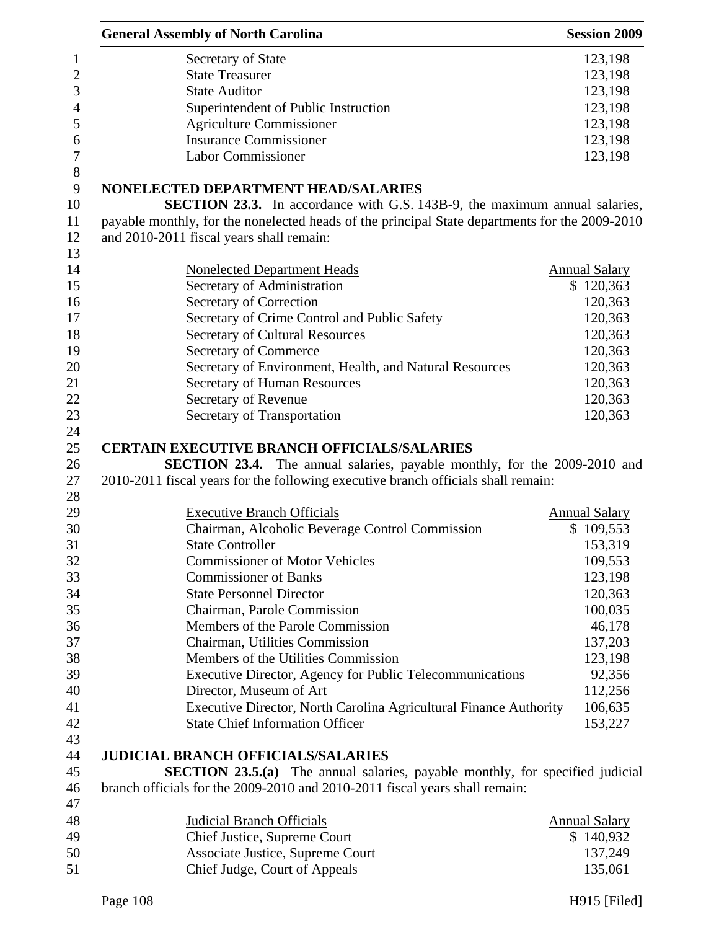| <b>General Assembly of North Carolina</b>                                                                                                                           | <b>Session 2009</b>  |
|---------------------------------------------------------------------------------------------------------------------------------------------------------------------|----------------------|
| Secretary of State                                                                                                                                                  | 123,198              |
| <b>State Treasurer</b>                                                                                                                                              | 123,198              |
| <b>State Auditor</b>                                                                                                                                                | 123,198              |
| Superintendent of Public Instruction                                                                                                                                | 123,198              |
| <b>Agriculture Commissioner</b>                                                                                                                                     | 123,198              |
| <b>Insurance Commissioner</b>                                                                                                                                       | 123,198              |
| <b>Labor Commissioner</b>                                                                                                                                           | 123,198              |
| NONELECTED DEPARTMENT HEAD/SALARIES                                                                                                                                 |                      |
| <b>SECTION 23.3.</b> In accordance with G.S. 143B-9, the maximum annual salaries,                                                                                   |                      |
| payable monthly, for the nonelected heads of the principal State departments for the 2009-2010                                                                      |                      |
| and 2010-2011 fiscal years shall remain:                                                                                                                            |                      |
| <b>Nonelected Department Heads</b>                                                                                                                                  | <b>Annual Salary</b> |
| Secretary of Administration                                                                                                                                         | \$120,363            |
| Secretary of Correction                                                                                                                                             | 120,363              |
| Secretary of Crime Control and Public Safety                                                                                                                        | 120,363              |
| <b>Secretary of Cultural Resources</b>                                                                                                                              | 120,363              |
| Secretary of Commerce                                                                                                                                               | 120,363              |
| Secretary of Environment, Health, and Natural Resources                                                                                                             | 120,363              |
| Secretary of Human Resources                                                                                                                                        | 120,363              |
| Secretary of Revenue                                                                                                                                                | 120,363              |
| Secretary of Transportation                                                                                                                                         | 120,363              |
| <b>CERTAIN EXECUTIVE BRANCH OFFICIALS/SALARIES</b>                                                                                                                  |                      |
| <b>SECTION 23.4.</b> The annual salaries, payable monthly, for the 2009-2010 and                                                                                    |                      |
| 2010-2011 fiscal years for the following executive branch officials shall remain:                                                                                   |                      |
|                                                                                                                                                                     |                      |
| <b>Executive Branch Officials</b>                                                                                                                                   | <b>Annual Salary</b> |
| Chairman, Alcoholic Beverage Control Commission                                                                                                                     | \$109,553            |
| <b>State Controller</b>                                                                                                                                             | 153,319              |
| <b>Commissioner of Motor Vehicles</b>                                                                                                                               | 109,553              |
| <b>Commissioner of Banks</b>                                                                                                                                        | 123,198              |
| <b>State Personnel Director</b>                                                                                                                                     | 120,363              |
| Chairman, Parole Commission                                                                                                                                         | 100,035              |
| Members of the Parole Commission                                                                                                                                    | 46,178               |
| Chairman, Utilities Commission                                                                                                                                      | 137,203              |
| Members of the Utilities Commission                                                                                                                                 | 123,198              |
| Executive Director, Agency for Public Telecommunications                                                                                                            | 92,356               |
| Director, Museum of Art                                                                                                                                             | 112,256              |
| Executive Director, North Carolina Agricultural Finance Authority                                                                                                   | 106,635              |
| <b>State Chief Information Officer</b>                                                                                                                              | 153,227              |
| <b>JUDICIAL BRANCH OFFICIALS/SALARIES</b>                                                                                                                           |                      |
|                                                                                                                                                                     |                      |
| <b>SECTION 23.5.(a)</b> The annual salaries, payable monthly, for specified judicial<br>branch officials for the 2009-2010 and 2010-2011 fiscal years shall remain: |                      |
|                                                                                                                                                                     |                      |
| <b>Judicial Branch Officials</b>                                                                                                                                    | <b>Annual Salary</b> |
| Chief Justice, Supreme Court                                                                                                                                        | \$140,932            |
| Associate Justice, Supreme Court                                                                                                                                    | 137,249              |
| Chief Judge, Court of Appeals                                                                                                                                       | 135,061              |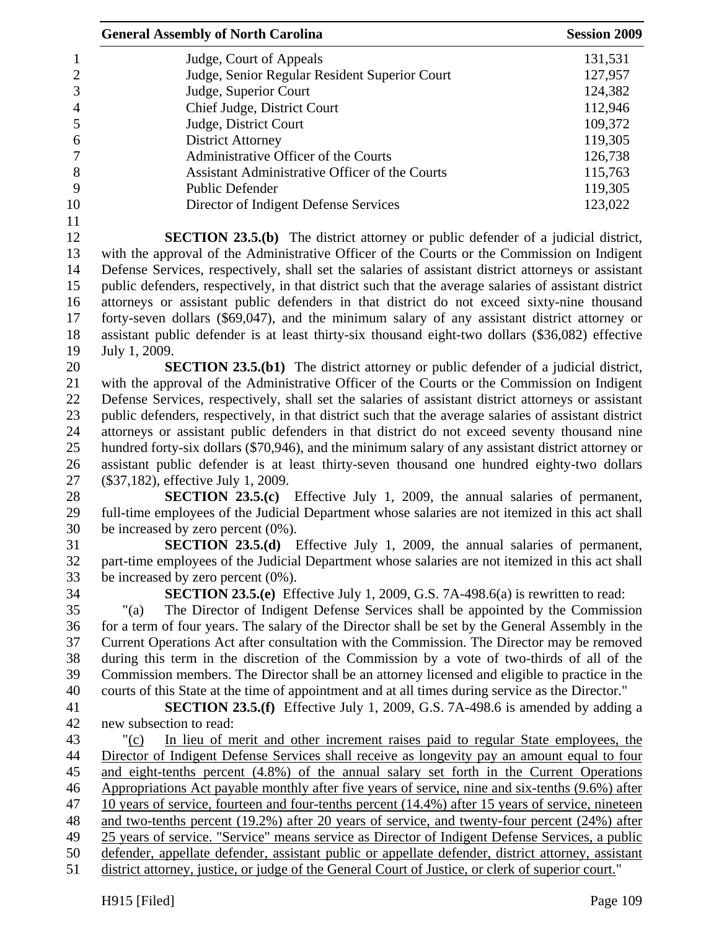| <b>General Assembly of North Carolina</b>                                                                                                                                                                | <b>Session 2009</b> |
|----------------------------------------------------------------------------------------------------------------------------------------------------------------------------------------------------------|---------------------|
| Judge, Court of Appeals                                                                                                                                                                                  | 131,531             |
| Judge, Senior Regular Resident Superior Court                                                                                                                                                            | 127,957             |
| Judge, Superior Court                                                                                                                                                                                    | 124,382             |
| Chief Judge, District Court                                                                                                                                                                              | 112,946             |
| Judge, District Court                                                                                                                                                                                    | 109,372             |
| <b>District Attorney</b>                                                                                                                                                                                 | 119,305             |
| Administrative Officer of the Courts                                                                                                                                                                     | 126,738             |
| Assistant Administrative Officer of the Courts                                                                                                                                                           | 115,763             |
| <b>Public Defender</b>                                                                                                                                                                                   | 119,305             |
| Director of Indigent Defense Services                                                                                                                                                                    | 123,022             |
| <b>SECTION 23.5.(b)</b> The district attorney or public defender of a judicial district,                                                                                                                 |                     |
| with the approval of the Administrative Officer of the Courts or the Commission on Indigent                                                                                                              |                     |
| Defense Services, respectively, shall set the salaries of assistant district attorneys or assistant                                                                                                      |                     |
| public defenders, respectively, in that district such that the average salaries of assistant district                                                                                                    |                     |
| attorneys or assistant public defenders in that district do not exceed sixty-nine thousand                                                                                                               |                     |
| forty-seven dollars (\$69,047), and the minimum salary of any assistant district attorney or                                                                                                             |                     |
| assistant public defender is at least thirty-six thousand eight-two dollars (\$36,082) effective                                                                                                         |                     |
| July 1, 2009.                                                                                                                                                                                            |                     |
| <b>SECTION 23.5.(b1)</b> The district attorney or public defender of a judicial district,                                                                                                                |                     |
| with the approval of the Administrative Officer of the Courts or the Commission on Indigent                                                                                                              |                     |
| Defense Services, respectively, shall set the salaries of assistant district attorneys or assistant                                                                                                      |                     |
| public defenders, respectively, in that district such that the average salaries of assistant district                                                                                                    |                     |
| attorneys or assistant public defenders in that district do not exceed seventy thousand nine                                                                                                             |                     |
| hundred forty-six dollars (\$70,946), and the minimum salary of any assistant district attorney or                                                                                                       |                     |
| assistant public defender is at least thirty-seven thousand one hundred eighty-two dollars                                                                                                               |                     |
| (\$37,182), effective July 1, 2009.                                                                                                                                                                      |                     |
| <b>SECTION 23.5.(c)</b> Effective July 1, 2009, the annual salaries of permanent,                                                                                                                        |                     |
| full-time employees of the Judicial Department whose salaries are not itemized in this act shall                                                                                                         |                     |
| be increased by zero percent $(0\%)$ .                                                                                                                                                                   |                     |
| <b>SECTION 23.5.(d)</b> Effective July 1, 2009, the annual salaries of permanent,                                                                                                                        |                     |
| part-time employees of the Judicial Department whose salaries are not itemized in this act shall                                                                                                         |                     |
| be increased by zero percent $(0\%)$ .                                                                                                                                                                   |                     |
| SECTION 23.5.(e) Effective July 1, 2009, G.S. 7A-498.6(a) is rewritten to read:                                                                                                                          |                     |
| The Director of Indigent Defense Services shall be appointed by the Commission<br>" $(a)$                                                                                                                |                     |
| for a term of four years. The salary of the Director shall be set by the General Assembly in the                                                                                                         |                     |
| Current Operations Act after consultation with the Commission. The Director may be removed                                                                                                               |                     |
| during this term in the discretion of the Commission by a vote of two-thirds of all of the                                                                                                               |                     |
| Commission members. The Director shall be an attorney licensed and eligible to practice in the                                                                                                           |                     |
| courts of this State at the time of appointment and at all times during service as the Director."                                                                                                        |                     |
| <b>SECTION 23.5.(f)</b> Effective July 1, 2009, G.S. 7A-498.6 is amended by adding a                                                                                                                     |                     |
| new subsection to read:                                                                                                                                                                                  |                     |
| In lieu of merit and other increment raises paid to regular State employees, the<br>"(c)                                                                                                                 |                     |
| Director of Indigent Defense Services shall receive as longevity pay an amount equal to four                                                                                                             |                     |
| and eight-tenths percent (4.8%) of the annual salary set forth in the Current Operations                                                                                                                 |                     |
| Appropriations Act payable monthly after five years of service, nine and six-tenths (9.6%) after                                                                                                         |                     |
|                                                                                                                                                                                                          |                     |
| 10 years of service, fourteen and four-tenths percent (14.4%) after 15 years of service, nineteen                                                                                                        |                     |
| and two-tenths percent (19.2%) after 20 years of service, and twenty-four percent (24%) after                                                                                                            |                     |
| 25 years of service. "Service" means service as Director of Indigent Defense Services, a public                                                                                                          |                     |
| defender, appellate defender, assistant public or appellate defender, district attorney, assistant<br>district attorney, justice, or judge of the General Court of Justice, or clerk of superior court." |                     |
|                                                                                                                                                                                                          |                     |
| H915 [Filed]                                                                                                                                                                                             | Page 109            |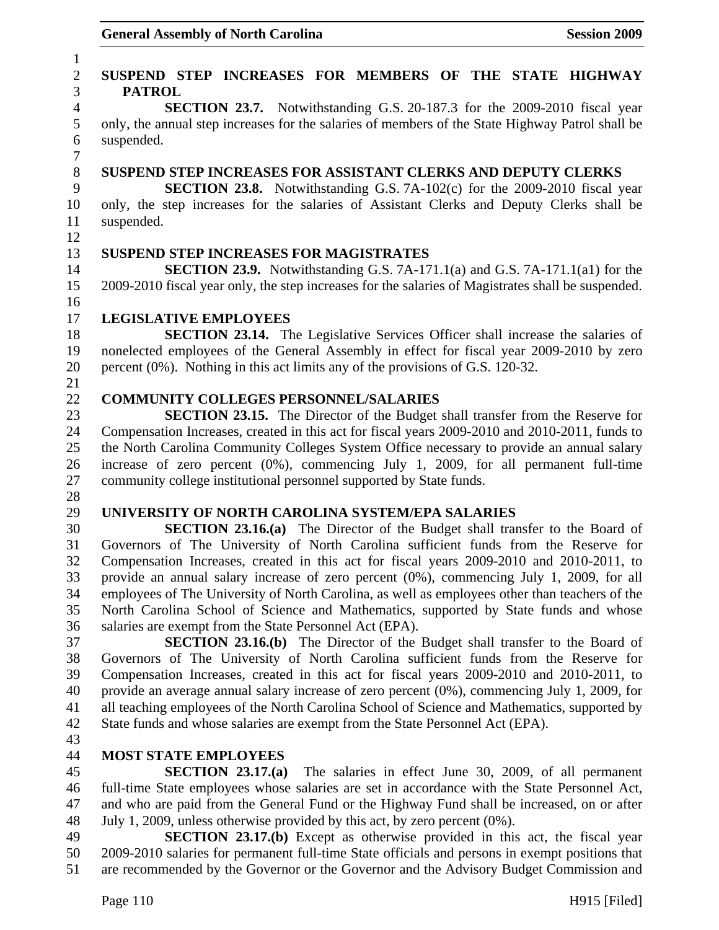### 1 2 **SUSPEND STEP INCREASES FOR MEMBERS OF THE STATE HIGHWAY**  3 **PATROL**  4 **SECTION 23.7.** Notwithstanding G.S. 20-187.3 for the 2009-2010 fiscal year 5 only, the annual step increases for the salaries of members of the State Highway Patrol shall be 6 suspended. 7 8 **SUSPEND STEP INCREASES FOR ASSISTANT CLERKS AND DEPUTY CLERKS**  9 **SECTION 23.8.** Notwithstanding G.S. 7A-102(c) for the 2009-2010 fiscal year 10 only, the step increases for the salaries of Assistant Clerks and Deputy Clerks shall be 11 suspended. 12 13 **SUSPEND STEP INCREASES FOR MAGISTRATES**  14 **SECTION 23.9.** Notwithstanding G.S. 7A-171.1(a) and G.S. 7A-171.1(a1) for the 15 2009-2010 fiscal year only, the step increases for the salaries of Magistrates shall be suspended. 16 17 **LEGISLATIVE EMPLOYEES**  18 **SECTION 23.14.** The Legislative Services Officer shall increase the salaries of 19 nonelected employees of the General Assembly in effect for fiscal year 2009-2010 by zero 20 percent (0%). Nothing in this act limits any of the provisions of G.S. 120-32. 21 22 **COMMUNITY COLLEGES PERSONNEL/SALARIES**  23 **SECTION 23.15.** The Director of the Budget shall transfer from the Reserve for 24 Compensation Increases, created in this act for fiscal years 2009-2010 and 2010-2011, funds to 25 the North Carolina Community Colleges System Office necessary to provide an annual salary 26 increase of zero percent (0%), commencing July 1, 2009, for all permanent full-time 27 community college institutional personnel supported by State funds. 28 29 **UNIVERSITY OF NORTH CAROLINA SYSTEM/EPA SALARIES**  30 **SECTION 23.16.(a)** The Director of the Budget shall transfer to the Board of 31 Governors of The University of North Carolina sufficient funds from the Reserve for 32 Compensation Increases, created in this act for fiscal years 2009-2010 and 2010-2011, to 33 provide an annual salary increase of zero percent (0%), commencing July 1, 2009, for all 34 employees of The University of North Carolina, as well as employees other than teachers of the 35 North Carolina School of Science and Mathematics, supported by State funds and whose 36 salaries are exempt from the State Personnel Act (EPA). 37 **SECTION 23.16.(b)** The Director of the Budget shall transfer to the Board of 38 Governors of The University of North Carolina sufficient funds from the Reserve for 39 Compensation Increases, created in this act for fiscal years 2009-2010 and 2010-2011, to 40 provide an average annual salary increase of zero percent (0%), commencing July 1, 2009, for 41 all teaching employees of the North Carolina School of Science and Mathematics, supported by 42 State funds and whose salaries are exempt from the State Personnel Act (EPA). 43 44 **MOST STATE EMPLOYEES**  45 **SECTION 23.17.(a)** The salaries in effect June 30, 2009, of all permanent 46 full-time State employees whose salaries are set in accordance with the State Personnel Act, 47 and who are paid from the General Fund or the Highway Fund shall be increased, on or after 48 July 1, 2009, unless otherwise provided by this act, by zero percent (0%). 49 **SECTION 23.17.(b)** Except as otherwise provided in this act, the fiscal year

50 2009-2010 salaries for permanent full-time State officials and persons in exempt positions that 51 are recommended by the Governor or the Governor and the Advisory Budget Commission and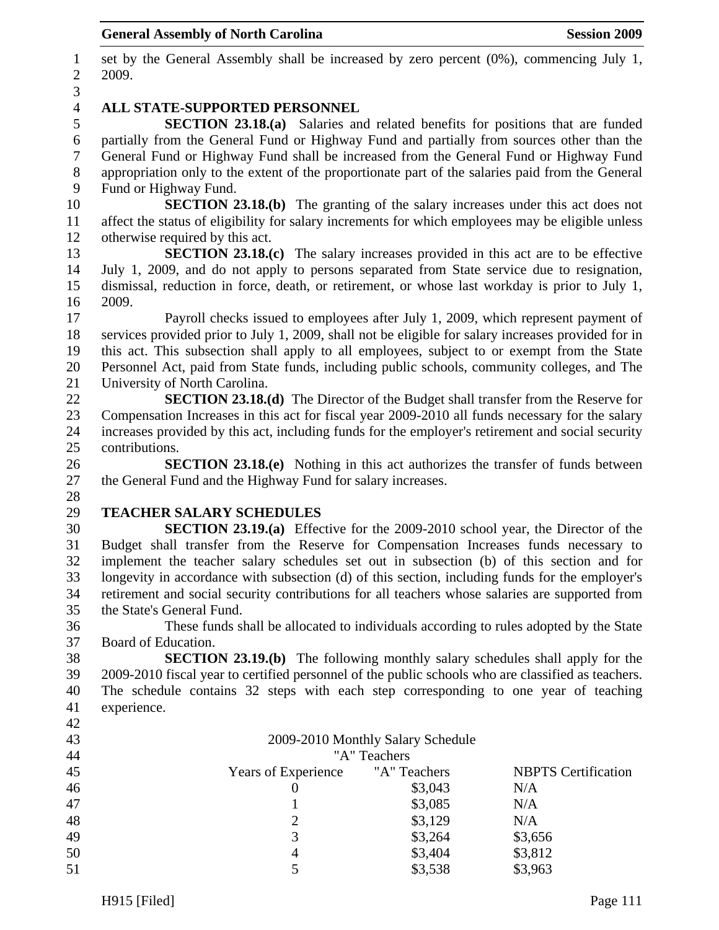1 set by the General Assembly shall be increased by zero percent (0%), commencing July 1, 2 2009. 3 4 **ALL STATE-SUPPORTED PERSONNEL**  5 **SECTION 23.18.(a)** Salaries and related benefits for positions that are funded 6 partially from the General Fund or Highway Fund and partially from sources other than the 7 General Fund or Highway Fund shall be increased from the General Fund or Highway Fund 8 appropriation only to the extent of the proportionate part of the salaries paid from the General 9 Fund or Highway Fund. 10 **SECTION 23.18.(b)** The granting of the salary increases under this act does not 11 affect the status of eligibility for salary increments for which employees may be eligible unless 12 otherwise required by this act. 13 **SECTION 23.18.(c)** The salary increases provided in this act are to be effective 14 July 1, 2009, and do not apply to persons separated from State service due to resignation, 15 dismissal, reduction in force, death, or retirement, or whose last workday is prior to July 1, 16 2009. 17 Payroll checks issued to employees after July 1, 2009, which represent payment of 18 services provided prior to July 1, 2009, shall not be eligible for salary increases provided for in 19 this act. This subsection shall apply to all employees, subject to or exempt from the State 20 Personnel Act, paid from State funds, including public schools, community colleges, and The 21 University of North Carolina. 22 **SECTION 23.18.(d)** The Director of the Budget shall transfer from the Reserve for 23 Compensation Increases in this act for fiscal year 2009-2010 all funds necessary for the salary 24 increases provided by this act, including funds for the employer's retirement and social security 25 contributions. 26 **SECTION 23.18.(e)** Nothing in this act authorizes the transfer of funds between 27 the General Fund and the Highway Fund for salary increases. 28 29 **TEACHER SALARY SCHEDULES**  30 **SECTION 23.19.(a)** Effective for the 2009-2010 school year, the Director of the 31 Budget shall transfer from the Reserve for Compensation Increases funds necessary to 32 implement the teacher salary schedules set out in subsection (b) of this section and for 33 longevity in accordance with subsection (d) of this section, including funds for the employer's 34 retirement and social security contributions for all teachers whose salaries are supported from 35 the State's General Fund. 36 These funds shall be allocated to individuals according to rules adopted by the State 37 Board of Education. 38 **SECTION 23.19.(b)** The following monthly salary schedules shall apply for the 39 2009-2010 fiscal year to certified personnel of the public schools who are classified as teachers. 40 The schedule contains 32 steps with each step corresponding to one year of teaching 41 experience. 42 43 2009-2010 Monthly Salary Schedule 44 "A" Teachers 45 Years of Experience "A" Teachers NBPTS Certification 46 0 \$3,043 N/A 47 1 \$3,085 N/A 48 2 \$3,129 N/A 49  $\qquad$  3  $\qquad$  \$3,264 \$3,656 50 4 \$3,404 \$3,812 5 \$3,538 \$3,963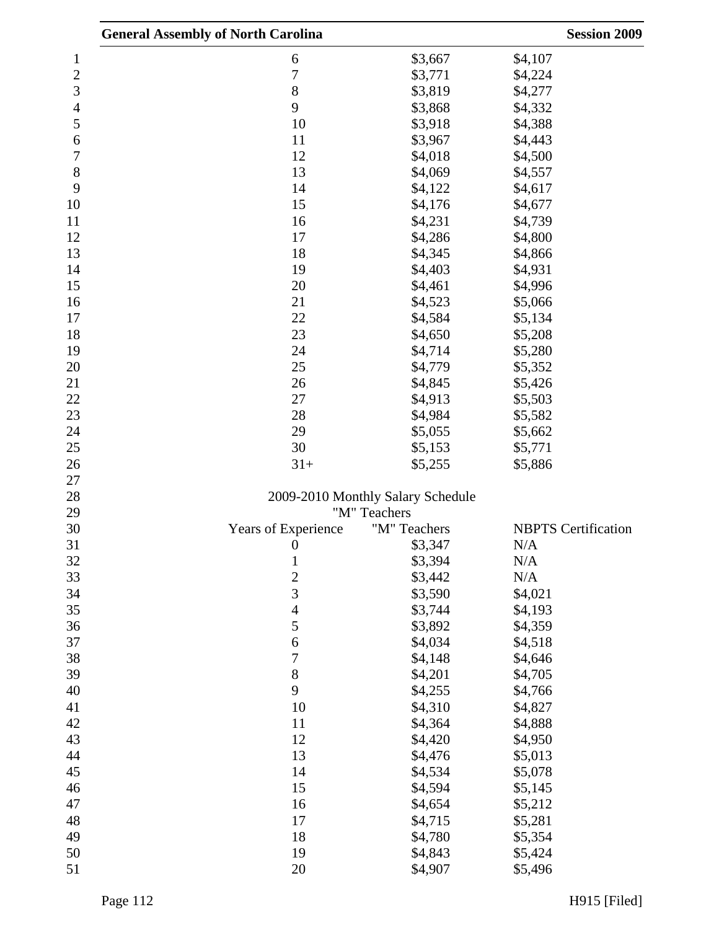|                | <b>General Assembly of North Carolina</b> |                                   | <b>Session 2009</b>        |
|----------------|-------------------------------------------|-----------------------------------|----------------------------|
| 1              | 6                                         | \$3,667                           | \$4,107                    |
| $\overline{c}$ | $\overline{7}$                            | \$3,771                           | \$4,224                    |
| 3              | 8                                         | \$3,819                           | \$4,277                    |
| 4              | 9                                         | \$3,868                           | \$4,332                    |
| 5              | 10                                        | \$3,918                           | \$4,388                    |
| 6              | 11                                        | \$3,967                           | \$4,443                    |
| 7              | 12                                        | \$4,018                           | \$4,500                    |
| 8              | 13                                        | \$4,069                           | \$4,557                    |
| 9              | 14                                        | \$4,122                           | \$4,617                    |
| 10             | 15                                        | \$4,176                           | \$4,677                    |
| 11             | 16                                        | \$4,231                           | \$4,739                    |
| 12             | 17                                        | \$4,286                           | \$4,800                    |
| 13             | 18                                        | \$4,345                           | \$4,866                    |
| 14             | 19                                        | \$4,403                           | \$4,931                    |
| 15             | 20                                        | \$4,461                           | \$4,996                    |
| 16             | 21                                        | \$4,523                           | \$5,066                    |
| 17             | 22                                        | \$4,584                           | \$5,134                    |
| 18             | 23                                        | \$4,650                           | \$5,208                    |
| 19             | 24                                        | \$4,714                           | \$5,280                    |
| 20             | 25                                        | \$4,779                           | \$5,352                    |
| 21             | 26                                        | \$4,845                           | \$5,426                    |
| 22             | 27                                        | \$4,913                           | \$5,503                    |
| 23             | 28                                        | \$4,984                           | \$5,582                    |
| 24             | 29                                        | \$5,055                           | \$5,662                    |
| 25             | 30                                        | \$5,153                           | \$5,771                    |
| 26             | $31+$                                     | \$5,255                           | \$5,886                    |
| 27             |                                           |                                   |                            |
| 28             |                                           | 2009-2010 Monthly Salary Schedule |                            |
| 29             |                                           | "M" Teachers                      |                            |
| 30             | Years of Experience                       | "M" Teachers                      | <b>NBPTS</b> Certification |
| 31             | $\overline{0}$                            | \$3,347                           | N/A                        |
| 32             | $\mathbf{1}$                              | \$3,394                           | N/A                        |
| 33             | $\overline{c}$                            | \$3,442                           | N/A                        |
| 34             | 3                                         | \$3,590                           | \$4,021                    |
| 35             | $\overline{4}$                            | \$3,744                           | \$4,193                    |
| 36             | 5                                         | \$3,892                           | \$4,359                    |
| 37             | 6                                         | \$4,034                           | \$4,518                    |
| 38             | 7                                         | \$4,148                           | \$4,646                    |
| 39             | 8                                         | \$4,201                           | \$4,705                    |
| 40             | 9                                         | \$4,255                           | \$4,766                    |
| 41             | 10                                        | \$4,310                           | \$4,827                    |
| 42             | 11                                        | \$4,364                           | \$4,888                    |
| 43             | 12                                        | \$4,420                           | \$4,950                    |
| 44             | 13                                        | \$4,476                           | \$5,013                    |
| 45             | 14                                        | \$4,534                           | \$5,078                    |
| 46             | 15                                        | \$4,594                           | \$5,145                    |
| 47             | 16                                        | \$4,654                           | \$5,212                    |
| 48             | 17                                        | \$4,715                           | \$5,281                    |
| 49             | 18                                        | \$4,780                           | \$5,354                    |
| 50             | 19                                        | \$4,843                           | \$5,424                    |
| 51             | 20                                        | \$4,907                           | \$5,496                    |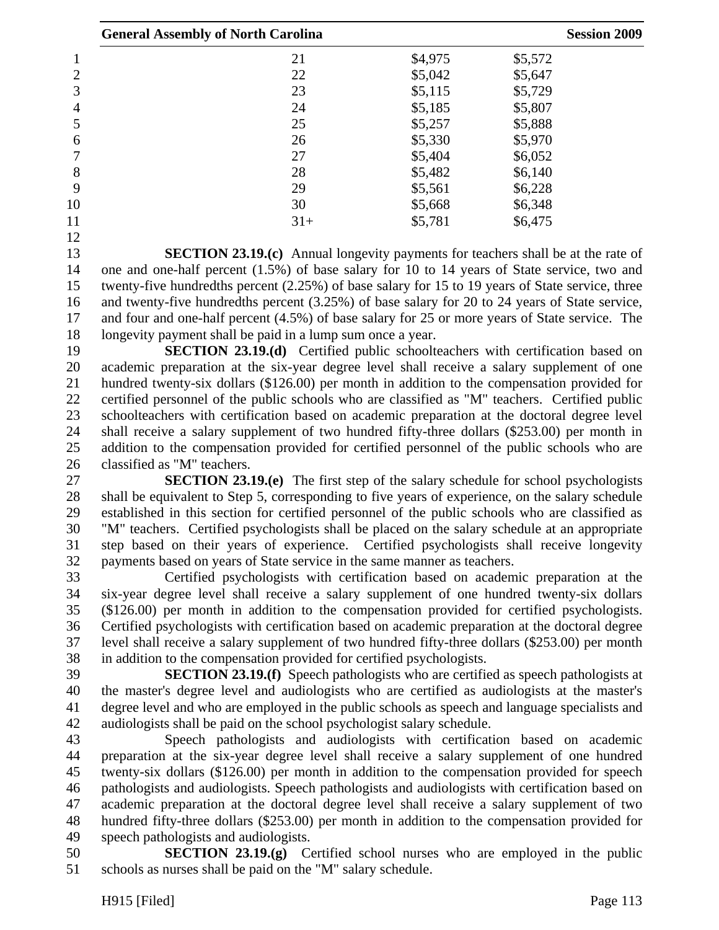|    | <b>General Assembly of North Carolina</b> |         | <b>Session 2009</b> |  |
|----|-------------------------------------------|---------|---------------------|--|
|    | 21                                        | \$4,975 | \$5,572             |  |
| 2  | 22                                        | \$5,042 | \$5,647             |  |
| 3  | 23                                        | \$5,115 | \$5,729             |  |
| 4  | 24                                        | \$5,185 | \$5,807             |  |
| 5  | 25                                        | \$5,257 | \$5,888             |  |
| 6  | 26                                        | \$5,330 | \$5,970             |  |
|    | 27                                        | \$5,404 | \$6,052             |  |
| 8  | 28                                        | \$5,482 | \$6,140             |  |
| 9  | 29                                        | \$5,561 | \$6,228             |  |
| 10 | 30                                        | \$5,668 | \$6,348             |  |
| 11 | $31+$                                     | \$5,781 | \$6,475             |  |
| 12 |                                           |         |                     |  |

13 **SECTION 23.19.(c)** Annual longevity payments for teachers shall be at the rate of 14 one and one-half percent (1.5%) of base salary for 10 to 14 years of State service, two and 15 twenty-five hundredths percent (2.25%) of base salary for 15 to 19 years of State service, three 16 and twenty-five hundredths percent (3.25%) of base salary for 20 to 24 years of State service, 17 and four and one-half percent (4.5%) of base salary for 25 or more years of State service. The 18 longevity payment shall be paid in a lump sum once a year.

19 **SECTION 23.19.(d)** Certified public schoolteachers with certification based on 20 academic preparation at the six-year degree level shall receive a salary supplement of one 21 hundred twenty-six dollars (\$126.00) per month in addition to the compensation provided for 22 certified personnel of the public schools who are classified as "M" teachers. Certified public 23 schoolteachers with certification based on academic preparation at the doctoral degree level 24 shall receive a salary supplement of two hundred fifty-three dollars (\$253.00) per month in 25 addition to the compensation provided for certified personnel of the public schools who are 26 classified as "M" teachers.

27 **SECTION 23.19.(e)** The first step of the salary schedule for school psychologists 28 shall be equivalent to Step 5, corresponding to five years of experience, on the salary schedule 29 established in this section for certified personnel of the public schools who are classified as 30 "M" teachers. Certified psychologists shall be placed on the salary schedule at an appropriate 31 step based on their years of experience. Certified psychologists shall receive longevity 32 payments based on years of State service in the same manner as teachers.

33 Certified psychologists with certification based on academic preparation at the 34 six-year degree level shall receive a salary supplement of one hundred twenty-six dollars 35 (\$126.00) per month in addition to the compensation provided for certified psychologists. 36 Certified psychologists with certification based on academic preparation at the doctoral degree 37 level shall receive a salary supplement of two hundred fifty-three dollars (\$253.00) per month 38 in addition to the compensation provided for certified psychologists.

39 **SECTION 23.19.(f)** Speech pathologists who are certified as speech pathologists at 40 the master's degree level and audiologists who are certified as audiologists at the master's 41 degree level and who are employed in the public schools as speech and language specialists and 42 audiologists shall be paid on the school psychologist salary schedule.

43 Speech pathologists and audiologists with certification based on academic 44 preparation at the six-year degree level shall receive a salary supplement of one hundred 45 twenty-six dollars (\$126.00) per month in addition to the compensation provided for speech 46 pathologists and audiologists. Speech pathologists and audiologists with certification based on 47 academic preparation at the doctoral degree level shall receive a salary supplement of two 48 hundred fifty-three dollars (\$253.00) per month in addition to the compensation provided for 49 speech pathologists and audiologists.

50 **SECTION 23.19.(g)** Certified school nurses who are employed in the public 51 schools as nurses shall be paid on the "M" salary schedule.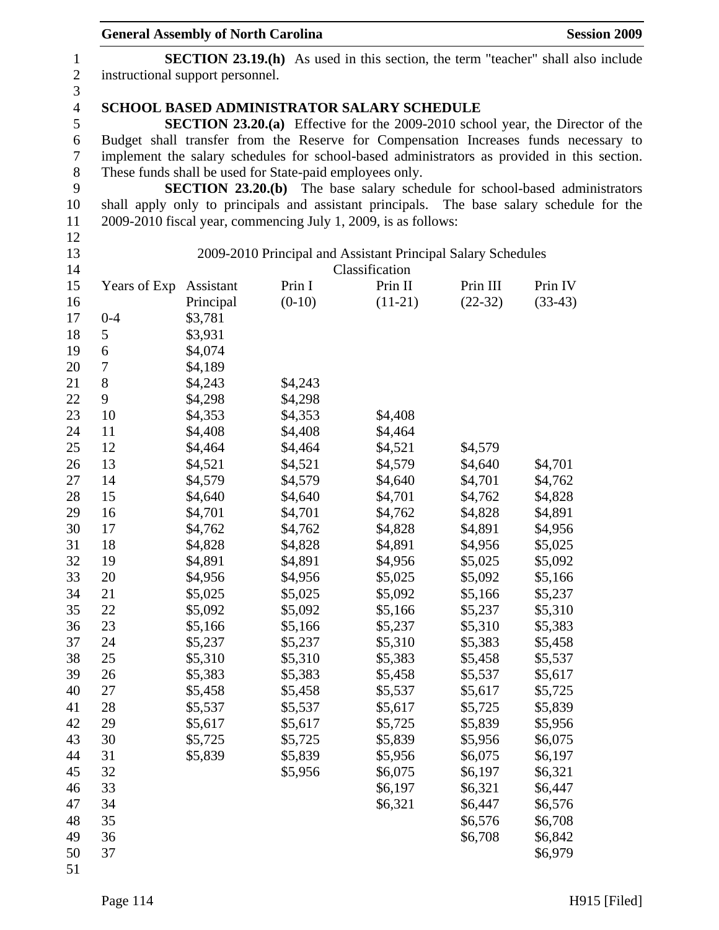|                | <b>General Assembly of North Carolina</b>                                               |                                                                                                                                            | <b>Session 2009</b>                                      |                                                                |           |                                                                                             |  |  |  |  |
|----------------|-----------------------------------------------------------------------------------------|--------------------------------------------------------------------------------------------------------------------------------------------|----------------------------------------------------------|----------------------------------------------------------------|-----------|---------------------------------------------------------------------------------------------|--|--|--|--|
| $\mathbf{1}$   | <b>SECTION 23.19.(h)</b> As used in this section, the term "teacher" shall also include |                                                                                                                                            |                                                          |                                                                |           |                                                                                             |  |  |  |  |
| $\mathbf{2}$   | instructional support personnel.                                                        |                                                                                                                                            |                                                          |                                                                |           |                                                                                             |  |  |  |  |
| $\mathfrak{Z}$ |                                                                                         |                                                                                                                                            |                                                          |                                                                |           |                                                                                             |  |  |  |  |
| $\overline{4}$ |                                                                                         |                                                                                                                                            |                                                          |                                                                |           |                                                                                             |  |  |  |  |
| 5              |                                                                                         | <b>SCHOOL BASED ADMINISTRATOR SALARY SCHEDULE</b><br><b>SECTION 23.20.(a)</b> Effective for the 2009-2010 school year, the Director of the |                                                          |                                                                |           |                                                                                             |  |  |  |  |
| 6              |                                                                                         |                                                                                                                                            |                                                          |                                                                |           | Budget shall transfer from the Reserve for Compensation Increases funds necessary to        |  |  |  |  |
| 7              |                                                                                         |                                                                                                                                            |                                                          |                                                                |           | implement the salary schedules for school-based administrators as provided in this section. |  |  |  |  |
| $8\,$          |                                                                                         |                                                                                                                                            | These funds shall be used for State-paid employees only. |                                                                |           |                                                                                             |  |  |  |  |
| 9              |                                                                                         |                                                                                                                                            |                                                          |                                                                |           | <b>SECTION 23.20.(b)</b> The base salary schedule for school-based administrators           |  |  |  |  |
| 10             |                                                                                         |                                                                                                                                            |                                                          |                                                                |           | shall apply only to principals and assistant principals. The base salary schedule for the   |  |  |  |  |
| 11             |                                                                                         |                                                                                                                                            |                                                          | 2009-2010 fiscal year, commencing July 1, 2009, is as follows: |           |                                                                                             |  |  |  |  |
| 12             |                                                                                         |                                                                                                                                            |                                                          |                                                                |           |                                                                                             |  |  |  |  |
| 13             |                                                                                         |                                                                                                                                            |                                                          | 2009-2010 Principal and Assistant Principal Salary Schedules   |           |                                                                                             |  |  |  |  |
| 14             |                                                                                         |                                                                                                                                            |                                                          | Classification                                                 |           |                                                                                             |  |  |  |  |
| 15             | Years of Exp                                                                            | Assistant                                                                                                                                  | Prin I                                                   | Prin II                                                        | Prin III  | Prin IV                                                                                     |  |  |  |  |
| 16             |                                                                                         | Principal                                                                                                                                  | $(0-10)$                                                 | $(11-21)$                                                      | $(22-32)$ | $(33-43)$                                                                                   |  |  |  |  |
| 17             | $0 - 4$                                                                                 | \$3,781                                                                                                                                    |                                                          |                                                                |           |                                                                                             |  |  |  |  |
| 18             | 5                                                                                       | \$3,931                                                                                                                                    |                                                          |                                                                |           |                                                                                             |  |  |  |  |
| 19             | 6                                                                                       | \$4,074                                                                                                                                    |                                                          |                                                                |           |                                                                                             |  |  |  |  |
| 20             | 7                                                                                       | \$4,189                                                                                                                                    |                                                          |                                                                |           |                                                                                             |  |  |  |  |
| 21             | 8                                                                                       | \$4,243                                                                                                                                    | \$4,243                                                  |                                                                |           |                                                                                             |  |  |  |  |
| 22             | 9                                                                                       | \$4,298                                                                                                                                    | \$4,298                                                  |                                                                |           |                                                                                             |  |  |  |  |
| 23             | 10                                                                                      | \$4,353                                                                                                                                    | \$4,353                                                  | \$4,408                                                        |           |                                                                                             |  |  |  |  |
| 24             | 11                                                                                      | \$4,408                                                                                                                                    | \$4,408                                                  | \$4,464                                                        |           |                                                                                             |  |  |  |  |
| 25             | 12                                                                                      | \$4,464                                                                                                                                    | \$4,464                                                  | \$4,521                                                        | \$4,579   |                                                                                             |  |  |  |  |
| 26             | 13                                                                                      | \$4,521                                                                                                                                    | \$4,521                                                  | \$4,579                                                        | \$4,640   | \$4,701                                                                                     |  |  |  |  |
| 27             | 14                                                                                      | \$4,579                                                                                                                                    | \$4,579                                                  | \$4,640                                                        | \$4,701   | \$4,762                                                                                     |  |  |  |  |
| 28             | 15                                                                                      | \$4,640                                                                                                                                    | \$4,640                                                  | \$4,701                                                        | \$4,762   | \$4,828                                                                                     |  |  |  |  |
| 29             | 16                                                                                      | \$4,701                                                                                                                                    | \$4,701                                                  | \$4,762                                                        | \$4,828   | \$4,891                                                                                     |  |  |  |  |
| 30             | 17                                                                                      | \$4,762                                                                                                                                    | \$4,762                                                  | \$4,828                                                        | \$4,891   | \$4,956                                                                                     |  |  |  |  |
| 31             | 18                                                                                      | \$4,828                                                                                                                                    | \$4,828                                                  | \$4,891                                                        | \$4,956   | \$5,025                                                                                     |  |  |  |  |
| 32             | 19                                                                                      | \$4,891                                                                                                                                    | \$4,891                                                  | \$4,956                                                        | \$5,025   | \$5,092                                                                                     |  |  |  |  |
| 33             | 20                                                                                      | \$4,956                                                                                                                                    | \$4,956                                                  | \$5,025                                                        | \$5,092   | \$5,166                                                                                     |  |  |  |  |
| 34             | 21                                                                                      | \$5,025                                                                                                                                    | \$5,025                                                  | \$5,092                                                        | \$5,166   | \$5,237                                                                                     |  |  |  |  |
| 35             | 22                                                                                      | \$5,092                                                                                                                                    | \$5,092                                                  | \$5,166                                                        | \$5,237   | \$5,310                                                                                     |  |  |  |  |
| 36             | 23                                                                                      | \$5,166                                                                                                                                    | \$5,166                                                  | \$5,237                                                        | \$5,310   | \$5,383                                                                                     |  |  |  |  |
| 37             | 24                                                                                      | \$5,237                                                                                                                                    | \$5,237                                                  | \$5,310                                                        | \$5,383   | \$5,458                                                                                     |  |  |  |  |
| 38             | 25                                                                                      | \$5,310                                                                                                                                    | \$5,310                                                  | \$5,383                                                        | \$5,458   | \$5,537                                                                                     |  |  |  |  |
| 39             | 26                                                                                      | \$5,383                                                                                                                                    | \$5,383                                                  | \$5,458                                                        | \$5,537   | \$5,617                                                                                     |  |  |  |  |
| 40             | 27                                                                                      | \$5,458                                                                                                                                    | \$5,458                                                  | \$5,537                                                        | \$5,617   | \$5,725                                                                                     |  |  |  |  |
| 41             | 28                                                                                      | \$5,537                                                                                                                                    | \$5,537                                                  | \$5,617                                                        | \$5,725   | \$5,839                                                                                     |  |  |  |  |
| 42             | 29                                                                                      | \$5,617                                                                                                                                    | \$5,617                                                  | \$5,725                                                        | \$5,839   | \$5,956                                                                                     |  |  |  |  |
| 43             | 30                                                                                      | \$5,725                                                                                                                                    | \$5,725                                                  | \$5,839                                                        | \$5,956   | \$6,075                                                                                     |  |  |  |  |
| 44             | 31                                                                                      | \$5,839                                                                                                                                    | \$5,839                                                  | \$5,956                                                        | \$6,075   | \$6,197                                                                                     |  |  |  |  |
| 45             | 32                                                                                      |                                                                                                                                            | \$5,956                                                  | \$6,075                                                        | \$6,197   | \$6,321                                                                                     |  |  |  |  |
| 46             | 33                                                                                      |                                                                                                                                            |                                                          | \$6,197                                                        | \$6,321   | \$6,447                                                                                     |  |  |  |  |
| 47             | 34                                                                                      |                                                                                                                                            |                                                          | \$6,321                                                        | \$6,447   | \$6,576                                                                                     |  |  |  |  |
| 48             | 35                                                                                      |                                                                                                                                            |                                                          |                                                                | \$6,576   | \$6,708                                                                                     |  |  |  |  |
| 49             | 36                                                                                      |                                                                                                                                            |                                                          |                                                                | \$6,708   | \$6,842                                                                                     |  |  |  |  |
| 50             | 37                                                                                      |                                                                                                                                            |                                                          |                                                                |           | \$6,979                                                                                     |  |  |  |  |
| 51             |                                                                                         |                                                                                                                                            |                                                          |                                                                |           |                                                                                             |  |  |  |  |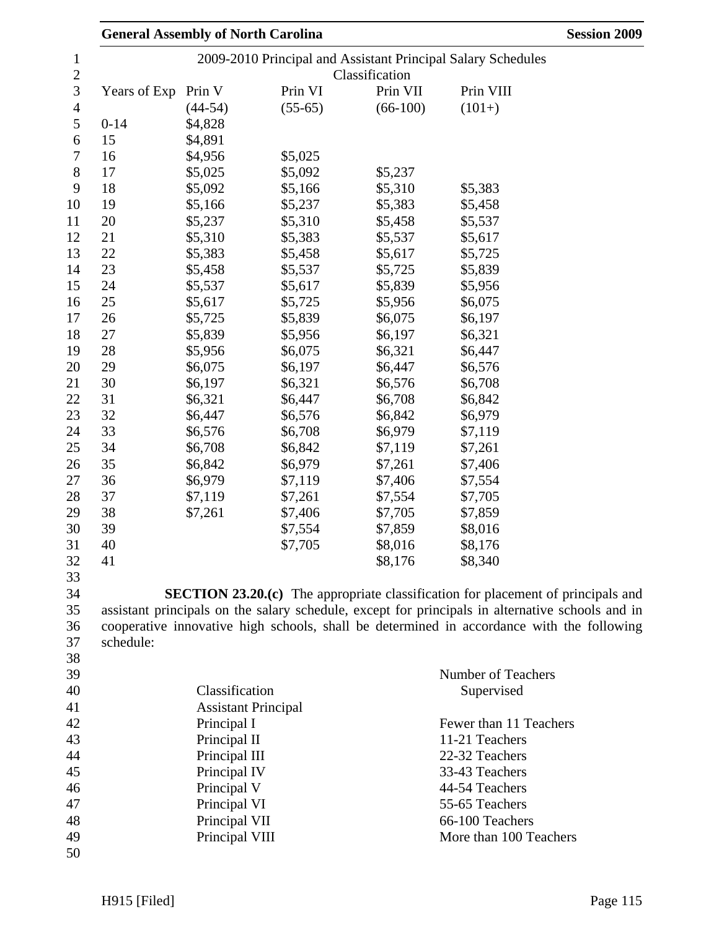|              | <b>General Assembly of North Carolina</b> |           |            | <b>Session 2009</b>                                                                              |  |  |
|--------------|-------------------------------------------|-----------|------------|--------------------------------------------------------------------------------------------------|--|--|
|              |                                           |           |            | 2009-2010 Principal and Assistant Principal Salary Schedules                                     |  |  |
|              | Classification                            |           |            |                                                                                                  |  |  |
| Years of Exp | Prin V                                    | Prin VI   | Prin VII   | Prin VIII                                                                                        |  |  |
|              | $(44-54)$                                 | $(55-65)$ | $(66-100)$ | $(101+)$                                                                                         |  |  |
| $0 - 14$     | \$4,828                                   |           |            |                                                                                                  |  |  |
| 15           | \$4,891                                   |           |            |                                                                                                  |  |  |
| 16           | \$4,956                                   | \$5,025   |            |                                                                                                  |  |  |
| 17           | \$5,025                                   | \$5,092   | \$5,237    |                                                                                                  |  |  |
| 18           | \$5,092                                   | \$5,166   | \$5,310    | \$5,383                                                                                          |  |  |
| 19           | \$5,166                                   | \$5,237   | \$5,383    | \$5,458                                                                                          |  |  |
| 20           | \$5,237                                   | \$5,310   | \$5,458    | \$5,537                                                                                          |  |  |
| 21           | \$5,310                                   | \$5,383   | \$5,537    | \$5,617                                                                                          |  |  |
| 22           | \$5,383                                   | \$5,458   | \$5,617    | \$5,725                                                                                          |  |  |
| 23           | \$5,458                                   | \$5,537   | \$5,725    | \$5,839                                                                                          |  |  |
| 24           | \$5,537                                   | \$5,617   | \$5,839    | \$5,956                                                                                          |  |  |
| 25           | \$5,617                                   | \$5,725   | \$5,956    | \$6,075                                                                                          |  |  |
| 26           | \$5,725                                   | \$5,839   | \$6,075    | \$6,197                                                                                          |  |  |
| 27           | \$5,839                                   | \$5,956   | \$6,197    | \$6,321                                                                                          |  |  |
| 28           | \$5,956                                   | \$6,075   | \$6,321    | \$6,447                                                                                          |  |  |
| 29           | \$6,075                                   | \$6,197   | \$6,447    | \$6,576                                                                                          |  |  |
| 30           | \$6,197                                   | \$6,321   | \$6,576    | \$6,708                                                                                          |  |  |
| 31           | \$6,321                                   | \$6,447   | \$6,708    | \$6,842                                                                                          |  |  |
| 32           | \$6,447                                   | \$6,576   | \$6,842    | \$6,979                                                                                          |  |  |
| 33           | \$6,576                                   | \$6,708   | \$6,979    | \$7,119                                                                                          |  |  |
| 34           | \$6,708                                   | \$6,842   | \$7,119    | \$7,261                                                                                          |  |  |
| 35           | \$6,842                                   | \$6,979   | \$7,261    | \$7,406                                                                                          |  |  |
| 36           | \$6,979                                   | \$7,119   | \$7,406    | \$7,554                                                                                          |  |  |
| 37           | \$7,119                                   | \$7,261   | \$7,554    | \$7,705                                                                                          |  |  |
| 38           | \$7,261                                   | \$7,406   | \$7,705    | \$7,859                                                                                          |  |  |
| 39           |                                           | \$7,554   | \$7,859    | \$8,016                                                                                          |  |  |
| 40           |                                           | \$7,705   | \$8,016    | \$8,176                                                                                          |  |  |
| 41           |                                           |           | \$8,176    | \$8,340                                                                                          |  |  |
|              |                                           |           |            |                                                                                                  |  |  |
|              |                                           |           |            | <b>SECTION 23.20.(c)</b> The appropriate classification for placement of principals and          |  |  |
|              |                                           |           |            | assistant principals on the salary schedule, except for principals in alternative schools and in |  |  |
|              |                                           |           |            | cooperative innovative high schools, shall be determined in accordance with the following        |  |  |
| schedule:    |                                           |           |            |                                                                                                  |  |  |
|              |                                           |           |            |                                                                                                  |  |  |
|              |                                           |           |            | Number of Teachers                                                                               |  |  |
|              | Classification                            |           |            | Supervised                                                                                       |  |  |
|              | <b>Assistant Principal</b>                |           |            |                                                                                                  |  |  |
|              | Principal I                               |           |            | Fewer than 11 Teachers                                                                           |  |  |
|              | Principal II                              |           |            | 11-21 Teachers                                                                                   |  |  |
|              | Principal III                             |           |            | 22-32 Teachers                                                                                   |  |  |
|              | Principal IV                              |           |            | 33-43 Teachers                                                                                   |  |  |
|              | Principal V                               |           |            | 44-54 Teachers                                                                                   |  |  |
|              | Principal VI                              |           |            | 55-65 Teachers                                                                                   |  |  |
|              | Principal VII                             |           |            | 66-100 Teachers                                                                                  |  |  |
|              | Principal VIII                            |           |            | More than 100 Teachers                                                                           |  |  |
|              |                                           |           |            |                                                                                                  |  |  |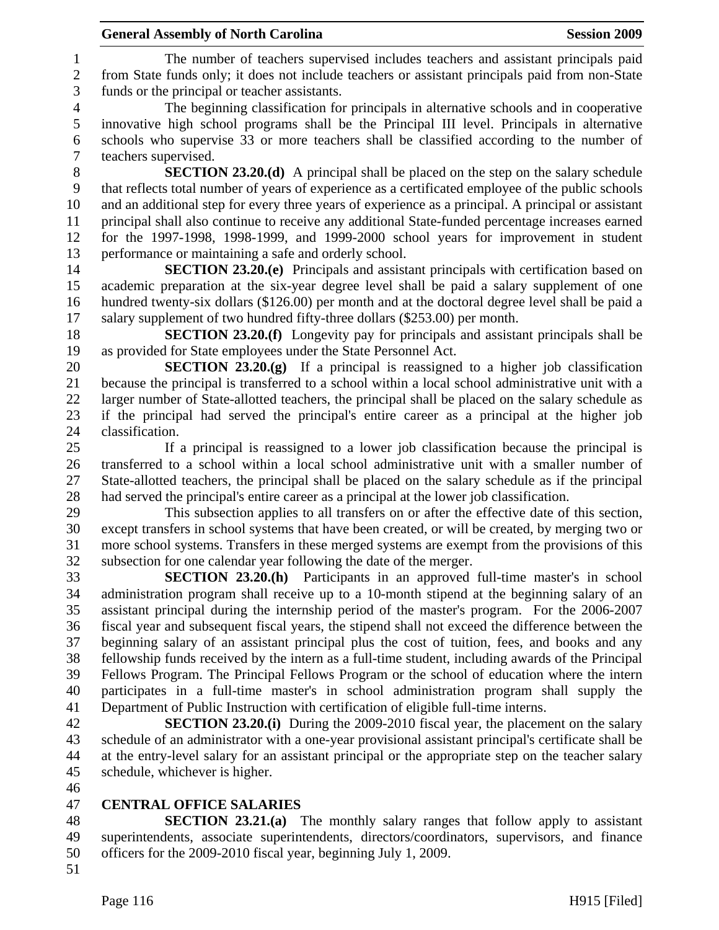1 The number of teachers supervised includes teachers and assistant principals paid 2 from State funds only; it does not include teachers or assistant principals paid from non-State 3 funds or the principal or teacher assistants.

4 The beginning classification for principals in alternative schools and in cooperative 5 innovative high school programs shall be the Principal III level. Principals in alternative 6 schools who supervise 33 or more teachers shall be classified according to the number of 7 teachers supervised.

8 **SECTION 23.20.(d)** A principal shall be placed on the step on the salary schedule 9 that reflects total number of years of experience as a certificated employee of the public schools 10 and an additional step for every three years of experience as a principal. A principal or assistant 11 principal shall also continue to receive any additional State-funded percentage increases earned 12 for the 1997-1998, 1998-1999, and 1999-2000 school years for improvement in student 13 performance or maintaining a safe and orderly school.

14 **SECTION 23.20.(e)** Principals and assistant principals with certification based on 15 academic preparation at the six-year degree level shall be paid a salary supplement of one 16 hundred twenty-six dollars (\$126.00) per month and at the doctoral degree level shall be paid a 17 salary supplement of two hundred fifty-three dollars (\$253.00) per month.

18 **SECTION 23.20.(f)** Longevity pay for principals and assistant principals shall be 19 as provided for State employees under the State Personnel Act.

20 **SECTION 23.20.(g)** If a principal is reassigned to a higher job classification 21 because the principal is transferred to a school within a local school administrative unit with a 22 larger number of State-allotted teachers, the principal shall be placed on the salary schedule as 23 if the principal had served the principal's entire career as a principal at the higher job 24 classification.

25 If a principal is reassigned to a lower job classification because the principal is 26 transferred to a school within a local school administrative unit with a smaller number of 27 State-allotted teachers, the principal shall be placed on the salary schedule as if the principal 28 had served the principal's entire career as a principal at the lower job classification.

29 This subsection applies to all transfers on or after the effective date of this section, 30 except transfers in school systems that have been created, or will be created, by merging two or 31 more school systems. Transfers in these merged systems are exempt from the provisions of this 32 subsection for one calendar year following the date of the merger.

33 **SECTION 23.20.(h)** Participants in an approved full-time master's in school 34 administration program shall receive up to a 10-month stipend at the beginning salary of an 35 assistant principal during the internship period of the master's program. For the 2006-2007 36 fiscal year and subsequent fiscal years, the stipend shall not exceed the difference between the 37 beginning salary of an assistant principal plus the cost of tuition, fees, and books and any 38 fellowship funds received by the intern as a full-time student, including awards of the Principal 39 Fellows Program. The Principal Fellows Program or the school of education where the intern 40 participates in a full-time master's in school administration program shall supply the 41 Department of Public Instruction with certification of eligible full-time interns.

42 **SECTION 23.20.(i)** During the 2009-2010 fiscal year, the placement on the salary 43 schedule of an administrator with a one-year provisional assistant principal's certificate shall be 44 at the entry-level salary for an assistant principal or the appropriate step on the teacher salary 45 schedule, whichever is higher.

46

### 47 **CENTRAL OFFICE SALARIES**

48 **SECTION 23.21.(a)** The monthly salary ranges that follow apply to assistant 49 superintendents, associate superintendents, directors/coordinators, supervisors, and finance 50 officers for the 2009-2010 fiscal year, beginning July 1, 2009.

51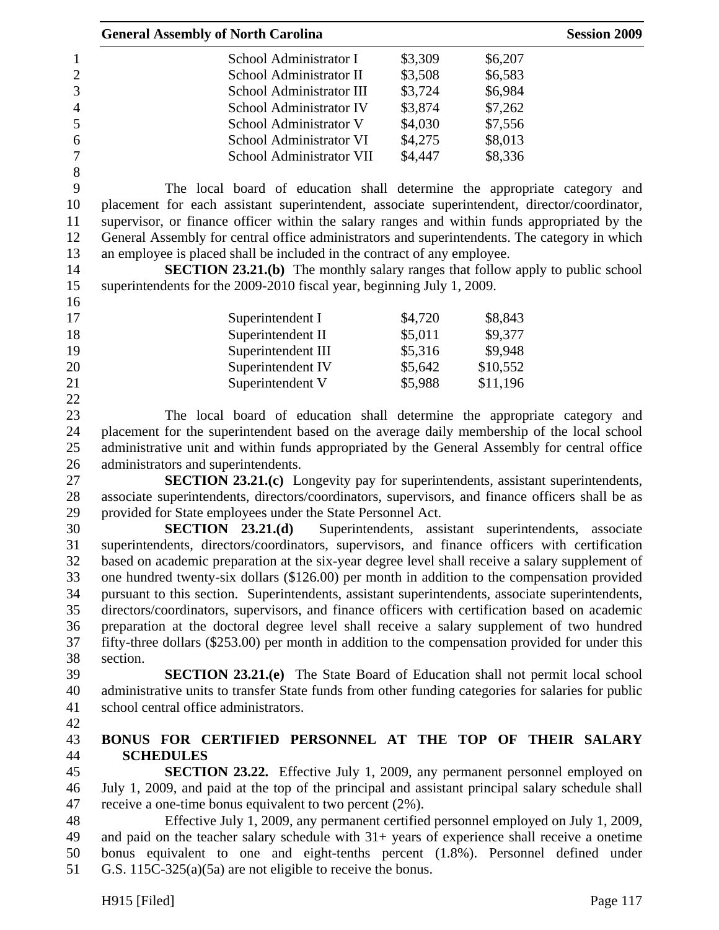|                  | <b>General Assembly of North Carolina</b>                                                          |         |                                             | <b>Session 2009</b> |
|------------------|----------------------------------------------------------------------------------------------------|---------|---------------------------------------------|---------------------|
| $\mathbf{1}$     | School Administrator I                                                                             | \$3,309 | \$6,207                                     |                     |
| $\overline{c}$   | School Administrator II                                                                            | \$3,508 | \$6,583                                     |                     |
| $\overline{3}$   | School Administrator III                                                                           | \$3,724 | \$6,984                                     |                     |
| $\overline{4}$   | School Administrator IV                                                                            | \$3,874 | \$7,262                                     |                     |
| 5                | School Administrator V                                                                             | \$4,030 | \$7,556                                     |                     |
| 6                | School Administrator VI                                                                            | \$4,275 | \$8,013                                     |                     |
| $\boldsymbol{7}$ | School Administrator VII                                                                           | \$4,447 | \$8,336                                     |                     |
| 8                |                                                                                                    |         |                                             |                     |
| 9                | The local board of education shall determine the appropriate category and                          |         |                                             |                     |
| 10               | placement for each assistant superintendent, associate superintendent, director/coordinator,       |         |                                             |                     |
| 11               | supervisor, or finance officer within the salary ranges and within funds appropriated by the       |         |                                             |                     |
| 12               | General Assembly for central office administrators and superintendents. The category in which      |         |                                             |                     |
| 13               | an employee is placed shall be included in the contract of any employee.                           |         |                                             |                     |
| 14               | <b>SECTION 23.21.(b)</b> The monthly salary ranges that follow apply to public school              |         |                                             |                     |
| 15               | superintendents for the 2009-2010 fiscal year, beginning July 1, 2009.                             |         |                                             |                     |
| 16               |                                                                                                    |         |                                             |                     |
| 17               | Superintendent I                                                                                   | \$4,720 | \$8,843                                     |                     |
| 18               | Superintendent II                                                                                  | \$5,011 | \$9,377                                     |                     |
| 19               | Superintendent III                                                                                 | \$5,316 | \$9,948                                     |                     |
| 20               |                                                                                                    | \$5,642 | \$10,552                                    |                     |
|                  | Superintendent IV                                                                                  |         |                                             |                     |
| 21<br>22         | Superintendent V                                                                                   | \$5,988 | \$11,196                                    |                     |
|                  |                                                                                                    |         |                                             |                     |
| 23               | The local board of education shall determine the appropriate category and                          |         |                                             |                     |
| 24               | placement for the superintendent based on the average daily membership of the local school         |         |                                             |                     |
| 25               | administrative unit and within funds appropriated by the General Assembly for central office       |         |                                             |                     |
| 26               | administrators and superintendents.                                                                |         |                                             |                     |
| 27               | <b>SECTION 23.21.(c)</b> Longevity pay for superintendents, assistant superintendents,             |         |                                             |                     |
| 28               | associate superintendents, directors/coordinators, supervisors, and finance officers shall be as   |         |                                             |                     |
| 29               | provided for State employees under the State Personnel Act.                                        |         |                                             |                     |
| 30               | SECTION 23.21(d)                                                                                   |         | Superintendents, assistant superintendents, | associate           |
| 31               | superintendents, directors/coordinators, supervisors, and finance officers with certification      |         |                                             |                     |
| 32               | based on academic preparation at the six-year degree level shall receive a salary supplement of    |         |                                             |                     |
| 33               | one hundred twenty-six dollars (\$126.00) per month in addition to the compensation provided       |         |                                             |                     |
| 34               | pursuant to this section. Superintendents, assistant superintendents, associate superintendents,   |         |                                             |                     |
| 35               | directors/coordinators, supervisors, and finance officers with certification based on academic     |         |                                             |                     |
| 36               | preparation at the doctoral degree level shall receive a salary supplement of two hundred          |         |                                             |                     |
| 37               | fifty-three dollars (\$253.00) per month in addition to the compensation provided for under this   |         |                                             |                     |
| 38               | section.                                                                                           |         |                                             |                     |
| 39               | <b>SECTION 23.21.(e)</b> The State Board of Education shall not permit local school                |         |                                             |                     |
| 40               | administrative units to transfer State funds from other funding categories for salaries for public |         |                                             |                     |
| 41               | school central office administrators.                                                              |         |                                             |                     |
| 42               |                                                                                                    |         |                                             |                     |
| 43               | BONUS FOR CERTIFIED PERSONNEL AT THE TOP OF THEIR SALARY                                           |         |                                             |                     |
| 44               | <b>SCHEDULES</b>                                                                                   |         |                                             |                     |
| 45               | <b>SECTION 23.22.</b> Effective July 1, 2009, any permanent personnel employed on                  |         |                                             |                     |
| 46               | July 1, 2009, and paid at the top of the principal and assistant principal salary schedule shall   |         |                                             |                     |
| 47               | receive a one-time bonus equivalent to two percent (2%).                                           |         |                                             |                     |
| 48               | Effective July 1, 2009, any permanent certified personnel employed on July 1, 2009,                |         |                                             |                     |
| 49               | and paid on the teacher salary schedule with $31+$ years of experience shall receive a onetime     |         |                                             |                     |
| 50               | bonus equivalent to one and eight-tenths percent (1.8%). Personnel defined under                   |         |                                             |                     |
| 51               | G.S. $115C-325(a)(5a)$ are not eligible to receive the bonus.                                      |         |                                             |                     |
|                  |                                                                                                    |         |                                             |                     |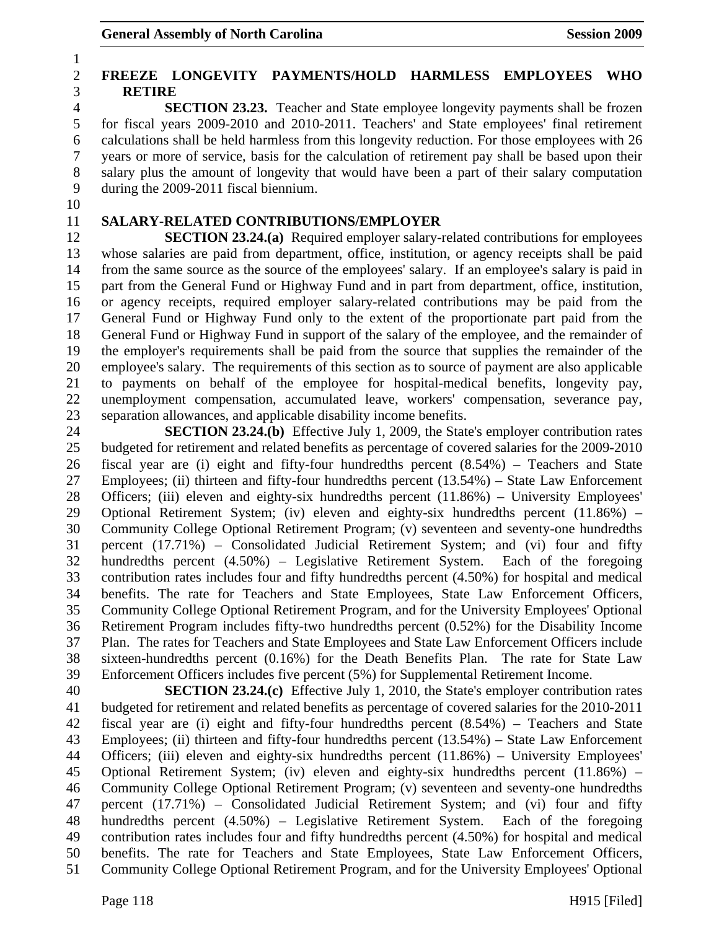# 2 **FREEZE LONGEVITY PAYMENTS/HOLD HARMLESS EMPLOYEES WHO**  3 **RETIRE**

4 **SECTION 23.23.** Teacher and State employee longevity payments shall be frozen 5 for fiscal years 2009-2010 and 2010-2011. Teachers' and State employees' final retirement 6 calculations shall be held harmless from this longevity reduction. For those employees with 26 7 years or more of service, basis for the calculation of retirement pay shall be based upon their 8 salary plus the amount of longevity that would have been a part of their salary computation 9 during the 2009-2011 fiscal biennium.

10

1

# 11 **SALARY-RELATED CONTRIBUTIONS/EMPLOYER**

12 **SECTION 23.24.(a)** Required employer salary-related contributions for employees 13 whose salaries are paid from department, office, institution, or agency receipts shall be paid 14 from the same source as the source of the employees' salary. If an employee's salary is paid in 15 part from the General Fund or Highway Fund and in part from department, office, institution, 16 or agency receipts, required employer salary-related contributions may be paid from the 17 General Fund or Highway Fund only to the extent of the proportionate part paid from the 18 General Fund or Highway Fund in support of the salary of the employee, and the remainder of 19 the employer's requirements shall be paid from the source that supplies the remainder of the 20 employee's salary. The requirements of this section as to source of payment are also applicable 21 to payments on behalf of the employee for hospital-medical benefits, longevity pay, 22 unemployment compensation, accumulated leave, workers' compensation, severance pay, 23 separation allowances, and applicable disability income benefits.

24 **SECTION 23.24.(b)** Effective July 1, 2009, the State's employer contribution rates 25 budgeted for retirement and related benefits as percentage of covered salaries for the 2009-2010 26 fiscal year are (i) eight and fifty-four hundredths percent (8.54%) – Teachers and State 27 Employees; (ii) thirteen and fifty-four hundredths percent (13.54%) – State Law Enforcement 28 Officers; (iii) eleven and eighty-six hundredths percent (11.86%) – University Employees' 29 Optional Retirement System; (iv) eleven and eighty-six hundredths percent (11.86%) – 30 Community College Optional Retirement Program; (v) seventeen and seventy-one hundredths 31 percent (17.71%) – Consolidated Judicial Retirement System; and (vi) four and fifty 32 hundredths percent (4.50%) – Legislative Retirement System. Each of the foregoing 33 contribution rates includes four and fifty hundredths percent (4.50%) for hospital and medical 34 benefits. The rate for Teachers and State Employees, State Law Enforcement Officers, 35 Community College Optional Retirement Program, and for the University Employees' Optional 36 Retirement Program includes fifty-two hundredths percent (0.52%) for the Disability Income 37 Plan. The rates for Teachers and State Employees and State Law Enforcement Officers include 38 sixteen-hundredths percent (0.16%) for the Death Benefits Plan. The rate for State Law 39 Enforcement Officers includes five percent (5%) for Supplemental Retirement Income.

40 **SECTION 23.24.(c)** Effective July 1, 2010, the State's employer contribution rates 41 budgeted for retirement and related benefits as percentage of covered salaries for the 2010-2011 42 fiscal year are (i) eight and fifty-four hundredths percent (8.54%) – Teachers and State 43 Employees; (ii) thirteen and fifty-four hundredths percent (13.54%) – State Law Enforcement 44 Officers; (iii) eleven and eighty-six hundredths percent (11.86%) – University Employees' 45 Optional Retirement System; (iv) eleven and eighty-six hundredths percent (11.86%) – 46 Community College Optional Retirement Program; (v) seventeen and seventy-one hundredths 47 percent (17.71%) – Consolidated Judicial Retirement System; and (vi) four and fifty 48 hundredths percent (4.50%) – Legislative Retirement System. Each of the foregoing 49 contribution rates includes four and fifty hundredths percent (4.50%) for hospital and medical 50 benefits. The rate for Teachers and State Employees, State Law Enforcement Officers, 51 Community College Optional Retirement Program, and for the University Employees' Optional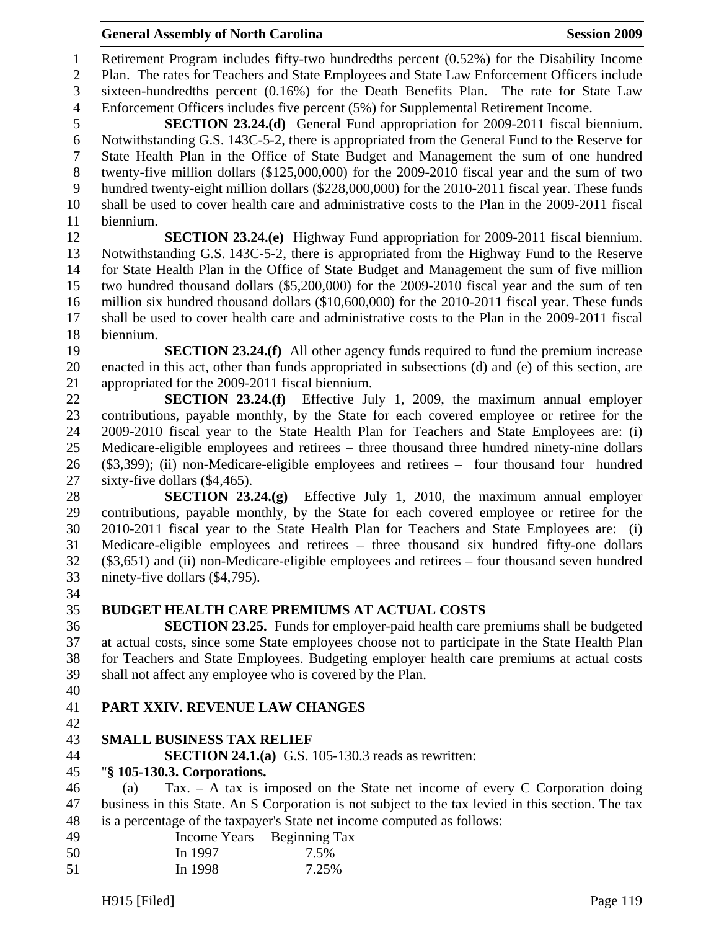| 49 |         | Income Years Beginning Tax |
|----|---------|----------------------------|
| 50 | In 1997 | 7.5%                       |
| 51 | In 1998 | 7.25%                      |

## General Assembly of North Carolina **Session 2009**

1 Retirement Program includes fifty-two hundredths percent (0.52%) for the Disability Income 2 Plan. The rates for Teachers and State Employees and State Law Enforcement Officers include 3 sixteen-hundredths percent (0.16%) for the Death Benefits Plan. The rate for State Law 4 Enforcement Officers includes five percent (5%) for Supplemental Retirement Income.

5 **SECTION 23.24.(d)** General Fund appropriation for 2009-2011 fiscal biennium. 6 Notwithstanding G.S. 143C-5-2, there is appropriated from the General Fund to the Reserve for 7 State Health Plan in the Office of State Budget and Management the sum of one hundred 8 twenty-five million dollars (\$125,000,000) for the 2009-2010 fiscal year and the sum of two 9 hundred twenty-eight million dollars (\$228,000,000) for the 2010-2011 fiscal year. These funds 10 shall be used to cover health care and administrative costs to the Plan in the 2009-2011 fiscal 11 biennium.

12 **SECTION 23.24.(e)** Highway Fund appropriation for 2009-2011 fiscal biennium. 13 Notwithstanding G.S. 143C-5-2, there is appropriated from the Highway Fund to the Reserve 14 for State Health Plan in the Office of State Budget and Management the sum of five million 15 two hundred thousand dollars (\$5,200,000) for the 2009-2010 fiscal year and the sum of ten 16 million six hundred thousand dollars (\$10,600,000) for the 2010-2011 fiscal year. These funds 17 shall be used to cover health care and administrative costs to the Plan in the 2009-2011 fiscal 18 biennium.

19 **SECTION 23.24.(f)** All other agency funds required to fund the premium increase 20 enacted in this act, other than funds appropriated in subsections (d) and (e) of this section, are 21 appropriated for the 2009-2011 fiscal biennium.

22 **SECTION 23.24.(f)** Effective July 1, 2009, the maximum annual employer 23 contributions, payable monthly, by the State for each covered employee or retiree for the 24 2009-2010 fiscal year to the State Health Plan for Teachers and State Employees are: (i) 25 Medicare-eligible employees and retirees – three thousand three hundred ninety-nine dollars 26 (\$3,399); (ii) non-Medicare-eligible employees and retirees – four thousand four hundred 27 sixty-five dollars (\$4,465).

28 **SECTION 23.24.(g)** Effective July 1, 2010, the maximum annual employer 29 contributions, payable monthly, by the State for each covered employee or retiree for the 30 2010-2011 fiscal year to the State Health Plan for Teachers and State Employees are: (i) 31 Medicare-eligible employees and retirees – three thousand six hundred fifty-one dollars 32 (\$3,651) and (ii) non-Medicare-eligible employees and retirees – four thousand seven hundred 33 ninety-five dollars (\$4,795).

- 34
- 

# 35 **BUDGET HEALTH CARE PREMIUMS AT ACTUAL COSTS**

36 **SECTION 23.25.** Funds for employer-paid health care premiums shall be budgeted 37 at actual costs, since some State employees choose not to participate in the State Health Plan 38 for Teachers and State Employees. Budgeting employer health care premiums at actual costs 39 shall not affect any employee who is covered by the Plan.

40

# 41 **PART XXIV. REVENUE LAW CHANGES**

42

# 43 **SMALL BUSINESS TAX RELIEF**

44 **SECTION 24.1.(a)** G.S. 105-130.3 reads as rewritten:

### 45 "**§ 105-130.3. Corporations.**

46 (a) Tax. – A tax is imposed on the State net income of every C Corporation doing 47 business in this State. An S Corporation is not subject to the tax levied in this section. The tax 48 is a percentage of the taxpayer's State net income computed as follows: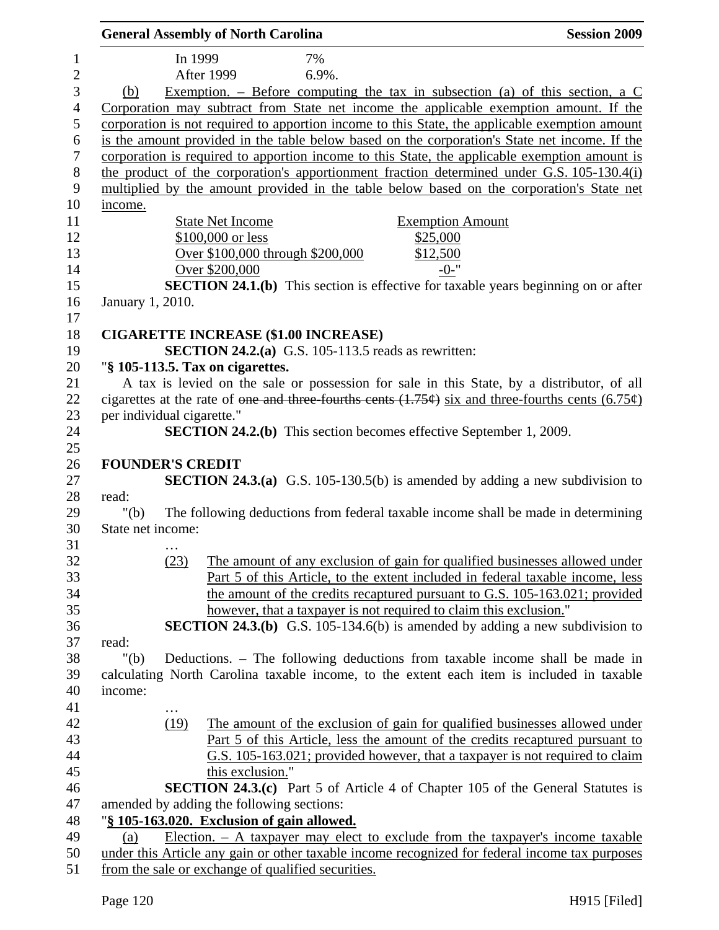|                |                            |         | <b>General Assembly of North Carolina</b> |                                                                                                           | <b>Session 2009</b>                                                                                                                                                                |
|----------------|----------------------------|---------|-------------------------------------------|-----------------------------------------------------------------------------------------------------------|------------------------------------------------------------------------------------------------------------------------------------------------------------------------------------|
| $\mathbf{1}$   |                            | In 1999 |                                           | 7%                                                                                                        |                                                                                                                                                                                    |
| $\overline{2}$ |                            |         | <b>After 1999</b>                         | 6.9%.                                                                                                     |                                                                                                                                                                                    |
| $\mathfrak{Z}$ | (b)                        |         |                                           |                                                                                                           | Exemption. – Before computing the tax in subsection (a) of this section, a $C$                                                                                                     |
| $\overline{4}$ |                            |         |                                           |                                                                                                           | Corporation may subtract from State net income the applicable exemption amount. If the                                                                                             |
| 5              |                            |         |                                           |                                                                                                           | corporation is not required to apportion income to this State, the applicable exemption amount                                                                                     |
|                |                            |         |                                           |                                                                                                           | is the amount provided in the table below based on the corporation's State net income. If the                                                                                      |
|                |                            |         |                                           |                                                                                                           | corporation is required to apportion income to this State, the applicable exemption amount is                                                                                      |
|                |                            |         |                                           |                                                                                                           | the product of the corporation's apportionment fraction determined under G.S. 105-130.4(i)                                                                                         |
|                |                            |         |                                           |                                                                                                           | multiplied by the amount provided in the table below based on the corporation's State net                                                                                          |
|                | income.                    |         |                                           |                                                                                                           |                                                                                                                                                                                    |
|                |                            |         | <b>State Net Income</b>                   |                                                                                                           | <b>Exemption Amount</b>                                                                                                                                                            |
|                |                            |         | \$100,000 or less                         |                                                                                                           | \$25,000                                                                                                                                                                           |
|                |                            |         |                                           | Over \$100,000 through \$200,000                                                                          | \$12,500                                                                                                                                                                           |
|                |                            |         | Over \$200,000                            |                                                                                                           | $-0-$ "                                                                                                                                                                            |
|                |                            |         |                                           |                                                                                                           | <b>SECTION 24.1.(b)</b> This section is effective for taxable years beginning on or after                                                                                          |
|                | January 1, 2010.           |         |                                           |                                                                                                           |                                                                                                                                                                                    |
|                |                            |         |                                           |                                                                                                           |                                                                                                                                                                                    |
|                |                            |         |                                           | <b>CIGARETTE INCREASE (\$1.00 INCREASE)</b><br><b>SECTION 24.2.(a)</b> G.S. 105-113.5 reads as rewritten: |                                                                                                                                                                                    |
|                |                            |         | "§ 105-113.5. Tax on cigarettes.          |                                                                                                           |                                                                                                                                                                                    |
|                |                            |         |                                           |                                                                                                           | A tax is levied on the sale or possession for sale in this State, by a distributor, of all                                                                                         |
|                |                            |         |                                           |                                                                                                           | cigarettes at the rate of <del>one and three fourths cents (1.75¢)</del> six and three-fourths cents (6.75¢)                                                                       |
|                | per individual cigarette." |         |                                           |                                                                                                           |                                                                                                                                                                                    |
|                |                            |         |                                           |                                                                                                           | <b>SECTION 24.2.(b)</b> This section becomes effective September 1, 2009.                                                                                                          |
|                |                            |         |                                           |                                                                                                           |                                                                                                                                                                                    |
|                | <b>FOUNDER'S CREDIT</b>    |         |                                           |                                                                                                           |                                                                                                                                                                                    |
|                |                            |         |                                           |                                                                                                           | <b>SECTION 24.3.(a)</b> G.S. 105-130.5(b) is amended by adding a new subdivision to                                                                                                |
|                | read:                      |         |                                           |                                                                                                           |                                                                                                                                                                                    |
|                | " $(b)$                    |         |                                           |                                                                                                           | The following deductions from federal taxable income shall be made in determining                                                                                                  |
|                | State net income:          |         |                                           |                                                                                                           |                                                                                                                                                                                    |
|                |                            |         |                                           |                                                                                                           |                                                                                                                                                                                    |
|                |                            | (23)    |                                           |                                                                                                           | The amount of any exclusion of gain for qualified businesses allowed under                                                                                                         |
|                |                            |         |                                           |                                                                                                           | Part 5 of this Article, to the extent included in federal taxable income, less                                                                                                     |
|                |                            |         |                                           |                                                                                                           | the amount of the credits recaptured pursuant to G.S. 105-163.021; provided                                                                                                        |
|                |                            |         |                                           |                                                                                                           | however, that a taxpayer is not required to claim this exclusion."                                                                                                                 |
|                |                            |         |                                           |                                                                                                           | <b>SECTION 24.3.(b)</b> G.S. 105-134.6(b) is amended by adding a new subdivision to                                                                                                |
|                | read:                      |         |                                           |                                                                                                           |                                                                                                                                                                                    |
|                | " $(b)$                    |         |                                           |                                                                                                           | Deductions. - The following deductions from taxable income shall be made in                                                                                                        |
|                |                            |         |                                           |                                                                                                           | calculating North Carolina taxable income, to the extent each item is included in taxable                                                                                          |
|                | income:                    |         |                                           |                                                                                                           |                                                                                                                                                                                    |
|                |                            |         |                                           |                                                                                                           |                                                                                                                                                                                    |
|                |                            | (19)    |                                           |                                                                                                           | The amount of the exclusion of gain for qualified businesses allowed under                                                                                                         |
|                |                            |         |                                           |                                                                                                           | Part 5 of this Article, less the amount of the credits recaptured pursuant to                                                                                                      |
|                |                            |         |                                           |                                                                                                           | G.S. 105-163.021; provided however, that a taxpayer is not required to claim                                                                                                       |
|                |                            |         | this exclusion."                          |                                                                                                           |                                                                                                                                                                                    |
|                |                            |         |                                           |                                                                                                           | <b>SECTION 24.3.(c)</b> Part 5 of Article 4 of Chapter 105 of the General Statutes is                                                                                              |
|                |                            |         | amended by adding the following sections: |                                                                                                           |                                                                                                                                                                                    |
|                |                            |         |                                           | "§ 105-163.020. Exclusion of gain allowed.                                                                |                                                                                                                                                                                    |
|                | (a)                        |         |                                           |                                                                                                           | Election. $-$ A taxpayer may elect to exclude from the taxpayer's income taxable<br>under this Article any gain or other taxable income recognized for federal income tax purposes |
|                |                            |         |                                           | from the sale or exchange of qualified securities.                                                        |                                                                                                                                                                                    |
|                |                            |         |                                           |                                                                                                           |                                                                                                                                                                                    |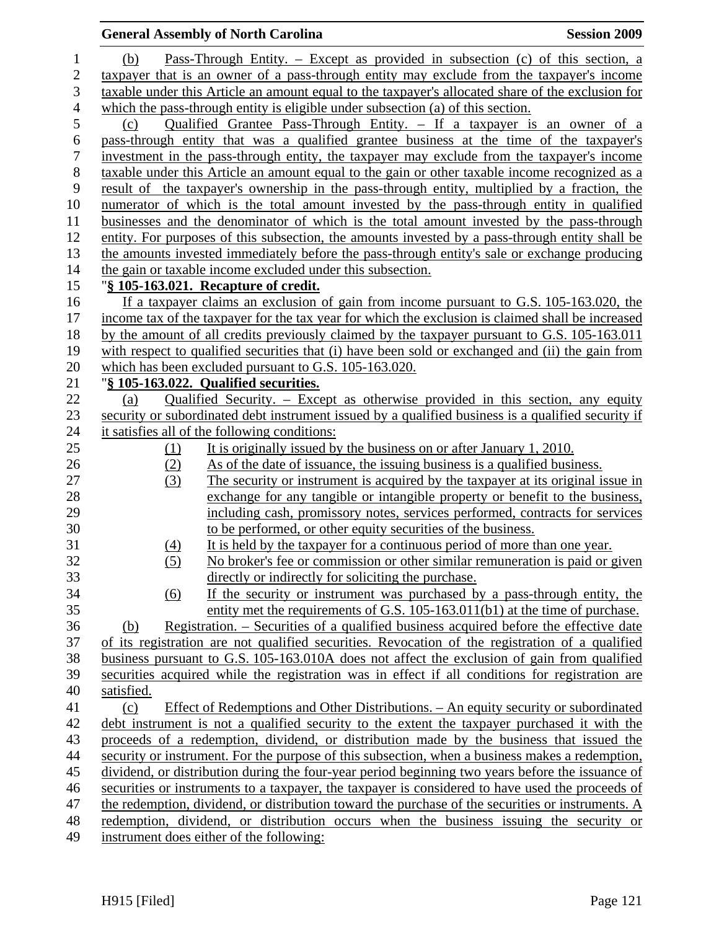|                  |            | <b>General Assembly of North Carolina</b>                                                                                                                                                      | <b>Session 2009</b> |
|------------------|------------|------------------------------------------------------------------------------------------------------------------------------------------------------------------------------------------------|---------------------|
| $\mathbf{1}$     | (b)        | <u>Pass-Through Entity. – Except as provided in subsection (c) of this section, a</u>                                                                                                          |                     |
| $\overline{c}$   |            | taxpayer that is an owner of a pass-through entity may exclude from the taxpayer's income                                                                                                      |                     |
| 3                |            | taxable under this Article an amount equal to the taxpayer's allocated share of the exclusion for                                                                                              |                     |
| $\overline{4}$   |            | which the pass-through entity is eligible under subsection (a) of this section.                                                                                                                |                     |
| 5                | (c)        | <u>Qualified Grantee Pass-Through Entity. – If a taxpayer is an owner of a</u>                                                                                                                 |                     |
| $\boldsymbol{6}$ |            | pass-through entity that was a qualified grantee business at the time of the taxpayer's                                                                                                        |                     |
| $\tau$           |            | investment in the pass-through entity, the taxpayer may exclude from the taxpayer's income                                                                                                     |                     |
| $8\,$            |            | taxable under this Article an amount equal to the gain or other taxable income recognized as a                                                                                                 |                     |
| 9                |            | result of the taxpayer's ownership in the pass-through entity, multiplied by a fraction, the                                                                                                   |                     |
| 10               |            | numerator of which is the total amount invested by the pass-through entity in qualified                                                                                                        |                     |
| 11               |            | businesses and the denominator of which is the total amount invested by the pass-through                                                                                                       |                     |
| 12               |            | entity. For purposes of this subsection, the amounts invested by a pass-through entity shall be                                                                                                |                     |
| 13               |            | the amounts invested immediately before the pass-through entity's sale or exchange producing                                                                                                   |                     |
| 14               |            | the gain or taxable income excluded under this subsection.                                                                                                                                     |                     |
| 15               |            | "§ 105-163.021. Recapture of credit.                                                                                                                                                           |                     |
| 16               |            | If a taxpayer claims an exclusion of gain from income pursuant to G.S. 105-163.020, the                                                                                                        |                     |
| 17               |            | income tax of the taxpayer for the tax year for which the exclusion is claimed shall be increased                                                                                              |                     |
| 18               |            | by the amount of all credits previously claimed by the taxpayer pursuant to G.S. 105-163.011                                                                                                   |                     |
| 19               |            | with respect to qualified securities that (i) have been sold or exchanged and (ii) the gain from                                                                                               |                     |
| 20               |            | which has been excluded pursuant to G.S. 105-163.020.                                                                                                                                          |                     |
| 21               |            | "§ 105-163.022. Qualified securities.                                                                                                                                                          |                     |
| 22               | (a)        | Qualified Security. – Except as otherwise provided in this section, any equity                                                                                                                 |                     |
| 23               |            | security or subordinated debt instrument issued by a qualified business is a qualified security if                                                                                             |                     |
| 24               |            | it satisfies all of the following conditions:                                                                                                                                                  |                     |
| 25               | $\Omega$   | It is originally issued by the business on or after January 1, 2010.                                                                                                                           |                     |
| 26               | (2)        | As of the date of issuance, the issuing business is a qualified business.                                                                                                                      |                     |
| 27               | (3)        | The security or instrument is acquired by the taxpayer at its original issue in                                                                                                                |                     |
| 28               |            | exchange for any tangible or intangible property or benefit to the business,                                                                                                                   |                     |
| 29               |            | including cash, promissory notes, services performed, contracts for services                                                                                                                   |                     |
| 30               |            | to be performed, or other equity securities of the business.                                                                                                                                   |                     |
| 31               | (4)        | It is held by the taxpayer for a continuous period of more than one year.                                                                                                                      |                     |
| 32               | (5)        | No broker's fee or commission or other similar remuneration is paid or given                                                                                                                   |                     |
| 33               |            | directly or indirectly for soliciting the purchase.                                                                                                                                            |                     |
| 34               | <u>(6)</u> | If the security or instrument was purchased by a pass-through entity, the                                                                                                                      |                     |
| 35               |            | entity met the requirements of G.S. 105-163.011(b1) at the time of purchase.                                                                                                                   |                     |
| 36<br>37         | (b)        | Registration. – Securities of a qualified business acquired before the effective date                                                                                                          |                     |
|                  |            | of its registration are not qualified securities. Revocation of the registration of a qualified                                                                                                |                     |
| 38<br>39         |            | business pursuant to G.S. 105-163.010A does not affect the exclusion of gain from qualified<br>securities acquired while the registration was in effect if all conditions for registration are |                     |
| 40               | satisfied. |                                                                                                                                                                                                |                     |
| 41               | (c)        | Effect of Redemptions and Other Distributions. – An equity security or subordinated                                                                                                            |                     |
|                  |            | debt instrument is not a qualified security to the extent the taxpayer purchased it with the                                                                                                   |                     |
| 42<br>43         |            | proceeds of a redemption, dividend, or distribution made by the business that issued the                                                                                                       |                     |
| 44               |            | security or instrument. For the purpose of this subsection, when a business makes a redemption,                                                                                                |                     |
| 45               |            | dividend, or distribution during the four-year period beginning two years before the issuance of                                                                                               |                     |
| 46               |            | securities or instruments to a taxpayer, the taxpayer is considered to have used the proceeds of                                                                                               |                     |
| 47               |            | the redemption, dividend, or distribution toward the purchase of the securities or instruments. A                                                                                              |                     |
| 48               |            | redemption, dividend, or distribution occurs when the business issuing the security or                                                                                                         |                     |
| 49               |            | instrument does either of the following:                                                                                                                                                       |                     |
|                  |            |                                                                                                                                                                                                |                     |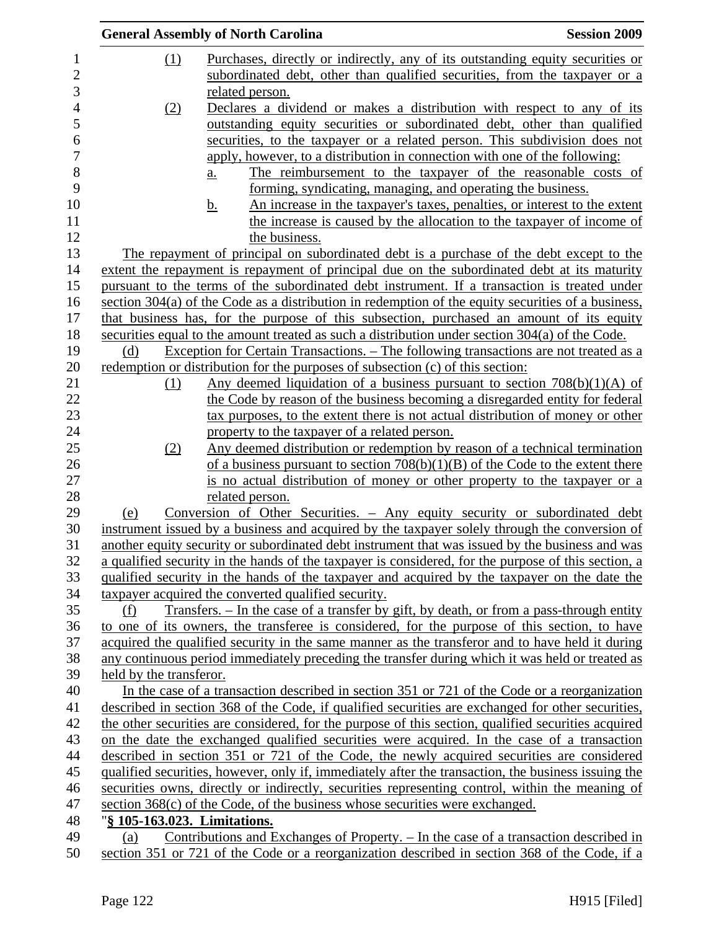|                         | <b>General Assembly of North Carolina</b>                                                            | <b>Session 2009</b> |
|-------------------------|------------------------------------------------------------------------------------------------------|---------------------|
| (1)                     | Purchases, directly or indirectly, any of its outstanding equity securities or                       |                     |
|                         | subordinated debt, other than qualified securities, from the taxpayer or a                           |                     |
|                         | related person.                                                                                      |                     |
| (2)                     | Declares a dividend or makes a distribution with respect to any of its                               |                     |
|                         | outstanding equity securities or subordinated debt, other than qualified                             |                     |
|                         | securities, to the taxpayer or a related person. This subdivision does not                           |                     |
|                         | apply, however, to a distribution in connection with one of the following:                           |                     |
|                         | The reimbursement to the taxpayer of the reasonable costs of<br><u>a.</u>                            |                     |
|                         | forming, syndicating, managing, and operating the business.                                          |                     |
|                         | An increase in the taxpayer's taxes, penalties, or interest to the extent<br><u>b.</u>               |                     |
|                         | the increase is caused by the allocation to the taxpayer of income of                                |                     |
|                         | the business.                                                                                        |                     |
|                         | The repayment of principal on subordinated debt is a purchase of the debt except to the              |                     |
|                         | extent the repayment is repayment of principal due on the subordinated debt at its maturity          |                     |
|                         | pursuant to the terms of the subordinated debt instrument. If a transaction is treated under         |                     |
|                         | section $304(a)$ of the Code as a distribution in redemption of the equity securities of a business, |                     |
|                         | that business has, for the purpose of this subsection, purchased an amount of its equity             |                     |
|                         | securities equal to the amount treated as such a distribution under section 304(a) of the Code.      |                     |
| (d)                     | Exception for Certain Transactions. – The following transactions are not treated as a                |                     |
|                         | redemption or distribution for the purposes of subsection (c) of this section:                       |                     |
| (1)                     | Any deemed liquidation of a business pursuant to section $708(b)(1)(A)$ of                           |                     |
|                         | the Code by reason of the business becoming a disregarded entity for federal                         |                     |
|                         | tax purposes, to the extent there is not actual distribution of money or other                       |                     |
|                         | property to the taxpayer of a related person.                                                        |                     |
| (2)                     | Any deemed distribution or redemption by reason of a technical termination                           |                     |
|                         | of a business pursuant to section $708(b)(1)(B)$ of the Code to the extent there                     |                     |
|                         | is no actual distribution of money or other property to the taxpayer or a                            |                     |
|                         | related person.                                                                                      |                     |
| (e)                     | Conversion of Other Securities. - Any equity security or subordinated debt                           |                     |
|                         | instrument issued by a business and acquired by the taxpayer solely through the conversion of        |                     |
|                         | another equity security or subordinated debt instrument that was issued by the business and was      |                     |
|                         | a qualified security in the hands of the taxpayer is considered, for the purpose of this section, a  |                     |
|                         | qualified security in the hands of the taxpayer and acquired by the taxpayer on the date the         |                     |
|                         | taxpayer acquired the converted qualified security.                                                  |                     |
| (f)                     | <u>Transfers. – In the case of a transfer by gift, by death, or from a pass-through entity</u>       |                     |
|                         | to one of its owners, the transferee is considered, for the purpose of this section, to have         |                     |
|                         | acquired the qualified security in the same manner as the transferor and to have held it during      |                     |
|                         | any continuous period immediately preceding the transfer during which it was held or treated as      |                     |
| held by the transferor. |                                                                                                      |                     |
|                         | In the case of a transaction described in section 351 or 721 of the Code or a reorganization         |                     |
|                         | described in section 368 of the Code, if qualified securities are exchanged for other securities,    |                     |
|                         | the other securities are considered, for the purpose of this section, qualified securities acquired  |                     |
|                         | on the date the exchanged qualified securities were acquired. In the case of a transaction           |                     |
|                         | described in section 351 or 721 of the Code, the newly acquired securities are considered            |                     |
|                         | qualified securities, however, only if, immediately after the transaction, the business issuing the  |                     |
|                         | securities owns, directly or indirectly, securities representing control, within the meaning of      |                     |
|                         | section $368(c)$ of the Code, of the business whose securities were exchanged.                       |                     |
|                         | "§ 105-163.023. Limitations.                                                                         |                     |
| (a)                     | Contributions and Exchanges of Property. - In the case of a transaction described in                 |                     |
|                         |                                                                                                      |                     |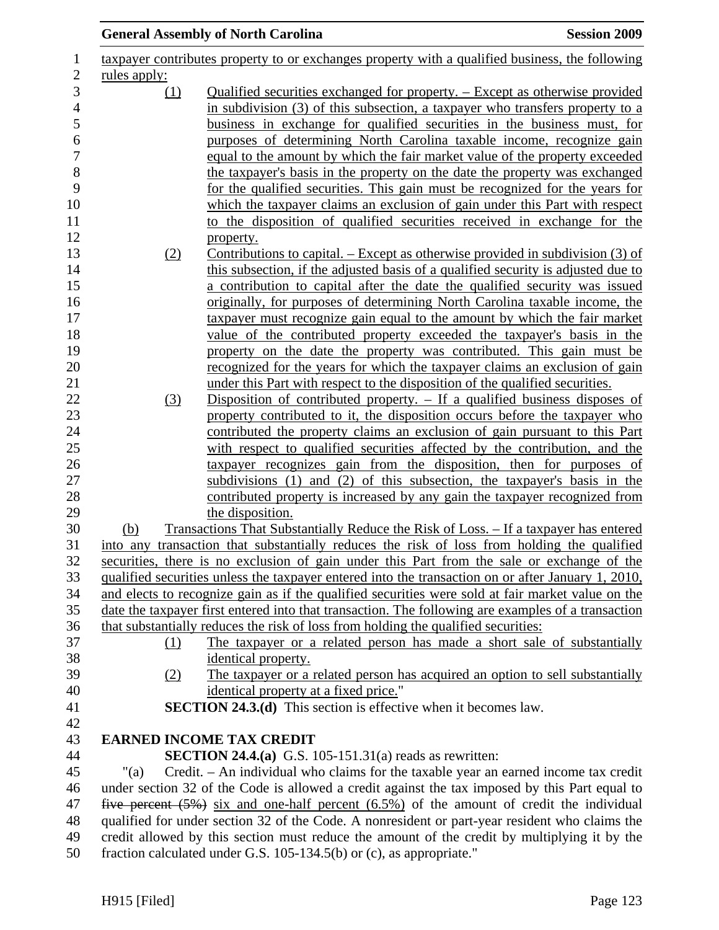|              | <b>General Assembly of North Carolina</b>                                                                                                                                                                                                                                                                                 | <b>Session 2009</b> |
|--------------|---------------------------------------------------------------------------------------------------------------------------------------------------------------------------------------------------------------------------------------------------------------------------------------------------------------------------|---------------------|
|              | taxpayer contributes property to or exchanges property with a qualified business, the following                                                                                                                                                                                                                           |                     |
| rules apply: |                                                                                                                                                                                                                                                                                                                           |                     |
| <u>(1)</u>   | Qualified securities exchanged for property. – Except as otherwise provided<br>in subdivision (3) of this subsection, a taxpayer who transfers property to a<br>business in exchange for qualified securities in the business must, for<br>purposes of determining North Carolina taxable income, recognize gain          |                     |
|              | equal to the amount by which the fair market value of the property exceeded<br>the taxpayer's basis in the property on the date the property was exchanged<br>for the qualified securities. This gain must be recognized for the years for<br>which the taxpayer claims an exclusion of gain under this Part with respect |                     |
|              | to the disposition of qualified securities received in exchange for the<br>property.                                                                                                                                                                                                                                      |                     |
| (2)          | Contributions to capital. – Except as otherwise provided in subdivision (3) of<br>this subsection, if the adjusted basis of a qualified security is adjusted due to                                                                                                                                                       |                     |
|              | a contribution to capital after the date the qualified security was issued                                                                                                                                                                                                                                                |                     |
|              | originally, for purposes of determining North Carolina taxable income, the                                                                                                                                                                                                                                                |                     |
|              | taxpayer must recognize gain equal to the amount by which the fair market                                                                                                                                                                                                                                                 |                     |
|              | value of the contributed property exceeded the taxpayer's basis in the<br>property on the date the property was contributed. This gain must be                                                                                                                                                                            |                     |
|              | recognized for the years for which the taxpayer claims an exclusion of gain                                                                                                                                                                                                                                               |                     |
|              | under this Part with respect to the disposition of the qualified securities.                                                                                                                                                                                                                                              |                     |
| (3)          | Disposition of contributed property. $-$ If a qualified business disposes of                                                                                                                                                                                                                                              |                     |
|              | property contributed to it, the disposition occurs before the taxpayer who                                                                                                                                                                                                                                                |                     |
|              | contributed the property claims an exclusion of gain pursuant to this Part                                                                                                                                                                                                                                                |                     |
|              | with respect to qualified securities affected by the contribution, and the<br>taxpayer recognizes gain from the disposition, then for purposes of                                                                                                                                                                         |                     |
|              | subdivisions (1) and (2) of this subsection, the taxpayer's basis in the                                                                                                                                                                                                                                                  |                     |
|              | contributed property is increased by any gain the taxpayer recognized from                                                                                                                                                                                                                                                |                     |
|              | the disposition.                                                                                                                                                                                                                                                                                                          |                     |
| (b)          | Transactions That Substantially Reduce the Risk of Loss. – If a taxpayer has entered                                                                                                                                                                                                                                      |                     |
|              | into any transaction that substantially reduces the risk of loss from holding the qualified                                                                                                                                                                                                                               |                     |
|              | securities, there is no exclusion of gain under this Part from the sale or exchange of the<br>qualified securities unless the taxpayer entered into the transaction on or after January 1, 2010,                                                                                                                          |                     |
|              | and elects to recognize gain as if the qualified securities were sold at fair market value on the                                                                                                                                                                                                                         |                     |
|              | date the taxpayer first entered into that transaction. The following are examples of a transaction                                                                                                                                                                                                                        |                     |
|              | that substantially reduces the risk of loss from holding the qualified securities:                                                                                                                                                                                                                                        |                     |
| (1)          | The taxpayer or a related person has made a short sale of substantially                                                                                                                                                                                                                                                   |                     |
|              | identical property.                                                                                                                                                                                                                                                                                                       |                     |
| (2)          | The taxpayer or a related person has acquired an option to sell substantially                                                                                                                                                                                                                                             |                     |
|              | identical property at a fixed price."<br><b>SECTION 24.3.(d)</b> This section is effective when it becomes law.                                                                                                                                                                                                           |                     |
|              |                                                                                                                                                                                                                                                                                                                           |                     |
|              | <b>EARNED INCOME TAX CREDIT</b>                                                                                                                                                                                                                                                                                           |                     |
|              | <b>SECTION 24.4.(a)</b> G.S. 105-151.31(a) reads as rewritten:                                                                                                                                                                                                                                                            |                     |
| "(a)         | Credit. – An individual who claims for the taxable year an earned income tax credit                                                                                                                                                                                                                                       |                     |
|              | under section 32 of the Code is allowed a credit against the tax imposed by this Part equal to                                                                                                                                                                                                                            |                     |
|              | five percent $(5\%)$ six and one-half percent $(6.5\%)$ of the amount of credit the individual                                                                                                                                                                                                                            |                     |
|              | qualified for under section 32 of the Code. A nonresident or part-year resident who claims the<br>credit allowed by this section must reduce the amount of the credit by multiplying it by the                                                                                                                            |                     |
|              | fraction calculated under G.S. 105-134.5(b) or (c), as appropriate."                                                                                                                                                                                                                                                      |                     |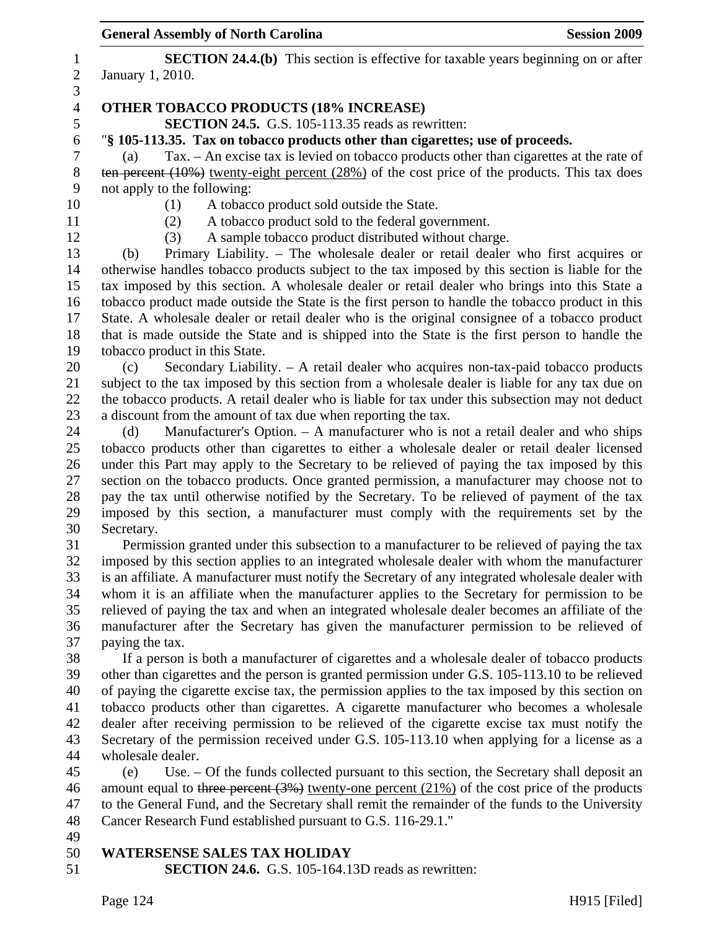|                  | <b>General Assembly of North Carolina</b>                                                                                                                                                         | <b>Session 2009</b> |
|------------------|---------------------------------------------------------------------------------------------------------------------------------------------------------------------------------------------------|---------------------|
| $\mathbf{1}$     | <b>SECTION 24.4.(b)</b> This section is effective for taxable years beginning on or after                                                                                                         |                     |
| $\overline{c}$   | January 1, 2010.                                                                                                                                                                                  |                     |
| 3                |                                                                                                                                                                                                   |                     |
| $\overline{4}$   | <b>OTHER TOBACCO PRODUCTS (18% INCREASE)</b>                                                                                                                                                      |                     |
| 5                | SECTION 24.5. G.S. 105-113.35 reads as rewritten:                                                                                                                                                 |                     |
| $\boldsymbol{6}$ | "§ 105-113.35. Tax on tobacco products other than cigarettes; use of proceeds.                                                                                                                    |                     |
| $\boldsymbol{7}$ | Tax. - An excise tax is levied on tobacco products other than cigarettes at the rate of<br>(a)                                                                                                    |                     |
| $8\,$            | ten percent $(10\%)$ twenty-eight percent $(28\%)$ of the cost price of the products. This tax does                                                                                               |                     |
| 9                | not apply to the following:                                                                                                                                                                       |                     |
| 10               | (1)<br>A tobacco product sold outside the State.                                                                                                                                                  |                     |
| 11               | A tobacco product sold to the federal government.<br>(2)                                                                                                                                          |                     |
| 12               | A sample tobacco product distributed without charge.<br>(3)                                                                                                                                       |                     |
| 13               | Primary Liability. – The wholesale dealer or retail dealer who first acquires or<br>(b)                                                                                                           |                     |
| 14               | otherwise handles tobacco products subject to the tax imposed by this section is liable for the                                                                                                   |                     |
| 15               | tax imposed by this section. A wholesale dealer or retail dealer who brings into this State a                                                                                                     |                     |
| 16<br>17         | tobacco product made outside the State is the first person to handle the tobacco product in this<br>State. A wholesale dealer or retail dealer who is the original consignee of a tobacco product |                     |
| 18               | that is made outside the State and is shipped into the State is the first person to handle the                                                                                                    |                     |
| 19               | tobacco product in this State.                                                                                                                                                                    |                     |
| 20               | Secondary Liability. - A retail dealer who acquires non-tax-paid tobacco products<br>(c)                                                                                                          |                     |
| 21               | subject to the tax imposed by this section from a wholesale dealer is liable for any tax due on                                                                                                   |                     |
| 22               | the tobacco products. A retail dealer who is liable for tax under this subsection may not deduct                                                                                                  |                     |
| 23               | a discount from the amount of tax due when reporting the tax.                                                                                                                                     |                     |
| 24               | Manufacturer's Option. - A manufacturer who is not a retail dealer and who ships<br>(d)                                                                                                           |                     |
| 25               | tobacco products other than cigarettes to either a wholesale dealer or retail dealer licensed                                                                                                     |                     |
| 26               | under this Part may apply to the Secretary to be relieved of paying the tax imposed by this                                                                                                       |                     |
| 27               | section on the tobacco products. Once granted permission, a manufacturer may choose not to                                                                                                        |                     |
| 28               | pay the tax until otherwise notified by the Secretary. To be relieved of payment of the tax                                                                                                       |                     |
| 29               | imposed by this section, a manufacturer must comply with the requirements set by the                                                                                                              |                     |
| 30               | Secretary.                                                                                                                                                                                        |                     |
| 31               | Permission granted under this subsection to a manufacturer to be relieved of paying the tax                                                                                                       |                     |
| 32               | imposed by this section applies to an integrated wholesale dealer with whom the manufacturer                                                                                                      |                     |
| 33               | is an affiliate. A manufacturer must notify the Secretary of any integrated wholesale dealer with                                                                                                 |                     |
| 34               | whom it is an affiliate when the manufacturer applies to the Secretary for permission to be                                                                                                       |                     |
| 35               | relieved of paying the tax and when an integrated wholesale dealer becomes an affiliate of the                                                                                                    |                     |
| 36<br>37         | manufacturer after the Secretary has given the manufacturer permission to be relieved of<br>paying the tax.                                                                                       |                     |
| 38               | If a person is both a manufacturer of cigarettes and a wholesale dealer of tobacco products                                                                                                       |                     |
| 39               | other than cigarettes and the person is granted permission under G.S. 105-113.10 to be relieved                                                                                                   |                     |
| 40               | of paying the cigarette excise tax, the permission applies to the tax imposed by this section on                                                                                                  |                     |
| 41               | tobacco products other than cigarettes. A cigarette manufacturer who becomes a wholesale                                                                                                          |                     |
| 42               | dealer after receiving permission to be relieved of the cigarette excise tax must notify the                                                                                                      |                     |
| 43               | Secretary of the permission received under G.S. 105-113.10 when applying for a license as a                                                                                                       |                     |
| 44               | wholesale dealer.                                                                                                                                                                                 |                     |
| 45               | Use. – Of the funds collected pursuant to this section, the Secretary shall deposit an<br>(e)                                                                                                     |                     |
| 46               | amount equal to three percent $(3%)$ twenty-one percent $(21%)$ of the cost price of the products                                                                                                 |                     |
| 47               | to the General Fund, and the Secretary shall remit the remainder of the funds to the University                                                                                                   |                     |
| 48               | Cancer Research Fund established pursuant to G.S. 116-29.1."                                                                                                                                      |                     |
| 49               |                                                                                                                                                                                                   |                     |
| 50               | <b>WATERSENSE SALES TAX HOLIDAY</b>                                                                                                                                                               |                     |
| 51               | <b>SECTION 24.6.</b> G.S. 105-164.13D reads as rewritten:                                                                                                                                         |                     |
|                  |                                                                                                                                                                                                   |                     |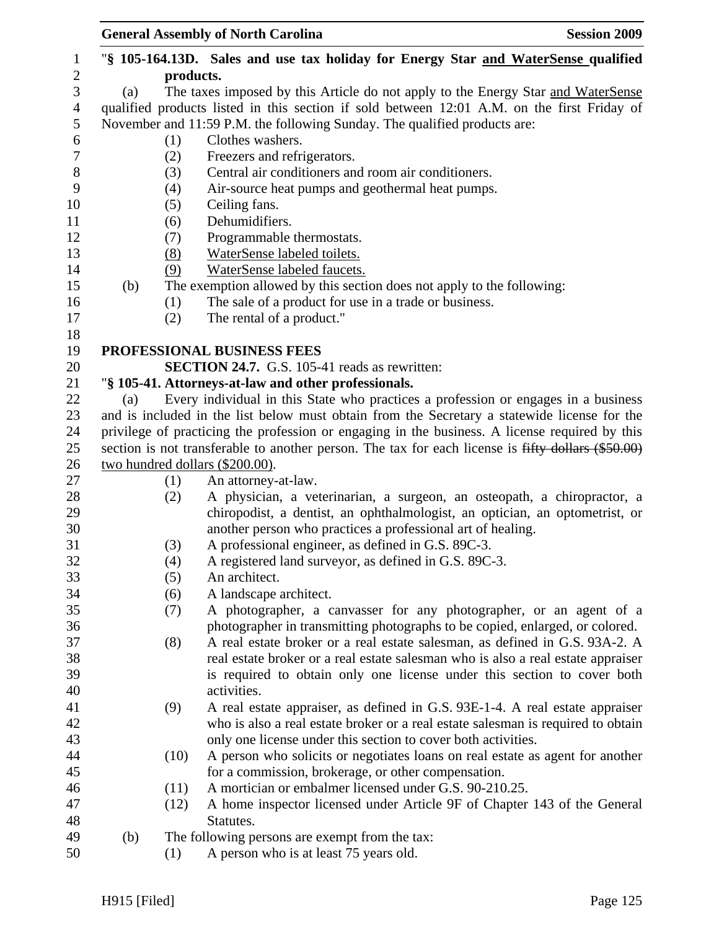|                  |           |            | <b>General Assembly of North Carolina</b><br><b>Session 2009</b>                                                                                  |  |  |  |  |  |
|------------------|-----------|------------|---------------------------------------------------------------------------------------------------------------------------------------------------|--|--|--|--|--|
| $\mathbf{1}$     |           |            | "\\$ 105-164.13D. Sales and use tax holiday for Energy Star and WaterSense qualified                                                              |  |  |  |  |  |
| $\mathbf{2}$     | products. |            |                                                                                                                                                   |  |  |  |  |  |
| 3                | (a)       |            | The taxes imposed by this Article do not apply to the Energy Star and WaterSense                                                                  |  |  |  |  |  |
| $\overline{4}$   |           |            | qualified products listed in this section if sold between 12:01 A.M. on the first Friday of                                                       |  |  |  |  |  |
| 5                |           |            | November and 11:59 P.M. the following Sunday. The qualified products are:                                                                         |  |  |  |  |  |
| 6                |           | (1)        | Clothes washers.                                                                                                                                  |  |  |  |  |  |
| $\boldsymbol{7}$ |           | (2)        | Freezers and refrigerators.                                                                                                                       |  |  |  |  |  |
| $8\,$            |           | (3)        | Central air conditioners and room air conditioners.                                                                                               |  |  |  |  |  |
| 9                |           | (4)        | Air-source heat pumps and geothermal heat pumps.                                                                                                  |  |  |  |  |  |
| 10<br>11         |           | (5)        | Ceiling fans.<br>Dehumidifiers.                                                                                                                   |  |  |  |  |  |
| 12               |           | (6)        | Programmable thermostats.                                                                                                                         |  |  |  |  |  |
| 13               |           | (7)<br>(8) | WaterSense labeled toilets.                                                                                                                       |  |  |  |  |  |
| 14               |           | (9)        | WaterSense labeled faucets.                                                                                                                       |  |  |  |  |  |
| 15               | (b)       |            | The exemption allowed by this section does not apply to the following:                                                                            |  |  |  |  |  |
| 16               |           | (1)        | The sale of a product for use in a trade or business.                                                                                             |  |  |  |  |  |
| 17               |           | (2)        | The rental of a product."                                                                                                                         |  |  |  |  |  |
| 18               |           |            |                                                                                                                                                   |  |  |  |  |  |
| 19               |           |            | PROFESSIONAL BUSINESS FEES                                                                                                                        |  |  |  |  |  |
| 20               |           |            | <b>SECTION 24.7.</b> G.S. 105-41 reads as rewritten:                                                                                              |  |  |  |  |  |
| 21               |           |            | "§ 105-41. Attorneys-at-law and other professionals.                                                                                              |  |  |  |  |  |
| 22               | (a)       |            | Every individual in this State who practices a profession or engages in a business                                                                |  |  |  |  |  |
| 23               |           |            | and is included in the list below must obtain from the Secretary a statewide license for the                                                      |  |  |  |  |  |
| 24               |           |            | privilege of practicing the profession or engaging in the business. A license required by this                                                    |  |  |  |  |  |
| 25               |           |            | section is not transferable to another person. The tax for each license is fifty dollars (\$50.00)                                                |  |  |  |  |  |
| 26               |           |            | two hundred dollars (\$200.00).                                                                                                                   |  |  |  |  |  |
| 27               |           | (1)        | An attorney-at-law.                                                                                                                               |  |  |  |  |  |
| 28               |           | (2)        | A physician, a veterinarian, a surgeon, an osteopath, a chiropractor, a                                                                           |  |  |  |  |  |
| 29               |           |            | chiropodist, a dentist, an ophthalmologist, an optician, an optometrist, or                                                                       |  |  |  |  |  |
| 30               |           |            | another person who practices a professional art of healing.                                                                                       |  |  |  |  |  |
| 31               |           | (3)        | A professional engineer, as defined in G.S. 89C-3.                                                                                                |  |  |  |  |  |
| 32               |           | (4)        | A registered land surveyor, as defined in G.S. 89C-3.                                                                                             |  |  |  |  |  |
| 33               |           | (5)        | An architect.                                                                                                                                     |  |  |  |  |  |
| 34               |           | (6)        | A landscape architect.                                                                                                                            |  |  |  |  |  |
| 35               |           | (7)        | A photographer, a canvasser for any photographer, or an agent of a                                                                                |  |  |  |  |  |
| 36               |           |            | photographer in transmitting photographs to be copied, enlarged, or colored.                                                                      |  |  |  |  |  |
| 37               |           | (8)        | A real estate broker or a real estate salesman, as defined in G.S. 93A-2. A                                                                       |  |  |  |  |  |
| 38               |           |            | real estate broker or a real estate salesman who is also a real estate appraiser                                                                  |  |  |  |  |  |
| 39               |           |            | is required to obtain only one license under this section to cover both                                                                           |  |  |  |  |  |
| 40<br>41         |           |            | activities.                                                                                                                                       |  |  |  |  |  |
| 42               |           | (9)        | A real estate appraiser, as defined in G.S. 93E-1-4. A real estate appraiser                                                                      |  |  |  |  |  |
| 43               |           |            | who is also a real estate broker or a real estate salesman is required to obtain<br>only one license under this section to cover both activities. |  |  |  |  |  |
| 44               |           | (10)       | A person who solicits or negotiates loans on real estate as agent for another                                                                     |  |  |  |  |  |
| 45               |           |            | for a commission, brokerage, or other compensation.                                                                                               |  |  |  |  |  |
| 46               |           | (11)       | A mortician or embalmer licensed under G.S. 90-210.25.                                                                                            |  |  |  |  |  |
| 47               |           | (12)       | A home inspector licensed under Article 9F of Chapter 143 of the General                                                                          |  |  |  |  |  |
| 48               |           |            | Statutes.                                                                                                                                         |  |  |  |  |  |
| 49               | (b)       |            | The following persons are exempt from the tax:                                                                                                    |  |  |  |  |  |
| 50               |           | (1)        | A person who is at least 75 years old.                                                                                                            |  |  |  |  |  |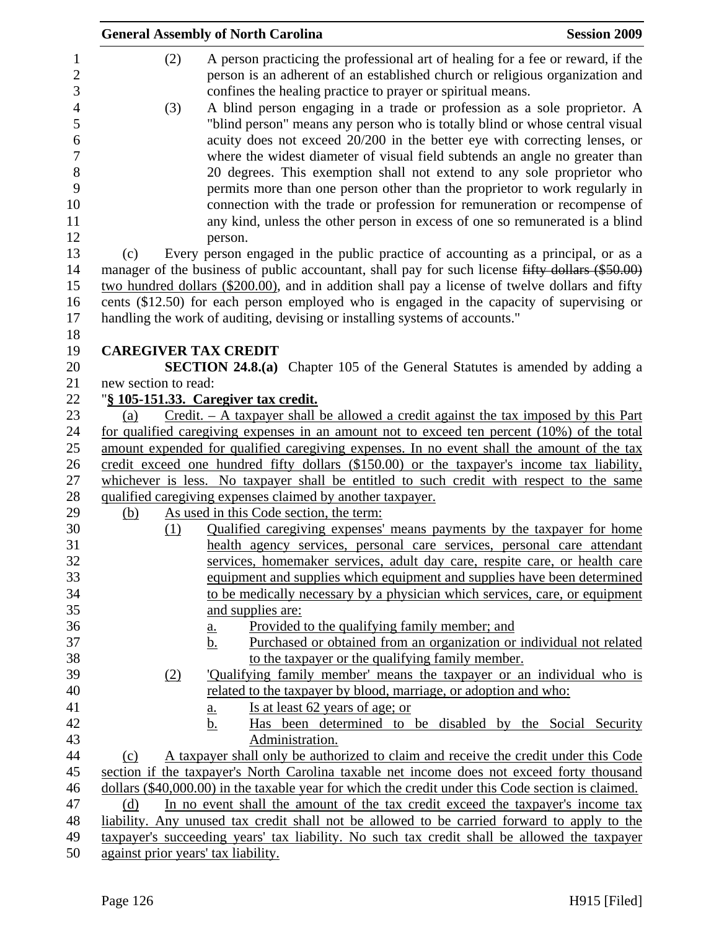|                      | <b>General Assembly of North Carolina</b>                                                                                                                                                                                                                                                                          | <b>Session 2009</b> |
|----------------------|--------------------------------------------------------------------------------------------------------------------------------------------------------------------------------------------------------------------------------------------------------------------------------------------------------------------|---------------------|
| (2)                  | A person practicing the professional art of healing for a fee or reward, if the<br>person is an adherent of an established church or religious organization and<br>confines the healing practice to prayer or spiritual means.                                                                                     |                     |
| (3)                  | A blind person engaging in a trade or profession as a sole proprietor. A<br>"blind person" means any person who is totally blind or whose central visual<br>acuity does not exceed 20/200 in the better eye with correcting lenses, or                                                                             |                     |
|                      | where the widest diameter of visual field subtends an angle no greater than                                                                                                                                                                                                                                        |                     |
|                      | 20 degrees. This exemption shall not extend to any sole proprietor who<br>permits more than one person other than the proprietor to work regularly in<br>connection with the trade or profession for remuneration or recompense of<br>any kind, unless the other person in excess of one so remunerated is a blind |                     |
| (c)                  | person.<br>Every person engaged in the public practice of accounting as a principal, or as a                                                                                                                                                                                                                       |                     |
|                      | manager of the business of public accountant, shall pay for such license fifty dollars (\$50.00)                                                                                                                                                                                                                   |                     |
|                      | two hundred dollars (\$200.00), and in addition shall pay a license of twelve dollars and fifty                                                                                                                                                                                                                    |                     |
|                      | cents (\$12.50) for each person employed who is engaged in the capacity of supervising or                                                                                                                                                                                                                          |                     |
|                      | handling the work of auditing, devising or installing systems of accounts."                                                                                                                                                                                                                                        |                     |
|                      |                                                                                                                                                                                                                                                                                                                    |                     |
|                      | <b>CAREGIVER TAX CREDIT</b>                                                                                                                                                                                                                                                                                        |                     |
| new section to read: | <b>SECTION 24.8.(a)</b> Chapter 105 of the General Statutes is amended by adding a                                                                                                                                                                                                                                 |                     |
|                      | "§ 105-151.33. Caregiver tax credit.                                                                                                                                                                                                                                                                               |                     |
| (a)                  | $Credit. - A taxpayer shall be allowed a credit against the tax imposed by this Part$                                                                                                                                                                                                                              |                     |
|                      | for qualified caregiving expenses in an amount not to exceed ten percent (10%) of the total                                                                                                                                                                                                                        |                     |
|                      | amount expended for qualified caregiving expenses. In no event shall the amount of the tax                                                                                                                                                                                                                         |                     |
|                      | credit exceed one hundred fifty dollars (\$150.00) or the taxpayer's income tax liability,                                                                                                                                                                                                                         |                     |
|                      | whichever is less. No taxpayer shall be entitled to such credit with respect to the same                                                                                                                                                                                                                           |                     |
|                      | qualified caregiving expenses claimed by another taxpayer.                                                                                                                                                                                                                                                         |                     |
| (b)                  | As used in this Code section, the term:                                                                                                                                                                                                                                                                            |                     |
| (1)                  | Qualified caregiving expenses' means payments by the taxpayer for home                                                                                                                                                                                                                                             |                     |
|                      | health agency services, personal care services, personal care attendant                                                                                                                                                                                                                                            |                     |
|                      | services, homemaker services, adult day care, respite care, or health care                                                                                                                                                                                                                                         |                     |
|                      | equipment and supplies which equipment and supplies have been determined                                                                                                                                                                                                                                           |                     |
|                      | to be medically necessary by a physician which services, care, or equipment                                                                                                                                                                                                                                        |                     |
|                      | and supplies are:<br>Provided to the qualifying family member; and                                                                                                                                                                                                                                                 |                     |
|                      | <u>a.</u><br>Purchased or obtained from an organization or individual not related<br>b.                                                                                                                                                                                                                            |                     |
|                      | to the taxpayer or the qualifying family member.                                                                                                                                                                                                                                                                   |                     |
| (2)                  | 'Qualifying family member' means the taxpayer or an individual who is                                                                                                                                                                                                                                              |                     |
|                      | related to the taxpayer by blood, marriage, or adoption and who:                                                                                                                                                                                                                                                   |                     |
|                      | Is at least 62 years of age; or<br><u>a.</u>                                                                                                                                                                                                                                                                       |                     |
|                      | <u>b.</u><br>Has been determined to be disabled by the Social Security                                                                                                                                                                                                                                             |                     |
|                      | Administration.                                                                                                                                                                                                                                                                                                    |                     |
| (c)                  | A taxpayer shall only be authorized to claim and receive the credit under this Code                                                                                                                                                                                                                                |                     |
|                      | section if the taxpayer's North Carolina taxable net income does not exceed forty thousand                                                                                                                                                                                                                         |                     |
|                      | dollars (\$40,000.00) in the taxable year for which the credit under this Code section is claimed.                                                                                                                                                                                                                 |                     |
| (d)                  | In no event shall the amount of the tax credit exceed the taxpayer's income tax                                                                                                                                                                                                                                    |                     |
|                      | liability. Any unused tax credit shall not be allowed to be carried forward to apply to the                                                                                                                                                                                                                        |                     |
|                      | taxpayer's succeeding years' tax liability. No such tax credit shall be allowed the taxpayer                                                                                                                                                                                                                       |                     |
|                      | against prior years' tax liability.                                                                                                                                                                                                                                                                                |                     |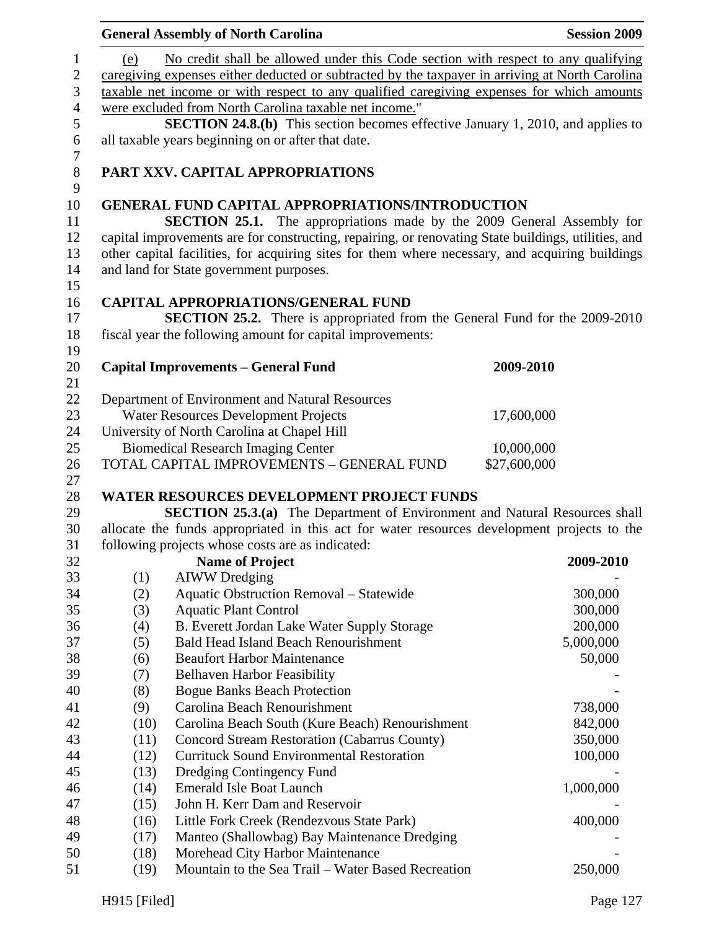| No credit shall be allowed under this Code section with respect to any qualifying<br>1<br>(e)<br>$\mathbf{2}$<br>caregiving expenses either deducted or subtracted by the taxpayer in arriving at North Carolina<br>$\mathfrak{Z}$<br>taxable net income or with respect to any qualified caregiving expenses for which amounts<br>$\overline{4}$<br>were excluded from North Carolina taxable net income."<br>$\mathfrak s$<br>$\boldsymbol{6}$<br>all taxable years beginning on or after that date.<br>$\tau$<br>$8\,$<br>PART XXV. CAPITAL APPROPRIATIONS<br>9<br>10<br><b>GENERAL FUND CAPITAL APPROPRIATIONS/INTRODUCTION</b><br>11<br>12<br>other capital facilities, for acquiring sites for them where necessary, and acquiring buildings<br>13<br>14<br>and land for State government purposes.<br>15<br>16<br><b>CAPITAL APPROPRIATIONS/GENERAL FUND</b><br><b>SECTION 25.2.</b> There is appropriated from the General Fund for the 2009-2010<br>17<br>18<br>fiscal year the following amount for capital improvements:<br>19<br>20<br><b>Capital Improvements - General Fund</b><br>2009-2010 | <b>Session 2009</b>                                                                                                                                                                  |  |  |  |  |  |  |
|------------------------------------------------------------------------------------------------------------------------------------------------------------------------------------------------------------------------------------------------------------------------------------------------------------------------------------------------------------------------------------------------------------------------------------------------------------------------------------------------------------------------------------------------------------------------------------------------------------------------------------------------------------------------------------------------------------------------------------------------------------------------------------------------------------------------------------------------------------------------------------------------------------------------------------------------------------------------------------------------------------------------------------------------------------------------------------------------------------|--------------------------------------------------------------------------------------------------------------------------------------------------------------------------------------|--|--|--|--|--|--|
|                                                                                                                                                                                                                                                                                                                                                                                                                                                                                                                                                                                                                                                                                                                                                                                                                                                                                                                                                                                                                                                                                                            |                                                                                                                                                                                      |  |  |  |  |  |  |
|                                                                                                                                                                                                                                                                                                                                                                                                                                                                                                                                                                                                                                                                                                                                                                                                                                                                                                                                                                                                                                                                                                            | <b>SECTION 24.8.(b)</b> This section becomes effective January 1, 2010, and applies to                                                                                               |  |  |  |  |  |  |
|                                                                                                                                                                                                                                                                                                                                                                                                                                                                                                                                                                                                                                                                                                                                                                                                                                                                                                                                                                                                                                                                                                            |                                                                                                                                                                                      |  |  |  |  |  |  |
|                                                                                                                                                                                                                                                                                                                                                                                                                                                                                                                                                                                                                                                                                                                                                                                                                                                                                                                                                                                                                                                                                                            |                                                                                                                                                                                      |  |  |  |  |  |  |
|                                                                                                                                                                                                                                                                                                                                                                                                                                                                                                                                                                                                                                                                                                                                                                                                                                                                                                                                                                                                                                                                                                            |                                                                                                                                                                                      |  |  |  |  |  |  |
|                                                                                                                                                                                                                                                                                                                                                                                                                                                                                                                                                                                                                                                                                                                                                                                                                                                                                                                                                                                                                                                                                                            | <b>SECTION 25.1.</b> The appropriations made by the 2009 General Assembly for<br>capital improvements are for constructing, repairing, or renovating State buildings, utilities, and |  |  |  |  |  |  |
|                                                                                                                                                                                                                                                                                                                                                                                                                                                                                                                                                                                                                                                                                                                                                                                                                                                                                                                                                                                                                                                                                                            |                                                                                                                                                                                      |  |  |  |  |  |  |
|                                                                                                                                                                                                                                                                                                                                                                                                                                                                                                                                                                                                                                                                                                                                                                                                                                                                                                                                                                                                                                                                                                            |                                                                                                                                                                                      |  |  |  |  |  |  |
|                                                                                                                                                                                                                                                                                                                                                                                                                                                                                                                                                                                                                                                                                                                                                                                                                                                                                                                                                                                                                                                                                                            |                                                                                                                                                                                      |  |  |  |  |  |  |
| 21                                                                                                                                                                                                                                                                                                                                                                                                                                                                                                                                                                                                                                                                                                                                                                                                                                                                                                                                                                                                                                                                                                         |                                                                                                                                                                                      |  |  |  |  |  |  |
| 22<br>Department of Environment and Natural Resources                                                                                                                                                                                                                                                                                                                                                                                                                                                                                                                                                                                                                                                                                                                                                                                                                                                                                                                                                                                                                                                      |                                                                                                                                                                                      |  |  |  |  |  |  |
| 23<br>Water Resources Development Projects<br>17,600,000                                                                                                                                                                                                                                                                                                                                                                                                                                                                                                                                                                                                                                                                                                                                                                                                                                                                                                                                                                                                                                                   |                                                                                                                                                                                      |  |  |  |  |  |  |
| University of North Carolina at Chapel Hill<br>24                                                                                                                                                                                                                                                                                                                                                                                                                                                                                                                                                                                                                                                                                                                                                                                                                                                                                                                                                                                                                                                          |                                                                                                                                                                                      |  |  |  |  |  |  |
| 25<br><b>Biomedical Research Imaging Center</b><br>10,000,000                                                                                                                                                                                                                                                                                                                                                                                                                                                                                                                                                                                                                                                                                                                                                                                                                                                                                                                                                                                                                                              |                                                                                                                                                                                      |  |  |  |  |  |  |
| TOTAL CAPITAL IMPROVEMENTS - GENERAL FUND<br>\$27,600,000<br>26<br>27                                                                                                                                                                                                                                                                                                                                                                                                                                                                                                                                                                                                                                                                                                                                                                                                                                                                                                                                                                                                                                      |                                                                                                                                                                                      |  |  |  |  |  |  |
| <b>WATER RESOURCES DEVELOPMENT PROJECT FUNDS</b><br>28                                                                                                                                                                                                                                                                                                                                                                                                                                                                                                                                                                                                                                                                                                                                                                                                                                                                                                                                                                                                                                                     |                                                                                                                                                                                      |  |  |  |  |  |  |
| SECTION 25.3.(a) The Department of Environment and Natural Resources shall<br>29                                                                                                                                                                                                                                                                                                                                                                                                                                                                                                                                                                                                                                                                                                                                                                                                                                                                                                                                                                                                                           |                                                                                                                                                                                      |  |  |  |  |  |  |
| allocate the funds appropriated in this act for water resources development projects to the<br>30                                                                                                                                                                                                                                                                                                                                                                                                                                                                                                                                                                                                                                                                                                                                                                                                                                                                                                                                                                                                          |                                                                                                                                                                                      |  |  |  |  |  |  |
| following projects whose costs are as indicated:<br>31                                                                                                                                                                                                                                                                                                                                                                                                                                                                                                                                                                                                                                                                                                                                                                                                                                                                                                                                                                                                                                                     |                                                                                                                                                                                      |  |  |  |  |  |  |
| <b>Name of Project</b><br>32                                                                                                                                                                                                                                                                                                                                                                                                                                                                                                                                                                                                                                                                                                                                                                                                                                                                                                                                                                                                                                                                               | 2009-2010                                                                                                                                                                            |  |  |  |  |  |  |
| 33<br>(1)<br><b>AIWW</b> Dredging                                                                                                                                                                                                                                                                                                                                                                                                                                                                                                                                                                                                                                                                                                                                                                                                                                                                                                                                                                                                                                                                          |                                                                                                                                                                                      |  |  |  |  |  |  |
| 34<br><b>Aquatic Obstruction Removal - Statewide</b><br>(2)                                                                                                                                                                                                                                                                                                                                                                                                                                                                                                                                                                                                                                                                                                                                                                                                                                                                                                                                                                                                                                                | 300,000                                                                                                                                                                              |  |  |  |  |  |  |
| 35<br><b>Aquatic Plant Control</b><br>(3)                                                                                                                                                                                                                                                                                                                                                                                                                                                                                                                                                                                                                                                                                                                                                                                                                                                                                                                                                                                                                                                                  | 300,000                                                                                                                                                                              |  |  |  |  |  |  |
| 36<br>(4)<br>B. Everett Jordan Lake Water Supply Storage                                                                                                                                                                                                                                                                                                                                                                                                                                                                                                                                                                                                                                                                                                                                                                                                                                                                                                                                                                                                                                                   | 200,000                                                                                                                                                                              |  |  |  |  |  |  |
| 37<br>(5)<br><b>Bald Head Island Beach Renourishment</b>                                                                                                                                                                                                                                                                                                                                                                                                                                                                                                                                                                                                                                                                                                                                                                                                                                                                                                                                                                                                                                                   | 5,000,000                                                                                                                                                                            |  |  |  |  |  |  |
| 38<br><b>Beaufort Harbor Maintenance</b><br>(6)                                                                                                                                                                                                                                                                                                                                                                                                                                                                                                                                                                                                                                                                                                                                                                                                                                                                                                                                                                                                                                                            | 50,000                                                                                                                                                                               |  |  |  |  |  |  |
| 39<br>(7)<br><b>Belhaven Harbor Feasibility</b><br>40<br><b>Bogue Banks Beach Protection</b>                                                                                                                                                                                                                                                                                                                                                                                                                                                                                                                                                                                                                                                                                                                                                                                                                                                                                                                                                                                                               |                                                                                                                                                                                      |  |  |  |  |  |  |
| (8)<br>41<br>Carolina Beach Renourishment<br>(9)                                                                                                                                                                                                                                                                                                                                                                                                                                                                                                                                                                                                                                                                                                                                                                                                                                                                                                                                                                                                                                                           | 738,000                                                                                                                                                                              |  |  |  |  |  |  |
| 42<br>Carolina Beach South (Kure Beach) Renourishment<br>(10)                                                                                                                                                                                                                                                                                                                                                                                                                                                                                                                                                                                                                                                                                                                                                                                                                                                                                                                                                                                                                                              | 842,000                                                                                                                                                                              |  |  |  |  |  |  |
| 43<br>(11)<br>Concord Stream Restoration (Cabarrus County)                                                                                                                                                                                                                                                                                                                                                                                                                                                                                                                                                                                                                                                                                                                                                                                                                                                                                                                                                                                                                                                 | 350,000                                                                                                                                                                              |  |  |  |  |  |  |
| <b>Currituck Sound Environmental Restoration</b><br>44<br>(12)                                                                                                                                                                                                                                                                                                                                                                                                                                                                                                                                                                                                                                                                                                                                                                                                                                                                                                                                                                                                                                             | 100,000                                                                                                                                                                              |  |  |  |  |  |  |
| 45<br>(13)<br>Dredging Contingency Fund                                                                                                                                                                                                                                                                                                                                                                                                                                                                                                                                                                                                                                                                                                                                                                                                                                                                                                                                                                                                                                                                    |                                                                                                                                                                                      |  |  |  |  |  |  |
| <b>Emerald Isle Boat Launch</b><br>46<br>(14)                                                                                                                                                                                                                                                                                                                                                                                                                                                                                                                                                                                                                                                                                                                                                                                                                                                                                                                                                                                                                                                              | 1,000,000                                                                                                                                                                            |  |  |  |  |  |  |
| 47<br>John H. Kerr Dam and Reservoir<br>(15)                                                                                                                                                                                                                                                                                                                                                                                                                                                                                                                                                                                                                                                                                                                                                                                                                                                                                                                                                                                                                                                               |                                                                                                                                                                                      |  |  |  |  |  |  |
| 48<br>Little Fork Creek (Rendezvous State Park)<br>(16)                                                                                                                                                                                                                                                                                                                                                                                                                                                                                                                                                                                                                                                                                                                                                                                                                                                                                                                                                                                                                                                    | 400,000                                                                                                                                                                              |  |  |  |  |  |  |
| 49<br>(17)<br>Manteo (Shallowbag) Bay Maintenance Dredging                                                                                                                                                                                                                                                                                                                                                                                                                                                                                                                                                                                                                                                                                                                                                                                                                                                                                                                                                                                                                                                 |                                                                                                                                                                                      |  |  |  |  |  |  |
| 50<br>Morehead City Harbor Maintenance<br>(18)                                                                                                                                                                                                                                                                                                                                                                                                                                                                                                                                                                                                                                                                                                                                                                                                                                                                                                                                                                                                                                                             |                                                                                                                                                                                      |  |  |  |  |  |  |
| Mountain to the Sea Trail - Water Based Recreation<br>51<br>(19)                                                                                                                                                                                                                                                                                                                                                                                                                                                                                                                                                                                                                                                                                                                                                                                                                                                                                                                                                                                                                                           | 250,000                                                                                                                                                                              |  |  |  |  |  |  |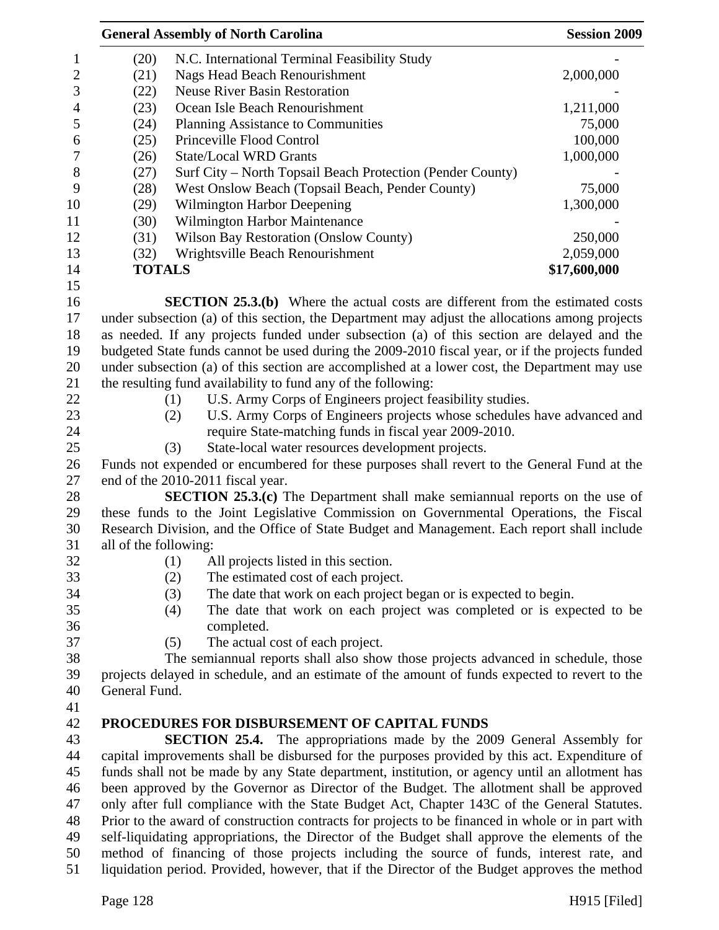|                  | <b>General Assembly of North Carolina</b>                                                         | <b>Session 2009</b>                                                                             |              |  |  |
|------------------|---------------------------------------------------------------------------------------------------|-------------------------------------------------------------------------------------------------|--------------|--|--|
| 1                | (20)                                                                                              | N.C. International Terminal Feasibility Study                                                   |              |  |  |
| $\boldsymbol{2}$ | (21)                                                                                              | <b>Nags Head Beach Renourishment</b>                                                            | 2,000,000    |  |  |
| 3                | (22)                                                                                              | <b>Neuse River Basin Restoration</b>                                                            |              |  |  |
| $\overline{4}$   | (23)                                                                                              | Ocean Isle Beach Renourishment                                                                  | 1,211,000    |  |  |
| 5                | (24)                                                                                              | Planning Assistance to Communities                                                              | 75,000       |  |  |
| 6                | (25)                                                                                              | Princeville Flood Control                                                                       | 100,000      |  |  |
| $\overline{7}$   | (26)                                                                                              | <b>State/Local WRD Grants</b>                                                                   | 1,000,000    |  |  |
| 8                | (27)                                                                                              | Surf City – North Topsail Beach Protection (Pender County)                                      |              |  |  |
| 9                | (28)                                                                                              | West Onslow Beach (Topsail Beach, Pender County)                                                | 75,000       |  |  |
| 10               | (29)                                                                                              | Wilmington Harbor Deepening                                                                     | 1,300,000    |  |  |
| 11               | (30)                                                                                              | Wilmington Harbor Maintenance                                                                   |              |  |  |
| 12               | (31)                                                                                              | <b>Wilson Bay Restoration (Onslow County)</b>                                                   | 250,000      |  |  |
| 13               | (32)                                                                                              | Wrightsville Beach Renourishment                                                                | 2,059,000    |  |  |
| 14               | <b>TOTALS</b>                                                                                     |                                                                                                 | \$17,600,000 |  |  |
| 15               |                                                                                                   |                                                                                                 |              |  |  |
| 16               |                                                                                                   | <b>SECTION 25.3.(b)</b> Where the actual costs are different from the estimated costs           |              |  |  |
| 17               |                                                                                                   | under subsection (a) of this section, the Department may adjust the allocations among projects  |              |  |  |
| 18               |                                                                                                   | as needed. If any projects funded under subsection (a) of this section are delayed and the      |              |  |  |
| 19               |                                                                                                   | budgeted State funds cannot be used during the 2009-2010 fiscal year, or if the projects funded |              |  |  |
| 20               |                                                                                                   | under subsection (a) of this section are accomplished at a lower cost, the Department may use   |              |  |  |
| 21               |                                                                                                   | the resulting fund availability to fund any of the following:                                   |              |  |  |
| 22               |                                                                                                   | U.S. Army Corps of Engineers project feasibility studies.<br>(1)                                |              |  |  |
| 23               |                                                                                                   | U.S. Army Corps of Engineers projects whose schedules have advanced and<br>(2)                  |              |  |  |
| 24               |                                                                                                   | require State-matching funds in fiscal year 2009-2010.                                          |              |  |  |
| 25               |                                                                                                   | (3)<br>State-local water resources development projects.                                        |              |  |  |
| 26               |                                                                                                   | Funds not expended or encumbered for these purposes shall revert to the General Fund at the     |              |  |  |
| 27               |                                                                                                   | end of the 2010-2011 fiscal year.                                                               |              |  |  |
| 28               |                                                                                                   | <b>SECTION 25.3.(c)</b> The Department shall make semiannual reports on the use of              |              |  |  |
| 29               |                                                                                                   | these funds to the Joint Legislative Commission on Governmental Operations, the Fiscal          |              |  |  |
| 30               |                                                                                                   | Research Division, and the Office of State Budget and Management. Each report shall include     |              |  |  |
| 31               | all of the following:                                                                             |                                                                                                 |              |  |  |
| 32               |                                                                                                   | (1)<br>All projects listed in this section.                                                     |              |  |  |
| 33               |                                                                                                   | (2)<br>The estimated cost of each project.                                                      |              |  |  |
| 34               |                                                                                                   | (3)<br>The date that work on each project began or is expected to begin.                        |              |  |  |
| 35               |                                                                                                   | The date that work on each project was completed or is expected to be<br>(4)                    |              |  |  |
| 36               |                                                                                                   | completed.                                                                                      |              |  |  |
| 37               |                                                                                                   | (5)<br>The actual cost of each project.                                                         |              |  |  |
| 38               |                                                                                                   | The semiannual reports shall also show those projects advanced in schedule, those               |              |  |  |
| 39               |                                                                                                   | projects delayed in schedule, and an estimate of the amount of funds expected to revert to the  |              |  |  |
| 40               | General Fund.                                                                                     |                                                                                                 |              |  |  |
| 41               |                                                                                                   |                                                                                                 |              |  |  |
| 42               |                                                                                                   | PROCEDURES FOR DISBURSEMENT OF CAPITAL FUNDS                                                    |              |  |  |
| 43               |                                                                                                   | <b>SECTION 25.4.</b> The appropriations made by the 2009 General Assembly for                   |              |  |  |
| 44               |                                                                                                   | capital improvements shall be disbursed for the purposes provided by this act. Expenditure of   |              |  |  |
| 45               |                                                                                                   | funds shall not be made by any State department, institution, or agency until an allotment has  |              |  |  |
| 46               | been approved by the Governor as Director of the Budget. The allotment shall be approved          |                                                                                                 |              |  |  |
| 47               | only after full compliance with the State Budget Act, Chapter 143C of the General Statutes.       |                                                                                                 |              |  |  |
| 48               | Prior to the award of construction contracts for projects to be financed in whole or in part with |                                                                                                 |              |  |  |
| 49               |                                                                                                   | self-liquidating appropriations, the Director of the Budget shall approve the elements of the   |              |  |  |
| 50               |                                                                                                   | method of financing of those projects including the source of funds, interest rate, and         |              |  |  |
| 51               |                                                                                                   | liquidation period. Provided, however, that if the Director of the Budget approves the method   |              |  |  |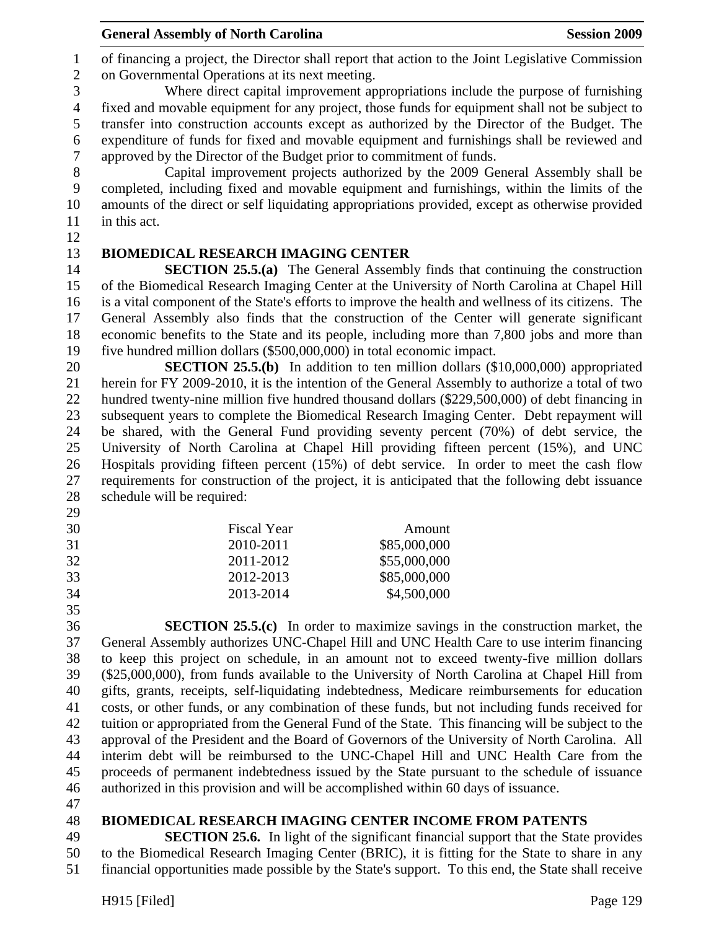**General Assembly of North Carolina**  Session 2009 **Session 2009** 

1 of financing a project, the Director shall report that action to the Joint Legislative Commission 2 on Governmental Operations at its next meeting.

3 Where direct capital improvement appropriations include the purpose of furnishing 4 fixed and movable equipment for any project, those funds for equipment shall not be subject to 5 transfer into construction accounts except as authorized by the Director of the Budget. The 6 expenditure of funds for fixed and movable equipment and furnishings shall be reviewed and 7 approved by the Director of the Budget prior to commitment of funds.

8 Capital improvement projects authorized by the 2009 General Assembly shall be 9 completed, including fixed and movable equipment and furnishings, within the limits of the 10 amounts of the direct or self liquidating appropriations provided, except as otherwise provided 11 in this act.

12

# 13 **BIOMEDICAL RESEARCH IMAGING CENTER**

14 **SECTION 25.5.(a)** The General Assembly finds that continuing the construction 15 of the Biomedical Research Imaging Center at the University of North Carolina at Chapel Hill 16 is a vital component of the State's efforts to improve the health and wellness of its citizens. The 17 General Assembly also finds that the construction of the Center will generate significant 18 economic benefits to the State and its people, including more than 7,800 jobs and more than 19 five hundred million dollars (\$500,000,000) in total economic impact.

20 **SECTION 25.5.(b)** In addition to ten million dollars (\$10,000,000) appropriated 21 herein for FY 2009-2010, it is the intention of the General Assembly to authorize a total of two 22 hundred twenty-nine million five hundred thousand dollars (\$229,500,000) of debt financing in 23 subsequent years to complete the Biomedical Research Imaging Center. Debt repayment will 24 be shared, with the General Fund providing seventy percent (70%) of debt service, the 25 University of North Carolina at Chapel Hill providing fifteen percent (15%), and UNC 26 Hospitals providing fifteen percent (15%) of debt service. In order to meet the cash flow 27 requirements for construction of the project, it is anticipated that the following debt issuance 28 schedule will be required:

- 29
- 30 Fiscal Year Amount 31 2010-2011 \$85,000,000 32 2011-2012 \$55,000,000
- 33 2012-2013 \$85,000,000

34 2013-2014 \$4,500,000

35

36 **SECTION 25.5.(c)** In order to maximize savings in the construction market, the 37 General Assembly authorizes UNC-Chapel Hill and UNC Health Care to use interim financing 38 to keep this project on schedule, in an amount not to exceed twenty-five million dollars 39 (\$25,000,000), from funds available to the University of North Carolina at Chapel Hill from 40 gifts, grants, receipts, self-liquidating indebtedness, Medicare reimbursements for education 41 costs, or other funds, or any combination of these funds, but not including funds received for 42 tuition or appropriated from the General Fund of the State. This financing will be subject to the 43 approval of the President and the Board of Governors of the University of North Carolina. All 44 interim debt will be reimbursed to the UNC-Chapel Hill and UNC Health Care from the 45 proceeds of permanent indebtedness issued by the State pursuant to the schedule of issuance 46 authorized in this provision and will be accomplished within 60 days of issuance.

47

# 48 **BIOMEDICAL RESEARCH IMAGING CENTER INCOME FROM PATENTS**

49 **SECTION 25.6.** In light of the significant financial support that the State provides 50 to the Biomedical Research Imaging Center (BRIC), it is fitting for the State to share in any 51 financial opportunities made possible by the State's support. To this end, the State shall receive